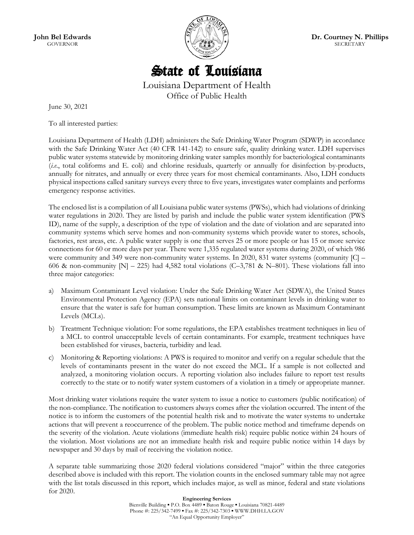**John Bel Edwards** GOVERNOR



**Dr. Courtney N. Phillips SECRETARY** 

# State of Louisiana

Louisiana Department of Health Office of Public Health

June 30, 2021

To all interested parties:

Louisiana Department of Health (LDH) administers the Safe Drinking Water Program (SDWP) in accordance with the Safe Drinking Water Act (40 CFR 141-142) to ensure safe, quality drinking water. LDH supervises public water systems statewide by monitoring drinking water samples monthly for bacteriological contaminants (*i.e*., total coliforms and E. coli) and chlorine residuals, quarterly or annually for disinfection by-products, annually for nitrates, and annually or every three years for most chemical contaminants. Also, LDH conducts physical inspections called sanitary surveys every three to five years, investigates water complaints and performs emergency response activities.

The enclosed list is a compilation of all Louisiana public water systems (PWSs), which had violations of drinking water regulations in 2020. They are listed by parish and include the public water system identification (PWS ID), name of the supply, a description of the type of violation and the date of violation and are separated into community systems which serve homes and non-community systems which provide water to stores, schools, factories, rest areas, etc. A public water supply is one that serves 25 or more people or has 15 or more service connections for 60 or more days per year. There were 1,335 regulated water systems during 2020, of which 986 were community and 349 were non-community water systems. In 2020, 831 water systems (community [C] – 606 & non-community  $[N]$  – 225) had 4,582 total violations (C–3,781 & N–801). These violations fall into three major categories:

- a) Maximum Contaminant Level violation: Under the Safe Drinking Water Act (SDWA), the United States Environmental Protection Agency (EPA) sets national limits on contaminant levels in drinking water to ensure that the water is safe for human consumption. These limits are known as Maximum Contaminant Levels (MCLs).
- b) Treatment Technique violation: For some regulations, the EPA establishes treatment techniques in lieu of a MCL to control unacceptable levels of certain contaminants. For example, treatment techniques have been established for viruses, bacteria, turbidity and lead.
- c) Monitoring & Reporting violations: A PWS is required to monitor and verify on a regular schedule that the levels of contaminants present in the water do not exceed the MCL. If a sample is not collected and analyzed, a monitoring violation occurs. A reporting violation also includes failure to report test results correctly to the state or to notify water system customers of a violation in a timely or appropriate manner.

Most drinking water violations require the water system to issue a notice to customers (public notification) of the non-compliance. The notification to customers always comes after the violation occurred. The intent of the notice is to inform the customers of the potential health risk and to motivate the water systems to undertake actions that will prevent a reoccurrence of the problem. The public notice method and timeframe depends on the severity of the violation. Acute violations (immediate health risk) require public notice within 24 hours of the violation. Most violations are not an immediate health risk and require public notice within 14 days by newspaper and 30 days by mail of receiving the violation notice.

A separate table summarizing those 2020 federal violations considered "major" within the three categories described above is included with this report. The violation counts in the enclosed summary table may not agree with the list totals discussed in this report, which includes major, as well as minor, federal and state violations for 2020.

> **Engineering Services** Bienville Building ▪ P.O. Box 4489 ▪ Baton Rouge ▪ Louisiana 70821-4489 Phone #: 225/342-7499 · Fax #: 225/342-7303 · WWW.DHH.LA.GOV "An Equal Opportunity Employer"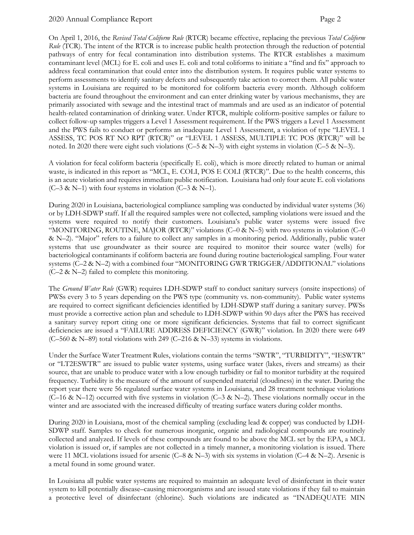On April 1, 2016, the *Revised Total Coliform Rule* (RTCR) became effective, replacing the previous *Total Coliform Rule* (TCR). The intent of the RTCR is to increase public health protection through the reduction of potential pathways of entry for fecal contamination into distribution systems. The RTCR establishes a maximum contaminant level (MCL) for E. coli and uses E. coli and total coliforms to initiate a "find and fix" approach to address fecal contamination that could enter into the distribution system. It requires public water systems to perform assessments to identify sanitary defects and subsequently take action to correct them. All public water systems in Louisiana are required to be monitored for coliform bacteria every month. Although coliform bacteria are found throughout the environment and can enter drinking water by various mechanisms, they are primarily associated with sewage and the intestinal tract of mammals and are used as an indicator of potential health-related contamination of drinking water. Under RTCR, multiple coliform-positive samples or failure to collect follow-up samples triggers a Level 1 Assessment requirement. If the PWS triggers a Level 1 Assessment and the PWS fails to conduct or performs an inadequate Level 1 Assessment, a violation of type "LEVEL 1 ASSESS, TC POS RT NO RPT (RTCR)" or "LEVEL 1 ASSESS, MULTIPLE TC POS (RTCR)" will be noted. In 2020 there were eight such violations  $(C-5 \& N-3)$  with eight systems in violation  $(C-5 \& N-3)$ .

A violation for fecal coliform bacteria (specifically E. coli), which is more directly related to human or animal waste, is indicated in this report as "MCL, E. COLI, POS E COLI (RTCR)". Due to the health concerns, this is an acute violation and requires immediate public notification. Louisiana had only four acute E. coli violations  $(C-3 & N-1)$  with four systems in violation  $(C-3 & N-1)$ .

During 2020 in Louisiana, bacteriological compliance sampling was conducted by individual water systems (36) or by LDH-SDWP staff. If all the required samples were not collected, sampling violations were issued and the systems were required to notify their customers. Louisiana's public water systems were issued five "MONITORING, ROUTINE, MAJOR (RTCR)" violations (C–0 & N–5) with two systems in violation (C–0 & N–2). "Major" refers to a failure to collect any samples in a monitoring period. Additionally, public water systems that use groundwater as their source are required to monitor their source water (wells) for bacteriological contaminants if coliform bacteria are found during routine bacteriological sampling. Four water systems (C–2 & N–2) with a combined four "MONITORING GWR TRIGGER/ADDITIONAL" violations (C–2 & N–2) failed to complete this monitoring.

The *Ground Water Rule* (GWR) requires LDH-SDWP staff to conduct sanitary surveys (onsite inspections) of PWSs every 3 to 5 years depending on the PWS type (community vs. non-community). Public water systems are required to correct significant deficiencies identified by LDH-SDWP staff during a sanitary survey. PWSs must provide a corrective action plan and schedule to LDH-SDWP within 90 days after the PWS has received a sanitary survey report citing one or more significant deficiencies. Systems that fail to correct significant deficiencies are issued a "FAILURE ADDRESS DEFICIENCY (GWR)" violation. In 2020 there were 649 (C–560 & N–89) total violations with 249 (C–216 & N–33) systems in violations.

Under the Surface Water Treatment Rules, violations contain the terms "SWTR", "TURBIDITY", "IESWTR" or "LT2ESWTR" are issued to public water systems, using surface water (lakes, rivers and streams) as their source, that are unable to produce water with a low enough turbidity or fail to monitor turbidity at the required frequency. Turbidity is the measure of the amount of suspended material (cloudiness) in the water. During the report year there were 56 regulated surface water systems in Louisiana, and 28 treatment technique violations (C–16 & N–12) occurred with five systems in violation (C–3 & N–2). These violations normally occur in the winter and are associated with the increased difficulty of treating surface waters during colder months.

During 2020 in Louisiana, most of the chemical sampling (excluding lead & copper) was conducted by LDH-SDWP staff. Samples to check for numerous inorganic, organic and radiological compounds are routinely collected and analyzed. If levels of these compounds are found to be above the MCL set by the EPA, a MCL violation is issued or, if samples are not collected in a timely manner, a monitoring violation is issued. There were 11 MCL violations issued for arsenic (C–8 & N–3) with six systems in violation (C–4 & N–2). Arsenic is a metal found in some ground water.

In Louisiana all public water systems are required to maintain an adequate level of disinfectant in their water system to kill potentially disease–causing microorganisms and are issued state violations if they fail to maintain a protective level of disinfectant (chlorine). Such violations are indicated as "INADEQUATE MIN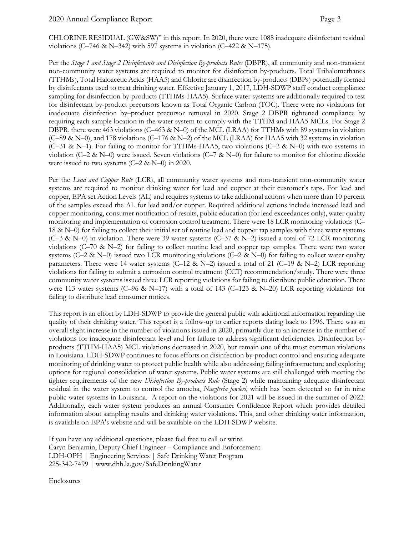CHLORINE RESIDUAL (GW&SW)" in this report. In 2020, there were 1088 inadequate disinfectant residual violations (C–746 & N–342) with 597 systems in violation (C–422 & N–175).

Per the *Stage 1 and Stage 2 Disinfectants and Disinfection By-products Rules* (DBPR), all community and non-transient non-community water systems are required to monitor for disinfection by-products. Total Trihalomethanes (TTHMs), Total Haloacetic Acids (HAA5) and Chlorite are disinfection by-products (DBPs) potentially formed by disinfectants used to treat drinking water. Effective January 1, 2017, LDH-SDWP staff conduct compliance sampling for disinfection by-products (TTHMs-HAA5). Surface water systems are additionally required to test for disinfectant by-product precursors known as Total Organic Carbon (TOC). There were no violations for inadequate disinfection by–product precursor removal in 2020. Stage 2 DBPR tightened compliance by requiring each sample location in the water system to comply with the TTHM and HAA5 MCLs. For Stage 2 DBPR, there were 463 violations (C–463 & N–0) of the MCL (LRAA) for TTHMs with 89 systems in violation  $(C-89 \& N=0)$ , and 178 violations  $(C-176 \& N=2)$  of the MCL (LRAA) for HAA5 with 32 systems in violation (C–31 & N–1). For failing to monitor for TTHMs-HAA5, two violations (C–2 & N–0) with two systems in violation (C–2 & N–0) were issued. Seven violations (C–7 & N–0) for failure to monitor for chlorine dioxide were issued to two systems (C–2 & N–0) in 2020.

Per the *Lead and Copper Rule* (LCR), all community water systems and non-transient non-community water systems are required to monitor drinking water for lead and copper at their customer's taps. For lead and copper, EPA set Action Levels (AL) and requires systems to take additional actions when more than 10 percent of the samples exceed the AL for lead and/or copper. Required additional actions include increased lead and copper monitoring, consumer notification of results, public education (for lead exceedances only), water quality monitoring and implementation of corrosion control treatment. There were 18 LCR monitoring violations (C– 18 & N–0) for failing to collect their initial set of routine lead and copper tap samples with three water systems (C–3 & N–0) in violation. There were 39 water systems (C–37 & N–2) issued a total of 72 LCR monitoring violations ( $C$ –70 & N–2) for failing to collect routine lead and copper tap samples. There were two water systems (C–2 & N–0) issued two LCR monitoring violations (C–2 & N–0) for failing to collect water quality parameters. There were 14 water systems (C–12 & N–2) issued a total of 21 (C–19 & N–2) LCR reporting violations for failing to submit a corrosion control treatment (CCT) recommendation/study. There were three community water systems issued three LCR reporting violations for failing to distribute public education. There were 113 water systems (C–96 & N–17) with a total of 143 (C–123 & N–20) LCR reporting violations for failing to distribute lead consumer notices.

This report is an effort by LDH-SDWP to provide the general public with additional information regarding the quality of their drinking water. This report is a follow-up to earlier reports dating back to 1996. There was an overall slight increase in the number of violations issued in 2020, primarily due to an increase in the number of violations for inadequate disinfectant level and for failure to address significant deficiencies. Disinfection byproducts (TTHM-HAA5) MCL violations decreased in 2020, but remain one of the most common violations in Louisiana. LDH-SDWP continues to focus efforts on disinfection by-product control and ensuring adequate monitoring of drinking water to protect public health while also addressing failing infrastructure and exploring options for regional consolidation of water systems. Public water systems are still challenged with meeting the tighter requirements of the new *Disinfection By-products Rule* (Stage 2) while maintaining adequate disinfectant residual in the water system to control the amoeba, *Naegleria fowleri,* which has been detected so far in nine public water systems in Louisiana. A report on the violations for 2021 will be issued in the summer of 2022. Additionally, each water system produces an annual Consumer Confidence Report which provides detailed information about sampling results and drinking water violations. This, and other drinking water information, is available on EPA's website and will be available on the LDH-SDWP website.

If you have any additional questions, please feel free to call or write. Caryn Benjamin, Deputy Chief Engineer – Compliance and Enforcement LDH-OPH | Engineering Services | Safe Drinking Water Program 225-342-7499 | www.dhh.la.gov/SafeDrinkingWater

Enclosures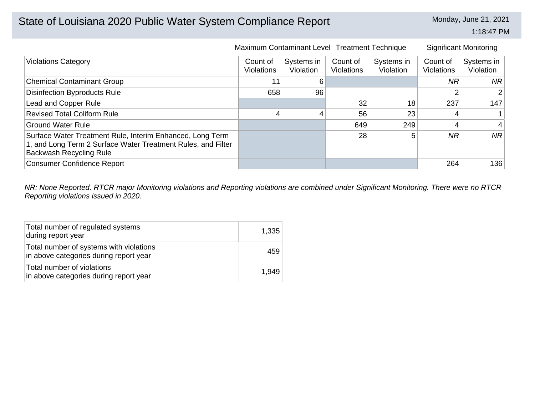# State of Louisiana 2020 Public Water System Compliance Report Monday, June 21, 2021

1:18:47 PM

|                                                                                                                                                             | Maximum Contaminant Level Treatment Technique |                         |                               |                         |                               | <b>Significant Monitoring</b> |
|-------------------------------------------------------------------------------------------------------------------------------------------------------------|-----------------------------------------------|-------------------------|-------------------------------|-------------------------|-------------------------------|-------------------------------|
| <b>Violations Category</b>                                                                                                                                  | Count of<br>Violations                        | Systems in<br>Violation | Count of<br><b>Violations</b> | Systems in<br>Violation | Count of<br><b>Violations</b> | Systems in<br>Violation       |
| <b>Chemical Contaminant Group</b>                                                                                                                           | 11                                            | 6                       |                               |                         | ΝR                            | NR.                           |
| <b>Disinfection Byproducts Rule</b>                                                                                                                         | 658                                           | 96                      |                               |                         |                               |                               |
| Lead and Copper Rule                                                                                                                                        |                                               |                         | 32                            | 18                      | 237                           | 147                           |
| <b>Revised Total Coliform Rule</b>                                                                                                                          | 4                                             | 4                       | 56                            | 23                      |                               |                               |
| <b>Ground Water Rule</b>                                                                                                                                    |                                               |                         | 649                           | 249                     |                               | 4                             |
| Surface Water Treatment Rule, Interim Enhanced, Long Term<br>1, and Long Term 2 Surface Water Treatment Rules, and Filter<br><b>Backwash Recycling Rule</b> |                                               |                         | 28                            | 5                       | <b>NR</b>                     | <b>NR</b>                     |
| <b>Consumer Confidence Report</b>                                                                                                                           |                                               |                         |                               |                         | 264                           | 136                           |

*NR: None Reported. RTCR major Monitoring violations and Reporting violations are combined under Significant Monitoring. There were no RTCR Reporting violations issued in 2020.*

| Total number of regulated systems<br>during report year                           | 1,335 |
|-----------------------------------------------------------------------------------|-------|
| Total number of systems with violations<br>in above categories during report year | 459   |
| Total number of violations<br>in above categories during report year              | 1.949 |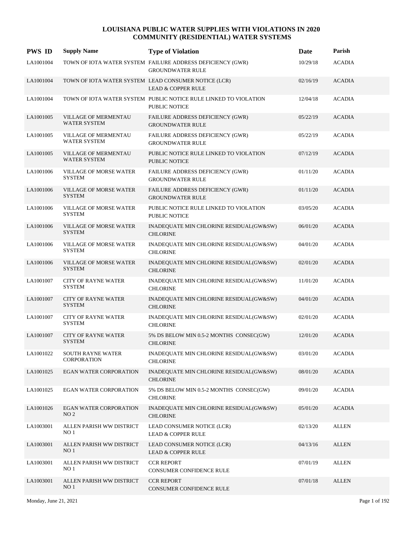| <b>PWS ID</b> | <b>Supply Name</b>                               | <b>Type of Violation</b>                                                              | Date     | Parish        |
|---------------|--------------------------------------------------|---------------------------------------------------------------------------------------|----------|---------------|
| LA1001004     |                                                  | TOWN OF IOTA WATER SYSTEM FAILURE ADDRESS DEFICIENCY (GWR)<br><b>GROUNDWATER RULE</b> | 10/29/18 | <b>ACADIA</b> |
| LA1001004     |                                                  | TOWN OF IOTA WATER SYSTEM LEAD CONSUMER NOTICE (LCR)<br><b>LEAD &amp; COPPER RULE</b> | 02/16/19 | <b>ACADIA</b> |
| LA1001004     |                                                  | TOWN OF IOTA WATER SYSTEM PUBLIC NOTICE RULE LINKED TO VIOLATION<br>PUBLIC NOTICE     | 12/04/18 | <b>ACADIA</b> |
| LA1001005     | VILLAGE OF MERMENTAU<br><b>WATER SYSTEM</b>      | FAILURE ADDRESS DEFICIENCY (GWR)<br><b>GROUNDWATER RULE</b>                           | 05/22/19 | <b>ACADIA</b> |
| LA1001005     | <b>VILLAGE OF MERMENTAU</b><br>WATER SYSTEM      | FAILURE ADDRESS DEFICIENCY (GWR)<br><b>GROUNDWATER RULE</b>                           | 05/22/19 | <b>ACADIA</b> |
| LA1001005     | VILLAGE OF MERMENTAU<br><b>WATER SYSTEM</b>      | PUBLIC NOTICE RULE LINKED TO VIOLATION<br><b>PUBLIC NOTICE</b>                        | 07/12/19 | <b>ACADIA</b> |
| LA1001006     | <b>VILLAGE OF MORSE WATER</b><br><b>SYSTEM</b>   | FAILURE ADDRESS DEFICIENCY (GWR)<br><b>GROUNDWATER RULE</b>                           | 01/11/20 | <b>ACADIA</b> |
| LA1001006     | <b>VILLAGE OF MORSE WATER</b><br><b>SYSTEM</b>   | FAILURE ADDRESS DEFICIENCY (GWR)<br><b>GROUNDWATER RULE</b>                           | 01/11/20 | <b>ACADIA</b> |
| LA1001006     | <b>VILLAGE OF MORSE WATER</b><br><b>SYSTEM</b>   | PUBLIC NOTICE RULE LINKED TO VIOLATION<br>PUBLIC NOTICE                               | 03/05/20 | <b>ACADIA</b> |
| LA1001006     | <b>VILLAGE OF MORSE WATER</b><br><b>SYSTEM</b>   | INADEQUATE MIN CHLORINE RESIDUAL(GW&SW)<br><b>CHLORINE</b>                            | 06/01/20 | <b>ACADIA</b> |
| LA1001006     | <b>VILLAGE OF MORSE WATER</b><br><b>SYSTEM</b>   | INADEQUATE MIN CHLORINE RESIDUAL(GW&SW)<br><b>CHLORINE</b>                            | 04/01/20 | <b>ACADIA</b> |
| LA1001006     | <b>VILLAGE OF MORSE WATER</b><br><b>SYSTEM</b>   | INADEQUATE MIN CHLORINE RESIDUAL(GW&SW)<br><b>CHLORINE</b>                            | 02/01/20 | <b>ACADIA</b> |
| LA1001007     | <b>CITY OF RAYNE WATER</b><br><b>SYSTEM</b>      | INADEQUATE MIN CHLORINE RESIDUAL(GW&SW)<br><b>CHLORINE</b>                            | 11/01/20 | <b>ACADIA</b> |
| LA1001007     | <b>CITY OF RAYNE WATER</b><br><b>SYSTEM</b>      | INADEQUATE MIN CHLORINE RESIDUAL(GW&SW)<br><b>CHLORINE</b>                            | 04/01/20 | <b>ACADIA</b> |
| LA1001007     | <b>CITY OF RAYNE WATER</b><br><b>SYSTEM</b>      | INADEQUATE MIN CHLORINE RESIDUAL(GW&SW)<br><b>CHLORINE</b>                            | 02/01/20 | <b>ACADIA</b> |
| LA1001007     | <b>CITY OF RAYNE WATER</b><br><b>SYSTEM</b>      | 5% DS BELOW MIN 0.5-2 MONTHS CONSEC(GW)<br><b>CHLORINE</b>                            | 12/01/20 | <b>ACADIA</b> |
| LA1001022     | <b>SOUTH RAYNE WATER</b><br>CORPORATION          | INADEQUATE MIN CHLORINE RESIDUAL(GW&SW)<br><b>CHLORINE</b>                            | 03/01/20 | <b>ACADIA</b> |
| LA1001025     | <b>EGAN WATER CORPORATION</b>                    | INADEQUATE MIN CHLORINE RESIDUAL(GW&SW)<br><b>CHLORINE</b>                            | 08/01/20 | <b>ACADIA</b> |
| LA1001025     | <b>EGAN WATER CORPORATION</b>                    | 5% DS BELOW MIN 0.5-2 MONTHS CONSEC(GW)<br><b>CHLORINE</b>                            | 09/01/20 | <b>ACADIA</b> |
| LA1001026     | <b>EGAN WATER CORPORATION</b><br>NO <sub>2</sub> | INADEQUATE MIN CHLORINE RESIDUAL(GW&SW)<br><b>CHLORINE</b>                            | 05/01/20 | <b>ACADIA</b> |
| LA1003001     | ALLEN PARISH WW DISTRICT<br>NO <sub>1</sub>      | LEAD CONSUMER NOTICE (LCR)<br><b>LEAD &amp; COPPER RULE</b>                           | 02/13/20 | <b>ALLEN</b>  |
| LA1003001     | ALLEN PARISH WW DISTRICT<br>NO <sub>1</sub>      | LEAD CONSUMER NOTICE (LCR)<br><b>LEAD &amp; COPPER RULE</b>                           | 04/13/16 | <b>ALLEN</b>  |
| LA1003001     | ALLEN PARISH WW DISTRICT<br>NO <sub>1</sub>      | <b>CCR REPORT</b><br>CONSUMER CONFIDENCE RULE                                         | 07/01/19 | <b>ALLEN</b>  |
| LA1003001     | ALLEN PARISH WW DISTRICT<br>NO <sub>1</sub>      | <b>CCR REPORT</b><br>CONSUMER CONFIDENCE RULE                                         | 07/01/18 | <b>ALLEN</b>  |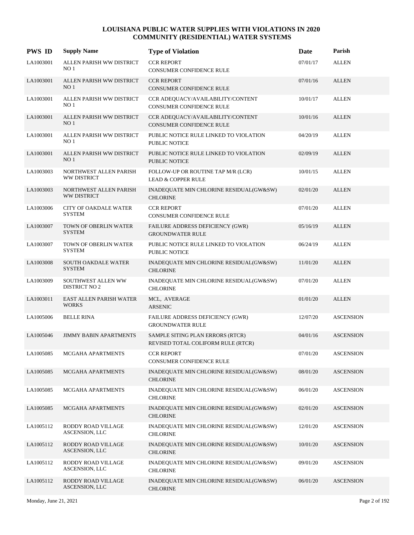| <b>PWS ID</b> | <b>Supply Name</b>                            | <b>Type of Violation</b>                                               | Date     | Parish           |
|---------------|-----------------------------------------------|------------------------------------------------------------------------|----------|------------------|
| LA1003001     | ALLEN PARISH WW DISTRICT<br>NO 1              | <b>CCR REPORT</b><br>CONSUMER CONFIDENCE RULE                          | 07/01/17 | <b>ALLEN</b>     |
| LA1003001     | ALLEN PARISH WW DISTRICT<br>NO <sub>1</sub>   | <b>CCR REPORT</b><br>CONSUMER CONFIDENCE RULE                          | 07/01/16 | <b>ALLEN</b>     |
| LA1003001     | ALLEN PARISH WW DISTRICT<br>NO <sub>1</sub>   | CCR ADEQUACY/AVAILABILITY/CONTENT<br>CONSUMER CONFIDENCE RULE          | 10/01/17 | <b>ALLEN</b>     |
| LA1003001     | ALLEN PARISH WW DISTRICT<br>NO <sub>1</sub>   | CCR ADEQUACY/AVAILABILITY/CONTENT<br><b>CONSUMER CONFIDENCE RULE</b>   | 10/01/16 | <b>ALLEN</b>     |
| LA1003001     | ALLEN PARISH WW DISTRICT<br>NO <sub>1</sub>   | PUBLIC NOTICE RULE LINKED TO VIOLATION<br><b>PUBLIC NOTICE</b>         | 04/20/19 | <b>ALLEN</b>     |
| LA1003001     | ALLEN PARISH WW DISTRICT<br>NO <sub>1</sub>   | PUBLIC NOTICE RULE LINKED TO VIOLATION<br><b>PUBLIC NOTICE</b>         | 02/09/19 | <b>ALLEN</b>     |
| LA1003003     | NORTHWEST ALLEN PARISH<br>WW DISTRICT         | FOLLOW-UP OR ROUTINE TAP M/R (LCR)<br><b>LEAD &amp; COPPER RULE</b>    | 10/01/15 | <b>ALLEN</b>     |
| LA1003003     | NORTHWEST ALLEN PARISH<br>WW DISTRICT         | INADEQUATE MIN CHLORINE RESIDUAL(GW&SW)<br><b>CHLORINE</b>             | 02/01/20 | <b>ALLEN</b>     |
| LA1003006     | <b>CITY OF OAKDALE WATER</b><br><b>SYSTEM</b> | <b>CCR REPORT</b><br>CONSUMER CONFIDENCE RULE                          | 07/01/20 | <b>ALLEN</b>     |
| LA1003007     | TOWN OF OBERLIN WATER<br><b>SYSTEM</b>        | FAILURE ADDRESS DEFICIENCY (GWR)<br><b>GROUNDWATER RULE</b>            | 05/16/19 | <b>ALLEN</b>     |
| LA1003007     | TOWN OF OBERLIN WATER<br><b>SYSTEM</b>        | PUBLIC NOTICE RULE LINKED TO VIOLATION<br><b>PUBLIC NOTICE</b>         | 06/24/19 | <b>ALLEN</b>     |
| LA1003008     | <b>SOUTH OAKDALE WATER</b><br><b>SYSTEM</b>   | INADEQUATE MIN CHLORINE RESIDUAL(GW&SW)<br><b>CHLORINE</b>             | 11/01/20 | <b>ALLEN</b>     |
| LA1003009     | SOUTHWEST ALLEN WW<br><b>DISTRICT NO 2</b>    | INADEQUATE MIN CHLORINE RESIDUAL(GW&SW)<br><b>CHLORINE</b>             | 07/01/20 | <b>ALLEN</b>     |
| LA1003011     | EAST ALLEN PARISH WATER<br><b>WORKS</b>       | MCL, AVERAGE<br><b>ARSENIC</b>                                         | 01/01/20 | <b>ALLEN</b>     |
| LA1005006     | <b>BELLE RINA</b>                             | FAILURE ADDRESS DEFICIENCY (GWR)<br><b>GROUNDWATER RULE</b>            | 12/07/20 | <b>ASCENSION</b> |
| LA1005046     | <b>JIMMY BABIN APARTMENTS</b>                 | SAMPLE SITING PLAN ERRORS (RTCR)<br>REVISED TOTAL COLIFORM RULE (RTCR) | 04/01/16 | <b>ASCENSION</b> |
| LA1005085     | MCGAHA APARTMENTS                             | <b>CCR REPORT</b><br>CONSUMER CONFIDENCE RULE                          | 07/01/20 | <b>ASCENSION</b> |
| LA1005085     | MCGAHA APARTMENTS                             | INADEQUATE MIN CHLORINE RESIDUAL(GW&SW)<br><b>CHLORINE</b>             | 08/01/20 | <b>ASCENSION</b> |
| LA1005085     | MCGAHA APARTMENTS                             | INADEQUATE MIN CHLORINE RESIDUAL(GW&SW)<br><b>CHLORINE</b>             | 06/01/20 | <b>ASCENSION</b> |
| LA1005085     | MCGAHA APARTMENTS                             | INADEQUATE MIN CHLORINE RESIDUAL(GW&SW)<br><b>CHLORINE</b>             | 02/01/20 | <b>ASCENSION</b> |
| LA1005112     | RODDY ROAD VILLAGE<br>ASCENSION, LLC          | INADEQUATE MIN CHLORINE RESIDUAL(GW&SW)<br><b>CHLORINE</b>             | 12/01/20 | <b>ASCENSION</b> |
| LA1005112     | RODDY ROAD VILLAGE<br>ASCENSION, LLC          | INADEQUATE MIN CHLORINE RESIDUAL(GW&SW)<br><b>CHLORINE</b>             | 10/01/20 | <b>ASCENSION</b> |
| LA1005112     | RODDY ROAD VILLAGE<br>ASCENSION, LLC          | INADEQUATE MIN CHLORINE RESIDUAL(GW&SW)<br><b>CHLORINE</b>             | 09/01/20 | <b>ASCENSION</b> |
| LA1005112     | RODDY ROAD VILLAGE<br>ASCENSION, LLC          | INADEQUATE MIN CHLORINE RESIDUAL(GW&SW)<br><b>CHLORINE</b>             | 06/01/20 | <b>ASCENSION</b> |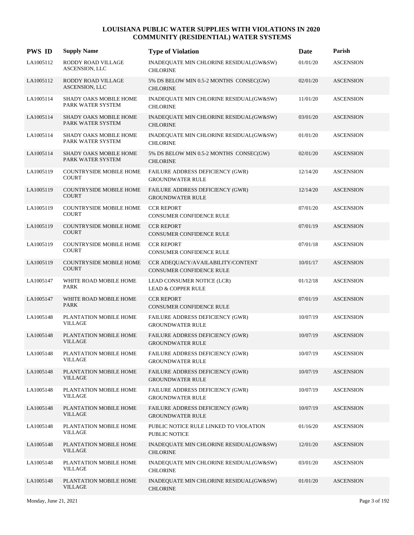| <b>PWS ID</b> | <b>Supply Name</b>                                 | <b>Type of Violation</b>                                             | Date     | Parish           |
|---------------|----------------------------------------------------|----------------------------------------------------------------------|----------|------------------|
| LA1005112     | RODDY ROAD VILLAGE<br>ASCENSION, LLC               | INADEQUATE MIN CHLORINE RESIDUAL(GW&SW)<br><b>CHLORINE</b>           | 01/01/20 | <b>ASCENSION</b> |
| LA1005112     | RODDY ROAD VILLAGE<br>ASCENSION, LLC               | 5% DS BELOW MIN 0.5-2 MONTHS CONSEC(GW)<br><b>CHLORINE</b>           | 02/01/20 | <b>ASCENSION</b> |
| LA1005114     | SHADY OAKS MOBILE HOME<br>PARK WATER SYSTEM        | INADEQUATE MIN CHLORINE RESIDUAL(GW&SW)<br><b>CHLORINE</b>           | 11/01/20 | <b>ASCENSION</b> |
| LA1005114     | <b>SHADY OAKS MOBILE HOME</b><br>PARK WATER SYSTEM | INADEQUATE MIN CHLORINE RESIDUAL(GW&SW)<br><b>CHLORINE</b>           | 03/01/20 | <b>ASCENSION</b> |
| LA1005114     | <b>SHADY OAKS MOBILE HOME</b><br>PARK WATER SYSTEM | INADEQUATE MIN CHLORINE RESIDUAL(GW&SW)<br><b>CHLORINE</b>           | 01/01/20 | <b>ASCENSION</b> |
| LA1005114     | SHADY OAKS MOBILE HOME<br>PARK WATER SYSTEM        | 5% DS BELOW MIN 0.5-2 MONTHS CONSEC(GW)<br><b>CHLORINE</b>           | 02/01/20 | <b>ASCENSION</b> |
| LA1005119     | <b>COUNTRYSIDE MOBILE HOME</b><br><b>COURT</b>     | FAILURE ADDRESS DEFICIENCY (GWR)<br><b>GROUNDWATER RULE</b>          | 12/14/20 | <b>ASCENSION</b> |
| LA1005119     | <b>COUNTRYSIDE MOBILE HOME</b><br><b>COURT</b>     | FAILURE ADDRESS DEFICIENCY (GWR)<br><b>GROUNDWATER RULE</b>          | 12/14/20 | <b>ASCENSION</b> |
| LA1005119     | <b>COUNTRYSIDE MOBILE HOME</b><br><b>COURT</b>     | <b>CCR REPORT</b><br>CONSUMER CONFIDENCE RULE                        | 07/01/20 | <b>ASCENSION</b> |
| LA1005119     | <b>COUNTRYSIDE MOBILE HOME</b><br><b>COURT</b>     | <b>CCR REPORT</b><br>CONSUMER CONFIDENCE RULE                        | 07/01/19 | <b>ASCENSION</b> |
| LA1005119     | COUNTRYSIDE MOBILE HOME<br><b>COURT</b>            | <b>CCR REPORT</b><br>CONSUMER CONFIDENCE RULE                        | 07/01/18 | <b>ASCENSION</b> |
| LA1005119     | <b>COUNTRYSIDE MOBILE HOME</b><br><b>COURT</b>     | CCR ADEQUACY/AVAILABILITY/CONTENT<br><b>CONSUMER CONFIDENCE RULE</b> | 10/01/17 | <b>ASCENSION</b> |
| LA1005147     | WHITE ROAD MOBILE HOME<br><b>PARK</b>              | LEAD CONSUMER NOTICE (LCR)<br><b>LEAD &amp; COPPER RULE</b>          | 01/12/18 | <b>ASCENSION</b> |
| LA1005147     | WHITE ROAD MOBILE HOME<br><b>PARK</b>              | <b>CCR REPORT</b><br><b>CONSUMER CONFIDENCE RULE</b>                 | 07/01/19 | <b>ASCENSION</b> |
| LA1005148     | PLANTATION MOBILE HOME<br>VILLAGE                  | FAILURE ADDRESS DEFICIENCY (GWR)<br><b>GROUNDWATER RULE</b>          | 10/07/19 | <b>ASCENSION</b> |
| LA1005148     | PLANTATION MOBILE HOME<br><b>VILLAGE</b>           | FAILURE ADDRESS DEFICIENCY (GWR)<br><b>GROUNDWATER RULE</b>          | 10/07/19 | <b>ASCENSION</b> |
| LA1005148     | PLANTATION MOBILE HOME<br><b>VILLAGE</b>           | FAILURE ADDRESS DEFICIENCY (GWR)<br><b>GROUNDWATER RULE</b>          | 10/07/19 | <b>ASCENSION</b> |
| LA1005148     | PLANTATION MOBILE HOME<br>VILLAGE                  | FAILURE ADDRESS DEFICIENCY (GWR)<br><b>GROUNDWATER RULE</b>          | 10/07/19 | <b>ASCENSION</b> |
| LA1005148     | PLANTATION MOBILE HOME<br><b>VILLAGE</b>           | FAILURE ADDRESS DEFICIENCY (GWR)<br><b>GROUNDWATER RULE</b>          | 10/07/19 | <b>ASCENSION</b> |
| LA1005148     | PLANTATION MOBILE HOME<br><b>VILLAGE</b>           | FAILURE ADDRESS DEFICIENCY (GWR)<br><b>GROUNDWATER RULE</b>          | 10/07/19 | <b>ASCENSION</b> |
| LA1005148     | PLANTATION MOBILE HOME<br>VILLAGE                  | PUBLIC NOTICE RULE LINKED TO VIOLATION<br>PUBLIC NOTICE              | 01/16/20 | <b>ASCENSION</b> |
| LA1005148     | PLANTATION MOBILE HOME<br><b>VILLAGE</b>           | INADEQUATE MIN CHLORINE RESIDUAL(GW&SW)<br><b>CHLORINE</b>           | 12/01/20 | <b>ASCENSION</b> |
| LA1005148     | PLANTATION MOBILE HOME<br><b>VILLAGE</b>           | INADEQUATE MIN CHLORINE RESIDUAL(GW&SW)<br><b>CHLORINE</b>           | 03/01/20 | <b>ASCENSION</b> |
| LA1005148     | PLANTATION MOBILE HOME<br>VILLAGE                  | INADEQUATE MIN CHLORINE RESIDUAL(GW&SW)<br><b>CHLORINE</b>           | 01/01/20 | <b>ASCENSION</b> |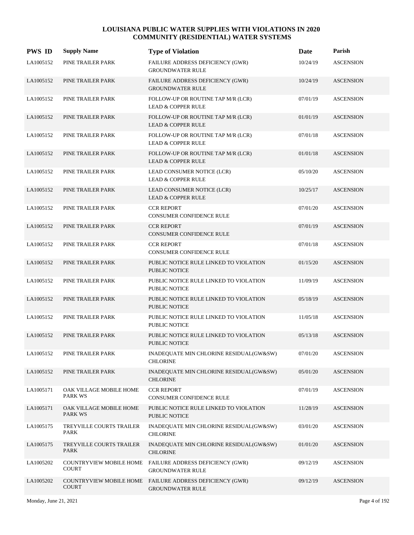| <b>PWS ID</b> | <b>Supply Name</b>                        | <b>Type of Violation</b>                                                            | Date     | Parish           |
|---------------|-------------------------------------------|-------------------------------------------------------------------------------------|----------|------------------|
| LA1005152     | PINE TRAILER PARK                         | FAILURE ADDRESS DEFICIENCY (GWR)<br><b>GROUNDWATER RULE</b>                         | 10/24/19 | <b>ASCENSION</b> |
| LA1005152     | PINE TRAILER PARK                         | FAILURE ADDRESS DEFICIENCY (GWR)<br><b>GROUNDWATER RULE</b>                         | 10/24/19 | <b>ASCENSION</b> |
| LA1005152     | PINE TRAILER PARK                         | FOLLOW-UP OR ROUTINE TAP M/R (LCR)<br><b>LEAD &amp; COPPER RULE</b>                 | 07/01/19 | <b>ASCENSION</b> |
| LA1005152     | PINE TRAILER PARK                         | FOLLOW-UP OR ROUTINE TAP M/R (LCR)<br><b>LEAD &amp; COPPER RULE</b>                 | 01/01/19 | <b>ASCENSION</b> |
| LA1005152     | PINE TRAILER PARK                         | FOLLOW-UP OR ROUTINE TAP M/R (LCR)<br><b>LEAD &amp; COPPER RULE</b>                 | 07/01/18 | <b>ASCENSION</b> |
| LA1005152     | PINE TRAILER PARK                         | FOLLOW-UP OR ROUTINE TAP M/R (LCR)<br><b>LEAD &amp; COPPER RULE</b>                 | 01/01/18 | <b>ASCENSION</b> |
| LA1005152     | PINE TRAILER PARK                         | LEAD CONSUMER NOTICE (LCR)<br><b>LEAD &amp; COPPER RULE</b>                         | 05/10/20 | <b>ASCENSION</b> |
| LA1005152     | PINE TRAILER PARK                         | LEAD CONSUMER NOTICE (LCR)<br><b>LEAD &amp; COPPER RULE</b>                         | 10/25/17 | <b>ASCENSION</b> |
| LA1005152     | PINE TRAILER PARK                         | <b>CCR REPORT</b><br><b>CONSUMER CONFIDENCE RULE</b>                                | 07/01/20 | <b>ASCENSION</b> |
| LA1005152     | PINE TRAILER PARK                         | <b>CCR REPORT</b><br>CONSUMER CONFIDENCE RULE                                       | 07/01/19 | <b>ASCENSION</b> |
| LA1005152     | PINE TRAILER PARK                         | <b>CCR REPORT</b><br><b>CONSUMER CONFIDENCE RULE</b>                                | 07/01/18 | <b>ASCENSION</b> |
| LA1005152     | PINE TRAILER PARK                         | PUBLIC NOTICE RULE LINKED TO VIOLATION<br>PUBLIC NOTICE                             | 01/15/20 | <b>ASCENSION</b> |
| LA1005152     | PINE TRAILER PARK                         | PUBLIC NOTICE RULE LINKED TO VIOLATION<br><b>PUBLIC NOTICE</b>                      | 11/09/19 | <b>ASCENSION</b> |
| LA1005152     | PINE TRAILER PARK                         | PUBLIC NOTICE RULE LINKED TO VIOLATION<br><b>PUBLIC NOTICE</b>                      | 05/18/19 | <b>ASCENSION</b> |
| LA1005152     | PINE TRAILER PARK                         | PUBLIC NOTICE RULE LINKED TO VIOLATION<br><b>PUBLIC NOTICE</b>                      | 11/05/18 | <b>ASCENSION</b> |
| LA1005152     | PINE TRAILER PARK                         | PUBLIC NOTICE RULE LINKED TO VIOLATION<br><b>PUBLIC NOTICE</b>                      | 05/13/18 | <b>ASCENSION</b> |
| LA1005152     | PINE TRAILER PARK                         | INADEQUATE MIN CHLORINE RESIDUAL(GW&SW)<br><b>CHLORINE</b>                          | 07/01/20 | <b>ASCENSION</b> |
| LA1005152     | PINE TRAILER PARK                         | INADEQUATE MIN CHLORINE RESIDUAL(GW&SW)<br><b>CHLORINE</b>                          | 05/01/20 | <b>ASCENSION</b> |
| LA1005171     | OAK VILLAGE MOBILE HOME<br><b>PARK WS</b> | <b>CCR REPORT</b><br>CONSUMER CONFIDENCE RULE                                       | 07/01/19 | <b>ASCENSION</b> |
| LA1005171     | OAK VILLAGE MOBILE HOME<br><b>PARK WS</b> | PUBLIC NOTICE RULE LINKED TO VIOLATION<br>PUBLIC NOTICE                             | 11/28/19 | <b>ASCENSION</b> |
| LA1005175     | TREYVILLE COURTS TRAILER<br>PARK          | INADEQUATE MIN CHLORINE RESIDUAL(GW&SW)<br><b>CHLORINE</b>                          | 03/01/20 | <b>ASCENSION</b> |
| LA1005175     | TREYVILLE COURTS TRAILER<br><b>PARK</b>   | INADEQUATE MIN CHLORINE RESIDUAL(GW&SW)<br><b>CHLORINE</b>                          | 01/01/20 | <b>ASCENSION</b> |
| LA1005202     | <b>COURT</b>                              | COUNTRYVIEW MOBILE HOME FAILURE ADDRESS DEFICIENCY (GWR)<br><b>GROUNDWATER RULE</b> | 09/12/19 | <b>ASCENSION</b> |
| LA1005202     | COUNTRYVIEW MOBILE HOME<br><b>COURT</b>   | FAILURE ADDRESS DEFICIENCY (GWR)<br><b>GROUNDWATER RULE</b>                         | 09/12/19 | <b>ASCENSION</b> |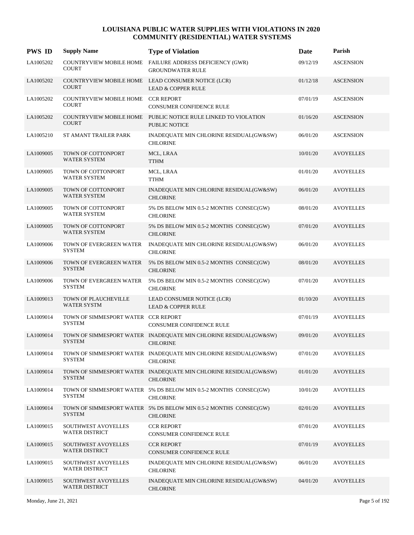| <b>PWS ID</b> | <b>Supply Name</b>                                   | <b>Type of Violation</b>                                                               | Date     | Parish           |
|---------------|------------------------------------------------------|----------------------------------------------------------------------------------------|----------|------------------|
| LA1005202     | <b>COURT</b>                                         | COUNTRYVIEW MOBILE HOME FAILURE ADDRESS DEFICIENCY (GWR)<br><b>GROUNDWATER RULE</b>    | 09/12/19 | <b>ASCENSION</b> |
| LA1005202     | <b>COURT</b>                                         | COUNTRYVIEW MOBILE HOME LEAD CONSUMER NOTICE (LCR)<br><b>LEAD &amp; COPPER RULE</b>    | 01/12/18 | <b>ASCENSION</b> |
| LA1005202     | COUNTRYVIEW MOBILE HOME CCR REPORT<br><b>COURT</b>   | CONSUMER CONFIDENCE RULE                                                               | 07/01/19 | <b>ASCENSION</b> |
| LA1005202     | <b>COURT</b>                                         | COUNTRYVIEW MOBILE HOME PUBLIC NOTICE RULE LINKED TO VIOLATION<br><b>PUBLIC NOTICE</b> | 01/16/20 | <b>ASCENSION</b> |
| LA1005210     | ST AMANT TRAILER PARK                                | INADEQUATE MIN CHLORINE RESIDUAL(GW&SW)<br><b>CHLORINE</b>                             | 06/01/20 | <b>ASCENSION</b> |
| LA1009005     | TOWN OF COTTONPORT<br><b>WATER SYSTEM</b>            | MCL, LRAA<br><b>TTHM</b>                                                               | 10/01/20 | <b>AVOYELLES</b> |
| LA1009005     | TOWN OF COTTONPORT<br><b>WATER SYSTEM</b>            | MCL, LRAA<br><b>TTHM</b>                                                               | 01/01/20 | <b>AVOYELLES</b> |
| LA1009005     | TOWN OF COTTONPORT<br><b>WATER SYSTEM</b>            | INADEQUATE MIN CHLORINE RESIDUAL(GW&SW)<br><b>CHLORINE</b>                             | 06/01/20 | <b>AVOYELLES</b> |
| LA1009005     | TOWN OF COTTONPORT<br>WATER SYSTEM                   | 5% DS BELOW MIN 0.5-2 MONTHS CONSEC(GW)<br><b>CHLORINE</b>                             | 08/01/20 | <b>AVOYELLES</b> |
| LA1009005     | TOWN OF COTTONPORT<br><b>WATER SYSTEM</b>            | 5% DS BELOW MIN 0.5-2 MONTHS CONSEC(GW)<br><b>CHLORINE</b>                             | 07/01/20 | <b>AVOYELLES</b> |
| LA1009006     | TOWN OF EVERGREEN WATER<br><b>SYSTEM</b>             | INADEQUATE MIN CHLORINE RESIDUAL(GW&SW)<br><b>CHLORINE</b>                             | 06/01/20 | <b>AVOYELLES</b> |
| LA1009006     | TOWN OF EVERGREEN WATER<br><b>SYSTEM</b>             | 5% DS BELOW MIN 0.5-2 MONTHS CONSEC(GW)<br><b>CHLORINE</b>                             | 08/01/20 | <b>AVOYELLES</b> |
| LA1009006     | TOWN OF EVERGREEN WATER<br><b>SYSTEM</b>             | 5% DS BELOW MIN 0.5-2 MONTHS CONSEC(GW)<br><b>CHLORINE</b>                             | 07/01/20 | <b>AVOYELLES</b> |
| LA1009013     | TOWN OF PLAUCHEVILLE<br><b>WATER SYSTM</b>           | LEAD CONSUMER NOTICE (LCR)<br>LEAD & COPPER RULE                                       | 01/10/20 | <b>AVOYELLES</b> |
| LA1009014     | TOWN OF SIMMESPORT WATER CCR REPORT<br><b>SYSTEM</b> | CONSUMER CONFIDENCE RULE                                                               | 07/01/19 | <b>AVOYELLES</b> |
| LA1009014     | <b>SYSTEM</b>                                        | TOWN OF SIMMESPORT WATER INADEQUATE MIN CHLORINE RESIDUAL(GW&SW)<br><b>CHLORINE</b>    | 09/01/20 | <b>AVOYELLES</b> |
| LA1009014     | <b>SYSTEM</b>                                        | TOWN OF SIMMESPORT WATER INADEQUATE MIN CHLORINE RESIDUAL(GW&SW)<br><b>CHLORINE</b>    | 07/01/20 | <b>AVOYELLES</b> |
| LA1009014     | <b>SYSTEM</b>                                        | TOWN OF SIMMESPORT WATER INADEQUATE MIN CHLORINE RESIDUAL(GW&SW)<br><b>CHLORINE</b>    | 01/01/20 | <b>AVOYELLES</b> |
| LA1009014     | <b>SYSTEM</b>                                        | TOWN OF SIMMESPORT WATER 5% DS BELOW MIN 0.5-2 MONTHS CONSEC(GW)<br><b>CHLORINE</b>    | 10/01/20 | <b>AVOYELLES</b> |
| LA1009014     | <b>SYSTEM</b>                                        | TOWN OF SIMMESPORT WATER 5% DS BELOW MIN 0.5-2 MONTHS CONSEC(GW)<br><b>CHLORINE</b>    | 02/01/20 | <b>AVOYELLES</b> |
| LA1009015     | SOUTHWEST AVOYELLES<br><b>WATER DISTRICT</b>         | <b>CCR REPORT</b><br>CONSUMER CONFIDENCE RULE                                          | 07/01/20 | <b>AVOYELLES</b> |
| LA1009015     | SOUTHWEST AVOYELLES<br>WATER DISTRICT                | <b>CCR REPORT</b><br>CONSUMER CONFIDENCE RULE                                          | 07/01/19 | <b>AVOYELLES</b> |
| LA1009015     | SOUTHWEST AVOYELLES<br>WATER DISTRICT                | INADEQUATE MIN CHLORINE RESIDUAL(GW&SW)<br><b>CHLORINE</b>                             | 06/01/20 | <b>AVOYELLES</b> |
| LA1009015     | SOUTHWEST AVOYELLES<br>WATER DISTRICT                | INADEQUATE MIN CHLORINE RESIDUAL(GW&SW)<br><b>CHLORINE</b>                             | 04/01/20 | <b>AVOYELLES</b> |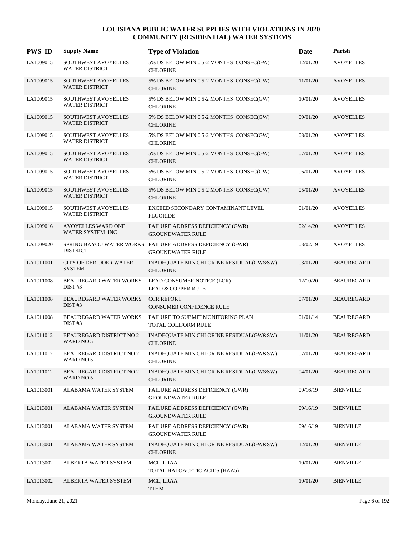| <b>PWS ID</b> | <b>Supply Name</b>                             | <b>Type of Violation</b>                                                             | Date     | Parish            |
|---------------|------------------------------------------------|--------------------------------------------------------------------------------------|----------|-------------------|
| LA1009015     | SOUTHWEST AVOYELLES<br><b>WATER DISTRICT</b>   | 5% DS BELOW MIN 0.5-2 MONTHS CONSEC(GW)<br><b>CHLORINE</b>                           | 12/01/20 | <b>AVOYELLES</b>  |
| LA1009015     | SOUTHWEST AVOYELLES<br><b>WATER DISTRICT</b>   | 5% DS BELOW MIN 0.5-2 MONTHS CONSEC(GW)<br><b>CHLORINE</b>                           | 11/01/20 | <b>AVOYELLES</b>  |
| LA1009015     | SOUTHWEST AVOYELLES<br><b>WATER DISTRICT</b>   | 5% DS BELOW MIN 0.5-2 MONTHS CONSEC(GW)<br><b>CHLORINE</b>                           | 10/01/20 | <b>AVOYELLES</b>  |
| LA1009015     | SOUTHWEST AVOYELLES<br><b>WATER DISTRICT</b>   | 5% DS BELOW MIN 0.5-2 MONTHS CONSEC(GW)<br><b>CHLORINE</b>                           | 09/01/20 | <b>AVOYELLES</b>  |
| LA1009015     | SOUTHWEST AVOYELLES<br><b>WATER DISTRICT</b>   | 5% DS BELOW MIN 0.5-2 MONTHS CONSEC(GW)<br><b>CHLORINE</b>                           | 08/01/20 | <b>AVOYELLES</b>  |
| LA1009015     | SOUTHWEST AVOYELLES<br><b>WATER DISTRICT</b>   | 5% DS BELOW MIN 0.5-2 MONTHS CONSEC(GW)<br><b>CHLORINE</b>                           | 07/01/20 | <b>AVOYELLES</b>  |
| LA1009015     | SOUTHWEST AVOYELLES<br><b>WATER DISTRICT</b>   | 5% DS BELOW MIN 0.5-2 MONTHS CONSEC(GW)<br><b>CHLORINE</b>                           | 06/01/20 | <b>AVOYELLES</b>  |
| LA1009015     | SOUTHWEST AVOYELLES<br><b>WATER DISTRICT</b>   | 5% DS BELOW MIN 0.5-2 MONTHS CONSEC(GW)<br><b>CHLORINE</b>                           | 05/01/20 | <b>AVOYELLES</b>  |
| LA1009015     | SOUTHWEST AVOYELLES<br><b>WATER DISTRICT</b>   | EXCEED SECONDARY CONTAMINANT LEVEL<br><b>FLUORIDE</b>                                | 01/01/20 | <b>AVOYELLES</b>  |
| LA1009016     | <b>AVOYELLES WARD ONE</b><br>WATER SYSTEM INC  | FAILURE ADDRESS DEFICIENCY (GWR)<br><b>GROUNDWATER RULE</b>                          | 02/14/20 | <b>AVOYELLES</b>  |
| LA1009020     | <b>DISTRICT</b>                                | SPRING BAYOU WATER WORKS FAILURE ADDRESS DEFICIENCY (GWR)<br><b>GROUNDWATER RULE</b> | 03/02/19 | <b>AVOYELLES</b>  |
| LA1011001     | <b>CITY OF DERIDDER WATER</b><br><b>SYSTEM</b> | INADEQUATE MIN CHLORINE RESIDUAL(GW&SW)<br><b>CHLORINE</b>                           | 03/01/20 | <b>BEAUREGARD</b> |
| LA1011008     | BEAUREGARD WATER WORKS<br>DIST#3               | LEAD CONSUMER NOTICE (LCR)<br><b>LEAD &amp; COPPER RULE</b>                          | 12/10/20 | <b>BEAUREGARD</b> |
| LA1011008     | <b>BEAUREGARD WATER WORKS</b><br>DIST #3       | <b>CCR REPORT</b><br><b>CONSUMER CONFIDENCE RULE</b>                                 | 07/01/20 | <b>BEAUREGARD</b> |
| LA1011008     | <b>BEAUREGARD WATER WORKS</b><br>DIST#3        | <b>FAILURE TO SUBMIT MONITORING PLAN</b><br>TOTAL COLIFORM RULE                      | 01/01/14 | <b>BEAUREGARD</b> |
| LA1011012     | <b>BEAUREGARD DISTRICT NO 2</b><br>WARD NO 5   | INADEQUATE MIN CHLORINE RESIDUAL(GW&SW)<br><b>CHLORINE</b>                           | 11/01/20 | <b>BEAUREGARD</b> |
| LA1011012     | <b>BEAUREGARD DISTRICT NO 2</b><br>WARD NO 5   | INADEQUATE MIN CHLORINE RESIDUAL(GW&SW)<br><b>CHLORINE</b>                           | 07/01/20 | <b>BEAUREGARD</b> |
| LA1011012     | <b>BEAUREGARD DISTRICT NO 2</b><br>WARD NO 5   | INADEQUATE MIN CHLORINE RESIDUAL(GW&SW)<br><b>CHLORINE</b>                           | 04/01/20 | <b>BEAUREGARD</b> |
| LA1013001     | ALABAMA WATER SYSTEM                           | FAILURE ADDRESS DEFICIENCY (GWR)<br><b>GROUNDWATER RULE</b>                          | 09/16/19 | <b>BIENVILLE</b>  |
| LA1013001     | ALABAMA WATER SYSTEM                           | FAILURE ADDRESS DEFICIENCY (GWR)<br><b>GROUNDWATER RULE</b>                          | 09/16/19 | <b>BIENVILLE</b>  |
| LA1013001     | ALABAMA WATER SYSTEM                           | FAILURE ADDRESS DEFICIENCY (GWR)<br><b>GROUNDWATER RULE</b>                          | 09/16/19 | <b>BIENVILLE</b>  |
| LA1013001     | ALABAMA WATER SYSTEM                           | INADEQUATE MIN CHLORINE RESIDUAL(GW&SW)<br><b>CHLORINE</b>                           | 12/01/20 | <b>BIENVILLE</b>  |
| LA1013002     | ALBERTA WATER SYSTEM                           | MCL, LRAA<br>TOTAL HALOACETIC ACIDS (HAA5)                                           | 10/01/20 | <b>BIENVILLE</b>  |
| LA1013002     | ALBERTA WATER SYSTEM                           | MCL, LRAA<br><b>TTHM</b>                                                             | 10/01/20 | <b>BIENVILLE</b>  |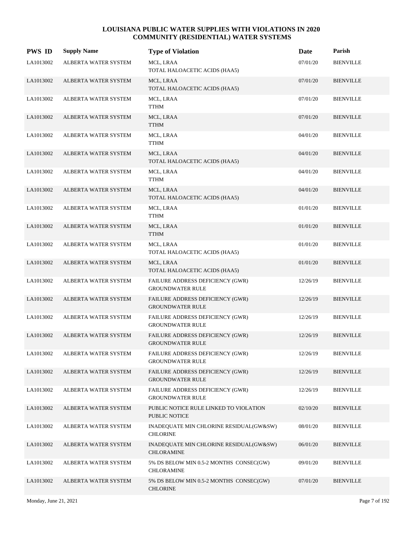| <b>PWS ID</b> | <b>Supply Name</b>          | <b>Type of Violation</b>                                           | Date     | Parish           |
|---------------|-----------------------------|--------------------------------------------------------------------|----------|------------------|
| LA1013002     | ALBERTA WATER SYSTEM        | MCL, LRAA<br>TOTAL HALOACETIC ACIDS (HAA5)                         | 07/01/20 | <b>BIENVILLE</b> |
| LA1013002     | ALBERTA WATER SYSTEM        | MCL, LRAA<br>TOTAL HALOACETIC ACIDS (HAA5)                         | 07/01/20 | <b>BIENVILLE</b> |
| LA1013002     | ALBERTA WATER SYSTEM        | MCL, LRAA<br><b>TTHM</b>                                           | 07/01/20 | <b>BIENVILLE</b> |
| LA1013002     | ALBERTA WATER SYSTEM        | MCL, LRAA<br>TTHM                                                  | 07/01/20 | <b>BIENVILLE</b> |
| LA1013002     | ALBERTA WATER SYSTEM        | MCL, LRAA<br><b>TTHM</b>                                           | 04/01/20 | <b>BIENVILLE</b> |
| LA1013002     | ALBERTA WATER SYSTEM        | MCL, LRAA<br>TOTAL HALOACETIC ACIDS (HAA5)                         | 04/01/20 | <b>BIENVILLE</b> |
| LA1013002     | ALBERTA WATER SYSTEM        | MCL, LRAA<br><b>TTHM</b>                                           | 04/01/20 | <b>BIENVILLE</b> |
| LA1013002     | ALBERTA WATER SYSTEM        | MCL, LRAA<br>TOTAL HALOACETIC ACIDS (HAA5)                         | 04/01/20 | <b>BIENVILLE</b> |
| LA1013002     | ALBERTA WATER SYSTEM        | MCL, LRAA<br>TTHM                                                  | 01/01/20 | <b>BIENVILLE</b> |
| LA1013002     | <b>ALBERTA WATER SYSTEM</b> | MCL, LRAA<br><b>TTHM</b>                                           | 01/01/20 | <b>BIENVILLE</b> |
| LA1013002     | ALBERTA WATER SYSTEM        | MCL, LRAA<br>TOTAL HALOACETIC ACIDS (HAA5)                         | 01/01/20 | <b>BIENVILLE</b> |
| LA1013002     | ALBERTA WATER SYSTEM        | MCL, LRAA<br>TOTAL HALOACETIC ACIDS (HAA5)                         | 01/01/20 | <b>BIENVILLE</b> |
| LA1013002     | ALBERTA WATER SYSTEM        | FAILURE ADDRESS DEFICIENCY (GWR)<br><b>GROUNDWATER RULE</b>        | 12/26/19 | <b>BIENVILLE</b> |
| LA1013002     | ALBERTA WATER SYSTEM        | FAILURE ADDRESS DEFICIENCY (GWR)<br><b>GROUNDWATER RULE</b>        | 12/26/19 | <b>BIENVILLE</b> |
| LA1013002     | ALBERTA WATER SYSTEM        | FAILURE ADDRESS DEFICIENCY (GWR)<br><b>GROUNDWATER RULE</b>        | 12/26/19 | <b>BIENVILLE</b> |
| LA1013002     | ALBERTA WATER SYSTEM        | FAILURE ADDRESS DEFICIENCY (GWR)<br><b>GROUNDWATER RULE</b>        | 12/26/19 | <b>BIENVILLE</b> |
| LA1013002     | ALBERTA WATER SYSTEM        | FAILURE ADDRESS DEFICIENCY (GWR)<br><b>GROUNDWATER RULE</b>        | 12/26/19 | <b>BIENVILLE</b> |
| LA1013002     | ALBERTA WATER SYSTEM        | FAILURE ADDRESS DEFICIENCY (GWR)<br><b>GROUNDWATER RULE</b>        | 12/26/19 | <b>BIENVILLE</b> |
| LA1013002     | ALBERTA WATER SYSTEM        | <b>FAILURE ADDRESS DEFICIENCY (GWR)</b><br><b>GROUNDWATER RULE</b> | 12/26/19 | <b>BIENVILLE</b> |
| LA1013002     | ALBERTA WATER SYSTEM        | PUBLIC NOTICE RULE LINKED TO VIOLATION<br>PUBLIC NOTICE            | 02/10/20 | <b>BIENVILLE</b> |
| LA1013002     | ALBERTA WATER SYSTEM        | INADEQUATE MIN CHLORINE RESIDUAL(GW&SW)<br><b>CHLORINE</b>         | 08/01/20 | <b>BIENVILLE</b> |
| LA1013002     | ALBERTA WATER SYSTEM        | INADEQUATE MIN CHLORINE RESIDUAL(GW&SW)<br><b>CHLORAMINE</b>       | 06/01/20 | <b>BIENVILLE</b> |
| LA1013002     | ALBERTA WATER SYSTEM        | 5% DS BELOW MIN 0.5-2 MONTHS CONSEC(GW)<br><b>CHLORAMINE</b>       | 09/01/20 | <b>BIENVILLE</b> |
| LA1013002     | ALBERTA WATER SYSTEM        | 5% DS BELOW MIN 0.5-2 MONTHS CONSEC(GW)<br><b>CHLORINE</b>         | 07/01/20 | <b>BIENVILLE</b> |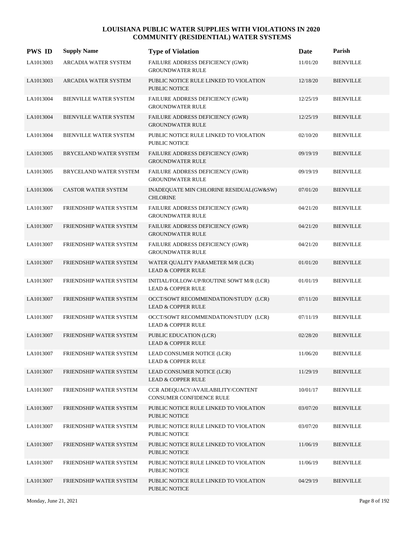| <b>PWS ID</b> | <b>Supply Name</b>            | <b>Type of Violation</b>                                                  | Date     | Parish           |
|---------------|-------------------------------|---------------------------------------------------------------------------|----------|------------------|
| LA1013003     | ARCADIA WATER SYSTEM          | FAILURE ADDRESS DEFICIENCY (GWR)<br><b>GROUNDWATER RULE</b>               | 11/01/20 | <b>BIENVILLE</b> |
| LA1013003     | ARCADIA WATER SYSTEM          | PUBLIC NOTICE RULE LINKED TO VIOLATION<br><b>PUBLIC NOTICE</b>            | 12/18/20 | <b>BIENVILLE</b> |
| LA1013004     | BIENVILLE WATER SYSTEM        | FAILURE ADDRESS DEFICIENCY (GWR)<br><b>GROUNDWATER RULE</b>               | 12/25/19 | <b>BIENVILLE</b> |
| LA1013004     | <b>BIENVILLE WATER SYSTEM</b> | FAILURE ADDRESS DEFICIENCY (GWR)<br><b>GROUNDWATER RULE</b>               | 12/25/19 | <b>BIENVILLE</b> |
| LA1013004     | <b>BIENVILLE WATER SYSTEM</b> | PUBLIC NOTICE RULE LINKED TO VIOLATION<br><b>PUBLIC NOTICE</b>            | 02/10/20 | <b>BIENVILLE</b> |
| LA1013005     | BRYCELAND WATER SYSTEM        | FAILURE ADDRESS DEFICIENCY (GWR)<br><b>GROUNDWATER RULE</b>               | 09/19/19 | <b>BIENVILLE</b> |
| LA1013005     | BRYCELAND WATER SYSTEM        | FAILURE ADDRESS DEFICIENCY (GWR)<br><b>GROUNDWATER RULE</b>               | 09/19/19 | <b>BIENVILLE</b> |
| LA1013006     | <b>CASTOR WATER SYSTEM</b>    | INADEQUATE MIN CHLORINE RESIDUAL(GW&SW)<br><b>CHLORINE</b>                | 07/01/20 | <b>BIENVILLE</b> |
| LA1013007     | FRIENDSHIP WATER SYSTEM       | FAILURE ADDRESS DEFICIENCY (GWR)<br><b>GROUNDWATER RULE</b>               | 04/21/20 | <b>BIENVILLE</b> |
| LA1013007     | FRIENDSHIP WATER SYSTEM       | FAILURE ADDRESS DEFICIENCY (GWR)<br><b>GROUNDWATER RULE</b>               | 04/21/20 | <b>BIENVILLE</b> |
| LA1013007     | FRIENDSHIP WATER SYSTEM       | FAILURE ADDRESS DEFICIENCY (GWR)<br><b>GROUNDWATER RULE</b>               | 04/21/20 | <b>BIENVILLE</b> |
| LA1013007     | FRIENDSHIP WATER SYSTEM       | WATER QUALITY PARAMETER M/R (LCR)<br><b>LEAD &amp; COPPER RULE</b>        | 01/01/20 | <b>BIENVILLE</b> |
| LA1013007     | FRIENDSHIP WATER SYSTEM       | INITIAL/FOLLOW-UP/ROUTINE SOWT M/R (LCR)<br><b>LEAD &amp; COPPER RULE</b> | 01/01/19 | <b>BIENVILLE</b> |
| LA1013007     | FRIENDSHIP WATER SYSTEM       | OCCT/SOWT RECOMMENDATION/STUDY (LCR)<br><b>LEAD &amp; COPPER RULE</b>     | 07/11/20 | <b>BIENVILLE</b> |
| LA1013007     | FRIENDSHIP WATER SYSTEM       | OCCT/SOWT RECOMMENDATION/STUDY (LCR)<br><b>LEAD &amp; COPPER RULE</b>     | 07/11/19 | <b>BIENVILLE</b> |
| LA1013007     | FRIENDSHIP WATER SYSTEM       | PUBLIC EDUCATION (LCR)<br><b>LEAD &amp; COPPER RULE</b>                   | 02/28/20 | <b>BIENVILLE</b> |
| LA1013007     | FRIENDSHIP WATER SYSTEM       | LEAD CONSUMER NOTICE (LCR)<br><b>LEAD &amp; COPPER RULE</b>               | 11/06/20 | <b>BIENVILLE</b> |
| LA1013007     | FRIENDSHIP WATER SYSTEM       | LEAD CONSUMER NOTICE (LCR)<br><b>LEAD &amp; COPPER RULE</b>               | 11/29/19 | <b>BIENVILLE</b> |
| LA1013007     | FRIENDSHIP WATER SYSTEM       | CCR ADEQUACY/AVAILABILITY/CONTENT<br>CONSUMER CONFIDENCE RULE             | 10/01/17 | <b>BIENVILLE</b> |
| LA1013007     | FRIENDSHIP WATER SYSTEM       | PUBLIC NOTICE RULE LINKED TO VIOLATION<br>PUBLIC NOTICE                   | 03/07/20 | <b>BIENVILLE</b> |
| LA1013007     | FRIENDSHIP WATER SYSTEM       | PUBLIC NOTICE RULE LINKED TO VIOLATION<br>PUBLIC NOTICE                   | 03/07/20 | <b>BIENVILLE</b> |
| LA1013007     | FRIENDSHIP WATER SYSTEM       | PUBLIC NOTICE RULE LINKED TO VIOLATION<br><b>PUBLIC NOTICE</b>            | 11/06/19 | <b>BIENVILLE</b> |
| LA1013007     | FRIENDSHIP WATER SYSTEM       | PUBLIC NOTICE RULE LINKED TO VIOLATION<br>PUBLIC NOTICE                   | 11/06/19 | <b>BIENVILLE</b> |
| LA1013007     | FRIENDSHIP WATER SYSTEM       | PUBLIC NOTICE RULE LINKED TO VIOLATION<br>PUBLIC NOTICE                   | 04/29/19 | <b>BIENVILLE</b> |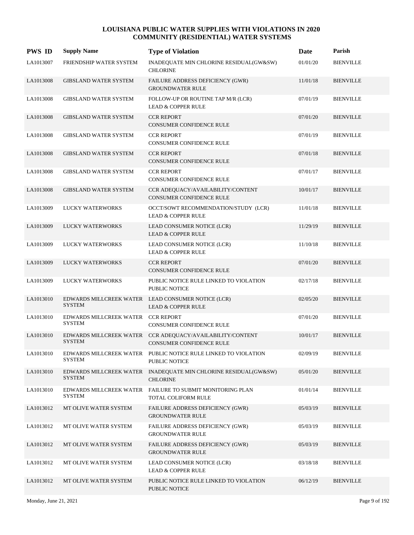| <b>PWS ID</b> | <b>Supply Name</b>                       | <b>Type of Violation</b>                                                            | Date     | Parish           |
|---------------|------------------------------------------|-------------------------------------------------------------------------------------|----------|------------------|
| LA1013007     | FRIENDSHIP WATER SYSTEM                  | INADEQUATE MIN CHLORINE RESIDUAL(GW&SW)<br><b>CHLORINE</b>                          | 01/01/20 | <b>BIENVILLE</b> |
| LA1013008     | <b>GIBSLAND WATER SYSTEM</b>             | FAILURE ADDRESS DEFICIENCY (GWR)<br><b>GROUNDWATER RULE</b>                         | 11/01/18 | <b>BIENVILLE</b> |
| LA1013008     | <b>GIBSLAND WATER SYSTEM</b>             | FOLLOW-UP OR ROUTINE TAP M/R (LCR)<br><b>LEAD &amp; COPPER RULE</b>                 | 07/01/19 | <b>BIENVILLE</b> |
| LA1013008     | <b>GIBSLAND WATER SYSTEM</b>             | <b>CCR REPORT</b><br><b>CONSUMER CONFIDENCE RULE</b>                                | 07/01/20 | <b>BIENVILLE</b> |
| LA1013008     | <b>GIBSLAND WATER SYSTEM</b>             | <b>CCR REPORT</b><br>CONSUMER CONFIDENCE RULE                                       | 07/01/19 | <b>BIENVILLE</b> |
| LA1013008     | <b>GIBSLAND WATER SYSTEM</b>             | <b>CCR REPORT</b><br><b>CONSUMER CONFIDENCE RULE</b>                                | 07/01/18 | <b>BIENVILLE</b> |
| LA1013008     | GIBSLAND WATER SYSTEM                    | <b>CCR REPORT</b><br>CONSUMER CONFIDENCE RULE                                       | 07/01/17 | <b>BIENVILLE</b> |
| LA1013008     | <b>GIBSLAND WATER SYSTEM</b>             | CCR ADEQUACY/AVAILABILITY/CONTENT<br><b>CONSUMER CONFIDENCE RULE</b>                | 10/01/17 | <b>BIENVILLE</b> |
| LA1013009     | <b>LUCKY WATERWORKS</b>                  | OCCT/SOWT RECOMMENDATION/STUDY (LCR)<br><b>LEAD &amp; COPPER RULE</b>               | 11/01/18 | <b>BIENVILLE</b> |
| LA1013009     | LUCKY WATERWORKS                         | LEAD CONSUMER NOTICE (LCR)<br><b>LEAD &amp; COPPER RULE</b>                         | 11/29/19 | <b>BIENVILLE</b> |
| LA1013009     | LUCKY WATERWORKS                         | LEAD CONSUMER NOTICE (LCR)<br><b>LEAD &amp; COPPER RULE</b>                         | 11/10/18 | <b>BIENVILLE</b> |
| LA1013009     | LUCKY WATERWORKS                         | <b>CCR REPORT</b><br><b>CONSUMER CONFIDENCE RULE</b>                                | 07/01/20 | <b>BIENVILLE</b> |
| LA1013009     | <b>LUCKY WATERWORKS</b>                  | PUBLIC NOTICE RULE LINKED TO VIOLATION<br><b>PUBLIC NOTICE</b>                      | 02/17/18 | <b>BIENVILLE</b> |
| LA1013010     | <b>SYSTEM</b>                            | EDWARDS MILLCREEK WATER LEAD CONSUMER NOTICE (LCR)<br><b>LEAD &amp; COPPER RULE</b> | 02/05/20 | <b>BIENVILLE</b> |
| LA1013010     | EDWARDS MILLCREEK WATER<br><b>SYSTEM</b> | <b>CCR REPORT</b><br>CONSUMER CONFIDENCE RULE                                       | 07/01/20 | <b>BIENVILLE</b> |
| LA1013010     | EDWARDS MILLCREEK WATER<br><b>SYSTEM</b> | CCR ADEQUACY/AVAILABILITY/CONTENT<br>CONSUMER CONFIDENCE RULE                       | 10/01/17 | <b>BIENVILLE</b> |
| LA1013010     | <b>SYSTEM</b>                            | EDWARDS MILLCREEK WATER PUBLIC NOTICE RULE LINKED TO VIOLATION<br>PUBLIC NOTICE     | 02/09/19 | <b>BIENVILLE</b> |
| LA1013010     | <b>SYSTEM</b>                            | EDWARDS MILLCREEK WATER INADEQUATE MIN CHLORINE RESIDUAL(GW&SW)<br><b>CHLORINE</b>  | 05/01/20 | <b>BIENVILLE</b> |
| LA1013010     | EDWARDS MILLCREEK WATER<br><b>SYSTEM</b> | FAILURE TO SUBMIT MONITORING PLAN<br>TOTAL COLIFORM RULE                            | 01/01/14 | <b>BIENVILLE</b> |
| LA1013012     | MT OLIVE WATER SYSTEM                    | FAILURE ADDRESS DEFICIENCY (GWR)<br><b>GROUNDWATER RULE</b>                         | 05/03/19 | <b>BIENVILLE</b> |
| LA1013012     | MT OLIVE WATER SYSTEM                    | FAILURE ADDRESS DEFICIENCY (GWR)<br><b>GROUNDWATER RULE</b>                         | 05/03/19 | <b>BIENVILLE</b> |
| LA1013012     | MT OLIVE WATER SYSTEM                    | FAILURE ADDRESS DEFICIENCY (GWR)<br><b>GROUNDWATER RULE</b>                         | 05/03/19 | <b>BIENVILLE</b> |
| LA1013012     | MT OLIVE WATER SYSTEM                    | LEAD CONSUMER NOTICE (LCR)<br><b>LEAD &amp; COPPER RULE</b>                         | 03/18/18 | <b>BIENVILLE</b> |
| LA1013012     | MT OLIVE WATER SYSTEM                    | PUBLIC NOTICE RULE LINKED TO VIOLATION<br>PUBLIC NOTICE                             | 06/12/19 | <b>BIENVILLE</b> |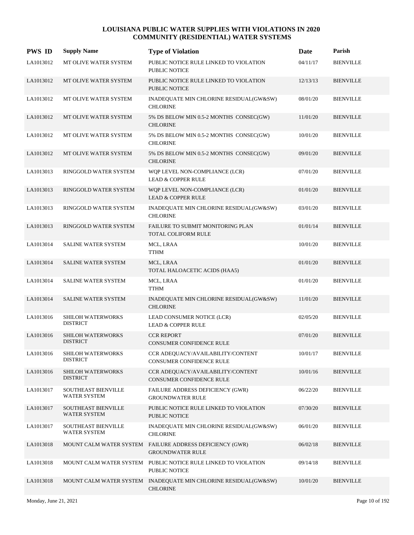| <b>PWS ID</b> | <b>Supply Name</b>                          | <b>Type of Violation</b>                                                            | Date     | Parish           |
|---------------|---------------------------------------------|-------------------------------------------------------------------------------------|----------|------------------|
| LA1013012     | MT OLIVE WATER SYSTEM                       | PUBLIC NOTICE RULE LINKED TO VIOLATION<br><b>PUBLIC NOTICE</b>                      | 04/11/17 | <b>BIENVILLE</b> |
| LA1013012     | MT OLIVE WATER SYSTEM                       | PUBLIC NOTICE RULE LINKED TO VIOLATION<br><b>PUBLIC NOTICE</b>                      | 12/13/13 | <b>BIENVILLE</b> |
| LA1013012     | MT OLIVE WATER SYSTEM                       | INADEQUATE MIN CHLORINE RESIDUAL(GW&SW)<br><b>CHLORINE</b>                          | 08/01/20 | <b>BIENVILLE</b> |
| LA1013012     | MT OLIVE WATER SYSTEM                       | 5% DS BELOW MIN 0.5-2 MONTHS CONSEC(GW)<br><b>CHLORINE</b>                          | 11/01/20 | <b>BIENVILLE</b> |
| LA1013012     | MT OLIVE WATER SYSTEM                       | 5% DS BELOW MIN 0.5-2 MONTHS CONSEC(GW)<br><b>CHLORINE</b>                          | 10/01/20 | <b>BIENVILLE</b> |
| LA1013012     | MT OLIVE WATER SYSTEM                       | 5% DS BELOW MIN 0.5-2 MONTHS CONSEC(GW)<br><b>CHLORINE</b>                          | 09/01/20 | <b>BIENVILLE</b> |
| LA1013013     | RINGGOLD WATER SYSTEM                       | WQP LEVEL NON-COMPLIANCE (LCR)<br><b>LEAD &amp; COPPER RULE</b>                     | 07/01/20 | <b>BIENVILLE</b> |
| LA1013013     | RINGGOLD WATER SYSTEM                       | WQP LEVEL NON-COMPLIANCE (LCR)<br><b>LEAD &amp; COPPER RULE</b>                     | 01/01/20 | <b>BIENVILLE</b> |
| LA1013013     | RINGGOLD WATER SYSTEM                       | INADEQUATE MIN CHLORINE RESIDUAL(GW&SW)<br><b>CHLORINE</b>                          | 03/01/20 | <b>BIENVILLE</b> |
| LA1013013     | RINGGOLD WATER SYSTEM                       | FAILURE TO SUBMIT MONITORING PLAN<br>TOTAL COLIFORM RULE                            | 01/01/14 | <b>BIENVILLE</b> |
| LA1013014     | <b>SALINE WATER SYSTEM</b>                  | MCL, LRAA<br><b>TTHM</b>                                                            | 10/01/20 | <b>BIENVILLE</b> |
| LA1013014     | <b>SALINE WATER SYSTEM</b>                  | MCL, LRAA<br>TOTAL HALOACETIC ACIDS (HAA5)                                          | 01/01/20 | <b>BIENVILLE</b> |
| LA1013014     | <b>SALINE WATER SYSTEM</b>                  | MCL, LRAA<br><b>TTHM</b>                                                            | 01/01/20 | <b>BIENVILLE</b> |
| LA1013014     | SALINE WATER SYSTEM                         | INADEQUATE MIN CHLORINE RESIDUAL(GW&SW)<br><b>CHLORINE</b>                          | 11/01/20 | <b>BIENVILLE</b> |
| LA1013016     | SHILOH WATERWORKS<br><b>DISTRICT</b>        | LEAD CONSUMER NOTICE (LCR)<br><b>LEAD &amp; COPPER RULE</b>                         | 02/05/20 | <b>BIENVILLE</b> |
| LA1013016     | <b>SHILOH WATERWORKS</b><br><b>DISTRICT</b> | <b>CCR REPORT</b><br><b>CONSUMER CONFIDENCE RULE</b>                                | 07/01/20 | <b>BIENVILLE</b> |
| LA1013016     | SHILOH WATERWORKS<br><b>DISTRICT</b>        | CCR ADEQUACY/AVAILABILITY/CONTENT<br>CONSUMER CONFIDENCE RULE                       | 10/01/17 | <b>BIENVILLE</b> |
| LA1013016     | SHILOH WATERWORKS<br><b>DISTRICT</b>        | CCR ADEQUACY/AVAILABILITY/CONTENT<br>CONSUMER CONFIDENCE RULE                       | 10/01/16 | <b>BIENVILLE</b> |
| LA1013017     | SOUTHEAST BIENVILLE<br>WATER SYSTEM         | FAILURE ADDRESS DEFICIENCY (GWR)<br><b>GROUNDWATER RULE</b>                         | 06/22/20 | <b>BIENVILLE</b> |
| LA1013017     | SOUTHEAST BIENVILLE<br><b>WATER SYSTEM</b>  | PUBLIC NOTICE RULE LINKED TO VIOLATION<br>PUBLIC NOTICE                             | 07/30/20 | <b>BIENVILLE</b> |
| LA1013017     | <b>SOUTHEAST BIENVILLE</b><br>WATER SYSTEM  | INADEQUATE MIN CHLORINE RESIDUAL(GW&SW)<br><b>CHLORINE</b>                          | 06/01/20 | <b>BIENVILLE</b> |
| LA1013018     |                                             | MOUNT CALM WATER SYSTEM FAILURE ADDRESS DEFICIENCY (GWR)<br><b>GROUNDWATER RULE</b> | 06/02/18 | <b>BIENVILLE</b> |
| LA1013018     |                                             | MOUNT CALM WATER SYSTEM PUBLIC NOTICE RULE LINKED TO VIOLATION<br>PUBLIC NOTICE     | 09/14/18 | <b>BIENVILLE</b> |
| LA1013018     |                                             | MOUNT CALM WATER SYSTEM INADEQUATE MIN CHLORINE RESIDUAL(GW&SW)<br><b>CHLORINE</b>  | 10/01/20 | <b>BIENVILLE</b> |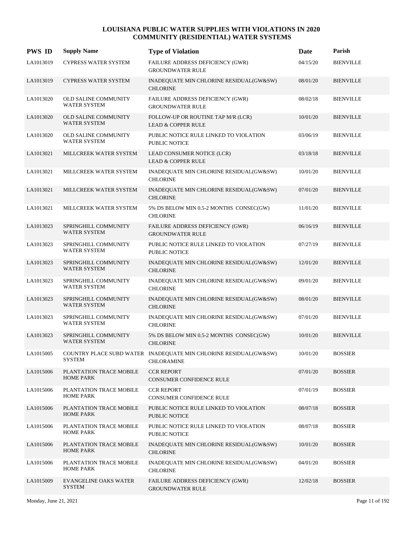| <b>PWS ID</b> | <b>Supply Name</b>                                 | <b>Type of Violation</b>                                                       | Date     | Parish           |
|---------------|----------------------------------------------------|--------------------------------------------------------------------------------|----------|------------------|
| LA1013019     | <b>CYPRESS WATER SYSTEM</b>                        | FAILURE ADDRESS DEFICIENCY (GWR)<br><b>GROUNDWATER RULE</b>                    | 04/15/20 | <b>BIENVILLE</b> |
| LA1013019     | <b>CYPRESS WATER SYSTEM</b>                        | INADEQUATE MIN CHLORINE RESIDUAL(GW&SW)<br><b>CHLORINE</b>                     | 08/01/20 | <b>BIENVILLE</b> |
| LA1013020     | OLD SALINE COMMUNITY<br><b>WATER SYSTEM</b>        | FAILURE ADDRESS DEFICIENCY (GWR)<br><b>GROUNDWATER RULE</b>                    | 08/02/18 | <b>BIENVILLE</b> |
| LA1013020     | <b>OLD SALINE COMMUNITY</b><br><b>WATER SYSTEM</b> | FOLLOW-UP OR ROUTINE TAP M/R (LCR)<br><b>LEAD &amp; COPPER RULE</b>            | 10/01/20 | <b>BIENVILLE</b> |
| LA1013020     | <b>OLD SALINE COMMUNITY</b><br><b>WATER SYSTEM</b> | PUBLIC NOTICE RULE LINKED TO VIOLATION<br><b>PUBLIC NOTICE</b>                 | 03/06/19 | <b>BIENVILLE</b> |
| LA1013021     | MILLCREEK WATER SYSTEM                             | LEAD CONSUMER NOTICE (LCR)<br><b>LEAD &amp; COPPER RULE</b>                    | 03/18/18 | <b>BIENVILLE</b> |
| LA1013021     | MILLCREEK WATER SYSTEM                             | INADEQUATE MIN CHLORINE RESIDUAL(GW&SW)<br><b>CHLORINE</b>                     | 10/01/20 | <b>BIENVILLE</b> |
| LA1013021     | MILLCREEK WATER SYSTEM                             | INADEQUATE MIN CHLORINE RESIDUAL(GW&SW)<br><b>CHLORINE</b>                     | 07/01/20 | <b>BIENVILLE</b> |
| LA1013021     | MILLCREEK WATER SYSTEM                             | 5% DS BELOW MIN 0.5-2 MONTHS CONSEC(GW)<br><b>CHLORINE</b>                     | 11/01/20 | <b>BIENVILLE</b> |
| LA1013023     | SPRINGHILL COMMUNITY<br><b>WATER SYSTEM</b>        | FAILURE ADDRESS DEFICIENCY (GWR)<br><b>GROUNDWATER RULE</b>                    | 06/16/19 | <b>BIENVILLE</b> |
| LA1013023     | SPRINGHILL COMMUNITY<br><b>WATER SYSTEM</b>        | PUBLIC NOTICE RULE LINKED TO VIOLATION<br>PUBLIC NOTICE                        | 07/27/19 | <b>BIENVILLE</b> |
| LA1013023     | SPRINGHILL COMMUNITY<br>WATER SYSTEM               | INADEQUATE MIN CHLORINE RESIDUAL(GW&SW)<br><b>CHLORINE</b>                     | 12/01/20 | <b>BIENVILLE</b> |
| LA1013023     | SPRINGHILL COMMUNITY<br>WATER SYSTEM               | INADEQUATE MIN CHLORINE RESIDUAL(GW&SW)<br><b>CHLORINE</b>                     | 09/01/20 | <b>BIENVILLE</b> |
| LA1013023     | SPRINGHILL COMMUNITY<br>WATER SYSTEM               | INADEQUATE MIN CHLORINE RESIDUAL(GW&SW)<br><b>CHLORINE</b>                     | 08/01/20 | <b>BIENVILLE</b> |
| LA1013023     | SPRINGHILL COMMUNITY<br>WATER SYSTEM               | INADEQUATE MIN CHLORINE RESIDUAL(GW&SW)<br><b>CHLORINE</b>                     | 07/01/20 | <b>BIENVILLE</b> |
| LA1013023     | SPRINGHILL COMMUNITY<br>WATER SYSTEM               | 5% DS BELOW MIN 0.5-2 MONTHS CONSEC(GW)<br><b>CHLORINE</b>                     | 10/01/20 | <b>BIENVILLE</b> |
| LA1015005     | <b>SYSTEM</b>                                      | COUNTRY PLACE SUBD WATER INADEQUATE MIN CHLORINE RESIDUAL(GW&SW)<br>CHLORAMINE | 10/01/20 | <b>BOSSIER</b>   |
| LA1015006     | PLANTATION TRACE MOBILE<br><b>HOME PARK</b>        | <b>CCR REPORT</b><br>CONSUMER CONFIDENCE RULE                                  | 07/01/20 | <b>BOSSIER</b>   |
| LA1015006     | PLANTATION TRACE MOBILE<br>HOME PARK               | <b>CCR REPORT</b><br>CONSUMER CONFIDENCE RULE                                  | 07/01/19 | <b>BOSSIER</b>   |
| LA1015006     | PLANTATION TRACE MOBILE<br><b>HOME PARK</b>        | PUBLIC NOTICE RULE LINKED TO VIOLATION<br>PUBLIC NOTICE                        | 08/07/18 | <b>BOSSIER</b>   |
| LA1015006     | PLANTATION TRACE MOBILE<br><b>HOME PARK</b>        | PUBLIC NOTICE RULE LINKED TO VIOLATION<br>PUBLIC NOTICE                        | 08/07/18 | <b>BOSSIER</b>   |
| LA1015006     | PLANTATION TRACE MOBILE<br><b>HOME PARK</b>        | INADEQUATE MIN CHLORINE RESIDUAL(GW&SW)<br><b>CHLORINE</b>                     | 10/01/20 | <b>BOSSIER</b>   |
| LA1015006     | PLANTATION TRACE MOBILE<br><b>HOME PARK</b>        | INADEQUATE MIN CHLORINE RESIDUAL(GW&SW)<br><b>CHLORINE</b>                     | 04/01/20 | <b>BOSSIER</b>   |
| LA1015009     | <b>EVANGELINE OAKS WATER</b><br><b>SYSTEM</b>      | FAILURE ADDRESS DEFICIENCY (GWR)<br><b>GROUNDWATER RULE</b>                    | 12/02/18 | <b>BOSSIER</b>   |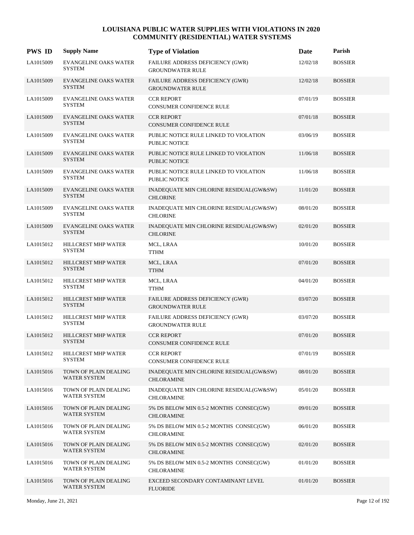| <b>PWS ID</b> | <b>Supply Name</b>                            | <b>Type of Violation</b>                                       | Date     | Parish         |
|---------------|-----------------------------------------------|----------------------------------------------------------------|----------|----------------|
| LA1015009     | <b>EVANGELINE OAKS WATER</b><br><b>SYSTEM</b> | FAILURE ADDRESS DEFICIENCY (GWR)<br><b>GROUNDWATER RULE</b>    | 12/02/18 | <b>BOSSIER</b> |
| LA1015009     | <b>EVANGELINE OAKS WATER</b><br><b>SYSTEM</b> | FAILURE ADDRESS DEFICIENCY (GWR)<br><b>GROUNDWATER RULE</b>    | 12/02/18 | <b>BOSSIER</b> |
| LA1015009     | <b>EVANGELINE OAKS WATER</b><br><b>SYSTEM</b> | <b>CCR REPORT</b><br>CONSUMER CONFIDENCE RULE                  | 07/01/19 | <b>BOSSIER</b> |
| LA1015009     | <b>EVANGELINE OAKS WATER</b><br><b>SYSTEM</b> | <b>CCR REPORT</b><br><b>CONSUMER CONFIDENCE RULE</b>           | 07/01/18 | <b>BOSSIER</b> |
| LA1015009     | <b>EVANGELINE OAKS WATER</b><br><b>SYSTEM</b> | PUBLIC NOTICE RULE LINKED TO VIOLATION<br><b>PUBLIC NOTICE</b> | 03/06/19 | <b>BOSSIER</b> |
| LA1015009     | <b>EVANGELINE OAKS WATER</b><br><b>SYSTEM</b> | PUBLIC NOTICE RULE LINKED TO VIOLATION<br><b>PUBLIC NOTICE</b> | 11/06/18 | <b>BOSSIER</b> |
| LA1015009     | <b>EVANGELINE OAKS WATER</b><br><b>SYSTEM</b> | PUBLIC NOTICE RULE LINKED TO VIOLATION<br><b>PUBLIC NOTICE</b> | 11/06/18 | <b>BOSSIER</b> |
| LA1015009     | <b>EVANGELINE OAKS WATER</b><br><b>SYSTEM</b> | INADEQUATE MIN CHLORINE RESIDUAL(GW&SW)<br><b>CHLORINE</b>     | 11/01/20 | <b>BOSSIER</b> |
| LA1015009     | <b>EVANGELINE OAKS WATER</b><br><b>SYSTEM</b> | INADEQUATE MIN CHLORINE RESIDUAL(GW&SW)<br><b>CHLORINE</b>     | 08/01/20 | <b>BOSSIER</b> |
| LA1015009     | <b>EVANGELINE OAKS WATER</b><br><b>SYSTEM</b> | INADEQUATE MIN CHLORINE RESIDUAL(GW&SW)<br><b>CHLORINE</b>     | 02/01/20 | <b>BOSSIER</b> |
| LA1015012     | HILLCREST MHP WATER<br><b>SYSTEM</b>          | MCL, LRAA<br>TTHM                                              | 10/01/20 | <b>BOSSIER</b> |
| LA1015012     | HILLCREST MHP WATER<br><b>SYSTEM</b>          | MCL, LRAA<br><b>TTHM</b>                                       | 07/01/20 | <b>BOSSIER</b> |
| LA1015012     | HILLCREST MHP WATER<br><b>SYSTEM</b>          | MCL, LRAA<br><b>TTHM</b>                                       | 04/01/20 | <b>BOSSIER</b> |
| LA1015012     | HILLCREST MHP WATER<br><b>SYSTEM</b>          | FAILURE ADDRESS DEFICIENCY (GWR)<br><b>GROUNDWATER RULE</b>    | 03/07/20 | <b>BOSSIER</b> |
| LA1015012     | HILLCREST MHP WATER<br><b>SYSTEM</b>          | FAILURE ADDRESS DEFICIENCY (GWR)<br><b>GROUNDWATER RULE</b>    | 03/07/20 | <b>BOSSIER</b> |
| LA1015012     | HILLCREST MHP WATER<br><b>SYSTEM</b>          | <b>CCR REPORT</b><br><b>CONSUMER CONFIDENCE RULE</b>           | 07/01/20 | <b>BOSSIER</b> |
| LA1015012     | HILLCREST MHP WATER<br>SYSTEM                 | <b>CCR REPORT</b><br>CONSUMER CONFIDENCE RULE                  | 07/01/19 | <b>BOSSIER</b> |
| LA1015016     | TOWN OF PLAIN DEALING<br>WATER SYSTEM         | INADEQUATE MIN CHLORINE RESIDUAL(GW&SW)<br><b>CHLORAMINE</b>   | 08/01/20 | <b>BOSSIER</b> |
| LA1015016     | TOWN OF PLAIN DEALING<br>WATER SYSTEM         | INADEQUATE MIN CHLORINE RESIDUAL(GW&SW)<br><b>CHLORAMINE</b>   | 05/01/20 | <b>BOSSIER</b> |
| LA1015016     | TOWN OF PLAIN DEALING<br><b>WATER SYSTEM</b>  | 5% DS BELOW MIN 0.5-2 MONTHS CONSEC(GW)<br><b>CHLORAMINE</b>   | 09/01/20 | <b>BOSSIER</b> |
| LA1015016     | TOWN OF PLAIN DEALING<br>WATER SYSTEM         | 5% DS BELOW MIN 0.5-2 MONTHS CONSEC(GW)<br>CHLORAMINE          | 06/01/20 | <b>BOSSIER</b> |
| LA1015016     | TOWN OF PLAIN DEALING<br><b>WATER SYSTEM</b>  | 5% DS BELOW MIN 0.5-2 MONTHS CONSEC(GW)<br><b>CHLORAMINE</b>   | 02/01/20 | <b>BOSSIER</b> |
| LA1015016     | TOWN OF PLAIN DEALING<br>WATER SYSTEM         | 5% DS BELOW MIN 0.5-2 MONTHS CONSEC(GW)<br><b>CHLORAMINE</b>   | 01/01/20 | <b>BOSSIER</b> |
| LA1015016     | TOWN OF PLAIN DEALING<br>WATER SYSTEM         | EXCEED SECONDARY CONTAMINANT LEVEL<br><b>FLUORIDE</b>          | 01/01/20 | <b>BOSSIER</b> |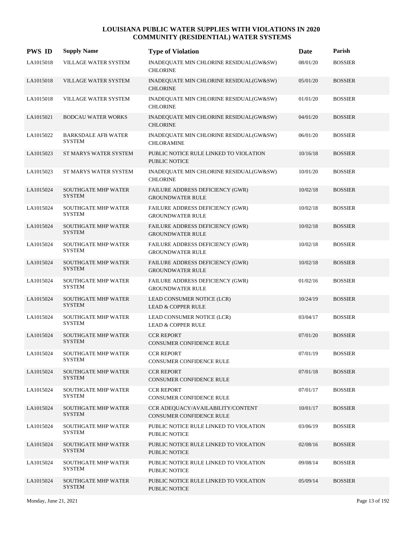| <b>PWS ID</b> | <b>Supply Name</b>                          | <b>Type of Violation</b>                                             | <b>Date</b> | Parish         |
|---------------|---------------------------------------------|----------------------------------------------------------------------|-------------|----------------|
| LA1015018     | VILLAGE WATER SYSTEM                        | INADEQUATE MIN CHLORINE RESIDUAL(GW&SW)<br><b>CHLORINE</b>           | 08/01/20    | <b>BOSSIER</b> |
| LA1015018     | VILLAGE WATER SYSTEM                        | INADEQUATE MIN CHLORINE RESIDUAL(GW&SW)<br><b>CHLORINE</b>           | 05/01/20    | <b>BOSSIER</b> |
| LA1015018     | VILLAGE WATER SYSTEM                        | INADEQUATE MIN CHLORINE RESIDUAL(GW&SW)<br><b>CHLORINE</b>           | 01/01/20    | <b>BOSSIER</b> |
| LA1015021     | <b>BODCAU WATER WORKS</b>                   | INADEQUATE MIN CHLORINE RESIDUAL(GW&SW)<br><b>CHLORINE</b>           | 04/01/20    | <b>BOSSIER</b> |
| LA1015022     | <b>BARKSDALE AFB WATER</b><br><b>SYSTEM</b> | INADEQUATE MIN CHLORINE RESIDUAL(GW&SW)<br><b>CHLORAMINE</b>         | 06/01/20    | <b>BOSSIER</b> |
| LA1015023     | ST MARYS WATER SYSTEM                       | PUBLIC NOTICE RULE LINKED TO VIOLATION<br><b>PUBLIC NOTICE</b>       | 10/16/18    | <b>BOSSIER</b> |
| LA1015023     | ST MARYS WATER SYSTEM                       | INADEQUATE MIN CHLORINE RESIDUAL(GW&SW)<br><b>CHLORINE</b>           | 10/01/20    | <b>BOSSIER</b> |
| LA1015024     | <b>SOUTHGATE MHP WATER</b><br><b>SYSTEM</b> | FAILURE ADDRESS DEFICIENCY (GWR)<br><b>GROUNDWATER RULE</b>          | 10/02/18    | <b>BOSSIER</b> |
| LA1015024     | <b>SOUTHGATE MHP WATER</b><br><b>SYSTEM</b> | FAILURE ADDRESS DEFICIENCY (GWR)<br><b>GROUNDWATER RULE</b>          | 10/02/18    | <b>BOSSIER</b> |
| LA1015024     | <b>SOUTHGATE MHP WATER</b><br><b>SYSTEM</b> | FAILURE ADDRESS DEFICIENCY (GWR)<br><b>GROUNDWATER RULE</b>          | 10/02/18    | <b>BOSSIER</b> |
| LA1015024     | <b>SOUTHGATE MHP WATER</b><br><b>SYSTEM</b> | FAILURE ADDRESS DEFICIENCY (GWR)<br><b>GROUNDWATER RULE</b>          | 10/02/18    | <b>BOSSIER</b> |
| LA1015024     | <b>SOUTHGATE MHP WATER</b><br><b>SYSTEM</b> | FAILURE ADDRESS DEFICIENCY (GWR)<br><b>GROUNDWATER RULE</b>          | 10/02/18    | <b>BOSSIER</b> |
| LA1015024     | <b>SOUTHGATE MHP WATER</b><br><b>SYSTEM</b> | FAILURE ADDRESS DEFICIENCY (GWR)<br><b>GROUNDWATER RULE</b>          | 01/02/16    | <b>BOSSIER</b> |
| LA1015024     | <b>SOUTHGATE MHP WATER</b><br><b>SYSTEM</b> | LEAD CONSUMER NOTICE (LCR)<br><b>LEAD &amp; COPPER RULE</b>          | 10/24/19    | <b>BOSSIER</b> |
| LA1015024     | <b>SOUTHGATE MHP WATER</b><br><b>SYSTEM</b> | LEAD CONSUMER NOTICE (LCR)<br><b>LEAD &amp; COPPER RULE</b>          | 03/04/17    | <b>BOSSIER</b> |
| LA1015024     | <b>SOUTHGATE MHP WATER</b><br><b>SYSTEM</b> | <b>CCR REPORT</b><br><b>CONSUMER CONFIDENCE RULE</b>                 | 07/01/20    | <b>BOSSIER</b> |
| LA1015024     | <b>SOUTHGATE MHP WATER</b><br><b>SYSTEM</b> | <b>CCR REPORT</b><br>CONSUMER CONFIDENCE RULE                        | 07/01/19    | <b>BOSSIER</b> |
| LA1015024     | <b>SOUTHGATE MHP WATER</b><br><b>SYSTEM</b> | <b>CCR REPORT</b><br>CONSUMER CONFIDENCE RULE                        | 07/01/18    | <b>BOSSIER</b> |
| LA1015024     | <b>SOUTHGATE MHP WATER</b><br><b>SYSTEM</b> | <b>CCR REPORT</b><br><b>CONSUMER CONFIDENCE RULE</b>                 | 07/01/17    | <b>BOSSIER</b> |
| LA1015024     | <b>SOUTHGATE MHP WATER</b><br><b>SYSTEM</b> | CCR ADEQUACY/AVAILABILITY/CONTENT<br><b>CONSUMER CONFIDENCE RULE</b> | 10/01/17    | <b>BOSSIER</b> |
| LA1015024     | <b>SOUTHGATE MHP WATER</b><br><b>SYSTEM</b> | PUBLIC NOTICE RULE LINKED TO VIOLATION<br><b>PUBLIC NOTICE</b>       | 03/06/19    | <b>BOSSIER</b> |
| LA1015024     | <b>SOUTHGATE MHP WATER</b><br><b>SYSTEM</b> | PUBLIC NOTICE RULE LINKED TO VIOLATION<br>PUBLIC NOTICE              | 02/08/16    | <b>BOSSIER</b> |
| LA1015024     | <b>SOUTHGATE MHP WATER</b><br><b>SYSTEM</b> | PUBLIC NOTICE RULE LINKED TO VIOLATION<br><b>PUBLIC NOTICE</b>       | 09/08/14    | <b>BOSSIER</b> |
| LA1015024     | <b>SOUTHGATE MHP WATER</b><br><b>SYSTEM</b> | PUBLIC NOTICE RULE LINKED TO VIOLATION<br>PUBLIC NOTICE              | 05/09/14    | <b>BOSSIER</b> |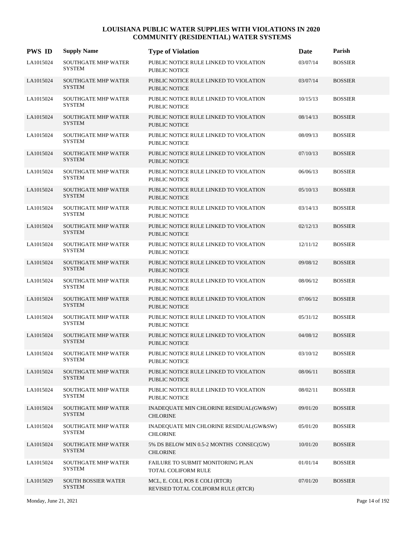| <b>PWS ID</b> | <b>Supply Name</b>                          | <b>Type of Violation</b>                                              | Date     | Parish         |
|---------------|---------------------------------------------|-----------------------------------------------------------------------|----------|----------------|
| LA1015024     | <b>SOUTHGATE MHP WATER</b><br><b>SYSTEM</b> | PUBLIC NOTICE RULE LINKED TO VIOLATION<br>PUBLIC NOTICE               | 03/07/14 | <b>BOSSIER</b> |
| LA1015024     | <b>SOUTHGATE MHP WATER</b><br><b>SYSTEM</b> | PUBLIC NOTICE RULE LINKED TO VIOLATION<br><b>PUBLIC NOTICE</b>        | 03/07/14 | <b>BOSSIER</b> |
| LA1015024     | SOUTHGATE MHP WATER<br><b>SYSTEM</b>        | PUBLIC NOTICE RULE LINKED TO VIOLATION<br>PUBLIC NOTICE               | 10/15/13 | <b>BOSSIER</b> |
| LA1015024     | <b>SOUTHGATE MHP WATER</b><br><b>SYSTEM</b> | PUBLIC NOTICE RULE LINKED TO VIOLATION<br><b>PUBLIC NOTICE</b>        | 08/14/13 | <b>BOSSIER</b> |
| LA1015024     | <b>SOUTHGATE MHP WATER</b><br><b>SYSTEM</b> | PUBLIC NOTICE RULE LINKED TO VIOLATION<br>PUBLIC NOTICE               | 08/09/13 | <b>BOSSIER</b> |
| LA1015024     | <b>SOUTHGATE MHP WATER</b><br><b>SYSTEM</b> | PUBLIC NOTICE RULE LINKED TO VIOLATION<br>PUBLIC NOTICE               | 07/10/13 | <b>BOSSIER</b> |
| LA1015024     | <b>SOUTHGATE MHP WATER</b><br><b>SYSTEM</b> | PUBLIC NOTICE RULE LINKED TO VIOLATION<br>PUBLIC NOTICE               | 06/06/13 | <b>BOSSIER</b> |
| LA1015024     | <b>SOUTHGATE MHP WATER</b><br><b>SYSTEM</b> | PUBLIC NOTICE RULE LINKED TO VIOLATION<br><b>PUBLIC NOTICE</b>        | 05/10/13 | <b>BOSSIER</b> |
| LA1015024     | <b>SOUTHGATE MHP WATER</b><br><b>SYSTEM</b> | PUBLIC NOTICE RULE LINKED TO VIOLATION<br><b>PUBLIC NOTICE</b>        | 03/14/13 | <b>BOSSIER</b> |
| LA1015024     | <b>SOUTHGATE MHP WATER</b><br><b>SYSTEM</b> | PUBLIC NOTICE RULE LINKED TO VIOLATION<br><b>PUBLIC NOTICE</b>        | 02/12/13 | <b>BOSSIER</b> |
| LA1015024     | <b>SOUTHGATE MHP WATER</b><br><b>SYSTEM</b> | PUBLIC NOTICE RULE LINKED TO VIOLATION<br><b>PUBLIC NOTICE</b>        | 12/11/12 | <b>BOSSIER</b> |
| LA1015024     | <b>SOUTHGATE MHP WATER</b><br><b>SYSTEM</b> | PUBLIC NOTICE RULE LINKED TO VIOLATION<br><b>PUBLIC NOTICE</b>        | 09/08/12 | <b>BOSSIER</b> |
| LA1015024     | <b>SOUTHGATE MHP WATER</b><br><b>SYSTEM</b> | PUBLIC NOTICE RULE LINKED TO VIOLATION<br><b>PUBLIC NOTICE</b>        | 08/06/12 | <b>BOSSIER</b> |
| LA1015024     | <b>SOUTHGATE MHP WATER</b><br><b>SYSTEM</b> | PUBLIC NOTICE RULE LINKED TO VIOLATION<br><b>PUBLIC NOTICE</b>        | 07/06/12 | <b>BOSSIER</b> |
| LA1015024     | <b>SOUTHGATE MHP WATER</b><br><b>SYSTEM</b> | PUBLIC NOTICE RULE LINKED TO VIOLATION<br>PUBLIC NOTICE               | 05/31/12 | <b>BOSSIER</b> |
| LA1015024     | <b>SOUTHGATE MHP WATER</b><br><b>SYSTEM</b> | PUBLIC NOTICE RULE LINKED TO VIOLATION<br><b>PUBLIC NOTICE</b>        | 04/08/12 | <b>BOSSIER</b> |
| LA1015024     | <b>SOUTHGATE MHP WATER</b><br><b>SYSTEM</b> | PUBLIC NOTICE RULE LINKED TO VIOLATION<br>PUBLIC NOTICE               | 03/10/12 | <b>BOSSIER</b> |
| LA1015024     | <b>SOUTHGATE MHP WATER</b><br><b>SYSTEM</b> | PUBLIC NOTICE RULE LINKED TO VIOLATION<br><b>PUBLIC NOTICE</b>        | 08/06/11 | <b>BOSSIER</b> |
| LA1015024     | <b>SOUTHGATE MHP WATER</b><br>SYSTEM        | PUBLIC NOTICE RULE LINKED TO VIOLATION<br>PUBLIC NOTICE               | 08/02/11 | <b>BOSSIER</b> |
| LA1015024     | <b>SOUTHGATE MHP WATER</b><br><b>SYSTEM</b> | INADEQUATE MIN CHLORINE RESIDUAL(GW&SW)<br><b>CHLORINE</b>            | 09/01/20 | <b>BOSSIER</b> |
| LA1015024     | <b>SOUTHGATE MHP WATER</b><br>SYSTEM        | INADEQUATE MIN CHLORINE RESIDUAL(GW&SW)<br><b>CHLORINE</b>            | 05/01/20 | <b>BOSSIER</b> |
| LA1015024     | <b>SOUTHGATE MHP WATER</b><br><b>SYSTEM</b> | 5% DS BELOW MIN 0.5-2 MONTHS CONSEC(GW)<br><b>CHLORINE</b>            | 10/01/20 | <b>BOSSIER</b> |
| LA1015024     | <b>SOUTHGATE MHP WATER</b><br>SYSTEM        | FAILURE TO SUBMIT MONITORING PLAN<br>TOTAL COLIFORM RULE              | 01/01/14 | <b>BOSSIER</b> |
| LA1015029     | <b>SOUTH BOSSIER WATER</b><br><b>SYSTEM</b> | MCL, E. COLI, POS E COLI (RTCR)<br>REVISED TOTAL COLIFORM RULE (RTCR) | 07/01/20 | <b>BOSSIER</b> |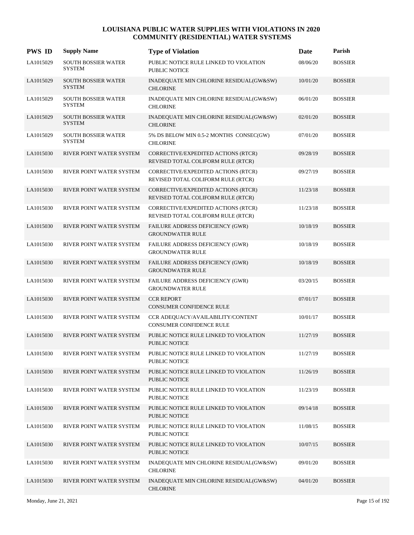| <b>PWS ID</b> | <b>Supply Name</b>                          | <b>Type of Violation</b>                                                  | Date     | Parish         |
|---------------|---------------------------------------------|---------------------------------------------------------------------------|----------|----------------|
| LA1015029     | <b>SOUTH BOSSIER WATER</b><br><b>SYSTEM</b> | PUBLIC NOTICE RULE LINKED TO VIOLATION<br><b>PUBLIC NOTICE</b>            | 08/06/20 | <b>BOSSIER</b> |
| LA1015029     | SOUTH BOSSIER WATER<br><b>SYSTEM</b>        | INADEQUATE MIN CHLORINE RESIDUAL(GW&SW)<br><b>CHLORINE</b>                | 10/01/20 | <b>BOSSIER</b> |
| LA1015029     | SOUTH BOSSIER WATER<br><b>SYSTEM</b>        | INADEQUATE MIN CHLORINE RESIDUAL(GW&SW)<br><b>CHLORINE</b>                | 06/01/20 | <b>BOSSIER</b> |
| LA1015029     | <b>SOUTH BOSSIER WATER</b><br><b>SYSTEM</b> | INADEQUATE MIN CHLORINE RESIDUAL(GW&SW)<br><b>CHLORINE</b>                | 02/01/20 | <b>BOSSIER</b> |
| LA1015029     | <b>SOUTH BOSSIER WATER</b><br><b>SYSTEM</b> | 5% DS BELOW MIN 0.5-2 MONTHS CONSEC(GW)<br><b>CHLORINE</b>                | 07/01/20 | <b>BOSSIER</b> |
| LA1015030     | RIVER POINT WATER SYSTEM                    | CORRECTIVE/EXPEDITED ACTIONS (RTCR)<br>REVISED TOTAL COLIFORM RULE (RTCR) | 09/28/19 | <b>BOSSIER</b> |
| LA1015030     | RIVER POINT WATER SYSTEM                    | CORRECTIVE/EXPEDITED ACTIONS (RTCR)<br>REVISED TOTAL COLIFORM RULE (RTCR) | 09/27/19 | <b>BOSSIER</b> |
| LA1015030     | <b>RIVER POINT WATER SYSTEM</b>             | CORRECTIVE/EXPEDITED ACTIONS (RTCR)<br>REVISED TOTAL COLIFORM RULE (RTCR) | 11/23/18 | <b>BOSSIER</b> |
| LA1015030     | RIVER POINT WATER SYSTEM                    | CORRECTIVE/EXPEDITED ACTIONS (RTCR)<br>REVISED TOTAL COLIFORM RULE (RTCR) | 11/23/18 | <b>BOSSIER</b> |
| LA1015030     | RIVER POINT WATER SYSTEM                    | <b>FAILURE ADDRESS DEFICIENCY (GWR)</b><br><b>GROUNDWATER RULE</b>        | 10/18/19 | <b>BOSSIER</b> |
| LA1015030     | RIVER POINT WATER SYSTEM                    | FAILURE ADDRESS DEFICIENCY (GWR)<br><b>GROUNDWATER RULE</b>               | 10/18/19 | <b>BOSSIER</b> |
| LA1015030     | RIVER POINT WATER SYSTEM                    | FAILURE ADDRESS DEFICIENCY (GWR)<br><b>GROUNDWATER RULE</b>               | 10/18/19 | <b>BOSSIER</b> |
| LA1015030     | RIVER POINT WATER SYSTEM                    | FAILURE ADDRESS DEFICIENCY (GWR)<br><b>GROUNDWATER RULE</b>               | 03/20/15 | <b>BOSSIER</b> |
| LA1015030     | RIVER POINT WATER SYSTEM                    | <b>CCR REPORT</b><br><b>CONSUMER CONFIDENCE RULE</b>                      | 07/01/17 | <b>BOSSIER</b> |
| LA1015030     | RIVER POINT WATER SYSTEM                    | CCR ADEQUACY/AVAILABILITY/CONTENT<br>CONSUMER CONFIDENCE RULE             | 10/01/17 | <b>BOSSIER</b> |
| LA1015030     | RIVER POINT WATER SYSTEM                    | PUBLIC NOTICE RULE LINKED TO VIOLATION<br><b>PUBLIC NOTICE</b>            | 11/27/19 | <b>BOSSIER</b> |
| LA1015030     | RIVER POINT WATER SYSTEM                    | PUBLIC NOTICE RULE LINKED TO VIOLATION<br><b>PUBLIC NOTICE</b>            | 11/27/19 | <b>BOSSIER</b> |
| LA1015030     | RIVER POINT WATER SYSTEM                    | PUBLIC NOTICE RULE LINKED TO VIOLATION<br><b>PUBLIC NOTICE</b>            | 11/26/19 | <b>BOSSIER</b> |
| LA1015030     | RIVER POINT WATER SYSTEM                    | PUBLIC NOTICE RULE LINKED TO VIOLATION<br>PUBLIC NOTICE                   | 11/23/19 | <b>BOSSIER</b> |
| LA1015030     | RIVER POINT WATER SYSTEM                    | PUBLIC NOTICE RULE LINKED TO VIOLATION<br><b>PUBLIC NOTICE</b>            | 09/14/18 | <b>BOSSIER</b> |
| LA1015030     | RIVER POINT WATER SYSTEM                    | PUBLIC NOTICE RULE LINKED TO VIOLATION<br>PUBLIC NOTICE                   | 11/08/15 | <b>BOSSIER</b> |
| LA1015030     | RIVER POINT WATER SYSTEM                    | PUBLIC NOTICE RULE LINKED TO VIOLATION<br>PUBLIC NOTICE                   | 10/07/15 | <b>BOSSIER</b> |
| LA1015030     | RIVER POINT WATER SYSTEM                    | INADEQUATE MIN CHLORINE RESIDUAL(GW&SW)<br><b>CHLORINE</b>                | 09/01/20 | <b>BOSSIER</b> |
| LA1015030     | RIVER POINT WATER SYSTEM                    | INADEQUATE MIN CHLORINE RESIDUAL(GW&SW)<br><b>CHLORINE</b>                | 04/01/20 | <b>BOSSIER</b> |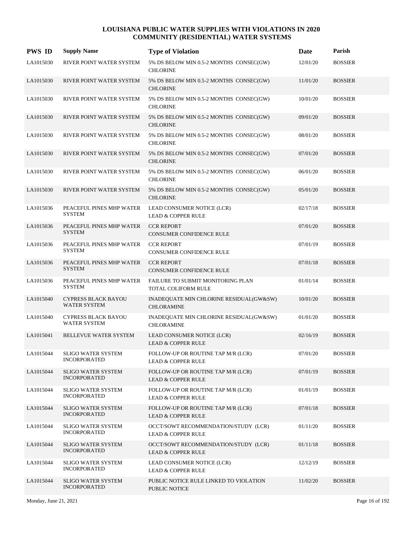| <b>PWS ID</b> | <b>Supply Name</b>                               | <b>Type of Violation</b>                                              | <b>Date</b> | Parish         |
|---------------|--------------------------------------------------|-----------------------------------------------------------------------|-------------|----------------|
| LA1015030     | RIVER POINT WATER SYSTEM                         | 5% DS BELOW MIN 0.5-2 MONTHS CONSEC(GW)<br><b>CHLORINE</b>            | 12/01/20    | <b>BOSSIER</b> |
| LA1015030     | RIVER POINT WATER SYSTEM                         | 5% DS BELOW MIN 0.5-2 MONTHS CONSEC(GW)<br><b>CHLORINE</b>            | 11/01/20    | <b>BOSSIER</b> |
| LA1015030     | RIVER POINT WATER SYSTEM                         | 5% DS BELOW MIN 0.5-2 MONTHS CONSEC(GW)<br><b>CHLORINE</b>            | 10/01/20    | <b>BOSSIER</b> |
| LA1015030     | RIVER POINT WATER SYSTEM                         | 5% DS BELOW MIN 0.5-2 MONTHS CONSEC(GW)<br><b>CHLORINE</b>            | 09/01/20    | <b>BOSSIER</b> |
| LA1015030     | RIVER POINT WATER SYSTEM                         | 5% DS BELOW MIN 0.5-2 MONTHS CONSEC(GW)<br><b>CHLORINE</b>            | 08/01/20    | <b>BOSSIER</b> |
| LA1015030     | RIVER POINT WATER SYSTEM                         | 5% DS BELOW MIN 0.5-2 MONTHS CONSEC(GW)<br><b>CHLORINE</b>            | 07/01/20    | <b>BOSSIER</b> |
| LA1015030     | RIVER POINT WATER SYSTEM                         | 5% DS BELOW MIN 0.5-2 MONTHS CONSEC(GW)<br><b>CHLORINE</b>            | 06/01/20    | <b>BOSSIER</b> |
| LA1015030     | RIVER POINT WATER SYSTEM                         | 5% DS BELOW MIN 0.5-2 MONTHS CONSEC(GW)<br><b>CHLORINE</b>            | 05/01/20    | <b>BOSSIER</b> |
| LA1015036     | PEACEFUL PINES MHP WATER<br><b>SYSTEM</b>        | LEAD CONSUMER NOTICE (LCR)<br><b>LEAD &amp; COPPER RULE</b>           | 02/17/18    | <b>BOSSIER</b> |
| LA1015036     | PEACEFUL PINES MHP WATER<br><b>SYSTEM</b>        | <b>CCR REPORT</b><br>CONSUMER CONFIDENCE RULE                         | 07/01/20    | <b>BOSSIER</b> |
| LA1015036     | PEACEFUL PINES MHP WATER<br><b>SYSTEM</b>        | <b>CCR REPORT</b><br>CONSUMER CONFIDENCE RULE                         | 07/01/19    | <b>BOSSIER</b> |
| LA1015036     | PEACEFUL PINES MHP WATER<br><b>SYSTEM</b>        | <b>CCR REPORT</b><br>CONSUMER CONFIDENCE RULE                         | 07/01/18    | <b>BOSSIER</b> |
| LA1015036     | PEACEFUL PINES MHP WATER<br><b>SYSTEM</b>        | FAILURE TO SUBMIT MONITORING PLAN<br>TOTAL COLIFORM RULE              | 01/01/14    | <b>BOSSIER</b> |
| LA1015040     | CYPRESS BLACK BAYOU<br><b>WATER SYSTEM</b>       | INADEQUATE MIN CHLORINE RESIDUAL(GW&SW)<br><b>CHLORAMINE</b>          | 10/01/20    | <b>BOSSIER</b> |
| LA1015040     | CYPRESS BLACK BAYOU<br><b>WATER SYSTEM</b>       | INADEQUATE MIN CHLORINE RESIDUAL(GW&SW)<br><b>CHLORAMINE</b>          | 01/01/20    | <b>BOSSIER</b> |
| LA1015041     | <b>BELLEVUE WATER SYSTEM</b>                     | LEAD CONSUMER NOTICE (LCR)<br><b>LEAD &amp; COPPER RULE</b>           | 02/16/19    | <b>BOSSIER</b> |
| LA1015044     | <b>SLIGO WATER SYSTEM</b><br><b>INCORPORATED</b> | FOLLOW-UP OR ROUTINE TAP M/R (LCR)<br><b>LEAD &amp; COPPER RULE</b>   | 07/01/20    | <b>BOSSIER</b> |
| LA1015044     | SLIGO WATER SYSTEM<br><b>INCORPORATED</b>        | FOLLOW-UP OR ROUTINE TAP M/R (LCR)<br><b>LEAD &amp; COPPER RULE</b>   | 07/01/19    | <b>BOSSIER</b> |
| LA1015044     | <b>SLIGO WATER SYSTEM</b><br><b>INCORPORATED</b> | FOLLOW-UP OR ROUTINE TAP M/R (LCR)<br><b>LEAD &amp; COPPER RULE</b>   | 01/01/19    | <b>BOSSIER</b> |
| LA1015044     | <b>SLIGO WATER SYSTEM</b><br><b>INCORPORATED</b> | FOLLOW-UP OR ROUTINE TAP M/R (LCR)<br><b>LEAD &amp; COPPER RULE</b>   | 07/01/18    | <b>BOSSIER</b> |
| LA1015044     | <b>SLIGO WATER SYSTEM</b><br><b>INCORPORATED</b> | OCCT/SOWT RECOMMENDATION/STUDY (LCR)<br><b>LEAD &amp; COPPER RULE</b> | 01/11/20    | <b>BOSSIER</b> |
| LA1015044     | <b>SLIGO WATER SYSTEM</b><br><b>INCORPORATED</b> | OCCT/SOWT RECOMMENDATION/STUDY (LCR)<br><b>LEAD &amp; COPPER RULE</b> | 01/11/18    | <b>BOSSIER</b> |
| LA1015044     | <b>SLIGO WATER SYSTEM</b><br><b>INCORPORATED</b> | LEAD CONSUMER NOTICE (LCR)<br><b>LEAD &amp; COPPER RULE</b>           | 12/12/19    | <b>BOSSIER</b> |
| LA1015044     | <b>SLIGO WATER SYSTEM</b><br><b>INCORPORATED</b> | PUBLIC NOTICE RULE LINKED TO VIOLATION<br><b>PUBLIC NOTICE</b>        | 11/02/20    | <b>BOSSIER</b> |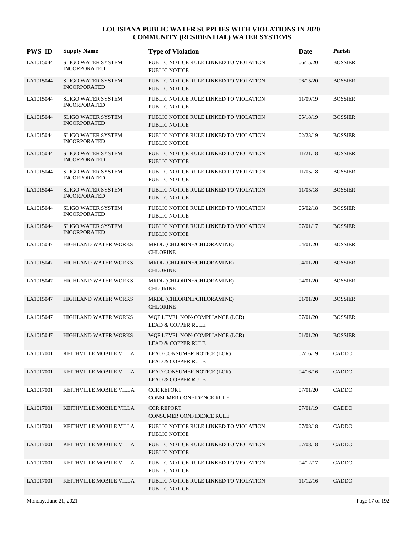| <b>PWS ID</b> | <b>Supply Name</b>                               | <b>Type of Violation</b>                                        | Date     | Parish         |
|---------------|--------------------------------------------------|-----------------------------------------------------------------|----------|----------------|
| LA1015044     | <b>SLIGO WATER SYSTEM</b><br><b>INCORPORATED</b> | PUBLIC NOTICE RULE LINKED TO VIOLATION<br><b>PUBLIC NOTICE</b>  | 06/15/20 | <b>BOSSIER</b> |
| LA1015044     | <b>SLIGO WATER SYSTEM</b><br><b>INCORPORATED</b> | PUBLIC NOTICE RULE LINKED TO VIOLATION<br><b>PUBLIC NOTICE</b>  | 06/15/20 | <b>BOSSIER</b> |
| LA1015044     | <b>SLIGO WATER SYSTEM</b><br><b>INCORPORATED</b> | PUBLIC NOTICE RULE LINKED TO VIOLATION<br><b>PUBLIC NOTICE</b>  | 11/09/19 | <b>BOSSIER</b> |
| LA1015044     | <b>SLIGO WATER SYSTEM</b><br><b>INCORPORATED</b> | PUBLIC NOTICE RULE LINKED TO VIOLATION<br><b>PUBLIC NOTICE</b>  | 05/18/19 | <b>BOSSIER</b> |
| LA1015044     | <b>SLIGO WATER SYSTEM</b><br><b>INCORPORATED</b> | PUBLIC NOTICE RULE LINKED TO VIOLATION<br>PUBLIC NOTICE         | 02/23/19 | <b>BOSSIER</b> |
| LA1015044     | <b>SLIGO WATER SYSTEM</b><br><b>INCORPORATED</b> | PUBLIC NOTICE RULE LINKED TO VIOLATION<br><b>PUBLIC NOTICE</b>  | 11/21/18 | <b>BOSSIER</b> |
| LA1015044     | <b>SLIGO WATER SYSTEM</b><br><b>INCORPORATED</b> | PUBLIC NOTICE RULE LINKED TO VIOLATION<br>PUBLIC NOTICE         | 11/05/18 | <b>BOSSIER</b> |
| LA1015044     | <b>SLIGO WATER SYSTEM</b><br><b>INCORPORATED</b> | PUBLIC NOTICE RULE LINKED TO VIOLATION<br><b>PUBLIC NOTICE</b>  | 11/05/18 | <b>BOSSIER</b> |
| LA1015044     | <b>SLIGO WATER SYSTEM</b><br><b>INCORPORATED</b> | PUBLIC NOTICE RULE LINKED TO VIOLATION<br><b>PUBLIC NOTICE</b>  | 06/02/18 | <b>BOSSIER</b> |
| LA1015044     | <b>SLIGO WATER SYSTEM</b><br><b>INCORPORATED</b> | PUBLIC NOTICE RULE LINKED TO VIOLATION<br>PUBLIC NOTICE         | 07/01/17 | <b>BOSSIER</b> |
| LA1015047     | HIGHLAND WATER WORKS                             | MRDL (CHLORINE/CHLORAMINE)<br><b>CHLORINE</b>                   | 04/01/20 | <b>BOSSIER</b> |
| LA1015047     | HIGHLAND WATER WORKS                             | MRDL (CHLORINE/CHLORAMINE)<br><b>CHLORINE</b>                   | 04/01/20 | <b>BOSSIER</b> |
| LA1015047     | HIGHLAND WATER WORKS                             | MRDL (CHLORINE/CHLORAMINE)<br><b>CHLORINE</b>                   | 04/01/20 | <b>BOSSIER</b> |
| LA1015047     | HIGHLAND WATER WORKS                             | MRDL (CHLORINE/CHLORAMINE)<br><b>CHLORINE</b>                   | 01/01/20 | <b>BOSSIER</b> |
| LA1015047     | HIGHLAND WATER WORKS                             | WQP LEVEL NON-COMPLIANCE (LCR)<br><b>LEAD &amp; COPPER RULE</b> | 07/01/20 | <b>BOSSIER</b> |
| LA1015047     | <b>HIGHLAND WATER WORKS</b>                      | WQP LEVEL NON-COMPLIANCE (LCR)<br><b>LEAD &amp; COPPER RULE</b> | 01/01/20 | <b>BOSSIER</b> |
| LA1017001     | KEITHVILLE MOBILE VILLA                          | LEAD CONSUMER NOTICE (LCR)<br><b>LEAD &amp; COPPER RULE</b>     | 02/16/19 | CADDO          |
| LA1017001     | KEITHVILLE MOBILE VILLA                          | LEAD CONSUMER NOTICE (LCR)<br><b>LEAD &amp; COPPER RULE</b>     | 04/16/16 | CADDO          |
| LA1017001     | KEITHVILLE MOBILE VILLA                          | <b>CCR REPORT</b><br>CONSUMER CONFIDENCE RULE                   | 07/01/20 | CADDO          |
| LA1017001     | KEITHVILLE MOBILE VILLA                          | <b>CCR REPORT</b><br>CONSUMER CONFIDENCE RULE                   | 07/01/19 | CADDO          |
| LA1017001     | KEITHVILLE MOBILE VILLA                          | PUBLIC NOTICE RULE LINKED TO VIOLATION<br>PUBLIC NOTICE         | 07/08/18 | CADDO          |
| LA1017001     | KEITHVILLE MOBILE VILLA                          | PUBLIC NOTICE RULE LINKED TO VIOLATION<br><b>PUBLIC NOTICE</b>  | 07/08/18 | CADDO          |
| LA1017001     | KEITHVILLE MOBILE VILLA                          | PUBLIC NOTICE RULE LINKED TO VIOLATION<br>PUBLIC NOTICE         | 04/12/17 | CADDO          |
| LA1017001     | KEITHVILLE MOBILE VILLA                          | PUBLIC NOTICE RULE LINKED TO VIOLATION<br>PUBLIC NOTICE         | 11/12/16 | CADDO          |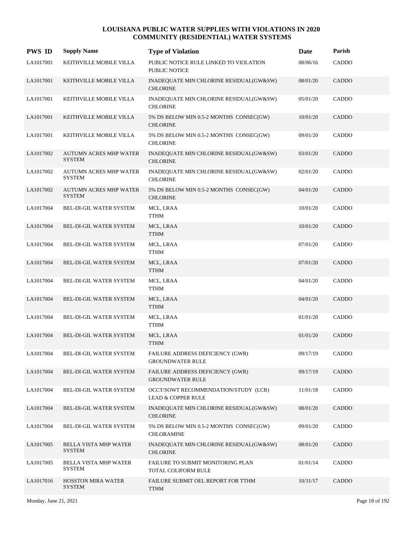| <b>PWS ID</b> | <b>Supply Name</b>                             | <b>Type of Violation</b>                                              | Date     | Parish |
|---------------|------------------------------------------------|-----------------------------------------------------------------------|----------|--------|
| LA1017001     | KEITHVILLE MOBILE VILLA                        | PUBLIC NOTICE RULE LINKED TO VIOLATION<br><b>PUBLIC NOTICE</b>        | 08/06/16 | CADDO  |
| LA1017001     | KEITHVILLE MOBILE VILLA                        | INADEQUATE MIN CHLORINE RESIDUAL(GW&SW)<br><b>CHLORINE</b>            | 08/01/20 | CADDO  |
| LA1017001     | KEITHVILLE MOBILE VILLA                        | INADEQUATE MIN CHLORINE RESIDUAL(GW&SW)<br><b>CHLORINE</b>            | 05/01/20 | CADDO  |
| LA1017001     | KEITHVILLE MOBILE VILLA                        | 5% DS BELOW MIN 0.5-2 MONTHS CONSEC(GW)<br><b>CHLORINE</b>            | 10/01/20 | CADDO  |
| LA1017001     | KEITHVILLE MOBILE VILLA                        | 5% DS BELOW MIN 0.5-2 MONTHS CONSEC(GW)<br><b>CHLORINE</b>            | 09/01/20 | CADDO  |
| LA1017002     | <b>AUTUMN ACRES MHP WATER</b><br><b>SYSTEM</b> | INADEQUATE MIN CHLORINE RESIDUAL(GW&SW)<br><b>CHLORINE</b>            | 03/01/20 | CADDO  |
| LA1017002     | <b>AUTUMN ACRES MHP WATER</b><br><b>SYSTEM</b> | INADEQUATE MIN CHLORINE RESIDUAL(GW&SW)<br><b>CHLORINE</b>            | 02/01/20 | CADDO  |
| LA1017002     | <b>AUTUMN ACRES MHP WATER</b><br><b>SYSTEM</b> | 5% DS BELOW MIN 0.5-2 MONTHS CONSEC(GW)<br><b>CHLORINE</b>            | 04/01/20 | CADDO  |
| LA1017004     | BEL-DI-GIL WATER SYSTEM                        | MCL, LRAA<br><b>TTHM</b>                                              | 10/01/20 | CADDO  |
| LA1017004     | BEL-DI-GIL WATER SYSTEM                        | MCL, LRAA<br><b>TTHM</b>                                              | 10/01/20 | CADDO  |
| LA1017004     | BEL-DI-GIL WATER SYSTEM                        | MCL, LRAA<br><b>TTHM</b>                                              | 07/01/20 | CADDO  |
| LA1017004     | <b>BEL-DI-GIL WATER SYSTEM</b>                 | MCL, LRAA<br><b>TTHM</b>                                              | 07/01/20 | CADDO  |
| LA1017004     | BEL-DI-GIL WATER SYSTEM                        | MCL, LRAA<br><b>TTHM</b>                                              | 04/01/20 | CADDO  |
| LA1017004     | BEL-DI-GIL WATER SYSTEM                        | MCL, LRAA<br><b>TTHM</b>                                              | 04/01/20 | CADDO  |
| LA1017004     | BEL-DI-GIL WATER SYSTEM                        | MCL, LRAA<br><b>TTHM</b>                                              | 01/01/20 | CADDO  |
| LA1017004     | <b>BEL-DI-GIL WATER SYSTEM</b>                 | MCL, LRAA<br><b>TTHM</b>                                              | 01/01/20 | CADDO  |
| LA1017004     | BEL-DI-GIL WATER SYSTEM                        | FAILURE ADDRESS DEFICIENCY (GWR)<br><b>GROUNDWATER RULE</b>           | 09/17/19 | CADDO  |
| LA1017004     | BEL-DI-GIL WATER SYSTEM                        | FAILURE ADDRESS DEFICIENCY (GWR)<br><b>GROUNDWATER RULE</b>           | 09/17/19 | CADDO  |
| LA1017004     | BEL-DI-GIL WATER SYSTEM                        | OCCT/SOWT RECOMMENDATION/STUDY (LCR)<br><b>LEAD &amp; COPPER RULE</b> | 11/01/18 | CADDO  |
| LA1017004     | BEL-DI-GIL WATER SYSTEM                        | INADEQUATE MIN CHLORINE RESIDUAL(GW&SW)<br><b>CHLORINE</b>            | 08/01/20 | CADDO  |
| LA1017004     | BEL-DI-GIL WATER SYSTEM                        | 5% DS BELOW MIN 0.5-2 MONTHS CONSEC(GW)<br><b>CHLORAMINE</b>          | 09/01/20 | CADDO  |
| LA1017005     | <b>BELLA VISTA MHP WATER</b><br><b>SYSTEM</b>  | INADEQUATE MIN CHLORINE RESIDUAL(GW&SW)<br><b>CHLORINE</b>            | 08/01/20 | CADDO  |
| LA1017005     | BELLA VISTA MHP WATER<br><b>SYSTEM</b>         | FAILURE TO SUBMIT MONITORING PLAN<br>TOTAL COLIFORM RULE              | 01/01/14 | CADDO  |
| LA1017016     | <b>HOSSTON MIRA WATER</b><br><b>SYSTEM</b>     | FAILURE SUBMIT OEL REPORT FOR TTHM<br><b>TTHM</b>                     | 10/31/17 | CADDO  |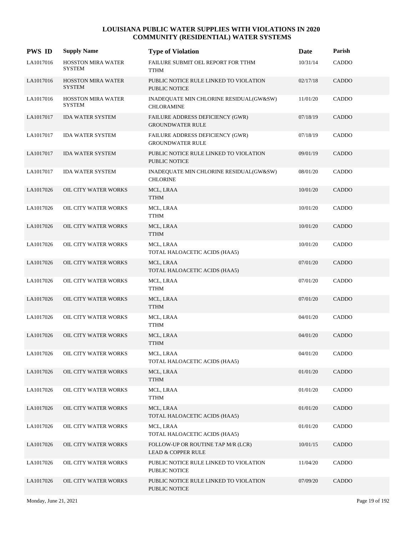| <b>PWS ID</b> | <b>Supply Name</b>                         | <b>Type of Violation</b>                                     | Date     | Parish       |
|---------------|--------------------------------------------|--------------------------------------------------------------|----------|--------------|
| LA1017016     | <b>HOSSTON MIRA WATER</b><br>SYSTEM        | FAILURE SUBMIT OEL REPORT FOR TTHM<br><b>TTHM</b>            | 10/31/14 | CADDO        |
| LA1017016     | <b>HOSSTON MIRA WATER</b><br><b>SYSTEM</b> | PUBLIC NOTICE RULE LINKED TO VIOLATION<br>PUBLIC NOTICE      | 02/17/18 | CADDO        |
| LA1017016     | <b>HOSSTON MIRA WATER</b><br><b>SYSTEM</b> | INADEQUATE MIN CHLORINE RESIDUAL(GW&SW)<br><b>CHLORAMINE</b> | 11/01/20 | CADDO        |
| LA1017017     | <b>IDA WATER SYSTEM</b>                    | FAILURE ADDRESS DEFICIENCY (GWR)<br><b>GROUNDWATER RULE</b>  | 07/18/19 | CADDO        |
| LA1017017     | <b>IDA WATER SYSTEM</b>                    | FAILURE ADDRESS DEFICIENCY (GWR)<br><b>GROUNDWATER RULE</b>  | 07/18/19 | CADDO        |
| LA1017017     | <b>IDA WATER SYSTEM</b>                    | PUBLIC NOTICE RULE LINKED TO VIOLATION<br>PUBLIC NOTICE      | 09/01/19 | CADDO        |
| LA1017017     | <b>IDA WATER SYSTEM</b>                    | INADEQUATE MIN CHLORINE RESIDUAL(GW&SW)<br><b>CHLORINE</b>   | 08/01/20 | CADDO        |
| LA1017026     | OIL CITY WATER WORKS                       | MCL, LRAA<br><b>TTHM</b>                                     | 10/01/20 | CADDO        |
| LA1017026     | OIL CITY WATER WORKS                       | MCL, LRAA<br><b>TTHM</b>                                     | 10/01/20 | CADDO        |
| LA1017026     | OIL CITY WATER WORKS                       | MCL, LRAA<br><b>TTHM</b>                                     | 10/01/20 | <b>CADDO</b> |
| LA1017026     | OIL CITY WATER WORKS                       | MCL, LRAA<br>TOTAL HALOACETIC ACIDS (HAA5)                   | 10/01/20 | CADDO        |
| LA1017026     | OIL CITY WATER WORKS                       | MCL, LRAA<br>TOTAL HALOACETIC ACIDS (HAA5)                   | 07/01/20 | CADDO        |
| LA1017026     | OIL CITY WATER WORKS                       | MCL, LRAA<br>TTHM                                            | 07/01/20 | CADDO        |
| LA1017026     | OIL CITY WATER WORKS                       | MCL, LRAA<br><b>TTHM</b>                                     | 07/01/20 | CADDO        |
| LA1017026     | OIL CITY WATER WORKS                       | MCL, LRAA<br>TTHM                                            | 04/01/20 | CADDO        |
| LA1017026     | OIL CITY WATER WORKS                       | MCL, LRAA<br><b>TTHM</b>                                     | 04/01/20 | <b>CADDO</b> |
| LA1017026     | OIL CITY WATER WORKS                       | MCL, LRAA<br>TOTAL HALOACETIC ACIDS (HAA5)                   | 04/01/20 | CADDO        |
| LA1017026     | OIL CITY WATER WORKS                       | MCL, LRAA<br><b>TTHM</b>                                     | 01/01/20 | CADDO        |
| LA1017026     | OIL CITY WATER WORKS                       | MCL, LRAA<br>TTHM                                            | 01/01/20 | CADDO        |
| LA1017026     | OIL CITY WATER WORKS                       | MCL, LRAA<br>TOTAL HALOACETIC ACIDS (HAA5)                   | 01/01/20 | CADDO        |
| LA1017026     | OIL CITY WATER WORKS                       | MCL, LRAA<br>TOTAL HALOACETIC ACIDS (HAA5)                   | 01/01/20 | CADDO        |
| LA1017026     | OIL CITY WATER WORKS                       | FOLLOW-UP OR ROUTINE TAP M/R (LCR)<br>LEAD & COPPER RULE     | 10/01/15 | CADDO        |
| LA1017026     | OIL CITY WATER WORKS                       | PUBLIC NOTICE RULE LINKED TO VIOLATION<br>PUBLIC NOTICE      | 11/04/20 | CADDO        |
| LA1017026     | OIL CITY WATER WORKS                       | PUBLIC NOTICE RULE LINKED TO VIOLATION<br>PUBLIC NOTICE      | 07/09/20 | CADDO        |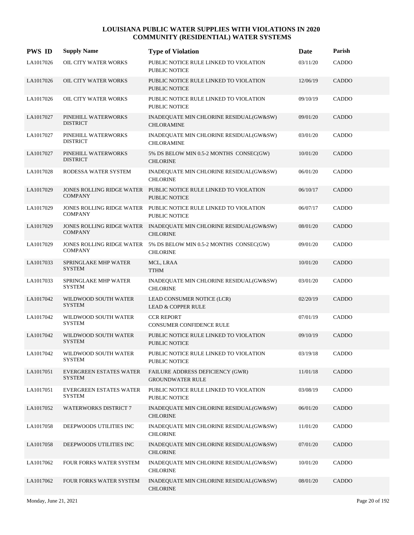| <b>PWS ID</b> | <b>Supply Name</b>                              | <b>Type of Violation</b>                                                             | Date     | Parish       |
|---------------|-------------------------------------------------|--------------------------------------------------------------------------------------|----------|--------------|
| LA1017026     | OIL CITY WATER WORKS                            | PUBLIC NOTICE RULE LINKED TO VIOLATION<br><b>PUBLIC NOTICE</b>                       | 03/11/20 | CADDO        |
| LA1017026     | OIL CITY WATER WORKS                            | PUBLIC NOTICE RULE LINKED TO VIOLATION<br><b>PUBLIC NOTICE</b>                       | 12/06/19 | CADDO        |
| LA1017026     | OIL CITY WATER WORKS                            | PUBLIC NOTICE RULE LINKED TO VIOLATION<br><b>PUBLIC NOTICE</b>                       | 09/10/19 | CADDO        |
| LA1017027     | PINEHILL WATERWORKS<br><b>DISTRICT</b>          | INADEQUATE MIN CHLORINE RESIDUAL(GW&SW)<br><b>CHLORAMINE</b>                         | 09/01/20 | CADDO        |
| LA1017027     | PINEHILL WATERWORKS<br><b>DISTRICT</b>          | INADEQUATE MIN CHLORINE RESIDUAL(GW&SW)<br><b>CHLORAMINE</b>                         | 03/01/20 | CADDO        |
| LA1017027     | PINEHILL WATERWORKS<br><b>DISTRICT</b>          | 5% DS BELOW MIN 0.5-2 MONTHS CONSEC(GW)<br><b>CHLORINE</b>                           | 10/01/20 | CADDO        |
| LA1017028     | RODESSA WATER SYSTEM                            | INADEQUATE MIN CHLORINE RESIDUAL(GW&SW)<br><b>CHLORINE</b>                           | 06/01/20 | CADDO        |
| LA1017029     | <b>COMPANY</b>                                  | JONES ROLLING RIDGE WATER PUBLIC NOTICE RULE LINKED TO VIOLATION<br>PUBLIC NOTICE    | 06/10/17 | CADDO        |
| LA1017029     | <b>COMPANY</b>                                  | JONES ROLLING RIDGE WATER PUBLIC NOTICE RULE LINKED TO VIOLATION<br>PUBLIC NOTICE    | 06/07/17 | CADDO        |
| LA1017029     | <b>COMPANY</b>                                  | JONES ROLLING RIDGE WATER INADEQUATE MIN CHLORINE RESIDUAL(GW&SW)<br><b>CHLORINE</b> | 08/01/20 | CADDO        |
| LA1017029     | <b>COMPANY</b>                                  | JONES ROLLING RIDGE WATER 5% DS BELOW MIN 0.5-2 MONTHS CONSEC(GW)<br><b>CHLORINE</b> | 09/01/20 | CADDO        |
| LA1017033     | SPRINGLAKE MHP WATER<br><b>SYSTEM</b>           | MCL, LRAA<br><b>TTHM</b>                                                             | 10/01/20 | CADDO        |
| LA1017033     | SPRINGLAKE MHP WATER<br><b>SYSTEM</b>           | INADEQUATE MIN CHLORINE RESIDUAL(GW&SW)<br><b>CHLORINE</b>                           | 03/01/20 | CADDO        |
| LA1017042     | WILDWOOD SOUTH WATER<br><b>SYSTEM</b>           | LEAD CONSUMER NOTICE (LCR)<br><b>LEAD &amp; COPPER RULE</b>                          | 02/20/19 | CADDO        |
| LA1017042     | WILDWOOD SOUTH WATER<br><b>SYSTEM</b>           | <b>CCR REPORT</b><br><b>CONSUMER CONFIDENCE RULE</b>                                 | 07/01/19 | <b>CADDO</b> |
| LA1017042     | WILDWOOD SOUTH WATER<br><b>SYSTEM</b>           | PUBLIC NOTICE RULE LINKED TO VIOLATION<br><b>PUBLIC NOTICE</b>                       | 09/10/19 | CADDO        |
| LA1017042     | WILDWOOD SOUTH WATER<br><b>SYSTEM</b>           | PUBLIC NOTICE RULE LINKED TO VIOLATION<br>PUBLIC NOTICE                              | 03/19/18 | CADDO        |
| LA1017051     | <b>EVERGREEN ESTATES WATER</b><br><b>SYSTEM</b> | FAILURE ADDRESS DEFICIENCY (GWR)<br><b>GROUNDWATER RULE</b>                          | 11/01/18 | CADDO        |
| LA1017051     | <b>EVERGREEN ESTATES WATER</b><br><b>SYSTEM</b> | PUBLIC NOTICE RULE LINKED TO VIOLATION<br>PUBLIC NOTICE                              | 03/08/19 | CADDO        |
| LA1017052     | <b>WATERWORKS DISTRICT 7</b>                    | INADEQUATE MIN CHLORINE RESIDUAL(GW&SW)<br><b>CHLORINE</b>                           | 06/01/20 | CADDO        |
| LA1017058     | DEEPWOODS UTILITIES INC                         | INADEQUATE MIN CHLORINE RESIDUAL(GW&SW)<br><b>CHLORINE</b>                           | 11/01/20 | CADDO        |
| LA1017058     | DEEPWOODS UTILITIES INC                         | INADEQUATE MIN CHLORINE RESIDUAL(GW&SW)<br><b>CHLORINE</b>                           | 07/01/20 | CADDO        |
| LA1017062     | FOUR FORKS WATER SYSTEM                         | INADEQUATE MIN CHLORINE RESIDUAL(GW&SW)<br><b>CHLORINE</b>                           | 10/01/20 | CADDO        |
| LA1017062     | FOUR FORKS WATER SYSTEM                         | INADEQUATE MIN CHLORINE RESIDUAL(GW&SW)<br><b>CHLORINE</b>                           | 08/01/20 | CADDO        |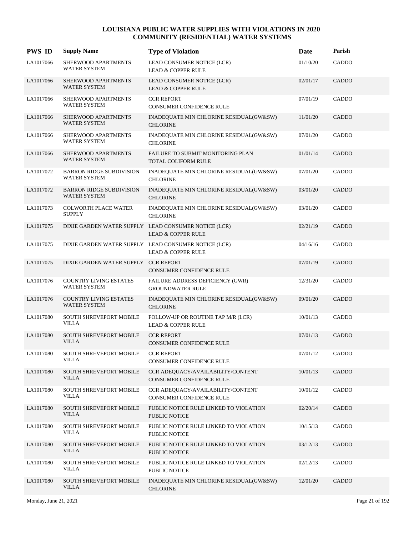| <b>PWS ID</b> | <b>Supply Name</b>                                     | <b>Type of Violation</b>                                                              | Date     | Parish       |
|---------------|--------------------------------------------------------|---------------------------------------------------------------------------------------|----------|--------------|
| LA1017066     | SHERWOOD APARTMENTS<br>WATER SYSTEM                    | LEAD CONSUMER NOTICE (LCR)<br><b>LEAD &amp; COPPER RULE</b>                           | 01/10/20 | CADDO        |
| LA1017066     | SHERWOOD APARTMENTS<br><b>WATER SYSTEM</b>             | LEAD CONSUMER NOTICE (LCR)<br><b>LEAD &amp; COPPER RULE</b>                           | 02/01/17 | CADDO        |
| LA1017066     | SHERWOOD APARTMENTS<br><b>WATER SYSTEM</b>             | <b>CCR REPORT</b><br>CONSUMER CONFIDENCE RULE                                         | 07/01/19 | CADDO        |
| LA1017066     | SHERWOOD APARTMENTS<br>WATER SYSTEM                    | INADEQUATE MIN CHLORINE RESIDUAL(GW&SW)<br><b>CHLORINE</b>                            | 11/01/20 | CADDO        |
| LA1017066     | SHERWOOD APARTMENTS<br><b>WATER SYSTEM</b>             | INADEQUATE MIN CHLORINE RESIDUAL(GW&SW)<br><b>CHLORINE</b>                            | 07/01/20 | CADDO        |
| LA1017066     | SHERWOOD APARTMENTS<br>WATER SYSTEM                    | FAILURE TO SUBMIT MONITORING PLAN<br>TOTAL COLIFORM RULE                              | 01/01/14 | CADDO        |
| LA1017072     | <b>BARRON RIDGE SUBDIVISION</b><br><b>WATER SYSTEM</b> | INADEQUATE MIN CHLORINE RESIDUAL(GW&SW)<br><b>CHLORINE</b>                            | 07/01/20 | CADDO        |
| LA1017072     | <b>BARRON RIDGE SUBDIVISION</b><br><b>WATER SYSTEM</b> | INADEQUATE MIN CHLORINE RESIDUAL(GW&SW)<br><b>CHLORINE</b>                            | 03/01/20 | <b>CADDO</b> |
| LA1017073     | <b>COLWORTH PLACE WATER</b><br><b>SUPPLY</b>           | INADEQUATE MIN CHLORINE RESIDUAL(GW&SW)<br><b>CHLORINE</b>                            | 03/01/20 | CADDO        |
| LA1017075     |                                                        | DIXIE GARDEN WATER SUPPLY LEAD CONSUMER NOTICE (LCR)<br><b>LEAD &amp; COPPER RULE</b> | 02/21/19 | CADDO        |
| LA1017075     |                                                        | DIXIE GARDEN WATER SUPPLY LEAD CONSUMER NOTICE (LCR)<br><b>LEAD &amp; COPPER RULE</b> | 04/16/16 | CADDO        |
| LA1017075     | DIXIE GARDEN WATER SUPPLY CCR REPORT                   | CONSUMER CONFIDENCE RULE                                                              | 07/01/19 | <b>CADDO</b> |
| LA1017076     | <b>COUNTRY LIVING ESTATES</b><br>WATER SYSTEM          | FAILURE ADDRESS DEFICIENCY (GWR)<br><b>GROUNDWATER RULE</b>                           | 12/31/20 | CADDO        |
| LA1017076     | <b>COUNTRY LIVING ESTATES</b><br><b>WATER SYSTEM</b>   | INADEQUATE MIN CHLORINE RESIDUAL(GW&SW)<br><b>CHLORINE</b>                            | 09/01/20 | CADDO        |
| LA1017080     | SOUTH SHREVEPORT MOBILE<br><b>VILLA</b>                | FOLLOW-UP OR ROUTINE TAP M/R (LCR)<br><b>LEAD &amp; COPPER RULE</b>                   | 10/01/13 | CADDO        |
| LA1017080     | <b>SOUTH SHREVEPORT MOBILE</b><br><b>VILLA</b>         | <b>CCR REPORT</b><br><b>CONSUMER CONFIDENCE RULE</b>                                  | 07/01/13 | CADDO        |
| LA1017080     | <b>SOUTH SHREVEPORT MOBILE</b><br><b>VILLA</b>         | <b>CCR REPORT</b><br>CONSUMER CONFIDENCE RULE                                         | 07/01/12 | CADDO        |
| LA1017080     | <b>SOUTH SHREVEPORT MOBILE</b><br><b>VILLA</b>         | CCR ADEQUACY/AVAILABILITY/CONTENT<br>CONSUMER CONFIDENCE RULE                         | 10/01/13 | CADDO        |
| LA1017080     | <b>SOUTH SHREVEPORT MOBILE</b><br>VILLA                | CCR ADEOUACY/AVAILABILITY/CONTENT<br>CONSUMER CONFIDENCE RULE                         | 10/01/12 | CADDO        |
| LA1017080     | <b>SOUTH SHREVEPORT MOBILE</b><br>VILLA                | PUBLIC NOTICE RULE LINKED TO VIOLATION<br>PUBLIC NOTICE                               | 02/20/14 | CADDO        |
| LA1017080     | <b>SOUTH SHREVEPORT MOBILE</b><br><b>VILLA</b>         | PUBLIC NOTICE RULE LINKED TO VIOLATION<br><b>PUBLIC NOTICE</b>                        | 10/15/13 | CADDO        |
| LA1017080     | <b>SOUTH SHREVEPORT MOBILE</b><br><b>VILLA</b>         | PUBLIC NOTICE RULE LINKED TO VIOLATION<br>PUBLIC NOTICE                               | 03/12/13 | CADDO        |
| LA1017080     | <b>SOUTH SHREVEPORT MOBILE</b><br><b>VILLA</b>         | PUBLIC NOTICE RULE LINKED TO VIOLATION<br>PUBLIC NOTICE                               | 02/12/13 | CADDO        |
| LA1017080     | <b>SOUTH SHREVEPORT MOBILE</b><br>VILLA                | INADEQUATE MIN CHLORINE RESIDUAL(GW&SW)<br><b>CHLORINE</b>                            | 12/01/20 | CADDO        |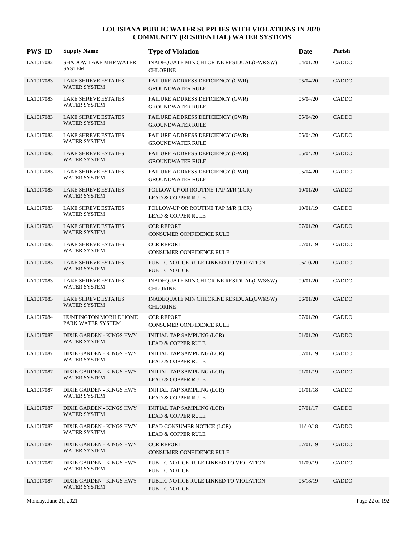| <b>PWS ID</b> | <b>Supply Name</b>                                | <b>Type of Violation</b>                                            | Date     | Parish       |
|---------------|---------------------------------------------------|---------------------------------------------------------------------|----------|--------------|
| LA1017082     | <b>SHADOW LAKE MHP WATER</b><br><b>SYSTEM</b>     | INADEQUATE MIN CHLORINE RESIDUAL(GW&SW)<br><b>CHLORINE</b>          | 04/01/20 | CADDO        |
| LA1017083     | <b>LAKE SHREVE ESTATES</b><br>WATER SYSTEM        | FAILURE ADDRESS DEFICIENCY (GWR)<br><b>GROUNDWATER RULE</b>         | 05/04/20 | <b>CADDO</b> |
| LA1017083     | <b>LAKE SHREVE ESTATES</b><br><b>WATER SYSTEM</b> | <b>FAILURE ADDRESS DEFICIENCY (GWR)</b><br><b>GROUNDWATER RULE</b>  | 05/04/20 | CADDO        |
| LA1017083     | <b>LAKE SHREVE ESTATES</b><br>WATER SYSTEM        | FAILURE ADDRESS DEFICIENCY (GWR)<br><b>GROUNDWATER RULE</b>         | 05/04/20 | CADDO        |
| LA1017083     | <b>LAKE SHREVE ESTATES</b><br>WATER SYSTEM        | FAILURE ADDRESS DEFICIENCY (GWR)<br><b>GROUNDWATER RULE</b>         | 05/04/20 | CADDO        |
| LA1017083     | <b>LAKE SHREVE ESTATES</b><br><b>WATER SYSTEM</b> | FAILURE ADDRESS DEFICIENCY (GWR)<br><b>GROUNDWATER RULE</b>         | 05/04/20 | CADDO        |
| LA1017083     | <b>LAKE SHREVE ESTATES</b><br><b>WATER SYSTEM</b> | FAILURE ADDRESS DEFICIENCY (GWR)<br><b>GROUNDWATER RULE</b>         | 05/04/20 | CADDO        |
| LA1017083     | <b>LAKE SHREVE ESTATES</b><br>WATER SYSTEM        | FOLLOW-UP OR ROUTINE TAP M/R (LCR)<br><b>LEAD &amp; COPPER RULE</b> | 10/01/20 | CADDO        |
| LA1017083     | <b>LAKE SHREVE ESTATES</b><br>WATER SYSTEM        | FOLLOW-UP OR ROUTINE TAP M/R (LCR)<br><b>LEAD &amp; COPPER RULE</b> | 10/01/19 | CADDO        |
| LA1017083     | <b>LAKE SHREVE ESTATES</b><br><b>WATER SYSTEM</b> | <b>CCR REPORT</b><br>CONSUMER CONFIDENCE RULE                       | 07/01/20 | CADDO        |
| LA1017083     | <b>LAKE SHREVE ESTATES</b><br>WATER SYSTEM        | <b>CCR REPORT</b><br>CONSUMER CONFIDENCE RULE                       | 07/01/19 | CADDO        |
| LA1017083     | <b>LAKE SHREVE ESTATES</b><br>WATER SYSTEM        | PUBLIC NOTICE RULE LINKED TO VIOLATION<br>PUBLIC NOTICE             | 06/10/20 | CADDO        |
| LA1017083     | LAKE SHREVE ESTATES<br>WATER SYSTEM               | INADEQUATE MIN CHLORINE RESIDUAL(GW&SW)<br><b>CHLORINE</b>          | 09/01/20 | CADDO        |
| LA1017083     | <b>LAKE SHREVE ESTATES</b><br><b>WATER SYSTEM</b> | INADEQUATE MIN CHLORINE RESIDUAL(GW&SW)<br><b>CHLORINE</b>          | 06/01/20 | CADDO        |
| LA1017084     | HUNTINGTON MOBILE HOME<br>PARK WATER SYSTEM       | <b>CCR REPORT</b><br>CONSUMER CONFIDENCE RULE                       | 07/01/20 | CADDO        |
| LA1017087     | DIXIE GARDEN - KINGS HWY<br><b>WATER SYSTEM</b>   | INITIAL TAP SAMPLING (LCR)<br><b>LEAD &amp; COPPER RULE</b>         | 01/01/20 | CADDO        |
| LA1017087     | DIXIE GARDEN - KINGS HWY<br>WATER SYSTEM          | INITIAL TAP SAMPLING (LCR)<br><b>LEAD &amp; COPPER RULE</b>         | 07/01/19 | CADDO        |
| LA1017087     | DIXIE GARDEN - KINGS HWY<br>WATER SYSTEM          | INITIAL TAP SAMPLING (LCR)<br><b>LEAD &amp; COPPER RULE</b>         | 01/01/19 | CADDO        |
| LA1017087     | DIXIE GARDEN - KINGS HWY<br>WATER SYSTEM          | INITIAL TAP SAMPLING (LCR)<br><b>LEAD &amp; COPPER RULE</b>         | 01/01/18 | CADDO        |
| LA1017087     | DIXIE GARDEN - KINGS HWY<br>WATER SYSTEM          | INITIAL TAP SAMPLING (LCR)<br><b>LEAD &amp; COPPER RULE</b>         | 07/01/17 | CADDO        |
| LA1017087     | DIXIE GARDEN - KINGS HWY<br>WATER SYSTEM          | LEAD CONSUMER NOTICE (LCR)<br><b>LEAD &amp; COPPER RULE</b>         | 11/10/18 | CADDO        |
| LA1017087     | DIXIE GARDEN - KINGS HWY<br>WATER SYSTEM          | <b>CCR REPORT</b><br>CONSUMER CONFIDENCE RULE                       | 07/01/19 | CADDO        |
| LA1017087     | DIXIE GARDEN - KINGS HWY<br>WATER SYSTEM          | PUBLIC NOTICE RULE LINKED TO VIOLATION<br>PUBLIC NOTICE             | 11/09/19 | CADDO        |
| LA1017087     | DIXIE GARDEN - KINGS HWY<br>WATER SYSTEM          | PUBLIC NOTICE RULE LINKED TO VIOLATION<br>PUBLIC NOTICE             | 05/18/19 | CADDO        |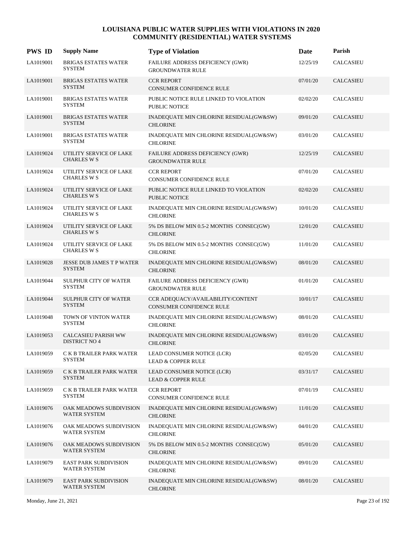| <b>PWS ID</b> | <b>Supply Name</b>                                  | <b>Type of Violation</b>                                       | Date     | Parish           |
|---------------|-----------------------------------------------------|----------------------------------------------------------------|----------|------------------|
| LA1019001     | BRIGAS ESTATES WATER<br><b>SYSTEM</b>               | FAILURE ADDRESS DEFICIENCY (GWR)<br><b>GROUNDWATER RULE</b>    | 12/25/19 | <b>CALCASIEU</b> |
| LA1019001     | <b>BRIGAS ESTATES WATER</b><br><b>SYSTEM</b>        | <b>CCR REPORT</b><br>CONSUMER CONFIDENCE RULE                  | 07/01/20 | <b>CALCASIEU</b> |
| LA1019001     | <b>BRIGAS ESTATES WATER</b><br><b>SYSTEM</b>        | PUBLIC NOTICE RULE LINKED TO VIOLATION<br>PUBLIC NOTICE        | 02/02/20 | <b>CALCASIEU</b> |
| LA1019001     | <b>BRIGAS ESTATES WATER</b><br><b>SYSTEM</b>        | INADEQUATE MIN CHLORINE RESIDUAL(GW&SW)<br><b>CHLORINE</b>     | 09/01/20 | <b>CALCASIEU</b> |
| LA1019001     | <b>BRIGAS ESTATES WATER</b><br><b>SYSTEM</b>        | INADEQUATE MIN CHLORINE RESIDUAL(GW&SW)<br><b>CHLORINE</b>     | 03/01/20 | <b>CALCASIEU</b> |
| LA1019024     | UTILITY SERVICE OF LAKE<br><b>CHARLES W S</b>       | FAILURE ADDRESS DEFICIENCY (GWR)<br><b>GROUNDWATER RULE</b>    | 12/25/19 | <b>CALCASIEU</b> |
| LA1019024     | UTILITY SERVICE OF LAKE<br><b>CHARLES W S</b>       | <b>CCR REPORT</b><br>CONSUMER CONFIDENCE RULE                  | 07/01/20 | <b>CALCASIEU</b> |
| LA1019024     | UTILITY SERVICE OF LAKE<br><b>CHARLES W S</b>       | PUBLIC NOTICE RULE LINKED TO VIOLATION<br><b>PUBLIC NOTICE</b> | 02/02/20 | <b>CALCASIEU</b> |
| LA1019024     | UTILITY SERVICE OF LAKE<br><b>CHARLES W S</b>       | INADEQUATE MIN CHLORINE RESIDUAL(GW&SW)<br><b>CHLORINE</b>     | 10/01/20 | CALCASIEU        |
| LA1019024     | UTILITY SERVICE OF LAKE<br><b>CHARLES W S</b>       | 5% DS BELOW MIN 0.5-2 MONTHS CONSEC(GW)<br><b>CHLORINE</b>     | 12/01/20 | <b>CALCASIEU</b> |
| LA1019024     | UTILITY SERVICE OF LAKE<br><b>CHARLES W S</b>       | 5% DS BELOW MIN 0.5-2 MONTHS CONSEC(GW)<br><b>CHLORINE</b>     | 11/01/20 | <b>CALCASIEU</b> |
| LA1019028     | <b>JESSE DUB JAMES T P WATER</b><br><b>SYSTEM</b>   | INADEQUATE MIN CHLORINE RESIDUAL(GW&SW)<br><b>CHLORINE</b>     | 08/01/20 | <b>CALCASIEU</b> |
| LA1019044     | <b>SULPHUR CITY OF WATER</b><br><b>SYSTEM</b>       | FAILURE ADDRESS DEFICIENCY (GWR)<br><b>GROUNDWATER RULE</b>    | 01/01/20 | <b>CALCASIEU</b> |
| LA1019044     | <b>SULPHUR CITY OF WATER</b><br><b>SYSTEM</b>       | CCR ADEQUACY/AVAILABILITY/CONTENT<br>CONSUMER CONFIDENCE RULE  | 10/01/17 | <b>CALCASIEU</b> |
| LA1019048     | TOWN OF VINTON WATER<br><b>SYSTEM</b>               | INADEQUATE MIN CHLORINE RESIDUAL(GW&SW)<br><b>CHLORINE</b>     | 08/01/20 | <b>CALCASIEU</b> |
| LA1019053     | <b>CALCASIEU PARISH WW</b><br><b>DISTRICT NO 4</b>  | INADEQUATE MIN CHLORINE RESIDUAL(GW&SW)<br><b>CHLORINE</b>     | 03/01/20 | <b>CALCASIEU</b> |
| LA1019059     | C K B TRAILER PARK WATER<br><b>SYSTEM</b>           | LEAD CONSUMER NOTICE (LCR)<br><b>LEAD &amp; COPPER RULE</b>    | 02/05/20 | CALCASIEU        |
| LA1019059     | C K B TRAILER PARK WATER<br><b>SYSTEM</b>           | LEAD CONSUMER NOTICE (LCR)<br><b>LEAD &amp; COPPER RULE</b>    | 03/31/17 | <b>CALCASIEU</b> |
| LA1019059     | C K B TRAILER PARK WATER<br><b>SYSTEM</b>           | <b>CCR REPORT</b><br>CONSUMER CONFIDENCE RULE                  | 07/01/19 | CALCASIEU        |
| LA1019076     | OAK MEADOWS SUBDIVISION<br><b>WATER SYSTEM</b>      | INADEQUATE MIN CHLORINE RESIDUAL(GW&SW)<br><b>CHLORINE</b>     | 11/01/20 | <b>CALCASIEU</b> |
| LA1019076     | OAK MEADOWS SUBDIVISION<br><b>WATER SYSTEM</b>      | INADEQUATE MIN CHLORINE RESIDUAL(GW&SW)<br><b>CHLORINE</b>     | 04/01/20 | CALCASIEU        |
| LA1019076     | OAK MEADOWS SUBDIVISION<br><b>WATER SYSTEM</b>      | 5% DS BELOW MIN 0.5-2 MONTHS CONSEC(GW)<br><b>CHLORINE</b>     | 05/01/20 | <b>CALCASIEU</b> |
| LA1019079     | <b>EAST PARK SUBDIVISION</b><br><b>WATER SYSTEM</b> | INADEQUATE MIN CHLORINE RESIDUAL(GW&SW)<br><b>CHLORINE</b>     | 09/01/20 | CALCASIEU        |
| LA1019079     | <b>EAST PARK SUBDIVISION</b><br>WATER SYSTEM        | INADEQUATE MIN CHLORINE RESIDUAL(GW&SW)<br><b>CHLORINE</b>     | 08/01/20 | <b>CALCASIEU</b> |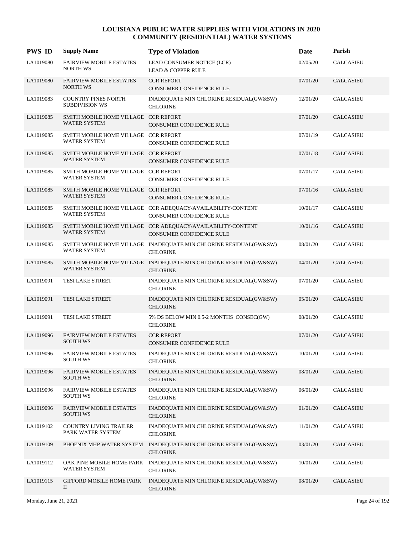| <b>PWS ID</b> | <b>Supply Name</b>                                          | <b>Type of Violation</b>                                                                | Date     | Parish           |
|---------------|-------------------------------------------------------------|-----------------------------------------------------------------------------------------|----------|------------------|
| LA1019080     | <b>FAIRVIEW MOBILE ESTATES</b><br><b>NORTH WS</b>           | LEAD CONSUMER NOTICE (LCR)<br><b>LEAD &amp; COPPER RULE</b>                             | 02/05/20 | <b>CALCASIEU</b> |
| LA1019080     | <b>FAIRVIEW MOBILE ESTATES</b><br><b>NORTH WS</b>           | <b>CCR REPORT</b><br>CONSUMER CONFIDENCE RULE                                           | 07/01/20 | <b>CALCASIEU</b> |
| LA1019083     | <b>COUNTRY PINES NORTH</b><br><b>SUBDIVISION WS</b>         | INADEQUATE MIN CHLORINE RESIDUAL(GW&SW)<br><b>CHLORINE</b>                              | 12/01/20 | <b>CALCASIEU</b> |
| LA1019085     | SMITH MOBILE HOME VILLAGE CCR REPORT<br>WATER SYSTEM        | <b>CONSUMER CONFIDENCE RULE</b>                                                         | 07/01/20 | <b>CALCASIEU</b> |
| LA1019085     | SMITH MOBILE HOME VILLAGE CCR REPORT<br>WATER SYSTEM        | CONSUMER CONFIDENCE RULE                                                                | 07/01/19 | CALCASIEU        |
| LA1019085     | SMITH MOBILE HOME VILLAGE CCR REPORT<br><b>WATER SYSTEM</b> | CONSUMER CONFIDENCE RULE                                                                | 07/01/18 | <b>CALCASIEU</b> |
| LA1019085     | SMITH MOBILE HOME VILLAGE CCR REPORT<br><b>WATER SYSTEM</b> | CONSUMER CONFIDENCE RULE                                                                | 07/01/17 | <b>CALCASIEU</b> |
| LA1019085     | SMITH MOBILE HOME VILLAGE CCR REPORT<br>WATER SYSTEM        | <b>CONSUMER CONFIDENCE RULE</b>                                                         | 07/01/16 | <b>CALCASIEU</b> |
| LA1019085     | WATER SYSTEM                                                | SMITH MOBILE HOME VILLAGE CCR ADEQUACY/AVAILABILITY/CONTENT<br>CONSUMER CONFIDENCE RULE | 10/01/17 | <b>CALCASIEU</b> |
| LA1019085     | <b>WATER SYSTEM</b>                                         | SMITH MOBILE HOME VILLAGE CCR ADEQUACY/AVAILABILITY/CONTENT<br>CONSUMER CONFIDENCE RULE | 10/01/16 | <b>CALCASIEU</b> |
| LA1019085     | <b>WATER SYSTEM</b>                                         | SMITH MOBILE HOME VILLAGE INADEQUATE MIN CHLORINE RESIDUAL(GW&SW)<br><b>CHLORINE</b>    | 08/01/20 | <b>CALCASIEU</b> |
| LA1019085     | <b>WATER SYSTEM</b>                                         | SMITH MOBILE HOME VILLAGE INADEQUATE MIN CHLORINE RESIDUAL(GW&SW)<br><b>CHLORINE</b>    | 04/01/20 | <b>CALCASIEU</b> |
| LA1019091     | TESI LAKE STREET                                            | INADEQUATE MIN CHLORINE RESIDUAL(GW&SW)<br><b>CHLORINE</b>                              | 07/01/20 | <b>CALCASIEU</b> |
| LA1019091     | TESI LAKE STREET                                            | INADEQUATE MIN CHLORINE RESIDUAL(GW&SW)<br><b>CHLORINE</b>                              | 05/01/20 | <b>CALCASIEU</b> |
| LA1019091     | TESI LAKE STREET                                            | 5% DS BELOW MIN 0.5-2 MONTHS CONSEC(GW)<br><b>CHLORINE</b>                              | 08/01/20 | <b>CALCASIEU</b> |
| LA1019096     | <b>FAIRVIEW MOBILE ESTATES</b><br><b>SOUTH WS</b>           | <b>CCR REPORT</b><br><b>CONSUMER CONFIDENCE RULE</b>                                    | 07/01/20 | CALCASIEU        |
| LA1019096     | <b>FAIRVIEW MOBILE ESTATES</b><br><b>SOUTH WS</b>           | INADEQUATE MIN CHLORINE RESIDUAL(GW&SW)<br><b>CHLORINE</b>                              | 10/01/20 | CALCASIEU        |
| LA1019096     | <b>FAIRVIEW MOBILE ESTATES</b><br><b>SOUTH WS</b>           | INADEQUATE MIN CHLORINE RESIDUAL(GW&SW)<br><b>CHLORINE</b>                              | 08/01/20 | CALCASIEU        |
| LA1019096     | <b>FAIRVIEW MOBILE ESTATES</b><br><b>SOUTH WS</b>           | INADEQUATE MIN CHLORINE RESIDUAL(GW&SW)<br><b>CHLORINE</b>                              | 06/01/20 | CALCASIEU        |
| LA1019096     | <b>FAIRVIEW MOBILE ESTATES</b><br><b>SOUTH WS</b>           | INADEQUATE MIN CHLORINE RESIDUAL(GW&SW)<br><b>CHLORINE</b>                              | 01/01/20 | CALCASIEU        |
| LA1019102     | COUNTRY LIVING TRAILER<br>PARK WATER SYSTEM                 | INADEQUATE MIN CHLORINE RESIDUAL(GW&SW)<br><b>CHLORINE</b>                              | 11/01/20 | CALCASIEU        |
| LA1019109     | PHOENIX MHP WATER SYSTEM                                    | INADEQUATE MIN CHLORINE RESIDUAL(GW&SW)<br><b>CHLORINE</b>                              | 03/01/20 | CALCASIEU        |
| LA1019112     | WATER SYSTEM                                                | OAK PINE MOBILE HOME PARK INADEQUATE MIN CHLORINE RESIDUAL(GW&SW)<br><b>CHLORINE</b>    | 10/01/20 | CALCASIEU        |
| LA1019115     | <b>GIFFORD MOBILE HOME PARK</b><br>П                        | INADEQUATE MIN CHLORINE RESIDUAL(GW&SW)<br><b>CHLORINE</b>                              | 08/01/20 | <b>CALCASIEU</b> |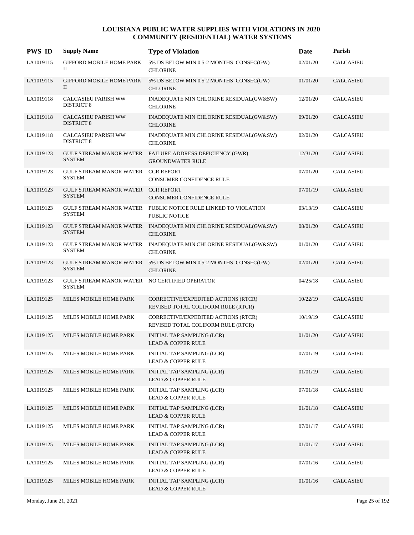| <b>PWS ID</b> | <b>Supply Name</b>                                             | <b>Type of Violation</b>                                                               | Date     | Parish           |
|---------------|----------------------------------------------------------------|----------------------------------------------------------------------------------------|----------|------------------|
| LA1019115     | <b>GIFFORD MOBILE HOME PARK</b><br>П                           | 5% DS BELOW MIN 0.5-2 MONTHS CONSEC(GW)<br><b>CHLORINE</b>                             | 02/01/20 | <b>CALCASIEU</b> |
| LA1019115     | <b>GIFFORD MOBILE HOME PARK</b><br>Π                           | 5% DS BELOW MIN 0.5-2 MONTHS CONSEC(GW)<br><b>CHLORINE</b>                             | 01/01/20 | <b>CALCASIEU</b> |
| LA1019118     | <b>CALCASIEU PARISH WW</b><br><b>DISTRICT 8</b>                | INADEQUATE MIN CHLORINE RESIDUAL(GW&SW)<br><b>CHLORINE</b>                             | 12/01/20 | <b>CALCASIEU</b> |
| LA1019118     | <b>CALCASIEU PARISH WW</b><br><b>DISTRICT 8</b>                | INADEQUATE MIN CHLORINE RESIDUAL(GW&SW)<br><b>CHLORINE</b>                             | 09/01/20 | <b>CALCASIEU</b> |
| LA1019118     | <b>CALCASIEU PARISH WW</b><br><b>DISTRICT 8</b>                | INADEQUATE MIN CHLORINE RESIDUAL(GW&SW)<br><b>CHLORINE</b>                             | 02/01/20 | CALCASIEU        |
| LA1019123     | <b>SYSTEM</b>                                                  | GULF STREAM MANOR WATER FAILURE ADDRESS DEFICIENCY (GWR)<br><b>GROUNDWATER RULE</b>    | 12/31/20 | <b>CALCASIEU</b> |
| LA1019123     | GULF STREAM MANOR WATER CCR REPORT<br><b>SYSTEM</b>            | CONSUMER CONFIDENCE RULE                                                               | 07/01/20 | CALCASIEU        |
| LA1019123     | GULF STREAM MANOR WATER CCR REPORT<br><b>SYSTEM</b>            | <b>CONSUMER CONFIDENCE RULE</b>                                                        | 07/01/19 | <b>CALCASIEU</b> |
| LA1019123     | <b>SYSTEM</b>                                                  | GULF STREAM MANOR WATER PUBLIC NOTICE RULE LINKED TO VIOLATION<br><b>PUBLIC NOTICE</b> | 03/13/19 | <b>CALCASIEU</b> |
| LA1019123     | <b>SYSTEM</b>                                                  | GULF STREAM MANOR WATER INADEQUATE MIN CHLORINE RESIDUAL(GW&SW)<br><b>CHLORINE</b>     | 08/01/20 | <b>CALCASIEU</b> |
| LA1019123     | <b>SYSTEM</b>                                                  | GULF STREAM MANOR WATER INADEQUATE MIN CHLORINE RESIDUAL(GW&SW)<br><b>CHLORINE</b>     | 01/01/20 | <b>CALCASIEU</b> |
| LA1019123     | <b>SYSTEM</b>                                                  | GULF STREAM MANOR WATER 5% DS BELOW MIN 0.5-2 MONTHS CONSEC(GW)<br><b>CHLORINE</b>     | 02/01/20 | <b>CALCASIEU</b> |
| LA1019123     | GULF STREAM MANOR WATER NO CERTIFIED OPERATOR<br><b>SYSTEM</b> |                                                                                        | 04/25/18 | <b>CALCASIEU</b> |
| LA1019125     | MILES MOBILE HOME PARK                                         | CORRECTIVE/EXPEDITED ACTIONS (RTCR)<br>REVISED TOTAL COLIFORM RULE (RTCR)              | 10/22/19 | <b>CALCASIEU</b> |
| LA1019125     | MILES MOBILE HOME PARK                                         | CORRECTIVE/EXPEDITED ACTIONS (RTCR)<br>REVISED TOTAL COLIFORM RULE (RTCR)              | 10/19/19 | <b>CALCASIEU</b> |
| LA1019125     | MILES MOBILE HOME PARK                                         | INITIAL TAP SAMPLING (LCR)<br><b>LEAD &amp; COPPER RULE</b>                            | 01/01/20 | CALCASIEU        |
| LA1019125     | MILES MOBILE HOME PARK                                         | INITIAL TAP SAMPLING (LCR)<br><b>LEAD &amp; COPPER RULE</b>                            | 07/01/19 | CALCASIEU        |
| LA1019125     | MILES MOBILE HOME PARK                                         | <b>INITIAL TAP SAMPLING (LCR)</b><br><b>LEAD &amp; COPPER RULE</b>                     | 01/01/19 | CALCASIEU        |
| LA1019125     | MILES MOBILE HOME PARK                                         | INITIAL TAP SAMPLING (LCR)<br><b>LEAD &amp; COPPER RULE</b>                            | 07/01/18 | CALCASIEU        |
| LA1019125     | MILES MOBILE HOME PARK                                         | INITIAL TAP SAMPLING (LCR)<br><b>LEAD &amp; COPPER RULE</b>                            | 01/01/18 | CALCASIEU        |
| LA1019125     | MILES MOBILE HOME PARK                                         | INITIAL TAP SAMPLING (LCR)<br><b>LEAD &amp; COPPER RULE</b>                            | 07/01/17 | CALCASIEU        |
| LA1019125     | MILES MOBILE HOME PARK                                         | INITIAL TAP SAMPLING (LCR)<br><b>LEAD &amp; COPPER RULE</b>                            | 01/01/17 | CALCASIEU        |
| LA1019125     | MILES MOBILE HOME PARK                                         | INITIAL TAP SAMPLING (LCR)<br><b>LEAD &amp; COPPER RULE</b>                            | 07/01/16 | CALCASIEU        |
| LA1019125     | MILES MOBILE HOME PARK                                         | INITIAL TAP SAMPLING (LCR)<br><b>LEAD &amp; COPPER RULE</b>                            | 01/01/16 | <b>CALCASIEU</b> |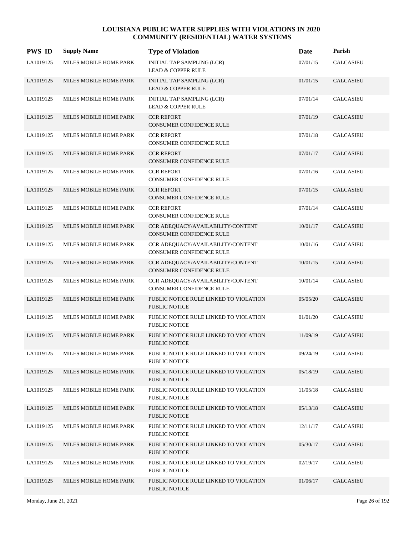| <b>PWS ID</b> | <b>Supply Name</b>     | <b>Type of Violation</b>                                       | Date     | Parish           |
|---------------|------------------------|----------------------------------------------------------------|----------|------------------|
| LA1019125     | MILES MOBILE HOME PARK | INITIAL TAP SAMPLING (LCR)<br><b>LEAD &amp; COPPER RULE</b>    | 07/01/15 | <b>CALCASIEU</b> |
| LA1019125     | MILES MOBILE HOME PARK | INITIAL TAP SAMPLING (LCR)<br><b>LEAD &amp; COPPER RULE</b>    | 01/01/15 | <b>CALCASIEU</b> |
| LA1019125     | MILES MOBILE HOME PARK | INITIAL TAP SAMPLING (LCR)<br><b>LEAD &amp; COPPER RULE</b>    | 07/01/14 | <b>CALCASIEU</b> |
| LA1019125     | MILES MOBILE HOME PARK | <b>CCR REPORT</b><br>CONSUMER CONFIDENCE RULE                  | 07/01/19 | <b>CALCASIEU</b> |
| LA1019125     | MILES MOBILE HOME PARK | <b>CCR REPORT</b><br>CONSUMER CONFIDENCE RULE                  | 07/01/18 | <b>CALCASIEU</b> |
| LA1019125     | MILES MOBILE HOME PARK | <b>CCR REPORT</b><br>CONSUMER CONFIDENCE RULE                  | 07/01/17 | <b>CALCASIEU</b> |
| LA1019125     | MILES MOBILE HOME PARK | <b>CCR REPORT</b><br>CONSUMER CONFIDENCE RULE                  | 07/01/16 | <b>CALCASIEU</b> |
| LA1019125     | MILES MOBILE HOME PARK | <b>CCR REPORT</b><br>CONSUMER CONFIDENCE RULE                  | 07/01/15 | <b>CALCASIEU</b> |
| LA1019125     | MILES MOBILE HOME PARK | <b>CCR REPORT</b><br>CONSUMER CONFIDENCE RULE                  | 07/01/14 | CALCASIEU        |
| LA1019125     | MILES MOBILE HOME PARK | CCR ADEQUACY/AVAILABILITY/CONTENT<br>CONSUMER CONFIDENCE RULE  | 10/01/17 | <b>CALCASIEU</b> |
| LA1019125     | MILES MOBILE HOME PARK | CCR ADEQUACY/AVAILABILITY/CONTENT<br>CONSUMER CONFIDENCE RULE  | 10/01/16 | CALCASIEU        |
| LA1019125     | MILES MOBILE HOME PARK | CCR ADEQUACY/AVAILABILITY/CONTENT<br>CONSUMER CONFIDENCE RULE  | 10/01/15 | <b>CALCASIEU</b> |
| LA1019125     | MILES MOBILE HOME PARK | CCR ADEQUACY/AVAILABILITY/CONTENT<br>CONSUMER CONFIDENCE RULE  | 10/01/14 | <b>CALCASIEU</b> |
| LA1019125     | MILES MOBILE HOME PARK | PUBLIC NOTICE RULE LINKED TO VIOLATION<br>PUBLIC NOTICE        | 05/05/20 | <b>CALCASIEU</b> |
| LA1019125     | MILES MOBILE HOME PARK | PUBLIC NOTICE RULE LINKED TO VIOLATION<br><b>PUBLIC NOTICE</b> | 01/01/20 | CALCASIEU        |
| LA1019125     | MILES MOBILE HOME PARK | PUBLIC NOTICE RULE LINKED TO VIOLATION<br>PUBLIC NOTICE        | 11/09/19 | <b>CALCASIEU</b> |
| LA1019125     | MILES MOBILE HOME PARK | PUBLIC NOTICE RULE LINKED TO VIOLATION<br>PUBLIC NOTICE        | 09/24/19 | CALCASIEU        |
| LA1019125     | MILES MOBILE HOME PARK | PUBLIC NOTICE RULE LINKED TO VIOLATION<br><b>PUBLIC NOTICE</b> | 05/18/19 | <b>CALCASIEU</b> |
| LA1019125     | MILES MOBILE HOME PARK | PUBLIC NOTICE RULE LINKED TO VIOLATION<br>PUBLIC NOTICE        | 11/05/18 | <b>CALCASIEU</b> |
| LA1019125     | MILES MOBILE HOME PARK | PUBLIC NOTICE RULE LINKED TO VIOLATION<br><b>PUBLIC NOTICE</b> | 05/13/18 | <b>CALCASIEU</b> |
| LA1019125     | MILES MOBILE HOME PARK | PUBLIC NOTICE RULE LINKED TO VIOLATION<br>PUBLIC NOTICE        | 12/11/17 | CALCASIEU        |
| LA1019125     | MILES MOBILE HOME PARK | PUBLIC NOTICE RULE LINKED TO VIOLATION<br>PUBLIC NOTICE        | 05/30/17 | <b>CALCASIEU</b> |
| LA1019125     | MILES MOBILE HOME PARK | PUBLIC NOTICE RULE LINKED TO VIOLATION<br>PUBLIC NOTICE        | 02/19/17 | <b>CALCASIEU</b> |
| LA1019125     | MILES MOBILE HOME PARK | PUBLIC NOTICE RULE LINKED TO VIOLATION<br>PUBLIC NOTICE        | 01/06/17 | <b>CALCASIEU</b> |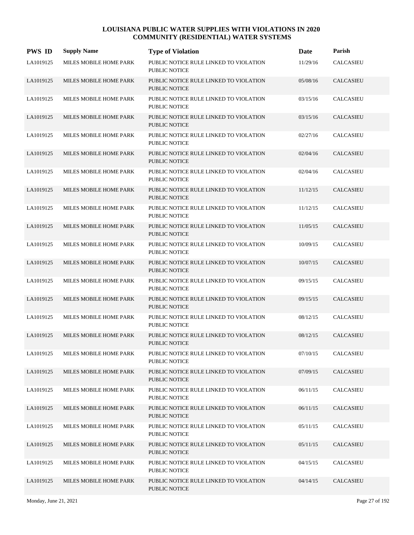| <b>PWS ID</b> | <b>Supply Name</b>     | <b>Type of Violation</b>                                       | Date     | Parish           |
|---------------|------------------------|----------------------------------------------------------------|----------|------------------|
| LA1019125     | MILES MOBILE HOME PARK | PUBLIC NOTICE RULE LINKED TO VIOLATION<br><b>PUBLIC NOTICE</b> | 11/29/16 | <b>CALCASIEU</b> |
| LA1019125     | MILES MOBILE HOME PARK | PUBLIC NOTICE RULE LINKED TO VIOLATION<br><b>PUBLIC NOTICE</b> | 05/08/16 | <b>CALCASIEU</b> |
| LA1019125     | MILES MOBILE HOME PARK | PUBLIC NOTICE RULE LINKED TO VIOLATION<br><b>PUBLIC NOTICE</b> | 03/15/16 | <b>CALCASIEU</b> |
| LA1019125     | MILES MOBILE HOME PARK | PUBLIC NOTICE RULE LINKED TO VIOLATION<br><b>PUBLIC NOTICE</b> | 03/15/16 | <b>CALCASIEU</b> |
| LA1019125     | MILES MOBILE HOME PARK | PUBLIC NOTICE RULE LINKED TO VIOLATION<br><b>PUBLIC NOTICE</b> | 02/27/16 | <b>CALCASIEU</b> |
| LA1019125     | MILES MOBILE HOME PARK | PUBLIC NOTICE RULE LINKED TO VIOLATION<br><b>PUBLIC NOTICE</b> | 02/04/16 | <b>CALCASIEU</b> |
| LA1019125     | MILES MOBILE HOME PARK | PUBLIC NOTICE RULE LINKED TO VIOLATION<br><b>PUBLIC NOTICE</b> | 02/04/16 | CALCASIEU        |
| LA1019125     | MILES MOBILE HOME PARK | PUBLIC NOTICE RULE LINKED TO VIOLATION<br><b>PUBLIC NOTICE</b> | 11/12/15 | <b>CALCASIEU</b> |
| LA1019125     | MILES MOBILE HOME PARK | PUBLIC NOTICE RULE LINKED TO VIOLATION<br><b>PUBLIC NOTICE</b> | 11/12/15 | <b>CALCASIEU</b> |
| LA1019125     | MILES MOBILE HOME PARK | PUBLIC NOTICE RULE LINKED TO VIOLATION<br><b>PUBLIC NOTICE</b> | 11/05/15 | <b>CALCASIEU</b> |
| LA1019125     | MILES MOBILE HOME PARK | PUBLIC NOTICE RULE LINKED TO VIOLATION<br><b>PUBLIC NOTICE</b> | 10/09/15 | <b>CALCASIEU</b> |
| LA1019125     | MILES MOBILE HOME PARK | PUBLIC NOTICE RULE LINKED TO VIOLATION<br>PUBLIC NOTICE        | 10/07/15 | <b>CALCASIEU</b> |
| LA1019125     | MILES MOBILE HOME PARK | PUBLIC NOTICE RULE LINKED TO VIOLATION<br><b>PUBLIC NOTICE</b> | 09/15/15 | <b>CALCASIEU</b> |
| LA1019125     | MILES MOBILE HOME PARK | PUBLIC NOTICE RULE LINKED TO VIOLATION<br><b>PUBLIC NOTICE</b> | 09/15/15 | <b>CALCASIEU</b> |
| LA1019125     | MILES MOBILE HOME PARK | PUBLIC NOTICE RULE LINKED TO VIOLATION<br><b>PUBLIC NOTICE</b> | 08/12/15 | <b>CALCASIEU</b> |
| LA1019125     | MILES MOBILE HOME PARK | PUBLIC NOTICE RULE LINKED TO VIOLATION<br><b>PUBLIC NOTICE</b> | 08/12/15 | <b>CALCASIEU</b> |
| LA1019125     | MILES MOBILE HOME PARK | PUBLIC NOTICE RULE LINKED TO VIOLATION<br><b>PUBLIC NOTICE</b> | 07/10/15 | <b>CALCASIEU</b> |
| LA1019125     | MILES MOBILE HOME PARK | PUBLIC NOTICE RULE LINKED TO VIOLATION<br>PUBLIC NOTICE        | 07/09/15 | <b>CALCASIEU</b> |
| LA1019125     | MILES MOBILE HOME PARK | PUBLIC NOTICE RULE LINKED TO VIOLATION<br>PUBLIC NOTICE        | 06/11/15 | CALCASIEU        |
| LA1019125     | MILES MOBILE HOME PARK | PUBLIC NOTICE RULE LINKED TO VIOLATION<br><b>PUBLIC NOTICE</b> | 06/11/15 | <b>CALCASIEU</b> |
| LA1019125     | MILES MOBILE HOME PARK | PUBLIC NOTICE RULE LINKED TO VIOLATION<br>PUBLIC NOTICE        | 05/11/15 | <b>CALCASIEU</b> |
| LA1019125     | MILES MOBILE HOME PARK | PUBLIC NOTICE RULE LINKED TO VIOLATION<br>PUBLIC NOTICE        | 05/11/15 | <b>CALCASIEU</b> |
| LA1019125     | MILES MOBILE HOME PARK | PUBLIC NOTICE RULE LINKED TO VIOLATION<br>PUBLIC NOTICE        | 04/15/15 | <b>CALCASIEU</b> |
| LA1019125     | MILES MOBILE HOME PARK | PUBLIC NOTICE RULE LINKED TO VIOLATION<br>PUBLIC NOTICE        | 04/14/15 | <b>CALCASIEU</b> |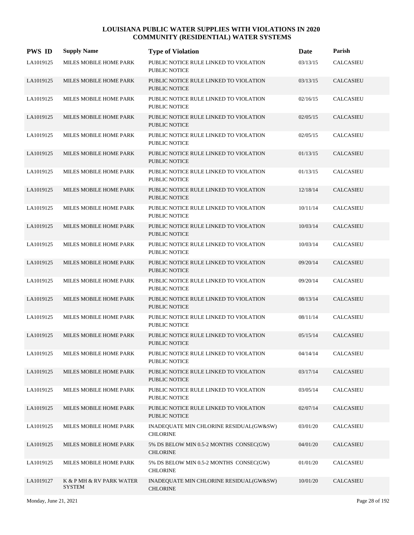| <b>PWS ID</b> | <b>Supply Name</b>                        | <b>Type of Violation</b>                                       | Date     | Parish           |
|---------------|-------------------------------------------|----------------------------------------------------------------|----------|------------------|
| LA1019125     | MILES MOBILE HOME PARK                    | PUBLIC NOTICE RULE LINKED TO VIOLATION<br>PUBLIC NOTICE        | 03/13/15 | <b>CALCASIEU</b> |
| LA1019125     | MILES MOBILE HOME PARK                    | PUBLIC NOTICE RULE LINKED TO VIOLATION<br><b>PUBLIC NOTICE</b> | 03/13/15 | CALCASIEU        |
| LA1019125     | MILES MOBILE HOME PARK                    | PUBLIC NOTICE RULE LINKED TO VIOLATION<br>PUBLIC NOTICE        | 02/16/15 | CALCASIEU        |
| LA1019125     | MILES MOBILE HOME PARK                    | PUBLIC NOTICE RULE LINKED TO VIOLATION<br><b>PUBLIC NOTICE</b> | 02/05/15 | CALCASIEU        |
| LA1019125     | MILES MOBILE HOME PARK                    | PUBLIC NOTICE RULE LINKED TO VIOLATION<br><b>PUBLIC NOTICE</b> | 02/05/15 | CALCASIEU        |
| LA1019125     | MILES MOBILE HOME PARK                    | PUBLIC NOTICE RULE LINKED TO VIOLATION<br><b>PUBLIC NOTICE</b> | 01/13/15 | CALCASIEU        |
| LA1019125     | MILES MOBILE HOME PARK                    | PUBLIC NOTICE RULE LINKED TO VIOLATION<br><b>PUBLIC NOTICE</b> | 01/13/15 | <b>CALCASIEU</b> |
| LA1019125     | MILES MOBILE HOME PARK                    | PUBLIC NOTICE RULE LINKED TO VIOLATION<br><b>PUBLIC NOTICE</b> | 12/18/14 | <b>CALCASIEU</b> |
| LA1019125     | MILES MOBILE HOME PARK                    | PUBLIC NOTICE RULE LINKED TO VIOLATION<br><b>PUBLIC NOTICE</b> | 10/11/14 | CALCASIEU        |
| LA1019125     | MILES MOBILE HOME PARK                    | PUBLIC NOTICE RULE LINKED TO VIOLATION<br><b>PUBLIC NOTICE</b> | 10/03/14 | CALCASIEU        |
| LA1019125     | MILES MOBILE HOME PARK                    | PUBLIC NOTICE RULE LINKED TO VIOLATION<br>PUBLIC NOTICE        | 10/03/14 | CALCASIEU        |
| LA1019125     | MILES MOBILE HOME PARK                    | PUBLIC NOTICE RULE LINKED TO VIOLATION<br><b>PUBLIC NOTICE</b> | 09/20/14 | CALCASIEU        |
| LA1019125     | MILES MOBILE HOME PARK                    | PUBLIC NOTICE RULE LINKED TO VIOLATION<br><b>PUBLIC NOTICE</b> | 09/20/14 | CALCASIEU        |
| LA1019125     | MILES MOBILE HOME PARK                    | PUBLIC NOTICE RULE LINKED TO VIOLATION<br><b>PUBLIC NOTICE</b> | 08/13/14 | CALCASIEU        |
| LA1019125     | MILES MOBILE HOME PARK                    | PUBLIC NOTICE RULE LINKED TO VIOLATION<br><b>PUBLIC NOTICE</b> | 08/11/14 | CALCASIEU        |
| LA1019125     | MILES MOBILE HOME PARK                    | PUBLIC NOTICE RULE LINKED TO VIOLATION<br>PUBLIC NOTICE        | 05/15/14 | CALCASIEU        |
| LA1019125     | MILES MOBILE HOME PARK                    | PUBLIC NOTICE RULE LINKED TO VIOLATION<br>PUBLIC NOTICE        | 04/14/14 | <b>CALCASIEU</b> |
| LA1019125     | MILES MOBILE HOME PARK                    | PUBLIC NOTICE RULE LINKED TO VIOLATION<br><b>PUBLIC NOTICE</b> | 03/17/14 | CALCASIEU        |
| LA1019125     | MILES MOBILE HOME PARK                    | PUBLIC NOTICE RULE LINKED TO VIOLATION<br>PUBLIC NOTICE        | 03/05/14 | CALCASIEU        |
| LA1019125     | MILES MOBILE HOME PARK                    | PUBLIC NOTICE RULE LINKED TO VIOLATION<br>PUBLIC NOTICE        | 02/07/14 | CALCASIEU        |
| LA1019125     | MILES MOBILE HOME PARK                    | INADEQUATE MIN CHLORINE RESIDUAL(GW&SW)<br><b>CHLORINE</b>     | 03/01/20 | CALCASIEU        |
| LA1019125     | MILES MOBILE HOME PARK                    | 5% DS BELOW MIN 0.5-2 MONTHS CONSEC(GW)<br><b>CHLORINE</b>     | 04/01/20 | <b>CALCASIEU</b> |
| LA1019125     | MILES MOBILE HOME PARK                    | 5% DS BELOW MIN 0.5-2 MONTHS CONSEC(GW)<br><b>CHLORINE</b>     | 01/01/20 | CALCASIEU        |
| LA1019127     | K & P MH & RV PARK WATER<br><b>SYSTEM</b> | INADEQUATE MIN CHLORINE RESIDUAL(GW&SW)<br><b>CHLORINE</b>     | 10/01/20 | <b>CALCASIEU</b> |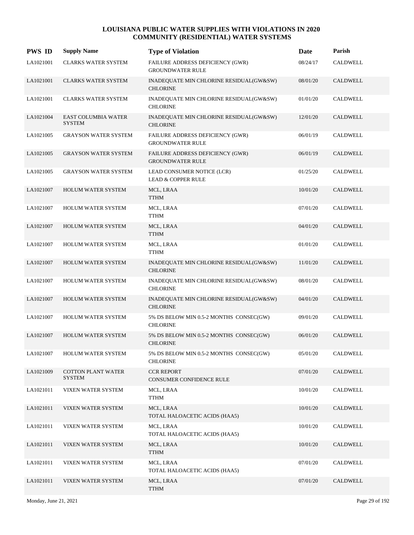| <b>PWS ID</b> | <b>Supply Name</b>                          | <b>Type of Violation</b>                                    | Date     | Parish          |
|---------------|---------------------------------------------|-------------------------------------------------------------|----------|-----------------|
| LA1021001     | <b>CLARKS WATER SYSTEM</b>                  | FAILURE ADDRESS DEFICIENCY (GWR)<br><b>GROUNDWATER RULE</b> | 08/24/17 | <b>CALDWELL</b> |
| LA1021001     | <b>CLARKS WATER SYSTEM</b>                  | INADEQUATE MIN CHLORINE RESIDUAL(GW&SW)<br><b>CHLORINE</b>  | 08/01/20 | CALDWELL        |
| LA1021001     | <b>CLARKS WATER SYSTEM</b>                  | INADEQUATE MIN CHLORINE RESIDUAL(GW&SW)<br><b>CHLORINE</b>  | 01/01/20 | CALDWELL        |
| LA1021004     | <b>EAST COLUMBIA WATER</b><br><b>SYSTEM</b> | INADEQUATE MIN CHLORINE RESIDUAL(GW&SW)<br><b>CHLORINE</b>  | 12/01/20 | <b>CALDWELL</b> |
| LA1021005     | <b>GRAYSON WATER SYSTEM</b>                 | FAILURE ADDRESS DEFICIENCY (GWR)<br><b>GROUNDWATER RULE</b> | 06/01/19 | <b>CALDWELL</b> |
| LA1021005     | <b>GRAYSON WATER SYSTEM</b>                 | FAILURE ADDRESS DEFICIENCY (GWR)<br><b>GROUNDWATER RULE</b> | 06/01/19 | <b>CALDWELL</b> |
| LA1021005     | <b>GRAYSON WATER SYSTEM</b>                 | LEAD CONSUMER NOTICE (LCR)<br><b>LEAD &amp; COPPER RULE</b> | 01/25/20 | CALDWELL        |
| LA1021007     | <b>HOLUM WATER SYSTEM</b>                   | MCL, LRAA<br><b>TTHM</b>                                    | 10/01/20 | <b>CALDWELL</b> |
| LA1021007     | HOLUM WATER SYSTEM                          | MCL, LRAA<br><b>TTHM</b>                                    | 07/01/20 | <b>CALDWELL</b> |
| LA1021007     | HOLUM WATER SYSTEM                          | MCL, LRAA<br><b>TTHM</b>                                    | 04/01/20 | <b>CALDWELL</b> |
| LA1021007     | HOLUM WATER SYSTEM                          | MCL, LRAA<br><b>TTHM</b>                                    | 01/01/20 | <b>CALDWELL</b> |
| LA1021007     | <b>HOLUM WATER SYSTEM</b>                   | INADEQUATE MIN CHLORINE RESIDUAL(GW&SW)<br><b>CHLORINE</b>  | 11/01/20 | <b>CALDWELL</b> |
| LA1021007     | <b>HOLUM WATER SYSTEM</b>                   | INADEQUATE MIN CHLORINE RESIDUAL(GW&SW)<br><b>CHLORINE</b>  | 08/01/20 | CALDWELL        |
| LA1021007     | <b>HOLUM WATER SYSTEM</b>                   | INADEQUATE MIN CHLORINE RESIDUAL(GW&SW)<br><b>CHLORINE</b>  | 04/01/20 | <b>CALDWELL</b> |
| LA1021007     | <b>HOLUM WATER SYSTEM</b>                   | 5% DS BELOW MIN 0.5-2 MONTHS CONSEC(GW)<br><b>CHLORINE</b>  | 09/01/20 | <b>CALDWELL</b> |
| LA1021007     | HOLUM WATER SYSTEM                          | 5% DS BELOW MIN 0.5-2 MONTHS CONSEC(GW)<br><b>CHLORINE</b>  | 06/01/20 | <b>CALDWELL</b> |
| LA1021007     | <b>HOLUM WATER SYSTEM</b>                   | 5% DS BELOW MIN 0.5-2 MONTHS CONSEC(GW)<br><b>CHLORINE</b>  | 05/01/20 | <b>CALDWELL</b> |
| LA1021009     | <b>COTTON PLANT WATER</b><br><b>SYSTEM</b>  | <b>CCR REPORT</b><br>CONSUMER CONFIDENCE RULE               | 07/01/20 | <b>CALDWELL</b> |
| LA1021011     | VIXEN WATER SYSTEM                          | MCL, LRAA<br><b>TTHM</b>                                    | 10/01/20 | <b>CALDWELL</b> |
| LA1021011     | VIXEN WATER SYSTEM                          | MCL, LRAA<br>TOTAL HALOACETIC ACIDS (HAA5)                  | 10/01/20 | <b>CALDWELL</b> |
| LA1021011     | VIXEN WATER SYSTEM                          | MCL, LRAA<br>TOTAL HALOACETIC ACIDS (HAA5)                  | 10/01/20 | <b>CALDWELL</b> |
| LA1021011     | VIXEN WATER SYSTEM                          | MCL, LRAA<br><b>TTHM</b>                                    | 10/01/20 | <b>CALDWELL</b> |
| LA1021011     | VIXEN WATER SYSTEM                          | MCL, LRAA<br>TOTAL HALOACETIC ACIDS (HAA5)                  | 07/01/20 | <b>CALDWELL</b> |
| LA1021011     | VIXEN WATER SYSTEM                          | MCL, LRAA<br><b>TTHM</b>                                    | 07/01/20 | <b>CALDWELL</b> |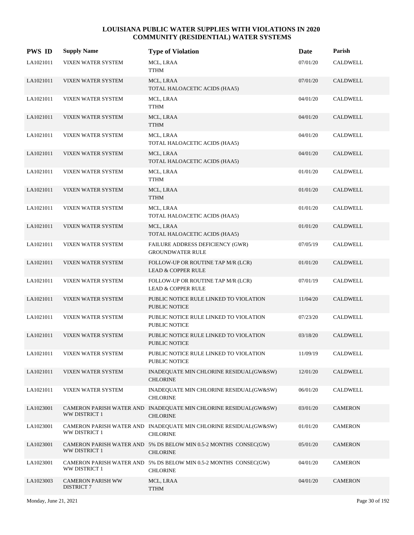| <b>PWS ID</b> | <b>Supply Name</b>                            | <b>Type of Violation</b>                                                            | Date     | Parish          |
|---------------|-----------------------------------------------|-------------------------------------------------------------------------------------|----------|-----------------|
| LA1021011     | VIXEN WATER SYSTEM                            | MCL, LRAA<br>TTHM                                                                   | 07/01/20 | <b>CALDWELL</b> |
| LA1021011     | VIXEN WATER SYSTEM                            | MCL, LRAA<br>TOTAL HALOACETIC ACIDS (HAA5)                                          | 07/01/20 | <b>CALDWELL</b> |
| LA1021011     | VIXEN WATER SYSTEM                            | MCL, LRAA<br><b>TTHM</b>                                                            | 04/01/20 | <b>CALDWELL</b> |
| LA1021011     | VIXEN WATER SYSTEM                            | MCL, LRAA<br><b>TTHM</b>                                                            | 04/01/20 | <b>CALDWELL</b> |
| LA1021011     | VIXEN WATER SYSTEM                            | MCL, LRAA<br>TOTAL HALOACETIC ACIDS (HAA5)                                          | 04/01/20 | CALDWELL        |
| LA1021011     | VIXEN WATER SYSTEM                            | MCL, LRAA<br>TOTAL HALOACETIC ACIDS (HAA5)                                          | 04/01/20 | <b>CALDWELL</b> |
| LA1021011     | VIXEN WATER SYSTEM                            | MCL, LRAA<br><b>TTHM</b>                                                            | 01/01/20 | CALDWELL        |
| LA1021011     | VIXEN WATER SYSTEM                            | MCL, LRAA<br><b>TTHM</b>                                                            | 01/01/20 | <b>CALDWELL</b> |
| LA1021011     | VIXEN WATER SYSTEM                            | MCL, LRAA<br>TOTAL HALOACETIC ACIDS (HAA5)                                          | 01/01/20 | <b>CALDWELL</b> |
| LA1021011     | VIXEN WATER SYSTEM                            | MCL, LRAA<br>TOTAL HALOACETIC ACIDS (HAA5)                                          | 01/01/20 | <b>CALDWELL</b> |
| LA1021011     | VIXEN WATER SYSTEM                            | FAILURE ADDRESS DEFICIENCY (GWR)<br><b>GROUNDWATER RULE</b>                         | 07/05/19 | CALDWELL        |
| LA1021011     | VIXEN WATER SYSTEM                            | FOLLOW-UP OR ROUTINE TAP M/R (LCR)<br><b>LEAD &amp; COPPER RULE</b>                 | 01/01/20 | CALDWELL        |
| LA1021011     | VIXEN WATER SYSTEM                            | FOLLOW-UP OR ROUTINE TAP M/R (LCR)<br><b>LEAD &amp; COPPER RULE</b>                 | 07/01/19 | CALDWELL        |
| LA1021011     | VIXEN WATER SYSTEM                            | PUBLIC NOTICE RULE LINKED TO VIOLATION<br><b>PUBLIC NOTICE</b>                      | 11/04/20 | <b>CALDWELL</b> |
| LA1021011     | VIXEN WATER SYSTEM                            | PUBLIC NOTICE RULE LINKED TO VIOLATION<br>PUBLIC NOTICE                             | 07/23/20 | CALDWELL        |
| LA1021011     | VIXEN WATER SYSTEM                            | PUBLIC NOTICE RULE LINKED TO VIOLATION<br>PUBLIC NOTICE                             | 03/18/20 | <b>CALDWELL</b> |
| LA1021011     | VIXEN WATER SYSTEM                            | PUBLIC NOTICE RULE LINKED TO VIOLATION<br>PUBLIC NOTICE                             | 11/09/19 | <b>CALDWELL</b> |
| LA1021011     | VIXEN WATER SYSTEM                            | INADEQUATE MIN CHLORINE RESIDUAL(GW&SW)<br><b>CHLORINE</b>                          | 12/01/20 | <b>CALDWELL</b> |
| LA1021011     | VIXEN WATER SYSTEM                            | INADEQUATE MIN CHLORINE RESIDUAL(GW&SW)<br><b>CHLORINE</b>                          | 06/01/20 | CALDWELL        |
| LA1023001     | WW DISTRICT 1                                 | CAMERON PARISH WATER AND INADEQUATE MIN CHLORINE RESIDUAL(GW&SW)<br><b>CHLORINE</b> | 03/01/20 | <b>CAMERON</b>  |
| LA1023001     | WW DISTRICT 1                                 | CAMERON PARISH WATER AND INADEQUATE MIN CHLORINE RESIDUAL(GW&SW)<br><b>CHLORINE</b> | 01/01/20 | <b>CAMERON</b>  |
| LA1023001     | WW DISTRICT 1                                 | CAMERON PARISH WATER AND 5% DS BELOW MIN 0.5-2 MONTHS CONSEC(GW)<br><b>CHLORINE</b> | 05/01/20 | <b>CAMERON</b>  |
| LA1023001     | WW DISTRICT 1                                 | CAMERON PARISH WATER AND 5% DS BELOW MIN 0.5-2 MONTHS CONSEC(GW)<br><b>CHLORINE</b> | 04/01/20 | <b>CAMERON</b>  |
| LA1023003     | <b>CAMERON PARISH WW</b><br><b>DISTRICT 7</b> | MCL, LRAA<br><b>TTHM</b>                                                            | 04/01/20 | <b>CAMERON</b>  |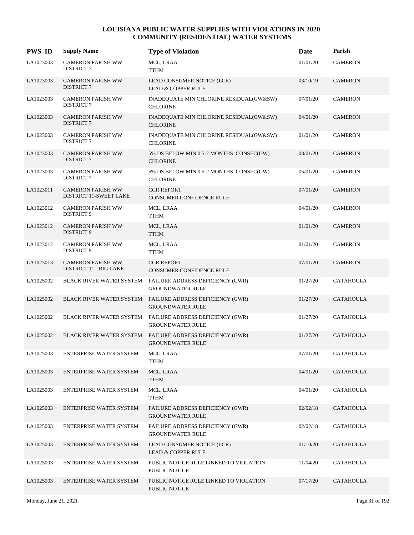| <b>PWS ID</b> | <b>Supply Name</b>                                        | <b>Type of Violation</b>                                                             | Date     | Parish           |
|---------------|-----------------------------------------------------------|--------------------------------------------------------------------------------------|----------|------------------|
| LA1023003     | <b>CAMERON PARISH WW</b><br><b>DISTRICT 7</b>             | MCL, LRAA<br><b>TTHM</b>                                                             | 01/01/20 | <b>CAMERON</b>   |
| LA1023003     | <b>CAMERON PARISH WW</b><br><b>DISTRICT 7</b>             | LEAD CONSUMER NOTICE (LCR)<br><b>LEAD &amp; COPPER RULE</b>                          | 03/10/19 | <b>CAMERON</b>   |
| LA1023003     | <b>CAMERON PARISH WW</b><br><b>DISTRICT 7</b>             | INADEQUATE MIN CHLORINE RESIDUAL(GW&SW)<br><b>CHLORINE</b>                           | 07/01/20 | <b>CAMERON</b>   |
| LA1023003     | <b>CAMERON PARISH WW</b><br><b>DISTRICT 7</b>             | INADEQUATE MIN CHLORINE RESIDUAL(GW&SW)<br><b>CHLORINE</b>                           | 04/01/20 | <b>CAMERON</b>   |
| LA1023003     | <b>CAMERON PARISH WW</b><br><b>DISTRICT 7</b>             | INADEQUATE MIN CHLORINE RESIDUAL(GW&SW)<br><b>CHLORINE</b>                           | 01/01/20 | <b>CAMERON</b>   |
| LA1023003     | <b>CAMERON PARISH WW</b><br><b>DISTRICT 7</b>             | 5% DS BELOW MIN 0.5-2 MONTHS CONSEC(GW)<br><b>CHLORINE</b>                           | 08/01/20 | <b>CAMERON</b>   |
| LA1023003     | <b>CAMERON PARISH WW</b><br><b>DISTRICT 7</b>             | 5% DS BELOW MIN 0.5-2 MONTHS CONSEC(GW)<br><b>CHLORINE</b>                           | 05/01/20 | <b>CAMERON</b>   |
| LA1023011     | <b>CAMERON PARISH WW</b><br>DISTRICT 11-SWEET LAKE        | <b>CCR REPORT</b><br><b>CONSUMER CONFIDENCE RULE</b>                                 | 07/01/20 | <b>CAMERON</b>   |
| LA1023012     | <b>CAMERON PARISH WW</b><br><b>DISTRICT 9</b>             | MCL, LRAA<br>TTHM                                                                    | 04/01/20 | <b>CAMERON</b>   |
| LA1023012     | <b>CAMERON PARISH WW</b><br><b>DISTRICT 9</b>             | MCL, LRAA<br><b>TTHM</b>                                                             | 01/01/20 | <b>CAMERON</b>   |
| LA1023012     | <b>CAMERON PARISH WW</b><br>DISTRICT 9                    | MCL, LRAA<br>TTHM                                                                    | 01/01/20 | <b>CAMERON</b>   |
| LA1023013     | <b>CAMERON PARISH WW</b><br><b>DISTRICT 11 - BIG LAKE</b> | <b>CCR REPORT</b><br><b>CONSUMER CONFIDENCE RULE</b>                                 | 07/01/20 | <b>CAMERON</b>   |
| LA1025002     |                                                           | BLACK RIVER WATER SYSTEM FAILURE ADDRESS DEFICIENCY (GWR)<br><b>GROUNDWATER RULE</b> | 01/27/20 | <b>CATAHOULA</b> |
| LA1025002     |                                                           | BLACK RIVER WATER SYSTEM FAILURE ADDRESS DEFICIENCY (GWR)<br><b>GROUNDWATER RULE</b> | 01/27/20 | <b>CATAHOULA</b> |
| LA1025002     |                                                           | BLACK RIVER WATER SYSTEM FAILURE ADDRESS DEFICIENCY (GWR)<br><b>GROUNDWATER RULE</b> | 01/27/20 | <b>CATAHOULA</b> |
| LA1025002     | BLACK RIVER WATER SYSTEM                                  | FAILURE ADDRESS DEFICIENCY (GWR)<br><b>GROUNDWATER RULE</b>                          | 01/27/20 | <b>CATAHOULA</b> |
| LA1025003     | ENTERPRISE WATER SYSTEM                                   | MCL, LRAA<br><b>TTHM</b>                                                             | 07/01/20 | <b>CATAHOULA</b> |
| LA1025003     | ENTERPRISE WATER SYSTEM                                   | MCL, LRAA<br><b>TTHM</b>                                                             | 04/01/20 | <b>CATAHOULA</b> |
| LA1025003     | ENTERPRISE WATER SYSTEM                                   | MCL, LRAA<br><b>TTHM</b>                                                             | 04/01/20 | <b>CATAHOULA</b> |
| LA1025003     | ENTERPRISE WATER SYSTEM                                   | FAILURE ADDRESS DEFICIENCY (GWR)<br><b>GROUNDWATER RULE</b>                          | 02/02/18 | <b>CATAHOULA</b> |
| LA1025003     | ENTERPRISE WATER SYSTEM                                   | FAILURE ADDRESS DEFICIENCY (GWR)<br><b>GROUNDWATER RULE</b>                          | 02/02/18 | <b>CATAHOULA</b> |
| LA1025003     | ENTERPRISE WATER SYSTEM                                   | LEAD CONSUMER NOTICE (LCR)<br>LEAD & COPPER RULE                                     | 01/10/20 | <b>CATAHOULA</b> |
| LA1025003     | ENTERPRISE WATER SYSTEM                                   | PUBLIC NOTICE RULE LINKED TO VIOLATION<br>PUBLIC NOTICE                              | 11/04/20 | <b>CATAHOULA</b> |
| LA1025003     | <b>ENTERPRISE WATER SYSTEM</b>                            | PUBLIC NOTICE RULE LINKED TO VIOLATION<br>PUBLIC NOTICE                              | 07/17/20 | <b>CATAHOULA</b> |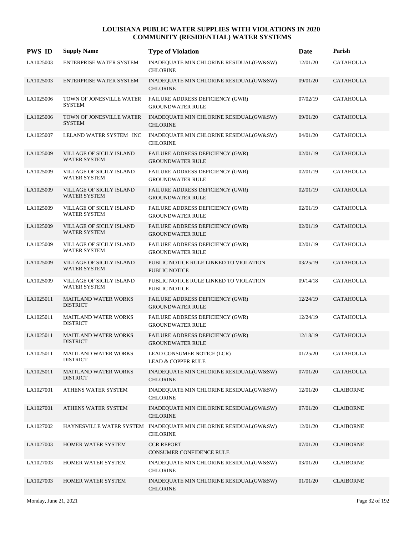| <b>PWS ID</b> | <b>Supply Name</b>                                     | <b>Type of Violation</b>                                                            | Date     | Parish           |
|---------------|--------------------------------------------------------|-------------------------------------------------------------------------------------|----------|------------------|
| LA1025003     | ENTERPRISE WATER SYSTEM                                | INADEQUATE MIN CHLORINE RESIDUAL(GW&SW)<br><b>CHLORINE</b>                          | 12/01/20 | <b>CATAHOULA</b> |
| LA1025003     | ENTERPRISE WATER SYSTEM                                | INADEQUATE MIN CHLORINE RESIDUAL(GW&SW)<br><b>CHLORINE</b>                          | 09/01/20 | <b>CATAHOULA</b> |
| LA1025006     | TOWN OF JONESVILLE WATER<br><b>SYSTEM</b>              | FAILURE ADDRESS DEFICIENCY (GWR)<br><b>GROUNDWATER RULE</b>                         | 07/02/19 | CATAHOULA        |
| LA1025006     | TOWN OF JONESVILLE WATER<br><b>SYSTEM</b>              | INADEQUATE MIN CHLORINE RESIDUAL(GW&SW)<br><b>CHLORINE</b>                          | 09/01/20 | <b>CATAHOULA</b> |
| LA1025007     | LELAND WATER SYSTEM INC                                | INADEQUATE MIN CHLORINE RESIDUAL(GW&SW)<br><b>CHLORINE</b>                          | 04/01/20 | <b>CATAHOULA</b> |
| LA1025009     | VILLAGE OF SICILY ISLAND<br><b>WATER SYSTEM</b>        | FAILURE ADDRESS DEFICIENCY (GWR)<br><b>GROUNDWATER RULE</b>                         | 02/01/19 | <b>CATAHOULA</b> |
| LA1025009     | VILLAGE OF SICILY ISLAND<br><b>WATER SYSTEM</b>        | <b>FAILURE ADDRESS DEFICIENCY (GWR)</b><br><b>GROUNDWATER RULE</b>                  | 02/01/19 | CATAHOULA        |
| LA1025009     | VILLAGE OF SICILY ISLAND<br><b>WATER SYSTEM</b>        | FAILURE ADDRESS DEFICIENCY (GWR)<br><b>GROUNDWATER RULE</b>                         | 02/01/19 | <b>CATAHOULA</b> |
| LA1025009     | VILLAGE OF SICILY ISLAND<br><b>WATER SYSTEM</b>        | FAILURE ADDRESS DEFICIENCY (GWR)<br><b>GROUNDWATER RULE</b>                         | 02/01/19 | <b>CATAHOULA</b> |
| LA1025009     | <b>VILLAGE OF SICILY ISLAND</b><br><b>WATER SYSTEM</b> | FAILURE ADDRESS DEFICIENCY (GWR)<br><b>GROUNDWATER RULE</b>                         | 02/01/19 | <b>CATAHOULA</b> |
| LA1025009     | VILLAGE OF SICILY ISLAND<br><b>WATER SYSTEM</b>        | FAILURE ADDRESS DEFICIENCY (GWR)<br><b>GROUNDWATER RULE</b>                         | 02/01/19 | <b>CATAHOULA</b> |
| LA1025009     | VILLAGE OF SICILY ISLAND<br><b>WATER SYSTEM</b>        | PUBLIC NOTICE RULE LINKED TO VIOLATION<br><b>PUBLIC NOTICE</b>                      | 03/25/19 | <b>CATAHOULA</b> |
| LA1025009     | VILLAGE OF SICILY ISLAND<br><b>WATER SYSTEM</b>        | PUBLIC NOTICE RULE LINKED TO VIOLATION<br>PUBLIC NOTICE                             | 09/14/18 | <b>CATAHOULA</b> |
| LA1025011     | <b>MAITLAND WATER WORKS</b><br><b>DISTRICT</b>         | FAILURE ADDRESS DEFICIENCY (GWR)<br><b>GROUNDWATER RULE</b>                         | 12/24/19 | <b>CATAHOULA</b> |
| LA1025011     | <b>MAITLAND WATER WORKS</b><br><b>DISTRICT</b>         | FAILURE ADDRESS DEFICIENCY (GWR)<br><b>GROUNDWATER RULE</b>                         | 12/24/19 | <b>CATAHOULA</b> |
| LA1025011     | <b>MAITLAND WATER WORKS</b><br><b>DISTRICT</b>         | FAILURE ADDRESS DEFICIENCY (GWR)<br><b>GROUNDWATER RULE</b>                         | 12/18/19 | <b>CATAHOULA</b> |
| LA1025011     | <b>MAITLAND WATER WORKS</b><br><b>DISTRICT</b>         | LEAD CONSUMER NOTICE (LCR)<br><b>LEAD &amp; COPPER RULE</b>                         | 01/25/20 | <b>CATAHOULA</b> |
| LA1025011     | <b>MAITLAND WATER WORKS</b><br><b>DISTRICT</b>         | INADEQUATE MIN CHLORINE RESIDUAL(GW&SW)<br><b>CHLORINE</b>                          | 07/01/20 | <b>CATAHOULA</b> |
| LA1027001     | ATHENS WATER SYSTEM                                    | INADEQUATE MIN CHLORINE RESIDUAL(GW&SW)<br><b>CHLORINE</b>                          | 12/01/20 | <b>CLAIBORNE</b> |
| LA1027001     | ATHENS WATER SYSTEM                                    | INADEQUATE MIN CHLORINE RESIDUAL(GW&SW)<br><b>CHLORINE</b>                          | 07/01/20 | <b>CLAIBORNE</b> |
| LA1027002     |                                                        | HAYNESVILLE WATER SYSTEM INADEQUATE MIN CHLORINE RESIDUAL(GW&SW)<br><b>CHLORINE</b> | 12/01/20 | <b>CLAIBORNE</b> |
| LA1027003     | HOMER WATER SYSTEM                                     | <b>CCR REPORT</b><br>CONSUMER CONFIDENCE RULE                                       | 07/01/20 | <b>CLAIBORNE</b> |
| LA1027003     | HOMER WATER SYSTEM                                     | INADEQUATE MIN CHLORINE RESIDUAL(GW&SW)<br><b>CHLORINE</b>                          | 03/01/20 | <b>CLAIBORNE</b> |
| LA1027003     | HOMER WATER SYSTEM                                     | INADEQUATE MIN CHLORINE RESIDUAL(GW&SW)<br><b>CHLORINE</b>                          | 01/01/20 | <b>CLAIBORNE</b> |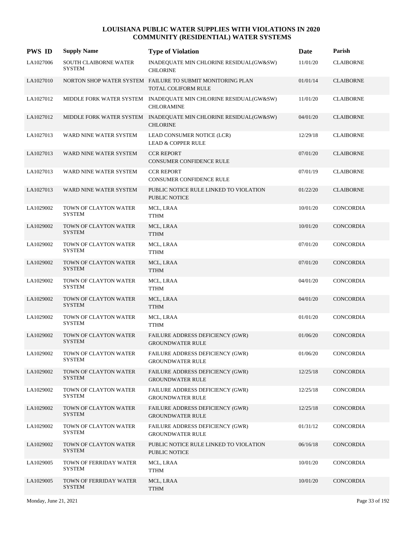| <b>PWS ID</b> | <b>Supply Name</b>                      | <b>Type of Violation</b>                                                              | Date     | Parish           |
|---------------|-----------------------------------------|---------------------------------------------------------------------------------------|----------|------------------|
| LA1027006     | SOUTH CLAIBORNE WATER<br><b>SYSTEM</b>  | INADEQUATE MIN CHLORINE RESIDUAL(GW&SW)<br><b>CHLORINE</b>                            | 11/01/20 | <b>CLAIBORNE</b> |
| LA1027010     |                                         | NORTON SHOP WATER SYSTEM FAILURE TO SUBMIT MONITORING PLAN<br>TOTAL COLIFORM RULE     | 01/01/14 | <b>CLAIBORNE</b> |
| LA1027012     |                                         | MIDDLE FORK WATER SYSTEM INADEQUATE MIN CHLORINE RESIDUAL(GW&SW)<br><b>CHLORAMINE</b> | 11/01/20 | <b>CLAIBORNE</b> |
| LA1027012     |                                         | MIDDLE FORK WATER SYSTEM INADEQUATE MIN CHLORINE RESIDUAL(GW&SW)<br><b>CHLORINE</b>   | 04/01/20 | <b>CLAIBORNE</b> |
| LA1027013     | WARD NINE WATER SYSTEM                  | LEAD CONSUMER NOTICE (LCR)<br><b>LEAD &amp; COPPER RULE</b>                           | 12/29/18 | <b>CLAIBORNE</b> |
| LA1027013     | WARD NINE WATER SYSTEM                  | <b>CCR REPORT</b><br>CONSUMER CONFIDENCE RULE                                         | 07/01/20 | <b>CLAIBORNE</b> |
| LA1027013     | WARD NINE WATER SYSTEM                  | <b>CCR REPORT</b><br>CONSUMER CONFIDENCE RULE                                         | 07/01/19 | <b>CLAIBORNE</b> |
| LA1027013     | WARD NINE WATER SYSTEM                  | PUBLIC NOTICE RULE LINKED TO VIOLATION<br><b>PUBLIC NOTICE</b>                        | 01/22/20 | <b>CLAIBORNE</b> |
| LA1029002     | TOWN OF CLAYTON WATER<br><b>SYSTEM</b>  | MCL, LRAA<br><b>TTHM</b>                                                              | 10/01/20 | <b>CONCORDIA</b> |
| LA1029002     | TOWN OF CLAYTON WATER<br><b>SYSTEM</b>  | MCL, LRAA<br><b>TTHM</b>                                                              | 10/01/20 | CONCORDIA        |
| LA1029002     | TOWN OF CLAYTON WATER<br><b>SYSTEM</b>  | MCL, LRAA<br><b>TTHM</b>                                                              | 07/01/20 | <b>CONCORDIA</b> |
| LA1029002     | TOWN OF CLAYTON WATER<br><b>SYSTEM</b>  | MCL, LRAA<br><b>TTHM</b>                                                              | 07/01/20 | <b>CONCORDIA</b> |
| LA1029002     | TOWN OF CLAYTON WATER<br><b>SYSTEM</b>  | MCL, LRAA<br><b>TTHM</b>                                                              | 04/01/20 | <b>CONCORDIA</b> |
| LA1029002     | TOWN OF CLAYTON WATER<br><b>SYSTEM</b>  | MCL, LRAA<br><b>TTHM</b>                                                              | 04/01/20 | <b>CONCORDIA</b> |
| LA1029002     | TOWN OF CLAYTON WATER<br><b>SYSTEM</b>  | MCL, LRAA<br><b>TTHM</b>                                                              | 01/01/20 | CONCORDIA        |
| LA1029002     | TOWN OF CLAYTON WATER<br><b>SYSTEM</b>  | FAILURE ADDRESS DEFICIENCY (GWR)<br><b>GROUNDWATER RULE</b>                           | 01/06/20 | CONCORDIA        |
| LA1029002     | TOWN OF CLAYTON WATER<br>SYSTEM         | FAILURE ADDRESS DEFICIENCY (GWR)<br><b>GROUNDWATER RULE</b>                           | 01/06/20 | CONCORDIA        |
| LA1029002     | TOWN OF CLAYTON WATER<br><b>SYSTEM</b>  | FAILURE ADDRESS DEFICIENCY (GWR)<br><b>GROUNDWATER RULE</b>                           | 12/25/18 | <b>CONCORDIA</b> |
| LA1029002     | TOWN OF CLAYTON WATER<br>SYSTEM         | FAILURE ADDRESS DEFICIENCY (GWR)<br><b>GROUNDWATER RULE</b>                           | 12/25/18 | CONCORDIA        |
| LA1029002     | TOWN OF CLAYTON WATER<br><b>SYSTEM</b>  | <b>FAILURE ADDRESS DEFICIENCY (GWR)</b><br><b>GROUNDWATER RULE</b>                    | 12/25/18 | CONCORDIA        |
| LA1029002     | TOWN OF CLAYTON WATER<br><b>SYSTEM</b>  | FAILURE ADDRESS DEFICIENCY (GWR)<br><b>GROUNDWATER RULE</b>                           | 01/31/12 | CONCORDIA        |
| LA1029002     | TOWN OF CLAYTON WATER<br><b>SYSTEM</b>  | PUBLIC NOTICE RULE LINKED TO VIOLATION<br>PUBLIC NOTICE                               | 06/16/18 | CONCORDIA        |
| LA1029005     | TOWN OF FERRIDAY WATER<br>SYSTEM        | MCL, LRAA<br><b>TTHM</b>                                                              | 10/01/20 | CONCORDIA        |
| LA1029005     | TOWN OF FERRIDAY WATER<br><b>SYSTEM</b> | MCL, LRAA<br><b>TTHM</b>                                                              | 10/01/20 | CONCORDIA        |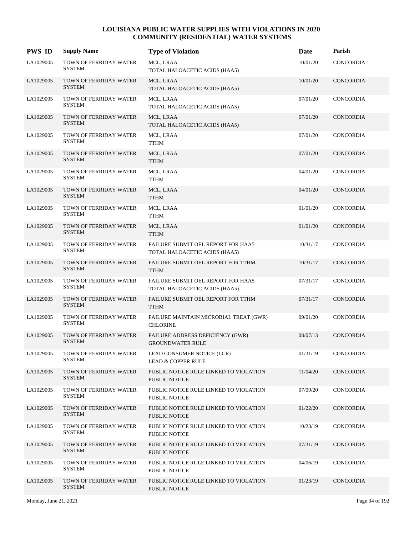| <b>PWS ID</b> | <b>Supply Name</b>                      | <b>Type of Violation</b>                                            | Date     | Parish           |
|---------------|-----------------------------------------|---------------------------------------------------------------------|----------|------------------|
| LA1029005     | TOWN OF FERRIDAY WATER<br>SYSTEM        | MCL, LRAA<br>TOTAL HALOACETIC ACIDS (HAA5)                          | 10/01/20 | <b>CONCORDIA</b> |
| LA1029005     | TOWN OF FERRIDAY WATER<br><b>SYSTEM</b> | MCL, LRAA<br>TOTAL HALOACETIC ACIDS (HAA5)                          | 10/01/20 | <b>CONCORDIA</b> |
| LA1029005     | TOWN OF FERRIDAY WATER<br><b>SYSTEM</b> | MCL, LRAA<br>TOTAL HALOACETIC ACIDS (HAA5)                          | 07/01/20 | CONCORDIA        |
| LA1029005     | TOWN OF FERRIDAY WATER<br><b>SYSTEM</b> | MCL, LRAA<br>TOTAL HALOACETIC ACIDS (HAA5)                          | 07/01/20 | CONCORDIA        |
| LA1029005     | TOWN OF FERRIDAY WATER<br><b>SYSTEM</b> | MCL, LRAA<br><b>TTHM</b>                                            | 07/01/20 | CONCORDIA        |
| LA1029005     | TOWN OF FERRIDAY WATER<br><b>SYSTEM</b> | MCL, LRAA<br><b>TTHM</b>                                            | 07/01/20 | CONCORDIA        |
| LA1029005     | TOWN OF FERRIDAY WATER<br><b>SYSTEM</b> | MCL, LRAA<br><b>TTHM</b>                                            | 04/01/20 | CONCORDIA        |
| LA1029005     | TOWN OF FERRIDAY WATER<br><b>SYSTEM</b> | MCL, LRAA<br><b>TTHM</b>                                            | 04/01/20 | CONCORDIA        |
| LA1029005     | TOWN OF FERRIDAY WATER<br><b>SYSTEM</b> | MCL, LRAA<br><b>TTHM</b>                                            | 01/01/20 | <b>CONCORDIA</b> |
| LA1029005     | TOWN OF FERRIDAY WATER<br><b>SYSTEM</b> | MCL, LRAA<br><b>TTHM</b>                                            | 01/01/20 | <b>CONCORDIA</b> |
| LA1029005     | TOWN OF FERRIDAY WATER<br><b>SYSTEM</b> | FAILURE SUBMIT OEL REPORT FOR HAA5<br>TOTAL HALOACETIC ACIDS (HAA5) | 10/31/17 | CONCORDIA        |
| LA1029005     | TOWN OF FERRIDAY WATER<br><b>SYSTEM</b> | FAILURE SUBMIT OEL REPORT FOR TTHM<br><b>TTHM</b>                   | 10/31/17 | CONCORDIA        |
| LA1029005     | TOWN OF FERRIDAY WATER<br><b>SYSTEM</b> | FAILURE SUBMIT OEL REPORT FOR HAA5<br>TOTAL HALOACETIC ACIDS (HAA5) | 07/31/17 | CONCORDIA        |
| LA1029005     | TOWN OF FERRIDAY WATER<br><b>SYSTEM</b> | FAILURE SUBMIT OEL REPORT FOR TTHM<br><b>TTHM</b>                   | 07/31/17 | <b>CONCORDIA</b> |
| LA1029005     | TOWN OF FERRIDAY WATER<br><b>SYSTEM</b> | FAILURE MAINTAIN MICROBIAL TREAT.(GWR)<br><b>CHLORINE</b>           | 09/01/20 | CONCORDIA        |
| LA1029005     | TOWN OF FERRIDAY WATER<br><b>SYSTEM</b> | FAILURE ADDRESS DEFICIENCY (GWR)<br><b>GROUNDWATER RULE</b>         | 08/07/13 | <b>CONCORDIA</b> |
| LA1029005     | TOWN OF FERRIDAY WATER<br><b>SYSTEM</b> | LEAD CONSUMER NOTICE (LCR)<br><b>LEAD &amp; COPPER RULE</b>         | 01/31/19 | CONCORDIA        |
| LA1029005     | TOWN OF FERRIDAY WATER<br><b>SYSTEM</b> | PUBLIC NOTICE RULE LINKED TO VIOLATION<br><b>PUBLIC NOTICE</b>      | 11/04/20 | CONCORDIA        |
| LA1029005     | TOWN OF FERRIDAY WATER<br><b>SYSTEM</b> | PUBLIC NOTICE RULE LINKED TO VIOLATION<br><b>PUBLIC NOTICE</b>      | 07/09/20 | CONCORDIA        |
| LA1029005     | TOWN OF FERRIDAY WATER<br><b>SYSTEM</b> | PUBLIC NOTICE RULE LINKED TO VIOLATION<br><b>PUBLIC NOTICE</b>      | 01/22/20 | CONCORDIA        |
| LA1029005     | TOWN OF FERRIDAY WATER<br><b>SYSTEM</b> | PUBLIC NOTICE RULE LINKED TO VIOLATION<br><b>PUBLIC NOTICE</b>      | 10/23/19 | <b>CONCORDIA</b> |
| LA1029005     | TOWN OF FERRIDAY WATER<br><b>SYSTEM</b> | PUBLIC NOTICE RULE LINKED TO VIOLATION<br>PUBLIC NOTICE             | 07/31/19 | CONCORDIA        |
| LA1029005     | TOWN OF FERRIDAY WATER<br><b>SYSTEM</b> | PUBLIC NOTICE RULE LINKED TO VIOLATION<br><b>PUBLIC NOTICE</b>      | 04/06/19 | CONCORDIA        |
| LA1029005     | TOWN OF FERRIDAY WATER<br><b>SYSTEM</b> | PUBLIC NOTICE RULE LINKED TO VIOLATION<br>PUBLIC NOTICE             | 01/23/19 | CONCORDIA        |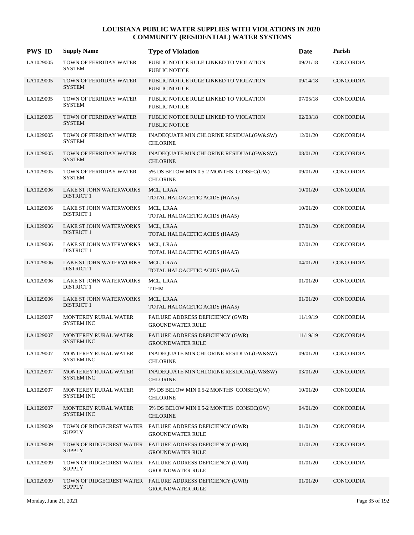| <b>PWS ID</b> | <b>Supply Name</b>                                  | <b>Type of Violation</b>                                                             | Date     | Parish           |
|---------------|-----------------------------------------------------|--------------------------------------------------------------------------------------|----------|------------------|
| LA1029005     | TOWN OF FERRIDAY WATER<br><b>SYSTEM</b>             | PUBLIC NOTICE RULE LINKED TO VIOLATION<br><b>PUBLIC NOTICE</b>                       | 09/21/18 | <b>CONCORDIA</b> |
| LA1029005     | TOWN OF FERRIDAY WATER<br><b>SYSTEM</b>             | PUBLIC NOTICE RULE LINKED TO VIOLATION<br><b>PUBLIC NOTICE</b>                       | 09/14/18 | CONCORDIA        |
| LA1029005     | TOWN OF FERRIDAY WATER<br><b>SYSTEM</b>             | PUBLIC NOTICE RULE LINKED TO VIOLATION<br><b>PUBLIC NOTICE</b>                       | 07/05/18 | <b>CONCORDIA</b> |
| LA1029005     | TOWN OF FERRIDAY WATER<br><b>SYSTEM</b>             | PUBLIC NOTICE RULE LINKED TO VIOLATION<br><b>PUBLIC NOTICE</b>                       | 02/03/18 | <b>CONCORDIA</b> |
| LA1029005     | TOWN OF FERRIDAY WATER<br><b>SYSTEM</b>             | INADEQUATE MIN CHLORINE RESIDUAL(GW&SW)<br><b>CHLORINE</b>                           | 12/01/20 | <b>CONCORDIA</b> |
| LA1029005     | TOWN OF FERRIDAY WATER<br><b>SYSTEM</b>             | INADEQUATE MIN CHLORINE RESIDUAL(GW&SW)<br><b>CHLORINE</b>                           | 08/01/20 | <b>CONCORDIA</b> |
| LA1029005     | TOWN OF FERRIDAY WATER<br><b>SYSTEM</b>             | 5% DS BELOW MIN 0.5-2 MONTHS CONSEC(GW)<br><b>CHLORINE</b>                           | 09/01/20 | <b>CONCORDIA</b> |
| LA1029006     | LAKE ST JOHN WATERWORKS<br><b>DISTRICT 1</b>        | MCL, LRAA<br>TOTAL HALOACETIC ACIDS (HAA5)                                           | 10/01/20 | <b>CONCORDIA</b> |
| LA1029006     | LAKE ST JOHN WATERWORKS<br><b>DISTRICT 1</b>        | MCL, LRAA<br>TOTAL HALOACETIC ACIDS (HAA5)                                           | 10/01/20 | <b>CONCORDIA</b> |
| LA1029006     | LAKE ST JOHN WATERWORKS<br><b>DISTRICT 1</b>        | MCL, LRAA<br>TOTAL HALOACETIC ACIDS (HAA5)                                           | 07/01/20 | <b>CONCORDIA</b> |
| LA1029006     | <b>LAKE ST JOHN WATERWORKS</b><br><b>DISTRICT 1</b> | MCL, LRAA<br>TOTAL HALOACETIC ACIDS (HAA5)                                           | 07/01/20 | CONCORDIA        |
| LA1029006     | LAKE ST JOHN WATERWORKS<br><b>DISTRICT 1</b>        | MCL, LRAA<br>TOTAL HALOACETIC ACIDS (HAA5)                                           | 04/01/20 | <b>CONCORDIA</b> |
| LA1029006     | LAKE ST JOHN WATERWORKS<br><b>DISTRICT 1</b>        | MCL, LRAA<br><b>TTHM</b>                                                             | 01/01/20 | <b>CONCORDIA</b> |
| LA1029006     | LAKE ST JOHN WATERWORKS<br><b>DISTRICT 1</b>        | MCL, LRAA<br>TOTAL HALOACETIC ACIDS (HAA5)                                           | 01/01/20 | <b>CONCORDIA</b> |
| LA1029007     | MONTEREY RURAL WATER<br><b>SYSTEM INC</b>           | FAILURE ADDRESS DEFICIENCY (GWR)<br><b>GROUNDWATER RULE</b>                          | 11/19/19 | CONCORDIA        |
| LA1029007     | MONTEREY RURAL WATER<br><b>SYSTEM INC</b>           | FAILURE ADDRESS DEFICIENCY (GWR)<br><b>GROUNDWATER RULE</b>                          | 11/19/19 | CONCORDIA        |
| LA1029007     | MONTEREY RURAL WATER<br><b>SYSTEM INC</b>           | INADEQUATE MIN CHLORINE RESIDUAL(GW&SW)<br><b>CHLORINE</b>                           | 09/01/20 | <b>CONCORDIA</b> |
| LA1029007     | MONTEREY RURAL WATER<br><b>SYSTEM INC</b>           | INADEQUATE MIN CHLORINE RESIDUAL(GW&SW)<br><b>CHLORINE</b>                           | 03/01/20 | CONCORDIA        |
| LA1029007     | MONTEREY RURAL WATER<br>SYSTEM INC                  | 5% DS BELOW MIN 0.5-2 MONTHS CONSEC(GW)<br><b>CHLORINE</b>                           | 10/01/20 | CONCORDIA        |
| LA1029007     | MONTEREY RURAL WATER<br><b>SYSTEM INC</b>           | 5% DS BELOW MIN 0.5-2 MONTHS CONSEC(GW)<br><b>CHLORINE</b>                           | 04/01/20 | CONCORDIA        |
| LA1029009     | <b>SUPPLY</b>                                       | TOWN OF RIDGECREST WATER FAILURE ADDRESS DEFICIENCY (GWR)<br><b>GROUNDWATER RULE</b> | 01/01/20 | CONCORDIA        |
| LA1029009     | TOWN OF RIDGECREST WATER<br><b>SUPPLY</b>           | FAILURE ADDRESS DEFICIENCY (GWR)<br><b>GROUNDWATER RULE</b>                          | 01/01/20 | CONCORDIA        |
| LA1029009     | SUPPLY                                              | TOWN OF RIDGECREST WATER FAILURE ADDRESS DEFICIENCY (GWR)<br><b>GROUNDWATER RULE</b> | 01/01/20 | CONCORDIA        |
| LA1029009     | <b>SUPPLY</b>                                       | TOWN OF RIDGECREST WATER FAILURE ADDRESS DEFICIENCY (GWR)<br><b>GROUNDWATER RULE</b> | 01/01/20 | <b>CONCORDIA</b> |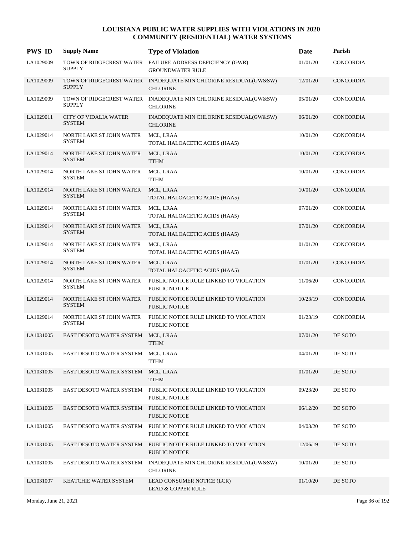| <b>PWS ID</b> | <b>Supply Name</b>                            | <b>Type of Violation</b>                                                             | Date     | Parish           |
|---------------|-----------------------------------------------|--------------------------------------------------------------------------------------|----------|------------------|
| LA1029009     | <b>SUPPLY</b>                                 | TOWN OF RIDGECREST WATER FAILURE ADDRESS DEFICIENCY (GWR)<br><b>GROUNDWATER RULE</b> | 01/01/20 | <b>CONCORDIA</b> |
| LA1029009     | <b>SUPPLY</b>                                 | TOWN OF RIDGECREST WATER INADEQUATE MIN CHLORINE RESIDUAL(GW&SW)<br><b>CHLORINE</b>  | 12/01/20 | <b>CONCORDIA</b> |
| LA1029009     | <b>SUPPLY</b>                                 | TOWN OF RIDGECREST WATER INADEQUATE MIN CHLORINE RESIDUAL(GW&SW)<br><b>CHLORINE</b>  | 05/01/20 | CONCORDIA        |
| LA1029011     | <b>CITY OF VIDALIA WATER</b><br><b>SYSTEM</b> | INADEQUATE MIN CHLORINE RESIDUAL(GW&SW)<br><b>CHLORINE</b>                           | 06/01/20 | <b>CONCORDIA</b> |
| LA1029014     | NORTH LAKE ST JOHN WATER<br><b>SYSTEM</b>     | MCL, LRAA<br>TOTAL HALOACETIC ACIDS (HAA5)                                           | 10/01/20 | <b>CONCORDIA</b> |
| LA1029014     | NORTH LAKE ST JOHN WATER<br><b>SYSTEM</b>     | MCL, LRAA<br><b>TTHM</b>                                                             | 10/01/20 | <b>CONCORDIA</b> |
| LA1029014     | NORTH LAKE ST JOHN WATER<br><b>SYSTEM</b>     | MCL, LRAA<br><b>TTHM</b>                                                             | 10/01/20 | <b>CONCORDIA</b> |
| LA1029014     | NORTH LAKE ST JOHN WATER<br><b>SYSTEM</b>     | MCL, LRAA<br>TOTAL HALOACETIC ACIDS (HAA5)                                           | 10/01/20 | <b>CONCORDIA</b> |
| LA1029014     | NORTH LAKE ST JOHN WATER<br><b>SYSTEM</b>     | MCL, LRAA<br>TOTAL HALOACETIC ACIDS (HAA5)                                           | 07/01/20 | <b>CONCORDIA</b> |
| LA1029014     | NORTH LAKE ST JOHN WATER<br><b>SYSTEM</b>     | MCL, LRAA<br>TOTAL HALOACETIC ACIDS (HAA5)                                           | 07/01/20 | CONCORDIA        |
| LA1029014     | NORTH LAKE ST JOHN WATER<br><b>SYSTEM</b>     | MCL, LRAA<br>TOTAL HALOACETIC ACIDS (HAA5)                                           | 01/01/20 | CONCORDIA        |
| LA1029014     | NORTH LAKE ST JOHN WATER<br><b>SYSTEM</b>     | MCL, LRAA<br>TOTAL HALOACETIC ACIDS (HAA5)                                           | 01/01/20 | <b>CONCORDIA</b> |
| LA1029014     | NORTH LAKE ST JOHN WATER<br><b>SYSTEM</b>     | PUBLIC NOTICE RULE LINKED TO VIOLATION<br>PUBLIC NOTICE                              | 11/06/20 | CONCORDIA        |
| LA1029014     | NORTH LAKE ST JOHN WATER<br><b>SYSTEM</b>     | PUBLIC NOTICE RULE LINKED TO VIOLATION<br><b>PUBLIC NOTICE</b>                       | 10/23/19 | CONCORDIA        |
| LA1029014     | NORTH LAKE ST JOHN WATER<br><b>SYSTEM</b>     | PUBLIC NOTICE RULE LINKED TO VIOLATION<br>PUBLIC NOTICE                              | 01/23/19 | CONCORDIA        |
| LA1031005     | <b>EAST DESOTO WATER SYSTEM</b>               | MCL, LRAA<br><b>TTHM</b>                                                             | 07/01/20 | DE SOTO          |
| LA1031005     | EAST DESOTO WATER SYSTEM MCL, LRAA            | <b>TTHM</b>                                                                          | 04/01/20 | DE SOTO          |
| LA1031005     | EAST DESOTO WATER SYSTEM                      | MCL, LRAA<br><b>TTHM</b>                                                             | 01/01/20 | DE SOTO          |
| LA1031005     |                                               | EAST DESOTO WATER SYSTEM PUBLIC NOTICE RULE LINKED TO VIOLATION<br>PUBLIC NOTICE     | 09/23/20 | DE SOTO          |
| LA1031005     |                                               | EAST DESOTO WATER SYSTEM PUBLIC NOTICE RULE LINKED TO VIOLATION<br>PUBLIC NOTICE     | 06/12/20 | DE SOTO          |
| LA1031005     |                                               | EAST DESOTO WATER SYSTEM PUBLIC NOTICE RULE LINKED TO VIOLATION<br>PUBLIC NOTICE     | 04/03/20 | DE SOTO          |
| LA1031005     | EAST DESOTO WATER SYSTEM                      | PUBLIC NOTICE RULE LINKED TO VIOLATION<br>PUBLIC NOTICE                              | 12/06/19 | DE SOTO          |
| LA1031005     | EAST DESOTO WATER SYSTEM                      | INADEQUATE MIN CHLORINE RESIDUAL(GW&SW)<br><b>CHLORINE</b>                           | 10/01/20 | DE SOTO          |
| LA1031007     | KEATCHIE WATER SYSTEM                         | LEAD CONSUMER NOTICE (LCR)<br><b>LEAD &amp; COPPER RULE</b>                          | 01/10/20 | DE SOTO          |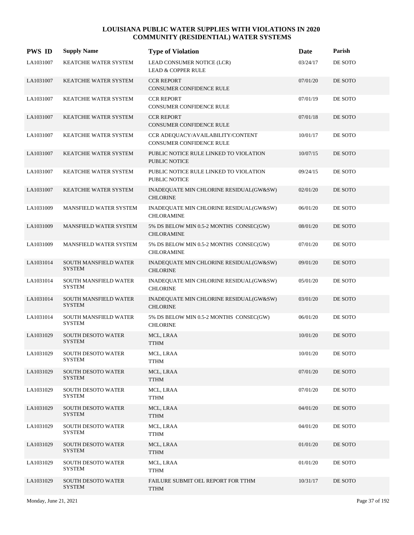| <b>PWS ID</b> | <b>Supply Name</b>                            | <b>Type of Violation</b>                                             | Date     | Parish  |
|---------------|-----------------------------------------------|----------------------------------------------------------------------|----------|---------|
| LA1031007     | KEATCHIE WATER SYSTEM                         | LEAD CONSUMER NOTICE (LCR)<br><b>LEAD &amp; COPPER RULE</b>          | 03/24/17 | DE SOTO |
| LA1031007     | KEATCHIE WATER SYSTEM                         | <b>CCR REPORT</b><br>CONSUMER CONFIDENCE RULE                        | 07/01/20 | DE SOTO |
| LA1031007     | KEATCHIE WATER SYSTEM                         | <b>CCR REPORT</b><br>CONSUMER CONFIDENCE RULE                        | 07/01/19 | DE SOTO |
| LA1031007     | KEATCHIE WATER SYSTEM                         | <b>CCR REPORT</b><br><b>CONSUMER CONFIDENCE RULE</b>                 | 07/01/18 | DE SOTO |
| LA1031007     | KEATCHIE WATER SYSTEM                         | CCR ADEQUACY/AVAILABILITY/CONTENT<br><b>CONSUMER CONFIDENCE RULE</b> | 10/01/17 | DE SOTO |
| LA1031007     | KEATCHIE WATER SYSTEM                         | PUBLIC NOTICE RULE LINKED TO VIOLATION<br><b>PUBLIC NOTICE</b>       | 10/07/15 | DE SOTO |
| LA1031007     | KEATCHIE WATER SYSTEM                         | PUBLIC NOTICE RULE LINKED TO VIOLATION<br><b>PUBLIC NOTICE</b>       | 09/24/15 | DE SOTO |
| LA1031007     | <b>KEATCHIE WATER SYSTEM</b>                  | INADEQUATE MIN CHLORINE RESIDUAL(GW&SW)<br><b>CHLORINE</b>           | 02/01/20 | DE SOTO |
| LA1031009     | MANSFIELD WATER SYSTEM                        | INADEQUATE MIN CHLORINE RESIDUAL(GW&SW)<br><b>CHLORAMINE</b>         | 06/01/20 | DE SOTO |
| LA1031009     | MANSFIELD WATER SYSTEM                        | 5% DS BELOW MIN 0.5-2 MONTHS CONSEC(GW)<br><b>CHLORAMINE</b>         | 08/01/20 | DE SOTO |
| LA1031009     | MANSFIELD WATER SYSTEM                        | 5% DS BELOW MIN 0.5-2 MONTHS CONSEC(GW)<br><b>CHLORAMINE</b>         | 07/01/20 | DE SOTO |
| LA1031014     | <b>SOUTH MANSFIELD WATER</b><br><b>SYSTEM</b> | INADEQUATE MIN CHLORINE RESIDUAL(GW&SW)<br><b>CHLORINE</b>           | 09/01/20 | DE SOTO |
| LA1031014     | SOUTH MANSFIELD WATER<br><b>SYSTEM</b>        | INADEQUATE MIN CHLORINE RESIDUAL(GW&SW)<br><b>CHLORINE</b>           | 05/01/20 | DE SOTO |
| LA1031014     | SOUTH MANSFIELD WATER<br><b>SYSTEM</b>        | INADEQUATE MIN CHLORINE RESIDUAL(GW&SW)<br><b>CHLORINE</b>           | 03/01/20 | DE SOTO |
| LA1031014     | SOUTH MANSFIELD WATER<br><b>SYSTEM</b>        | 5% DS BELOW MIN 0.5-2 MONTHS CONSEC(GW)<br><b>CHLORINE</b>           | 06/01/20 | DE SOTO |
| LA1031029     | <b>SOUTH DESOTO WATER</b><br><b>SYSTEM</b>    | MCL, LRAA<br><b>TTHM</b>                                             | 10/01/20 | DE SOTO |
| LA1031029     | <b>SOUTH DESOTO WATER</b><br><b>SYSTEM</b>    | MCL, LRAA<br><b>TTHM</b>                                             | 10/01/20 | DE SOTO |
| LA1031029     | <b>SOUTH DESOTO WATER</b><br><b>SYSTEM</b>    | MCL, LRAA<br><b>TTHM</b>                                             | 07/01/20 | DE SOTO |
| LA1031029     | <b>SOUTH DESOTO WATER</b><br><b>SYSTEM</b>    | MCL, LRAA<br>TTHM                                                    | 07/01/20 | DE SOTO |
| LA1031029     | <b>SOUTH DESOTO WATER</b><br><b>SYSTEM</b>    | MCL, LRAA<br><b>TTHM</b>                                             | 04/01/20 | DE SOTO |
| LA1031029     | <b>SOUTH DESOTO WATER</b><br><b>SYSTEM</b>    | MCL, LRAA<br><b>TTHM</b>                                             | 04/01/20 | DE SOTO |
| LA1031029     | <b>SOUTH DESOTO WATER</b><br><b>SYSTEM</b>    | MCL, LRAA<br><b>TTHM</b>                                             | 01/01/20 | DE SOTO |
| LA1031029     | <b>SOUTH DESOTO WATER</b><br><b>SYSTEM</b>    | MCL, LRAA<br><b>TTHM</b>                                             | 01/01/20 | DE SOTO |
| LA1031029     | <b>SOUTH DESOTO WATER</b><br><b>SYSTEM</b>    | FAILURE SUBMIT OEL REPORT FOR TTHM<br><b>TTHM</b>                    | 10/31/17 | DE SOTO |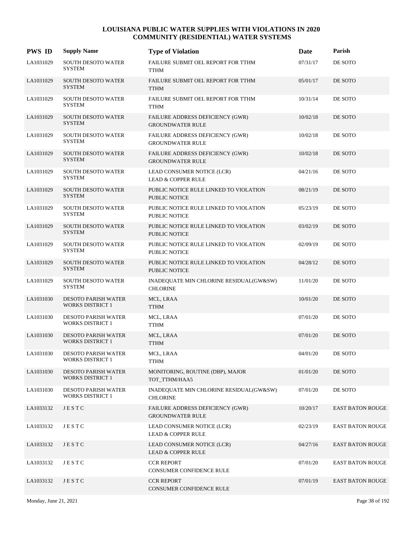| <b>PWS ID</b> | <b>Supply Name</b>                                    | <b>Type of Violation</b>                                           | Date     | Parish                  |
|---------------|-------------------------------------------------------|--------------------------------------------------------------------|----------|-------------------------|
| LA1031029     | SOUTH DESOTO WATER<br><b>SYSTEM</b>                   | FAILURE SUBMIT OEL REPORT FOR TTHM<br><b>TTHM</b>                  | 07/31/17 | DE SOTO                 |
| LA1031029     | SOUTH DESOTO WATER<br><b>SYSTEM</b>                   | FAILURE SUBMIT OEL REPORT FOR TTHM<br><b>TTHM</b>                  | 05/01/17 | DE SOTO                 |
| LA1031029     | <b>SOUTH DESOTO WATER</b><br><b>SYSTEM</b>            | FAILURE SUBMIT OEL REPORT FOR TTHM<br><b>TTHM</b>                  | 10/31/14 | DE SOTO                 |
| LA1031029     | <b>SOUTH DESOTO WATER</b><br><b>SYSTEM</b>            | FAILURE ADDRESS DEFICIENCY (GWR)<br><b>GROUNDWATER RULE</b>        | 10/02/18 | DE SOTO                 |
| LA1031029     | SOUTH DESOTO WATER<br><b>SYSTEM</b>                   | FAILURE ADDRESS DEFICIENCY (GWR)<br><b>GROUNDWATER RULE</b>        | 10/02/18 | DE SOTO                 |
| LA1031029     | SOUTH DESOTO WATER<br><b>SYSTEM</b>                   | FAILURE ADDRESS DEFICIENCY (GWR)<br><b>GROUNDWATER RULE</b>        | 10/02/18 | DE SOTO                 |
| LA1031029     | SOUTH DESOTO WATER<br><b>SYSTEM</b>                   | LEAD CONSUMER NOTICE (LCR)<br><b>LEAD &amp; COPPER RULE</b>        | 04/21/16 | DE SOTO                 |
| LA1031029     | <b>SOUTH DESOTO WATER</b><br><b>SYSTEM</b>            | PUBLIC NOTICE RULE LINKED TO VIOLATION<br><b>PUBLIC NOTICE</b>     | 08/21/19 | DE SOTO                 |
| LA1031029     | SOUTH DESOTO WATER<br><b>SYSTEM</b>                   | PUBLIC NOTICE RULE LINKED TO VIOLATION<br>PUBLIC NOTICE            | 05/23/19 | DE SOTO                 |
| LA1031029     | SOUTH DESOTO WATER<br><b>SYSTEM</b>                   | PUBLIC NOTICE RULE LINKED TO VIOLATION<br><b>PUBLIC NOTICE</b>     | 03/02/19 | DE SOTO                 |
| LA1031029     | SOUTH DESOTO WATER<br><b>SYSTEM</b>                   | PUBLIC NOTICE RULE LINKED TO VIOLATION<br>PUBLIC NOTICE            | 02/09/19 | DE SOTO                 |
| LA1031029     | <b>SOUTH DESOTO WATER</b><br><b>SYSTEM</b>            | PUBLIC NOTICE RULE LINKED TO VIOLATION<br><b>PUBLIC NOTICE</b>     | 04/28/12 | DE SOTO                 |
| LA1031029     | <b>SOUTH DESOTO WATER</b><br><b>SYSTEM</b>            | INADEQUATE MIN CHLORINE RESIDUAL(GW&SW)<br><b>CHLORINE</b>         | 11/01/20 | DE SOTO                 |
| LA1031030     | <b>DESOTO PARISH WATER</b><br><b>WORKS DISTRICT 1</b> | MCL, LRAA<br><b>TTHM</b>                                           | 10/01/20 | DE SOTO                 |
| LA1031030     | <b>DESOTO PARISH WATER</b><br><b>WORKS DISTRICT 1</b> | MCL, LRAA<br>TTHM                                                  | 07/01/20 | DE SOTO                 |
| LA1031030     | <b>DESOTO PARISH WATER</b><br><b>WORKS DISTRICT 1</b> | MCL, LRAA<br><b>TTHM</b>                                           | 07/01/20 | DE SOTO                 |
| LA1031030     | <b>DESOTO PARISH WATER</b><br><b>WORKS DISTRICT 1</b> | MCL, LRAA<br><b>TTHM</b>                                           | 04/01/20 | DE SOTO                 |
| LA1031030     | <b>DESOTO PARISH WATER</b><br>WORKS DISTRICT 1        | MONITORING, ROUTINE (DBP), MAJOR<br>TOT TTHM/HAA5                  | 01/01/20 | DE SOTO                 |
| LA1031030     | <b>DESOTO PARISH WATER</b><br><b>WORKS DISTRICT 1</b> | INADEQUATE MIN CHLORINE RESIDUAL(GW&SW)<br><b>CHLORINE</b>         | 07/01/20 | DE SOTO                 |
| LA1033132     | JESTC                                                 | <b>FAILURE ADDRESS DEFICIENCY (GWR)</b><br><b>GROUNDWATER RULE</b> | 10/20/17 | <b>EAST BATON ROUGE</b> |
| LA1033132     | JESTC                                                 | LEAD CONSUMER NOTICE (LCR)<br><b>LEAD &amp; COPPER RULE</b>        | 02/23/19 | <b>EAST BATON ROUGE</b> |
| LA1033132     | JESTC                                                 | LEAD CONSUMER NOTICE (LCR)<br><b>LEAD &amp; COPPER RULE</b>        | 04/27/16 | <b>EAST BATON ROUGE</b> |
| LA1033132     | JESTC                                                 | <b>CCR REPORT</b><br>CONSUMER CONFIDENCE RULE                      | 07/01/20 | <b>EAST BATON ROUGE</b> |
| LA1033132     | JESTC                                                 | <b>CCR REPORT</b><br>CONSUMER CONFIDENCE RULE                      | 07/01/19 | <b>EAST BATON ROUGE</b> |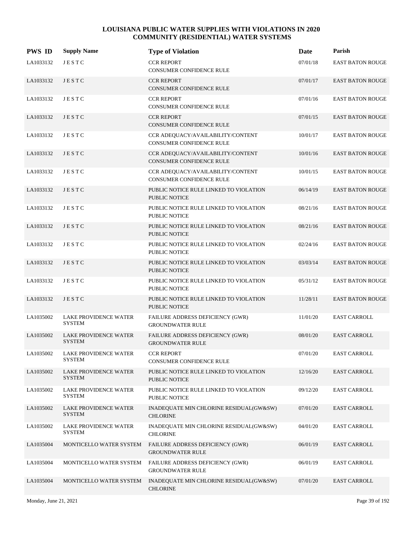| <b>PWS ID</b> | <b>Supply Name</b>                            | <b>Type of Violation</b>                                             | Date     | Parish                  |
|---------------|-----------------------------------------------|----------------------------------------------------------------------|----------|-------------------------|
| LA1033132     | JESTC                                         | <b>CCR REPORT</b><br>CONSUMER CONFIDENCE RULE                        | 07/01/18 | EAST BATON ROUGE        |
| LA1033132     | JESTC                                         | <b>CCR REPORT</b><br><b>CONSUMER CONFIDENCE RULE</b>                 | 07/01/17 | <b>EAST BATON ROUGE</b> |
| LA1033132     | JESTC                                         | <b>CCR REPORT</b><br>CONSUMER CONFIDENCE RULE                        | 07/01/16 | <b>EAST BATON ROUGE</b> |
| LA1033132     | JESTC                                         | <b>CCR REPORT</b><br>CONSUMER CONFIDENCE RULE                        | 07/01/15 | <b>EAST BATON ROUGE</b> |
| LA1033132     | JESTC                                         | CCR ADEQUACY/AVAILABILITY/CONTENT<br><b>CONSUMER CONFIDENCE RULE</b> | 10/01/17 | <b>EAST BATON ROUGE</b> |
| LA1033132     | JESTC                                         | CCR ADEQUACY/AVAILABILITY/CONTENT<br>CONSUMER CONFIDENCE RULE        | 10/01/16 | <b>EAST BATON ROUGE</b> |
| LA1033132     | <b>JESTC</b>                                  | CCR ADEQUACY/AVAILABILITY/CONTENT<br><b>CONSUMER CONFIDENCE RULE</b> | 10/01/15 | <b>EAST BATON ROUGE</b> |
| LA1033132     | JESTC                                         | PUBLIC NOTICE RULE LINKED TO VIOLATION<br><b>PUBLIC NOTICE</b>       | 06/14/19 | <b>EAST BATON ROUGE</b> |
| LA1033132     | JESTC                                         | PUBLIC NOTICE RULE LINKED TO VIOLATION<br>PUBLIC NOTICE              | 08/21/16 | <b>EAST BATON ROUGE</b> |
| LA1033132     | JESTC                                         | PUBLIC NOTICE RULE LINKED TO VIOLATION<br>PUBLIC NOTICE              | 08/21/16 | <b>EAST BATON ROUGE</b> |
| LA1033132     | JESTC                                         | PUBLIC NOTICE RULE LINKED TO VIOLATION<br>PUBLIC NOTICE              | 02/24/16 | <b>EAST BATON ROUGE</b> |
| LA1033132     | JESTC                                         | PUBLIC NOTICE RULE LINKED TO VIOLATION<br><b>PUBLIC NOTICE</b>       | 03/03/14 | <b>EAST BATON ROUGE</b> |
| LA1033132     | JESTC                                         | PUBLIC NOTICE RULE LINKED TO VIOLATION<br>PUBLIC NOTICE              | 05/31/12 | <b>EAST BATON ROUGE</b> |
| LA1033132     | JESTC                                         | PUBLIC NOTICE RULE LINKED TO VIOLATION<br>PUBLIC NOTICE              | 11/28/11 | <b>EAST BATON ROUGE</b> |
| LA1035002     | LAKE PROVIDENCE WATER<br><b>SYSTEM</b>        | FAILURE ADDRESS DEFICIENCY (GWR)<br><b>GROUNDWATER RULE</b>          | 11/01/20 | EAST CARROLL            |
| LA1035002     | <b>LAKE PROVIDENCE WATER</b><br><b>SYSTEM</b> | FAILURE ADDRESS DEFICIENCY (GWR)<br><b>GROUNDWATER RULE</b>          | 08/01/20 | <b>EAST CARROLL</b>     |
| LA1035002     | LAKE PROVIDENCE WATER<br><b>SYSTEM</b>        | <b>CCR REPORT</b><br>CONSUMER CONFIDENCE RULE                        | 07/01/20 | <b>EAST CARROLL</b>     |
| LA1035002     | LAKE PROVIDENCE WATER<br>SYSTEM               | PUBLIC NOTICE RULE LINKED TO VIOLATION<br>PUBLIC NOTICE              | 12/16/20 | <b>EAST CARROLL</b>     |
| LA1035002     | <b>LAKE PROVIDENCE WATER</b><br><b>SYSTEM</b> | PUBLIC NOTICE RULE LINKED TO VIOLATION<br>PUBLIC NOTICE              | 09/12/20 | <b>EAST CARROLL</b>     |
| LA1035002     | LAKE PROVIDENCE WATER<br><b>SYSTEM</b>        | INADEQUATE MIN CHLORINE RESIDUAL(GW&SW)<br><b>CHLORINE</b>           | 07/01/20 | <b>EAST CARROLL</b>     |
| LA1035002     | LAKE PROVIDENCE WATER<br><b>SYSTEM</b>        | INADEQUATE MIN CHLORINE RESIDUAL(GW&SW)<br><b>CHLORINE</b>           | 04/01/20 | <b>EAST CARROLL</b>     |
| LA1035004     | MONTICELLO WATER SYSTEM                       | FAILURE ADDRESS DEFICIENCY (GWR)<br><b>GROUNDWATER RULE</b>          | 06/01/19 | <b>EAST CARROLL</b>     |
| LA1035004     | MONTICELLO WATER SYSTEM                       | FAILURE ADDRESS DEFICIENCY (GWR)<br><b>GROUNDWATER RULE</b>          | 06/01/19 | <b>EAST CARROLL</b>     |
| LA1035004     | MONTICELLO WATER SYSTEM                       | INADEQUATE MIN CHLORINE RESIDUAL(GW&SW)<br><b>CHLORINE</b>           | 07/01/20 | <b>EAST CARROLL</b>     |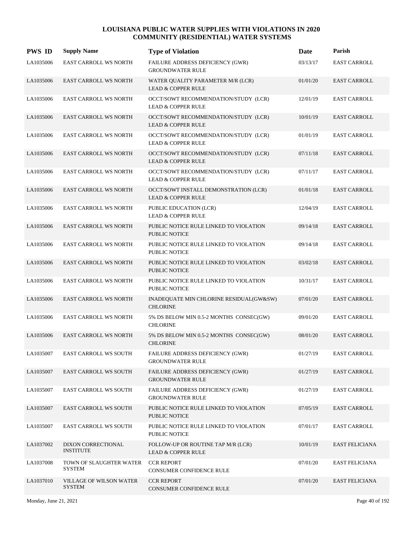| <b>PWS ID</b> | <b>Supply Name</b>                              | <b>Type of Violation</b>                                               | Date     | Parish                |
|---------------|-------------------------------------------------|------------------------------------------------------------------------|----------|-----------------------|
| LA1035006     | EAST CARROLL WS NORTH                           | FAILURE ADDRESS DEFICIENCY (GWR)<br><b>GROUNDWATER RULE</b>            | 03/13/17 | <b>EAST CARROLL</b>   |
| LA1035006     | <b>EAST CARROLL WS NORTH</b>                    | WATER QUALITY PARAMETER M/R (LCR)<br><b>LEAD &amp; COPPER RULE</b>     | 01/01/20 | <b>EAST CARROLL</b>   |
| LA1035006     | EAST CARROLL WS NORTH                           | OCCT/SOWT RECOMMENDATION/STUDY (LCR)<br><b>LEAD &amp; COPPER RULE</b>  | 12/01/19 | <b>EAST CARROLL</b>   |
| LA1035006     | <b>EAST CARROLL WS NORTH</b>                    | OCCT/SOWT RECOMMENDATION/STUDY (LCR)<br><b>LEAD &amp; COPPER RULE</b>  | 10/01/19 | <b>EAST CARROLL</b>   |
| LA1035006     | EAST CARROLL WS NORTH                           | OCCT/SOWT RECOMMENDATION/STUDY (LCR)<br><b>LEAD &amp; COPPER RULE</b>  | 01/01/19 | <b>EAST CARROLL</b>   |
| LA1035006     | <b>EAST CARROLL WS NORTH</b>                    | OCCT/SOWT RECOMMENDATION/STUDY (LCR)<br><b>LEAD &amp; COPPER RULE</b>  | 07/11/18 | <b>EAST CARROLL</b>   |
| LA1035006     | EAST CARROLL WS NORTH                           | OCCT/SOWT RECOMMENDATION/STUDY (LCR)<br><b>LEAD &amp; COPPER RULE</b>  | 07/11/17 | <b>EAST CARROLL</b>   |
| LA1035006     | <b>EAST CARROLL WS NORTH</b>                    | OCCT/SOWT INSTALL DEMONSTRATION (LCR)<br><b>LEAD &amp; COPPER RULE</b> | 01/01/18 | <b>EAST CARROLL</b>   |
| LA1035006     | EAST CARROLL WS NORTH                           | PUBLIC EDUCATION (LCR)<br><b>LEAD &amp; COPPER RULE</b>                | 12/04/19 | <b>EAST CARROLL</b>   |
| LA1035006     | <b>EAST CARROLL WS NORTH</b>                    | PUBLIC NOTICE RULE LINKED TO VIOLATION<br><b>PUBLIC NOTICE</b>         | 09/14/18 | <b>EAST CARROLL</b>   |
| LA1035006     | EAST CARROLL WS NORTH                           | PUBLIC NOTICE RULE LINKED TO VIOLATION<br>PUBLIC NOTICE                | 09/14/18 | <b>EAST CARROLL</b>   |
| LA1035006     | <b>EAST CARROLL WS NORTH</b>                    | PUBLIC NOTICE RULE LINKED TO VIOLATION<br><b>PUBLIC NOTICE</b>         | 03/02/18 | <b>EAST CARROLL</b>   |
| LA1035006     | EAST CARROLL WS NORTH                           | PUBLIC NOTICE RULE LINKED TO VIOLATION<br><b>PUBLIC NOTICE</b>         | 10/31/17 | <b>EAST CARROLL</b>   |
| LA1035006     | <b>EAST CARROLL WS NORTH</b>                    | INADEQUATE MIN CHLORINE RESIDUAL(GW&SW)<br><b>CHLORINE</b>             | 07/01/20 | <b>EAST CARROLL</b>   |
| LA1035006     | EAST CARROLL WS NORTH                           | 5% DS BELOW MIN 0.5-2 MONTHS CONSEC(GW)<br><b>CHLORINE</b>             | 09/01/20 | <b>EAST CARROLL</b>   |
| LA1035006     | <b>EAST CARROLL WS NORTH</b>                    | 5% DS BELOW MIN 0.5-2 MONTHS CONSEC(GW)<br><b>CHLORINE</b>             | 08/01/20 | <b>EAST CARROLL</b>   |
| LA1035007     | <b>EAST CARROLL WS SOUTH</b>                    | FAILURE ADDRESS DEFICIENCY (GWR)<br><b>GROUNDWATER RULE</b>            | 01/27/19 | <b>EAST CARROLL</b>   |
| LA1035007     | <b>EAST CARROLL WS SOUTH</b>                    | FAILURE ADDRESS DEFICIENCY (GWR)<br><b>GROUNDWATER RULE</b>            | 01/27/19 | <b>EAST CARROLL</b>   |
| LA1035007     | <b>EAST CARROLL WS SOUTH</b>                    | <b>FAILURE ADDRESS DEFICIENCY (GWR)</b><br><b>GROUNDWATER RULE</b>     | 01/27/19 | <b>EAST CARROLL</b>   |
| LA1035007     | <b>EAST CARROLL WS SOUTH</b>                    | PUBLIC NOTICE RULE LINKED TO VIOLATION<br>PUBLIC NOTICE                | 07/05/19 | <b>EAST CARROLL</b>   |
| LA1035007     | <b>EAST CARROLL WS SOUTH</b>                    | PUBLIC NOTICE RULE LINKED TO VIOLATION<br>PUBLIC NOTICE                | 07/01/17 | <b>EAST CARROLL</b>   |
| LA1037002     | DIXON CORRECTIONAL<br><b>INSTITUTE</b>          | FOLLOW-UP OR ROUTINE TAP M/R (LCR)<br><b>LEAD &amp; COPPER RULE</b>    | 10/01/19 | <b>EAST FELICIANA</b> |
| LA1037008     | TOWN OF SLAUGHTER WATER<br>SYSTEM               | <b>CCR REPORT</b><br>CONSUMER CONFIDENCE RULE                          | 07/01/20 | <b>EAST FELICIANA</b> |
| LA1037010     | <b>VILLAGE OF WILSON WATER</b><br><b>SYSTEM</b> | <b>CCR REPORT</b><br>CONSUMER CONFIDENCE RULE                          | 07/01/20 | <b>EAST FELICIANA</b> |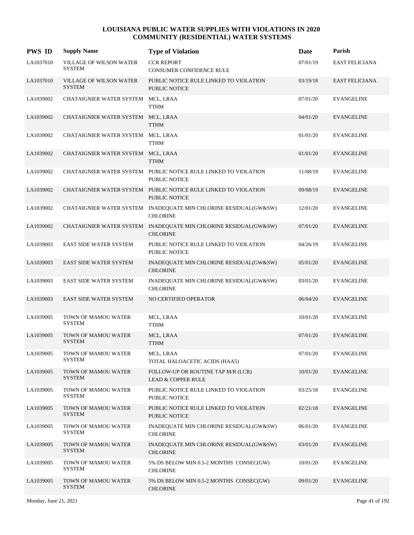| <b>PWS ID</b> | <b>Supply Name</b>                              | <b>Type of Violation</b>                                                                | Date     | Parish                |
|---------------|-------------------------------------------------|-----------------------------------------------------------------------------------------|----------|-----------------------|
| LA1037010     | <b>VILLAGE OF WILSON WATER</b><br><b>SYSTEM</b> | <b>CCR REPORT</b><br>CONSUMER CONFIDENCE RULE                                           | 07/01/19 | <b>EAST FELICIANA</b> |
| LA1037010     | <b>VILLAGE OF WILSON WATER</b><br><b>SYSTEM</b> | PUBLIC NOTICE RULE LINKED TO VIOLATION<br><b>PUBLIC NOTICE</b>                          | 03/19/18 | <b>EAST FELICIANA</b> |
| LA1039002     | CHATAIGNIER WATER SYSTEM MCL, LRAA              | <b>TTHM</b>                                                                             | 07/01/20 | <b>EVANGELINE</b>     |
| LA1039002     | CHATAIGNIER WATER SYSTEM MCL, LRAA              | <b>TTHM</b>                                                                             | 04/01/20 | <b>EVANGELINE</b>     |
| LA1039002     | CHATAIGNIER WATER SYSTEM MCL, LRAA              | TTHM                                                                                    | 01/01/20 | <b>EVANGELINE</b>     |
| LA1039002     | CHATAIGNIER WATER SYSTEM MCL, LRAA              | <b>TTHM</b>                                                                             | 01/01/20 | <b>EVANGELINE</b>     |
| LA1039002     |                                                 | CHATAIGNIER WATER SYSTEM PUBLIC NOTICE RULE LINKED TO VIOLATION<br><b>PUBLIC NOTICE</b> | 11/08/19 | <b>EVANGELINE</b>     |
| LA1039002     |                                                 | CHATAIGNIER WATER SYSTEM PUBLIC NOTICE RULE LINKED TO VIOLATION<br><b>PUBLIC NOTICE</b> | 09/08/19 | <b>EVANGELINE</b>     |
| LA1039002     |                                                 | CHATAIGNIER WATER SYSTEM INADEQUATE MIN CHLORINE RESIDUAL(GW&SW)<br><b>CHLORINE</b>     | 12/01/20 | <b>EVANGELINE</b>     |
| LA1039002     |                                                 | CHATAIGNIER WATER SYSTEM INADEQUATE MIN CHLORINE RESIDUAL(GW&SW)<br><b>CHLORINE</b>     | 07/01/20 | <b>EVANGELINE</b>     |
| LA1039003     | <b>EAST SIDE WATER SYSTEM</b>                   | PUBLIC NOTICE RULE LINKED TO VIOLATION<br>PUBLIC NOTICE                                 | 04/26/19 | <b>EVANGELINE</b>     |
| LA1039003     | <b>EAST SIDE WATER SYSTEM</b>                   | INADEQUATE MIN CHLORINE RESIDUAL(GW&SW)<br><b>CHLORINE</b>                              | 05/01/20 | <b>EVANGELINE</b>     |
| LA1039003     | <b>EAST SIDE WATER SYSTEM</b>                   | INADEQUATE MIN CHLORINE RESIDUAL(GW&SW)<br><b>CHLORINE</b>                              | 03/01/20 | <b>EVANGELINE</b>     |
| LA1039003     | EAST SIDE WATER SYSTEM                          | NO CERTIFIED OPERATOR                                                                   | 06/04/20 | <b>EVANGELINE</b>     |
| LA1039005     | TOWN OF MAMOU WATER<br><b>SYSTEM</b>            | MCL, LRAA<br><b>TTHM</b>                                                                | 10/01/20 | <b>EVANGELINE</b>     |
| LA1039005     | TOWN OF MAMOU WATER<br><b>SYSTEM</b>            | MCL, LRAA<br><b>TTHM</b>                                                                | 07/01/20 | <b>EVANGELINE</b>     |
| LA1039005     | TOWN OF MAMOU WATER<br><b>SYSTEM</b>            | MCL, LRAA<br>TOTAL HALOACETIC ACIDS (HAA5)                                              | 07/01/20 | <b>EVANGELINE</b>     |
| LA1039005     | TOWN OF MAMOU WATER<br><b>SYSTEM</b>            | FOLLOW-UP OR ROUTINE TAP M/R (LCR)<br><b>LEAD &amp; COPPER RULE</b>                     | 10/01/20 | <b>EVANGELINE</b>     |
| LA1039005     | TOWN OF MAMOU WATER<br>SYSTEM                   | PUBLIC NOTICE RULE LINKED TO VIOLATION<br>PUBLIC NOTICE                                 | 03/25/18 | <b>EVANGELINE</b>     |
| LA1039005     | TOWN OF MAMOU WATER<br><b>SYSTEM</b>            | PUBLIC NOTICE RULE LINKED TO VIOLATION<br>PUBLIC NOTICE                                 | 02/21/18 | <b>EVANGELINE</b>     |
| LA1039005     | TOWN OF MAMOU WATER<br><b>SYSTEM</b>            | INADEQUATE MIN CHLORINE RESIDUAL(GW&SW)<br><b>CHLORINE</b>                              | 06/01/20 | <b>EVANGELINE</b>     |
| LA1039005     | TOWN OF MAMOU WATER<br><b>SYSTEM</b>            | INADEQUATE MIN CHLORINE RESIDUAL(GW&SW)<br><b>CHLORINE</b>                              | 03/01/20 | <b>EVANGELINE</b>     |
| LA1039005     | TOWN OF MAMOU WATER<br>SYSTEM                   | 5% DS BELOW MIN 0.5-2 MONTHS CONSEC(GW)<br><b>CHLORINE</b>                              | 10/01/20 | <b>EVANGELINE</b>     |
| LA1039005     | TOWN OF MAMOU WATER<br><b>SYSTEM</b>            | 5% DS BELOW MIN 0.5-2 MONTHS CONSEC(GW)<br><b>CHLORINE</b>                              | 09/01/20 | <b>EVANGELINE</b>     |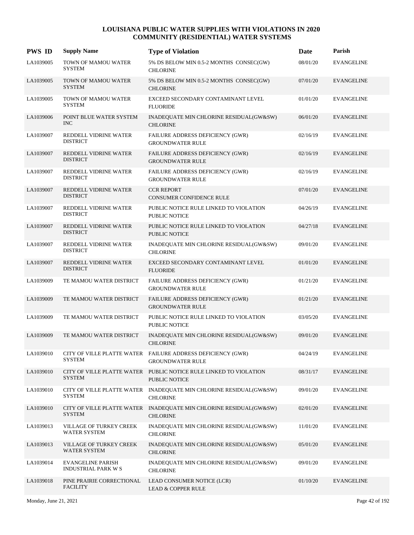| <b>PWS ID</b> | <b>Supply Name</b>                                     | <b>Type of Violation</b>                                                               | Date     | Parish            |
|---------------|--------------------------------------------------------|----------------------------------------------------------------------------------------|----------|-------------------|
| LA1039005     | TOWN OF MAMOU WATER<br><b>SYSTEM</b>                   | 5% DS BELOW MIN 0.5-2 MONTHS CONSEC(GW)<br><b>CHLORINE</b>                             | 08/01/20 | <b>EVANGELINE</b> |
| LA1039005     | TOWN OF MAMOU WATER<br><b>SYSTEM</b>                   | 5% DS BELOW MIN 0.5-2 MONTHS CONSEC(GW)<br><b>CHLORINE</b>                             | 07/01/20 | <b>EVANGELINE</b> |
| LA1039005     | TOWN OF MAMOU WATER<br><b>SYSTEM</b>                   | EXCEED SECONDARY CONTAMINANT LEVEL<br><b>FLUORIDE</b>                                  | 01/01/20 | <b>EVANGELINE</b> |
| LA1039006     | POINT BLUE WATER SYSTEM<br><b>INC</b>                  | INADEQUATE MIN CHLORINE RESIDUAL(GW&SW)<br><b>CHLORINE</b>                             | 06/01/20 | <b>EVANGELINE</b> |
| LA1039007     | REDDELL VIDRINE WATER<br><b>DISTRICT</b>               | FAILURE ADDRESS DEFICIENCY (GWR)<br><b>GROUNDWATER RULE</b>                            | 02/16/19 | <b>EVANGELINE</b> |
| LA1039007     | REDDELL VIDRINE WATER<br><b>DISTRICT</b>               | <b>FAILURE ADDRESS DEFICIENCY (GWR)</b><br><b>GROUNDWATER RULE</b>                     | 02/16/19 | <b>EVANGELINE</b> |
| LA1039007     | REDDELL VIDRINE WATER<br><b>DISTRICT</b>               | FAILURE ADDRESS DEFICIENCY (GWR)<br><b>GROUNDWATER RULE</b>                            | 02/16/19 | <b>EVANGELINE</b> |
| LA1039007     | REDDELL VIDRINE WATER<br><b>DISTRICT</b>               | <b>CCR REPORT</b><br><b>CONSUMER CONFIDENCE RULE</b>                                   | 07/01/20 | <b>EVANGELINE</b> |
| LA1039007     | REDDELL VIDRINE WATER<br><b>DISTRICT</b>               | PUBLIC NOTICE RULE LINKED TO VIOLATION<br><b>PUBLIC NOTICE</b>                         | 04/26/19 | <b>EVANGELINE</b> |
| LA1039007     | REDDELL VIDRINE WATER<br><b>DISTRICT</b>               | PUBLIC NOTICE RULE LINKED TO VIOLATION<br><b>PUBLIC NOTICE</b>                         | 04/27/18 | <b>EVANGELINE</b> |
| LA1039007     | REDDELL VIDRINE WATER<br><b>DISTRICT</b>               | INADEQUATE MIN CHLORINE RESIDUAL(GW&SW)<br><b>CHLORINE</b>                             | 09/01/20 | <b>EVANGELINE</b> |
| LA1039007     | REDDELL VIDRINE WATER<br><b>DISTRICT</b>               | EXCEED SECONDARY CONTAMINANT LEVEL<br><b>FLUORIDE</b>                                  | 01/01/20 | <b>EVANGELINE</b> |
| LA1039009     | TE MAMOU WATER DISTRICT                                | FAILURE ADDRESS DEFICIENCY (GWR)<br><b>GROUNDWATER RULE</b>                            | 01/21/20 | <b>EVANGELINE</b> |
| LA1039009     | TE MAMOU WATER DISTRICT                                | FAILURE ADDRESS DEFICIENCY (GWR)<br><b>GROUNDWATER RULE</b>                            | 01/21/20 | <b>EVANGELINE</b> |
| LA1039009     | TE MAMOU WATER DISTRICT                                | PUBLIC NOTICE RULE LINKED TO VIOLATION<br><b>PUBLIC NOTICE</b>                         | 03/05/20 | <b>EVANGELINE</b> |
| LA1039009     | TE MAMOU WATER DISTRICT                                | INADEQUATE MIN CHLORINE RESIDUAL(GW&SW)<br><b>CHLORINE</b>                             | 09/01/20 | <b>EVANGELINE</b> |
| LA1039010     | SYSTEM                                                 | CITY OF VILLE PLATTE WATER FAILURE ADDRESS DEFICIENCY (GWR)<br><b>GROUNDWATER RULE</b> | 04/24/19 | <b>EVANGELINE</b> |
| LA1039010     | <b>SYSTEM</b>                                          | CITY OF VILLE PLATTE WATER PUBLIC NOTICE RULE LINKED TO VIOLATION<br>PUBLIC NOTICE     | 08/31/17 | <b>EVANGELINE</b> |
| LA1039010     | <b>SYSTEM</b>                                          | CITY OF VILLE PLATTE WATER INADEQUATE MIN CHLORINE RESIDUAL(GW&SW)<br><b>CHLORINE</b>  | 09/01/20 | <b>EVANGELINE</b> |
| LA1039010     | <b>SYSTEM</b>                                          | CITY OF VILLE PLATTE WATER INADEQUATE MIN CHLORINE RESIDUAL(GW&SW)<br><b>CHLORINE</b>  | 02/01/20 | <b>EVANGELINE</b> |
| LA1039013     | VILLAGE OF TURKEY CREEK<br><b>WATER SYSTEM</b>         | INADEQUATE MIN CHLORINE RESIDUAL(GW&SW)<br><b>CHLORINE</b>                             | 11/01/20 | <b>EVANGELINE</b> |
| LA1039013     | VILLAGE OF TURKEY CREEK<br><b>WATER SYSTEM</b>         | INADEQUATE MIN CHLORINE RESIDUAL(GW&SW)<br><b>CHLORINE</b>                             | 05/01/20 | <b>EVANGELINE</b> |
| LA1039014     | <b>EVANGELINE PARISH</b><br><b>INDUSTRIAL PARK W S</b> | INADEQUATE MIN CHLORINE RESIDUAL(GW&SW)<br><b>CHLORINE</b>                             | 09/01/20 | <b>EVANGELINE</b> |
| LA1039018     | PINE PRAIRIE CORRECTIONAL<br><b>FACILITY</b>           | LEAD CONSUMER NOTICE (LCR)<br><b>LEAD &amp; COPPER RULE</b>                            | 01/10/20 | <b>EVANGELINE</b> |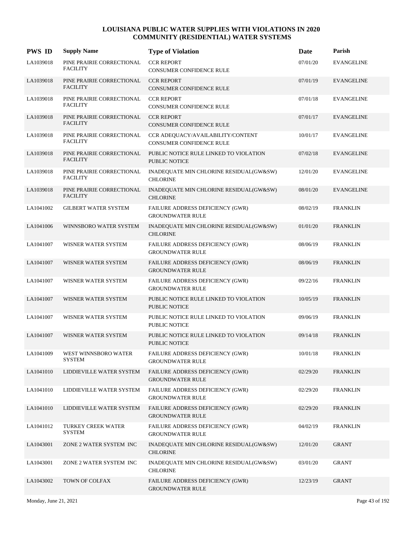| <b>PWS ID</b> | <b>Supply Name</b>                           | <b>Type of Violation</b>                                           | Date     | Parish            |
|---------------|----------------------------------------------|--------------------------------------------------------------------|----------|-------------------|
| LA1039018     | PINE PRAIRIE CORRECTIONAL<br><b>FACILITY</b> | <b>CCR REPORT</b><br>CONSUMER CONFIDENCE RULE                      | 07/01/20 | <b>EVANGELINE</b> |
| LA1039018     | PINE PRAIRIE CORRECTIONAL<br><b>FACILITY</b> | <b>CCR REPORT</b><br><b>CONSUMER CONFIDENCE RULE</b>               | 07/01/19 | <b>EVANGELINE</b> |
| LA1039018     | PINE PRAIRIE CORRECTIONAL<br><b>FACILITY</b> | <b>CCR REPORT</b><br>CONSUMER CONFIDENCE RULE                      | 07/01/18 | <b>EVANGELINE</b> |
| LA1039018     | PINE PRAIRIE CORRECTIONAL<br><b>FACILITY</b> | <b>CCR REPORT</b><br>CONSUMER CONFIDENCE RULE                      | 07/01/17 | <b>EVANGELINE</b> |
| LA1039018     | PINE PRAIRIE CORRECTIONAL<br><b>FACILITY</b> | CCR ADEQUACY/AVAILABILITY/CONTENT<br>CONSUMER CONFIDENCE RULE      | 10/01/17 | <b>EVANGELINE</b> |
| LA1039018     | PINE PRAIRIE CORRECTIONAL<br><b>FACILITY</b> | PUBLIC NOTICE RULE LINKED TO VIOLATION<br><b>PUBLIC NOTICE</b>     | 07/02/18 | <b>EVANGELINE</b> |
| LA1039018     | PINE PRAIRIE CORRECTIONAL<br><b>FACILITY</b> | INADEQUATE MIN CHLORINE RESIDUAL(GW&SW)<br><b>CHLORINE</b>         | 12/01/20 | <b>EVANGELINE</b> |
| LA1039018     | PINE PRAIRIE CORRECTIONAL<br><b>FACILITY</b> | INADEQUATE MIN CHLORINE RESIDUAL(GW&SW)<br><b>CHLORINE</b>         | 08/01/20 | <b>EVANGELINE</b> |
| LA1041002     | <b>GILBERT WATER SYSTEM</b>                  | FAILURE ADDRESS DEFICIENCY (GWR)<br><b>GROUNDWATER RULE</b>        | 08/02/19 | <b>FRANKLIN</b>   |
| LA1041006     | WINNSBORO WATER SYSTEM                       | INADEQUATE MIN CHLORINE RESIDUAL(GW&SW)<br><b>CHLORINE</b>         | 01/01/20 | <b>FRANKLIN</b>   |
| LA1041007     | WISNER WATER SYSTEM                          | FAILURE ADDRESS DEFICIENCY (GWR)<br><b>GROUNDWATER RULE</b>        | 08/06/19 | <b>FRANKLIN</b>   |
| LA1041007     | WISNER WATER SYSTEM                          | FAILURE ADDRESS DEFICIENCY (GWR)<br><b>GROUNDWATER RULE</b>        | 08/06/19 | <b>FRANKLIN</b>   |
| LA1041007     | WISNER WATER SYSTEM                          | FAILURE ADDRESS DEFICIENCY (GWR)<br><b>GROUNDWATER RULE</b>        | 09/22/16 | <b>FRANKLIN</b>   |
| LA1041007     | WISNER WATER SYSTEM                          | PUBLIC NOTICE RULE LINKED TO VIOLATION<br><b>PUBLIC NOTICE</b>     | 10/05/19 | <b>FRANKLIN</b>   |
| LA1041007     | WISNER WATER SYSTEM                          | PUBLIC NOTICE RULE LINKED TO VIOLATION<br><b>PUBLIC NOTICE</b>     | 09/06/19 | <b>FRANKLIN</b>   |
| LA1041007     | WISNER WATER SYSTEM                          | PUBLIC NOTICE RULE LINKED TO VIOLATION<br><b>PUBLIC NOTICE</b>     | 09/14/18 | <b>FRANKLIN</b>   |
| LA1041009     | WEST WINNSBORO WATER<br><b>SYSTEM</b>        | FAILURE ADDRESS DEFICIENCY (GWR)<br><b>GROUNDWATER RULE</b>        | 10/01/18 | <b>FRANKLIN</b>   |
| LA1041010     | LIDDIEVILLE WATER SYSTEM                     | FAILURE ADDRESS DEFICIENCY (GWR)<br><b>GROUNDWATER RULE</b>        | 02/29/20 | <b>FRANKLIN</b>   |
| LA1041010     | LIDDIEVILLE WATER SYSTEM                     | FAILURE ADDRESS DEFICIENCY (GWR)<br><b>GROUNDWATER RULE</b>        | 02/29/20 | <b>FRANKLIN</b>   |
| LA1041010     | LIDDIEVILLE WATER SYSTEM                     | FAILURE ADDRESS DEFICIENCY (GWR)<br><b>GROUNDWATER RULE</b>        | 02/29/20 | <b>FRANKLIN</b>   |
| LA1041012     | TURKEY CREEK WATER<br><b>SYSTEM</b>          | <b>FAILURE ADDRESS DEFICIENCY (GWR)</b><br><b>GROUNDWATER RULE</b> | 04/02/19 | <b>FRANKLIN</b>   |
| LA1043001     | ZONE 2 WATER SYSTEM INC                      | INADEQUATE MIN CHLORINE RESIDUAL(GW&SW)<br><b>CHLORINE</b>         | 12/01/20 | <b>GRANT</b>      |
| LA1043001     | ZONE 2 WATER SYSTEM INC                      | INADEQUATE MIN CHLORINE RESIDUAL(GW&SW)<br><b>CHLORINE</b>         | 03/01/20 | GRANT             |
| LA1043002     | TOWN OF COLFAX                               | FAILURE ADDRESS DEFICIENCY (GWR)<br><b>GROUNDWATER RULE</b>        | 12/23/19 | GRANT             |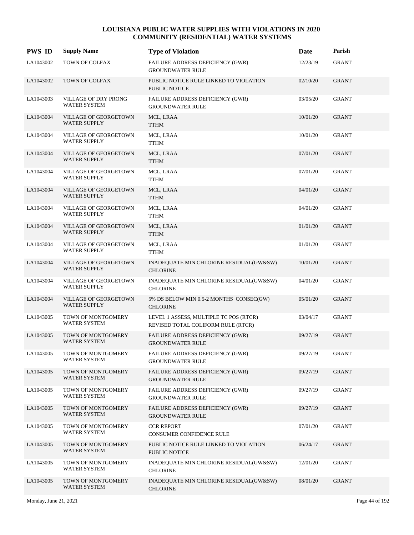| <b>PWS ID</b> | <b>Supply Name</b>                                  | <b>Type of Violation</b>                                                     | Date     | Parish       |
|---------------|-----------------------------------------------------|------------------------------------------------------------------------------|----------|--------------|
| LA1043002     | TOWN OF COLFAX                                      | FAILURE ADDRESS DEFICIENCY (GWR)<br><b>GROUNDWATER RULE</b>                  | 12/23/19 | <b>GRANT</b> |
| LA1043002     | TOWN OF COLFAX                                      | PUBLIC NOTICE RULE LINKED TO VIOLATION<br><b>PUBLIC NOTICE</b>               | 02/10/20 | <b>GRANT</b> |
| LA1043003     | VILLAGE OF DRY PRONG<br><b>WATER SYSTEM</b>         | FAILURE ADDRESS DEFICIENCY (GWR)<br><b>GROUNDWATER RULE</b>                  | 03/05/20 | <b>GRANT</b> |
| LA1043004     | <b>VILLAGE OF GEORGETOWN</b><br><b>WATER SUPPLY</b> | MCL, LRAA<br><b>TTHM</b>                                                     | 10/01/20 | <b>GRANT</b> |
| LA1043004     | VILLAGE OF GEORGETOWN<br><b>WATER SUPPLY</b>        | MCL, LRAA<br><b>TTHM</b>                                                     | 10/01/20 | <b>GRANT</b> |
| LA1043004     | VILLAGE OF GEORGETOWN<br><b>WATER SUPPLY</b>        | MCL, LRAA<br><b>TTHM</b>                                                     | 07/01/20 | <b>GRANT</b> |
| LA1043004     | VILLAGE OF GEORGETOWN<br><b>WATER SUPPLY</b>        | MCL, LRAA<br><b>TTHM</b>                                                     | 07/01/20 | <b>GRANT</b> |
| LA1043004     | <b>VILLAGE OF GEORGETOWN</b><br><b>WATER SUPPLY</b> | MCL, LRAA<br><b>TTHM</b>                                                     | 04/01/20 | <b>GRANT</b> |
| LA1043004     | VILLAGE OF GEORGETOWN<br><b>WATER SUPPLY</b>        | MCL, LRAA<br><b>TTHM</b>                                                     | 04/01/20 | <b>GRANT</b> |
| LA1043004     | VILLAGE OF GEORGETOWN<br><b>WATER SUPPLY</b>        | MCL, LRAA<br><b>TTHM</b>                                                     | 01/01/20 | <b>GRANT</b> |
| LA1043004     | VILLAGE OF GEORGETOWN<br><b>WATER SUPPLY</b>        | MCL, LRAA<br><b>TTHM</b>                                                     | 01/01/20 | <b>GRANT</b> |
| LA1043004     | <b>VILLAGE OF GEORGETOWN</b><br><b>WATER SUPPLY</b> | INADEQUATE MIN CHLORINE RESIDUAL(GW&SW)<br><b>CHLORINE</b>                   | 10/01/20 | <b>GRANT</b> |
| LA1043004     | VILLAGE OF GEORGETOWN<br><b>WATER SUPPLY</b>        | INADEQUATE MIN CHLORINE RESIDUAL(GW&SW)<br><b>CHLORINE</b>                   | 04/01/20 | GRANT        |
| LA1043004     | VILLAGE OF GEORGETOWN<br><b>WATER SUPPLY</b>        | 5% DS BELOW MIN 0.5-2 MONTHS CONSEC(GW)<br><b>CHLORINE</b>                   | 05/01/20 | <b>GRANT</b> |
| LA1043005     | TOWN OF MONTGOMERY<br><b>WATER SYSTEM</b>           | LEVEL 1 ASSESS, MULTIPLE TC POS (RTCR)<br>REVISED TOTAL COLIFORM RULE (RTCR) | 03/04/17 | <b>GRANT</b> |
| LA1043005     | TOWN OF MONTGOMERY<br><b>WATER SYSTEM</b>           | FAILURE ADDRESS DEFICIENCY (GWR)<br><b>GROUNDWATER RULE</b>                  | 09/27/19 | <b>GRANT</b> |
| LA1043005     | TOWN OF MONTGOMERY<br>WATER SYSTEM                  | FAILURE ADDRESS DEFICIENCY (GWR)<br><b>GROUNDWATER RULE</b>                  | 09/27/19 | <b>GRANT</b> |
| LA1043005     | TOWN OF MONTGOMERY<br><b>WATER SYSTEM</b>           | FAILURE ADDRESS DEFICIENCY (GWR)<br><b>GROUNDWATER RULE</b>                  | 09/27/19 | <b>GRANT</b> |
| LA1043005     | TOWN OF MONTGOMERY<br>WATER SYSTEM                  | FAILURE ADDRESS DEFICIENCY (GWR)<br><b>GROUNDWATER RULE</b>                  | 09/27/19 | GRANT        |
| LA1043005     | TOWN OF MONTGOMERY<br>WATER SYSTEM                  | FAILURE ADDRESS DEFICIENCY (GWR)<br><b>GROUNDWATER RULE</b>                  | 09/27/19 | <b>GRANT</b> |
| LA1043005     | TOWN OF MONTGOMERY<br>WATER SYSTEM                  | <b>CCR REPORT</b><br>CONSUMER CONFIDENCE RULE                                | 07/01/20 | GRANT        |
| LA1043005     | TOWN OF MONTGOMERY<br>WATER SYSTEM                  | PUBLIC NOTICE RULE LINKED TO VIOLATION<br>PUBLIC NOTICE                      | 06/24/17 | <b>GRANT</b> |
| LA1043005     | TOWN OF MONTGOMERY<br>WATER SYSTEM                  | INADEQUATE MIN CHLORINE RESIDUAL(GW&SW)<br><b>CHLORINE</b>                   | 12/01/20 | GRANT        |
| LA1043005     | TOWN OF MONTGOMERY<br>WATER SYSTEM                  | INADEQUATE MIN CHLORINE RESIDUAL(GW&SW)<br><b>CHLORINE</b>                   | 08/01/20 | <b>GRANT</b> |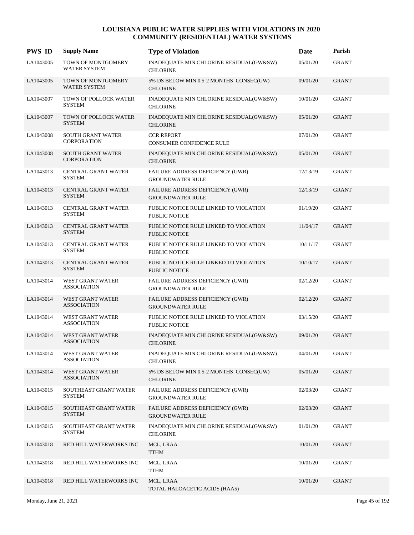| <b>PWS ID</b> | <b>Supply Name</b>                             | <b>Type of Violation</b>                                       | Date     | Parish       |
|---------------|------------------------------------------------|----------------------------------------------------------------|----------|--------------|
| LA1043005     | TOWN OF MONTGOMERY<br><b>WATER SYSTEM</b>      | INADEQUATE MIN CHLORINE RESIDUAL(GW&SW)<br><b>CHLORINE</b>     | 05/01/20 | <b>GRANT</b> |
| LA1043005     | TOWN OF MONTGOMERY<br>WATER SYSTEM             | 5% DS BELOW MIN 0.5-2 MONTHS CONSEC(GW)<br><b>CHLORINE</b>     | 09/01/20 | <b>GRANT</b> |
| LA1043007     | <b>TOWN OF POLLOCK WATER</b><br><b>SYSTEM</b>  | INADEQUATE MIN CHLORINE RESIDUAL(GW&SW)<br><b>CHLORINE</b>     | 10/01/20 | <b>GRANT</b> |
| LA1043007     | TOWN OF POLLOCK WATER<br><b>SYSTEM</b>         | INADEQUATE MIN CHLORINE RESIDUAL(GW&SW)<br><b>CHLORINE</b>     | 05/01/20 | <b>GRANT</b> |
| LA1043008     | <b>SOUTH GRANT WATER</b><br><b>CORPORATION</b> | <b>CCR REPORT</b><br>CONSUMER CONFIDENCE RULE                  | 07/01/20 | GRANT        |
| LA1043008     | <b>SOUTH GRANT WATER</b><br><b>CORPORATION</b> | INADEQUATE MIN CHLORINE RESIDUAL(GW&SW)<br><b>CHLORINE</b>     | 05/01/20 | <b>GRANT</b> |
| LA1043013     | CENTRAL GRANT WATER<br><b>SYSTEM</b>           | FAILURE ADDRESS DEFICIENCY (GWR)<br><b>GROUNDWATER RULE</b>    | 12/13/19 | <b>GRANT</b> |
| LA1043013     | CENTRAL GRANT WATER<br><b>SYSTEM</b>           | FAILURE ADDRESS DEFICIENCY (GWR)<br><b>GROUNDWATER RULE</b>    | 12/13/19 | <b>GRANT</b> |
| LA1043013     | CENTRAL GRANT WATER<br>SYSTEM                  | PUBLIC NOTICE RULE LINKED TO VIOLATION<br>PUBLIC NOTICE        | 01/19/20 | GRANT        |
| LA1043013     | <b>CENTRAL GRANT WATER</b><br><b>SYSTEM</b>    | PUBLIC NOTICE RULE LINKED TO VIOLATION<br><b>PUBLIC NOTICE</b> | 11/04/17 | <b>GRANT</b> |
| LA1043013     | CENTRAL GRANT WATER<br><b>SYSTEM</b>           | PUBLIC NOTICE RULE LINKED TO VIOLATION<br>PUBLIC NOTICE        | 10/11/17 | <b>GRANT</b> |
| LA1043013     | CENTRAL GRANT WATER<br><b>SYSTEM</b>           | PUBLIC NOTICE RULE LINKED TO VIOLATION<br>PUBLIC NOTICE        | 10/10/17 | <b>GRANT</b> |
| LA1043014     | WEST GRANT WATER<br><b>ASSOCIATION</b>         | FAILURE ADDRESS DEFICIENCY (GWR)<br><b>GROUNDWATER RULE</b>    | 02/12/20 | GRANT        |
| LA1043014     | WEST GRANT WATER<br><b>ASSOCIATION</b>         | FAILURE ADDRESS DEFICIENCY (GWR)<br><b>GROUNDWATER RULE</b>    | 02/12/20 | <b>GRANT</b> |
| LA1043014     | WEST GRANT WATER<br><b>ASSOCIATION</b>         | PUBLIC NOTICE RULE LINKED TO VIOLATION<br>PUBLIC NOTICE        | 03/15/20 | GRANT        |
| LA1043014     | WEST GRANT WATER<br><b>ASSOCIATION</b>         | INADEQUATE MIN CHLORINE RESIDUAL(GW&SW)<br><b>CHLORINE</b>     | 09/01/20 | <b>GRANT</b> |
| LA1043014     | WEST GRANT WATER<br><b>ASSOCIATION</b>         | INADEQUATE MIN CHLORINE RESIDUAL(GW&SW)<br><b>CHLORINE</b>     | 04/01/20 | <b>GRANT</b> |
| LA1043014     | WEST GRANT WATER<br><b>ASSOCIATION</b>         | 5% DS BELOW MIN 0.5-2 MONTHS CONSEC(GW)<br><b>CHLORINE</b>     | 05/01/20 | <b>GRANT</b> |
| LA1043015     | SOUTHEAST GRANT WATER<br><b>SYSTEM</b>         | FAILURE ADDRESS DEFICIENCY (GWR)<br><b>GROUNDWATER RULE</b>    | 02/03/20 | GRANT        |
| LA1043015     | SOUTHEAST GRANT WATER<br><b>SYSTEM</b>         | FAILURE ADDRESS DEFICIENCY (GWR)<br><b>GROUNDWATER RULE</b>    | 02/03/20 | <b>GRANT</b> |
| LA1043015     | SOUTHEAST GRANT WATER<br><b>SYSTEM</b>         | INADEQUATE MIN CHLORINE RESIDUAL(GW&SW)<br><b>CHLORINE</b>     | 01/01/20 | <b>GRANT</b> |
| LA1043018     | RED HILL WATERWORKS INC                        | MCL, LRAA<br><b>TTHM</b>                                       | 10/01/20 | <b>GRANT</b> |
| LA1043018     | RED HILL WATERWORKS INC                        | MCL, LRAA<br><b>TTHM</b>                                       | 10/01/20 | GRANT        |
| LA1043018     | RED HILL WATERWORKS INC                        | MCL, LRAA<br>TOTAL HALOACETIC ACIDS (HAA5)                     | 10/01/20 | <b>GRANT</b> |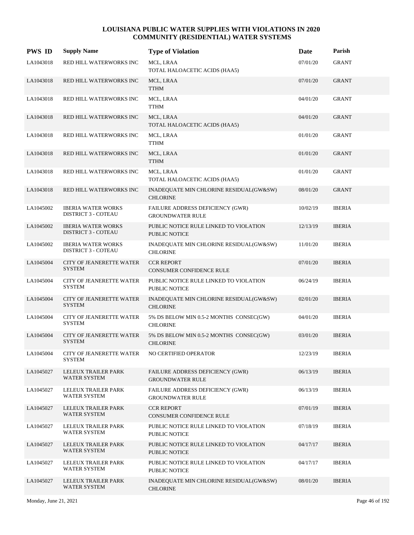| <b>PWS ID</b> | <b>Supply Name</b>                                      | <b>Type of Violation</b>                                       | Date     | Parish        |
|---------------|---------------------------------------------------------|----------------------------------------------------------------|----------|---------------|
| LA1043018     | RED HILL WATERWORKS INC                                 | MCL, LRAA<br>TOTAL HALOACETIC ACIDS (HAA5)                     | 07/01/20 | <b>GRANT</b>  |
| LA1043018     | RED HILL WATERWORKS INC                                 | MCL, LRAA<br><b>TTHM</b>                                       | 07/01/20 | <b>GRANT</b>  |
| LA1043018     | RED HILL WATERWORKS INC                                 | MCL, LRAA<br><b>TTHM</b>                                       | 04/01/20 | <b>GRANT</b>  |
| LA1043018     | RED HILL WATERWORKS INC                                 | MCL, LRAA<br>TOTAL HALOACETIC ACIDS (HAA5)                     | 04/01/20 | <b>GRANT</b>  |
| LA1043018     | RED HILL WATERWORKS INC                                 | MCL, LRAA<br><b>TTHM</b>                                       | 01/01/20 | <b>GRANT</b>  |
| LA1043018     | RED HILL WATERWORKS INC                                 | MCL, LRAA<br><b>TTHM</b>                                       | 01/01/20 | <b>GRANT</b>  |
| LA1043018     | RED HILL WATERWORKS INC                                 | MCL, LRAA<br>TOTAL HALOACETIC ACIDS (HAA5)                     | 01/01/20 | GRANT         |
| LA1043018     | RED HILL WATERWORKS INC                                 | INADEQUATE MIN CHLORINE RESIDUAL(GW&SW)<br><b>CHLORINE</b>     | 08/01/20 | <b>GRANT</b>  |
| LA1045002     | <b>IBERIA WATER WORKS</b><br><b>DISTRICT 3 - COTEAU</b> | FAILURE ADDRESS DEFICIENCY (GWR)<br><b>GROUNDWATER RULE</b>    | 10/02/19 | <b>IBERIA</b> |
| LA1045002     | <b>IBERIA WATER WORKS</b><br><b>DISTRICT 3 - COTEAU</b> | PUBLIC NOTICE RULE LINKED TO VIOLATION<br><b>PUBLIC NOTICE</b> | 12/13/19 | <b>IBERIA</b> |
| LA1045002     | <b>IBERIA WATER WORKS</b><br><b>DISTRICT 3 - COTEAU</b> | INADEQUATE MIN CHLORINE RESIDUAL(GW&SW)<br><b>CHLORINE</b>     | 11/01/20 | <b>IBERIA</b> |
| LA1045004     | CITY OF JEANERETTE WATER<br><b>SYSTEM</b>               | <b>CCR REPORT</b><br>CONSUMER CONFIDENCE RULE                  | 07/01/20 | <b>IBERIA</b> |
| LA1045004     | <b>CITY OF JEANERETTE WATER</b><br><b>SYSTEM</b>        | PUBLIC NOTICE RULE LINKED TO VIOLATION<br><b>PUBLIC NOTICE</b> | 06/24/19 | <b>IBERIA</b> |
| LA1045004     | CITY OF JEANERETTE WATER<br><b>SYSTEM</b>               | INADEQUATE MIN CHLORINE RESIDUAL(GW&SW)<br><b>CHLORINE</b>     | 02/01/20 | <b>IBERIA</b> |
| LA1045004     | <b>CITY OF JEANERETTE WATER</b><br><b>SYSTEM</b>        | 5% DS BELOW MIN 0.5-2 MONTHS CONSEC(GW)<br><b>CHLORINE</b>     | 04/01/20 | <b>IBERIA</b> |
| LA1045004     | CITY OF JEANERETTE WATER<br><b>SYSTEM</b>               | 5% DS BELOW MIN 0.5-2 MONTHS CONSEC(GW)<br><b>CHLORINE</b>     | 03/01/20 | <b>IBERIA</b> |
| LA1045004     | CITY OF JEANERETTE WATER<br>SYSTEM                      | NO CERTIFIED OPERATOR                                          | 12/23/19 | <b>IBERIA</b> |
| LA1045027     | LELEUX TRAILER PARK<br>WATER SYSTEM                     | FAILURE ADDRESS DEFICIENCY (GWR)<br><b>GROUNDWATER RULE</b>    | 06/13/19 | <b>IBERIA</b> |
| LA1045027     | LELEUX TRAILER PARK<br>WATER SYSTEM                     | FAILURE ADDRESS DEFICIENCY (GWR)<br><b>GROUNDWATER RULE</b>    | 06/13/19 | <b>IBERIA</b> |
| LA1045027     | LELEUX TRAILER PARK<br>WATER SYSTEM                     | <b>CCR REPORT</b><br>CONSUMER CONFIDENCE RULE                  | 07/01/19 | <b>IBERIA</b> |
| LA1045027     | LELEUX TRAILER PARK<br><b>WATER SYSTEM</b>              | PUBLIC NOTICE RULE LINKED TO VIOLATION<br>PUBLIC NOTICE        | 07/18/19 | <b>IBERIA</b> |
| LA1045027     | LELEUX TRAILER PARK<br>WATER SYSTEM                     | PUBLIC NOTICE RULE LINKED TO VIOLATION<br>PUBLIC NOTICE        | 04/17/17 | <b>IBERIA</b> |
| LA1045027     | LELEUX TRAILER PARK<br>WATER SYSTEM                     | PUBLIC NOTICE RULE LINKED TO VIOLATION<br>PUBLIC NOTICE        | 04/17/17 | <b>IBERIA</b> |
| LA1045027     | LELEUX TRAILER PARK<br>WATER SYSTEM                     | INADEQUATE MIN CHLORINE RESIDUAL(GW&SW)<br><b>CHLORINE</b>     | 08/01/20 | <b>IBERIA</b> |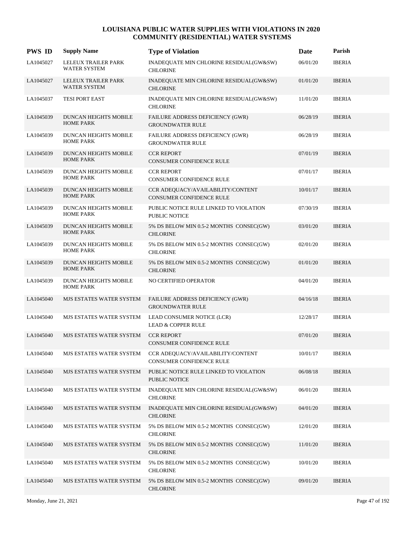| <b>PWS ID</b> | <b>Supply Name</b>                               | <b>Type of Violation</b>                                             | Date     | Parish        |
|---------------|--------------------------------------------------|----------------------------------------------------------------------|----------|---------------|
| LA1045027     | LELEUX TRAILER PARK<br>WATER SYSTEM              | INADEQUATE MIN CHLORINE RESIDUAL(GW&SW)<br><b>CHLORINE</b>           | 06/01/20 | <b>IBERIA</b> |
| LA1045027     | LELEUX TRAILER PARK<br><b>WATER SYSTEM</b>       | INADEQUATE MIN CHLORINE RESIDUAL(GW&SW)<br><b>CHLORINE</b>           | 01/01/20 | <b>IBERIA</b> |
| LA1045037     | TESI PORT EAST                                   | INADEQUATE MIN CHLORINE RESIDUAL(GW&SW)<br><b>CHLORINE</b>           | 11/01/20 | <b>IBERIA</b> |
| LA1045039     | <b>DUNCAN HEIGHTS MOBILE</b><br><b>HOME PARK</b> | FAILURE ADDRESS DEFICIENCY (GWR)<br><b>GROUNDWATER RULE</b>          | 06/28/19 | <b>IBERIA</b> |
| LA1045039     | <b>DUNCAN HEIGHTS MOBILE</b><br><b>HOME PARK</b> | FAILURE ADDRESS DEFICIENCY (GWR)<br><b>GROUNDWATER RULE</b>          | 06/28/19 | <b>IBERIA</b> |
| LA1045039     | <b>DUNCAN HEIGHTS MOBILE</b><br><b>HOME PARK</b> | <b>CCR REPORT</b><br>CONSUMER CONFIDENCE RULE                        | 07/01/19 | <b>IBERIA</b> |
| LA1045039     | <b>DUNCAN HEIGHTS MOBILE</b><br><b>HOME PARK</b> | <b>CCR REPORT</b><br><b>CONSUMER CONFIDENCE RULE</b>                 | 07/01/17 | <b>IBERIA</b> |
| LA1045039     | <b>DUNCAN HEIGHTS MOBILE</b><br><b>HOME PARK</b> | CCR ADEQUACY/AVAILABILITY/CONTENT<br><b>CONSUMER CONFIDENCE RULE</b> | 10/01/17 | <b>IBERIA</b> |
| LA1045039     | DUNCAN HEIGHTS MOBILE<br><b>HOME PARK</b>        | PUBLIC NOTICE RULE LINKED TO VIOLATION<br><b>PUBLIC NOTICE</b>       | 07/30/19 | <b>IBERIA</b> |
| LA1045039     | <b>DUNCAN HEIGHTS MOBILE</b><br><b>HOME PARK</b> | 5% DS BELOW MIN 0.5-2 MONTHS CONSEC(GW)<br><b>CHLORINE</b>           | 03/01/20 | <b>IBERIA</b> |
| LA1045039     | DUNCAN HEIGHTS MOBILE<br><b>HOME PARK</b>        | 5% DS BELOW MIN 0.5-2 MONTHS CONSEC(GW)<br><b>CHLORINE</b>           | 02/01/20 | <b>IBERIA</b> |
| LA1045039     | DUNCAN HEIGHTS MOBILE<br><b>HOME PARK</b>        | 5% DS BELOW MIN 0.5-2 MONTHS CONSEC(GW)<br><b>CHLORINE</b>           | 01/01/20 | <b>IBERIA</b> |
| LA1045039     | DUNCAN HEIGHTS MOBILE<br><b>HOME PARK</b>        | NO CERTIFIED OPERATOR                                                | 04/01/20 | <b>IBERIA</b> |
| LA1045040     | MJS ESTATES WATER SYSTEM                         | FAILURE ADDRESS DEFICIENCY (GWR)<br><b>GROUNDWATER RULE</b>          | 04/16/18 | <b>IBERIA</b> |
| LA1045040     | MJS ESTATES WATER SYSTEM                         | LEAD CONSUMER NOTICE (LCR)<br><b>LEAD &amp; COPPER RULE</b>          | 12/28/17 | <b>IBERIA</b> |
| LA1045040     | MJS ESTATES WATER SYSTEM                         | <b>CCR REPORT</b><br>CONSUMER CONFIDENCE RULE                        | 07/01/20 | <b>IBERIA</b> |
| LA1045040     | MJS ESTATES WATER SYSTEM                         | CCR ADEQUACY/AVAILABILITY/CONTENT<br>CONSUMER CONFIDENCE RULE        | 10/01/17 | <b>IBERIA</b> |
| LA1045040     | MJS ESTATES WATER SYSTEM                         | PUBLIC NOTICE RULE LINKED TO VIOLATION<br>PUBLIC NOTICE              | 06/08/18 | <b>IBERIA</b> |
| LA1045040     | MJS ESTATES WATER SYSTEM                         | INADEQUATE MIN CHLORINE RESIDUAL(GW&SW)<br><b>CHLORINE</b>           | 06/01/20 | <b>IBERIA</b> |
| LA1045040     | MJS ESTATES WATER SYSTEM                         | INADEQUATE MIN CHLORINE RESIDUAL(GW&SW)<br><b>CHLORINE</b>           | 04/01/20 | <b>IBERIA</b> |
| LA1045040     | MJS ESTATES WATER SYSTEM                         | 5% DS BELOW MIN 0.5-2 MONTHS CONSEC(GW)<br><b>CHLORINE</b>           | 12/01/20 | <b>IBERIA</b> |
| LA1045040     | MJS ESTATES WATER SYSTEM                         | 5% DS BELOW MIN 0.5-2 MONTHS CONSEC(GW)<br><b>CHLORINE</b>           | 11/01/20 | <b>IBERIA</b> |
| LA1045040     | MJS ESTATES WATER SYSTEM                         | 5% DS BELOW MIN 0.5-2 MONTHS CONSEC(GW)<br><b>CHLORINE</b>           | 10/01/20 | <b>IBERIA</b> |
| LA1045040     | MJS ESTATES WATER SYSTEM                         | 5% DS BELOW MIN 0.5-2 MONTHS CONSEC(GW)<br><b>CHLORINE</b>           | 09/01/20 | <b>IBERIA</b> |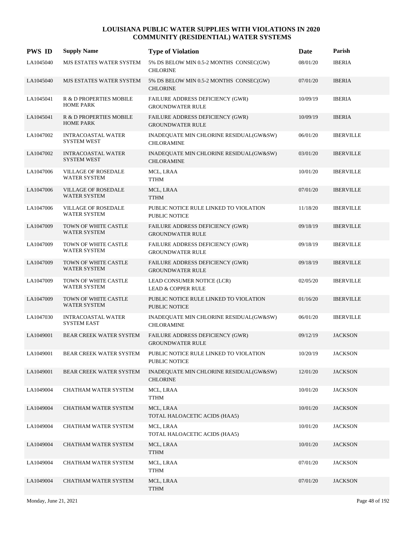| <b>PWS ID</b> | <b>Supply Name</b>                                | <b>Type of Violation</b>                                       | Date     | Parish           |
|---------------|---------------------------------------------------|----------------------------------------------------------------|----------|------------------|
| LA1045040     | MJS ESTATES WATER SYSTEM                          | 5% DS BELOW MIN 0.5-2 MONTHS CONSEC(GW)<br><b>CHLORINE</b>     | 08/01/20 | <b>IBERIA</b>    |
| LA1045040     | MJS ESTATES WATER SYSTEM                          | 5% DS BELOW MIN 0.5-2 MONTHS CONSEC(GW)<br><b>CHLORINE</b>     | 07/01/20 | <b>IBERIA</b>    |
| LA1045041     | R & D PROPERTIES MOBILE<br><b>HOME PARK</b>       | FAILURE ADDRESS DEFICIENCY (GWR)<br><b>GROUNDWATER RULE</b>    | 10/09/19 | <b>IBERIA</b>    |
| LA1045041     | R & D PROPERTIES MOBILE<br><b>HOME PARK</b>       | FAILURE ADDRESS DEFICIENCY (GWR)<br><b>GROUNDWATER RULE</b>    | 10/09/19 | <b>IBERIA</b>    |
| LA1047002     | <b>INTRACOASTAL WATER</b><br><b>SYSTEM WEST</b>   | INADEQUATE MIN CHLORINE RESIDUAL(GW&SW)<br><b>CHLORAMINE</b>   | 06/01/20 | <b>IBERVILLE</b> |
| LA1047002     | <b>INTRACOASTAL WATER</b><br><b>SYSTEM WEST</b>   | INADEQUATE MIN CHLORINE RESIDUAL(GW&SW)<br><b>CHLORAMINE</b>   | 03/01/20 | <b>IBERVILLE</b> |
| LA1047006     | <b>VILLAGE OF ROSEDALE</b><br>WATER SYSTEM        | MCL, LRAA<br><b>TTHM</b>                                       | 10/01/20 | <b>IBERVILLE</b> |
| LA1047006     | <b>VILLAGE OF ROSEDALE</b><br>WATER SYSTEM        | MCL, LRAA<br><b>TTHM</b>                                       | 07/01/20 | <b>IBERVILLE</b> |
| LA1047006     | <b>VILLAGE OF ROSEDALE</b><br><b>WATER SYSTEM</b> | PUBLIC NOTICE RULE LINKED TO VIOLATION<br><b>PUBLIC NOTICE</b> | 11/18/20 | <b>IBERVILLE</b> |
| LA1047009     | TOWN OF WHITE CASTLE<br><b>WATER SYSTEM</b>       | FAILURE ADDRESS DEFICIENCY (GWR)<br><b>GROUNDWATER RULE</b>    | 09/18/19 | <b>IBERVILLE</b> |
| LA1047009     | TOWN OF WHITE CASTLE<br><b>WATER SYSTEM</b>       | FAILURE ADDRESS DEFICIENCY (GWR)<br><b>GROUNDWATER RULE</b>    | 09/18/19 | <b>IBERVILLE</b> |
| LA1047009     | TOWN OF WHITE CASTLE<br>WATER SYSTEM              | FAILURE ADDRESS DEFICIENCY (GWR)<br><b>GROUNDWATER RULE</b>    | 09/18/19 | <b>IBERVILLE</b> |
| LA1047009     | TOWN OF WHITE CASTLE<br>WATER SYSTEM              | LEAD CONSUMER NOTICE (LCR)<br><b>LEAD &amp; COPPER RULE</b>    | 02/05/20 | <b>IBERVILLE</b> |
| LA1047009     | TOWN OF WHITE CASTLE<br><b>WATER SYSTEM</b>       | PUBLIC NOTICE RULE LINKED TO VIOLATION<br><b>PUBLIC NOTICE</b> | 01/16/20 | <b>IBERVILLE</b> |
| LA1047030     | <b>INTRACOASTAL WATER</b><br><b>SYSTEM EAST</b>   | INADEQUATE MIN CHLORINE RESIDUAL(GW&SW)<br><b>CHLORAMINE</b>   | 06/01/20 | <b>IBERVILLE</b> |
| LA1049001     | <b>BEAR CREEK WATER SYSTEM</b>                    | FAILURE ADDRESS DEFICIENCY (GWR)<br><b>GROUNDWATER RULE</b>    | 09/12/19 | <b>JACKSON</b>   |
| LA1049001     | BEAR CREEK WATER SYSTEM                           | PUBLIC NOTICE RULE LINKED TO VIOLATION<br>PUBLIC NOTICE        | 10/20/19 | <b>JACKSON</b>   |
| LA1049001     | BEAR CREEK WATER SYSTEM                           | INADEQUATE MIN CHLORINE RESIDUAL(GW&SW)<br><b>CHLORINE</b>     | 12/01/20 | <b>JACKSON</b>   |
| LA1049004     | CHATHAM WATER SYSTEM                              | MCL, LRAA<br><b>TTHM</b>                                       | 10/01/20 | <b>JACKSON</b>   |
| LA1049004     | CHATHAM WATER SYSTEM                              | MCL, LRAA<br>TOTAL HALOACETIC ACIDS (HAA5)                     | 10/01/20 | <b>JACKSON</b>   |
| LA1049004     | CHATHAM WATER SYSTEM                              | MCL, LRAA<br>TOTAL HALOACETIC ACIDS (HAA5)                     | 10/01/20 | <b>JACKSON</b>   |
| LA1049004     | CHATHAM WATER SYSTEM                              | MCL, LRAA<br><b>TTHM</b>                                       | 10/01/20 | <b>JACKSON</b>   |
| LA1049004     | CHATHAM WATER SYSTEM                              | MCL, LRAA<br><b>TTHM</b>                                       | 07/01/20 | <b>JACKSON</b>   |
| LA1049004     | CHATHAM WATER SYSTEM                              | MCL, LRAA<br><b>TTHM</b>                                       | 07/01/20 | <b>JACKSON</b>   |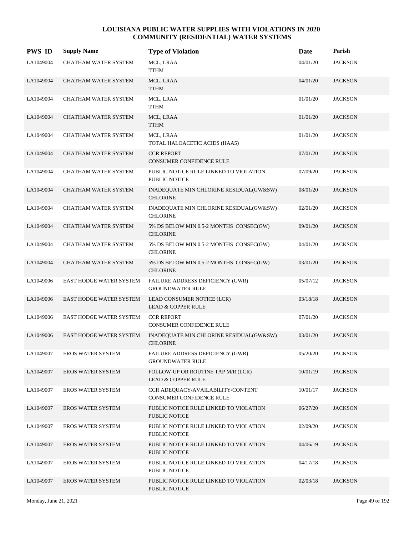| <b>PWS ID</b> | <b>Supply Name</b>             | <b>Type of Violation</b>                                            | Date     | Parish         |
|---------------|--------------------------------|---------------------------------------------------------------------|----------|----------------|
| LA1049004     | CHATHAM WATER SYSTEM           | MCL, LRAA<br><b>TTHM</b>                                            | 04/01/20 | <b>JACKSON</b> |
| LA1049004     | CHATHAM WATER SYSTEM           | MCL, LRAA<br><b>TTHM</b>                                            | 04/01/20 | <b>JACKSON</b> |
| LA1049004     | CHATHAM WATER SYSTEM           | MCL, LRAA<br><b>TTHM</b>                                            | 01/01/20 | <b>JACKSON</b> |
| LA1049004     | <b>CHATHAM WATER SYSTEM</b>    | MCL, LRAA<br><b>TTHM</b>                                            | 01/01/20 | <b>JACKSON</b> |
| LA1049004     | <b>CHATHAM WATER SYSTEM</b>    | MCL, LRAA<br>TOTAL HALOACETIC ACIDS (HAA5)                          | 01/01/20 | <b>JACKSON</b> |
| LA1049004     | CHATHAM WATER SYSTEM           | <b>CCR REPORT</b><br><b>CONSUMER CONFIDENCE RULE</b>                | 07/01/20 | <b>JACKSON</b> |
| LA1049004     | CHATHAM WATER SYSTEM           | PUBLIC NOTICE RULE LINKED TO VIOLATION<br><b>PUBLIC NOTICE</b>      | 07/09/20 | <b>JACKSON</b> |
| LA1049004     | <b>CHATHAM WATER SYSTEM</b>    | INADEQUATE MIN CHLORINE RESIDUAL(GW&SW)<br><b>CHLORINE</b>          | 08/01/20 | <b>JACKSON</b> |
| LA1049004     | <b>CHATHAM WATER SYSTEM</b>    | INADEQUATE MIN CHLORINE RESIDUAL(GW&SW)<br><b>CHLORINE</b>          | 02/01/20 | <b>JACKSON</b> |
| LA1049004     | CHATHAM WATER SYSTEM           | 5% DS BELOW MIN 0.5-2 MONTHS CONSEC(GW)<br><b>CHLORINE</b>          | 09/01/20 | <b>JACKSON</b> |
| LA1049004     | CHATHAM WATER SYSTEM           | 5% DS BELOW MIN 0.5-2 MONTHS CONSEC(GW)<br><b>CHLORINE</b>          | 04/01/20 | <b>JACKSON</b> |
| LA1049004     | <b>CHATHAM WATER SYSTEM</b>    | 5% DS BELOW MIN 0.5-2 MONTHS CONSEC(GW)<br><b>CHLORINE</b>          | 03/01/20 | <b>JACKSON</b> |
| LA1049006     | EAST HODGE WATER SYSTEM        | FAILURE ADDRESS DEFICIENCY (GWR)<br><b>GROUNDWATER RULE</b>         | 05/07/12 | <b>JACKSON</b> |
| LA1049006     | EAST HODGE WATER SYSTEM        | LEAD CONSUMER NOTICE (LCR)<br><b>LEAD &amp; COPPER RULE</b>         | 03/18/18 | <b>JACKSON</b> |
| LA1049006     | <b>EAST HODGE WATER SYSTEM</b> | <b>CCR REPORT</b><br><b>CONSUMER CONFIDENCE RULE</b>                | 07/01/20 | <b>JACKSON</b> |
| LA1049006     | <b>EAST HODGE WATER SYSTEM</b> | INADEQUATE MIN CHLORINE RESIDUAL(GW&SW)<br><b>CHLORINE</b>          | 03/01/20 | <b>JACKSON</b> |
| LA1049007     | EROS WATER SYSTEM              | FAILURE ADDRESS DEFICIENCY (GWR)<br><b>GROUNDWATER RULE</b>         | 05/20/20 | <b>JACKSON</b> |
| LA1049007     | <b>EROS WATER SYSTEM</b>       | FOLLOW-UP OR ROUTINE TAP M/R (LCR)<br><b>LEAD &amp; COPPER RULE</b> | 10/01/19 | <b>JACKSON</b> |
| LA1049007     | EROS WATER SYSTEM              | CCR ADEQUACY/AVAILABILITY/CONTENT<br>CONSUMER CONFIDENCE RULE       | 10/01/17 | <b>JACKSON</b> |
| LA1049007     | EROS WATER SYSTEM              | PUBLIC NOTICE RULE LINKED TO VIOLATION<br>PUBLIC NOTICE             | 06/27/20 | <b>JACKSON</b> |
| LA1049007     | EROS WATER SYSTEM              | PUBLIC NOTICE RULE LINKED TO VIOLATION<br>PUBLIC NOTICE             | 02/09/20 | <b>JACKSON</b> |
| LA1049007     | <b>EROS WATER SYSTEM</b>       | PUBLIC NOTICE RULE LINKED TO VIOLATION<br>PUBLIC NOTICE             | 04/06/19 | <b>JACKSON</b> |
| LA1049007     | <b>EROS WATER SYSTEM</b>       | PUBLIC NOTICE RULE LINKED TO VIOLATION<br>PUBLIC NOTICE             | 04/17/18 | <b>JACKSON</b> |
| LA1049007     | <b>EROS WATER SYSTEM</b>       | PUBLIC NOTICE RULE LINKED TO VIOLATION<br>PUBLIC NOTICE             | 02/03/18 | <b>JACKSON</b> |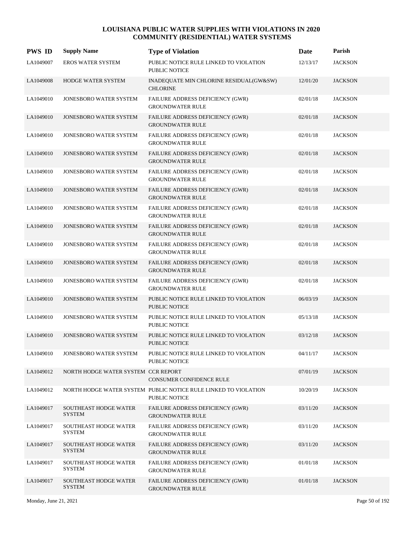| <b>PWS ID</b> | <b>Supply Name</b>                            | <b>Type of Violation</b>                                                         | Date     | Parish         |
|---------------|-----------------------------------------------|----------------------------------------------------------------------------------|----------|----------------|
| LA1049007     | EROS WATER SYSTEM                             | PUBLIC NOTICE RULE LINKED TO VIOLATION<br><b>PUBLIC NOTICE</b>                   | 12/13/17 | <b>JACKSON</b> |
| LA1049008     | HODGE WATER SYSTEM                            | INADEQUATE MIN CHLORINE RESIDUAL(GW&SW)<br><b>CHLORINE</b>                       | 12/01/20 | <b>JACKSON</b> |
| LA1049010     | JONESBORO WATER SYSTEM                        | FAILURE ADDRESS DEFICIENCY (GWR)<br><b>GROUNDWATER RULE</b>                      | 02/01/18 | <b>JACKSON</b> |
| LA1049010     | <b>JONESBORO WATER SYSTEM</b>                 | FAILURE ADDRESS DEFICIENCY (GWR)<br><b>GROUNDWATER RULE</b>                      | 02/01/18 | <b>JACKSON</b> |
| LA1049010     | <b>JONESBORO WATER SYSTEM</b>                 | FAILURE ADDRESS DEFICIENCY (GWR)<br><b>GROUNDWATER RULE</b>                      | 02/01/18 | <b>JACKSON</b> |
| LA1049010     | JONESBORO WATER SYSTEM                        | FAILURE ADDRESS DEFICIENCY (GWR)<br><b>GROUNDWATER RULE</b>                      | 02/01/18 | <b>JACKSON</b> |
| LA1049010     | JONESBORO WATER SYSTEM                        | FAILURE ADDRESS DEFICIENCY (GWR)<br><b>GROUNDWATER RULE</b>                      | 02/01/18 | <b>JACKSON</b> |
| LA1049010     | <b>JONESBORO WATER SYSTEM</b>                 | FAILURE ADDRESS DEFICIENCY (GWR)<br><b>GROUNDWATER RULE</b>                      | 02/01/18 | <b>JACKSON</b> |
| LA1049010     | JONESBORO WATER SYSTEM                        | FAILURE ADDRESS DEFICIENCY (GWR)<br><b>GROUNDWATER RULE</b>                      | 02/01/18 | <b>JACKSON</b> |
| LA1049010     | JONESBORO WATER SYSTEM                        | FAILURE ADDRESS DEFICIENCY (GWR)<br><b>GROUNDWATER RULE</b>                      | 02/01/18 | <b>JACKSON</b> |
| LA1049010     | JONESBORO WATER SYSTEM                        | FAILURE ADDRESS DEFICIENCY (GWR)<br><b>GROUNDWATER RULE</b>                      | 02/01/18 | <b>JACKSON</b> |
| LA1049010     | <b>JONESBORO WATER SYSTEM</b>                 | FAILURE ADDRESS DEFICIENCY (GWR)<br><b>GROUNDWATER RULE</b>                      | 02/01/18 | <b>JACKSON</b> |
| LA1049010     | JONESBORO WATER SYSTEM                        | FAILURE ADDRESS DEFICIENCY (GWR)<br><b>GROUNDWATER RULE</b>                      | 02/01/18 | <b>JACKSON</b> |
| LA1049010     | JONESBORO WATER SYSTEM                        | PUBLIC NOTICE RULE LINKED TO VIOLATION<br><b>PUBLIC NOTICE</b>                   | 06/03/19 | <b>JACKSON</b> |
| LA1049010     | JONESBORO WATER SYSTEM                        | PUBLIC NOTICE RULE LINKED TO VIOLATION<br><b>PUBLIC NOTICE</b>                   | 05/13/18 | <b>JACKSON</b> |
| LA1049010     | <b>JONESBORO WATER SYSTEM</b>                 | PUBLIC NOTICE RULE LINKED TO VIOLATION<br><b>PUBLIC NOTICE</b>                   | 03/12/18 | <b>JACKSON</b> |
| LA1049010     | JONESBORO WATER SYSTEM                        | PUBLIC NOTICE RULE LINKED TO VIOLATION<br>PUBLIC NOTICE                          | 04/11/17 | <b>JACKSON</b> |
| LA1049012     | NORTH HODGE WATER SYSTEM CCR REPORT           | CONSUMER CONFIDENCE RULE                                                         | 07/01/19 | <b>JACKSON</b> |
| LA1049012     |                                               | NORTH HODGE WATER SYSTEM PUBLIC NOTICE RULE LINKED TO VIOLATION<br>PUBLIC NOTICE | 10/20/19 | <b>JACKSON</b> |
| LA1049017     | SOUTHEAST HODGE WATER<br><b>SYSTEM</b>        | FAILURE ADDRESS DEFICIENCY (GWR)<br><b>GROUNDWATER RULE</b>                      | 03/11/20 | <b>JACKSON</b> |
| LA1049017     | SOUTHEAST HODGE WATER<br><b>SYSTEM</b>        | FAILURE ADDRESS DEFICIENCY (GWR)<br><b>GROUNDWATER RULE</b>                      | 03/11/20 | <b>JACKSON</b> |
| LA1049017     | <b>SOUTHEAST HODGE WATER</b><br><b>SYSTEM</b> | FAILURE ADDRESS DEFICIENCY (GWR)<br><b>GROUNDWATER RULE</b>                      | 03/11/20 | <b>JACKSON</b> |
| LA1049017     | SOUTHEAST HODGE WATER<br><b>SYSTEM</b>        | FAILURE ADDRESS DEFICIENCY (GWR)<br><b>GROUNDWATER RULE</b>                      | 01/01/18 | <b>JACKSON</b> |
| LA1049017     | SOUTHEAST HODGE WATER<br><b>SYSTEM</b>        | FAILURE ADDRESS DEFICIENCY (GWR)<br><b>GROUNDWATER RULE</b>                      | 01/01/18 | <b>JACKSON</b> |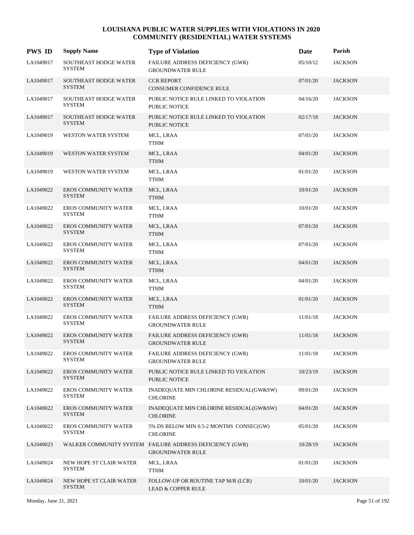| <b>PWS ID</b> | <b>Supply Name</b>                            | <b>Type of Violation</b>                                                            | Date     | Parish         |
|---------------|-----------------------------------------------|-------------------------------------------------------------------------------------|----------|----------------|
| LA1049017     | SOUTHEAST HODGE WATER<br><b>SYSTEM</b>        | FAILURE ADDRESS DEFICIENCY (GWR)<br><b>GROUNDWATER RULE</b>                         | 05/10/12 | <b>JACKSON</b> |
| LA1049017     | <b>SOUTHEAST HODGE WATER</b><br><b>SYSTEM</b> | <b>CCR REPORT</b><br><b>CONSUMER CONFIDENCE RULE</b>                                | 07/01/20 | <b>JACKSON</b> |
| LA1049017     | <b>SOUTHEAST HODGE WATER</b><br><b>SYSTEM</b> | PUBLIC NOTICE RULE LINKED TO VIOLATION<br><b>PUBLIC NOTICE</b>                      | 04/16/20 | <b>JACKSON</b> |
| LA1049017     | <b>SOUTHEAST HODGE WATER</b><br><b>SYSTEM</b> | PUBLIC NOTICE RULE LINKED TO VIOLATION<br><b>PUBLIC NOTICE</b>                      | 02/17/18 | <b>JACKSON</b> |
| LA1049019     | WESTON WATER SYSTEM                           | MCL, LRAA<br><b>TTHM</b>                                                            | 07/01/20 | <b>JACKSON</b> |
| LA1049019     | WESTON WATER SYSTEM                           | MCL, LRAA<br><b>TTHM</b>                                                            | 04/01/20 | <b>JACKSON</b> |
| LA1049019     | WESTON WATER SYSTEM                           | MCL, LRAA<br><b>TTHM</b>                                                            | 01/01/20 | <b>JACKSON</b> |
| LA1049022     | <b>EROS COMMUNITY WATER</b><br><b>SYSTEM</b>  | MCL, LRAA<br><b>TTHM</b>                                                            | 10/01/20 | <b>JACKSON</b> |
| LA1049022     | <b>EROS COMMUNITY WATER</b><br><b>SYSTEM</b>  | MCL, LRAA<br><b>TTHM</b>                                                            | 10/01/20 | <b>JACKSON</b> |
| LA1049022     | EROS COMMUNITY WATER<br><b>SYSTEM</b>         | MCL, LRAA<br><b>TTHM</b>                                                            | 07/01/20 | <b>JACKSON</b> |
| LA1049022     | <b>EROS COMMUNITY WATER</b><br><b>SYSTEM</b>  | MCL, LRAA<br><b>TTHM</b>                                                            | 07/01/20 | <b>JACKSON</b> |
| LA1049022     | <b>EROS COMMUNITY WATER</b><br><b>SYSTEM</b>  | MCL, LRAA<br><b>TTHM</b>                                                            | 04/01/20 | <b>JACKSON</b> |
| LA1049022     | <b>EROS COMMUNITY WATER</b><br><b>SYSTEM</b>  | MCL, LRAA<br><b>TTHM</b>                                                            | 04/01/20 | <b>JACKSON</b> |
| LA1049022     | EROS COMMUNITY WATER<br><b>SYSTEM</b>         | MCL, LRAA<br><b>TTHM</b>                                                            | 01/01/20 | <b>JACKSON</b> |
| LA1049022     | <b>EROS COMMUNITY WATER</b><br><b>SYSTEM</b>  | FAILURE ADDRESS DEFICIENCY (GWR)<br><b>GROUNDWATER RULE</b>                         | 11/01/18 | <b>JACKSON</b> |
| LA1049022     | <b>EROS COMMUNITY WATER</b><br><b>SYSTEM</b>  | FAILURE ADDRESS DEFICIENCY (GWR)<br><b>GROUNDWATER RULE</b>                         | 11/01/18 | <b>JACKSON</b> |
| LA1049022     | EROS COMMUNITY WATER<br><b>SYSTEM</b>         | FAILURE ADDRESS DEFICIENCY (GWR)<br><b>GROUNDWATER RULE</b>                         | 11/01/18 | <b>JACKSON</b> |
| LA1049022     | EROS COMMUNITY WATER<br><b>SYSTEM</b>         | PUBLIC NOTICE RULE LINKED TO VIOLATION<br>PUBLIC NOTICE                             | 10/23/19 | <b>JACKSON</b> |
| LA1049022     | <b>EROS COMMUNITY WATER</b><br>SYSTEM         | INADEQUATE MIN CHLORINE RESIDUAL(GW&SW)<br><b>CHLORINE</b>                          | 09/01/20 | <b>JACKSON</b> |
| LA1049022     | EROS COMMUNITY WATER<br><b>SYSTEM</b>         | INADEQUATE MIN CHLORINE RESIDUAL(GW&SW)<br><b>CHLORINE</b>                          | 04/01/20 | <b>JACKSON</b> |
| LA1049022     | <b>EROS COMMUNITY WATER</b><br><b>SYSTEM</b>  | 5% DS BELOW MIN 0.5-2 MONTHS CONSEC(GW)<br><b>CHLORINE</b>                          | 05/01/20 | <b>JACKSON</b> |
| LA1049023     |                                               | WALKER COMMUNITY SYSTEM FAILURE ADDRESS DEFICIENCY (GWR)<br><b>GROUNDWATER RULE</b> | 10/28/19 | <b>JACKSON</b> |
| LA1049024     | NEW HOPE ST CLAIR WATER<br><b>SYSTEM</b>      | MCL, LRAA<br><b>TTHM</b>                                                            | 01/01/20 | <b>JACKSON</b> |
| LA1049024     | NEW HOPE ST CLAIR WATER<br><b>SYSTEM</b>      | FOLLOW-UP OR ROUTINE TAP M/R (LCR)<br><b>LEAD &amp; COPPER RULE</b>                 | 10/01/20 | <b>JACKSON</b> |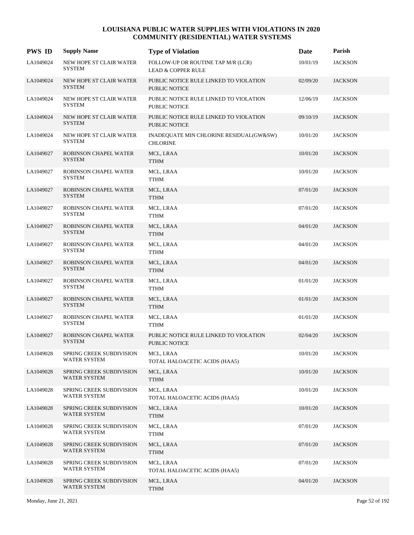| <b>PWS ID</b> | <b>Supply Name</b>                              | <b>Type of Violation</b>                                            | Date     | Parish         |
|---------------|-------------------------------------------------|---------------------------------------------------------------------|----------|----------------|
| LA1049024     | NEW HOPE ST CLAIR WATER<br><b>SYSTEM</b>        | FOLLOW-UP OR ROUTINE TAP M/R (LCR)<br><b>LEAD &amp; COPPER RULE</b> | 10/01/19 | <b>JACKSON</b> |
| LA1049024     | NEW HOPE ST CLAIR WATER<br><b>SYSTEM</b>        | PUBLIC NOTICE RULE LINKED TO VIOLATION<br><b>PUBLIC NOTICE</b>      | 02/09/20 | <b>JACKSON</b> |
| LA1049024     | NEW HOPE ST CLAIR WATER<br><b>SYSTEM</b>        | PUBLIC NOTICE RULE LINKED TO VIOLATION<br>PUBLIC NOTICE             | 12/06/19 | <b>JACKSON</b> |
| LA1049024     | <b>NEW HOPE ST CLAIR WATER</b><br><b>SYSTEM</b> | PUBLIC NOTICE RULE LINKED TO VIOLATION<br><b>PUBLIC NOTICE</b>      | 09/10/19 | <b>JACKSON</b> |
| LA1049024     | NEW HOPE ST CLAIR WATER<br><b>SYSTEM</b>        | INADEQUATE MIN CHLORINE RESIDUAL(GW&SW)<br><b>CHLORINE</b>          | 10/01/20 | <b>JACKSON</b> |
| LA1049027     | ROBINSON CHAPEL WATER<br><b>SYSTEM</b>          | MCL, LRAA<br><b>TTHM</b>                                            | 10/01/20 | <b>JACKSON</b> |
| LA1049027     | ROBINSON CHAPEL WATER<br><b>SYSTEM</b>          | MCL, LRAA<br><b>TTHM</b>                                            | 10/01/20 | <b>JACKSON</b> |
| LA1049027     | ROBINSON CHAPEL WATER<br><b>SYSTEM</b>          | MCL, LRAA<br><b>TTHM</b>                                            | 07/01/20 | <b>JACKSON</b> |
| LA1049027     | ROBINSON CHAPEL WATER<br><b>SYSTEM</b>          | MCL, LRAA<br><b>TTHM</b>                                            | 07/01/20 | <b>JACKSON</b> |
| LA1049027     | ROBINSON CHAPEL WATER<br><b>SYSTEM</b>          | MCL, LRAA<br><b>TTHM</b>                                            | 04/01/20 | <b>JACKSON</b> |
| LA1049027     | ROBINSON CHAPEL WATER<br><b>SYSTEM</b>          | MCL, LRAA<br><b>TTHM</b>                                            | 04/01/20 | <b>JACKSON</b> |
| LA1049027     | ROBINSON CHAPEL WATER<br><b>SYSTEM</b>          | MCL, LRAA<br><b>TTHM</b>                                            | 04/01/20 | <b>JACKSON</b> |
| LA1049027     | ROBINSON CHAPEL WATER<br><b>SYSTEM</b>          | MCL, LRAA<br><b>TTHM</b>                                            | 01/01/20 | <b>JACKSON</b> |
| LA1049027     | ROBINSON CHAPEL WATER<br><b>SYSTEM</b>          | MCL, LRAA<br><b>TTHM</b>                                            | 01/01/20 | <b>JACKSON</b> |
| LA1049027     | ROBINSON CHAPEL WATER<br><b>SYSTEM</b>          | MCL, LRAA<br><b>TTHM</b>                                            | 01/01/20 | <b>JACKSON</b> |
| LA1049027     | ROBINSON CHAPEL WATER<br><b>SYSTEM</b>          | PUBLIC NOTICE RULE LINKED TO VIOLATION<br><b>PUBLIC NOTICE</b>      | 02/04/20 | <b>JACKSON</b> |
| LA1049028     | SPRING CREEK SUBDIVISION<br>WATER SYSTEM        | MCL, LRAA<br>TOTAL HALOACETIC ACIDS (HAA5)                          | 10/01/20 | <b>JACKSON</b> |
| LA1049028     | SPRING CREEK SUBDIVISION<br>WATER SYSTEM        | MCL, LRAA<br><b>TTHM</b>                                            | 10/01/20 | <b>JACKSON</b> |
| LA1049028     | SPRING CREEK SUBDIVISION<br><b>WATER SYSTEM</b> | MCL, LRAA<br>TOTAL HALOACETIC ACIDS (HAA5)                          | 10/01/20 | <b>JACKSON</b> |
| LA1049028     | SPRING CREEK SUBDIVISION<br><b>WATER SYSTEM</b> | MCL, LRAA<br><b>TTHM</b>                                            | 10/01/20 | <b>JACKSON</b> |
| LA1049028     | SPRING CREEK SUBDIVISION<br><b>WATER SYSTEM</b> | MCL, LRAA<br><b>TTHM</b>                                            | 07/01/20 | <b>JACKSON</b> |
| LA1049028     | SPRING CREEK SUBDIVISION<br>WATER SYSTEM        | MCL, LRAA<br><b>TTHM</b>                                            | 07/01/20 | <b>JACKSON</b> |
| LA1049028     | SPRING CREEK SUBDIVISION<br>WATER SYSTEM        | MCL, LRAA<br>TOTAL HALOACETIC ACIDS (HAA5)                          | 07/01/20 | <b>JACKSON</b> |
| LA1049028     | SPRING CREEK SUBDIVISION<br>WATER SYSTEM        | MCL, LRAA<br><b>TTHM</b>                                            | 04/01/20 | <b>JACKSON</b> |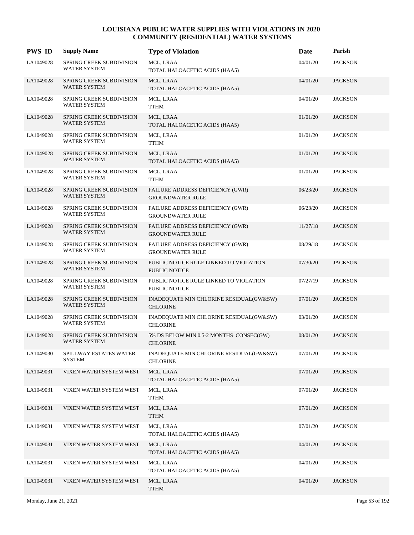| <b>PWS ID</b> | <b>Supply Name</b>                              | <b>Type of Violation</b>                                    | Date     | Parish         |
|---------------|-------------------------------------------------|-------------------------------------------------------------|----------|----------------|
| LA1049028     | SPRING CREEK SUBDIVISION<br>WATER SYSTEM        | MCL, LRAA<br>TOTAL HALOACETIC ACIDS (HAA5)                  | 04/01/20 | <b>JACKSON</b> |
| LA1049028     | SPRING CREEK SUBDIVISION<br><b>WATER SYSTEM</b> | MCL, LRAA<br>TOTAL HALOACETIC ACIDS (HAA5)                  | 04/01/20 | <b>JACKSON</b> |
| LA1049028     | SPRING CREEK SUBDIVISION<br><b>WATER SYSTEM</b> | MCL, LRAA<br><b>TTHM</b>                                    | 04/01/20 | <b>JACKSON</b> |
| LA1049028     | SPRING CREEK SUBDIVISION<br><b>WATER SYSTEM</b> | MCL, LRAA<br>TOTAL HALOACETIC ACIDS (HAA5)                  | 01/01/20 | <b>JACKSON</b> |
| LA1049028     | SPRING CREEK SUBDIVISION<br><b>WATER SYSTEM</b> | MCL, LRAA<br><b>TTHM</b>                                    | 01/01/20 | <b>JACKSON</b> |
| LA1049028     | SPRING CREEK SUBDIVISION<br>WATER SYSTEM        | MCL, LRAA<br>TOTAL HALOACETIC ACIDS (HAA5)                  | 01/01/20 | <b>JACKSON</b> |
| LA1049028     | SPRING CREEK SUBDIVISION<br>WATER SYSTEM        | MCL, LRAA<br><b>TTHM</b>                                    | 01/01/20 | <b>JACKSON</b> |
| LA1049028     | SPRING CREEK SUBDIVISION<br>WATER SYSTEM        | FAILURE ADDRESS DEFICIENCY (GWR)<br><b>GROUNDWATER RULE</b> | 06/23/20 | <b>JACKSON</b> |
| LA1049028     | SPRING CREEK SUBDIVISION<br><b>WATER SYSTEM</b> | FAILURE ADDRESS DEFICIENCY (GWR)<br><b>GROUNDWATER RULE</b> | 06/23/20 | <b>JACKSON</b> |
| LA1049028     | SPRING CREEK SUBDIVISION<br><b>WATER SYSTEM</b> | FAILURE ADDRESS DEFICIENCY (GWR)<br><b>GROUNDWATER RULE</b> | 11/27/18 | <b>JACKSON</b> |
| LA1049028     | SPRING CREEK SUBDIVISION<br><b>WATER SYSTEM</b> | FAILURE ADDRESS DEFICIENCY (GWR)<br><b>GROUNDWATER RULE</b> | 08/29/18 | <b>JACKSON</b> |
| LA1049028     | SPRING CREEK SUBDIVISION<br>WATER SYSTEM        | PUBLIC NOTICE RULE LINKED TO VIOLATION<br>PUBLIC NOTICE     | 07/30/20 | <b>JACKSON</b> |
| LA1049028     | SPRING CREEK SUBDIVISION<br>WATER SYSTEM        | PUBLIC NOTICE RULE LINKED TO VIOLATION<br>PUBLIC NOTICE     | 07/27/19 | <b>JACKSON</b> |
| LA1049028     | SPRING CREEK SUBDIVISION<br>WATER SYSTEM        | INADEQUATE MIN CHLORINE RESIDUAL(GW&SW)<br><b>CHLORINE</b>  | 07/01/20 | <b>JACKSON</b> |
| LA1049028     | SPRING CREEK SUBDIVISION<br>WATER SYSTEM        | INADEQUATE MIN CHLORINE RESIDUAL(GW&SW)<br><b>CHLORINE</b>  | 03/01/20 | <b>JACKSON</b> |
| LA1049028     | SPRING CREEK SUBDIVISION<br>WATER SYSTEM        | 5% DS BELOW MIN 0.5-2 MONTHS CONSEC(GW)<br><b>CHLORINE</b>  | 08/01/20 | <b>JACKSON</b> |
| LA1049030     | SPILLWAY ESTATES WATER<br><b>SYSTEM</b>         | INADEQUATE MIN CHLORINE RESIDUAL(GW&SW)<br><b>CHLORINE</b>  | 07/01/20 | <b>JACKSON</b> |
| LA1049031     | VIXEN WATER SYSTEM WEST                         | MCL, LRAA<br>TOTAL HALOACETIC ACIDS (HAA5)                  | 07/01/20 | <b>JACKSON</b> |
| LA1049031     | VIXEN WATER SYSTEM WEST                         | MCL, LRAA<br><b>TTHM</b>                                    | 07/01/20 | <b>JACKSON</b> |
| LA1049031     | VIXEN WATER SYSTEM WEST                         | MCL, LRAA<br><b>TTHM</b>                                    | 07/01/20 | <b>JACKSON</b> |
| LA1049031     | VIXEN WATER SYSTEM WEST                         | MCL, LRAA<br>TOTAL HALOACETIC ACIDS (HAA5)                  | 07/01/20 | <b>JACKSON</b> |
| LA1049031     | VIXEN WATER SYSTEM WEST                         | MCL, LRAA<br>TOTAL HALOACETIC ACIDS (HAA5)                  | 04/01/20 | <b>JACKSON</b> |
| LA1049031     | VIXEN WATER SYSTEM WEST                         | MCL, LRAA<br>TOTAL HALOACETIC ACIDS (HAA5)                  | 04/01/20 | <b>JACKSON</b> |
| LA1049031     | VIXEN WATER SYSTEM WEST                         | MCL, LRAA<br><b>TTHM</b>                                    | 04/01/20 | <b>JACKSON</b> |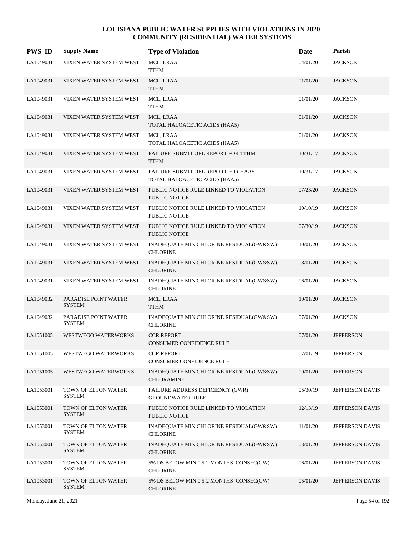| <b>PWS ID</b> | <b>Supply Name</b>                    | <b>Type of Violation</b>                                            | Date     | Parish           |
|---------------|---------------------------------------|---------------------------------------------------------------------|----------|------------------|
| LA1049031     | VIXEN WATER SYSTEM WEST               | MCL, LRAA<br><b>TTHM</b>                                            | 04/01/20 | <b>JACKSON</b>   |
| LA1049031     | VIXEN WATER SYSTEM WEST               | MCL, LRAA<br><b>TTHM</b>                                            | 01/01/20 | <b>JACKSON</b>   |
| LA1049031     | VIXEN WATER SYSTEM WEST               | MCL, LRAA<br><b>TTHM</b>                                            | 01/01/20 | <b>JACKSON</b>   |
| LA1049031     | VIXEN WATER SYSTEM WEST               | MCL, LRAA<br>TOTAL HALOACETIC ACIDS (HAA5)                          | 01/01/20 | <b>JACKSON</b>   |
| LA1049031     | VIXEN WATER SYSTEM WEST               | MCL, LRAA<br>TOTAL HALOACETIC ACIDS (HAA5)                          | 01/01/20 | <b>JACKSON</b>   |
| LA1049031     | VIXEN WATER SYSTEM WEST               | FAILURE SUBMIT OEL REPORT FOR TTHM<br><b>TTHM</b>                   | 10/31/17 | <b>JACKSON</b>   |
| LA1049031     | VIXEN WATER SYSTEM WEST               | FAILURE SUBMIT OEL REPORT FOR HAA5<br>TOTAL HALOACETIC ACIDS (HAA5) | 10/31/17 | <b>JACKSON</b>   |
| LA1049031     | VIXEN WATER SYSTEM WEST               | PUBLIC NOTICE RULE LINKED TO VIOLATION<br>PUBLIC NOTICE             | 07/23/20 | <b>JACKSON</b>   |
| LA1049031     | VIXEN WATER SYSTEM WEST               | PUBLIC NOTICE RULE LINKED TO VIOLATION<br><b>PUBLIC NOTICE</b>      | 10/10/19 | <b>JACKSON</b>   |
| LA1049031     | VIXEN WATER SYSTEM WEST               | PUBLIC NOTICE RULE LINKED TO VIOLATION<br><b>PUBLIC NOTICE</b>      | 07/30/19 | <b>JACKSON</b>   |
| LA1049031     | VIXEN WATER SYSTEM WEST               | INADEQUATE MIN CHLORINE RESIDUAL(GW&SW)<br><b>CHLORINE</b>          | 10/01/20 | <b>JACKSON</b>   |
| LA1049031     | VIXEN WATER SYSTEM WEST               | INADEQUATE MIN CHLORINE RESIDUAL(GW&SW)<br><b>CHLORINE</b>          | 08/01/20 | <b>JACKSON</b>   |
| LA1049031     | VIXEN WATER SYSTEM WEST               | INADEQUATE MIN CHLORINE RESIDUAL(GW&SW)<br><b>CHLORINE</b>          | 06/01/20 | <b>JACKSON</b>   |
| LA1049032     | PARADISE POINT WATER<br><b>SYSTEM</b> | MCL, LRAA<br><b>TTHM</b>                                            | 10/01/20 | <b>JACKSON</b>   |
| LA1049032     | PARADISE POINT WATER<br><b>SYSTEM</b> | INADEQUATE MIN CHLORINE RESIDUAL(GW&SW)<br><b>CHLORINE</b>          | 07/01/20 | <b>JACKSON</b>   |
| LA1051005     | <b>WESTWEGO WATERWORKS</b>            | <b>CCR REPORT</b><br><b>CONSUMER CONFIDENCE RULE</b>                | 07/01/20 | <b>JEFFERSON</b> |
| LA1051005     | WESTWEGO WATERWORKS                   | <b>CCR REPORT</b><br>CONSUMER CONFIDENCE RULE                       | 07/01/19 | <b>JEFFERSON</b> |
| LA1051005     | <b>WESTWEGO WATERWORKS</b>            | INADEQUATE MIN CHLORINE RESIDUAL(GW&SW)<br><b>CHLORAMINE</b>        | 09/01/20 | <b>JEFFERSON</b> |
| LA1053001     | TOWN OF ELTON WATER<br><b>SYSTEM</b>  | FAILURE ADDRESS DEFICIENCY (GWR)<br><b>GROUNDWATER RULE</b>         | 05/30/19 | JEFFERSON DAVIS  |
| LA1053001     | TOWN OF ELTON WATER<br><b>SYSTEM</b>  | PUBLIC NOTICE RULE LINKED TO VIOLATION<br>PUBLIC NOTICE             | 12/13/19 | JEFFERSON DAVIS  |
| LA1053001     | TOWN OF ELTON WATER<br><b>SYSTEM</b>  | INADEQUATE MIN CHLORINE RESIDUAL(GW&SW)<br><b>CHLORINE</b>          | 11/01/20 | JEFFERSON DAVIS  |
| LA1053001     | TOWN OF ELTON WATER<br><b>SYSTEM</b>  | INADEQUATE MIN CHLORINE RESIDUAL(GW&SW)<br><b>CHLORINE</b>          | 03/01/20 | JEFFERSON DAVIS  |
| LA1053001     | TOWN OF ELTON WATER<br><b>SYSTEM</b>  | 5% DS BELOW MIN 0.5-2 MONTHS CONSEC(GW)<br><b>CHLORINE</b>          | 06/01/20 | JEFFERSON DAVIS  |
| LA1053001     | TOWN OF ELTON WATER<br><b>SYSTEM</b>  | 5% DS BELOW MIN 0.5-2 MONTHS CONSEC(GW)<br><b>CHLORINE</b>          | 05/01/20 | JEFFERSON DAVIS  |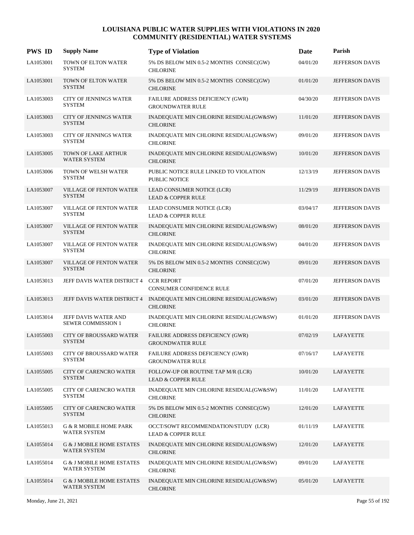| <b>PWS ID</b> | <b>Supply Name</b>                                          | <b>Type of Violation</b>                                                               | Date     | Parish                 |
|---------------|-------------------------------------------------------------|----------------------------------------------------------------------------------------|----------|------------------------|
| LA1053001     | TOWN OF ELTON WATER<br><b>SYSTEM</b>                        | 5% DS BELOW MIN 0.5-2 MONTHS CONSEC(GW)<br><b>CHLORINE</b>                             | 04/01/20 | JEFFERSON DAVIS        |
| LA1053001     | TOWN OF ELTON WATER<br><b>SYSTEM</b>                        | 5% DS BELOW MIN 0.5-2 MONTHS CONSEC(GW)<br><b>CHLORINE</b>                             | 01/01/20 | <b>JEFFERSON DAVIS</b> |
| LA1053003     | <b>CITY OF JENNINGS WATER</b><br><b>SYSTEM</b>              | FAILURE ADDRESS DEFICIENCY (GWR)<br><b>GROUNDWATER RULE</b>                            | 04/30/20 | <b>JEFFERSON DAVIS</b> |
| LA1053003     | <b>CITY OF JENNINGS WATER</b><br><b>SYSTEM</b>              | INADEQUATE MIN CHLORINE RESIDUAL(GW&SW)<br><b>CHLORINE</b>                             | 11/01/20 | <b>JEFFERSON DAVIS</b> |
| LA1053003     | <b>CITY OF JENNINGS WATER</b><br><b>SYSTEM</b>              | INADEQUATE MIN CHLORINE RESIDUAL(GW&SW)<br><b>CHLORINE</b>                             | 09/01/20 | <b>JEFFERSON DAVIS</b> |
| LA1053005     | TOWN OF LAKE ARTHUR<br><b>WATER SYSTEM</b>                  | INADEQUATE MIN CHLORINE RESIDUAL(GW&SW)<br><b>CHLORINE</b>                             | 10/01/20 | <b>JEFFERSON DAVIS</b> |
| LA1053006     | TOWN OF WELSH WATER<br><b>SYSTEM</b>                        | PUBLIC NOTICE RULE LINKED TO VIOLATION<br><b>PUBLIC NOTICE</b>                         | 12/13/19 | <b>JEFFERSON DAVIS</b> |
| LA1053007     | <b>VILLAGE OF FENTON WATER</b><br><b>SYSTEM</b>             | LEAD CONSUMER NOTICE (LCR)<br><b>LEAD &amp; COPPER RULE</b>                            | 11/29/19 | <b>JEFFERSON DAVIS</b> |
| LA1053007     | VILLAGE OF FENTON WATER<br><b>SYSTEM</b>                    | LEAD CONSUMER NOTICE (LCR)<br><b>LEAD &amp; COPPER RULE</b>                            | 03/04/17 | JEFFERSON DAVIS        |
| LA1053007     | VILLAGE OF FENTON WATER<br><b>SYSTEM</b>                    | INADEQUATE MIN CHLORINE RESIDUAL(GW&SW)<br><b>CHLORINE</b>                             | 08/01/20 | JEFFERSON DAVIS        |
| LA1053007     | VILLAGE OF FENTON WATER<br><b>SYSTEM</b>                    | INADEQUATE MIN CHLORINE RESIDUAL(GW&SW)<br><b>CHLORINE</b>                             | 04/01/20 | JEFFERSON DAVIS        |
| LA1053007     | <b>VILLAGE OF FENTON WATER</b><br><b>SYSTEM</b>             | 5% DS BELOW MIN 0.5-2 MONTHS CONSEC(GW)<br><b>CHLORINE</b>                             | 09/01/20 | <b>JEFFERSON DAVIS</b> |
| LA1053013     | JEFF DAVIS WATER DISTRICT 4                                 | <b>CCR REPORT</b><br><b>CONSUMER CONFIDENCE RULE</b>                                   | 07/01/20 | JEFFERSON DAVIS        |
| LA1053013     |                                                             | JEFF DAVIS WATER DISTRICT 4 INADEQUATE MIN CHLORINE RESIDUAL(GW&SW)<br><b>CHLORINE</b> | 03/01/20 | JEFFERSON DAVIS        |
| LA1053014     | JEFF DAVIS WATER AND<br><b>SEWER COMMISSION 1</b>           | INADEQUATE MIN CHLORINE RESIDUAL(GW&SW)<br><b>CHLORINE</b>                             | 01/01/20 | JEFFERSON DAVIS        |
| LA1055003     | <b>CITY OF BROUSSARD WATER</b><br><b>SYSTEM</b>             | FAILURE ADDRESS DEFICIENCY (GWR)<br><b>GROUNDWATER RULE</b>                            | 07/02/19 | LAFAYETTE              |
| LA1055003     | CITY OF BROUSSARD WATER<br><b>SYSTEM</b>                    | FAILURE ADDRESS DEFICIENCY (GWR)<br><b>GROUNDWATER RULE</b>                            | 07/16/17 | <b>LAFAYETTE</b>       |
| LA1055005     | <b>CITY OF CARENCRO WATER</b><br><b>SYSTEM</b>              | FOLLOW-UP OR ROUTINE TAP M/R (LCR)<br><b>LEAD &amp; COPPER RULE</b>                    | 10/01/20 | LAFAYETTE              |
| LA1055005     | <b>CITY OF CARENCRO WATER</b><br>SYSTEM                     | INADEQUATE MIN CHLORINE RESIDUAL(GW&SW)<br><b>CHLORINE</b>                             | 11/01/20 | <b>LAFAYETTE</b>       |
| LA1055005     | <b>CITY OF CARENCRO WATER</b><br><b>SYSTEM</b>              | 5% DS BELOW MIN 0.5-2 MONTHS CONSEC(GW)<br><b>CHLORINE</b>                             | 12/01/20 | LAFAYETTE              |
| LA1055013     | G & R MOBILE HOME PARK<br>WATER SYSTEM                      | OCCT/SOWT RECOMMENDATION/STUDY (LCR)<br><b>LEAD &amp; COPPER RULE</b>                  | 01/11/19 | <b>LAFAYETTE</b>       |
| LA1055014     | <b>G &amp; J MOBILE HOME ESTATES</b><br><b>WATER SYSTEM</b> | INADEQUATE MIN CHLORINE RESIDUAL(GW&SW)<br><b>CHLORINE</b>                             | 12/01/20 | <b>LAFAYETTE</b>       |
| LA1055014     | <b>G &amp; J MOBILE HOME ESTATES</b><br>WATER SYSTEM        | INADEQUATE MIN CHLORINE RESIDUAL(GW&SW)<br><b>CHLORINE</b>                             | 09/01/20 | <b>LAFAYETTE</b>       |
| LA1055014     | <b>G &amp; J MOBILE HOME ESTATES</b><br><b>WATER SYSTEM</b> | INADEQUATE MIN CHLORINE RESIDUAL(GW&SW)<br><b>CHLORINE</b>                             | 05/01/20 | LAFAYETTE              |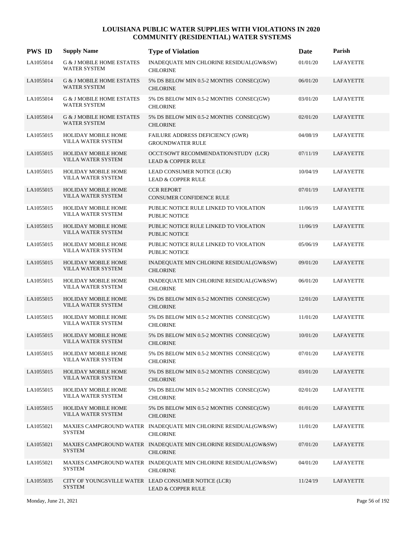| <b>PWS ID</b> | <b>Supply Name</b>                                          | <b>Type of Violation</b>                                                              | Date     | Parish           |
|---------------|-------------------------------------------------------------|---------------------------------------------------------------------------------------|----------|------------------|
| LA1055014     | <b>G &amp; J MOBILE HOME ESTATES</b><br><b>WATER SYSTEM</b> | INADEQUATE MIN CHLORINE RESIDUAL(GW&SW)<br><b>CHLORINE</b>                            | 01/01/20 | <b>LAFAYETTE</b> |
| LA1055014     | <b>G &amp; J MOBILE HOME ESTATES</b><br><b>WATER SYSTEM</b> | 5% DS BELOW MIN 0.5-2 MONTHS CONSEC(GW)<br><b>CHLORINE</b>                            | 06/01/20 | LAFAYETTE        |
| LA1055014     | <b>G &amp; J MOBILE HOME ESTATES</b><br><b>WATER SYSTEM</b> | 5% DS BELOW MIN 0.5-2 MONTHS CONSEC(GW)<br><b>CHLORINE</b>                            | 03/01/20 | LAFAYETTE        |
| LA1055014     | <b>G &amp; J MOBILE HOME ESTATES</b><br><b>WATER SYSTEM</b> | 5% DS BELOW MIN 0.5-2 MONTHS CONSEC(GW)<br><b>CHLORINE</b>                            | 02/01/20 | LAFAYETTE        |
| LA1055015     | <b>HOLIDAY MOBILE HOME</b><br>VILLA WATER SYSTEM            | FAILURE ADDRESS DEFICIENCY (GWR)<br><b>GROUNDWATER RULE</b>                           | 04/08/19 | <b>LAFAYETTE</b> |
| LA1055015     | <b>HOLIDAY MOBILE HOME</b><br>VILLA WATER SYSTEM            | OCCT/SOWT RECOMMENDATION/STUDY (LCR)<br><b>LEAD &amp; COPPER RULE</b>                 | 07/11/19 | LAFAYETTE        |
| LA1055015     | HOLIDAY MOBILE HOME<br>VILLA WATER SYSTEM                   | LEAD CONSUMER NOTICE (LCR)<br><b>LEAD &amp; COPPER RULE</b>                           | 10/04/19 | LAFAYETTE        |
| LA1055015     | <b>HOLIDAY MOBILE HOME</b><br>VILLA WATER SYSTEM            | <b>CCR REPORT</b><br><b>CONSUMER CONFIDENCE RULE</b>                                  | 07/01/19 | LAFAYETTE        |
| LA1055015     | HOLIDAY MOBILE HOME<br>VILLA WATER SYSTEM                   | PUBLIC NOTICE RULE LINKED TO VIOLATION<br><b>PUBLIC NOTICE</b>                        | 11/06/19 | <b>LAFAYETTE</b> |
| LA1055015     | HOLIDAY MOBILE HOME<br>VILLA WATER SYSTEM                   | PUBLIC NOTICE RULE LINKED TO VIOLATION<br><b>PUBLIC NOTICE</b>                        | 11/06/19 | LAFAYETTE        |
| LA1055015     | HOLIDAY MOBILE HOME<br>VILLA WATER SYSTEM                   | PUBLIC NOTICE RULE LINKED TO VIOLATION<br><b>PUBLIC NOTICE</b>                        | 05/06/19 | LAFAYETTE        |
| LA1055015     | HOLIDAY MOBILE HOME<br>VILLA WATER SYSTEM                   | INADEQUATE MIN CHLORINE RESIDUAL(GW&SW)<br><b>CHLORINE</b>                            | 09/01/20 | LAFAYETTE        |
| LA1055015     | HOLIDAY MOBILE HOME<br>VILLA WATER SYSTEM                   | INADEQUATE MIN CHLORINE RESIDUAL(GW&SW)<br><b>CHLORINE</b>                            | 06/01/20 | LAFAYETTE        |
| LA1055015     | <b>HOLIDAY MOBILE HOME</b><br>VILLA WATER SYSTEM            | 5% DS BELOW MIN 0.5-2 MONTHS CONSEC(GW)<br><b>CHLORINE</b>                            | 12/01/20 | LAFAYETTE        |
| LA1055015     | HOLIDAY MOBILE HOME<br>VILLA WATER SYSTEM                   | 5% DS BELOW MIN 0.5-2 MONTHS CONSEC(GW)<br><b>CHLORINE</b>                            | 11/01/20 | LAFAYETTE        |
| LA1055015     | HOLIDAY MOBILE HOME<br>VILLA WATER SYSTEM                   | 5% DS BELOW MIN 0.5-2 MONTHS CONSEC(GW)<br><b>CHLORINE</b>                            | 10/01/20 | LAFAYETTE        |
| LA1055015     | <b>HOLIDAY MOBILE HOME</b><br>VILLA WATER SYSTEM            | 5% DS BELOW MIN 0.5-2 MONTHS CONSEC(GW)<br><b>CHLORINE</b>                            | 07/01/20 | LAFAYETTE        |
| LA1055015     | <b>HOLIDAY MOBILE HOME</b><br>VILLA WATER SYSTEM            | 5% DS BELOW MIN 0.5-2 MONTHS CONSEC(GW)<br><b>CHLORINE</b>                            | 03/01/20 | LAFAYETTE        |
| LA1055015     | HOLIDAY MOBILE HOME<br>VILLA WATER SYSTEM                   | 5% DS BELOW MIN 0.5-2 MONTHS CONSEC(GW)<br><b>CHLORINE</b>                            | 02/01/20 | LAFAYETTE        |
| LA1055015     | HOLIDAY MOBILE HOME<br>VILLA WATER SYSTEM                   | 5% DS BELOW MIN 0.5-2 MONTHS CONSEC(GW)<br><b>CHLORINE</b>                            | 01/01/20 | LAFAYETTE        |
| LA1055021     | <b>SYSTEM</b>                                               | MAXIES CAMPGROUND WATER INADEQUATE MIN CHLORINE RESIDUAL(GW&SW)<br><b>CHLORINE</b>    | 11/01/20 | LAFAYETTE        |
| LA1055021     | <b>SYSTEM</b>                                               | MAXIES CAMPGROUND WATER INADEQUATE MIN CHLORINE RESIDUAL(GW&SW)<br><b>CHLORINE</b>    | 07/01/20 | LAFAYETTE        |
| LA1055021     | <b>SYSTEM</b>                                               | MAXIES CAMPGROUND WATER INADEQUATE MIN CHLORINE RESIDUAL(GW&SW)<br><b>CHLORINE</b>    | 04/01/20 | LAFAYETTE        |
| LA1055035     | <b>SYSTEM</b>                                               | CITY OF YOUNGSVILLE WATER LEAD CONSUMER NOTICE (LCR)<br><b>LEAD &amp; COPPER RULE</b> | 11/24/19 | LAFAYETTE        |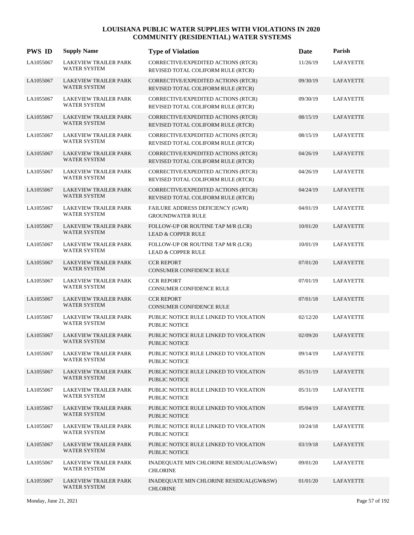| <b>PWS ID</b> | <b>Supply Name</b>                                  | <b>Type of Violation</b>                                                  | Date     | Parish           |
|---------------|-----------------------------------------------------|---------------------------------------------------------------------------|----------|------------------|
| LA1055067     | <b>LAKEVIEW TRAILER PARK</b><br>WATER SYSTEM        | CORRECTIVE/EXPEDITED ACTIONS (RTCR)<br>REVISED TOTAL COLIFORM RULE (RTCR) | 11/26/19 | <b>LAFAYETTE</b> |
| LA1055067     | <b>LAKEVIEW TRAILER PARK</b><br>WATER SYSTEM        | CORRECTIVE/EXPEDITED ACTIONS (RTCR)<br>REVISED TOTAL COLIFORM RULE (RTCR) | 09/30/19 | LAFAYETTE        |
| LA1055067     | LAKEVIEW TRAILER PARK<br><b>WATER SYSTEM</b>        | CORRECTIVE/EXPEDITED ACTIONS (RTCR)<br>REVISED TOTAL COLIFORM RULE (RTCR) | 09/30/19 | LAFAYETTE        |
| LA1055067     | <b>LAKEVIEW TRAILER PARK</b><br>WATER SYSTEM        | CORRECTIVE/EXPEDITED ACTIONS (RTCR)<br>REVISED TOTAL COLIFORM RULE (RTCR) | 08/15/19 | LAFAYETTE        |
| LA1055067     | <b>LAKEVIEW TRAILER PARK</b><br>WATER SYSTEM        | CORRECTIVE/EXPEDITED ACTIONS (RTCR)<br>REVISED TOTAL COLIFORM RULE (RTCR) | 08/15/19 | LAFAYETTE        |
| LA1055067     | <b>LAKEVIEW TRAILER PARK</b><br>WATER SYSTEM        | CORRECTIVE/EXPEDITED ACTIONS (RTCR)<br>REVISED TOTAL COLIFORM RULE (RTCR) | 04/26/19 | LAFAYETTE        |
| LA1055067     | <b>LAKEVIEW TRAILER PARK</b><br><b>WATER SYSTEM</b> | CORRECTIVE/EXPEDITED ACTIONS (RTCR)<br>REVISED TOTAL COLIFORM RULE (RTCR) | 04/26/19 | LAFAYETTE        |
| LA1055067     | <b>LAKEVIEW TRAILER PARK</b><br><b>WATER SYSTEM</b> | CORRECTIVE/EXPEDITED ACTIONS (RTCR)<br>REVISED TOTAL COLIFORM RULE (RTCR) | 04/24/19 | LAFAYETTE        |
| LA1055067     | <b>LAKEVIEW TRAILER PARK</b><br>WATER SYSTEM        | FAILURE ADDRESS DEFICIENCY (GWR)<br><b>GROUNDWATER RULE</b>               | 04/01/19 | LAFAYETTE        |
| LA1055067     | <b>LAKEVIEW TRAILER PARK</b><br>WATER SYSTEM        | FOLLOW-UP OR ROUTINE TAP M/R (LCR)<br><b>LEAD &amp; COPPER RULE</b>       | 10/01/20 | LAFAYETTE        |
| LA1055067     | <b>LAKEVIEW TRAILER PARK</b><br><b>WATER SYSTEM</b> | FOLLOW-UP OR ROUTINE TAP M/R (LCR)<br><b>LEAD &amp; COPPER RULE</b>       | 10/01/19 | LAFAYETTE        |
| LA1055067     | <b>LAKEVIEW TRAILER PARK</b><br><b>WATER SYSTEM</b> | <b>CCR REPORT</b><br><b>CONSUMER CONFIDENCE RULE</b>                      | 07/01/20 | LAFAYETTE        |
| LA1055067     | LAKEVIEW TRAILER PARK<br>WATER SYSTEM               | <b>CCR REPORT</b><br>CONSUMER CONFIDENCE RULE                             | 07/01/19 | LAFAYETTE        |
| LA1055067     | <b>LAKEVIEW TRAILER PARK</b><br>WATER SYSTEM        | <b>CCR REPORT</b><br>CONSUMER CONFIDENCE RULE                             | 07/01/18 | LAFAYETTE        |
| LA1055067     | LAKEVIEW TRAILER PARK<br><b>WATER SYSTEM</b>        | PUBLIC NOTICE RULE LINKED TO VIOLATION<br><b>PUBLIC NOTICE</b>            | 02/12/20 | LAFAYETTE        |
| LA1055067     | <b>LAKEVIEW TRAILER PARK</b><br><b>WATER SYSTEM</b> | PUBLIC NOTICE RULE LINKED TO VIOLATION<br><b>PUBLIC NOTICE</b>            | 02/09/20 | LAFAYETTE        |
| LA1055067     | <b>LAKEVIEW TRAILER PARK</b><br><b>WATER SYSTEM</b> | PUBLIC NOTICE RULE LINKED TO VIOLATION<br>PUBLIC NOTICE                   | 09/14/19 | <b>LAFAYETTE</b> |
| LA1055067     | LAKEVIEW TRAILER PARK<br>WATER SYSTEM               | PUBLIC NOTICE RULE LINKED TO VIOLATION<br>PUBLIC NOTICE                   | 05/31/19 | LAFAYETTE        |
| LA1055067     | LAKEVIEW TRAILER PARK<br>WATER SYSTEM               | PUBLIC NOTICE RULE LINKED TO VIOLATION<br>PUBLIC NOTICE                   | 05/31/19 | LAFAYETTE        |
| LA1055067     | LAKEVIEW TRAILER PARK<br><b>WATER SYSTEM</b>        | PUBLIC NOTICE RULE LINKED TO VIOLATION<br>PUBLIC NOTICE                   | 05/04/19 | <b>LAFAYETTE</b> |
| LA1055067     | LAKEVIEW TRAILER PARK<br><b>WATER SYSTEM</b>        | PUBLIC NOTICE RULE LINKED TO VIOLATION<br><b>PUBLIC NOTICE</b>            | 10/24/18 | LAFAYETTE        |
| LA1055067     | LAKEVIEW TRAILER PARK<br>WATER SYSTEM               | PUBLIC NOTICE RULE LINKED TO VIOLATION<br>PUBLIC NOTICE                   | 03/19/18 | LAFAYETTE        |
| LA1055067     | <b>LAKEVIEW TRAILER PARK</b><br><b>WATER SYSTEM</b> | INADEQUATE MIN CHLORINE RESIDUAL(GW&SW)<br><b>CHLORINE</b>                | 09/01/20 | LAFAYETTE        |
| LA1055067     | LAKEVIEW TRAILER PARK<br>WATER SYSTEM               | INADEQUATE MIN CHLORINE RESIDUAL(GW&SW)<br><b>CHLORINE</b>                | 01/01/20 | <b>LAFAYETTE</b> |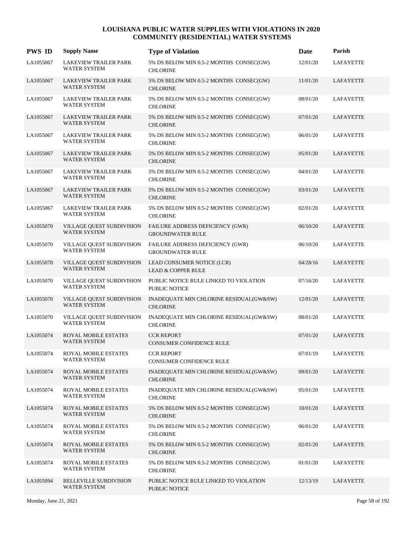| <b>PWS ID</b> | <b>Supply Name</b>                                  | <b>Type of Violation</b>                                    | Date     | Parish           |
|---------------|-----------------------------------------------------|-------------------------------------------------------------|----------|------------------|
| LA1055067     | <b>LAKEVIEW TRAILER PARK</b><br><b>WATER SYSTEM</b> | 5% DS BELOW MIN 0.5-2 MONTHS CONSEC(GW)<br><b>CHLORINE</b>  | 12/01/20 | <b>LAFAYETTE</b> |
| LA1055067     | <b>LAKEVIEW TRAILER PARK</b><br><b>WATER SYSTEM</b> | 5% DS BELOW MIN 0.5-2 MONTHS CONSEC(GW)<br><b>CHLORINE</b>  | 11/01/20 | LAFAYETTE        |
| LA1055067     | <b>LAKEVIEW TRAILER PARK</b><br><b>WATER SYSTEM</b> | 5% DS BELOW MIN 0.5-2 MONTHS CONSEC(GW)<br><b>CHLORINE</b>  | 08/01/20 | LAFAYETTE        |
| LA1055067     | <b>LAKEVIEW TRAILER PARK</b><br><b>WATER SYSTEM</b> | 5% DS BELOW MIN 0.5-2 MONTHS CONSEC(GW)<br><b>CHLORINE</b>  | 07/01/20 | LAFAYETTE        |
| LA1055067     | <b>LAKEVIEW TRAILER PARK</b><br>WATER SYSTEM        | 5% DS BELOW MIN 0.5-2 MONTHS CONSEC(GW)<br><b>CHLORINE</b>  | 06/01/20 | <b>LAFAYETTE</b> |
| LA1055067     | <b>LAKEVIEW TRAILER PARK</b><br><b>WATER SYSTEM</b> | 5% DS BELOW MIN 0.5-2 MONTHS CONSEC(GW)<br><b>CHLORINE</b>  | 05/01/20 | LAFAYETTE        |
| LA1055067     | <b>LAKEVIEW TRAILER PARK</b><br><b>WATER SYSTEM</b> | 5% DS BELOW MIN 0.5-2 MONTHS CONSEC(GW)<br><b>CHLORINE</b>  | 04/01/20 | LAFAYETTE        |
| LA1055067     | <b>LAKEVIEW TRAILER PARK</b><br><b>WATER SYSTEM</b> | 5% DS BELOW MIN 0.5-2 MONTHS CONSEC(GW)<br><b>CHLORINE</b>  | 03/01/20 | LAFAYETTE        |
| LA1055067     | <b>LAKEVIEW TRAILER PARK</b><br><b>WATER SYSTEM</b> | 5% DS BELOW MIN 0.5-2 MONTHS CONSEC(GW)<br><b>CHLORINE</b>  | 02/01/20 | LAFAYETTE        |
| LA1055070     | VILLAGE QUEST SUBDIVISION<br><b>WATER SYSTEM</b>    | FAILURE ADDRESS DEFICIENCY (GWR)<br><b>GROUNDWATER RULE</b> | 06/10/20 | <b>LAFAYETTE</b> |
| LA1055070     | VILLAGE QUEST SUBDIVISION<br><b>WATER SYSTEM</b>    | FAILURE ADDRESS DEFICIENCY (GWR)<br><b>GROUNDWATER RULE</b> | 06/10/20 | <b>LAFAYETTE</b> |
| LA1055070     | VILLAGE QUEST SUBDIVISION<br><b>WATER SYSTEM</b>    | LEAD CONSUMER NOTICE (LCR)<br><b>LEAD &amp; COPPER RULE</b> | 04/28/16 | LAFAYETTE        |
| LA1055070     | VILLAGE QUEST SUBDIVISION<br><b>WATER SYSTEM</b>    | PUBLIC NOTICE RULE LINKED TO VIOLATION<br>PUBLIC NOTICE     | 07/16/20 | <b>LAFAYETTE</b> |
| LA1055070     | VILLAGE QUEST SUBDIVISION<br><b>WATER SYSTEM</b>    | INADEQUATE MIN CHLORINE RESIDUAL(GW&SW)<br><b>CHLORINE</b>  | 12/01/20 | LAFAYETTE        |
| LA1055070     | VILLAGE QUEST SUBDIVISION<br><b>WATER SYSTEM</b>    | INADEQUATE MIN CHLORINE RESIDUAL(GW&SW)<br><b>CHLORINE</b>  | 08/01/20 | <b>LAFAYETTE</b> |
| LA1055074     | ROYAL MOBILE ESTATES<br><b>WATER SYSTEM</b>         | <b>CCR REPORT</b><br><b>CONSUMER CONFIDENCE RULE</b>        | 07/01/20 | LAFAYETTE        |
| LA1055074     | ROYAL MOBILE ESTATES<br><b>WATER SYSTEM</b>         | <b>CCR REPORT</b><br>CONSUMER CONFIDENCE RULE               | 07/01/19 | <b>LAFAYETTE</b> |
| LA1055074     | ROYAL MOBILE ESTATES<br><b>WATER SYSTEM</b>         | INADEQUATE MIN CHLORINE RESIDUAL(GW&SW)<br><b>CHLORINE</b>  | 09/01/20 | LAFAYETTE        |
| LA1055074     | ROYAL MOBILE ESTATES<br><b>WATER SYSTEM</b>         | INADEQUATE MIN CHLORINE RESIDUAL(GW&SW)<br><b>CHLORINE</b>  | 05/01/20 | <b>LAFAYETTE</b> |
| LA1055074     | ROYAL MOBILE ESTATES<br><b>WATER SYSTEM</b>         | 5% DS BELOW MIN 0.5-2 MONTHS CONSEC(GW)<br><b>CHLORINE</b>  | 10/01/20 | LAFAYETTE        |
| LA1055074     | ROYAL MOBILE ESTATES<br><b>WATER SYSTEM</b>         | 5% DS BELOW MIN 0.5-2 MONTHS CONSEC(GW)<br><b>CHLORINE</b>  | 06/01/20 | LAFAYETTE        |
| LA1055074     | ROYAL MOBILE ESTATES<br><b>WATER SYSTEM</b>         | 5% DS BELOW MIN 0.5-2 MONTHS CONSEC(GW)<br><b>CHLORINE</b>  | 02/01/20 | LAFAYETTE        |
| LA1055074     | ROYAL MOBILE ESTATES<br><b>WATER SYSTEM</b>         | 5% DS BELOW MIN 0.5-2 MONTHS CONSEC(GW)<br><b>CHLORINE</b>  | 01/01/20 | LAFAYETTE        |
| LA1055094     | BELLEVILLE SUBDIVISION<br><b>WATER SYSTEM</b>       | PUBLIC NOTICE RULE LINKED TO VIOLATION<br>PUBLIC NOTICE     | 12/13/19 | LAFAYETTE        |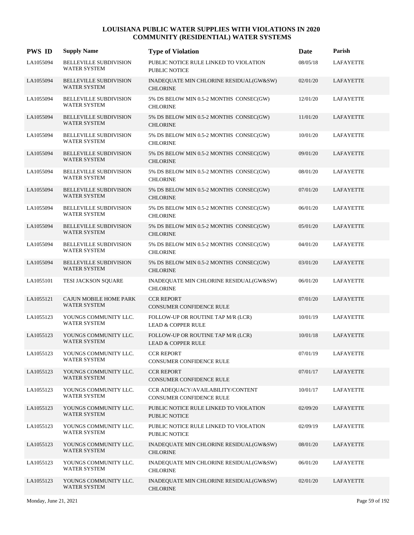| <b>PWS ID</b> | <b>Supply Name</b>                                   | <b>Type of Violation</b>                                            | Date     | Parish           |
|---------------|------------------------------------------------------|---------------------------------------------------------------------|----------|------------------|
| LA1055094     | <b>BELLEVILLE SUBDIVISION</b><br><b>WATER SYSTEM</b> | PUBLIC NOTICE RULE LINKED TO VIOLATION<br><b>PUBLIC NOTICE</b>      | 08/05/18 | <b>LAFAYETTE</b> |
| LA1055094     | <b>BELLEVILLE SUBDIVISION</b><br><b>WATER SYSTEM</b> | INADEQUATE MIN CHLORINE RESIDUAL(GW&SW)<br><b>CHLORINE</b>          | 02/01/20 | LAFAYETTE        |
| LA1055094     | <b>BELLEVILLE SUBDIVISION</b><br><b>WATER SYSTEM</b> | 5% DS BELOW MIN 0.5-2 MONTHS CONSEC(GW)<br><b>CHLORINE</b>          | 12/01/20 | LAFAYETTE        |
| LA1055094     | <b>BELLEVILLE SUBDIVISION</b><br><b>WATER SYSTEM</b> | 5% DS BELOW MIN 0.5-2 MONTHS CONSEC(GW)<br><b>CHLORINE</b>          | 11/01/20 | LAFAYETTE        |
| LA1055094     | <b>BELLEVILLE SUBDIVISION</b><br><b>WATER SYSTEM</b> | 5% DS BELOW MIN 0.5-2 MONTHS CONSEC(GW)<br><b>CHLORINE</b>          | 10/01/20 | LAFAYETTE        |
| LA1055094     | <b>BELLEVILLE SUBDIVISION</b><br><b>WATER SYSTEM</b> | 5% DS BELOW MIN 0.5-2 MONTHS CONSEC(GW)<br><b>CHLORINE</b>          | 09/01/20 | LAFAYETTE        |
| LA1055094     | <b>BELLEVILLE SUBDIVISION</b><br><b>WATER SYSTEM</b> | 5% DS BELOW MIN 0.5-2 MONTHS CONSEC(GW)<br><b>CHLORINE</b>          | 08/01/20 | LAFAYETTE        |
| LA1055094     | <b>BELLEVILLE SUBDIVISION</b><br><b>WATER SYSTEM</b> | 5% DS BELOW MIN 0.5-2 MONTHS CONSEC(GW)<br><b>CHLORINE</b>          | 07/01/20 | LAFAYETTE        |
| LA1055094     | <b>BELLEVILLE SUBDIVISION</b><br><b>WATER SYSTEM</b> | 5% DS BELOW MIN 0.5-2 MONTHS CONSEC(GW)<br><b>CHLORINE</b>          | 06/01/20 | LAFAYETTE        |
| LA1055094     | <b>BELLEVILLE SUBDIVISION</b><br><b>WATER SYSTEM</b> | 5% DS BELOW MIN 0.5-2 MONTHS CONSEC(GW)<br><b>CHLORINE</b>          | 05/01/20 | LAFAYETTE        |
| LA1055094     | <b>BELLEVILLE SUBDIVISION</b><br><b>WATER SYSTEM</b> | 5% DS BELOW MIN 0.5-2 MONTHS CONSEC(GW)<br><b>CHLORINE</b>          | 04/01/20 | LAFAYETTE        |
| LA1055094     | <b>BELLEVILLE SUBDIVISION</b><br><b>WATER SYSTEM</b> | 5% DS BELOW MIN 0.5-2 MONTHS CONSEC(GW)<br><b>CHLORINE</b>          | 03/01/20 | LAFAYETTE        |
| LA1055101     | TESI JACKSON SQUARE                                  | INADEQUATE MIN CHLORINE RESIDUAL(GW&SW)<br><b>CHLORINE</b>          | 06/01/20 | LAFAYETTE        |
| LA1055121     | CAJUN MOBILE HOME PARK<br><b>WATER SYSTEM</b>        | <b>CCR REPORT</b><br>CONSUMER CONFIDENCE RULE                       | 07/01/20 | LAFAYETTE        |
| LA1055123     | YOUNGS COMMUNITY LLC.<br><b>WATER SYSTEM</b>         | FOLLOW-UP OR ROUTINE TAP M/R (LCR)<br><b>LEAD &amp; COPPER RULE</b> | 10/01/19 | LAFAYETTE        |
| LA1055123     | YOUNGS COMMUNITY LLC.<br><b>WATER SYSTEM</b>         | FOLLOW-UP OR ROUTINE TAP M/R (LCR)<br><b>LEAD &amp; COPPER RULE</b> | 10/01/18 | LAFAYETTE        |
| LA1055123     | YOUNGS COMMUNITY LLC.<br><b>WATER SYSTEM</b>         | <b>CCR REPORT</b><br>CONSUMER CONFIDENCE RULE                       | 07/01/19 | LAFAYETTE        |
| LA1055123     | YOUNGS COMMUNITY LLC.<br><b>WATER SYSTEM</b>         | <b>CCR REPORT</b><br>CONSUMER CONFIDENCE RULE                       | 07/01/17 | <b>LAFAYETTE</b> |
| LA1055123     | YOUNGS COMMUNITY LLC.<br><b>WATER SYSTEM</b>         | CCR ADEQUACY/AVAILABILITY/CONTENT<br>CONSUMER CONFIDENCE RULE       | 10/01/17 | <b>LAFAYETTE</b> |
| LA1055123     | YOUNGS COMMUNITY LLC.<br><b>WATER SYSTEM</b>         | PUBLIC NOTICE RULE LINKED TO VIOLATION<br>PUBLIC NOTICE             | 02/09/20 | LAFAYETTE        |
| LA1055123     | YOUNGS COMMUNITY LLC.<br><b>WATER SYSTEM</b>         | PUBLIC NOTICE RULE LINKED TO VIOLATION<br>PUBLIC NOTICE             | 02/09/19 | <b>LAFAYETTE</b> |
| LA1055123     | YOUNGS COMMUNITY LLC.<br><b>WATER SYSTEM</b>         | INADEQUATE MIN CHLORINE RESIDUAL(GW&SW)<br><b>CHLORINE</b>          | 08/01/20 | LAFAYETTE        |
| LA1055123     | YOUNGS COMMUNITY LLC.<br><b>WATER SYSTEM</b>         | INADEQUATE MIN CHLORINE RESIDUAL(GW&SW)<br><b>CHLORINE</b>          | 06/01/20 | LAFAYETTE        |
| LA1055123     | YOUNGS COMMUNITY LLC.<br><b>WATER SYSTEM</b>         | INADEQUATE MIN CHLORINE RESIDUAL(GW&SW)<br><b>CHLORINE</b>          | 02/01/20 | LAFAYETTE        |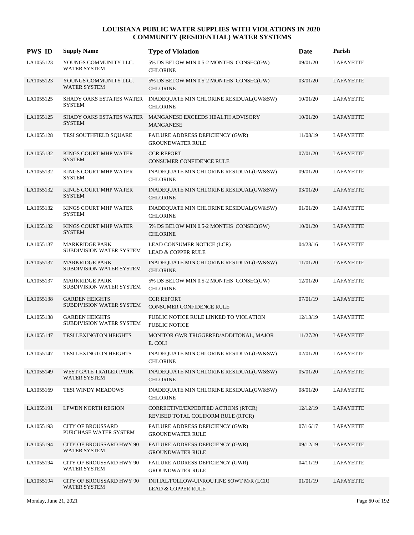| <b>PWS ID</b> | <b>Supply Name</b>                                     | <b>Type of Violation</b>                                                            | Date     | Parish           |
|---------------|--------------------------------------------------------|-------------------------------------------------------------------------------------|----------|------------------|
| LA1055123     | YOUNGS COMMUNITY LLC.<br><b>WATER SYSTEM</b>           | 5% DS BELOW MIN 0.5-2 MONTHS CONSEC(GW)<br><b>CHLORINE</b>                          | 09/01/20 | <b>LAFAYETTE</b> |
| LA1055123     | YOUNGS COMMUNITY LLC.<br><b>WATER SYSTEM</b>           | 5% DS BELOW MIN 0.5-2 MONTHS CONSEC(GW)<br><b>CHLORINE</b>                          | 03/01/20 | LAFAYETTE        |
| LA1055125     | <b>SYSTEM</b>                                          | SHADY OAKS ESTATES WATER INADEQUATE MIN CHLORINE RESIDUAL(GW&SW)<br><b>CHLORINE</b> | 10/01/20 | LAFAYETTE        |
| LA1055125     | <b>SYSTEM</b>                                          | SHADY OAKS ESTATES WATER MANGANESE EXCEEDS HEALTH ADVISORY<br><b>MANGANESE</b>      | 10/01/20 | <b>LAFAYETTE</b> |
| LA1055128     | TESI SOUTHFIELD SQUARE                                 | FAILURE ADDRESS DEFICIENCY (GWR)<br><b>GROUNDWATER RULE</b>                         | 11/08/19 | LAFAYETTE        |
| LA1055132     | KINGS COURT MHP WATER<br><b>SYSTEM</b>                 | <b>CCR REPORT</b><br><b>CONSUMER CONFIDENCE RULE</b>                                | 07/01/20 | LAFAYETTE        |
| LA1055132     | KINGS COURT MHP WATER<br><b>SYSTEM</b>                 | INADEQUATE MIN CHLORINE RESIDUAL(GW&SW)<br><b>CHLORINE</b>                          | 09/01/20 | LAFAYETTE        |
| LA1055132     | KINGS COURT MHP WATER<br><b>SYSTEM</b>                 | INADEQUATE MIN CHLORINE RESIDUAL(GW&SW)<br><b>CHLORINE</b>                          | 03/01/20 | LAFAYETTE        |
| LA1055132     | KINGS COURT MHP WATER<br><b>SYSTEM</b>                 | INADEQUATE MIN CHLORINE RESIDUAL(GW&SW)<br><b>CHLORINE</b>                          | 01/01/20 | LAFAYETTE        |
| LA1055132     | KINGS COURT MHP WATER<br><b>SYSTEM</b>                 | 5% DS BELOW MIN 0.5-2 MONTHS CONSEC(GW)<br><b>CHLORINE</b>                          | 10/01/20 | <b>LAFAYETTE</b> |
| LA1055137     | <b>MARKRIDGE PARK</b><br>SUBDIVISION WATER SYSTEM      | LEAD CONSUMER NOTICE (LCR)<br><b>LEAD &amp; COPPER RULE</b>                         | 04/28/16 | LAFAYETTE        |
| LA1055137     | <b>MARKRIDGE PARK</b><br>SUBDIVISION WATER SYSTEM      | INADEQUATE MIN CHLORINE RESIDUAL(GW&SW)<br><b>CHLORINE</b>                          | 11/01/20 | LAFAYETTE        |
| LA1055137     | <b>MARKRIDGE PARK</b><br>SUBDIVISION WATER SYSTEM      | 5% DS BELOW MIN 0.5-2 MONTHS CONSEC(GW)<br><b>CHLORINE</b>                          | 12/01/20 | LAFAYETTE        |
| LA1055138     | <b>GARDEN HEIGHTS</b><br>SUBDIVISION WATER SYSTEM      | <b>CCR REPORT</b><br><b>CONSUMER CONFIDENCE RULE</b>                                | 07/01/19 | LAFAYETTE        |
| LA1055138     | <b>GARDEN HEIGHTS</b><br>SUBDIVISION WATER SYSTEM      | PUBLIC NOTICE RULE LINKED TO VIOLATION<br>PUBLIC NOTICE                             | 12/13/19 | LAFAYETTE        |
| LA1055147     | TESI LEXINGTON HEIGHTS                                 | MONITOR GWR TRIGGERED/ADDITONAL, MAJOR<br>E. COLI                                   | 11/27/20 | <b>LAFAYETTE</b> |
| LA1055147     | TESI LEXINGTON HEIGHTS                                 | INADEQUATE MIN CHLORINE RESIDUAL(GW&SW)<br><b>CHLORINE</b>                          | 02/01/20 | LAFAYETTE        |
| LA1055149     | WEST GATE TRAILER PARK<br>WATER SYSTEM                 | INADEQUATE MIN CHLORINE RESIDUAL(GW&SW)<br><b>CHLORINE</b>                          | 05/01/20 | LAFAYETTE        |
| LA1055169     | TESI WINDY MEADOWS                                     | INADEQUATE MIN CHLORINE RESIDUAL(GW&SW)<br><b>CHLORINE</b>                          | 08/01/20 | LAFAYETTE        |
| LA1055191     | LPWDN NORTH REGION                                     | CORRECTIVE/EXPEDITED ACTIONS (RTCR)<br>REVISED TOTAL COLIFORM RULE (RTCR)           | 12/12/19 | LAFAYETTE        |
| LA1055193     | <b>CITY OF BROUSSARD</b><br>PURCHASE WATER SYSTEM      | FAILURE ADDRESS DEFICIENCY (GWR)<br><b>GROUNDWATER RULE</b>                         | 07/16/17 | <b>LAFAYETTE</b> |
| LA1055194     | <b>CITY OF BROUSSARD HWY 90</b><br><b>WATER SYSTEM</b> | FAILURE ADDRESS DEFICIENCY (GWR)<br><b>GROUNDWATER RULE</b>                         | 09/12/19 | LAFAYETTE        |
| LA1055194     | <b>CITY OF BROUSSARD HWY 90</b><br><b>WATER SYSTEM</b> | FAILURE ADDRESS DEFICIENCY (GWR)<br><b>GROUNDWATER RULE</b>                         | 04/11/19 | LAFAYETTE        |
| LA1055194     | CITY OF BROUSSARD HWY 90<br>WATER SYSTEM               | INITIAL/FOLLOW-UP/ROUTINE SOWT M/R (LCR)<br><b>LEAD &amp; COPPER RULE</b>           | 01/01/19 | LAFAYETTE        |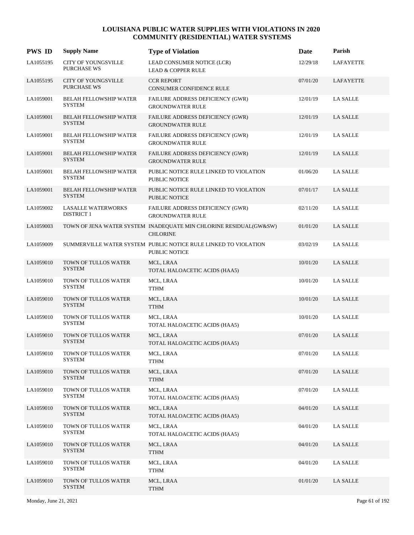| <b>PWS ID</b> | <b>Supply Name</b>                             | <b>Type of Violation</b>                                                                | Date     | Parish          |
|---------------|------------------------------------------------|-----------------------------------------------------------------------------------------|----------|-----------------|
| LA1055195     | <b>CITY OF YOUNGSVILLE</b><br>PURCHASE WS      | LEAD CONSUMER NOTICE (LCR)<br><b>LEAD &amp; COPPER RULE</b>                             | 12/29/18 | LAFAYETTE       |
| LA1055195     | <b>CITY OF YOUNGSVILLE</b><br>PURCHASE WS      | <b>CCR REPORT</b><br>CONSUMER CONFIDENCE RULE                                           | 07/01/20 | LAFAYETTE       |
| LA1059001     | BELAH FELLOWSHIP WATER<br><b>SYSTEM</b>        | FAILURE ADDRESS DEFICIENCY (GWR)<br><b>GROUNDWATER RULE</b>                             | 12/01/19 | <b>LA SALLE</b> |
| LA1059001     | <b>BELAH FELLOWSHIP WATER</b><br><b>SYSTEM</b> | FAILURE ADDRESS DEFICIENCY (GWR)<br><b>GROUNDWATER RULE</b>                             | 12/01/19 | <b>LA SALLE</b> |
| LA1059001     | <b>BELAH FELLOWSHIP WATER</b><br><b>SYSTEM</b> | FAILURE ADDRESS DEFICIENCY (GWR)<br><b>GROUNDWATER RULE</b>                             | 12/01/19 | <b>LA SALLE</b> |
| LA1059001     | <b>BELAH FELLOWSHIP WATER</b><br><b>SYSTEM</b> | FAILURE ADDRESS DEFICIENCY (GWR)<br><b>GROUNDWATER RULE</b>                             | 12/01/19 | <b>LA SALLE</b> |
| LA1059001     | BELAH FELLOWSHIP WATER<br><b>SYSTEM</b>        | PUBLIC NOTICE RULE LINKED TO VIOLATION<br>PUBLIC NOTICE                                 | 01/06/20 | <b>LA SALLE</b> |
| LA1059001     | <b>BELAH FELLOWSHIP WATER</b><br><b>SYSTEM</b> | PUBLIC NOTICE RULE LINKED TO VIOLATION<br>PUBLIC NOTICE                                 | 07/01/17 | <b>LA SALLE</b> |
| LA1059002     | LASALLE WATERWORKS<br><b>DISTRICT 1</b>        | FAILURE ADDRESS DEFICIENCY (GWR)<br><b>GROUNDWATER RULE</b>                             | 02/11/20 | <b>LA SALLE</b> |
| LA1059003     |                                                | TOWN OF JENA WATER SYSTEM INADEQUATE MIN CHLORINE RESIDUAL(GW&SW)<br><b>CHLORINE</b>    | 01/01/20 | <b>LA SALLE</b> |
| LA1059009     |                                                | SUMMERVILLE WATER SYSTEM PUBLIC NOTICE RULE LINKED TO VIOLATION<br><b>PUBLIC NOTICE</b> | 03/02/19 | <b>LA SALLE</b> |
| LA1059010     | TOWN OF TULLOS WATER<br><b>SYSTEM</b>          | MCL, LRAA<br>TOTAL HALOACETIC ACIDS (HAA5)                                              | 10/01/20 | <b>LA SALLE</b> |
| LA1059010     | TOWN OF TULLOS WATER<br><b>SYSTEM</b>          | MCL, LRAA<br>TTHM                                                                       | 10/01/20 | <b>LA SALLE</b> |
| LA1059010     | TOWN OF TULLOS WATER<br><b>SYSTEM</b>          | MCL, LRAA<br><b>TTHM</b>                                                                | 10/01/20 | <b>LA SALLE</b> |
| LA1059010     | TOWN OF TULLOS WATER<br><b>SYSTEM</b>          | MCL, LRAA<br>TOTAL HALOACETIC ACIDS (HAA5)                                              | 10/01/20 | <b>LA SALLE</b> |
| LA1059010     | TOWN OF TULLOS WATER<br><b>SYSTEM</b>          | MCL, LRAA<br>TOTAL HALOACETIC ACIDS (HAA5)                                              | 07/01/20 | <b>LA SALLE</b> |
| LA1059010     | TOWN OF TULLOS WATER<br><b>SYSTEM</b>          | MCL, LRAA<br><b>TTHM</b>                                                                | 07/01/20 | <b>LA SALLE</b> |
| LA1059010     | TOWN OF TULLOS WATER<br><b>SYSTEM</b>          | MCL, LRAA<br><b>TTHM</b>                                                                | 07/01/20 | <b>LA SALLE</b> |
| LA1059010     | TOWN OF TULLOS WATER<br><b>SYSTEM</b>          | MCL, LRAA<br>TOTAL HALOACETIC ACIDS (HAA5)                                              | 07/01/20 | LA SALLE        |
| LA1059010     | TOWN OF TULLOS WATER<br><b>SYSTEM</b>          | MCL, LRAA<br>TOTAL HALOACETIC ACIDS (HAA5)                                              | 04/01/20 | <b>LA SALLE</b> |
| LA1059010     | TOWN OF TULLOS WATER<br><b>SYSTEM</b>          | MCL, LRAA<br>TOTAL HALOACETIC ACIDS (HAA5)                                              | 04/01/20 | <b>LA SALLE</b> |
| LA1059010     | TOWN OF TULLOS WATER<br><b>SYSTEM</b>          | MCL, LRAA<br><b>TTHM</b>                                                                | 04/01/20 | <b>LA SALLE</b> |
| LA1059010     | TOWN OF TULLOS WATER<br><b>SYSTEM</b>          | MCL, LRAA<br><b>TTHM</b>                                                                | 04/01/20 | <b>LA SALLE</b> |
| LA1059010     | TOWN OF TULLOS WATER<br><b>SYSTEM</b>          | MCL, LRAA<br>TTHM                                                                       | 01/01/20 | <b>LA SALLE</b> |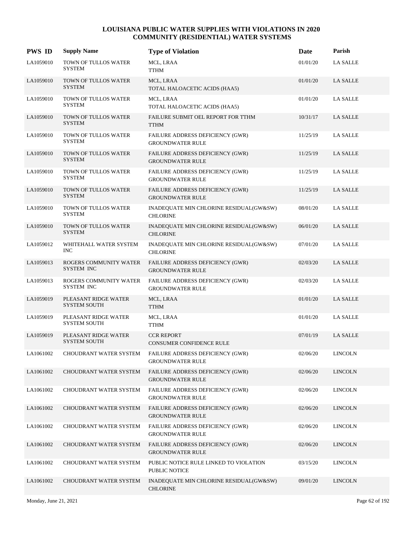| <b>PWS ID</b> | <b>Supply Name</b>                          | <b>Type of Violation</b>                                    | Date     | Parish          |
|---------------|---------------------------------------------|-------------------------------------------------------------|----------|-----------------|
| LA1059010     | TOWN OF TULLOS WATER<br><b>SYSTEM</b>       | MCL, LRAA<br>TTHM                                           | 01/01/20 | <b>LA SALLE</b> |
| LA1059010     | TOWN OF TULLOS WATER<br><b>SYSTEM</b>       | MCL, LRAA<br>TOTAL HALOACETIC ACIDS (HAA5)                  | 01/01/20 | <b>LA SALLE</b> |
| LA1059010     | TOWN OF TULLOS WATER<br><b>SYSTEM</b>       | MCL, LRAA<br>TOTAL HALOACETIC ACIDS (HAA5)                  | 01/01/20 | LA SALLE        |
| LA1059010     | TOWN OF TULLOS WATER<br><b>SYSTEM</b>       | FAILURE SUBMIT OEL REPORT FOR TTHM<br><b>TTHM</b>           | 10/31/17 | LA SALLE        |
| LA1059010     | TOWN OF TULLOS WATER<br><b>SYSTEM</b>       | FAILURE ADDRESS DEFICIENCY (GWR)<br><b>GROUNDWATER RULE</b> | 11/25/19 | LA SALLE        |
| LA1059010     | TOWN OF TULLOS WATER<br><b>SYSTEM</b>       | FAILURE ADDRESS DEFICIENCY (GWR)<br><b>GROUNDWATER RULE</b> | 11/25/19 | LA SALLE        |
| LA1059010     | TOWN OF TULLOS WATER<br><b>SYSTEM</b>       | FAILURE ADDRESS DEFICIENCY (GWR)<br><b>GROUNDWATER RULE</b> | 11/25/19 | <b>LA SALLE</b> |
| LA1059010     | TOWN OF TULLOS WATER<br><b>SYSTEM</b>       | FAILURE ADDRESS DEFICIENCY (GWR)<br><b>GROUNDWATER RULE</b> | 11/25/19 | LA SALLE        |
| LA1059010     | TOWN OF TULLOS WATER<br><b>SYSTEM</b>       | INADEQUATE MIN CHLORINE RESIDUAL(GW&SW)<br><b>CHLORINE</b>  | 08/01/20 | <b>LA SALLE</b> |
| LA1059010     | TOWN OF TULLOS WATER<br><b>SYSTEM</b>       | INADEQUATE MIN CHLORINE RESIDUAL(GW&SW)<br><b>CHLORINE</b>  | 06/01/20 | <b>LA SALLE</b> |
| LA1059012     | WHITEHALL WATER SYSTEM<br><b>INC</b>        | INADEQUATE MIN CHLORINE RESIDUAL(GW&SW)<br><b>CHLORINE</b>  | 07/01/20 | <b>LA SALLE</b> |
| LA1059013     | ROGERS COMMUNITY WATER<br>SYSTEM INC        | FAILURE ADDRESS DEFICIENCY (GWR)<br><b>GROUNDWATER RULE</b> | 02/03/20 | LA SALLE        |
| LA1059013     | ROGERS COMMUNITY WATER<br>SYSTEM INC        | FAILURE ADDRESS DEFICIENCY (GWR)<br><b>GROUNDWATER RULE</b> | 02/03/20 | <b>LA SALLE</b> |
| LA1059019     | PLEASANT RIDGE WATER<br><b>SYSTEM SOUTH</b> | MCL, LRAA<br><b>TTHM</b>                                    | 01/01/20 | LA SALLE        |
| LA1059019     | PLEASANT RIDGE WATER<br><b>SYSTEM SOUTH</b> | MCL, LRAA<br><b>TTHM</b>                                    | 01/01/20 | <b>LA SALLE</b> |
| LA1059019     | PLEASANT RIDGE WATER<br><b>SYSTEM SOUTH</b> | <b>CCR REPORT</b><br><b>CONSUMER CONFIDENCE RULE</b>        | 07/01/19 | <b>LA SALLE</b> |
| LA1061002     | CHOUDRANT WATER SYSTEM                      | FAILURE ADDRESS DEFICIENCY (GWR)<br><b>GROUNDWATER RULE</b> | 02/06/20 | <b>LINCOLN</b>  |
| LA1061002     | <b>CHOUDRANT WATER SYSTEM</b>               | FAILURE ADDRESS DEFICIENCY (GWR)<br><b>GROUNDWATER RULE</b> | 02/06/20 | <b>LINCOLN</b>  |
| LA1061002     | <b>CHOUDRANT WATER SYSTEM</b>               | FAILURE ADDRESS DEFICIENCY (GWR)<br><b>GROUNDWATER RULE</b> | 02/06/20 | <b>LINCOLN</b>  |
| LA1061002     | <b>CHOUDRANT WATER SYSTEM</b>               | FAILURE ADDRESS DEFICIENCY (GWR)<br><b>GROUNDWATER RULE</b> | 02/06/20 | <b>LINCOLN</b>  |
| LA1061002     | CHOUDRANT WATER SYSTEM                      | FAILURE ADDRESS DEFICIENCY (GWR)<br><b>GROUNDWATER RULE</b> | 02/06/20 | <b>LINCOLN</b>  |
| LA1061002     | <b>CHOUDRANT WATER SYSTEM</b>               | FAILURE ADDRESS DEFICIENCY (GWR)<br><b>GROUNDWATER RULE</b> | 02/06/20 | <b>LINCOLN</b>  |
| LA1061002     | CHOUDRANT WATER SYSTEM                      | PUBLIC NOTICE RULE LINKED TO VIOLATION<br>PUBLIC NOTICE     | 03/15/20 | <b>LINCOLN</b>  |
| LA1061002     | CHOUDRANT WATER SYSTEM                      | INADEQUATE MIN CHLORINE RESIDUAL(GW&SW)<br><b>CHLORINE</b>  | 09/01/20 | <b>LINCOLN</b>  |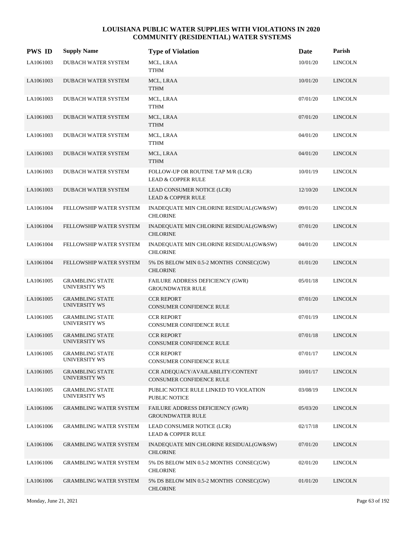| <b>PWS ID</b> | <b>Supply Name</b>                             | <b>Type of Violation</b>                                             | Date     | Parish         |
|---------------|------------------------------------------------|----------------------------------------------------------------------|----------|----------------|
| LA1061003     | DUBACH WATER SYSTEM                            | MCL, LRAA<br>TTHM                                                    | 10/01/20 | <b>LINCOLN</b> |
| LA1061003     | DUBACH WATER SYSTEM                            | MCL, LRAA<br><b>TTHM</b>                                             | 10/01/20 | <b>LINCOLN</b> |
| LA1061003     | DUBACH WATER SYSTEM                            | MCL, LRAA<br><b>TTHM</b>                                             | 07/01/20 | <b>LINCOLN</b> |
| LA1061003     | <b>DUBACH WATER SYSTEM</b>                     | MCL, LRAA<br><b>TTHM</b>                                             | 07/01/20 | <b>LINCOLN</b> |
| LA1061003     | <b>DUBACH WATER SYSTEM</b>                     | MCL, LRAA<br><b>TTHM</b>                                             | 04/01/20 | <b>LINCOLN</b> |
| LA1061003     | DUBACH WATER SYSTEM                            | MCL, LRAA<br><b>TTHM</b>                                             | 04/01/20 | <b>LINCOLN</b> |
| LA1061003     | DUBACH WATER SYSTEM                            | FOLLOW-UP OR ROUTINE TAP M/R (LCR)<br><b>LEAD &amp; COPPER RULE</b>  | 10/01/19 | <b>LINCOLN</b> |
| LA1061003     | <b>DUBACH WATER SYSTEM</b>                     | LEAD CONSUMER NOTICE (LCR)<br><b>LEAD &amp; COPPER RULE</b>          | 12/10/20 | <b>LINCOLN</b> |
| LA1061004     | FELLOWSHIP WATER SYSTEM                        | INADEQUATE MIN CHLORINE RESIDUAL(GW&SW)<br><b>CHLORINE</b>           | 09/01/20 | <b>LINCOLN</b> |
| LA1061004     | FELLOWSHIP WATER SYSTEM                        | INADEQUATE MIN CHLORINE RESIDUAL(GW&SW)<br><b>CHLORINE</b>           | 07/01/20 | <b>LINCOLN</b> |
| LA1061004     | FELLOWSHIP WATER SYSTEM                        | INADEQUATE MIN CHLORINE RESIDUAL(GW&SW)<br><b>CHLORINE</b>           | 04/01/20 | <b>LINCOLN</b> |
| LA1061004     | <b>FELLOWSHIP WATER SYSTEM</b>                 | 5% DS BELOW MIN 0.5-2 MONTHS CONSEC(GW)<br><b>CHLORINE</b>           | 01/01/20 | <b>LINCOLN</b> |
| LA1061005     | <b>GRAMBLING STATE</b><br><b>UNIVERSITY WS</b> | FAILURE ADDRESS DEFICIENCY (GWR)<br><b>GROUNDWATER RULE</b>          | 05/01/18 | <b>LINCOLN</b> |
| LA1061005     | <b>GRAMBLING STATE</b><br>UNIVERSITY WS        | <b>CCR REPORT</b><br>CONSUMER CONFIDENCE RULE                        | 07/01/20 | <b>LINCOLN</b> |
| LA1061005     | <b>GRAMBLING STATE</b><br><b>UNIVERSITY WS</b> | <b>CCR REPORT</b><br>CONSUMER CONFIDENCE RULE                        | 07/01/19 | <b>LINCOLN</b> |
| LA1061005     | <b>GRAMBLING STATE</b><br>UNIVERSITY WS        | <b>CCR REPORT</b><br><b>CONSUMER CONFIDENCE RULE</b>                 | 07/01/18 | <b>LINCOLN</b> |
| LA1061005     | <b>GRAMBLING STATE</b><br><b>UNIVERSITY WS</b> | <b>CCR REPORT</b><br>CONSUMER CONFIDENCE RULE                        | 07/01/17 | <b>LINCOLN</b> |
| LA1061005     | <b>GRAMBLING STATE</b><br>UNIVERSITY WS        | CCR ADEQUACY/AVAILABILITY/CONTENT<br><b>CONSUMER CONFIDENCE RULE</b> | 10/01/17 | <b>LINCOLN</b> |
| LA1061005     | <b>GRAMBLING STATE</b><br><b>UNIVERSITY WS</b> | PUBLIC NOTICE RULE LINKED TO VIOLATION<br><b>PUBLIC NOTICE</b>       | 03/08/19 | <b>LINCOLN</b> |
| LA1061006     | <b>GRAMBLING WATER SYSTEM</b>                  | FAILURE ADDRESS DEFICIENCY (GWR)<br><b>GROUNDWATER RULE</b>          | 05/03/20 | <b>LINCOLN</b> |
| LA1061006     | <b>GRAMBLING WATER SYSTEM</b>                  | LEAD CONSUMER NOTICE (LCR)<br><b>LEAD &amp; COPPER RULE</b>          | 02/17/18 | <b>LINCOLN</b> |
| LA1061006     | <b>GRAMBLING WATER SYSTEM</b>                  | INADEQUATE MIN CHLORINE RESIDUAL(GW&SW)<br><b>CHLORINE</b>           | 07/01/20 | <b>LINCOLN</b> |
| LA1061006     | <b>GRAMBLING WATER SYSTEM</b>                  | 5% DS BELOW MIN 0.5-2 MONTHS CONSEC(GW)<br><b>CHLORINE</b>           | 02/01/20 | <b>LINCOLN</b> |
| LA1061006     | <b>GRAMBLING WATER SYSTEM</b>                  | 5% DS BELOW MIN 0.5-2 MONTHS CONSEC(GW)<br><b>CHLORINE</b>           | 01/01/20 | <b>LINCOLN</b> |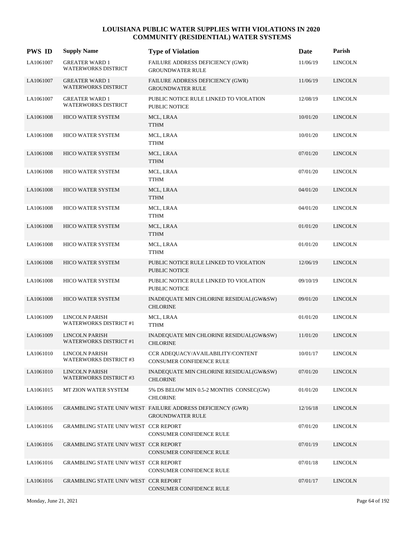| <b>PWS ID</b> | <b>Supply Name</b>                                     | <b>Type of Violation</b>                                                              | Date     | Parish         |
|---------------|--------------------------------------------------------|---------------------------------------------------------------------------------------|----------|----------------|
| LA1061007     | <b>GREATER WARD 1</b><br><b>WATERWORKS DISTRICT</b>    | FAILURE ADDRESS DEFICIENCY (GWR)<br><b>GROUNDWATER RULE</b>                           | 11/06/19 | <b>LINCOLN</b> |
| LA1061007     | <b>GREATER WARD 1</b><br><b>WATERWORKS DISTRICT</b>    | FAILURE ADDRESS DEFICIENCY (GWR)<br><b>GROUNDWATER RULE</b>                           | 11/06/19 | <b>LINCOLN</b> |
| LA1061007     | <b>GREATER WARD 1</b><br>WATERWORKS DISTRICT           | PUBLIC NOTICE RULE LINKED TO VIOLATION<br><b>PUBLIC NOTICE</b>                        | 12/08/19 | <b>LINCOLN</b> |
| LA1061008     | <b>HICO WATER SYSTEM</b>                               | MCL, LRAA<br><b>TTHM</b>                                                              | 10/01/20 | <b>LINCOLN</b> |
| LA1061008     | <b>HICO WATER SYSTEM</b>                               | MCL, LRAA<br><b>TTHM</b>                                                              | 10/01/20 | <b>LINCOLN</b> |
| LA1061008     | HICO WATER SYSTEM                                      | MCL, LRAA<br><b>TTHM</b>                                                              | 07/01/20 | <b>LINCOLN</b> |
| LA1061008     | <b>HICO WATER SYSTEM</b>                               | MCL, LRAA<br><b>TTHM</b>                                                              | 07/01/20 | <b>LINCOLN</b> |
| LA1061008     | <b>HICO WATER SYSTEM</b>                               | MCL, LRAA<br><b>TTHM</b>                                                              | 04/01/20 | <b>LINCOLN</b> |
| LA1061008     | HICO WATER SYSTEM                                      | MCL, LRAA<br><b>TTHM</b>                                                              | 04/01/20 | <b>LINCOLN</b> |
| LA1061008     | HICO WATER SYSTEM                                      | MCL, LRAA<br><b>TTHM</b>                                                              | 01/01/20 | <b>LINCOLN</b> |
| LA1061008     | <b>HICO WATER SYSTEM</b>                               | MCL, LRAA<br><b>TTHM</b>                                                              | 01/01/20 | <b>LINCOLN</b> |
| LA1061008     | <b>HICO WATER SYSTEM</b>                               | PUBLIC NOTICE RULE LINKED TO VIOLATION<br><b>PUBLIC NOTICE</b>                        | 12/06/19 | <b>LINCOLN</b> |
| LA1061008     | <b>HICO WATER SYSTEM</b>                               | PUBLIC NOTICE RULE LINKED TO VIOLATION<br><b>PUBLIC NOTICE</b>                        | 09/10/19 | <b>LINCOLN</b> |
| LA1061008     | HICO WATER SYSTEM                                      | INADEQUATE MIN CHLORINE RESIDUAL(GW&SW)<br><b>CHLORINE</b>                            | 09/01/20 | <b>LINCOLN</b> |
| LA1061009     | LINCOLN PARISH<br><b>WATERWORKS DISTRICT #1</b>        | MCL, LRAA<br><b>TTHM</b>                                                              | 01/01/20 | <b>LINCOLN</b> |
| LA1061009     | <b>LINCOLN PARISH</b><br><b>WATERWORKS DISTRICT #1</b> | INADEQUATE MIN CHLORINE RESIDUAL(GW&SW)<br><b>CHLORINE</b>                            | 11/01/20 | <b>LINCOLN</b> |
| LA1061010     | <b>LINCOLN PARISH</b><br><b>WATERWORKS DISTRICT #3</b> | CCR ADEQUACY/AVAILABILITY/CONTENT<br>CONSUMER CONFIDENCE RULE                         | 10/01/17 | <b>LINCOLN</b> |
| LA1061010     | <b>LINCOLN PARISH</b><br><b>WATERWORKS DISTRICT #3</b> | INADEQUATE MIN CHLORINE RESIDUAL(GW&SW)<br><b>CHLORINE</b>                            | 07/01/20 | <b>LINCOLN</b> |
| LA1061015     | MT ZION WATER SYSTEM                                   | 5% DS BELOW MIN 0.5-2 MONTHS CONSEC(GW)<br><b>CHLORINE</b>                            | 01/01/20 | <b>LINCOLN</b> |
| LA1061016     |                                                        | GRAMBLING STATE UNIV WEST FAILURE ADDRESS DEFICIENCY (GWR)<br><b>GROUNDWATER RULE</b> | 12/16/18 | <b>LINCOLN</b> |
| LA1061016     | GRAMBLING STATE UNIV WEST CCR REPORT                   | CONSUMER CONFIDENCE RULE                                                              | 07/01/20 | <b>LINCOLN</b> |
| LA1061016     | GRAMBLING STATE UNIV WEST CCR REPORT                   | CONSUMER CONFIDENCE RULE                                                              | 07/01/19 | <b>LINCOLN</b> |
| LA1061016     | GRAMBLING STATE UNIV WEST CCR REPORT                   | CONSUMER CONFIDENCE RULE                                                              | 07/01/18 | <b>LINCOLN</b> |
| LA1061016     | GRAMBLING STATE UNIV WEST CCR REPORT                   | CONSUMER CONFIDENCE RULE                                                              | 07/01/17 | <b>LINCOLN</b> |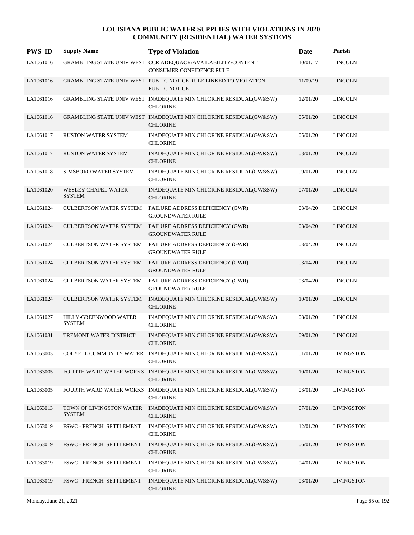| <b>PWS ID</b> | <b>Supply Name</b>                        | <b>Type of Violation</b>                                                                 | Date     | Parish            |
|---------------|-------------------------------------------|------------------------------------------------------------------------------------------|----------|-------------------|
| LA1061016     |                                           | GRAMBLING STATE UNIV WEST CCR ADEQUACY/AVAILABILITY/CONTENT<br>CONSUMER CONFIDENCE RULE  | 10/01/17 | <b>LINCOLN</b>    |
| LA1061016     |                                           | GRAMBLING STATE UNIV WEST PUBLIC NOTICE RULE LINKED TO VIOLATION<br><b>PUBLIC NOTICE</b> | 11/09/19 | <b>LINCOLN</b>    |
| LA1061016     |                                           | GRAMBLING STATE UNIV WEST INADEQUATE MIN CHLORINE RESIDUAL(GW&SW)<br><b>CHLORINE</b>     | 12/01/20 | <b>LINCOLN</b>    |
| LA1061016     |                                           | GRAMBLING STATE UNIV WEST INADEQUATE MIN CHLORINE RESIDUAL(GW&SW)<br><b>CHLORINE</b>     | 05/01/20 | <b>LINCOLN</b>    |
| LA1061017     | RUSTON WATER SYSTEM                       | INADEQUATE MIN CHLORINE RESIDUAL(GW&SW)<br><b>CHLORINE</b>                               | 05/01/20 | <b>LINCOLN</b>    |
| LA1061017     | <b>RUSTON WATER SYSTEM</b>                | INADEQUATE MIN CHLORINE RESIDUAL(GW&SW)<br><b>CHLORINE</b>                               | 03/01/20 | <b>LINCOLN</b>    |
| LA1061018     | SIMSBORO WATER SYSTEM                     | INADEQUATE MIN CHLORINE RESIDUAL(GW&SW)<br><b>CHLORINE</b>                               | 09/01/20 | <b>LINCOLN</b>    |
| LA1061020     | WESLEY CHAPEL WATER<br><b>SYSTEM</b>      | INADEQUATE MIN CHLORINE RESIDUAL(GW&SW)<br><b>CHLORINE</b>                               | 07/01/20 | <b>LINCOLN</b>    |
| LA1061024     | <b>CULBERTSON WATER SYSTEM</b>            | FAILURE ADDRESS DEFICIENCY (GWR)<br><b>GROUNDWATER RULE</b>                              | 03/04/20 | <b>LINCOLN</b>    |
| LA1061024     |                                           | CULBERTSON WATER SYSTEM FAILURE ADDRESS DEFICIENCY (GWR)<br><b>GROUNDWATER RULE</b>      | 03/04/20 | <b>LINCOLN</b>    |
| LA1061024     | <b>CULBERTSON WATER SYSTEM</b>            | FAILURE ADDRESS DEFICIENCY (GWR)<br><b>GROUNDWATER RULE</b>                              | 03/04/20 | <b>LINCOLN</b>    |
| LA1061024     | <b>CULBERTSON WATER SYSTEM</b>            | FAILURE ADDRESS DEFICIENCY (GWR)<br><b>GROUNDWATER RULE</b>                              | 03/04/20 | <b>LINCOLN</b>    |
| LA1061024     | <b>CULBERTSON WATER SYSTEM</b>            | FAILURE ADDRESS DEFICIENCY (GWR)<br><b>GROUNDWATER RULE</b>                              | 03/04/20 | <b>LINCOLN</b>    |
| LA1061024     | <b>CULBERTSON WATER SYSTEM</b>            | INADEQUATE MIN CHLORINE RESIDUAL(GW&SW)<br><b>CHLORINE</b>                               | 10/01/20 | <b>LINCOLN</b>    |
| LA1061027     | HILLY-GREENWOOD WATER<br><b>SYSTEM</b>    | INADEQUATE MIN CHLORINE RESIDUAL(GW&SW)<br><b>CHLORINE</b>                               | 08/01/20 | <b>LINCOLN</b>    |
| LA1061031     | TREMONT WATER DISTRICT                    | INADEQUATE MIN CHLORINE RESIDUAL(GW&SW)<br><b>CHLORINE</b>                               | 09/01/20 | <b>LINCOLN</b>    |
| LA1063003     |                                           | COLYELL COMMUNITY WATER INADEQUATE MIN CHLORINE RESIDUAL(GW&SW)<br><b>CHLORINE</b>       | 01/01/20 | <b>LIVINGSTON</b> |
| LA1063005     |                                           | FOURTH WARD WATER WORKS INADEQUATE MIN CHLORINE RESIDUAL(GW&SW)<br><b>CHLORINE</b>       | 10/01/20 | <b>LIVINGSTON</b> |
| LA1063005     |                                           | FOURTH WARD WATER WORKS INADEQUATE MIN CHLORINE RESIDUAL(GW&SW)<br><b>CHLORINE</b>       | 03/01/20 | <b>LIVINGSTON</b> |
| LA1063013     | TOWN OF LIVINGSTON WATER<br><b>SYSTEM</b> | INADEQUATE MIN CHLORINE RESIDUAL(GW&SW)<br><b>CHLORINE</b>                               | 07/01/20 | <b>LIVINGSTON</b> |
| LA1063019     | FSWC - FRENCH SETTLEMENT                  | INADEQUATE MIN CHLORINE RESIDUAL(GW&SW)<br><b>CHLORINE</b>                               | 12/01/20 | <b>LIVINGSTON</b> |
| LA1063019     | FSWC - FRENCH SETTLEMENT                  | INADEQUATE MIN CHLORINE RESIDUAL(GW&SW)<br><b>CHLORINE</b>                               | 06/01/20 | <b>LIVINGSTON</b> |
| LA1063019     | FSWC - FRENCH SETTLEMENT                  | INADEQUATE MIN CHLORINE RESIDUAL(GW&SW)<br><b>CHLORINE</b>                               | 04/01/20 | <b>LIVINGSTON</b> |
| LA1063019     | FSWC - FRENCH SETTLEMENT                  | INADEQUATE MIN CHLORINE RESIDUAL(GW&SW)<br><b>CHLORINE</b>                               | 03/01/20 | <b>LIVINGSTON</b> |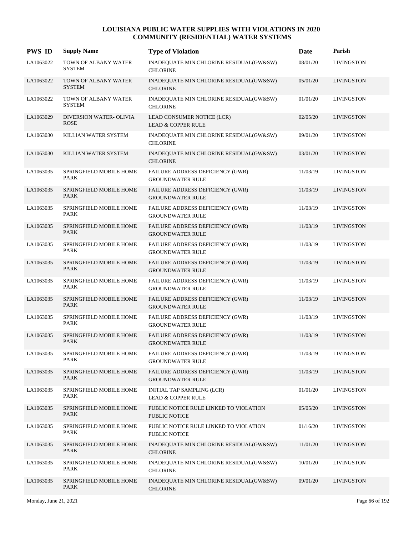| <b>PWS ID</b> | <b>Supply Name</b>                     | <b>Type of Violation</b>                                           | Date     | Parish            |
|---------------|----------------------------------------|--------------------------------------------------------------------|----------|-------------------|
| LA1063022     | TOWN OF ALBANY WATER<br><b>SYSTEM</b>  | INADEQUATE MIN CHLORINE RESIDUAL(GW&SW)<br><b>CHLORINE</b>         | 08/01/20 | <b>LIVINGSTON</b> |
| LA1063022     | TOWN OF ALBANY WATER<br><b>SYSTEM</b>  | INADEQUATE MIN CHLORINE RESIDUAL(GW&SW)<br><b>CHLORINE</b>         | 05/01/20 | <b>LIVINGSTON</b> |
| LA1063022     | TOWN OF ALBANY WATER<br><b>SYSTEM</b>  | INADEQUATE MIN CHLORINE RESIDUAL(GW&SW)<br><b>CHLORINE</b>         | 01/01/20 | <b>LIVINGSTON</b> |
| LA1063029     | DIVERSION WATER- OLIVIA<br><b>ROSE</b> | LEAD CONSUMER NOTICE (LCR)<br><b>LEAD &amp; COPPER RULE</b>        | 02/05/20 | <b>LIVINGSTON</b> |
| LA1063030     | KILLIAN WATER SYSTEM                   | INADEQUATE MIN CHLORINE RESIDUAL(GW&SW)<br><b>CHLORINE</b>         | 09/01/20 | <b>LIVINGSTON</b> |
| LA1063030     | KILLIAN WATER SYSTEM                   | INADEQUATE MIN CHLORINE RESIDUAL(GW&SW)<br><b>CHLORINE</b>         | 03/01/20 | <b>LIVINGSTON</b> |
| LA1063035     | SPRINGFIELD MOBILE HOME<br><b>PARK</b> | FAILURE ADDRESS DEFICIENCY (GWR)<br><b>GROUNDWATER RULE</b>        | 11/03/19 | <b>LIVINGSTON</b> |
| LA1063035     | SPRINGFIELD MOBILE HOME<br><b>PARK</b> | FAILURE ADDRESS DEFICIENCY (GWR)<br><b>GROUNDWATER RULE</b>        | 11/03/19 | <b>LIVINGSTON</b> |
| LA1063035     | SPRINGFIELD MOBILE HOME<br><b>PARK</b> | FAILURE ADDRESS DEFICIENCY (GWR)<br><b>GROUNDWATER RULE</b>        | 11/03/19 | <b>LIVINGSTON</b> |
| LA1063035     | SPRINGFIELD MOBILE HOME<br><b>PARK</b> | FAILURE ADDRESS DEFICIENCY (GWR)<br><b>GROUNDWATER RULE</b>        | 11/03/19 | <b>LIVINGSTON</b> |
| LA1063035     | SPRINGFIELD MOBILE HOME<br><b>PARK</b> | FAILURE ADDRESS DEFICIENCY (GWR)<br><b>GROUNDWATER RULE</b>        | 11/03/19 | <b>LIVINGSTON</b> |
| LA1063035     | SPRINGFIELD MOBILE HOME<br><b>PARK</b> | FAILURE ADDRESS DEFICIENCY (GWR)<br><b>GROUNDWATER RULE</b>        | 11/03/19 | <b>LIVINGSTON</b> |
| LA1063035     | SPRINGFIELD MOBILE HOME<br>PARK        | FAILURE ADDRESS DEFICIENCY (GWR)<br><b>GROUNDWATER RULE</b>        | 11/03/19 | <b>LIVINGSTON</b> |
| LA1063035     | SPRINGFIELD MOBILE HOME<br><b>PARK</b> | <b>FAILURE ADDRESS DEFICIENCY (GWR)</b><br><b>GROUNDWATER RULE</b> | 11/03/19 | <b>LIVINGSTON</b> |
| LA1063035     | SPRINGFIELD MOBILE HOME<br><b>PARK</b> | FAILURE ADDRESS DEFICIENCY (GWR)<br><b>GROUNDWATER RULE</b>        | 11/03/19 | <b>LIVINGSTON</b> |
| LA1063035     | SPRINGFIELD MOBILE HOME<br>PARK        | FAILURE ADDRESS DEFICIENCY (GWR)<br><b>GROUNDWATER RULE</b>        | 11/03/19 | <b>LIVINGSTON</b> |
| LA1063035     | SPRINGFIELD MOBILE HOME<br><b>PARK</b> | FAILURE ADDRESS DEFICIENCY (GWR)<br><b>GROUNDWATER RULE</b>        | 11/03/19 | <b>LIVINGSTON</b> |
| LA1063035     | SPRINGFIELD MOBILE HOME<br>PARK        | FAILURE ADDRESS DEFICIENCY (GWR)<br><b>GROUNDWATER RULE</b>        | 11/03/19 | <b>LIVINGSTON</b> |
| LA1063035     | SPRINGFIELD MOBILE HOME<br>PARK        | INITIAL TAP SAMPLING (LCR)<br><b>LEAD &amp; COPPER RULE</b>        | 01/01/20 | <b>LIVINGSTON</b> |
| LA1063035     | SPRINGFIELD MOBILE HOME<br>PARK        | PUBLIC NOTICE RULE LINKED TO VIOLATION<br>PUBLIC NOTICE            | 05/05/20 | <b>LIVINGSTON</b> |
| LA1063035     | SPRINGFIELD MOBILE HOME<br>PARK        | PUBLIC NOTICE RULE LINKED TO VIOLATION<br>PUBLIC NOTICE            | 01/16/20 | <b>LIVINGSTON</b> |
| LA1063035     | SPRINGFIELD MOBILE HOME<br><b>PARK</b> | INADEQUATE MIN CHLORINE RESIDUAL(GW&SW)<br><b>CHLORINE</b>         | 11/01/20 | <b>LIVINGSTON</b> |
| LA1063035     | SPRINGFIELD MOBILE HOME<br>PARK        | INADEQUATE MIN CHLORINE RESIDUAL(GW&SW)<br><b>CHLORINE</b>         | 10/01/20 | <b>LIVINGSTON</b> |
| LA1063035     | SPRINGFIELD MOBILE HOME<br>PARK        | INADEQUATE MIN CHLORINE RESIDUAL(GW&SW)<br><b>CHLORINE</b>         | 09/01/20 | <b>LIVINGSTON</b> |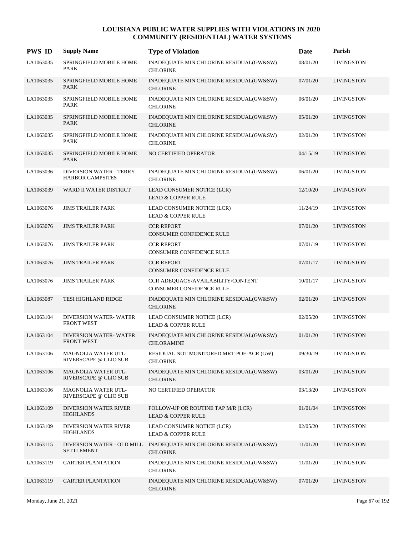| <b>PWS ID</b> | <b>Supply Name</b>                                        | <b>Type of Violation</b>                                            | Date     | Parish            |
|---------------|-----------------------------------------------------------|---------------------------------------------------------------------|----------|-------------------|
| LA1063035     | SPRINGFIELD MOBILE HOME<br>PARK                           | INADEQUATE MIN CHLORINE RESIDUAL(GW&SW)<br><b>CHLORINE</b>          | 08/01/20 | <b>LIVINGSTON</b> |
| LA1063035     | SPRINGFIELD MOBILE HOME<br><b>PARK</b>                    | INADEQUATE MIN CHLORINE RESIDUAL(GW&SW)<br><b>CHLORINE</b>          | 07/01/20 | <b>LIVINGSTON</b> |
| LA1063035     | SPRINGFIELD MOBILE HOME<br><b>PARK</b>                    | INADEQUATE MIN CHLORINE RESIDUAL(GW&SW)<br><b>CHLORINE</b>          | 06/01/20 | <b>LIVINGSTON</b> |
| LA1063035     | SPRINGFIELD MOBILE HOME<br><b>PARK</b>                    | INADEQUATE MIN CHLORINE RESIDUAL(GW&SW)<br><b>CHLORINE</b>          | 05/01/20 | <b>LIVINGSTON</b> |
| LA1063035     | SPRINGFIELD MOBILE HOME<br><b>PARK</b>                    | INADEQUATE MIN CHLORINE RESIDUAL(GW&SW)<br><b>CHLORINE</b>          | 02/01/20 | <b>LIVINGSTON</b> |
| LA1063035     | SPRINGFIELD MOBILE HOME<br><b>PARK</b>                    | <b>NO CERTIFIED OPERATOR</b>                                        | 04/15/19 | <b>LIVINGSTON</b> |
| LA1063036     | <b>DIVERSION WATER - TERRY</b><br><b>HARBOR CAMPSITES</b> | INADEQUATE MIN CHLORINE RESIDUAL(GW&SW)<br><b>CHLORINE</b>          | 06/01/20 | <b>LIVINGSTON</b> |
| LA1063039     | WARD II WATER DISTRICT                                    | LEAD CONSUMER NOTICE (LCR)<br><b>LEAD &amp; COPPER RULE</b>         | 12/10/20 | <b>LIVINGSTON</b> |
| LA1063076     | <b>JIMS TRAILER PARK</b>                                  | LEAD CONSUMER NOTICE (LCR)<br><b>LEAD &amp; COPPER RULE</b>         | 11/24/19 | <b>LIVINGSTON</b> |
| LA1063076     | <b>JIMS TRAILER PARK</b>                                  | <b>CCR REPORT</b><br>CONSUMER CONFIDENCE RULE                       | 07/01/20 | <b>LIVINGSTON</b> |
| LA1063076     | <b>JIMS TRAILER PARK</b>                                  | <b>CCR REPORT</b><br>CONSUMER CONFIDENCE RULE                       | 07/01/19 | <b>LIVINGSTON</b> |
| LA1063076     | <b>JIMS TRAILER PARK</b>                                  | <b>CCR REPORT</b><br>CONSUMER CONFIDENCE RULE                       | 07/01/17 | <b>LIVINGSTON</b> |
| LA1063076     | <b>JIMS TRAILER PARK</b>                                  | CCR ADEQUACY/AVAILABILITY/CONTENT<br>CONSUMER CONFIDENCE RULE       | 10/01/17 | <b>LIVINGSTON</b> |
| LA1063087     | TESI HIGHLAND RIDGE                                       | INADEQUATE MIN CHLORINE RESIDUAL(GW&SW)<br><b>CHLORINE</b>          | 02/01/20 | <b>LIVINGSTON</b> |
| LA1063104     | <b>DIVERSION WATER-WATER</b><br><b>FRONT WEST</b>         | LEAD CONSUMER NOTICE (LCR)<br><b>LEAD &amp; COPPER RULE</b>         | 02/05/20 | <b>LIVINGSTON</b> |
| LA1063104     | <b>DIVERSION WATER-WATER</b><br><b>FRONT WEST</b>         | INADEQUATE MIN CHLORINE RESIDUAL(GW&SW)<br><b>CHLORAMINE</b>        | 01/01/20 | <b>LIVINGSTON</b> |
| LA1063106     | MAGNOLIA WATER UTL-<br>RIVERSCAPE @ CLIO SUB              | RESIDUAL NOT MONITORED MRT-POE-ACR (GW)<br><b>CHLORINE</b>          | 09/30/19 | <b>LIVINGSTON</b> |
| LA1063106     | <b>MAGNOLIA WATER UTL-</b><br>RIVERSCAPE @ CLIO SUB       | INADEQUATE MIN CHLORINE RESIDUAL(GW&SW)<br><b>CHLORINE</b>          | 03/01/20 | <b>LIVINGSTON</b> |
| LA1063106     | <b>MAGNOLIA WATER UTL-</b><br>RIVERSCAPE @ CLIO SUB       | NO CERTIFIED OPERATOR                                               | 03/13/20 | <b>LIVINGSTON</b> |
| LA1063109     | DIVERSION WATER RIVER<br><b>HIGHLANDS</b>                 | FOLLOW-UP OR ROUTINE TAP M/R (LCR)<br><b>LEAD &amp; COPPER RULE</b> | 01/01/04 | <b>LIVINGSTON</b> |
| LA1063109     | DIVERSION WATER RIVER<br><b>HIGHLANDS</b>                 | LEAD CONSUMER NOTICE (LCR)<br><b>LEAD &amp; COPPER RULE</b>         | 02/05/20 | <b>LIVINGSTON</b> |
| LA1063115     | DIVERSION WATER - OLD MILL<br><b>SETTLEMENT</b>           | INADEQUATE MIN CHLORINE RESIDUAL(GW&SW)<br><b>CHLORINE</b>          | 11/01/20 | <b>LIVINGSTON</b> |
| LA1063119     | <b>CARTER PLANTATION</b>                                  | INADEQUATE MIN CHLORINE RESIDUAL(GW&SW)<br><b>CHLORINE</b>          | 11/01/20 | <b>LIVINGSTON</b> |
| LA1063119     | <b>CARTER PLANTATION</b>                                  | INADEQUATE MIN CHLORINE RESIDUAL(GW&SW)<br><b>CHLORINE</b>          | 07/01/20 | <b>LIVINGSTON</b> |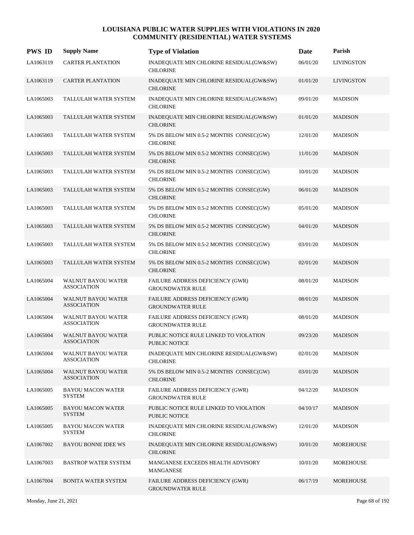| <b>PWS ID</b> | <b>Supply Name</b>                              | <b>Type of Violation</b>                                       | Date     | Parish            |
|---------------|-------------------------------------------------|----------------------------------------------------------------|----------|-------------------|
| LA1063119     | <b>CARTER PLANTATION</b>                        | INADEQUATE MIN CHLORINE RESIDUAL(GW&SW)<br><b>CHLORINE</b>     | 06/01/20 | <b>LIVINGSTON</b> |
| LA1063119     | <b>CARTER PLANTATION</b>                        | INADEQUATE MIN CHLORINE RESIDUAL(GW&SW)<br><b>CHLORINE</b>     | 01/01/20 | <b>LIVINGSTON</b> |
| LA1065003     | TALLULAH WATER SYSTEM                           | INADEQUATE MIN CHLORINE RESIDUAL(GW&SW)<br><b>CHLORINE</b>     | 09/01/20 | <b>MADISON</b>    |
| LA1065003     | TALLULAH WATER SYSTEM                           | INADEQUATE MIN CHLORINE RESIDUAL(GW&SW)<br><b>CHLORINE</b>     | 01/01/20 | <b>MADISON</b>    |
| LA1065003     | TALLULAH WATER SYSTEM                           | 5% DS BELOW MIN 0.5-2 MONTHS CONSEC(GW)<br><b>CHLORINE</b>     | 12/01/20 | <b>MADISON</b>    |
| LA1065003     | TALLULAH WATER SYSTEM                           | 5% DS BELOW MIN 0.5-2 MONTHS CONSEC(GW)<br><b>CHLORINE</b>     | 11/01/20 | <b>MADISON</b>    |
| LA1065003     | TALLULAH WATER SYSTEM                           | 5% DS BELOW MIN 0.5-2 MONTHS CONSEC(GW)<br><b>CHLORINE</b>     | 10/01/20 | <b>MADISON</b>    |
| LA1065003     | TALLULAH WATER SYSTEM                           | 5% DS BELOW MIN 0.5-2 MONTHS CONSEC(GW)<br><b>CHLORINE</b>     | 06/01/20 | <b>MADISON</b>    |
| LA1065003     | TALLULAH WATER SYSTEM                           | 5% DS BELOW MIN 0.5-2 MONTHS CONSEC(GW)<br><b>CHLORINE</b>     | 05/01/20 | <b>MADISON</b>    |
| LA1065003     | TALLULAH WATER SYSTEM                           | 5% DS BELOW MIN 0.5-2 MONTHS CONSEC(GW)<br><b>CHLORINE</b>     | 04/01/20 | <b>MADISON</b>    |
| LA1065003     | TALLULAH WATER SYSTEM                           | 5% DS BELOW MIN 0.5-2 MONTHS CONSEC(GW)<br><b>CHLORINE</b>     | 03/01/20 | <b>MADISON</b>    |
| LA1065003     | TALLULAH WATER SYSTEM                           | 5% DS BELOW MIN 0.5-2 MONTHS CONSEC(GW)<br><b>CHLORINE</b>     | 02/01/20 | <b>MADISON</b>    |
| LA1065004     | <b>WALNUT BAYOU WATER</b><br><b>ASSOCIATION</b> | FAILURE ADDRESS DEFICIENCY (GWR)<br><b>GROUNDWATER RULE</b>    | 08/01/20 | <b>MADISON</b>    |
| LA1065004     | <b>WALNUT BAYOU WATER</b><br><b>ASSOCIATION</b> | FAILURE ADDRESS DEFICIENCY (GWR)<br><b>GROUNDWATER RULE</b>    | 08/01/20 | <b>MADISON</b>    |
| LA1065004     | <b>WALNUT BAYOU WATER</b><br><b>ASSOCIATION</b> | FAILURE ADDRESS DEFICIENCY (GWR)<br><b>GROUNDWATER RULE</b>    | 08/01/20 | <b>MADISON</b>    |
| LA1065004     | <b>WALNUT BAYOU WATER</b><br><b>ASSOCIATION</b> | PUBLIC NOTICE RULE LINKED TO VIOLATION<br><b>PUBLIC NOTICE</b> | 09/23/20 | <b>MADISON</b>    |
| LA1065004     | <b>WALNUT BAYOU WATER</b><br><b>ASSOCIATION</b> | INADEQUATE MIN CHLORINE RESIDUAL(GW&SW)<br><b>CHLORINE</b>     | 02/01/20 | <b>MADISON</b>    |
| LA1065004     | <b>WALNUT BAYOU WATER</b><br><b>ASSOCIATION</b> | 5% DS BELOW MIN 0.5-2 MONTHS CONSEC(GW)<br><b>CHLORINE</b>     | 03/01/20 | <b>MADISON</b>    |
| LA1065005     | <b>BAYOU MACON WATER</b><br><b>SYSTEM</b>       | FAILURE ADDRESS DEFICIENCY (GWR)<br><b>GROUNDWATER RULE</b>    | 04/12/20 | <b>MADISON</b>    |
| LA1065005     | <b>BAYOU MACON WATER</b><br><b>SYSTEM</b>       | PUBLIC NOTICE RULE LINKED TO VIOLATION<br><b>PUBLIC NOTICE</b> | 04/10/17 | <b>MADISON</b>    |
| LA1065005     | <b>BAYOU MACON WATER</b><br><b>SYSTEM</b>       | INADEQUATE MIN CHLORINE RESIDUAL(GW&SW)<br><b>CHLORINE</b>     | 12/01/20 | <b>MADISON</b>    |
| LA1067002     | <b>BAYOU BONNE IDEE WS</b>                      | INADEQUATE MIN CHLORINE RESIDUAL(GW&SW)<br><b>CHLORINE</b>     | 10/01/20 | <b>MOREHOUSE</b>  |
| LA1067003     | <b>BASTROP WATER SYSTEM</b>                     | MANGANESE EXCEEDS HEALTH ADVISORY<br>MANGANESE                 | 10/01/20 | MOREHOUSE         |
| LA1067004     | BONITA WATER SYSTEM                             | FAILURE ADDRESS DEFICIENCY (GWR)<br><b>GROUNDWATER RULE</b>    | 06/17/19 | MOREHOUSE         |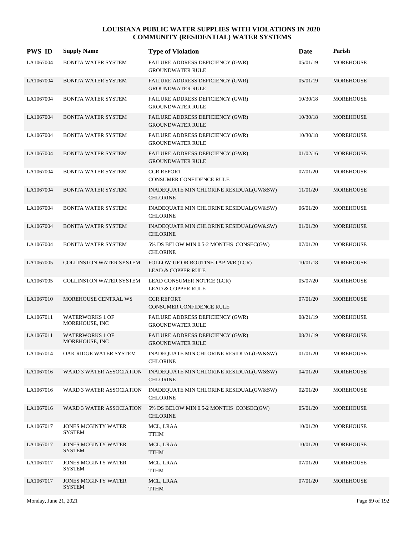| <b>PWS ID</b> | <b>Supply Name</b>                          | <b>Type of Violation</b>                                            | Date     | Parish           |
|---------------|---------------------------------------------|---------------------------------------------------------------------|----------|------------------|
| LA1067004     | BONITA WATER SYSTEM                         | FAILURE ADDRESS DEFICIENCY (GWR)<br><b>GROUNDWATER RULE</b>         | 05/01/19 | <b>MOREHOUSE</b> |
| LA1067004     | <b>BONITA WATER SYSTEM</b>                  | FAILURE ADDRESS DEFICIENCY (GWR)<br><b>GROUNDWATER RULE</b>         | 05/01/19 | <b>MOREHOUSE</b> |
| LA1067004     | <b>BONITA WATER SYSTEM</b>                  | <b>FAILURE ADDRESS DEFICIENCY (GWR)</b><br><b>GROUNDWATER RULE</b>  | 10/30/18 | <b>MOREHOUSE</b> |
| LA1067004     | <b>BONITA WATER SYSTEM</b>                  | FAILURE ADDRESS DEFICIENCY (GWR)<br><b>GROUNDWATER RULE</b>         | 10/30/18 | <b>MOREHOUSE</b> |
| LA1067004     | BONITA WATER SYSTEM                         | FAILURE ADDRESS DEFICIENCY (GWR)<br><b>GROUNDWATER RULE</b>         | 10/30/18 | MOREHOUSE        |
| LA1067004     | <b>BONITA WATER SYSTEM</b>                  | <b>FAILURE ADDRESS DEFICIENCY (GWR)</b><br><b>GROUNDWATER RULE</b>  | 01/02/16 | <b>MOREHOUSE</b> |
| LA1067004     | <b>BONITA WATER SYSTEM</b>                  | <b>CCR REPORT</b><br><b>CONSUMER CONFIDENCE RULE</b>                | 07/01/20 | MOREHOUSE        |
| LA1067004     | <b>BONITA WATER SYSTEM</b>                  | INADEQUATE MIN CHLORINE RESIDUAL(GW&SW)<br><b>CHLORINE</b>          | 11/01/20 | <b>MOREHOUSE</b> |
| LA1067004     | BONITA WATER SYSTEM                         | INADEQUATE MIN CHLORINE RESIDUAL(GW&SW)<br><b>CHLORINE</b>          | 06/01/20 | MOREHOUSE        |
| LA1067004     | <b>BONITA WATER SYSTEM</b>                  | INADEQUATE MIN CHLORINE RESIDUAL(GW&SW)<br><b>CHLORINE</b>          | 01/01/20 | MOREHOUSE        |
| LA1067004     | <b>BONITA WATER SYSTEM</b>                  | 5% DS BELOW MIN 0.5-2 MONTHS CONSEC(GW)<br><b>CHLORINE</b>          | 07/01/20 | MOREHOUSE        |
| LA1067005     | <b>COLLINSTON WATER SYSTEM</b>              | FOLLOW-UP OR ROUTINE TAP M/R (LCR)<br><b>LEAD &amp; COPPER RULE</b> | 10/01/18 | MOREHOUSE        |
| LA1067005     | COLLINSTON WATER SYSTEM                     | LEAD CONSUMER NOTICE (LCR)<br><b>LEAD &amp; COPPER RULE</b>         | 05/07/20 | MOREHOUSE        |
| LA1067010     | MOREHOUSE CENTRAL WS                        | <b>CCR REPORT</b><br><b>CONSUMER CONFIDENCE RULE</b>                | 07/01/20 | MOREHOUSE        |
| LA1067011     | <b>WATERWORKS 1 OF</b><br>MOREHOUSE, INC    | FAILURE ADDRESS DEFICIENCY (GWR)<br><b>GROUNDWATER RULE</b>         | 08/21/19 | MOREHOUSE        |
| LA1067011     | <b>WATERWORKS 1 OF</b><br>MOREHOUSE, INC    | FAILURE ADDRESS DEFICIENCY (GWR)<br><b>GROUNDWATER RULE</b>         | 08/21/19 | MOREHOUSE        |
| LA1067014     | OAK RIDGE WATER SYSTEM                      | INADEQUATE MIN CHLORINE RESIDUAL(GW&SW)<br><b>CHLORINE</b>          | 01/01/20 | MOREHOUSE        |
| LA1067016     | WARD 3 WATER ASSOCIATION                    | INADEQUATE MIN CHLORINE RESIDUAL(GW&SW)<br><b>CHLORINE</b>          | 04/01/20 | MOREHOUSE        |
| LA1067016     | <b>WARD 3 WATER ASSOCIATION</b>             | INADEQUATE MIN CHLORINE RESIDUAL(GW&SW)<br><b>CHLORINE</b>          | 02/01/20 | <b>MOREHOUSE</b> |
| LA1067016     | <b>WARD 3 WATER ASSOCIATION</b>             | 5% DS BELOW MIN 0.5-2 MONTHS CONSEC(GW)<br><b>CHLORINE</b>          | 05/01/20 | MOREHOUSE        |
| LA1067017     | JONES MCGINTY WATER<br><b>SYSTEM</b>        | MCL, LRAA<br><b>TTHM</b>                                            | 10/01/20 | MOREHOUSE        |
| LA1067017     | <b>JONES MCGINTY WATER</b><br><b>SYSTEM</b> | MCL, LRAA<br><b>TTHM</b>                                            | 10/01/20 | MOREHOUSE        |
| LA1067017     | <b>JONES MCGINTY WATER</b><br><b>SYSTEM</b> | MCL, LRAA<br><b>TTHM</b>                                            | 07/01/20 | MOREHOUSE        |
| LA1067017     | <b>JONES MCGINTY WATER</b><br><b>SYSTEM</b> | MCL, LRAA<br><b>TTHM</b>                                            | 07/01/20 | MOREHOUSE        |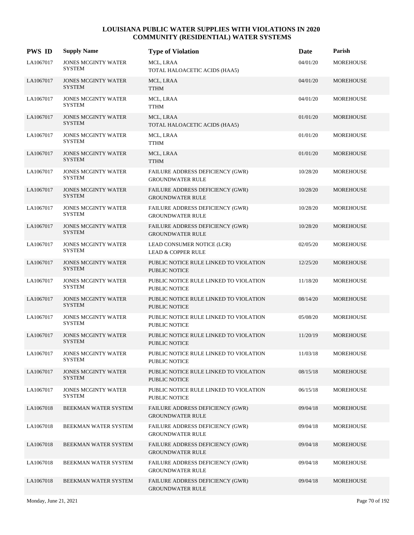| <b>PWS ID</b> | <b>Supply Name</b>                          | <b>Type of Violation</b>                                           | Date     | Parish           |
|---------------|---------------------------------------------|--------------------------------------------------------------------|----------|------------------|
| LA1067017     | <b>JONES MCGINTY WATER</b><br><b>SYSTEM</b> | MCL, LRAA<br>TOTAL HALOACETIC ACIDS (HAA5)                         | 04/01/20 | MOREHOUSE        |
| LA1067017     | <b>JONES MCGINTY WATER</b><br><b>SYSTEM</b> | MCL, LRAA<br><b>TTHM</b>                                           | 04/01/20 | MOREHOUSE        |
| LA1067017     | <b>JONES MCGINTY WATER</b><br><b>SYSTEM</b> | MCL, LRAA<br><b>TTHM</b>                                           | 04/01/20 | MOREHOUSE        |
| LA1067017     | <b>JONES MCGINTY WATER</b><br>SYSTEM        | MCL, LRAA<br>TOTAL HALOACETIC ACIDS (HAA5)                         | 01/01/20 | MOREHOUSE        |
| LA1067017     | <b>JONES MCGINTY WATER</b><br><b>SYSTEM</b> | MCL, LRAA<br><b>TTHM</b>                                           | 01/01/20 | MOREHOUSE        |
| LA1067017     | <b>JONES MCGINTY WATER</b><br><b>SYSTEM</b> | MCL, LRAA<br><b>TTHM</b>                                           | 01/01/20 | MOREHOUSE        |
| LA1067017     | <b>JONES MCGINTY WATER</b><br><b>SYSTEM</b> | FAILURE ADDRESS DEFICIENCY (GWR)<br><b>GROUNDWATER RULE</b>        | 10/28/20 | MOREHOUSE        |
| LA1067017     | <b>JONES MCGINTY WATER</b><br><b>SYSTEM</b> | FAILURE ADDRESS DEFICIENCY (GWR)<br><b>GROUNDWATER RULE</b>        | 10/28/20 | MOREHOUSE        |
| LA1067017     | <b>JONES MCGINTY WATER</b><br><b>SYSTEM</b> | FAILURE ADDRESS DEFICIENCY (GWR)<br><b>GROUNDWATER RULE</b>        | 10/28/20 | MOREHOUSE        |
| LA1067017     | <b>JONES MCGINTY WATER</b><br><b>SYSTEM</b> | FAILURE ADDRESS DEFICIENCY (GWR)<br><b>GROUNDWATER RULE</b>        | 10/28/20 | <b>MOREHOUSE</b> |
| LA1067017     | <b>JONES MCGINTY WATER</b><br><b>SYSTEM</b> | LEAD CONSUMER NOTICE (LCR)<br><b>LEAD &amp; COPPER RULE</b>        | 02/05/20 | MOREHOUSE        |
| LA1067017     | <b>JONES MCGINTY WATER</b><br><b>SYSTEM</b> | PUBLIC NOTICE RULE LINKED TO VIOLATION<br><b>PUBLIC NOTICE</b>     | 12/25/20 | <b>MOREHOUSE</b> |
| LA1067017     | <b>JONES MCGINTY WATER</b><br><b>SYSTEM</b> | PUBLIC NOTICE RULE LINKED TO VIOLATION<br><b>PUBLIC NOTICE</b>     | 11/18/20 | MOREHOUSE        |
| LA1067017     | <b>JONES MCGINTY WATER</b><br><b>SYSTEM</b> | PUBLIC NOTICE RULE LINKED TO VIOLATION<br><b>PUBLIC NOTICE</b>     | 08/14/20 | <b>MOREHOUSE</b> |
| LA1067017     | <b>JONES MCGINTY WATER</b><br><b>SYSTEM</b> | PUBLIC NOTICE RULE LINKED TO VIOLATION<br><b>PUBLIC NOTICE</b>     | 05/08/20 | MOREHOUSE        |
| LA1067017     | <b>JONES MCGINTY WATER</b><br><b>SYSTEM</b> | PUBLIC NOTICE RULE LINKED TO VIOLATION<br><b>PUBLIC NOTICE</b>     | 11/20/19 | <b>MOREHOUSE</b> |
| LA1067017     | <b>JONES MCGINTY WATER</b><br><b>SYSTEM</b> | PUBLIC NOTICE RULE LINKED TO VIOLATION<br>PUBLIC NOTICE            | 11/03/18 | MOREHOUSE        |
| LA1067017     | <b>JONES MCGINTY WATER</b><br><b>SYSTEM</b> | PUBLIC NOTICE RULE LINKED TO VIOLATION<br><b>PUBLIC NOTICE</b>     | 08/15/18 | MOREHOUSE        |
| LA1067017     | <b>JONES MCGINTY WATER</b><br><b>SYSTEM</b> | PUBLIC NOTICE RULE LINKED TO VIOLATION<br>PUBLIC NOTICE            | 06/15/18 | MOREHOUSE        |
| LA1067018     | BEEKMAN WATER SYSTEM                        | FAILURE ADDRESS DEFICIENCY (GWR)<br><b>GROUNDWATER RULE</b>        | 09/04/18 | MOREHOUSE        |
| LA1067018     | BEEKMAN WATER SYSTEM                        | FAILURE ADDRESS DEFICIENCY (GWR)<br><b>GROUNDWATER RULE</b>        | 09/04/18 | MOREHOUSE        |
| LA1067018     | BEEKMAN WATER SYSTEM                        | <b>FAILURE ADDRESS DEFICIENCY (GWR)</b><br><b>GROUNDWATER RULE</b> | 09/04/18 | MOREHOUSE        |
| LA1067018     | BEEKMAN WATER SYSTEM                        | FAILURE ADDRESS DEFICIENCY (GWR)<br><b>GROUNDWATER RULE</b>        | 09/04/18 | MOREHOUSE        |
| LA1067018     | BEEKMAN WATER SYSTEM                        | FAILURE ADDRESS DEFICIENCY (GWR)<br><b>GROUNDWATER RULE</b>        | 09/04/18 | MOREHOUSE        |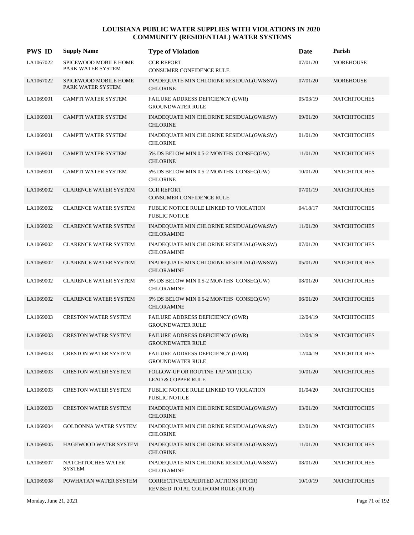| <b>PWS ID</b> | <b>Supply Name</b>                         | <b>Type of Violation</b>                                                  | Date     | Parish              |
|---------------|--------------------------------------------|---------------------------------------------------------------------------|----------|---------------------|
| LA1067022     | SPICEWOOD MOBILE HOME<br>PARK WATER SYSTEM | <b>CCR REPORT</b><br>CONSUMER CONFIDENCE RULE                             | 07/01/20 | <b>MOREHOUSE</b>    |
| LA1067022     | SPICEWOOD MOBILE HOME<br>PARK WATER SYSTEM | INADEQUATE MIN CHLORINE RESIDUAL(GW&SW)<br><b>CHLORINE</b>                | 07/01/20 | <b>MOREHOUSE</b>    |
| LA1069001     | <b>CAMPTI WATER SYSTEM</b>                 | FAILURE ADDRESS DEFICIENCY (GWR)<br><b>GROUNDWATER RULE</b>               | 05/03/19 | <b>NATCHITOCHES</b> |
| LA1069001     | <b>CAMPTI WATER SYSTEM</b>                 | INADEQUATE MIN CHLORINE RESIDUAL(GW&SW)<br><b>CHLORINE</b>                | 09/01/20 | <b>NATCHITOCHES</b> |
| LA1069001     | CAMPTI WATER SYSTEM                        | INADEQUATE MIN CHLORINE RESIDUAL(GW&SW)<br><b>CHLORINE</b>                | 01/01/20 | <b>NATCHITOCHES</b> |
| LA1069001     | <b>CAMPTI WATER SYSTEM</b>                 | 5% DS BELOW MIN 0.5-2 MONTHS CONSEC(GW)<br><b>CHLORINE</b>                | 11/01/20 | <b>NATCHITOCHES</b> |
| LA1069001     | CAMPTI WATER SYSTEM                        | 5% DS BELOW MIN 0.5-2 MONTHS CONSEC(GW)<br><b>CHLORINE</b>                | 10/01/20 | <b>NATCHITOCHES</b> |
| LA1069002     | <b>CLARENCE WATER SYSTEM</b>               | <b>CCR REPORT</b><br>CONSUMER CONFIDENCE RULE                             | 07/01/19 | <b>NATCHITOCHES</b> |
| LA1069002     | CLARENCE WATER SYSTEM                      | PUBLIC NOTICE RULE LINKED TO VIOLATION<br>PUBLIC NOTICE                   | 04/18/17 | <b>NATCHITOCHES</b> |
| LA1069002     | <b>CLARENCE WATER SYSTEM</b>               | INADEQUATE MIN CHLORINE RESIDUAL(GW&SW)<br><b>CHLORAMINE</b>              | 11/01/20 | <b>NATCHITOCHES</b> |
| LA1069002     | <b>CLARENCE WATER SYSTEM</b>               | INADEQUATE MIN CHLORINE RESIDUAL(GW&SW)<br><b>CHLORAMINE</b>              | 07/01/20 | <b>NATCHITOCHES</b> |
| LA1069002     | <b>CLARENCE WATER SYSTEM</b>               | INADEQUATE MIN CHLORINE RESIDUAL(GW&SW)<br><b>CHLORAMINE</b>              | 05/01/20 | <b>NATCHITOCHES</b> |
| LA1069002     | <b>CLARENCE WATER SYSTEM</b>               | 5% DS BELOW MIN 0.5-2 MONTHS CONSEC(GW)<br><b>CHLORAMINE</b>              | 08/01/20 | <b>NATCHITOCHES</b> |
| LA1069002     | <b>CLARENCE WATER SYSTEM</b>               | 5% DS BELOW MIN 0.5-2 MONTHS CONSEC(GW)<br><b>CHLORAMINE</b>              | 06/01/20 | <b>NATCHITOCHES</b> |
| LA1069003     | <b>CRESTON WATER SYSTEM</b>                | FAILURE ADDRESS DEFICIENCY (GWR)<br><b>GROUNDWATER RULE</b>               | 12/04/19 | <b>NATCHITOCHES</b> |
| LA1069003     | <b>CRESTON WATER SYSTEM</b>                | FAILURE ADDRESS DEFICIENCY (GWR)<br><b>GROUNDWATER RULE</b>               | 12/04/19 | <b>NATCHITOCHES</b> |
| LA1069003     | <b>CRESTON WATER SYSTEM</b>                | FAILURE ADDRESS DEFICIENCY (GWR)<br><b>GROUNDWATER RULE</b>               | 12/04/19 | <b>NATCHITOCHES</b> |
| LA1069003     | <b>CRESTON WATER SYSTEM</b>                | FOLLOW-UP OR ROUTINE TAP M/R (LCR)<br><b>LEAD &amp; COPPER RULE</b>       | 10/01/20 | <b>NATCHITOCHES</b> |
| LA1069003     | <b>CRESTON WATER SYSTEM</b>                | PUBLIC NOTICE RULE LINKED TO VIOLATION<br>PUBLIC NOTICE                   | 01/04/20 | <b>NATCHITOCHES</b> |
| LA1069003     | <b>CRESTON WATER SYSTEM</b>                | INADEQUATE MIN CHLORINE RESIDUAL(GW&SW)<br><b>CHLORINE</b>                | 03/01/20 | <b>NATCHITOCHES</b> |
| LA1069004     | <b>GOLDONNA WATER SYSTEM</b>               | INADEQUATE MIN CHLORINE RESIDUAL(GW&SW)<br><b>CHLORINE</b>                | 02/01/20 | <b>NATCHITOCHES</b> |
| LA1069005     | HAGEWOOD WATER SYSTEM                      | INADEQUATE MIN CHLORINE RESIDUAL(GW&SW)<br><b>CHLORINE</b>                | 11/01/20 | <b>NATCHITOCHES</b> |
| LA1069007     | NATCHITOCHES WATER<br><b>SYSTEM</b>        | INADEQUATE MIN CHLORINE RESIDUAL(GW&SW)<br><b>CHLORAMINE</b>              | 08/01/20 | <b>NATCHITOCHES</b> |
| LA1069008     | POWHATAN WATER SYSTEM                      | CORRECTIVE/EXPEDITED ACTIONS (RTCR)<br>REVISED TOTAL COLIFORM RULE (RTCR) | 10/10/19 | <b>NATCHITOCHES</b> |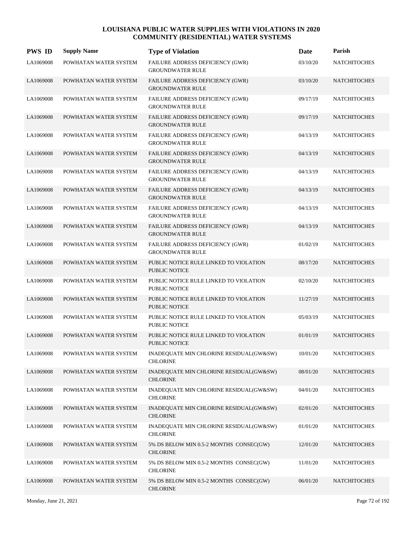| <b>PWS ID</b> | <b>Supply Name</b>    | <b>Type of Violation</b>                                           | Date     | Parish              |
|---------------|-----------------------|--------------------------------------------------------------------|----------|---------------------|
| LA1069008     | POWHATAN WATER SYSTEM | FAILURE ADDRESS DEFICIENCY (GWR)<br><b>GROUNDWATER RULE</b>        | 03/10/20 | <b>NATCHITOCHES</b> |
| LA1069008     | POWHATAN WATER SYSTEM | FAILURE ADDRESS DEFICIENCY (GWR)<br><b>GROUNDWATER RULE</b>        | 03/10/20 | <b>NATCHITOCHES</b> |
| LA1069008     | POWHATAN WATER SYSTEM | <b>FAILURE ADDRESS DEFICIENCY (GWR)</b><br><b>GROUNDWATER RULE</b> | 09/17/19 | <b>NATCHITOCHES</b> |
| LA1069008     | POWHATAN WATER SYSTEM | FAILURE ADDRESS DEFICIENCY (GWR)<br><b>GROUNDWATER RULE</b>        | 09/17/19 | <b>NATCHITOCHES</b> |
| LA1069008     | POWHATAN WATER SYSTEM | FAILURE ADDRESS DEFICIENCY (GWR)<br><b>GROUNDWATER RULE</b>        | 04/13/19 | <b>NATCHITOCHES</b> |
| LA1069008     | POWHATAN WATER SYSTEM | FAILURE ADDRESS DEFICIENCY (GWR)<br><b>GROUNDWATER RULE</b>        | 04/13/19 | <b>NATCHITOCHES</b> |
| LA1069008     | POWHATAN WATER SYSTEM | <b>FAILURE ADDRESS DEFICIENCY (GWR)</b><br><b>GROUNDWATER RULE</b> | 04/13/19 | <b>NATCHITOCHES</b> |
| LA1069008     | POWHATAN WATER SYSTEM | FAILURE ADDRESS DEFICIENCY (GWR)<br><b>GROUNDWATER RULE</b>        | 04/13/19 | <b>NATCHITOCHES</b> |
| LA1069008     | POWHATAN WATER SYSTEM | FAILURE ADDRESS DEFICIENCY (GWR)<br><b>GROUNDWATER RULE</b>        | 04/13/19 | <b>NATCHITOCHES</b> |
| LA1069008     | POWHATAN WATER SYSTEM | <b>FAILURE ADDRESS DEFICIENCY (GWR)</b><br><b>GROUNDWATER RULE</b> | 04/13/19 | <b>NATCHITOCHES</b> |
| LA1069008     | POWHATAN WATER SYSTEM | <b>FAILURE ADDRESS DEFICIENCY (GWR)</b><br><b>GROUNDWATER RULE</b> | 01/02/19 | <b>NATCHITOCHES</b> |
| LA1069008     | POWHATAN WATER SYSTEM | PUBLIC NOTICE RULE LINKED TO VIOLATION<br><b>PUBLIC NOTICE</b>     | 08/17/20 | <b>NATCHITOCHES</b> |
| LA1069008     | POWHATAN WATER SYSTEM | PUBLIC NOTICE RULE LINKED TO VIOLATION<br><b>PUBLIC NOTICE</b>     | 02/10/20 | <b>NATCHITOCHES</b> |
| LA1069008     | POWHATAN WATER SYSTEM | PUBLIC NOTICE RULE LINKED TO VIOLATION<br><b>PUBLIC NOTICE</b>     | 11/27/19 | <b>NATCHITOCHES</b> |
| LA1069008     | POWHATAN WATER SYSTEM | PUBLIC NOTICE RULE LINKED TO VIOLATION<br>PUBLIC NOTICE            | 05/03/19 | <b>NATCHITOCHES</b> |
| LA1069008     | POWHATAN WATER SYSTEM | PUBLIC NOTICE RULE LINKED TO VIOLATION<br>PUBLIC NOTICE            | 01/01/19 | <b>NATCHITOCHES</b> |
| LA1069008     | POWHATAN WATER SYSTEM | INADEQUATE MIN CHLORINE RESIDUAL(GW&SW)<br><b>CHLORINE</b>         | 10/01/20 | <b>NATCHITOCHES</b> |
| LA1069008     | POWHATAN WATER SYSTEM | INADEQUATE MIN CHLORINE RESIDUAL(GW&SW)<br><b>CHLORINE</b>         | 08/01/20 | <b>NATCHITOCHES</b> |
| LA1069008     | POWHATAN WATER SYSTEM | INADEQUATE MIN CHLORINE RESIDUAL(GW&SW)<br><b>CHLORINE</b>         | 04/01/20 | <b>NATCHITOCHES</b> |
| LA1069008     | POWHATAN WATER SYSTEM | INADEQUATE MIN CHLORINE RESIDUAL(GW&SW)<br><b>CHLORINE</b>         | 02/01/20 | <b>NATCHITOCHES</b> |
| LA1069008     | POWHATAN WATER SYSTEM | INADEQUATE MIN CHLORINE RESIDUAL(GW&SW)<br><b>CHLORINE</b>         | 01/01/20 | <b>NATCHITOCHES</b> |
| LA1069008     | POWHATAN WATER SYSTEM | 5% DS BELOW MIN 0.5-2 MONTHS CONSEC(GW)<br><b>CHLORINE</b>         | 12/01/20 | <b>NATCHITOCHES</b> |
| LA1069008     | POWHATAN WATER SYSTEM | 5% DS BELOW MIN 0.5-2 MONTHS CONSEC(GW)<br><b>CHLORINE</b>         | 11/01/20 | <b>NATCHITOCHES</b> |
| LA1069008     | POWHATAN WATER SYSTEM | 5% DS BELOW MIN 0.5-2 MONTHS CONSEC(GW)<br><b>CHLORINE</b>         | 06/01/20 | <b>NATCHITOCHES</b> |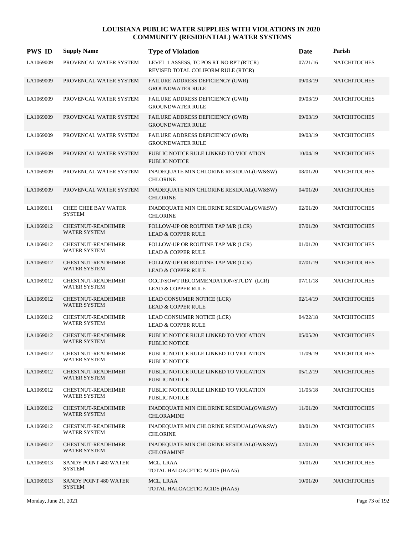| <b>PWS ID</b> | <b>Supply Name</b>                               | <b>Type of Violation</b>                                                      | Date     | Parish              |
|---------------|--------------------------------------------------|-------------------------------------------------------------------------------|----------|---------------------|
| LA1069009     | PROVENCAL WATER SYSTEM                           | LEVEL 1 ASSESS, TC POS RT NO RPT (RTCR)<br>REVISED TOTAL COLIFORM RULE (RTCR) | 07/21/16 | <b>NATCHITOCHES</b> |
| LA1069009     | PROVENCAL WATER SYSTEM                           | FAILURE ADDRESS DEFICIENCY (GWR)<br><b>GROUNDWATER RULE</b>                   | 09/03/19 | <b>NATCHITOCHES</b> |
| LA1069009     | PROVENCAL WATER SYSTEM                           | FAILURE ADDRESS DEFICIENCY (GWR)<br><b>GROUNDWATER RULE</b>                   | 09/03/19 | <b>NATCHITOCHES</b> |
| LA1069009     | PROVENCAL WATER SYSTEM                           | FAILURE ADDRESS DEFICIENCY (GWR)<br><b>GROUNDWATER RULE</b>                   | 09/03/19 | <b>NATCHITOCHES</b> |
| LA1069009     | PROVENCAL WATER SYSTEM                           | FAILURE ADDRESS DEFICIENCY (GWR)<br><b>GROUNDWATER RULE</b>                   | 09/03/19 | <b>NATCHITOCHES</b> |
| LA1069009     | PROVENCAL WATER SYSTEM                           | PUBLIC NOTICE RULE LINKED TO VIOLATION<br><b>PUBLIC NOTICE</b>                | 10/04/19 | <b>NATCHITOCHES</b> |
| LA1069009     | PROVENCAL WATER SYSTEM                           | INADEQUATE MIN CHLORINE RESIDUAL(GW&SW)<br><b>CHLORINE</b>                    | 08/01/20 | <b>NATCHITOCHES</b> |
| LA1069009     | PROVENCAL WATER SYSTEM                           | INADEQUATE MIN CHLORINE RESIDUAL(GW&SW)<br><b>CHLORINE</b>                    | 04/01/20 | <b>NATCHITOCHES</b> |
| LA1069011     | <b>CHEE CHEE BAY WATER</b><br><b>SYSTEM</b>      | INADEQUATE MIN CHLORINE RESIDUAL(GW&SW)<br><b>CHLORINE</b>                    | 02/01/20 | <b>NATCHITOCHES</b> |
| LA1069012     | <b>CHESTNUT-READHIMER</b><br><b>WATER SYSTEM</b> | FOLLOW-UP OR ROUTINE TAP M/R (LCR)<br><b>LEAD &amp; COPPER RULE</b>           | 07/01/20 | <b>NATCHITOCHES</b> |
| LA1069012     | CHESTNUT-READHIMER<br><b>WATER SYSTEM</b>        | FOLLOW-UP OR ROUTINE TAP M/R (LCR)<br><b>LEAD &amp; COPPER RULE</b>           | 01/01/20 | <b>NATCHITOCHES</b> |
| LA1069012     | <b>CHESTNUT-READHIMER</b><br><b>WATER SYSTEM</b> | FOLLOW-UP OR ROUTINE TAP M/R (LCR)<br><b>LEAD &amp; COPPER RULE</b>           | 07/01/19 | <b>NATCHITOCHES</b> |
| LA1069012     | <b>CHESTNUT-READHIMER</b><br><b>WATER SYSTEM</b> | OCCT/SOWT RECOMMENDATION/STUDY (LCR)<br><b>LEAD &amp; COPPER RULE</b>         | 07/11/18 | <b>NATCHITOCHES</b> |
| LA1069012     | <b>CHESTNUT-READHIMER</b><br><b>WATER SYSTEM</b> | LEAD CONSUMER NOTICE (LCR)<br><b>LEAD &amp; COPPER RULE</b>                   | 02/14/19 | <b>NATCHITOCHES</b> |
| LA1069012     | CHESTNUT-READHIMER<br><b>WATER SYSTEM</b>        | LEAD CONSUMER NOTICE (LCR)<br><b>LEAD &amp; COPPER RULE</b>                   | 04/22/18 | <b>NATCHITOCHES</b> |
| LA1069012     | <b>CHESTNUT-READHIMER</b><br><b>WATER SYSTEM</b> | PUBLIC NOTICE RULE LINKED TO VIOLATION<br>PUBLIC NOTICE                       | 05/05/20 | <b>NATCHITOCHES</b> |
| LA1069012     | CHESTNUT-READHIMER<br><b>WATER SYSTEM</b>        | PUBLIC NOTICE RULE LINKED TO VIOLATION<br>PUBLIC NOTICE                       | 11/09/19 | <b>NATCHITOCHES</b> |
| LA1069012     | <b>CHESTNUT-READHIMER</b><br><b>WATER SYSTEM</b> | PUBLIC NOTICE RULE LINKED TO VIOLATION<br>PUBLIC NOTICE                       | 05/12/19 | <b>NATCHITOCHES</b> |
| LA1069012     | <b>CHESTNUT-READHIMER</b><br><b>WATER SYSTEM</b> | PUBLIC NOTICE RULE LINKED TO VIOLATION<br>PUBLIC NOTICE                       | 11/05/18 | <b>NATCHITOCHES</b> |
| LA1069012     | CHESTNUT-READHIMER<br><b>WATER SYSTEM</b>        | INADEQUATE MIN CHLORINE RESIDUAL(GW&SW)<br><b>CHLORAMINE</b>                  | 11/01/20 | <b>NATCHITOCHES</b> |
| LA1069012     | CHESTNUT-READHIMER<br><b>WATER SYSTEM</b>        | INADEQUATE MIN CHLORINE RESIDUAL(GW&SW)<br><b>CHLORINE</b>                    | 08/01/20 | <b>NATCHITOCHES</b> |
| LA1069012     | CHESTNUT-READHIMER<br><b>WATER SYSTEM</b>        | INADEQUATE MIN CHLORINE RESIDUAL(GW&SW)<br><b>CHLORAMINE</b>                  | 02/01/20 | <b>NATCHITOCHES</b> |
| LA1069013     | SANDY POINT 480 WATER<br><b>SYSTEM</b>           | MCL, LRAA<br>TOTAL HALOACETIC ACIDS (HAA5)                                    | 10/01/20 | <b>NATCHITOCHES</b> |
| LA1069013     | SANDY POINT 480 WATER<br><b>SYSTEM</b>           | MCL, LRAA<br>TOTAL HALOACETIC ACIDS (HAA5)                                    | 10/01/20 | <b>NATCHITOCHES</b> |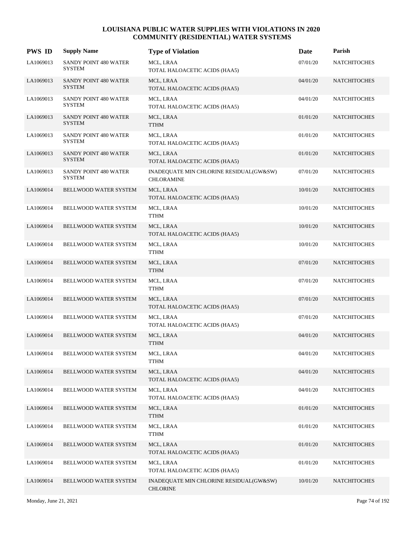| <b>PWS ID</b> | <b>Supply Name</b>                            | <b>Type of Violation</b>                                     | Date     | Parish              |
|---------------|-----------------------------------------------|--------------------------------------------------------------|----------|---------------------|
| LA1069013     | SANDY POINT 480 WATER<br>SYSTEM               | MCL, LRAA<br>TOTAL HALOACETIC ACIDS (HAA5)                   | 07/01/20 | <b>NATCHITOCHES</b> |
| LA1069013     | <b>SANDY POINT 480 WATER</b><br><b>SYSTEM</b> | MCL, LRAA<br>TOTAL HALOACETIC ACIDS (HAA5)                   | 04/01/20 | <b>NATCHITOCHES</b> |
| LA1069013     | SANDY POINT 480 WATER<br><b>SYSTEM</b>        | MCL, LRAA<br>TOTAL HALOACETIC ACIDS (HAA5)                   | 04/01/20 | <b>NATCHITOCHES</b> |
| LA1069013     | SANDY POINT 480 WATER<br><b>SYSTEM</b>        | MCL, LRAA<br><b>TTHM</b>                                     | 01/01/20 | <b>NATCHITOCHES</b> |
| LA1069013     | SANDY POINT 480 WATER<br><b>SYSTEM</b>        | MCL, LRAA<br>TOTAL HALOACETIC ACIDS (HAA5)                   | 01/01/20 | <b>NATCHITOCHES</b> |
| LA1069013     | SANDY POINT 480 WATER<br><b>SYSTEM</b>        | MCL, LRAA<br>TOTAL HALOACETIC ACIDS (HAA5)                   | 01/01/20 | <b>NATCHITOCHES</b> |
| LA1069013     | SANDY POINT 480 WATER<br><b>SYSTEM</b>        | INADEQUATE MIN CHLORINE RESIDUAL(GW&SW)<br><b>CHLORAMINE</b> | 07/01/20 | <b>NATCHITOCHES</b> |
| LA1069014     | BELLWOOD WATER SYSTEM                         | MCL, LRAA<br>TOTAL HALOACETIC ACIDS (HAA5)                   | 10/01/20 | <b>NATCHITOCHES</b> |
| LA1069014     | BELLWOOD WATER SYSTEM                         | MCL, LRAA<br><b>TTHM</b>                                     | 10/01/20 | <b>NATCHITOCHES</b> |
| LA1069014     | BELLWOOD WATER SYSTEM                         | MCL, LRAA<br>TOTAL HALOACETIC ACIDS (HAA5)                   | 10/01/20 | <b>NATCHITOCHES</b> |
| LA1069014     | BELLWOOD WATER SYSTEM                         | MCL, LRAA<br><b>TTHM</b>                                     | 10/01/20 | <b>NATCHITOCHES</b> |
| LA1069014     | BELLWOOD WATER SYSTEM                         | MCL, LRAA<br><b>TTHM</b>                                     | 07/01/20 | <b>NATCHITOCHES</b> |
| LA1069014     | BELLWOOD WATER SYSTEM                         | MCL, LRAA<br><b>TTHM</b>                                     | 07/01/20 | <b>NATCHITOCHES</b> |
| LA1069014     | BELLWOOD WATER SYSTEM                         | MCL, LRAA<br>TOTAL HALOACETIC ACIDS (HAA5)                   | 07/01/20 | <b>NATCHITOCHES</b> |
| LA1069014     | BELLWOOD WATER SYSTEM                         | MCL, LRAA<br>TOTAL HALOACETIC ACIDS (HAA5)                   | 07/01/20 | <b>NATCHITOCHES</b> |
| LA1069014     | <b>BELLWOOD WATER SYSTEM</b>                  | MCL, LRAA<br><b>TTHM</b>                                     | 04/01/20 | <b>NATCHITOCHES</b> |
| LA1069014     | BELLWOOD WATER SYSTEM                         | MCL, LRAA<br><b>TTHM</b>                                     | 04/01/20 | <b>NATCHITOCHES</b> |
| LA1069014     | BELLWOOD WATER SYSTEM                         | MCL, LRAA<br>TOTAL HALOACETIC ACIDS (HAA5)                   | 04/01/20 | <b>NATCHITOCHES</b> |
| LA1069014     | BELLWOOD WATER SYSTEM                         | MCL, LRAA<br>TOTAL HALOACETIC ACIDS (HAA5)                   | 04/01/20 | <b>NATCHITOCHES</b> |
| LA1069014     | BELLWOOD WATER SYSTEM                         | MCL, LRAA<br><b>TTHM</b>                                     | 01/01/20 | <b>NATCHITOCHES</b> |
| LA1069014     | BELLWOOD WATER SYSTEM                         | MCL, LRAA<br><b>TTHM</b>                                     | 01/01/20 | <b>NATCHITOCHES</b> |
| LA1069014     | BELLWOOD WATER SYSTEM                         | MCL, LRAA<br>TOTAL HALOACETIC ACIDS (HAA5)                   | 01/01/20 | <b>NATCHITOCHES</b> |
| LA1069014     | BELLWOOD WATER SYSTEM                         | MCL, LRAA<br>TOTAL HALOACETIC ACIDS (HAA5)                   | 01/01/20 | <b>NATCHITOCHES</b> |
| LA1069014     | BELLWOOD WATER SYSTEM                         | INADEQUATE MIN CHLORINE RESIDUAL(GW&SW)<br><b>CHLORINE</b>   | 10/01/20 | <b>NATCHITOCHES</b> |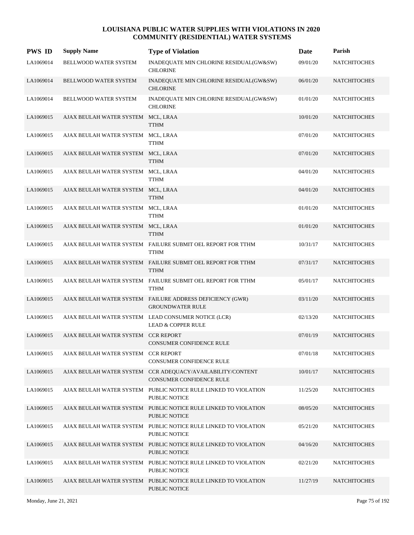| <b>PWS ID</b> | <b>Supply Name</b>                  | <b>Type of Violation</b>                                                                | Date     | Parish              |
|---------------|-------------------------------------|-----------------------------------------------------------------------------------------|----------|---------------------|
| LA1069014     | BELLWOOD WATER SYSTEM               | INADEQUATE MIN CHLORINE RESIDUAL(GW&SW)<br><b>CHLORINE</b>                              | 09/01/20 | <b>NATCHITOCHES</b> |
| LA1069014     | BELLWOOD WATER SYSTEM               | INADEQUATE MIN CHLORINE RESIDUAL(GW&SW)<br><b>CHLORINE</b>                              | 06/01/20 | <b>NATCHITOCHES</b> |
| LA1069014     | BELLWOOD WATER SYSTEM               | INADEQUATE MIN CHLORINE RESIDUAL(GW&SW)<br><b>CHLORINE</b>                              | 01/01/20 | <b>NATCHITOCHES</b> |
| LA1069015     | AJAX BEULAH WATER SYSTEM MCL, LRAA  | <b>TTHM</b>                                                                             | 10/01/20 | <b>NATCHITOCHES</b> |
| LA1069015     | AJAX BEULAH WATER SYSTEM MCL, LRAA  | <b>TTHM</b>                                                                             | 07/01/20 | <b>NATCHITOCHES</b> |
| LA1069015     | AJAX BEULAH WATER SYSTEM MCL, LRAA  | <b>TTHM</b>                                                                             | 07/01/20 | <b>NATCHITOCHES</b> |
| LA1069015     | AJAX BEULAH WATER SYSTEM MCL, LRAA  | <b>TTHM</b>                                                                             | 04/01/20 | <b>NATCHITOCHES</b> |
| LA1069015     | AJAX BEULAH WATER SYSTEM MCL, LRAA  | <b>TTHM</b>                                                                             | 04/01/20 | <b>NATCHITOCHES</b> |
| LA1069015     | AJAX BEULAH WATER SYSTEM MCL, LRAA  | <b>TTHM</b>                                                                             | 01/01/20 | <b>NATCHITOCHES</b> |
| LA1069015     | AJAX BEULAH WATER SYSTEM MCL, LRAA  | <b>TTHM</b>                                                                             | 01/01/20 | <b>NATCHITOCHES</b> |
| LA1069015     |                                     | AJAX BEULAH WATER SYSTEM FAILURE SUBMIT OEL REPORT FOR TTHM<br><b>TTHM</b>              | 10/31/17 | <b>NATCHITOCHES</b> |
| LA1069015     |                                     | AJAX BEULAH WATER SYSTEM FAILURE SUBMIT OEL REPORT FOR TTHM<br><b>TTHM</b>              | 07/31/17 | <b>NATCHITOCHES</b> |
| LA1069015     |                                     | AJAX BEULAH WATER SYSTEM FAILURE SUBMIT OEL REPORT FOR TTHM<br><b>TTHM</b>              | 05/01/17 | <b>NATCHITOCHES</b> |
| LA1069015     |                                     | AJAX BEULAH WATER SYSTEM FAILURE ADDRESS DEFICIENCY (GWR)<br><b>GROUNDWATER RULE</b>    | 03/11/20 | <b>NATCHITOCHES</b> |
| LA1069015     |                                     | AJAX BEULAH WATER SYSTEM LEAD CONSUMER NOTICE (LCR)<br><b>LEAD &amp; COPPER RULE</b>    | 02/13/20 | <b>NATCHITOCHES</b> |
| LA1069015     | AJAX BEULAH WATER SYSTEM CCR REPORT | <b>CONSUMER CONFIDENCE RULE</b>                                                         | 07/01/19 | <b>NATCHITOCHES</b> |
| LA1069015     | AJAX BEULAH WATER SYSTEM CCR REPORT | CONSUMER CONFIDENCE RULE                                                                | 07/01/18 | <b>NATCHITOCHES</b> |
| LA1069015     |                                     | AJAX BEULAH WATER SYSTEM CCR ADEOUACY/AVAILABILITY/CONTENT<br>CONSUMER CONFIDENCE RULE  | 10/01/17 | <b>NATCHITOCHES</b> |
| LA1069015     |                                     | AJAX BEULAH WATER SYSTEM PUBLIC NOTICE RULE LINKED TO VIOLATION<br>PUBLIC NOTICE        | 11/25/20 | <b>NATCHITOCHES</b> |
| LA1069015     |                                     | AJAX BEULAH WATER SYSTEM PUBLIC NOTICE RULE LINKED TO VIOLATION<br><b>PUBLIC NOTICE</b> | 08/05/20 | <b>NATCHITOCHES</b> |
| LA1069015     |                                     | AJAX BEULAH WATER SYSTEM PUBLIC NOTICE RULE LINKED TO VIOLATION<br><b>PUBLIC NOTICE</b> | 05/21/20 | <b>NATCHITOCHES</b> |
| LA1069015     |                                     | AJAX BEULAH WATER SYSTEM PUBLIC NOTICE RULE LINKED TO VIOLATION<br>PUBLIC NOTICE        | 04/16/20 | <b>NATCHITOCHES</b> |
| LA1069015     |                                     | AJAX BEULAH WATER SYSTEM PUBLIC NOTICE RULE LINKED TO VIOLATION<br><b>PUBLIC NOTICE</b> | 02/21/20 | <b>NATCHITOCHES</b> |
| LA1069015     |                                     | AJAX BEULAH WATER SYSTEM PUBLIC NOTICE RULE LINKED TO VIOLATION<br>PUBLIC NOTICE        | 11/27/19 | <b>NATCHITOCHES</b> |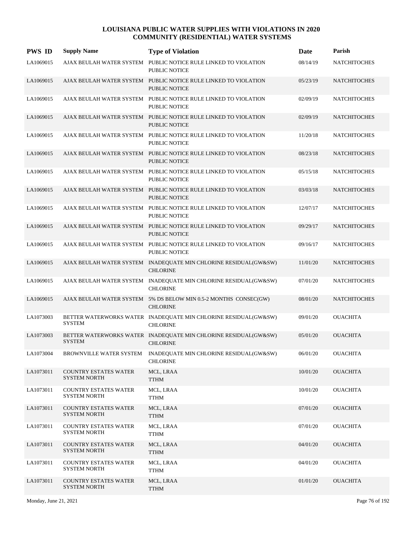| <b>PWS ID</b> | <b>Supply Name</b>                                  | <b>Type of Violation</b>                                                                | Date     | Parish              |
|---------------|-----------------------------------------------------|-----------------------------------------------------------------------------------------|----------|---------------------|
| LA1069015     | AJAX BEULAH WATER SYSTEM                            | PUBLIC NOTICE RULE LINKED TO VIOLATION<br><b>PUBLIC NOTICE</b>                          | 08/14/19 | <b>NATCHITOCHES</b> |
| LA1069015     |                                                     | AJAX BEULAH WATER SYSTEM PUBLIC NOTICE RULE LINKED TO VIOLATION<br><b>PUBLIC NOTICE</b> | 05/23/19 | <b>NATCHITOCHES</b> |
| LA1069015     |                                                     | AJAX BEULAH WATER SYSTEM PUBLIC NOTICE RULE LINKED TO VIOLATION<br><b>PUBLIC NOTICE</b> | 02/09/19 | <b>NATCHITOCHES</b> |
| LA1069015     |                                                     | AJAX BEULAH WATER SYSTEM PUBLIC NOTICE RULE LINKED TO VIOLATION<br>PUBLIC NOTICE        | 02/09/19 | <b>NATCHITOCHES</b> |
| LA1069015     |                                                     | AJAX BEULAH WATER SYSTEM PUBLIC NOTICE RULE LINKED TO VIOLATION<br>PUBLIC NOTICE        | 11/20/18 | <b>NATCHITOCHES</b> |
| LA1069015     |                                                     | AJAX BEULAH WATER SYSTEM PUBLIC NOTICE RULE LINKED TO VIOLATION<br><b>PUBLIC NOTICE</b> | 08/23/18 | <b>NATCHITOCHES</b> |
| LA1069015     |                                                     | AJAX BEULAH WATER SYSTEM PUBLIC NOTICE RULE LINKED TO VIOLATION<br>PUBLIC NOTICE        | 05/15/18 | <b>NATCHITOCHES</b> |
| LA1069015     |                                                     | AJAX BEULAH WATER SYSTEM PUBLIC NOTICE RULE LINKED TO VIOLATION<br><b>PUBLIC NOTICE</b> | 03/03/18 | <b>NATCHITOCHES</b> |
| LA1069015     |                                                     | AJAX BEULAH WATER SYSTEM PUBLIC NOTICE RULE LINKED TO VIOLATION<br><b>PUBLIC NOTICE</b> | 12/07/17 | <b>NATCHITOCHES</b> |
| LA1069015     |                                                     | AJAX BEULAH WATER SYSTEM PUBLIC NOTICE RULE LINKED TO VIOLATION<br><b>PUBLIC NOTICE</b> | 09/29/17 | <b>NATCHITOCHES</b> |
| LA1069015     |                                                     | AJAX BEULAH WATER SYSTEM PUBLIC NOTICE RULE LINKED TO VIOLATION<br><b>PUBLIC NOTICE</b> | 09/16/17 | <b>NATCHITOCHES</b> |
| LA1069015     |                                                     | AJAX BEULAH WATER SYSTEM INADEQUATE MIN CHLORINE RESIDUAL(GW&SW)<br><b>CHLORINE</b>     | 11/01/20 | <b>NATCHITOCHES</b> |
| LA1069015     |                                                     | AJAX BEULAH WATER SYSTEM INADEQUATE MIN CHLORINE RESIDUAL(GW&SW)<br><b>CHLORINE</b>     | 07/01/20 | <b>NATCHITOCHES</b> |
| LA1069015     |                                                     | AJAX BEULAH WATER SYSTEM 5% DS BELOW MIN 0.5-2 MONTHS CONSEC(GW)<br><b>CHLORINE</b>     | 08/01/20 | <b>NATCHITOCHES</b> |
| LA1073003     | <b>SYSTEM</b>                                       | BETTER WATERWORKS WATER INADEQUATE MIN CHLORINE RESIDUAL(GW&SW)<br><b>CHLORINE</b>      | 09/01/20 | <b>OUACHITA</b>     |
| LA1073003     | <b>SYSTEM</b>                                       | BETTER WATERWORKS WATER INADEQUATE MIN CHLORINE RESIDUAL(GW&SW)<br><b>CHLORINE</b>      | 05/01/20 | <b>OUACHITA</b>     |
| LA1073004     | BROWNVILLE WATER SYSTEM                             | INADEQUATE MIN CHLORINE RESIDUAL(GW&SW)<br><b>CHLORINE</b>                              | 06/01/20 | <b>OUACHITA</b>     |
| LA1073011     | <b>COUNTRY ESTATES WATER</b><br><b>SYSTEM NORTH</b> | MCL, LRAA<br><b>TTHM</b>                                                                | 10/01/20 | <b>OUACHITA</b>     |
| LA1073011     | <b>COUNTRY ESTATES WATER</b><br>SYSTEM NORTH        | MCL, LRAA<br><b>TTHM</b>                                                                | 10/01/20 | <b>OUACHITA</b>     |
| LA1073011     | <b>COUNTRY ESTATES WATER</b><br><b>SYSTEM NORTH</b> | MCL, LRAA<br><b>TTHM</b>                                                                | 07/01/20 | <b>OUACHITA</b>     |
| LA1073011     | <b>COUNTRY ESTATES WATER</b><br><b>SYSTEM NORTH</b> | MCL, LRAA<br><b>TTHM</b>                                                                | 07/01/20 | <b>OUACHITA</b>     |
| LA1073011     | <b>COUNTRY ESTATES WATER</b><br><b>SYSTEM NORTH</b> | MCL, LRAA<br><b>TTHM</b>                                                                | 04/01/20 | <b>OUACHITA</b>     |
| LA1073011     | <b>COUNTRY ESTATES WATER</b><br><b>SYSTEM NORTH</b> | MCL, LRAA<br><b>TTHM</b>                                                                | 04/01/20 | <b>OUACHITA</b>     |
| LA1073011     | <b>COUNTRY ESTATES WATER</b><br><b>SYSTEM NORTH</b> | MCL, LRAA<br><b>TTHM</b>                                                                | 01/01/20 | <b>OUACHITA</b>     |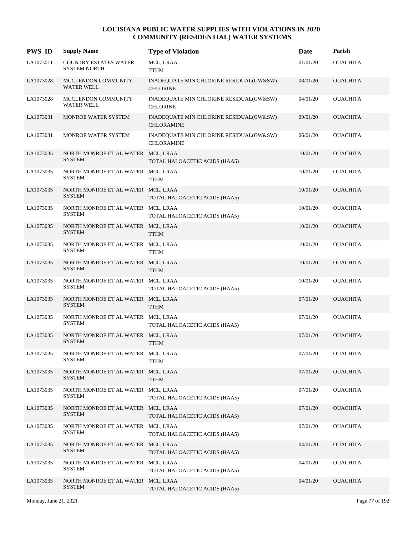| <b>PWS ID</b> | <b>Supply Name</b>                                  | <b>Type of Violation</b>                                     | <b>Date</b> | Parish          |
|---------------|-----------------------------------------------------|--------------------------------------------------------------|-------------|-----------------|
| LA1073011     | <b>COUNTRY ESTATES WATER</b><br><b>SYSTEM NORTH</b> | MCL, LRAA<br><b>TTHM</b>                                     | 01/01/20    | <b>OUACHITA</b> |
| LA1073028     | <b>MCCLENDON COMMUNITY</b><br>WATER WELL            | INADEQUATE MIN CHLORINE RESIDUAL(GW&SW)<br><b>CHLORINE</b>   | 08/01/20    | <b>OUACHITA</b> |
| LA1073028     | MCCLENDON COMMUNITY<br><b>WATER WELL</b>            | INADEQUATE MIN CHLORINE RESIDUAL(GW&SW)<br><b>CHLORINE</b>   | 04/01/20    | <b>OUACHITA</b> |
| LA1073031     | MONROE WATER SYSTEM                                 | INADEQUATE MIN CHLORINE RESIDUAL(GW&SW)<br><b>CHLORAMINE</b> | 09/01/20    | <b>OUACHITA</b> |
| LA1073031     | MONROE WATER SYSTEM                                 | INADEQUATE MIN CHLORINE RESIDUAL(GW&SW)<br><b>CHLORAMINE</b> | 06/01/20    | <b>OUACHITA</b> |
| LA1073035     | NORTH MONROE ET AL WATER MCL, LRAA<br><b>SYSTEM</b> | TOTAL HALOACETIC ACIDS (HAA5)                                | 10/01/20    | <b>OUACHITA</b> |
| LA1073035     | NORTH MONROE ET AL WATER MCL, LRAA<br><b>SYSTEM</b> | TTHM                                                         | 10/01/20    | <b>OUACHITA</b> |
| LA1073035     | NORTH MONROE ET AL WATER MCL, LRAA<br><b>SYSTEM</b> | TOTAL HALOACETIC ACIDS (HAA5)                                | 10/01/20    | <b>OUACHITA</b> |
| LA1073035     | NORTH MONROE ET AL WATER MCL, LRAA<br><b>SYSTEM</b> | TOTAL HALOACETIC ACIDS (HAA5)                                | 10/01/20    | <b>OUACHITA</b> |
| LA1073035     | NORTH MONROE ET AL WATER MCL, LRAA<br><b>SYSTEM</b> | <b>TTHM</b>                                                  | 10/01/20    | <b>OUACHITA</b> |
| LA1073035     | NORTH MONROE ET AL WATER MCL, LRAA<br><b>SYSTEM</b> | TTHM                                                         | 10/01/20    | <b>OUACHITA</b> |
| LA1073035     | NORTH MONROE ET AL WATER MCL, LRAA<br><b>SYSTEM</b> | <b>TTHM</b>                                                  | 10/01/20    | <b>OUACHITA</b> |
| LA1073035     | NORTH MONROE ET AL WATER MCL, LRAA<br><b>SYSTEM</b> | TOTAL HALOACETIC ACIDS (HAA5)                                | 10/01/20    | <b>OUACHITA</b> |
| LA1073035     | NORTH MONROE ET AL WATER MCL, LRAA<br><b>SYSTEM</b> | <b>TTHM</b>                                                  | 07/01/20    | <b>OUACHITA</b> |
| LA1073035     | NORTH MONROE ET AL WATER MCL, LRAA<br><b>SYSTEM</b> | TOTAL HALOACETIC ACIDS (HAA5)                                | 07/01/20    | <b>OUACHITA</b> |
| LA1073035     | NORTH MONROE ET AL WATER MCL, LRAA<br><b>SYSTEM</b> | <b>TTHM</b>                                                  | 07/01/20    | <b>OUACHITA</b> |
| LA1073035     | NORTH MONROE ET AL WATER MCL, LRAA<br><b>SYSTEM</b> | <b>TTHM</b>                                                  | 07/01/20    | <b>OUACHITA</b> |
| LA1073035     | NORTH MONROE ET AL WATER MCL, LRAA<br><b>SYSTEM</b> | <b>TTHM</b>                                                  | 07/01/20    | <b>OUACHITA</b> |
| LA1073035     | NORTH MONROE ET AL WATER MCL, LRAA<br><b>SYSTEM</b> | TOTAL HALOACETIC ACIDS (HAA5)                                | 07/01/20    | <b>OUACHITA</b> |
| LA1073035     | NORTH MONROE ET AL WATER MCL, LRAA<br><b>SYSTEM</b> | TOTAL HALOACETIC ACIDS (HAA5)                                | 07/01/20    | <b>OUACHITA</b> |
| LA1073035     | NORTH MONROE ET AL WATER MCL, LRAA<br><b>SYSTEM</b> | TOTAL HALOACETIC ACIDS (HAA5)                                | 07/01/20    | <b>OUACHITA</b> |
| LA1073035     | NORTH MONROE ET AL WATER MCL, LRAA<br><b>SYSTEM</b> | TOTAL HALOACETIC ACIDS (HAA5)                                | 04/01/20    | <b>OUACHITA</b> |
| LA1073035     | NORTH MONROE ET AL WATER MCL, LRAA<br>SYSTEM        | TOTAL HALOACETIC ACIDS (HAA5)                                | 04/01/20    | <b>OUACHITA</b> |
| LA1073035     | NORTH MONROE ET AL WATER MCL, LRAA<br><b>SYSTEM</b> | TOTAL HALOACETIC ACIDS (HAA5)                                | 04/01/20    | <b>OUACHITA</b> |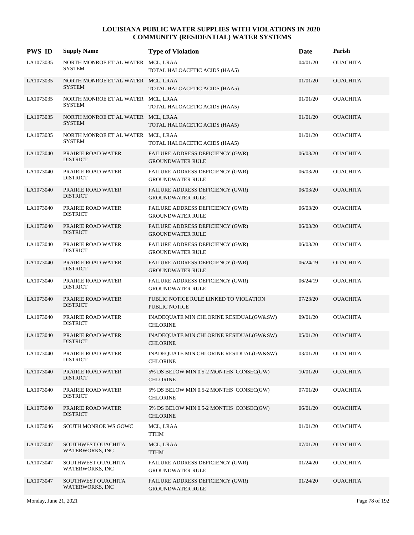| <b>PWS ID</b> | <b>Supply Name</b>                                  | <b>Type of Violation</b>                                       | Date     | Parish          |
|---------------|-----------------------------------------------------|----------------------------------------------------------------|----------|-----------------|
| LA1073035     | NORTH MONROE ET AL WATER MCL, LRAA<br><b>SYSTEM</b> | TOTAL HALOACETIC ACIDS (HAA5)                                  | 04/01/20 | <b>OUACHITA</b> |
| LA1073035     | NORTH MONROE ET AL WATER MCL, LRAA<br><b>SYSTEM</b> | TOTAL HALOACETIC ACIDS (HAA5)                                  | 01/01/20 | <b>OUACHITA</b> |
| LA1073035     | NORTH MONROE ET AL WATER MCL, LRAA<br><b>SYSTEM</b> | TOTAL HALOACETIC ACIDS (HAA5)                                  | 01/01/20 | <b>OUACHITA</b> |
| LA1073035     | NORTH MONROE ET AL WATER MCL, LRAA<br><b>SYSTEM</b> | TOTAL HALOACETIC ACIDS (HAA5)                                  | 01/01/20 | <b>OUACHITA</b> |
| LA1073035     | NORTH MONROE ET AL WATER MCL, LRAA<br><b>SYSTEM</b> | TOTAL HALOACETIC ACIDS (HAA5)                                  | 01/01/20 | <b>OUACHITA</b> |
| LA1073040     | PRAIRIE ROAD WATER<br><b>DISTRICT</b>               | FAILURE ADDRESS DEFICIENCY (GWR)<br><b>GROUNDWATER RULE</b>    | 06/03/20 | <b>OUACHITA</b> |
| LA1073040     | PRAIRIE ROAD WATER<br><b>DISTRICT</b>               | FAILURE ADDRESS DEFICIENCY (GWR)<br><b>GROUNDWATER RULE</b>    | 06/03/20 | <b>OUACHITA</b> |
| LA1073040     | PRAIRIE ROAD WATER<br><b>DISTRICT</b>               | FAILURE ADDRESS DEFICIENCY (GWR)<br><b>GROUNDWATER RULE</b>    | 06/03/20 | <b>OUACHITA</b> |
| LA1073040     | PRAIRIE ROAD WATER<br><b>DISTRICT</b>               | FAILURE ADDRESS DEFICIENCY (GWR)<br><b>GROUNDWATER RULE</b>    | 06/03/20 | <b>OUACHITA</b> |
| LA1073040     | PRAIRIE ROAD WATER<br><b>DISTRICT</b>               | FAILURE ADDRESS DEFICIENCY (GWR)<br><b>GROUNDWATER RULE</b>    | 06/03/20 | <b>OUACHITA</b> |
| LA1073040     | PRAIRIE ROAD WATER<br><b>DISTRICT</b>               | FAILURE ADDRESS DEFICIENCY (GWR)<br><b>GROUNDWATER RULE</b>    | 06/03/20 | <b>OUACHITA</b> |
| LA1073040     | PRAIRIE ROAD WATER<br><b>DISTRICT</b>               | FAILURE ADDRESS DEFICIENCY (GWR)<br><b>GROUNDWATER RULE</b>    | 06/24/19 | <b>OUACHITA</b> |
| LA1073040     | PRAIRIE ROAD WATER<br><b>DISTRICT</b>               | FAILURE ADDRESS DEFICIENCY (GWR)<br><b>GROUNDWATER RULE</b>    | 06/24/19 | <b>OUACHITA</b> |
| LA1073040     | PRAIRIE ROAD WATER<br><b>DISTRICT</b>               | PUBLIC NOTICE RULE LINKED TO VIOLATION<br><b>PUBLIC NOTICE</b> | 07/23/20 | <b>OUACHITA</b> |
| LA1073040     | PRAIRIE ROAD WATER<br><b>DISTRICT</b>               | INADEQUATE MIN CHLORINE RESIDUAL(GW&SW)<br><b>CHLORINE</b>     | 09/01/20 | <b>OUACHITA</b> |
| LA1073040     | PRAIRIE ROAD WATER<br><b>DISTRICT</b>               | INADEQUATE MIN CHLORINE RESIDUAL(GW&SW)<br><b>CHLORINE</b>     | 05/01/20 | <b>OUACHITA</b> |
| LA1073040     | PRAIRIE ROAD WATER<br><b>DISTRICT</b>               | INADEQUATE MIN CHLORINE RESIDUAL(GW&SW)<br><b>CHLORINE</b>     | 03/01/20 | <b>OUACHITA</b> |
| LA1073040     | PRAIRIE ROAD WATER<br><b>DISTRICT</b>               | 5% DS BELOW MIN 0.5-2 MONTHS CONSEC(GW)<br><b>CHLORINE</b>     | 10/01/20 | <b>OUACHITA</b> |
| LA1073040     | PRAIRIE ROAD WATER<br><b>DISTRICT</b>               | 5% DS BELOW MIN 0.5-2 MONTHS CONSEC(GW)<br><b>CHLORINE</b>     | 07/01/20 | <b>OUACHITA</b> |
| LA1073040     | PRAIRIE ROAD WATER<br><b>DISTRICT</b>               | 5% DS BELOW MIN 0.5-2 MONTHS CONSEC(GW)<br><b>CHLORINE</b>     | 06/01/20 | <b>OUACHITA</b> |
| LA1073046     | SOUTH MONROE WS GOWC                                | MCL, LRAA<br><b>TTHM</b>                                       | 01/01/20 | <b>OUACHITA</b> |
| LA1073047     | SOUTHWEST OUACHITA<br>WATERWORKS, INC               | MCL, LRAA<br><b>TTHM</b>                                       | 07/01/20 | <b>OUACHITA</b> |
| LA1073047     | SOUTHWEST OUACHITA<br>WATERWORKS, INC               | FAILURE ADDRESS DEFICIENCY (GWR)<br><b>GROUNDWATER RULE</b>    | 01/24/20 | <b>OUACHITA</b> |
| LA1073047     | SOUTHWEST OUACHITA<br><b>WATERWORKS, INC</b>        | FAILURE ADDRESS DEFICIENCY (GWR)<br><b>GROUNDWATER RULE</b>    | 01/24/20 | <b>OUACHITA</b> |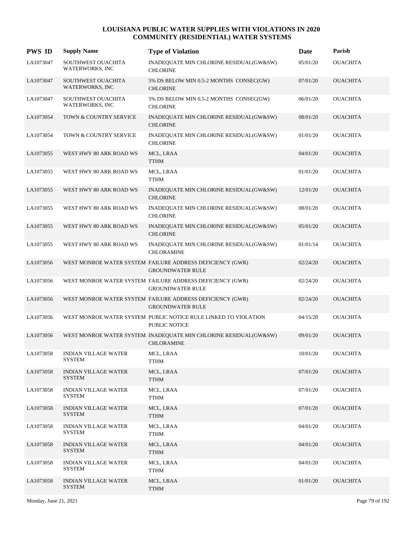| <b>PWS ID</b> | <b>Supply Name</b>                           | <b>Type of Violation</b>                                                                | Date     | Parish          |
|---------------|----------------------------------------------|-----------------------------------------------------------------------------------------|----------|-----------------|
| LA1073047     | SOUTHWEST OUACHITA<br>WATERWORKS, INC        | INADEQUATE MIN CHLORINE RESIDUAL(GW&SW)<br><b>CHLORINE</b>                              | 05/01/20 | <b>OUACHITA</b> |
| LA1073047     | SOUTHWEST OUACHITA<br><b>WATERWORKS, INC</b> | 5% DS BELOW MIN 0.5-2 MONTHS CONSEC(GW)<br><b>CHLORINE</b>                              | 07/01/20 | <b>OUACHITA</b> |
| LA1073047     | SOUTHWEST OUACHITA<br>WATERWORKS, INC        | 5% DS BELOW MIN 0.5-2 MONTHS CONSEC(GW)<br><b>CHLORINE</b>                              | 06/01/20 | <b>OUACHITA</b> |
| LA1073054     | TOWN & COUNTRY SERVICE                       | INADEQUATE MIN CHLORINE RESIDUAL(GW&SW)<br><b>CHLORINE</b>                              | 08/01/20 | <b>OUACHITA</b> |
| LA1073054     | TOWN & COUNTRY SERVICE                       | INADEQUATE MIN CHLORINE RESIDUAL(GW&SW)<br><b>CHLORINE</b>                              | 01/01/20 | <b>OUACHITA</b> |
| LA1073055     | WEST HWY 80 ARK ROAD WS                      | MCL, LRAA<br><b>TTHM</b>                                                                | 04/01/20 | <b>OUACHITA</b> |
| LA1073055     | WEST HWY 80 ARK ROAD WS                      | MCL, LRAA<br><b>TTHM</b>                                                                | 01/01/20 | <b>OUACHITA</b> |
| LA1073055     | WEST HWY 80 ARK ROAD WS                      | INADEQUATE MIN CHLORINE RESIDUAL(GW&SW)<br><b>CHLORINE</b>                              | 12/01/20 | <b>OUACHITA</b> |
| LA1073055     | WEST HWY 80 ARK ROAD WS                      | INADEQUATE MIN CHLORINE RESIDUAL(GW&SW)<br><b>CHLORINE</b>                              | 08/01/20 | <b>OUACHITA</b> |
| LA1073055     | WEST HWY 80 ARK ROAD WS                      | INADEQUATE MIN CHLORINE RESIDUAL(GW&SW)<br><b>CHLORINE</b>                              | 05/01/20 | <b>OUACHITA</b> |
| LA1073055     | WEST HWY 80 ARK ROAD WS                      | INADEQUATE MIN CHLORINE RESIDUAL(GW&SW)<br><b>CHLORAMINE</b>                            | 01/01/14 | <b>OUACHITA</b> |
| LA1073056     |                                              | WEST MONROE WATER SYSTEM FAILURE ADDRESS DEFICIENCY (GWR)<br><b>GROUNDWATER RULE</b>    | 02/24/20 | <b>OUACHITA</b> |
| LA1073056     |                                              | WEST MONROE WATER SYSTEM FAILURE ADDRESS DEFICIENCY (GWR)<br><b>GROUNDWATER RULE</b>    | 02/24/20 | <b>OUACHITA</b> |
| LA1073056     |                                              | WEST MONROE WATER SYSTEM FAILURE ADDRESS DEFICIENCY (GWR)<br><b>GROUNDWATER RULE</b>    | 02/24/20 | <b>OUACHITA</b> |
| LA1073056     |                                              | WEST MONROE WATER SYSTEM PUBLIC NOTICE RULE LINKED TO VIOLATION<br><b>PUBLIC NOTICE</b> | 04/15/20 | <b>OUACHITA</b> |
| LA1073056     |                                              | WEST MONROE WATER SYSTEM INADEQUATE MIN CHLORINE RESIDUAL(GW&SW)<br><b>CHLORAMINE</b>   | 09/01/20 | <b>OUACHITA</b> |
| LA1073058     | <b>INDIAN VILLAGE WATER</b><br>SYSTEM        | MCL, LRAA<br><b>TTHM</b>                                                                | 10/01/20 | <b>OUACHITA</b> |
| LA1073058     | <b>INDIAN VILLAGE WATER</b><br><b>SYSTEM</b> | MCL, LRAA<br><b>TTHM</b>                                                                | 07/01/20 | <b>OUACHITA</b> |
| LA1073058     | <b>INDIAN VILLAGE WATER</b><br><b>SYSTEM</b> | MCL, LRAA<br>TTHM                                                                       | 07/01/20 | OUACHITA        |
| LA1073058     | <b>INDIAN VILLAGE WATER</b><br><b>SYSTEM</b> | MCL, LRAA<br><b>TTHM</b>                                                                | 07/01/20 | <b>OUACHITA</b> |
| LA1073058     | <b>INDIAN VILLAGE WATER</b><br><b>SYSTEM</b> | MCL, LRAA<br><b>TTHM</b>                                                                | 04/01/20 | <b>OUACHITA</b> |
| LA1073058     | <b>INDIAN VILLAGE WATER</b><br><b>SYSTEM</b> | MCL, LRAA<br><b>TTHM</b>                                                                | 04/01/20 | <b>OUACHITA</b> |
| LA1073058     | <b>INDIAN VILLAGE WATER</b><br>SYSTEM        | MCL, LRAA<br>TTHM                                                                       | 04/01/20 | <b>OUACHITA</b> |
| LA1073058     | <b>INDIAN VILLAGE WATER</b><br><b>SYSTEM</b> | MCL, LRAA<br><b>TTHM</b>                                                                | 01/01/20 | <b>OUACHITA</b> |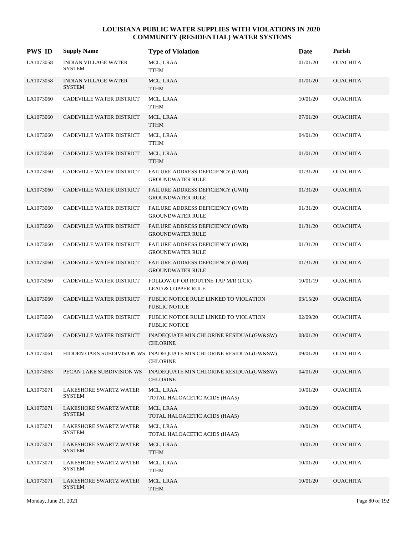| <b>PWS ID</b> | <b>Supply Name</b>                           | <b>Type of Violation</b>                                                              | Date     | Parish          |
|---------------|----------------------------------------------|---------------------------------------------------------------------------------------|----------|-----------------|
| LA1073058     | <b>INDIAN VILLAGE WATER</b><br><b>SYSTEM</b> | MCL, LRAA<br><b>TTHM</b>                                                              | 01/01/20 | <b>OUACHITA</b> |
| LA1073058     | <b>INDIAN VILLAGE WATER</b><br><b>SYSTEM</b> | MCL, LRAA<br><b>TTHM</b>                                                              | 01/01/20 | <b>OUACHITA</b> |
| LA1073060     | CADEVILLE WATER DISTRICT                     | MCL, LRAA<br><b>TTHM</b>                                                              | 10/01/20 | <b>OUACHITA</b> |
| LA1073060     | CADEVILLE WATER DISTRICT                     | MCL, LRAA<br><b>TTHM</b>                                                              | 07/01/20 | <b>OUACHITA</b> |
| LA1073060     | CADEVILLE WATER DISTRICT                     | MCL, LRAA<br><b>TTHM</b>                                                              | 04/01/20 | <b>OUACHITA</b> |
| LA1073060     | CADEVILLE WATER DISTRICT                     | MCL, LRAA<br><b>TTHM</b>                                                              | 01/01/20 | <b>OUACHITA</b> |
| LA1073060     | CADEVILLE WATER DISTRICT                     | FAILURE ADDRESS DEFICIENCY (GWR)<br><b>GROUNDWATER RULE</b>                           | 01/31/20 | <b>OUACHITA</b> |
| LA1073060     | CADEVILLE WATER DISTRICT                     | FAILURE ADDRESS DEFICIENCY (GWR)<br><b>GROUNDWATER RULE</b>                           | 01/31/20 | <b>OUACHITA</b> |
| LA1073060     | CADEVILLE WATER DISTRICT                     | FAILURE ADDRESS DEFICIENCY (GWR)<br><b>GROUNDWATER RULE</b>                           | 01/31/20 | <b>OUACHITA</b> |
| LA1073060     | CADEVILLE WATER DISTRICT                     | FAILURE ADDRESS DEFICIENCY (GWR)<br><b>GROUNDWATER RULE</b>                           | 01/31/20 | <b>OUACHITA</b> |
| LA1073060     | CADEVILLE WATER DISTRICT                     | FAILURE ADDRESS DEFICIENCY (GWR)<br><b>GROUNDWATER RULE</b>                           | 01/31/20 | <b>OUACHITA</b> |
| LA1073060     | CADEVILLE WATER DISTRICT                     | FAILURE ADDRESS DEFICIENCY (GWR)<br><b>GROUNDWATER RULE</b>                           | 01/31/20 | <b>OUACHITA</b> |
| LA1073060     | CADEVILLE WATER DISTRICT                     | FOLLOW-UP OR ROUTINE TAP M/R (LCR)<br><b>LEAD &amp; COPPER RULE</b>                   | 10/01/19 | <b>OUACHITA</b> |
| LA1073060     | CADEVILLE WATER DISTRICT                     | PUBLIC NOTICE RULE LINKED TO VIOLATION<br><b>PUBLIC NOTICE</b>                        | 03/15/20 | <b>OUACHITA</b> |
| LA1073060     | CADEVILLE WATER DISTRICT                     | PUBLIC NOTICE RULE LINKED TO VIOLATION<br><b>PUBLIC NOTICE</b>                        | 02/09/20 | <b>OUACHITA</b> |
| LA1073060     | CADEVILLE WATER DISTRICT                     | INADEQUATE MIN CHLORINE RESIDUAL(GW&SW)<br><b>CHLORINE</b>                            | 08/01/20 | <b>OUACHITA</b> |
| LA1073061     |                                              | HIDDEN OAKS SUBDIVISION WS INADEQUATE MIN CHLORINE RESIDUAL(GW&SW)<br><b>CHLORINE</b> | 09/01/20 | <b>OUACHITA</b> |
| LA1073063     | PECAN LAKE SUBDIVISION WS                    | INADEQUATE MIN CHLORINE RESIDUAL(GW&SW)<br><b>CHLORINE</b>                            | 04/01/20 | <b>OUACHITA</b> |
| LA1073071     | LAKESHORE SWARTZ WATER<br><b>SYSTEM</b>      | MCL, LRAA<br>TOTAL HALOACETIC ACIDS (HAA5)                                            | 10/01/20 | <b>OUACHITA</b> |
| LA1073071     | LAKESHORE SWARTZ WATER<br><b>SYSTEM</b>      | MCL, LRAA<br>TOTAL HALOACETIC ACIDS (HAA5)                                            | 10/01/20 | <b>OUACHITA</b> |
| LA1073071     | LAKESHORE SWARTZ WATER<br><b>SYSTEM</b>      | MCL, LRAA<br>TOTAL HALOACETIC ACIDS (HAA5)                                            | 10/01/20 | <b>OUACHITA</b> |
| LA1073071     | LAKESHORE SWARTZ WATER<br><b>SYSTEM</b>      | MCL, LRAA<br><b>TTHM</b>                                                              | 10/01/20 | <b>OUACHITA</b> |
| LA1073071     | LAKESHORE SWARTZ WATER<br><b>SYSTEM</b>      | MCL, LRAA<br><b>TTHM</b>                                                              | 10/01/20 | <b>OUACHITA</b> |
| LA1073071     | LAKESHORE SWARTZ WATER<br><b>SYSTEM</b>      | MCL, LRAA<br><b>TTHM</b>                                                              | 10/01/20 | <b>OUACHITA</b> |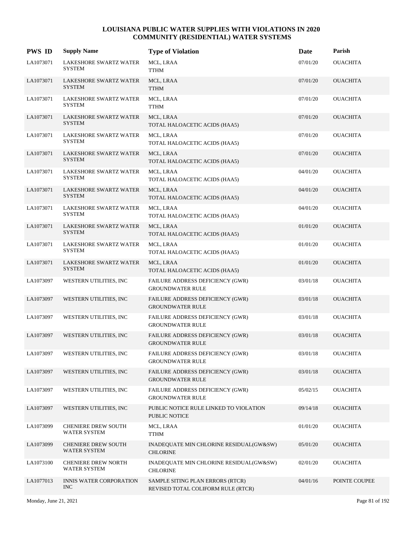| <b>PWS ID</b> | <b>Supply Name</b>                                | <b>Type of Violation</b>                                               | Date     | Parish          |
|---------------|---------------------------------------------------|------------------------------------------------------------------------|----------|-----------------|
| LA1073071     | LAKESHORE SWARTZ WATER<br>SYSTEM                  | MCL, LRAA<br><b>TTHM</b>                                               | 07/01/20 | <b>OUACHITA</b> |
| LA1073071     | <b>LAKESHORE SWARTZ WATER</b><br><b>SYSTEM</b>    | MCL, LRAA<br><b>TTHM</b>                                               | 07/01/20 | <b>OUACHITA</b> |
| LA1073071     | LAKESHORE SWARTZ WATER<br><b>SYSTEM</b>           | MCL, LRAA<br>${\sf TTHM}$                                              | 07/01/20 | <b>OUACHITA</b> |
| LA1073071     | LAKESHORE SWARTZ WATER<br><b>SYSTEM</b>           | MCL, LRAA<br>TOTAL HALOACETIC ACIDS (HAA5)                             | 07/01/20 | <b>OUACHITA</b> |
| LA1073071     | LAKESHORE SWARTZ WATER<br><b>SYSTEM</b>           | MCL, LRAA<br>TOTAL HALOACETIC ACIDS (HAA5)                             | 07/01/20 | <b>OUACHITA</b> |
| LA1073071     | LAKESHORE SWARTZ WATER<br><b>SYSTEM</b>           | MCL, LRAA<br>TOTAL HALOACETIC ACIDS (HAA5)                             | 07/01/20 | <b>OUACHITA</b> |
| LA1073071     | LAKESHORE SWARTZ WATER<br><b>SYSTEM</b>           | MCL, LRAA<br>TOTAL HALOACETIC ACIDS (HAA5)                             | 04/01/20 | <b>OUACHITA</b> |
| LA1073071     | LAKESHORE SWARTZ WATER<br><b>SYSTEM</b>           | MCL, LRAA<br>TOTAL HALOACETIC ACIDS (HAA5)                             | 04/01/20 | <b>OUACHITA</b> |
| LA1073071     | LAKESHORE SWARTZ WATER<br>SYSTEM                  | MCL, LRAA<br>TOTAL HALOACETIC ACIDS (HAA5)                             | 04/01/20 | <b>OUACHITA</b> |
| LA1073071     | <b>LAKESHORE SWARTZ WATER</b><br><b>SYSTEM</b>    | MCL, LRAA<br>TOTAL HALOACETIC ACIDS (HAA5)                             | 01/01/20 | <b>OUACHITA</b> |
| LA1073071     | LAKESHORE SWARTZ WATER<br><b>SYSTEM</b>           | MCL, LRAA<br>TOTAL HALOACETIC ACIDS (HAA5)                             | 01/01/20 | <b>OUACHITA</b> |
| LA1073071     | LAKESHORE SWARTZ WATER<br><b>SYSTEM</b>           | MCL, LRAA<br>TOTAL HALOACETIC ACIDS (HAA5)                             | 01/01/20 | <b>OUACHITA</b> |
| LA1073097     | WESTERN UTILITIES, INC                            | FAILURE ADDRESS DEFICIENCY (GWR)<br><b>GROUNDWATER RULE</b>            | 03/01/18 | <b>OUACHITA</b> |
| LA1073097     | WESTERN UTILITIES, INC                            | FAILURE ADDRESS DEFICIENCY (GWR)<br><b>GROUNDWATER RULE</b>            | 03/01/18 | <b>OUACHITA</b> |
| LA1073097     | WESTERN UTILITIES, INC                            | FAILURE ADDRESS DEFICIENCY (GWR)<br><b>GROUNDWATER RULE</b>            | 03/01/18 | <b>OUACHITA</b> |
| LA1073097     | WESTERN UTILITIES, INC                            | FAILURE ADDRESS DEFICIENCY (GWR)<br><b>GROUNDWATER RULE</b>            | 03/01/18 | <b>OUACHITA</b> |
| LA1073097     | WESTERN UTILITIES, INC                            | FAILURE ADDRESS DEFICIENCY (GWR)<br><b>GROUNDWATER RULE</b>            | 03/01/18 | <b>OUACHITA</b> |
| LA1073097     | WESTERN UTILITIES, INC                            | FAILURE ADDRESS DEFICIENCY (GWR)<br><b>GROUNDWATER RULE</b>            | 03/01/18 | <b>OUACHITA</b> |
| LA1073097     | WESTERN UTILITIES, INC                            | FAILURE ADDRESS DEFICIENCY (GWR)<br><b>GROUNDWATER RULE</b>            | 05/02/15 | <b>OUACHITA</b> |
| LA1073097     | WESTERN UTILITIES, INC                            | PUBLIC NOTICE RULE LINKED TO VIOLATION<br>PUBLIC NOTICE                | 09/14/18 | <b>OUACHITA</b> |
| LA1073099     | <b>CHENIERE DREW SOUTH</b><br><b>WATER SYSTEM</b> | MCL, LRAA<br><b>TTHM</b>                                               | 01/01/20 | <b>OUACHITA</b> |
| LA1073099     | <b>CHENIERE DREW SOUTH</b><br><b>WATER SYSTEM</b> | INADEQUATE MIN CHLORINE RESIDUAL(GW&SW)<br><b>CHLORINE</b>             | 05/01/20 | <b>OUACHITA</b> |
| LA1073100     | <b>CHENIERE DREW NORTH</b><br>WATER SYSTEM        | INADEQUATE MIN CHLORINE RESIDUAL(GW&SW)<br><b>CHLORINE</b>             | 02/01/20 | <b>OUACHITA</b> |
| LA1077013     | <b>INNIS WATER CORPORATION</b><br><b>INC</b>      | SAMPLE SITING PLAN ERRORS (RTCR)<br>REVISED TOTAL COLIFORM RULE (RTCR) | 04/01/16 | POINTE COUPEE   |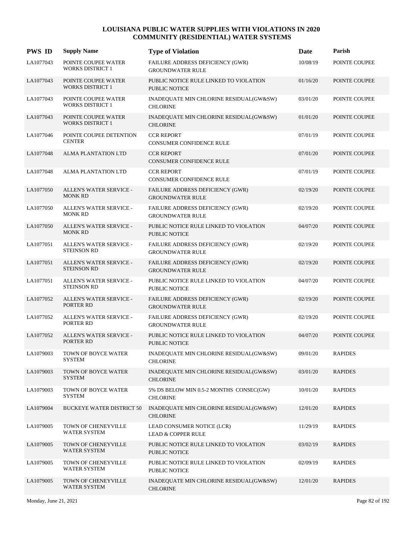| <b>PWS ID</b> | <b>Supply Name</b>                             | <b>Type of Violation</b>                                       | Date     | Parish         |
|---------------|------------------------------------------------|----------------------------------------------------------------|----------|----------------|
| LA1077043     | POINTE COUPEE WATER<br><b>WORKS DISTRICT 1</b> | FAILURE ADDRESS DEFICIENCY (GWR)<br><b>GROUNDWATER RULE</b>    | 10/08/19 | POINTE COUPEE  |
| LA1077043     | POINTE COUPEE WATER<br><b>WORKS DISTRICT 1</b> | PUBLIC NOTICE RULE LINKED TO VIOLATION<br><b>PUBLIC NOTICE</b> | 01/16/20 | POINTE COUPEE  |
| LA1077043     | POINTE COUPEE WATER<br><b>WORKS DISTRICT 1</b> | INADEQUATE MIN CHLORINE RESIDUAL(GW&SW)<br><b>CHLORINE</b>     | 03/01/20 | POINTE COUPEE  |
| LA1077043     | POINTE COUPEE WATER<br><b>WORKS DISTRICT 1</b> | INADEQUATE MIN CHLORINE RESIDUAL(GW&SW)<br><b>CHLORINE</b>     | 01/01/20 | POINTE COUPEE  |
| LA1077046     | POINTE COUPEE DETENTION<br><b>CENTER</b>       | <b>CCR REPORT</b><br>CONSUMER CONFIDENCE RULE                  | 07/01/19 | POINTE COUPEE  |
| LA1077048     | ALMA PLANTATION LTD                            | <b>CCR REPORT</b><br><b>CONSUMER CONFIDENCE RULE</b>           | 07/01/20 | POINTE COUPEE  |
| LA1077048     | <b>ALMA PLANTATION LTD</b>                     | <b>CCR REPORT</b><br><b>CONSUMER CONFIDENCE RULE</b>           | 07/01/19 | POINTE COUPEE  |
| LA1077050     | ALLEN'S WATER SERVICE -<br><b>MONK RD</b>      | FAILURE ADDRESS DEFICIENCY (GWR)<br><b>GROUNDWATER RULE</b>    | 02/19/20 | POINTE COUPEE  |
| LA1077050     | ALLEN'S WATER SERVICE -<br><b>MONK RD</b>      | FAILURE ADDRESS DEFICIENCY (GWR)<br><b>GROUNDWATER RULE</b>    | 02/19/20 | POINTE COUPEE  |
| LA1077050     | ALLEN'S WATER SERVICE -<br><b>MONK RD</b>      | PUBLIC NOTICE RULE LINKED TO VIOLATION<br><b>PUBLIC NOTICE</b> | 04/07/20 | POINTE COUPEE  |
| LA1077051     | ALLEN'S WATER SERVICE -<br><b>STEINSON RD</b>  | FAILURE ADDRESS DEFICIENCY (GWR)<br><b>GROUNDWATER RULE</b>    | 02/19/20 | POINTE COUPEE  |
| LA1077051     | ALLEN'S WATER SERVICE -<br><b>STEINSON RD</b>  | FAILURE ADDRESS DEFICIENCY (GWR)<br><b>GROUNDWATER RULE</b>    | 02/19/20 | POINTE COUPEE  |
| LA1077051     | ALLEN'S WATER SERVICE -<br><b>STEINSON RD</b>  | PUBLIC NOTICE RULE LINKED TO VIOLATION<br>PUBLIC NOTICE        | 04/07/20 | POINTE COUPEE  |
| LA1077052     | ALLEN'S WATER SERVICE -<br>PORTER RD           | FAILURE ADDRESS DEFICIENCY (GWR)<br><b>GROUNDWATER RULE</b>    | 02/19/20 | POINTE COUPEE  |
| LA1077052     | ALLEN'S WATER SERVICE -<br>PORTER RD           | FAILURE ADDRESS DEFICIENCY (GWR)<br><b>GROUNDWATER RULE</b>    | 02/19/20 | POINTE COUPEE  |
| LA1077052     | ALLEN'S WATER SERVICE -<br>PORTER RD           | PUBLIC NOTICE RULE LINKED TO VIOLATION<br><b>PUBLIC NOTICE</b> | 04/07/20 | POINTE COUPEE  |
| LA1079003     | TOWN OF BOYCE WATER<br><b>SYSTEM</b>           | INADEQUATE MIN CHLORINE RESIDUAL(GW&SW)<br><b>CHLORINE</b>     | 09/01/20 | <b>RAPIDES</b> |
| LA1079003     | TOWN OF BOYCE WATER<br><b>SYSTEM</b>           | INADEQUATE MIN CHLORINE RESIDUAL(GW&SW)<br><b>CHLORINE</b>     | 03/01/20 | <b>RAPIDES</b> |
| LA1079003     | TOWN OF BOYCE WATER<br><b>SYSTEM</b>           | 5% DS BELOW MIN 0.5-2 MONTHS CONSEC(GW)<br><b>CHLORINE</b>     | 10/01/20 | <b>RAPIDES</b> |
| LA1079004     | <b>BUCKEYE WATER DISTRICT 50</b>               | INADEQUATE MIN CHLORINE RESIDUAL(GW&SW)<br><b>CHLORINE</b>     | 12/01/20 | <b>RAPIDES</b> |
| LA1079005     | TOWN OF CHENEYVILLE<br><b>WATER SYSTEM</b>     | LEAD CONSUMER NOTICE (LCR)<br><b>LEAD &amp; COPPER RULE</b>    | 11/29/19 | <b>RAPIDES</b> |
| LA1079005     | TOWN OF CHENEYVILLE<br><b>WATER SYSTEM</b>     | PUBLIC NOTICE RULE LINKED TO VIOLATION<br>PUBLIC NOTICE        | 03/02/19 | <b>RAPIDES</b> |
| LA1079005     | TOWN OF CHENEYVILLE<br>WATER SYSTEM            | PUBLIC NOTICE RULE LINKED TO VIOLATION<br>PUBLIC NOTICE        | 02/09/19 | <b>RAPIDES</b> |
| LA1079005     | TOWN OF CHENEYVILLE<br>WATER SYSTEM            | INADEQUATE MIN CHLORINE RESIDUAL(GW&SW)<br><b>CHLORINE</b>     | 12/01/20 | <b>RAPIDES</b> |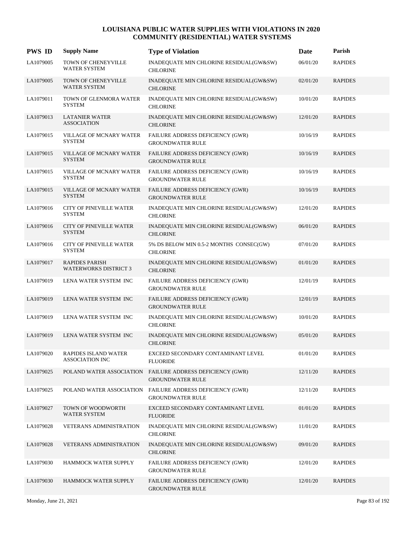| <b>PWS ID</b> | <b>Supply Name</b>                                    | <b>Type of Violation</b>                                           | Date     | Parish         |
|---------------|-------------------------------------------------------|--------------------------------------------------------------------|----------|----------------|
| LA1079005     | TOWN OF CHENEYVILLE<br><b>WATER SYSTEM</b>            | INADEQUATE MIN CHLORINE RESIDUAL(GW&SW)<br><b>CHLORINE</b>         | 06/01/20 | <b>RAPIDES</b> |
| LA1079005     | TOWN OF CHENEYVILLE<br><b>WATER SYSTEM</b>            | INADEQUATE MIN CHLORINE RESIDUAL(GW&SW)<br><b>CHLORINE</b>         | 02/01/20 | <b>RAPIDES</b> |
| LA1079011     | TOWN OF GLENMORA WATER<br><b>SYSTEM</b>               | INADEQUATE MIN CHLORINE RESIDUAL(GW&SW)<br><b>CHLORINE</b>         | 10/01/20 | <b>RAPIDES</b> |
| LA1079013     | <b>LATANIER WATER</b><br><b>ASSOCIATION</b>           | INADEQUATE MIN CHLORINE RESIDUAL(GW&SW)<br><b>CHLORINE</b>         | 12/01/20 | <b>RAPIDES</b> |
| LA1079015     | VILLAGE OF MCNARY WATER<br><b>SYSTEM</b>              | FAILURE ADDRESS DEFICIENCY (GWR)<br><b>GROUNDWATER RULE</b>        | 10/16/19 | <b>RAPIDES</b> |
| LA1079015     | VILLAGE OF MCNARY WATER<br><b>SYSTEM</b>              | FAILURE ADDRESS DEFICIENCY (GWR)<br><b>GROUNDWATER RULE</b>        | 10/16/19 | <b>RAPIDES</b> |
| LA1079015     | VILLAGE OF MCNARY WATER<br><b>SYSTEM</b>              | FAILURE ADDRESS DEFICIENCY (GWR)<br><b>GROUNDWATER RULE</b>        | 10/16/19 | <b>RAPIDES</b> |
| LA1079015     | <b>VILLAGE OF MCNARY WATER</b><br><b>SYSTEM</b>       | FAILURE ADDRESS DEFICIENCY (GWR)<br><b>GROUNDWATER RULE</b>        | 10/16/19 | <b>RAPIDES</b> |
| LA1079016     | <b>CITY OF PINEVILLE WATER</b><br><b>SYSTEM</b>       | INADEQUATE MIN CHLORINE RESIDUAL(GW&SW)<br><b>CHLORINE</b>         | 12/01/20 | <b>RAPIDES</b> |
| LA1079016     | <b>CITY OF PINEVILLE WATER</b><br><b>SYSTEM</b>       | INADEQUATE MIN CHLORINE RESIDUAL(GW&SW)<br><b>CHLORINE</b>         | 06/01/20 | <b>RAPIDES</b> |
| LA1079016     | <b>CITY OF PINEVILLE WATER</b><br><b>SYSTEM</b>       | 5% DS BELOW MIN 0.5-2 MONTHS CONSEC(GW)<br><b>CHLORINE</b>         | 07/01/20 | <b>RAPIDES</b> |
| LA1079017     | <b>RAPIDES PARISH</b><br><b>WATERWORKS DISTRICT 3</b> | INADEQUATE MIN CHLORINE RESIDUAL(GW&SW)<br><b>CHLORINE</b>         | 01/01/20 | <b>RAPIDES</b> |
| LA1079019     | LENA WATER SYSTEM INC                                 | FAILURE ADDRESS DEFICIENCY (GWR)<br><b>GROUNDWATER RULE</b>        | 12/01/19 | <b>RAPIDES</b> |
| LA1079019     | LENA WATER SYSTEM INC                                 | FAILURE ADDRESS DEFICIENCY (GWR)<br><b>GROUNDWATER RULE</b>        | 12/01/19 | <b>RAPIDES</b> |
| LA1079019     | LENA WATER SYSTEM INC                                 | INADEQUATE MIN CHLORINE RESIDUAL(GW&SW)<br><b>CHLORINE</b>         | 10/01/20 | <b>RAPIDES</b> |
| LA1079019     | LENA WATER SYSTEM INC                                 | INADEQUATE MIN CHLORINE RESIDUAL(GW&SW)<br><b>CHLORINE</b>         | 05/01/20 | <b>RAPIDES</b> |
| LA1079020     | RAPIDES ISLAND WATER<br><b>ASSOCIATION INC</b>        | EXCEED SECONDARY CONTAMINANT LEVEL<br><b>FLUORIDE</b>              | 01/01/20 | <b>RAPIDES</b> |
| LA1079025     | POLAND WATER ASSOCIATION                              | FAILURE ADDRESS DEFICIENCY (GWR)<br><b>GROUNDWATER RULE</b>        | 12/11/20 | <b>RAPIDES</b> |
| LA1079025     | POLAND WATER ASSOCIATION                              | FAILURE ADDRESS DEFICIENCY (GWR)<br><b>GROUNDWATER RULE</b>        | 12/11/20 | <b>RAPIDES</b> |
| LA1079027     | TOWN OF WOODWORTH<br><b>WATER SYSTEM</b>              | EXCEED SECONDARY CONTAMINANT LEVEL<br><b>FLUORIDE</b>              | 01/01/20 | <b>RAPIDES</b> |
| LA1079028     | <b>VETERANS ADMINISTRATION</b>                        | INADEQUATE MIN CHLORINE RESIDUAL(GW&SW)<br><b>CHLORINE</b>         | 11/01/20 | <b>RAPIDES</b> |
| LA1079028     | <b>VETERANS ADMINISTRATION</b>                        | INADEQUATE MIN CHLORINE RESIDUAL(GW&SW)<br><b>CHLORINE</b>         | 09/01/20 | <b>RAPIDES</b> |
| LA1079030     | HAMMOCK WATER SUPPLY                                  | <b>FAILURE ADDRESS DEFICIENCY (GWR)</b><br><b>GROUNDWATER RULE</b> | 12/01/20 | <b>RAPIDES</b> |
| LA1079030     | HAMMOCK WATER SUPPLY                                  | FAILURE ADDRESS DEFICIENCY (GWR)<br><b>GROUNDWATER RULE</b>        | 12/01/20 | <b>RAPIDES</b> |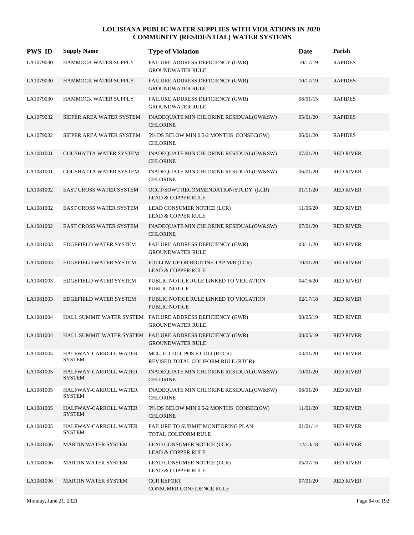| <b>PWS ID</b> | <b>Supply Name</b>                     | <b>Type of Violation</b>                                                             | <b>Date</b> | Parish           |
|---------------|----------------------------------------|--------------------------------------------------------------------------------------|-------------|------------------|
| LA1079030     | HAMMOCK WATER SUPPLY                   | FAILURE ADDRESS DEFICIENCY (GWR)<br><b>GROUNDWATER RULE</b>                          | 10/17/19    | <b>RAPIDES</b>   |
| LA1079030     | HAMMOCK WATER SUPPLY                   | <b>FAILURE ADDRESS DEFICIENCY (GWR)</b><br><b>GROUNDWATER RULE</b>                   | 10/17/19    | <b>RAPIDES</b>   |
| LA1079030     | HAMMOCK WATER SUPPLY                   | FAILURE ADDRESS DEFICIENCY (GWR)<br><b>GROUNDWATER RULE</b>                          | 06/01/15    | <b>RAPIDES</b>   |
| LA1079032     | SIEPER AREA WATER SYSTEM               | INADEQUATE MIN CHLORINE RESIDUAL(GW&SW)<br><b>CHLORINE</b>                           | 05/01/20    | <b>RAPIDES</b>   |
| LA1079032     | SIEPER AREA WATER SYSTEM               | 5% DS BELOW MIN 0.5-2 MONTHS CONSEC(GW)<br><b>CHLORINE</b>                           | 06/01/20    | <b>RAPIDES</b>   |
| LA1081001     | <b>COUSHATTA WATER SYSTEM</b>          | INADEQUATE MIN CHLORINE RESIDUAL(GW&SW)<br><b>CHLORINE</b>                           | 07/01/20    | <b>RED RIVER</b> |
| LA1081001     | COUSHATTA WATER SYSTEM                 | INADEQUATE MIN CHLORINE RESIDUAL(GW&SW)<br><b>CHLORINE</b>                           | 06/01/20    | <b>RED RIVER</b> |
| LA1081002     | <b>EAST CROSS WATER SYSTEM</b>         | OCCT/SOWT RECOMMENDATION/STUDY (LCR)<br><b>LEAD &amp; COPPER RULE</b>                | 01/11/20    | <b>RED RIVER</b> |
| LA1081002     | <b>EAST CROSS WATER SYSTEM</b>         | LEAD CONSUMER NOTICE (LCR)<br><b>LEAD &amp; COPPER RULE</b>                          | 11/06/20    | <b>RED RIVER</b> |
| LA1081002     | <b>EAST CROSS WATER SYSTEM</b>         | INADEQUATE MIN CHLORINE RESIDUAL(GW&SW)<br><b>CHLORINE</b>                           | 07/01/20    | <b>RED RIVER</b> |
| LA1081003     | EDGEFIELD WATER SYSTEM                 | FAILURE ADDRESS DEFICIENCY (GWR)<br><b>GROUNDWATER RULE</b>                          | 03/11/20    | <b>RED RIVER</b> |
| LA1081003     | EDGEFIELD WATER SYSTEM                 | FOLLOW-UP OR ROUTINE TAP M/R (LCR)<br><b>LEAD &amp; COPPER RULE</b>                  | 10/01/20    | <b>RED RIVER</b> |
| LA1081003     | EDGEFIELD WATER SYSTEM                 | PUBLIC NOTICE RULE LINKED TO VIOLATION<br><b>PUBLIC NOTICE</b>                       | 04/16/20    | <b>RED RIVER</b> |
| LA1081003     | EDGEFIELD WATER SYSTEM                 | PUBLIC NOTICE RULE LINKED TO VIOLATION<br><b>PUBLIC NOTICE</b>                       | 02/17/18    | <b>RED RIVER</b> |
| LA1081004     |                                        | HALL SUMMIT WATER SYSTEM FAILURE ADDRESS DEFICIENCY (GWR)<br><b>GROUNDWATER RULE</b> | 08/05/19    | <b>RED RIVER</b> |
| LA1081004     |                                        | HALL SUMMIT WATER SYSTEM FAILURE ADDRESS DEFICIENCY (GWR)<br><b>GROUNDWATER RULE</b> | 08/05/19    | <b>RED RIVER</b> |
| LA1081005     | HALFWAY-CARROLL WATER<br><b>SYSTEM</b> | MCL, E. COLI, POS E COLI (RTCR)<br>REVISED TOTAL COLIFORM RULE (RTCR)                | 03/01/20    | <b>RED RIVER</b> |
| LA1081005     | HALFWAY-CARROLL WATER<br><b>SYSTEM</b> | INADEQUATE MIN CHLORINE RESIDUAL(GW&SW)<br><b>CHLORINE</b>                           | 10/01/20    | <b>RED RIVER</b> |
| LA1081005     | HALFWAY-CARROLL WATER<br><b>SYSTEM</b> | INADEQUATE MIN CHLORINE RESIDUAL(GW&SW)<br><b>CHLORINE</b>                           | 06/01/20    | <b>RED RIVER</b> |
| LA1081005     | HALFWAY-CARROLL WATER<br><b>SYSTEM</b> | 5% DS BELOW MIN 0.5-2 MONTHS CONSEC(GW)<br><b>CHLORINE</b>                           | 11/01/20    | <b>RED RIVER</b> |
| LA1081005     | HALFWAY-CARROLL WATER<br><b>SYSTEM</b> | FAILURE TO SUBMIT MONITORING PLAN<br>TOTAL COLIFORM RULE                             | 01/01/14    | <b>RED RIVER</b> |
| LA1081006     | <b>MARTIN WATER SYSTEM</b>             | LEAD CONSUMER NOTICE (LCR)<br><b>LEAD &amp; COPPER RULE</b>                          | 12/13/18    | <b>RED RIVER</b> |
| LA1081006     | <b>MARTIN WATER SYSTEM</b>             | LEAD CONSUMER NOTICE (LCR)<br><b>LEAD &amp; COPPER RULE</b>                          | 05/07/16    | <b>RED RIVER</b> |
| LA1081006     | <b>MARTIN WATER SYSTEM</b>             | <b>CCR REPORT</b><br>CONSUMER CONFIDENCE RULE                                        | 07/01/20    | <b>RED RIVER</b> |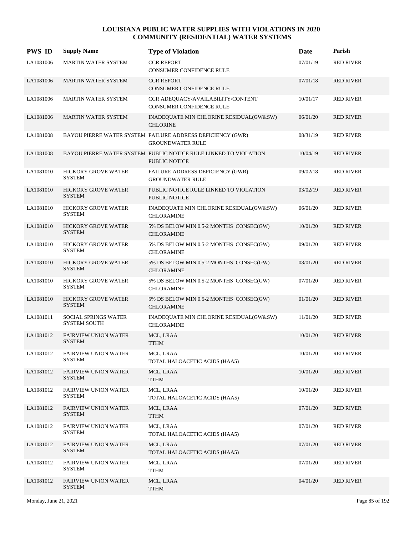| <b>PWS ID</b> | <b>Supply Name</b>                           | <b>Type of Violation</b>                                                              | Date     | Parish           |
|---------------|----------------------------------------------|---------------------------------------------------------------------------------------|----------|------------------|
| LA1081006     | <b>MARTIN WATER SYSTEM</b>                   | <b>CCR REPORT</b><br>CONSUMER CONFIDENCE RULE                                         | 07/01/19 | <b>RED RIVER</b> |
| LA1081006     | MARTIN WATER SYSTEM                          | <b>CCR REPORT</b><br><b>CONSUMER CONFIDENCE RULE</b>                                  | 07/01/18 | <b>RED RIVER</b> |
| LA1081006     | <b>MARTIN WATER SYSTEM</b>                   | CCR ADEQUACY/AVAILABILITY/CONTENT<br><b>CONSUMER CONFIDENCE RULE</b>                  | 10/01/17 | <b>RED RIVER</b> |
| LA1081006     | <b>MARTIN WATER SYSTEM</b>                   | INADEQUATE MIN CHLORINE RESIDUAL(GW&SW)<br><b>CHLORINE</b>                            | 06/01/20 | <b>RED RIVER</b> |
| LA1081008     |                                              | BAYOU PIERRE WATER SYSTEM FAILURE ADDRESS DEFICIENCY (GWR)<br><b>GROUNDWATER RULE</b> | 08/31/19 | <b>RED RIVER</b> |
| LA1081008     |                                              | BAYOU PIERRE WATER SYSTEM PUBLIC NOTICE RULE LINKED TO VIOLATION<br>PUBLIC NOTICE     | 10/04/19 | <b>RED RIVER</b> |
| LA1081010     | <b>HICKORY GROVE WATER</b><br><b>SYSTEM</b>  | FAILURE ADDRESS DEFICIENCY (GWR)<br><b>GROUNDWATER RULE</b>                           | 09/02/18 | <b>RED RIVER</b> |
| LA1081010     | <b>HICKORY GROVE WATER</b><br><b>SYSTEM</b>  | PUBLIC NOTICE RULE LINKED TO VIOLATION<br>PUBLIC NOTICE                               | 03/02/19 | <b>RED RIVER</b> |
| LA1081010     | <b>HICKORY GROVE WATER</b><br><b>SYSTEM</b>  | INADEQUATE MIN CHLORINE RESIDUAL(GW&SW)<br><b>CHLORAMINE</b>                          | 06/01/20 | <b>RED RIVER</b> |
| LA1081010     | HICKORY GROVE WATER<br><b>SYSTEM</b>         | 5% DS BELOW MIN 0.5-2 MONTHS CONSEC(GW)<br><b>CHLORAMINE</b>                          | 10/01/20 | <b>RED RIVER</b> |
| LA1081010     | HICKORY GROVE WATER<br><b>SYSTEM</b>         | 5% DS BELOW MIN 0.5-2 MONTHS CONSEC(GW)<br><b>CHLORAMINE</b>                          | 09/01/20 | <b>RED RIVER</b> |
| LA1081010     | HICKORY GROVE WATER<br><b>SYSTEM</b>         | 5% DS BELOW MIN 0.5-2 MONTHS CONSEC(GW)<br><b>CHLORAMINE</b>                          | 08/01/20 | <b>RED RIVER</b> |
| LA1081010     | HICKORY GROVE WATER<br><b>SYSTEM</b>         | 5% DS BELOW MIN 0.5-2 MONTHS CONSEC(GW)<br><b>CHLORAMINE</b>                          | 07/01/20 | <b>RED RIVER</b> |
| LA1081010     | HICKORY GROVE WATER<br><b>SYSTEM</b>         | 5% DS BELOW MIN 0.5-2 MONTHS CONSEC(GW)<br><b>CHLORAMINE</b>                          | 01/01/20 | <b>RED RIVER</b> |
| LA1081011     | SOCIAL SPRINGS WATER<br><b>SYSTEM SOUTH</b>  | INADEQUATE MIN CHLORINE RESIDUAL(GW&SW)<br><b>CHLORAMINE</b>                          | 11/01/20 | <b>RED RIVER</b> |
| LA1081012     | <b>FAIRVIEW UNION WATER</b><br><b>SYSTEM</b> | MCL, LRAA<br><b>TTHM</b>                                                              | 10/01/20 | <b>RED RIVER</b> |
| LA1081012     | <b>FAIRVIEW UNION WATER</b><br>SYSTEM        | MCL, LRAA<br>TOTAL HALOACETIC ACIDS (HAA5)                                            | 10/01/20 | <b>RED RIVER</b> |
| LA1081012     | <b>FAIRVIEW UNION WATER</b><br><b>SYSTEM</b> | MCL, LRAA<br><b>TTHM</b>                                                              | 10/01/20 | <b>RED RIVER</b> |
| LA1081012     | <b>FAIRVIEW UNION WATER</b><br><b>SYSTEM</b> | MCL, LRAA<br>TOTAL HALOACETIC ACIDS (HAA5)                                            | 10/01/20 | <b>RED RIVER</b> |
| LA1081012     | <b>FAIRVIEW UNION WATER</b><br><b>SYSTEM</b> | MCL, LRAA<br><b>TTHM</b>                                                              | 07/01/20 | <b>RED RIVER</b> |
| LA1081012     | <b>FAIRVIEW UNION WATER</b><br><b>SYSTEM</b> | MCL, LRAA<br>TOTAL HALOACETIC ACIDS (HAA5)                                            | 07/01/20 | <b>RED RIVER</b> |
| LA1081012     | <b>FAIRVIEW UNION WATER</b><br><b>SYSTEM</b> | MCL, LRAA<br>TOTAL HALOACETIC ACIDS (HAA5)                                            | 07/01/20 | <b>RED RIVER</b> |
| LA1081012     | <b>FAIRVIEW UNION WATER</b><br><b>SYSTEM</b> | MCL, LRAA<br>TTHM                                                                     | 07/01/20 | <b>RED RIVER</b> |
| LA1081012     | <b>FAIRVIEW UNION WATER</b><br><b>SYSTEM</b> | MCL, LRAA<br>TTHM                                                                     | 04/01/20 | <b>RED RIVER</b> |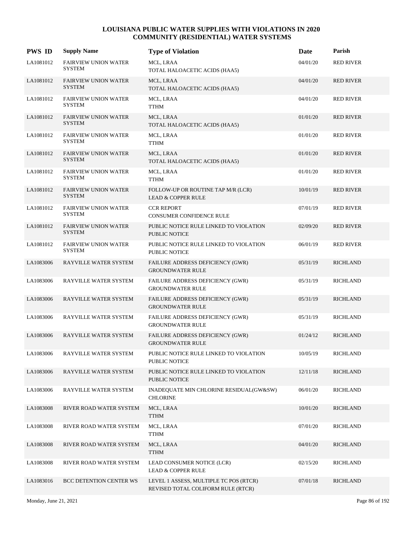| <b>PWS ID</b> | <b>Supply Name</b>                           | <b>Type of Violation</b>                                                     | Date     | Parish           |
|---------------|----------------------------------------------|------------------------------------------------------------------------------|----------|------------------|
| LA1081012     | <b>FAIRVIEW UNION WATER</b><br><b>SYSTEM</b> | MCL, LRAA<br>TOTAL HALOACETIC ACIDS (HAA5)                                   | 04/01/20 | <b>RED RIVER</b> |
| LA1081012     | <b>FAIRVIEW UNION WATER</b><br><b>SYSTEM</b> | MCL, LRAA<br>TOTAL HALOACETIC ACIDS (HAA5)                                   | 04/01/20 | <b>RED RIVER</b> |
| LA1081012     | <b>FAIRVIEW UNION WATER</b><br><b>SYSTEM</b> | MCL, LRAA<br>${\sf TTHM}$                                                    | 04/01/20 | <b>RED RIVER</b> |
| LA1081012     | <b>FAIRVIEW UNION WATER</b><br><b>SYSTEM</b> | MCL, LRAA<br>TOTAL HALOACETIC ACIDS (HAA5)                                   | 01/01/20 | <b>RED RIVER</b> |
| LA1081012     | <b>FAIRVIEW UNION WATER</b><br><b>SYSTEM</b> | MCL, LRAA<br><b>TTHM</b>                                                     | 01/01/20 | <b>RED RIVER</b> |
| LA1081012     | <b>FAIRVIEW UNION WATER</b><br><b>SYSTEM</b> | MCL, LRAA<br>TOTAL HALOACETIC ACIDS (HAA5)                                   | 01/01/20 | <b>RED RIVER</b> |
| LA1081012     | <b>FAIRVIEW UNION WATER</b><br><b>SYSTEM</b> | MCL, LRAA<br><b>TTHM</b>                                                     | 01/01/20 | <b>RED RIVER</b> |
| LA1081012     | <b>FAIRVIEW UNION WATER</b><br><b>SYSTEM</b> | FOLLOW-UP OR ROUTINE TAP M/R (LCR)<br><b>LEAD &amp; COPPER RULE</b>          | 10/01/19 | <b>RED RIVER</b> |
| LA1081012     | <b>FAIRVIEW UNION WATER</b><br><b>SYSTEM</b> | <b>CCR REPORT</b><br>CONSUMER CONFIDENCE RULE                                | 07/01/19 | <b>RED RIVER</b> |
| LA1081012     | <b>FAIRVIEW UNION WATER</b><br><b>SYSTEM</b> | PUBLIC NOTICE RULE LINKED TO VIOLATION<br>PUBLIC NOTICE                      | 02/09/20 | <b>RED RIVER</b> |
| LA1081012     | <b>FAIRVIEW UNION WATER</b><br><b>SYSTEM</b> | PUBLIC NOTICE RULE LINKED TO VIOLATION<br>PUBLIC NOTICE                      | 06/01/19 | <b>RED RIVER</b> |
| LA1083006     | RAYVILLE WATER SYSTEM                        | FAILURE ADDRESS DEFICIENCY (GWR)<br><b>GROUNDWATER RULE</b>                  | 05/31/19 | <b>RICHLAND</b>  |
| LA1083006     | RAYVILLE WATER SYSTEM                        | FAILURE ADDRESS DEFICIENCY (GWR)<br><b>GROUNDWATER RULE</b>                  | 05/31/19 | <b>RICHLAND</b>  |
| LA1083006     | RAYVILLE WATER SYSTEM                        | FAILURE ADDRESS DEFICIENCY (GWR)<br><b>GROUNDWATER RULE</b>                  | 05/31/19 | <b>RICHLAND</b>  |
| LA1083006     | RAYVILLE WATER SYSTEM                        | FAILURE ADDRESS DEFICIENCY (GWR)<br><b>GROUNDWATER RULE</b>                  | 05/31/19 | <b>RICHLAND</b>  |
| LA1083006     | RAYVILLE WATER SYSTEM                        | FAILURE ADDRESS DEFICIENCY (GWR)<br><b>GROUNDWATER RULE</b>                  | 01/24/12 | <b>RICHLAND</b>  |
| LA1083006     | RAYVILLE WATER SYSTEM                        | PUBLIC NOTICE RULE LINKED TO VIOLATION<br>PUBLIC NOTICE                      | 10/05/19 | <b>RICHLAND</b>  |
| LA1083006     | RAYVILLE WATER SYSTEM                        | PUBLIC NOTICE RULE LINKED TO VIOLATION<br><b>PUBLIC NOTICE</b>               | 12/11/18 | <b>RICHLAND</b>  |
| LA1083006     | RAYVILLE WATER SYSTEM                        | INADEQUATE MIN CHLORINE RESIDUAL(GW&SW)<br><b>CHLORINE</b>                   | 06/01/20 | <b>RICHLAND</b>  |
| LA1083008     | RIVER ROAD WATER SYSTEM                      | MCL, LRAA<br><b>TTHM</b>                                                     | 10/01/20 | <b>RICHLAND</b>  |
| LA1083008     | RIVER ROAD WATER SYSTEM                      | MCL, LRAA<br><b>TTHM</b>                                                     | 07/01/20 | <b>RICHLAND</b>  |
| LA1083008     | RIVER ROAD WATER SYSTEM                      | MCL, LRAA<br><b>TTHM</b>                                                     | 04/01/20 | <b>RICHLAND</b>  |
| LA1083008     | RIVER ROAD WATER SYSTEM                      | LEAD CONSUMER NOTICE (LCR)<br>LEAD & COPPER RULE                             | 02/15/20 | <b>RICHLAND</b>  |
| LA1083016     | <b>BCC DETENTION CENTER WS</b>               | LEVEL 1 ASSESS, MULTIPLE TC POS (RTCR)<br>REVISED TOTAL COLIFORM RULE (RTCR) | 07/01/18 | <b>RICHLAND</b>  |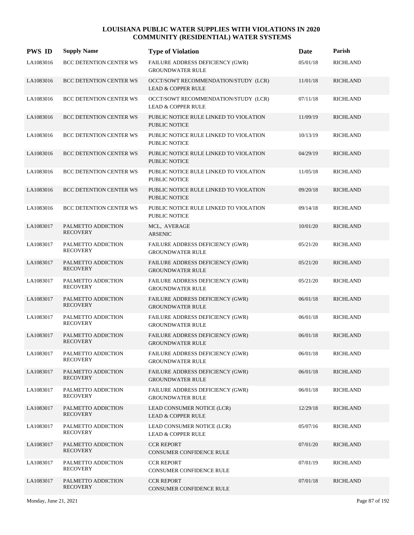| <b>PWS ID</b> | <b>Supply Name</b>                    | <b>Type of Violation</b>                                              | Date     | Parish          |
|---------------|---------------------------------------|-----------------------------------------------------------------------|----------|-----------------|
| LA1083016     | BCC DETENTION CENTER WS               | FAILURE ADDRESS DEFICIENCY (GWR)<br><b>GROUNDWATER RULE</b>           | 05/01/18 | <b>RICHLAND</b> |
| LA1083016     | BCC DETENTION CENTER WS               | OCCT/SOWT RECOMMENDATION/STUDY (LCR)<br><b>LEAD &amp; COPPER RULE</b> | 11/01/18 | <b>RICHLAND</b> |
| LA1083016     | BCC DETENTION CENTER WS               | OCCT/SOWT RECOMMENDATION/STUDY (LCR)<br><b>LEAD &amp; COPPER RULE</b> | 07/11/18 | <b>RICHLAND</b> |
| LA1083016     | <b>BCC DETENTION CENTER WS</b>        | PUBLIC NOTICE RULE LINKED TO VIOLATION<br><b>PUBLIC NOTICE</b>        | 11/09/19 | <b>RICHLAND</b> |
| LA1083016     | <b>BCC DETENTION CENTER WS</b>        | PUBLIC NOTICE RULE LINKED TO VIOLATION<br>PUBLIC NOTICE               | 10/13/19 | <b>RICHLAND</b> |
| LA1083016     | <b>BCC DETENTION CENTER WS</b>        | PUBLIC NOTICE RULE LINKED TO VIOLATION<br>PUBLIC NOTICE               | 04/29/19 | <b>RICHLAND</b> |
| LA1083016     | BCC DETENTION CENTER WS               | PUBLIC NOTICE RULE LINKED TO VIOLATION<br>PUBLIC NOTICE               | 11/05/18 | <b>RICHLAND</b> |
| LA1083016     | <b>BCC DETENTION CENTER WS</b>        | PUBLIC NOTICE RULE LINKED TO VIOLATION<br><b>PUBLIC NOTICE</b>        | 09/20/18 | <b>RICHLAND</b> |
| LA1083016     | <b>BCC DETENTION CENTER WS</b>        | PUBLIC NOTICE RULE LINKED TO VIOLATION<br><b>PUBLIC NOTICE</b>        | 09/14/18 | <b>RICHLAND</b> |
| LA1083017     | PALMETTO ADDICTION<br><b>RECOVERY</b> | MCL, AVERAGE<br><b>ARSENIC</b>                                        | 10/01/20 | <b>RICHLAND</b> |
| LA1083017     | PALMETTO ADDICTION<br><b>RECOVERY</b> | FAILURE ADDRESS DEFICIENCY (GWR)<br><b>GROUNDWATER RULE</b>           | 05/21/20 | <b>RICHLAND</b> |
| LA1083017     | PALMETTO ADDICTION<br><b>RECOVERY</b> | FAILURE ADDRESS DEFICIENCY (GWR)<br><b>GROUNDWATER RULE</b>           | 05/21/20 | <b>RICHLAND</b> |
| LA1083017     | PALMETTO ADDICTION<br><b>RECOVERY</b> | FAILURE ADDRESS DEFICIENCY (GWR)<br><b>GROUNDWATER RULE</b>           | 05/21/20 | <b>RICHLAND</b> |
| LA1083017     | PALMETTO ADDICTION<br><b>RECOVERY</b> | FAILURE ADDRESS DEFICIENCY (GWR)<br><b>GROUNDWATER RULE</b>           | 06/01/18 | <b>RICHLAND</b> |
| LA1083017     | PALMETTO ADDICTION<br><b>RECOVERY</b> | FAILURE ADDRESS DEFICIENCY (GWR)<br><b>GROUNDWATER RULE</b>           | 06/01/18 | <b>RICHLAND</b> |
| LA1083017     | PALMETTO ADDICTION<br><b>RECOVERY</b> | FAILURE ADDRESS DEFICIENCY (GWR)<br><b>GROUNDWATER RULE</b>           | 06/01/18 | <b>RICHLAND</b> |
| LA1083017     | PALMETTO ADDICTION<br><b>RECOVERY</b> | FAILURE ADDRESS DEFICIENCY (GWR)<br><b>GROUNDWATER RULE</b>           | 06/01/18 | <b>RICHLAND</b> |
| LA1083017     | PALMETTO ADDICTION<br><b>RECOVERY</b> | FAILURE ADDRESS DEFICIENCY (GWR)<br><b>GROUNDWATER RULE</b>           | 06/01/18 | <b>RICHLAND</b> |
| LA1083017     | PALMETTO ADDICTION<br><b>RECOVERY</b> | FAILURE ADDRESS DEFICIENCY (GWR)<br><b>GROUNDWATER RULE</b>           | 06/01/18 | <b>RICHLAND</b> |
| LA1083017     | PALMETTO ADDICTION<br><b>RECOVERY</b> | LEAD CONSUMER NOTICE (LCR)<br><b>LEAD &amp; COPPER RULE</b>           | 12/29/18 | <b>RICHLAND</b> |
| LA1083017     | PALMETTO ADDICTION<br><b>RECOVERY</b> | LEAD CONSUMER NOTICE (LCR)<br><b>LEAD &amp; COPPER RULE</b>           | 05/07/16 | <b>RICHLAND</b> |
| LA1083017     | PALMETTO ADDICTION<br><b>RECOVERY</b> | <b>CCR REPORT</b><br>CONSUMER CONFIDENCE RULE                         | 07/01/20 | <b>RICHLAND</b> |
| LA1083017     | PALMETTO ADDICTION<br><b>RECOVERY</b> | <b>CCR REPORT</b><br>CONSUMER CONFIDENCE RULE                         | 07/01/19 | <b>RICHLAND</b> |
| LA1083017     | PALMETTO ADDICTION<br><b>RECOVERY</b> | <b>CCR REPORT</b><br><b>CONSUMER CONFIDENCE RULE</b>                  | 07/01/18 | <b>RICHLAND</b> |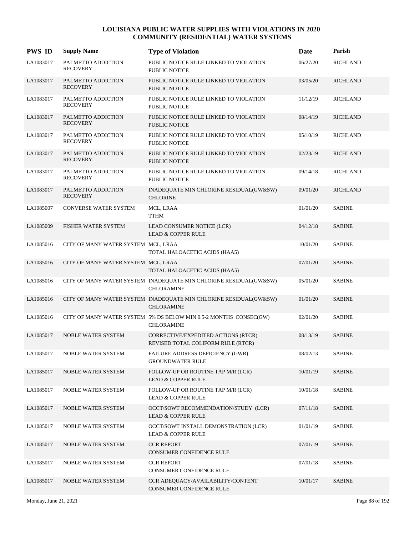| <b>PWS ID</b> | <b>Supply Name</b>                    | <b>Type of Violation</b>                                                               | Date     | Parish          |
|---------------|---------------------------------------|----------------------------------------------------------------------------------------|----------|-----------------|
| LA1083017     | PALMETTO ADDICTION<br><b>RECOVERY</b> | PUBLIC NOTICE RULE LINKED TO VIOLATION<br><b>PUBLIC NOTICE</b>                         | 06/27/20 | <b>RICHLAND</b> |
| LA1083017     | PALMETTO ADDICTION<br><b>RECOVERY</b> | PUBLIC NOTICE RULE LINKED TO VIOLATION<br><b>PUBLIC NOTICE</b>                         | 03/05/20 | <b>RICHLAND</b> |
| LA1083017     | PALMETTO ADDICTION<br><b>RECOVERY</b> | PUBLIC NOTICE RULE LINKED TO VIOLATION<br><b>PUBLIC NOTICE</b>                         | 11/12/19 | <b>RICHLAND</b> |
| LA1083017     | PALMETTO ADDICTION<br><b>RECOVERY</b> | PUBLIC NOTICE RULE LINKED TO VIOLATION<br><b>PUBLIC NOTICE</b>                         | 08/14/19 | <b>RICHLAND</b> |
| LA1083017     | PALMETTO ADDICTION<br><b>RECOVERY</b> | PUBLIC NOTICE RULE LINKED TO VIOLATION<br><b>PUBLIC NOTICE</b>                         | 05/10/19 | <b>RICHLAND</b> |
| LA1083017     | PALMETTO ADDICTION<br><b>RECOVERY</b> | PUBLIC NOTICE RULE LINKED TO VIOLATION<br><b>PUBLIC NOTICE</b>                         | 02/23/19 | <b>RICHLAND</b> |
| LA1083017     | PALMETTO ADDICTION<br><b>RECOVERY</b> | PUBLIC NOTICE RULE LINKED TO VIOLATION<br><b>PUBLIC NOTICE</b>                         | 09/14/18 | <b>RICHLAND</b> |
| LA1083017     | PALMETTO ADDICTION<br><b>RECOVERY</b> | INADEQUATE MIN CHLORINE RESIDUAL(GW&SW)<br><b>CHLORINE</b>                             | 09/01/20 | <b>RICHLAND</b> |
| LA1085007     | CONVERSE WATER SYSTEM                 | MCL, LRAA<br><b>TTHM</b>                                                               | 01/01/20 | <b>SABINE</b>   |
| LA1085009     | FISHER WATER SYSTEM                   | LEAD CONSUMER NOTICE (LCR)<br><b>LEAD &amp; COPPER RULE</b>                            | 04/12/18 | <b>SABINE</b>   |
| LA1085016     | CITY OF MANY WATER SYSTEM MCL, LRAA   | TOTAL HALOACETIC ACIDS (HAA5)                                                          | 10/01/20 | <b>SABINE</b>   |
| LA1085016     | CITY OF MANY WATER SYSTEM MCL, LRAA   | TOTAL HALOACETIC ACIDS (HAA5)                                                          | 07/01/20 | <b>SABINE</b>   |
| LA1085016     |                                       | CITY OF MANY WATER SYSTEM INADEQUATE MIN CHLORINE RESIDUAL(GW&SW)<br><b>CHLORAMINE</b> | 05/01/20 | <b>SABINE</b>   |
| LA1085016     |                                       | CITY OF MANY WATER SYSTEM INADEQUATE MIN CHLORINE RESIDUAL(GW&SW)<br><b>CHLORAMINE</b> | 01/01/20 | <b>SABINE</b>   |
| LA1085016     |                                       | CITY OF MANY WATER SYSTEM 5% DS BELOW MIN 0.5-2 MONTHS CONSEC(GW)<br><b>CHLORAMINE</b> | 02/01/20 | <b>SABINE</b>   |
| LA1085017     | <b>NOBLE WATER SYSTEM</b>             | CORRECTIVE/EXPEDITED ACTIONS (RTCR)<br>REVISED TOTAL COLIFORM RULE (RTCR)              | 08/13/19 | <b>SABINE</b>   |
| LA1085017     | NOBLE WATER SYSTEM                    | FAILURE ADDRESS DEFICIENCY (GWR)<br><b>GROUNDWATER RULE</b>                            | 08/02/13 | <b>SABINE</b>   |
| LA1085017     | <b>NOBLE WATER SYSTEM</b>             | FOLLOW-UP OR ROUTINE TAP M/R (LCR)<br><b>LEAD &amp; COPPER RULE</b>                    | 10/01/19 | <b>SABINE</b>   |
| LA1085017     | <b>NOBLE WATER SYSTEM</b>             | FOLLOW-UP OR ROUTINE TAP M/R (LCR)<br><b>LEAD &amp; COPPER RULE</b>                    | 10/01/18 | <b>SABINE</b>   |
| LA1085017     | NOBLE WATER SYSTEM                    | OCCT/SOWT RECOMMENDATION/STUDY (LCR)<br><b>LEAD &amp; COPPER RULE</b>                  | 07/11/18 | <b>SABINE</b>   |
| LA1085017     | NOBLE WATER SYSTEM                    | OCCT/SOWT INSTALL DEMONSTRATION (LCR)<br><b>LEAD &amp; COPPER RULE</b>                 | 01/01/19 | <b>SABINE</b>   |
| LA1085017     | NOBLE WATER SYSTEM                    | <b>CCR REPORT</b><br>CONSUMER CONFIDENCE RULE                                          | 07/01/19 | <b>SABINE</b>   |
| LA1085017     | NOBLE WATER SYSTEM                    | <b>CCR REPORT</b><br>CONSUMER CONFIDENCE RULE                                          | 07/01/18 | <b>SABINE</b>   |
| LA1085017     | NOBLE WATER SYSTEM                    | CCR ADEQUACY/AVAILABILITY/CONTENT<br>CONSUMER CONFIDENCE RULE                          | 10/01/17 | <b>SABINE</b>   |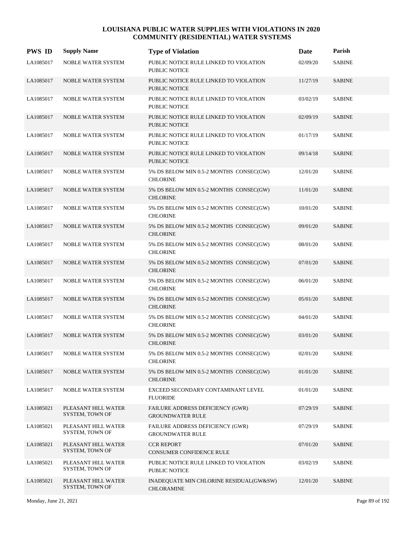| <b>PWS ID</b> | <b>Supply Name</b>                     | <b>Type of Violation</b>                                           | Date     | Parish        |
|---------------|----------------------------------------|--------------------------------------------------------------------|----------|---------------|
| LA1085017     | <b>NOBLE WATER SYSTEM</b>              | PUBLIC NOTICE RULE LINKED TO VIOLATION<br><b>PUBLIC NOTICE</b>     | 02/09/20 | <b>SABINE</b> |
| LA1085017     | NOBLE WATER SYSTEM                     | PUBLIC NOTICE RULE LINKED TO VIOLATION<br><b>PUBLIC NOTICE</b>     | 11/27/19 | <b>SABINE</b> |
| LA1085017     | <b>NOBLE WATER SYSTEM</b>              | PUBLIC NOTICE RULE LINKED TO VIOLATION<br><b>PUBLIC NOTICE</b>     | 03/02/19 | <b>SABINE</b> |
| LA1085017     | NOBLE WATER SYSTEM                     | PUBLIC NOTICE RULE LINKED TO VIOLATION<br>PUBLIC NOTICE            | 02/09/19 | <b>SABINE</b> |
| LA1085017     | <b>NOBLE WATER SYSTEM</b>              | PUBLIC NOTICE RULE LINKED TO VIOLATION<br><b>PUBLIC NOTICE</b>     | 01/17/19 | <b>SABINE</b> |
| LA1085017     | NOBLE WATER SYSTEM                     | PUBLIC NOTICE RULE LINKED TO VIOLATION<br><b>PUBLIC NOTICE</b>     | 09/14/18 | <b>SABINE</b> |
| LA1085017     | NOBLE WATER SYSTEM                     | 5% DS BELOW MIN 0.5-2 MONTHS CONSEC(GW)<br><b>CHLORINE</b>         | 12/01/20 | <b>SABINE</b> |
| LA1085017     | NOBLE WATER SYSTEM                     | 5% DS BELOW MIN 0.5-2 MONTHS CONSEC(GW)<br><b>CHLORINE</b>         | 11/01/20 | <b>SABINE</b> |
| LA1085017     | NOBLE WATER SYSTEM                     | 5% DS BELOW MIN 0.5-2 MONTHS CONSEC(GW)<br><b>CHLORINE</b>         | 10/01/20 | <b>SABINE</b> |
| LA1085017     | NOBLE WATER SYSTEM                     | 5% DS BELOW MIN 0.5-2 MONTHS CONSEC(GW)<br><b>CHLORINE</b>         | 09/01/20 | <b>SABINE</b> |
| LA1085017     | NOBLE WATER SYSTEM                     | 5% DS BELOW MIN 0.5-2 MONTHS CONSEC(GW)<br><b>CHLORINE</b>         | 08/01/20 | <b>SABINE</b> |
| LA1085017     | NOBLE WATER SYSTEM                     | 5% DS BELOW MIN 0.5-2 MONTHS CONSEC(GW)<br><b>CHLORINE</b>         | 07/01/20 | <b>SABINE</b> |
| LA1085017     | NOBLE WATER SYSTEM                     | 5% DS BELOW MIN 0.5-2 MONTHS CONSEC(GW)<br><b>CHLORINE</b>         | 06/01/20 | <b>SABINE</b> |
| LA1085017     | NOBLE WATER SYSTEM                     | 5% DS BELOW MIN 0.5-2 MONTHS CONSEC(GW)<br><b>CHLORINE</b>         | 05/01/20 | <b>SABINE</b> |
| LA1085017     | NOBLE WATER SYSTEM                     | 5% DS BELOW MIN 0.5-2 MONTHS CONSEC(GW)<br><b>CHLORINE</b>         | 04/01/20 | <b>SABINE</b> |
| LA1085017     | <b>NOBLE WATER SYSTEM</b>              | 5% DS BELOW MIN 0.5-2 MONTHS CONSEC(GW)<br><b>CHLORINE</b>         | 03/01/20 | <b>SABINE</b> |
| LA1085017     | NOBLE WATER SYSTEM                     | 5% DS BELOW MIN 0.5-2 MONTHS CONSEC(GW)<br><b>CHLORINE</b>         | 02/01/20 | <b>SABINE</b> |
| LA1085017     | <b>NOBLE WATER SYSTEM</b>              | 5% DS BELOW MIN 0.5-2 MONTHS CONSEC(GW)<br><b>CHLORINE</b>         | 01/01/20 | <b>SABINE</b> |
| LA1085017     | NOBLE WATER SYSTEM                     | EXCEED SECONDARY CONTAMINANT LEVEL<br><b>FLUORIDE</b>              | 01/01/20 | <b>SABINE</b> |
| LA1085021     | PLEASANT HILL WATER<br>SYSTEM, TOWN OF | <b>FAILURE ADDRESS DEFICIENCY (GWR)</b><br><b>GROUNDWATER RULE</b> | 07/29/19 | <b>SABINE</b> |
| LA1085021     | PLEASANT HILL WATER<br>SYSTEM, TOWN OF | <b>FAILURE ADDRESS DEFICIENCY (GWR)</b><br><b>GROUNDWATER RULE</b> | 07/29/19 | <b>SABINE</b> |
| LA1085021     | PLEASANT HILL WATER<br>SYSTEM, TOWN OF | <b>CCR REPORT</b><br>CONSUMER CONFIDENCE RULE                      | 07/01/20 | <b>SABINE</b> |
| LA1085021     | PLEASANT HILL WATER<br>SYSTEM, TOWN OF | PUBLIC NOTICE RULE LINKED TO VIOLATION<br>PUBLIC NOTICE            | 03/02/19 | <b>SABINE</b> |
| LA1085021     | PLEASANT HILL WATER<br>SYSTEM, TOWN OF | INADEQUATE MIN CHLORINE RESIDUAL(GW&SW)<br><b>CHLORAMINE</b>       | 12/01/20 | <b>SABINE</b> |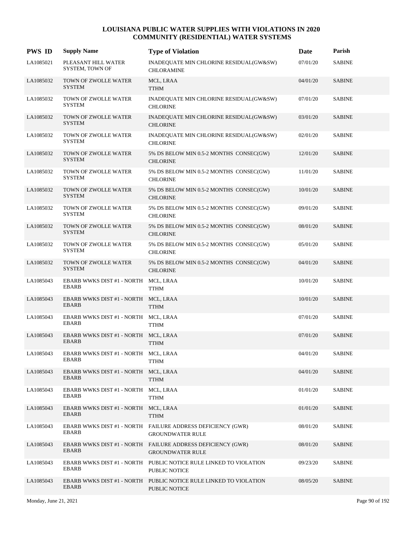| <b>PWS ID</b> | <b>Supply Name</b>                                   | <b>Type of Violation</b>                                                               | Date     | Parish        |
|---------------|------------------------------------------------------|----------------------------------------------------------------------------------------|----------|---------------|
| LA1085021     | PLEASANT HILL WATER<br>SYSTEM, TOWN OF               | INADEQUATE MIN CHLORINE RESIDUAL(GW&SW)<br><b>CHLORAMINE</b>                           | 07/01/20 | <b>SABINE</b> |
| LA1085032     | TOWN OF ZWOLLE WATER<br><b>SYSTEM</b>                | MCL, LRAA<br><b>TTHM</b>                                                               | 04/01/20 | <b>SABINE</b> |
| LA1085032     | TOWN OF ZWOLLE WATER<br><b>SYSTEM</b>                | INADEQUATE MIN CHLORINE RESIDUAL(GW&SW)<br><b>CHLORINE</b>                             | 07/01/20 | <b>SABINE</b> |
| LA1085032     | TOWN OF ZWOLLE WATER<br><b>SYSTEM</b>                | INADEQUATE MIN CHLORINE RESIDUAL(GW&SW)<br><b>CHLORINE</b>                             | 03/01/20 | <b>SABINE</b> |
| LA1085032     | TOWN OF ZWOLLE WATER<br><b>SYSTEM</b>                | INADEQUATE MIN CHLORINE RESIDUAL(GW&SW)<br><b>CHLORINE</b>                             | 02/01/20 | <b>SABINE</b> |
| LA1085032     | TOWN OF ZWOLLE WATER<br><b>SYSTEM</b>                | 5% DS BELOW MIN 0.5-2 MONTHS CONSEC(GW)<br><b>CHLORINE</b>                             | 12/01/20 | <b>SABINE</b> |
| LA1085032     | TOWN OF ZWOLLE WATER<br><b>SYSTEM</b>                | 5% DS BELOW MIN 0.5-2 MONTHS CONSEC(GW)<br><b>CHLORINE</b>                             | 11/01/20 | <b>SABINE</b> |
| LA1085032     | TOWN OF ZWOLLE WATER<br><b>SYSTEM</b>                | 5% DS BELOW MIN 0.5-2 MONTHS CONSEC(GW)<br><b>CHLORINE</b>                             | 10/01/20 | <b>SABINE</b> |
| LA1085032     | TOWN OF ZWOLLE WATER<br><b>SYSTEM</b>                | 5% DS BELOW MIN 0.5-2 MONTHS CONSEC(GW)<br><b>CHLORINE</b>                             | 09/01/20 | <b>SABINE</b> |
| LA1085032     | TOWN OF ZWOLLE WATER<br><b>SYSTEM</b>                | 5% DS BELOW MIN 0.5-2 MONTHS CONSEC(GW)<br><b>CHLORINE</b>                             | 08/01/20 | <b>SABINE</b> |
| LA1085032     | TOWN OF ZWOLLE WATER<br><b>SYSTEM</b>                | 5% DS BELOW MIN 0.5-2 MONTHS CONSEC(GW)<br><b>CHLORINE</b>                             | 05/01/20 | <b>SABINE</b> |
| LA1085032     | TOWN OF ZWOLLE WATER<br><b>SYSTEM</b>                | 5% DS BELOW MIN 0.5-2 MONTHS CONSEC(GW)<br><b>CHLORINE</b>                             | 04/01/20 | <b>SABINE</b> |
| LA1085043     | <b>EBARB WWKS DIST #1 - NORTH</b><br><b>EBARB</b>    | MCL, LRAA<br><b>TTHM</b>                                                               | 10/01/20 | <b>SABINE</b> |
| LA1085043     | EBARB WWKS DIST #1 - NORTH MCL, LRAA<br><b>EBARB</b> | <b>TTHM</b>                                                                            | 10/01/20 | <b>SABINE</b> |
| LA1085043     | EBARB WWKS DIST #1 - NORTH MCL, LRAA<br><b>EBARB</b> | <b>TTHM</b>                                                                            | 07/01/20 | <b>SABINE</b> |
| LA1085043     | EBARB WWKS DIST #1 - NORTH MCL, LRAA<br><b>EBARB</b> | <b>TTHM</b>                                                                            | 07/01/20 | <b>SABINE</b> |
| LA1085043     | EBARB WWKS DIST #1 - NORTH MCL, LRAA<br>EBARB        | <b>TTHM</b>                                                                            | 04/01/20 | <b>SABINE</b> |
| LA1085043     | EBARB WWKS DIST #1 - NORTH MCL, LRAA<br>EBARB        | <b>TTHM</b>                                                                            | 04/01/20 | <b>SABINE</b> |
| LA1085043     | EBARB WWKS DIST #1 - NORTH MCL, LRAA<br><b>EBARB</b> | <b>TTHM</b>                                                                            | 01/01/20 | <b>SABINE</b> |
| LA1085043     | EBARB WWKS DIST #1 - NORTH MCL, LRAA<br><b>EBARB</b> | <b>TTHM</b>                                                                            | 01/01/20 | <b>SABINE</b> |
| LA1085043     | <b>EBARB</b>                                         | EBARB WWKS DIST #1 - NORTH FAILURE ADDRESS DEFICIENCY (GWR)<br><b>GROUNDWATER RULE</b> | 08/01/20 | <b>SABINE</b> |
| LA1085043     | <b>EBARB</b>                                         | EBARB WWKS DIST #1 - NORTH FAILURE ADDRESS DEFICIENCY (GWR)<br><b>GROUNDWATER RULE</b> | 08/01/20 | <b>SABINE</b> |
| LA1085043     | EBARB                                                | EBARB WWKS DIST #1 - NORTH PUBLIC NOTICE RULE LINKED TO VIOLATION<br>PUBLIC NOTICE     | 09/23/20 | <b>SABINE</b> |
| LA1085043     | EBARB                                                | EBARB WWKS DIST #1 - NORTH PUBLIC NOTICE RULE LINKED TO VIOLATION<br>PUBLIC NOTICE     | 08/05/20 | <b>SABINE</b> |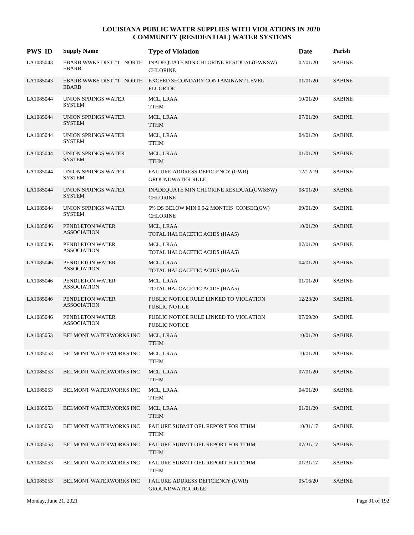| <b>PWS ID</b> | <b>Supply Name</b>                          | <b>Type of Violation</b>                                                              | Date     | Parish        |
|---------------|---------------------------------------------|---------------------------------------------------------------------------------------|----------|---------------|
| LA1085043     | <b>EBARB</b>                                | EBARB WWKS DIST #1 - NORTH INADEQUATE MIN CHLORINE RESIDUAL(GW&SW)<br><b>CHLORINE</b> | 02/01/20 | <b>SABINE</b> |
| LA1085043     | <b>EBARB</b>                                | EBARB WWKS DIST #1 - NORTH EXCEED SECONDARY CONTAMINANT LEVEL<br><b>FLUORIDE</b>      | 01/01/20 | <b>SABINE</b> |
| LA1085044     | <b>UNION SPRINGS WATER</b><br><b>SYSTEM</b> | MCL, LRAA<br><b>TTHM</b>                                                              | 10/01/20 | <b>SABINE</b> |
| LA1085044     | UNION SPRINGS WATER<br><b>SYSTEM</b>        | MCL, LRAA<br><b>TTHM</b>                                                              | 07/01/20 | <b>SABINE</b> |
| LA1085044     | UNION SPRINGS WATER<br><b>SYSTEM</b>        | MCL, LRAA<br><b>TTHM</b>                                                              | 04/01/20 | <b>SABINE</b> |
| LA1085044     | UNION SPRINGS WATER<br><b>SYSTEM</b>        | MCL, LRAA<br><b>TTHM</b>                                                              | 01/01/20 | <b>SABINE</b> |
| LA1085044     | <b>UNION SPRINGS WATER</b><br><b>SYSTEM</b> | FAILURE ADDRESS DEFICIENCY (GWR)<br><b>GROUNDWATER RULE</b>                           | 12/12/19 | <b>SABINE</b> |
| LA1085044     | UNION SPRINGS WATER<br><b>SYSTEM</b>        | INADEQUATE MIN CHLORINE RESIDUAL(GW&SW)<br><b>CHLORINE</b>                            | 08/01/20 | <b>SABINE</b> |
| LA1085044     | UNION SPRINGS WATER<br><b>SYSTEM</b>        | 5% DS BELOW MIN 0.5-2 MONTHS CONSEC(GW)<br><b>CHLORINE</b>                            | 09/01/20 | <b>SABINE</b> |
| LA1085046     | PENDLETON WATER<br><b>ASSOCIATION</b>       | MCL, LRAA<br>TOTAL HALOACETIC ACIDS (HAA5)                                            | 10/01/20 | <b>SABINE</b> |
| LA1085046     | PENDLETON WATER<br><b>ASSOCIATION</b>       | MCL, LRAA<br>TOTAL HALOACETIC ACIDS (HAA5)                                            | 07/01/20 | <b>SABINE</b> |
| LA1085046     | PENDLETON WATER<br><b>ASSOCIATION</b>       | MCL, LRAA<br>TOTAL HALOACETIC ACIDS (HAA5)                                            | 04/01/20 | <b>SABINE</b> |
| LA1085046     | PENDLETON WATER<br><b>ASSOCIATION</b>       | MCL, LRAA<br>TOTAL HALOACETIC ACIDS (HAA5)                                            | 01/01/20 | <b>SABINE</b> |
| LA1085046     | PENDLETON WATER<br><b>ASSOCIATION</b>       | PUBLIC NOTICE RULE LINKED TO VIOLATION<br><b>PUBLIC NOTICE</b>                        | 12/23/20 | <b>SABINE</b> |
| LA1085046     | PENDLETON WATER<br><b>ASSOCIATION</b>       | PUBLIC NOTICE RULE LINKED TO VIOLATION<br>PUBLIC NOTICE                               | 07/09/20 | <b>SABINE</b> |
| LA1085053     | BELMONT WATERWORKS INC                      | MCL, LRAA<br><b>TTHM</b>                                                              | 10/01/20 | <b>SABINE</b> |
| LA1085053     | BELMONT WATERWORKS INC                      | MCL, LRAA<br><b>TTHM</b>                                                              | 10/01/20 | <b>SABINE</b> |
| LA1085053     | BELMONT WATERWORKS INC                      | MCL, LRAA<br><b>TTHM</b>                                                              | 07/01/20 | <b>SABINE</b> |
| LA1085053     | BELMONT WATERWORKS INC                      | MCL, LRAA<br><b>TTHM</b>                                                              | 04/01/20 | <b>SABINE</b> |
| LA1085053     | BELMONT WATERWORKS INC                      | MCL, LRAA<br><b>TTHM</b>                                                              | 01/01/20 | <b>SABINE</b> |
| LA1085053     | BELMONT WATERWORKS INC                      | FAILURE SUBMIT OEL REPORT FOR TTHM<br><b>TTHM</b>                                     | 10/31/17 | <b>SABINE</b> |
| LA1085053     | BELMONT WATERWORKS INC                      | FAILURE SUBMIT OEL REPORT FOR TTHM<br><b>TTHM</b>                                     | 07/31/17 | <b>SABINE</b> |
| LA1085053     | BELMONT WATERWORKS INC                      | FAILURE SUBMIT OEL REPORT FOR TTHM<br><b>TTHM</b>                                     | 01/31/17 | <b>SABINE</b> |
| LA1085053     | BELMONT WATERWORKS INC                      | FAILURE ADDRESS DEFICIENCY (GWR)<br><b>GROUNDWATER RULE</b>                           | 05/16/20 | <b>SABINE</b> |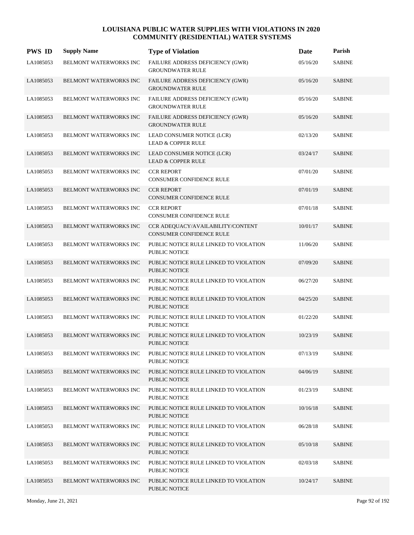| <b>PWS ID</b> | <b>Supply Name</b>            | <b>Type of Violation</b>                                             | Date     | Parish        |
|---------------|-------------------------------|----------------------------------------------------------------------|----------|---------------|
| LA1085053     | BELMONT WATERWORKS INC        | FAILURE ADDRESS DEFICIENCY (GWR)<br><b>GROUNDWATER RULE</b>          | 05/16/20 | <b>SABINE</b> |
| LA1085053     | <b>BELMONT WATERWORKS INC</b> | FAILURE ADDRESS DEFICIENCY (GWR)<br><b>GROUNDWATER RULE</b>          | 05/16/20 | <b>SABINE</b> |
| LA1085053     | BELMONT WATERWORKS INC        | FAILURE ADDRESS DEFICIENCY (GWR)<br><b>GROUNDWATER RULE</b>          | 05/16/20 | <b>SABINE</b> |
| LA1085053     | <b>BELMONT WATERWORKS INC</b> | FAILURE ADDRESS DEFICIENCY (GWR)<br><b>GROUNDWATER RULE</b>          | 05/16/20 | <b>SABINE</b> |
| LA1085053     | <b>BELMONT WATERWORKS INC</b> | LEAD CONSUMER NOTICE (LCR)<br><b>LEAD &amp; COPPER RULE</b>          | 02/13/20 | <b>SABINE</b> |
| LA1085053     | <b>BELMONT WATERWORKS INC</b> | LEAD CONSUMER NOTICE (LCR)<br><b>LEAD &amp; COPPER RULE</b>          | 03/24/17 | <b>SABINE</b> |
| LA1085053     | <b>BELMONT WATERWORKS INC</b> | <b>CCR REPORT</b><br>CONSUMER CONFIDENCE RULE                        | 07/01/20 | <b>SABINE</b> |
| LA1085053     | <b>BELMONT WATERWORKS INC</b> | <b>CCR REPORT</b><br><b>CONSUMER CONFIDENCE RULE</b>                 | 07/01/19 | <b>SABINE</b> |
| LA1085053     | BELMONT WATERWORKS INC        | <b>CCR REPORT</b><br><b>CONSUMER CONFIDENCE RULE</b>                 | 07/01/18 | <b>SABINE</b> |
| LA1085053     | BELMONT WATERWORKS INC        | CCR ADEQUACY/AVAILABILITY/CONTENT<br><b>CONSUMER CONFIDENCE RULE</b> | 10/01/17 | <b>SABINE</b> |
| LA1085053     | BELMONT WATERWORKS INC        | PUBLIC NOTICE RULE LINKED TO VIOLATION<br>PUBLIC NOTICE              | 11/06/20 | <b>SABINE</b> |
| LA1085053     | <b>BELMONT WATERWORKS INC</b> | PUBLIC NOTICE RULE LINKED TO VIOLATION<br>PUBLIC NOTICE              | 07/09/20 | <b>SABINE</b> |
| LA1085053     | BELMONT WATERWORKS INC        | PUBLIC NOTICE RULE LINKED TO VIOLATION<br>PUBLIC NOTICE              | 06/27/20 | <b>SABINE</b> |
| LA1085053     | BELMONT WATERWORKS INC        | PUBLIC NOTICE RULE LINKED TO VIOLATION<br><b>PUBLIC NOTICE</b>       | 04/25/20 | <b>SABINE</b> |
| LA1085053     | BELMONT WATERWORKS INC        | PUBLIC NOTICE RULE LINKED TO VIOLATION<br>PUBLIC NOTICE              | 01/22/20 | <b>SABINE</b> |
| LA1085053     | <b>BELMONT WATERWORKS INC</b> | PUBLIC NOTICE RULE LINKED TO VIOLATION<br>PUBLIC NOTICE              | 10/23/19 | <b>SABINE</b> |
| LA1085053     | BELMONT WATERWORKS INC        | PUBLIC NOTICE RULE LINKED TO VIOLATION<br>PUBLIC NOTICE              | 07/13/19 | <b>SABINE</b> |
| LA1085053     | BELMONT WATERWORKS INC        | PUBLIC NOTICE RULE LINKED TO VIOLATION<br>PUBLIC NOTICE              | 04/06/19 | <b>SABINE</b> |
| LA1085053     | BELMONT WATERWORKS INC        | PUBLIC NOTICE RULE LINKED TO VIOLATION<br>PUBLIC NOTICE              | 01/23/19 | <b>SABINE</b> |
| LA1085053     | BELMONT WATERWORKS INC        | PUBLIC NOTICE RULE LINKED TO VIOLATION<br>PUBLIC NOTICE              | 10/16/18 | <b>SABINE</b> |
| LA1085053     | BELMONT WATERWORKS INC        | PUBLIC NOTICE RULE LINKED TO VIOLATION<br>PUBLIC NOTICE              | 06/28/18 | <b>SABINE</b> |
| LA1085053     | BELMONT WATERWORKS INC        | PUBLIC NOTICE RULE LINKED TO VIOLATION<br>PUBLIC NOTICE              | 05/10/18 | <b>SABINE</b> |
| LA1085053     | BELMONT WATERWORKS INC        | PUBLIC NOTICE RULE LINKED TO VIOLATION<br>PUBLIC NOTICE              | 02/03/18 | <b>SABINE</b> |
| LA1085053     | BELMONT WATERWORKS INC        | PUBLIC NOTICE RULE LINKED TO VIOLATION<br>PUBLIC NOTICE              | 10/24/17 | <b>SABINE</b> |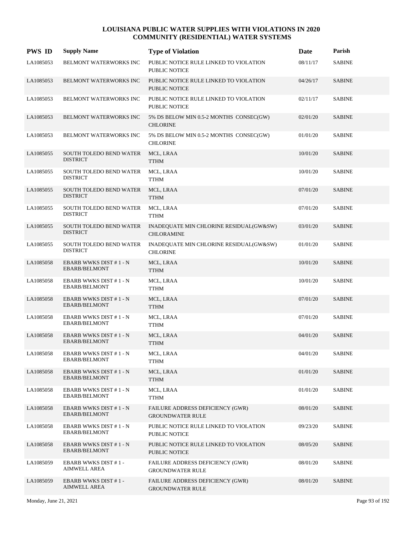| <b>PWS ID</b> | <b>Supply Name</b>                                | <b>Type of Violation</b>                                       | <b>Date</b> | Parish        |
|---------------|---------------------------------------------------|----------------------------------------------------------------|-------------|---------------|
| LA1085053     | BELMONT WATERWORKS INC                            | PUBLIC NOTICE RULE LINKED TO VIOLATION<br>PUBLIC NOTICE        | 08/11/17    | <b>SABINE</b> |
| LA1085053     | BELMONT WATERWORKS INC                            | PUBLIC NOTICE RULE LINKED TO VIOLATION<br>PUBLIC NOTICE        | 04/26/17    | <b>SABINE</b> |
| LA1085053     | BELMONT WATERWORKS INC                            | PUBLIC NOTICE RULE LINKED TO VIOLATION<br><b>PUBLIC NOTICE</b> | 02/11/17    | <b>SABINE</b> |
| LA1085053     | BELMONT WATERWORKS INC                            | 5% DS BELOW MIN 0.5-2 MONTHS CONSEC(GW)<br><b>CHLORINE</b>     | 02/01/20    | <b>SABINE</b> |
| LA1085053     | BELMONT WATERWORKS INC                            | 5% DS BELOW MIN 0.5-2 MONTHS CONSEC(GW)<br><b>CHLORINE</b>     | 01/01/20    | <b>SABINE</b> |
| LA1085055     | SOUTH TOLEDO BEND WATER<br><b>DISTRICT</b>        | MCL, LRAA<br><b>TTHM</b>                                       | 10/01/20    | <b>SABINE</b> |
| LA1085055     | SOUTH TOLEDO BEND WATER<br><b>DISTRICT</b>        | MCL, LRAA<br><b>TTHM</b>                                       | 10/01/20    | <b>SABINE</b> |
| LA1085055     | SOUTH TOLEDO BEND WATER<br><b>DISTRICT</b>        | MCL, LRAA<br><b>TTHM</b>                                       | 07/01/20    | <b>SABINE</b> |
| LA1085055     | SOUTH TOLEDO BEND WATER<br><b>DISTRICT</b>        | MCL, LRAA<br><b>TTHM</b>                                       | 07/01/20    | <b>SABINE</b> |
| LA1085055     | SOUTH TOLEDO BEND WATER<br><b>DISTRICT</b>        | INADEQUATE MIN CHLORINE RESIDUAL(GW&SW)<br><b>CHLORAMINE</b>   | 03/01/20    | <b>SABINE</b> |
| LA1085055     | <b>SOUTH TOLEDO BEND WATER</b><br><b>DISTRICT</b> | INADEQUATE MIN CHLORINE RESIDUAL(GW&SW)<br><b>CHLORINE</b>     | 01/01/20    | <b>SABINE</b> |
| LA1085058     | EBARB WWKS DIST #1-N<br>EBARB/BELMONT             | MCL, LRAA<br>TTHM                                              | 10/01/20    | <b>SABINE</b> |
| LA1085058     | EBARB WWKS DIST #1-N<br>EBARB/BELMONT             | MCL, LRAA<br><b>TTHM</b>                                       | 10/01/20    | <b>SABINE</b> |
| LA1085058     | EBARB WWKS DIST #1-N<br><b>EBARB/BELMONT</b>      | MCL, LRAA<br><b>TTHM</b>                                       | 07/01/20    | <b>SABINE</b> |
| LA1085058     | EBARB WWKS DIST #1-N<br>EBARB/BELMONT             | MCL, LRAA<br><b>TTHM</b>                                       | 07/01/20    | <b>SABINE</b> |
| LA1085058     | EBARB WWKS DIST #1 - N<br><b>EBARB/BELMONT</b>    | MCL, LRAA<br><b>TTHM</b>                                       | 04/01/20    | <b>SABINE</b> |
| LA1085058     | EBARB WWKS DIST #1-N<br>EBARB/BELMONT             | MCL, LRAA<br><b>TTHM</b>                                       | 04/01/20    | <b>SABINE</b> |
| LA1085058     | EBARB WWKS DIST #1 - N<br>EBARB/BELMONT           | MCL, LRAA<br>TTHM                                              | 01/01/20    | <b>SABINE</b> |
| LA1085058     | EBARB WWKS DIST #1 - N<br>EBARB/BELMONT           | MCL, LRAA<br><b>TTHM</b>                                       | 01/01/20    | <b>SABINE</b> |
| LA1085058     | EBARB WWKS DIST #1 - N<br>EBARB/BELMONT           | FAILURE ADDRESS DEFICIENCY (GWR)<br><b>GROUNDWATER RULE</b>    | 08/01/20    | <b>SABINE</b> |
| LA1085058     | EBARB WWKS DIST #1 - N<br><b>EBARB/BELMONT</b>    | PUBLIC NOTICE RULE LINKED TO VIOLATION<br><b>PUBLIC NOTICE</b> | 09/23/20    | <b>SABINE</b> |
| LA1085058     | EBARB WWKS DIST #1 - N<br>EBARB/BELMONT           | PUBLIC NOTICE RULE LINKED TO VIOLATION<br>PUBLIC NOTICE        | 08/05/20    | <b>SABINE</b> |
| LA1085059     | <b>EBARB WWKS DIST #1-</b><br>AIMWELL AREA        | FAILURE ADDRESS DEFICIENCY (GWR)<br><b>GROUNDWATER RULE</b>    | 08/01/20    | <b>SABINE</b> |
| LA1085059     | <b>EBARB WWKS DIST #1-</b><br><b>AIMWELL AREA</b> | FAILURE ADDRESS DEFICIENCY (GWR)<br><b>GROUNDWATER RULE</b>    | 08/01/20    | <b>SABINE</b> |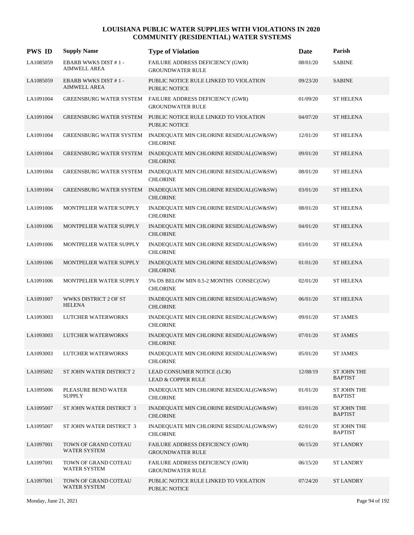| <b>PWS ID</b> | <b>Supply Name</b>                                | <b>Type of Violation</b>                                                            | Date     | Parish                               |
|---------------|---------------------------------------------------|-------------------------------------------------------------------------------------|----------|--------------------------------------|
| LA1085059     | <b>EBARB WWKS DIST #1-</b><br>AIMWELL AREA        | FAILURE ADDRESS DEFICIENCY (GWR)<br><b>GROUNDWATER RULE</b>                         | 08/01/20 | <b>SABINE</b>                        |
| LA1085059     | <b>EBARB WWKS DIST #1-</b><br><b>AIMWELL AREA</b> | PUBLIC NOTICE RULE LINKED TO VIOLATION<br><b>PUBLIC NOTICE</b>                      | 09/23/20 | <b>SABINE</b>                        |
| LA1091004     |                                                   | GREENSBURG WATER SYSTEM FAILURE ADDRESS DEFICIENCY (GWR)<br><b>GROUNDWATER RULE</b> | 01/09/20 | <b>ST HELENA</b>                     |
| LA1091004     | <b>GREENSBURG WATER SYSTEM</b>                    | PUBLIC NOTICE RULE LINKED TO VIOLATION<br><b>PUBLIC NOTICE</b>                      | 04/07/20 | <b>ST HELENA</b>                     |
| LA1091004     | <b>GREENSBURG WATER SYSTEM</b>                    | INADEQUATE MIN CHLORINE RESIDUAL(GW&SW)<br><b>CHLORINE</b>                          | 12/01/20 | <b>ST HELENA</b>                     |
| LA1091004     |                                                   | GREENSBURG WATER SYSTEM INADEQUATE MIN CHLORINE RESIDUAL(GW&SW)<br><b>CHLORINE</b>  | 09/01/20 | <b>ST HELENA</b>                     |
| LA1091004     | <b>GREENSBURG WATER SYSTEM</b>                    | INADEQUATE MIN CHLORINE RESIDUAL(GW&SW)<br><b>CHLORINE</b>                          | 08/01/20 | <b>ST HELENA</b>                     |
| LA1091004     | <b>GREENSBURG WATER SYSTEM</b>                    | INADEQUATE MIN CHLORINE RESIDUAL(GW&SW)<br><b>CHLORINE</b>                          | 03/01/20 | <b>ST HELENA</b>                     |
| LA1091006     | MONTPELIER WATER SUPPLY                           | INADEQUATE MIN CHLORINE RESIDUAL(GW&SW)<br><b>CHLORINE</b>                          | 08/01/20 | <b>ST HELENA</b>                     |
| LA1091006     | MONTPELIER WATER SUPPLY                           | INADEQUATE MIN CHLORINE RESIDUAL(GW&SW)<br><b>CHLORINE</b>                          | 04/01/20 | <b>ST HELENA</b>                     |
| LA1091006     | MONTPELIER WATER SUPPLY                           | INADEQUATE MIN CHLORINE RESIDUAL(GW&SW)<br><b>CHLORINE</b>                          | 03/01/20 | <b>ST HELENA</b>                     |
| LA1091006     | MONTPELIER WATER SUPPLY                           | INADEQUATE MIN CHLORINE RESIDUAL(GW&SW)<br><b>CHLORINE</b>                          | 01/01/20 | <b>ST HELENA</b>                     |
| LA1091006     | MONTPELIER WATER SUPPLY                           | 5% DS BELOW MIN 0.5-2 MONTHS CONSEC(GW)<br><b>CHLORINE</b>                          | 02/01/20 | <b>ST HELENA</b>                     |
| LA1091007     | WWKS DISTRICT 2 OF ST<br><b>HELENA</b>            | INADEQUATE MIN CHLORINE RESIDUAL(GW&SW)<br><b>CHLORINE</b>                          | 06/01/20 | <b>ST HELENA</b>                     |
| LA1093003     | LUTCHER WATERWORKS                                | INADEQUATE MIN CHLORINE RESIDUAL(GW&SW)<br><b>CHLORINE</b>                          | 09/01/20 | <b>ST JAMES</b>                      |
| LA1093003     | <b>LUTCHER WATERWORKS</b>                         | INADEQUATE MIN CHLORINE RESIDUAL(GW&SW)<br><b>CHLORINE</b>                          | 07/01/20 | <b>ST JAMES</b>                      |
| LA1093003     | LUTCHER WATERWORKS                                | INADEQUATE MIN CHLORINE RESIDUAL(GW&SW)<br><b>CHLORINE</b>                          | 05/01/20 | <b>ST JAMES</b>                      |
| LA1095002     | ST JOHN WATER DISTRICT 2                          | LEAD CONSUMER NOTICE (LCR)<br><b>LEAD &amp; COPPER RULE</b>                         | 12/08/19 | <b>ST JOHN THE</b><br><b>BAPTIST</b> |
| LA1095006     | PLEASURE BEND WATER<br><b>SUPPLY</b>              | INADEQUATE MIN CHLORINE RESIDUAL(GW&SW)<br><b>CHLORINE</b>                          | 01/01/20 | <b>ST JOHN THE</b><br><b>BAPTIST</b> |
| LA1095007     | ST JOHN WATER DISTRICT 3                          | INADEQUATE MIN CHLORINE RESIDUAL(GW&SW)<br><b>CHLORINE</b>                          | 03/01/20 | <b>ST JOHN THE</b><br><b>BAPTIST</b> |
| LA1095007     | ST JOHN WATER DISTRICT 3                          | INADEQUATE MIN CHLORINE RESIDUAL(GW&SW)<br><b>CHLORINE</b>                          | 02/01/20 | <b>ST JOHN THE</b><br><b>BAPTIST</b> |
| LA1097001     | TOWN OF GRAND COTEAU<br><b>WATER SYSTEM</b>       | FAILURE ADDRESS DEFICIENCY (GWR)<br><b>GROUNDWATER RULE</b>                         | 06/15/20 | <b>ST LANDRY</b>                     |
| LA1097001     | TOWN OF GRAND COTEAU<br><b>WATER SYSTEM</b>       | FAILURE ADDRESS DEFICIENCY (GWR)<br><b>GROUNDWATER RULE</b>                         | 06/15/20 | <b>ST LANDRY</b>                     |
| LA1097001     | TOWN OF GRAND COTEAU<br>WATER SYSTEM              | PUBLIC NOTICE RULE LINKED TO VIOLATION<br>PUBLIC NOTICE                             | 07/24/20 | <b>ST LANDRY</b>                     |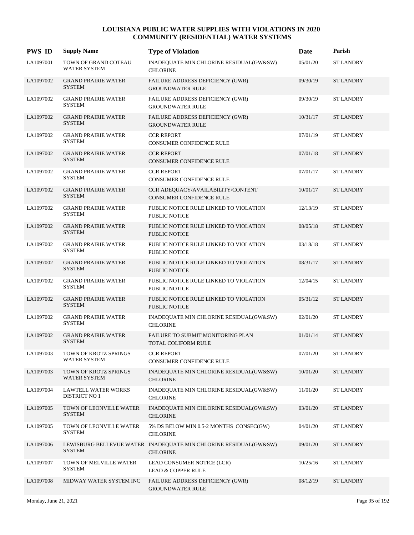| <b>PWS ID</b> | <b>Supply Name</b>                                 | <b>Type of Violation</b>                                                            | Date     | Parish           |
|---------------|----------------------------------------------------|-------------------------------------------------------------------------------------|----------|------------------|
| LA1097001     | TOWN OF GRAND COTEAU<br><b>WATER SYSTEM</b>        | INADEQUATE MIN CHLORINE RESIDUAL(GW&SW)<br><b>CHLORINE</b>                          | 05/01/20 | <b>ST LANDRY</b> |
| LA1097002     | <b>GRAND PRAIRIE WATER</b><br><b>SYSTEM</b>        | FAILURE ADDRESS DEFICIENCY (GWR)<br><b>GROUNDWATER RULE</b>                         | 09/30/19 | <b>ST LANDRY</b> |
| LA1097002     | <b>GRAND PRAIRIE WATER</b><br><b>SYSTEM</b>        | <b>FAILURE ADDRESS DEFICIENCY (GWR)</b><br><b>GROUNDWATER RULE</b>                  | 09/30/19 | <b>ST LANDRY</b> |
| LA1097002     | <b>GRAND PRAIRIE WATER</b><br><b>SYSTEM</b>        | FAILURE ADDRESS DEFICIENCY (GWR)<br><b>GROUNDWATER RULE</b>                         | 10/31/17 | <b>ST LANDRY</b> |
| LA1097002     | <b>GRAND PRAIRIE WATER</b><br><b>SYSTEM</b>        | <b>CCR REPORT</b><br><b>CONSUMER CONFIDENCE RULE</b>                                | 07/01/19 | <b>ST LANDRY</b> |
| LA1097002     | <b>GRAND PRAIRIE WATER</b><br><b>SYSTEM</b>        | <b>CCR REPORT</b><br><b>CONSUMER CONFIDENCE RULE</b>                                | 07/01/18 | <b>ST LANDRY</b> |
| LA1097002     | <b>GRAND PRAIRIE WATER</b><br><b>SYSTEM</b>        | <b>CCR REPORT</b><br><b>CONSUMER CONFIDENCE RULE</b>                                | 07/01/17 | <b>ST LANDRY</b> |
| LA1097002     | <b>GRAND PRAIRIE WATER</b><br><b>SYSTEM</b>        | CCR ADEQUACY/AVAILABILITY/CONTENT<br><b>CONSUMER CONFIDENCE RULE</b>                | 10/01/17 | <b>ST LANDRY</b> |
| LA1097002     | <b>GRAND PRAIRIE WATER</b><br><b>SYSTEM</b>        | PUBLIC NOTICE RULE LINKED TO VIOLATION<br><b>PUBLIC NOTICE</b>                      | 12/13/19 | <b>ST LANDRY</b> |
| LA1097002     | <b>GRAND PRAIRIE WATER</b><br><b>SYSTEM</b>        | PUBLIC NOTICE RULE LINKED TO VIOLATION<br><b>PUBLIC NOTICE</b>                      | 08/05/18 | <b>ST LANDRY</b> |
| LA1097002     | <b>GRAND PRAIRIE WATER</b><br><b>SYSTEM</b>        | PUBLIC NOTICE RULE LINKED TO VIOLATION<br><b>PUBLIC NOTICE</b>                      | 03/18/18 | <b>ST LANDRY</b> |
| LA1097002     | <b>GRAND PRAIRIE WATER</b><br><b>SYSTEM</b>        | PUBLIC NOTICE RULE LINKED TO VIOLATION<br><b>PUBLIC NOTICE</b>                      | 08/31/17 | <b>ST LANDRY</b> |
| LA1097002     | <b>GRAND PRAIRIE WATER</b><br><b>SYSTEM</b>        | PUBLIC NOTICE RULE LINKED TO VIOLATION<br><b>PUBLIC NOTICE</b>                      | 12/04/15 | <b>ST LANDRY</b> |
| LA1097002     | <b>GRAND PRAIRIE WATER</b><br><b>SYSTEM</b>        | PUBLIC NOTICE RULE LINKED TO VIOLATION<br><b>PUBLIC NOTICE</b>                      | 05/31/12 | <b>ST LANDRY</b> |
| LA1097002     | <b>GRAND PRAIRIE WATER</b><br><b>SYSTEM</b>        | INADEQUATE MIN CHLORINE RESIDUAL(GW&SW)<br><b>CHLORINE</b>                          | 02/01/20 | <b>ST LANDRY</b> |
| LA1097002     | <b>GRAND PRAIRIE WATER</b><br><b>SYSTEM</b>        | FAILURE TO SUBMIT MONITORING PLAN<br><b>TOTAL COLIFORM RULE</b>                     | 01/01/14 | <b>ST LANDRY</b> |
| LA1097003     | TOWN OF KROTZ SPRINGS<br><b>WATER SYSTEM</b>       | <b>CCR REPORT</b><br>CONSUMER CONFIDENCE RULE                                       | 07/01/20 | <b>ST LANDRY</b> |
| LA1097003     | TOWN OF KROTZ SPRINGS<br><b>WATER SYSTEM</b>       | INADEQUATE MIN CHLORINE RESIDUAL(GW&SW)<br><b>CHLORINE</b>                          | 10/01/20 | <b>ST LANDRY</b> |
| LA1097004     | <b>LAWTELL WATER WORKS</b><br><b>DISTRICT NO 1</b> | INADEQUATE MIN CHLORINE RESIDUAL(GW&SW)<br><b>CHLORINE</b>                          | 11/01/20 | <b>ST LANDRY</b> |
| LA1097005     | TOWN OF LEONVILLE WATER<br><b>SYSTEM</b>           | INADEQUATE MIN CHLORINE RESIDUAL(GW&SW)<br><b>CHLORINE</b>                          | 03/01/20 | <b>ST LANDRY</b> |
| LA1097005     | TOWN OF LEONVILLE WATER<br><b>SYSTEM</b>           | 5% DS BELOW MIN 0.5-2 MONTHS CONSEC(GW)<br><b>CHLORINE</b>                          | 04/01/20 | <b>ST LANDRY</b> |
| LA1097006     | <b>SYSTEM</b>                                      | LEWISBURG BELLEVUE WATER INADEQUATE MIN CHLORINE RESIDUAL(GW&SW)<br><b>CHLORINE</b> | 09/01/20 | <b>ST LANDRY</b> |
| LA1097007     | TOWN OF MELVILLE WATER<br><b>SYSTEM</b>            | LEAD CONSUMER NOTICE (LCR)<br><b>LEAD &amp; COPPER RULE</b>                         | 10/25/16 | <b>ST LANDRY</b> |
| LA1097008     | MIDWAY WATER SYSTEM INC                            | FAILURE ADDRESS DEFICIENCY (GWR)<br><b>GROUNDWATER RULE</b>                         | 08/12/19 | <b>ST LANDRY</b> |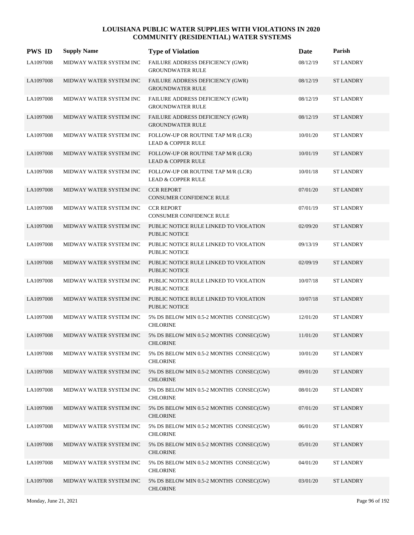| <b>PWS ID</b> | <b>Supply Name</b>      | <b>Type of Violation</b>                                            | Date     | Parish           |
|---------------|-------------------------|---------------------------------------------------------------------|----------|------------------|
| LA1097008     | MIDWAY WATER SYSTEM INC | FAILURE ADDRESS DEFICIENCY (GWR)<br><b>GROUNDWATER RULE</b>         | 08/12/19 | <b>ST LANDRY</b> |
| LA1097008     | MIDWAY WATER SYSTEM INC | FAILURE ADDRESS DEFICIENCY (GWR)<br><b>GROUNDWATER RULE</b>         | 08/12/19 | <b>ST LANDRY</b> |
| LA1097008     | MIDWAY WATER SYSTEM INC | FAILURE ADDRESS DEFICIENCY (GWR)<br><b>GROUNDWATER RULE</b>         | 08/12/19 | <b>ST LANDRY</b> |
| LA1097008     | MIDWAY WATER SYSTEM INC | FAILURE ADDRESS DEFICIENCY (GWR)<br><b>GROUNDWATER RULE</b>         | 08/12/19 | <b>ST LANDRY</b> |
| LA1097008     | MIDWAY WATER SYSTEM INC | FOLLOW-UP OR ROUTINE TAP M/R (LCR)<br><b>LEAD &amp; COPPER RULE</b> | 10/01/20 | <b>ST LANDRY</b> |
| LA1097008     | MIDWAY WATER SYSTEM INC | FOLLOW-UP OR ROUTINE TAP M/R (LCR)<br><b>LEAD &amp; COPPER RULE</b> | 10/01/19 | <b>ST LANDRY</b> |
| LA1097008     | MIDWAY WATER SYSTEM INC | FOLLOW-UP OR ROUTINE TAP M/R (LCR)<br><b>LEAD &amp; COPPER RULE</b> | 10/01/18 | <b>ST LANDRY</b> |
| LA1097008     | MIDWAY WATER SYSTEM INC | <b>CCR REPORT</b><br><b>CONSUMER CONFIDENCE RULE</b>                | 07/01/20 | <b>ST LANDRY</b> |
| LA1097008     | MIDWAY WATER SYSTEM INC | <b>CCR REPORT</b><br>CONSUMER CONFIDENCE RULE                       | 07/01/19 | <b>ST LANDRY</b> |
| LA1097008     | MIDWAY WATER SYSTEM INC | PUBLIC NOTICE RULE LINKED TO VIOLATION<br><b>PUBLIC NOTICE</b>      | 02/09/20 | <b>ST LANDRY</b> |
| LA1097008     | MIDWAY WATER SYSTEM INC | PUBLIC NOTICE RULE LINKED TO VIOLATION<br><b>PUBLIC NOTICE</b>      | 09/13/19 | <b>ST LANDRY</b> |
| LA1097008     | MIDWAY WATER SYSTEM INC | PUBLIC NOTICE RULE LINKED TO VIOLATION<br><b>PUBLIC NOTICE</b>      | 02/09/19 | <b>ST LANDRY</b> |
| LA1097008     | MIDWAY WATER SYSTEM INC | PUBLIC NOTICE RULE LINKED TO VIOLATION<br><b>PUBLIC NOTICE</b>      | 10/07/18 | <b>ST LANDRY</b> |
| LA1097008     | MIDWAY WATER SYSTEM INC | PUBLIC NOTICE RULE LINKED TO VIOLATION<br><b>PUBLIC NOTICE</b>      | 10/07/18 | <b>ST LANDRY</b> |
| LA1097008     | MIDWAY WATER SYSTEM INC | 5% DS BELOW MIN 0.5-2 MONTHS CONSEC(GW)<br><b>CHLORINE</b>          | 12/01/20 | <b>ST LANDRY</b> |
| LA1097008     | MIDWAY WATER SYSTEM INC | 5% DS BELOW MIN 0.5-2 MONTHS CONSEC(GW)<br><b>CHLORINE</b>          | 11/01/20 | <b>ST LANDRY</b> |
| LA1097008     | MIDWAY WATER SYSTEM INC | 5% DS BELOW MIN 0.5-2 MONTHS CONSEC(GW)<br><b>CHLORINE</b>          | 10/01/20 | <b>ST LANDRY</b> |
| LA1097008     | MIDWAY WATER SYSTEM INC | 5% DS BELOW MIN 0.5-2 MONTHS CONSEC(GW)<br><b>CHLORINE</b>          | 09/01/20 | <b>ST LANDRY</b> |
| LA1097008     | MIDWAY WATER SYSTEM INC | 5% DS BELOW MIN 0.5-2 MONTHS CONSEC(GW)<br><b>CHLORINE</b>          | 08/01/20 | <b>ST LANDRY</b> |
| LA1097008     | MIDWAY WATER SYSTEM INC | 5% DS BELOW MIN 0.5-2 MONTHS CONSEC(GW)<br><b>CHLORINE</b>          | 07/01/20 | <b>ST LANDRY</b> |
| LA1097008     | MIDWAY WATER SYSTEM INC | 5% DS BELOW MIN 0.5-2 MONTHS CONSEC(GW)<br><b>CHLORINE</b>          | 06/01/20 | <b>ST LANDRY</b> |
| LA1097008     | MIDWAY WATER SYSTEM INC | 5% DS BELOW MIN 0.5-2 MONTHS CONSEC(GW)<br><b>CHLORINE</b>          | 05/01/20 | <b>ST LANDRY</b> |
| LA1097008     | MIDWAY WATER SYSTEM INC | 5% DS BELOW MIN 0.5-2 MONTHS CONSEC(GW)<br><b>CHLORINE</b>          | 04/01/20 | <b>ST LANDRY</b> |
| LA1097008     | MIDWAY WATER SYSTEM INC | 5% DS BELOW MIN 0.5-2 MONTHS CONSEC(GW)<br><b>CHLORINE</b>          | 03/01/20 | <b>ST LANDRY</b> |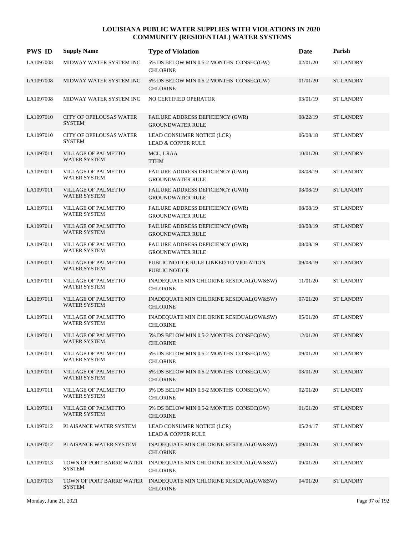| <b>PWS ID</b> | <b>Supply Name</b>                                | <b>Type of Violation</b>                                           | Date     | Parish           |
|---------------|---------------------------------------------------|--------------------------------------------------------------------|----------|------------------|
| LA1097008     | MIDWAY WATER SYSTEM INC                           | 5% DS BELOW MIN 0.5-2 MONTHS CONSEC(GW)<br><b>CHLORINE</b>         | 02/01/20 | <b>ST LANDRY</b> |
| LA1097008     | MIDWAY WATER SYSTEM INC                           | 5% DS BELOW MIN 0.5-2 MONTHS CONSEC(GW)<br><b>CHLORINE</b>         | 01/01/20 | <b>ST LANDRY</b> |
| LA1097008     | MIDWAY WATER SYSTEM INC                           | NO CERTIFIED OPERATOR                                              | 03/01/19 | <b>ST LANDRY</b> |
| LA1097010     | <b>CITY OF OPELOUSAS WATER</b><br><b>SYSTEM</b>   | FAILURE ADDRESS DEFICIENCY (GWR)<br><b>GROUNDWATER RULE</b>        | 08/22/19 | <b>ST LANDRY</b> |
| LA1097010     | CITY OF OPELOUSAS WATER<br><b>SYSTEM</b>          | LEAD CONSUMER NOTICE (LCR)<br><b>LEAD &amp; COPPER RULE</b>        | 06/08/18 | <b>ST LANDRY</b> |
| LA1097011     | <b>VILLAGE OF PALMETTO</b><br><b>WATER SYSTEM</b> | MCL, LRAA<br><b>TTHM</b>                                           | 10/01/20 | <b>ST LANDRY</b> |
| LA1097011     | VILLAGE OF PALMETTO<br><b>WATER SYSTEM</b>        | FAILURE ADDRESS DEFICIENCY (GWR)<br><b>GROUNDWATER RULE</b>        | 08/08/19 | <b>ST LANDRY</b> |
| LA1097011     | <b>VILLAGE OF PALMETTO</b><br>WATER SYSTEM        | FAILURE ADDRESS DEFICIENCY (GWR)<br><b>GROUNDWATER RULE</b>        | 08/08/19 | <b>ST LANDRY</b> |
| LA1097011     | <b>VILLAGE OF PALMETTO</b><br><b>WATER SYSTEM</b> | FAILURE ADDRESS DEFICIENCY (GWR)<br><b>GROUNDWATER RULE</b>        | 08/08/19 | <b>ST LANDRY</b> |
| LA1097011     | <b>VILLAGE OF PALMETTO</b><br><b>WATER SYSTEM</b> | <b>FAILURE ADDRESS DEFICIENCY (GWR)</b><br><b>GROUNDWATER RULE</b> | 08/08/19 | <b>ST LANDRY</b> |
| LA1097011     | VILLAGE OF PALMETTO<br><b>WATER SYSTEM</b>        | <b>FAILURE ADDRESS DEFICIENCY (GWR)</b><br><b>GROUNDWATER RULE</b> | 08/08/19 | <b>ST LANDRY</b> |
| LA1097011     | <b>VILLAGE OF PALMETTO</b><br>WATER SYSTEM        | PUBLIC NOTICE RULE LINKED TO VIOLATION<br><b>PUBLIC NOTICE</b>     | 09/08/19 | <b>ST LANDRY</b> |
| LA1097011     | VILLAGE OF PALMETTO<br>WATER SYSTEM               | INADEQUATE MIN CHLORINE RESIDUAL(GW&SW)<br><b>CHLORINE</b>         | 11/01/20 | <b>ST LANDRY</b> |
| LA1097011     | <b>VILLAGE OF PALMETTO</b><br><b>WATER SYSTEM</b> | INADEQUATE MIN CHLORINE RESIDUAL(GW&SW)<br><b>CHLORINE</b>         | 07/01/20 | <b>ST LANDRY</b> |
| LA1097011     | <b>VILLAGE OF PALMETTO</b><br><b>WATER SYSTEM</b> | INADEQUATE MIN CHLORINE RESIDUAL(GW&SW)<br><b>CHLORINE</b>         | 05/01/20 | <b>ST LANDRY</b> |
| LA1097011     | VILLAGE OF PALMETTO<br><b>WATER SYSTEM</b>        | 5% DS BELOW MIN 0.5-2 MONTHS CONSEC(GW)<br><b>CHLORINE</b>         | 12/01/20 | <b>ST LANDRY</b> |
| LA1097011     | VILLAGE OF PALMETTO<br>WATER SYSTEM               | 5% DS BELOW MIN 0.5-2 MONTHS CONSEC(GW)<br><b>CHLORINE</b>         | 09/01/20 | <b>ST LANDRY</b> |
| LA1097011     | <b>VILLAGE OF PALMETTO</b><br><b>WATER SYSTEM</b> | 5% DS BELOW MIN 0.5-2 MONTHS CONSEC(GW)<br><b>CHLORINE</b>         | 08/01/20 | <b>ST LANDRY</b> |
| LA1097011     | <b>VILLAGE OF PALMETTO</b><br><b>WATER SYSTEM</b> | 5% DS BELOW MIN 0.5-2 MONTHS CONSEC(GW)<br><b>CHLORINE</b>         | 02/01/20 | <b>ST LANDRY</b> |
| LA1097011     | VILLAGE OF PALMETTO<br><b>WATER SYSTEM</b>        | 5% DS BELOW MIN 0.5-2 MONTHS CONSEC(GW)<br><b>CHLORINE</b>         | 01/01/20 | <b>ST LANDRY</b> |
| LA1097012     | PLAISANCE WATER SYSTEM                            | LEAD CONSUMER NOTICE (LCR)<br><b>LEAD &amp; COPPER RULE</b>        | 05/24/17 | <b>ST LANDRY</b> |
| LA1097012     | PLAISANCE WATER SYSTEM                            | INADEQUATE MIN CHLORINE RESIDUAL(GW&SW)<br><b>CHLORINE</b>         | 09/01/20 | <b>ST LANDRY</b> |
| LA1097013     | TOWN OF PORT BARRE WATER<br><b>SYSTEM</b>         | INADEQUATE MIN CHLORINE RESIDUAL(GW&SW)<br><b>CHLORINE</b>         | 09/01/20 | <b>ST LANDRY</b> |
| LA1097013     | TOWN OF PORT BARRE WATER<br><b>SYSTEM</b>         | INADEQUATE MIN CHLORINE RESIDUAL(GW&SW)<br><b>CHLORINE</b>         | 04/01/20 | <b>ST LANDRY</b> |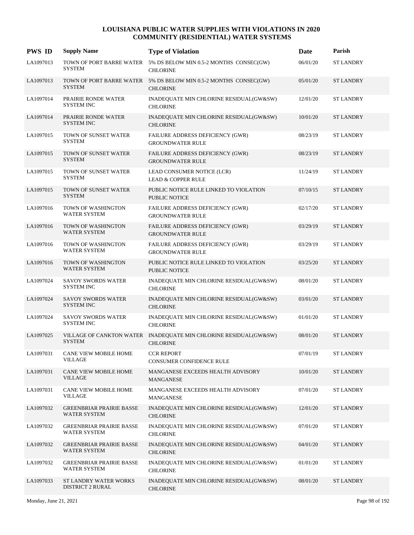| <b>PWS ID</b> | <b>Supply Name</b>                                     | <b>Type of Violation</b>                                                            | Date     | Parish           |
|---------------|--------------------------------------------------------|-------------------------------------------------------------------------------------|----------|------------------|
| LA1097013     | <b>SYSTEM</b>                                          | TOWN OF PORT BARRE WATER 5% DS BELOW MIN 0.5-2 MONTHS CONSEC(GW)<br><b>CHLORINE</b> | 06/01/20 | <b>ST LANDRY</b> |
| LA1097013     | <b>SYSTEM</b>                                          | TOWN OF PORT BARRE WATER 5% DS BELOW MIN 0.5-2 MONTHS CONSEC(GW)<br><b>CHLORINE</b> | 05/01/20 | <b>ST LANDRY</b> |
| LA1097014     | PRAIRIE RONDE WATER<br><b>SYSTEM INC</b>               | INADEQUATE MIN CHLORINE RESIDUAL(GW&SW)<br><b>CHLORINE</b>                          | 12/01/20 | <b>ST LANDRY</b> |
| LA1097014     | PRAIRIE RONDE WATER<br><b>SYSTEM INC</b>               | INADEQUATE MIN CHLORINE RESIDUAL(GW&SW)<br><b>CHLORINE</b>                          | 10/01/20 | <b>ST LANDRY</b> |
| LA1097015     | TOWN OF SUNSET WATER<br><b>SYSTEM</b>                  | FAILURE ADDRESS DEFICIENCY (GWR)<br><b>GROUNDWATER RULE</b>                         | 08/23/19 | <b>ST LANDRY</b> |
| LA1097015     | TOWN OF SUNSET WATER<br><b>SYSTEM</b>                  | FAILURE ADDRESS DEFICIENCY (GWR)<br><b>GROUNDWATER RULE</b>                         | 08/23/19 | <b>ST LANDRY</b> |
| LA1097015     | TOWN OF SUNSET WATER<br><b>SYSTEM</b>                  | LEAD CONSUMER NOTICE (LCR)<br><b>LEAD &amp; COPPER RULE</b>                         | 11/24/19 | <b>ST LANDRY</b> |
| LA1097015     | TOWN OF SUNSET WATER<br><b>SYSTEM</b>                  | PUBLIC NOTICE RULE LINKED TO VIOLATION<br><b>PUBLIC NOTICE</b>                      | 07/10/15 | <b>ST LANDRY</b> |
| LA1097016     | TOWN OF WASHINGTON<br><b>WATER SYSTEM</b>              | FAILURE ADDRESS DEFICIENCY (GWR)<br><b>GROUNDWATER RULE</b>                         | 02/17/20 | <b>ST LANDRY</b> |
| LA1097016     | TOWN OF WASHINGTON<br><b>WATER SYSTEM</b>              | FAILURE ADDRESS DEFICIENCY (GWR)<br><b>GROUNDWATER RULE</b>                         | 03/29/19 | <b>ST LANDRY</b> |
| LA1097016     | TOWN OF WASHINGTON<br><b>WATER SYSTEM</b>              | FAILURE ADDRESS DEFICIENCY (GWR)<br><b>GROUNDWATER RULE</b>                         | 03/29/19 | <b>ST LANDRY</b> |
| LA1097016     | TOWN OF WASHINGTON<br>WATER SYSTEM                     | PUBLIC NOTICE RULE LINKED TO VIOLATION<br><b>PUBLIC NOTICE</b>                      | 03/25/20 | <b>ST LANDRY</b> |
| LA1097024     | <b>SAVOY SWORDS WATER</b><br><b>SYSTEM INC</b>         | INADEQUATE MIN CHLORINE RESIDUAL(GW&SW)<br><b>CHLORINE</b>                          | 08/01/20 | <b>ST LANDRY</b> |
| LA1097024     | <b>SAVOY SWORDS WATER</b><br><b>SYSTEM INC</b>         | INADEQUATE MIN CHLORINE RESIDUAL(GW&SW)<br><b>CHLORINE</b>                          | 03/01/20 | <b>ST LANDRY</b> |
| LA1097024     | <b>SAVOY SWORDS WATER</b><br><b>SYSTEM INC</b>         | INADEQUATE MIN CHLORINE RESIDUAL(GW&SW)<br><b>CHLORINE</b>                          | 01/01/20 | <b>ST LANDRY</b> |
| LA1097025     | <b>SYSTEM</b>                                          | VILLAGE OF CANKTON WATER INADEQUATE MIN CHLORINE RESIDUAL(GW&SW)<br><b>CHLORINE</b> | 08/01/20 | <b>ST LANDRY</b> |
| LA1097031     | CANE VIEW MOBILE HOME<br>VILLAGE                       | <b>CCR REPORT</b><br>CONSUMER CONFIDENCE RULE                                       | 07/01/19 | <b>ST LANDRY</b> |
| LA1097031     | <b>CANE VIEW MOBILE HOME</b><br><b>VILLAGE</b>         | MANGANESE EXCEEDS HEALTH ADVISORY<br>MANGANESE                                      | 10/01/20 | <b>ST LANDRY</b> |
| LA1097031     | CANE VIEW MOBILE HOME<br>VILLAGE                       | MANGANESE EXCEEDS HEALTH ADVISORY<br>MANGANESE                                      | 07/01/20 | <b>ST LANDRY</b> |
| LA1097032     | <b>GREENBRIAR PRAIRIE BASSE</b><br><b>WATER SYSTEM</b> | INADEQUATE MIN CHLORINE RESIDUAL(GW&SW)<br><b>CHLORINE</b>                          | 12/01/20 | <b>ST LANDRY</b> |
| LA1097032     | <b>GREENBRIAR PRAIRIE BASSE</b><br><b>WATER SYSTEM</b> | INADEQUATE MIN CHLORINE RESIDUAL(GW&SW)<br><b>CHLORINE</b>                          | 07/01/20 | <b>ST LANDRY</b> |
| LA1097032     | <b>GREENBRIAR PRAIRIE BASSE</b><br><b>WATER SYSTEM</b> | INADEQUATE MIN CHLORINE RESIDUAL(GW&SW)<br><b>CHLORINE</b>                          | 04/01/20 | <b>ST LANDRY</b> |
| LA1097032     | <b>GREENBRIAR PRAIRIE BASSE</b><br>WATER SYSTEM        | INADEQUATE MIN CHLORINE RESIDUAL(GW&SW)<br><b>CHLORINE</b>                          | 01/01/20 | <b>ST LANDRY</b> |
| LA1097033     | ST LANDRY WATER WORKS<br>DISTRICT 2 RURAL              | INADEQUATE MIN CHLORINE RESIDUAL(GW&SW)<br><b>CHLORINE</b>                          | 08/01/20 | <b>ST LANDRY</b> |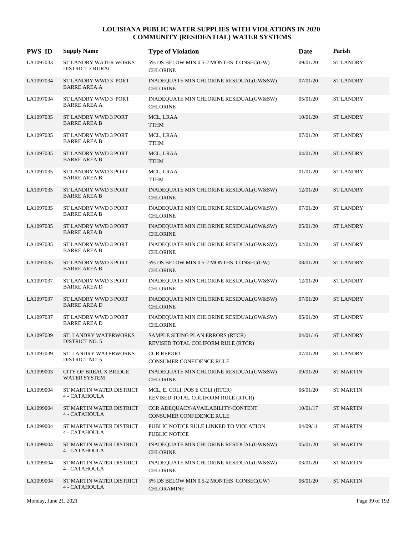| <b>PWS ID</b> | <b>Supply Name</b>                                  | <b>Type of Violation</b>                                               | Date     | Parish           |
|---------------|-----------------------------------------------------|------------------------------------------------------------------------|----------|------------------|
| LA1097033     | ST LANDRY WATER WORKS<br><b>DISTRICT 2 RURAL</b>    | 5% DS BELOW MIN 0.5-2 MONTHS CONSEC(GW)<br><b>CHLORINE</b>             | 09/01/20 | <b>ST LANDRY</b> |
| LA1097034     | ST LANDRY WWD 3 PORT<br><b>BARRE AREA A</b>         | INADEQUATE MIN CHLORINE RESIDUAL(GW&SW)<br><b>CHLORINE</b>             | 07/01/20 | <b>ST LANDRY</b> |
| LA1097034     | ST LANDRY WWD 3 PORT<br><b>BARRE AREA A</b>         | INADEQUATE MIN CHLORINE RESIDUAL(GW&SW)<br><b>CHLORINE</b>             | 05/01/20 | <b>ST LANDRY</b> |
| LA1097035     | ST LANDRY WWD 3 PORT<br><b>BARRE AREA B</b>         | MCL, LRAA<br><b>TTHM</b>                                               | 10/01/20 | <b>ST LANDRY</b> |
| LA1097035     | <b>ST LANDRY WWD 3 PORT</b><br><b>BARRE AREA B</b>  | MCL, LRAA<br><b>TTHM</b>                                               | 07/01/20 | <b>ST LANDRY</b> |
| LA1097035     | ST LANDRY WWD 3 PORT<br><b>BARRE AREA B</b>         | MCL, LRAA<br><b>TTHM</b>                                               | 04/01/20 | <b>ST LANDRY</b> |
| LA1097035     | ST LANDRY WWD 3 PORT<br><b>BARRE AREA B</b>         | MCL, LRAA<br><b>TTHM</b>                                               | 01/01/20 | <b>ST LANDRY</b> |
| LA1097035     | <b>ST LANDRY WWD 3 PORT</b><br><b>BARRE AREA B</b>  | INADEQUATE MIN CHLORINE RESIDUAL(GW&SW)<br><b>CHLORINE</b>             | 12/01/20 | <b>ST LANDRY</b> |
| LA1097035     | ST LANDRY WWD 3 PORT<br><b>BARRE AREA B</b>         | INADEQUATE MIN CHLORINE RESIDUAL(GW&SW)<br><b>CHLORINE</b>             | 07/01/20 | <b>ST LANDRY</b> |
| LA1097035     | ST LANDRY WWD 3 PORT<br><b>BARRE AREA B</b>         | INADEQUATE MIN CHLORINE RESIDUAL(GW&SW)<br><b>CHLORINE</b>             | 05/01/20 | <b>ST LANDRY</b> |
| LA1097035     | ST LANDRY WWD 3 PORT<br><b>BARRE AREA B</b>         | INADEQUATE MIN CHLORINE RESIDUAL(GW&SW)<br><b>CHLORINE</b>             | 02/01/20 | <b>ST LANDRY</b> |
| LA1097035     | ST LANDRY WWD 3 PORT<br><b>BARRE AREA B</b>         | 5% DS BELOW MIN 0.5-2 MONTHS CONSEC(GW)<br><b>CHLORINE</b>             | 08/01/20 | <b>ST LANDRY</b> |
| LA1097037     | ST LANDRY WWD 3 PORT<br><b>BARRE AREA D</b>         | INADEQUATE MIN CHLORINE RESIDUAL(GW&SW)<br><b>CHLORINE</b>             | 12/01/20 | <b>ST LANDRY</b> |
| LA1097037     | ST LANDRY WWD 3 PORT<br><b>BARRE AREA D</b>         | INADEQUATE MIN CHLORINE RESIDUAL(GW&SW)<br><b>CHLORINE</b>             | 07/01/20 | <b>ST LANDRY</b> |
| LA1097037     | ST LANDRY WWD 3 PORT<br><b>BARRE AREA D</b>         | INADEQUATE MIN CHLORINE RESIDUAL(GW&SW)<br><b>CHLORINE</b>             | 05/01/20 | <b>ST LANDRY</b> |
| LA1097039     | ST. LANDRY WATERWORKS<br>DISTRICT NO. 5             | SAMPLE SITING PLAN ERRORS (RTCR)<br>REVISED TOTAL COLIFORM RULE (RTCR) | 04/01/16 | <b>ST LANDRY</b> |
| LA1097039     | ST. LANDRY WATERWORKS<br>DISTRICT NO. 5             | <b>CCR REPORT</b><br>CONSUMER CONFIDENCE RULE                          | 07/01/20 | <b>ST LANDRY</b> |
| LA1099003     | <b>CITY OF BREAUX BRIDGE</b><br><b>WATER SYSTEM</b> | INADEQUATE MIN CHLORINE RESIDUAL(GW&SW)<br><b>CHLORINE</b>             | 09/01/20 | <b>ST MARTIN</b> |
| LA1099004     | ST MARTIN WATER DISTRICT<br>4 - CATAHOULA           | MCL, E. COLI, POS E COLI (RTCR)<br>REVISED TOTAL COLIFORM RULE (RTCR)  | 06/01/20 | <b>ST MARTIN</b> |
| LA1099004     | ST MARTIN WATER DISTRICT<br>4 - CATAHOULA           | CCR ADEQUACY/AVAILABILITY/CONTENT<br>CONSUMER CONFIDENCE RULE          | 10/01/17 | <b>ST MARTIN</b> |
| LA1099004     | ST MARTIN WATER DISTRICT<br>4 - CATAHOULA           | PUBLIC NOTICE RULE LINKED TO VIOLATION<br>PUBLIC NOTICE                | 04/09/11 | <b>ST MARTIN</b> |
| LA1099004     | ST MARTIN WATER DISTRICT<br>4 - CATAHOULA           | INADEQUATE MIN CHLORINE RESIDUAL(GW&SW)<br><b>CHLORINE</b>             | 05/01/20 | <b>ST MARTIN</b> |
| LA1099004     | ST MARTIN WATER DISTRICT<br>4 - CATAHOULA           | INADEQUATE MIN CHLORINE RESIDUAL(GW&SW)<br><b>CHLORINE</b>             | 03/01/20 | <b>ST MARTIN</b> |
| LA1099004     | ST MARTIN WATER DISTRICT<br>4 - CATAHOULA           | 5% DS BELOW MIN 0.5-2 MONTHS CONSEC(GW)<br><b>CHLORAMINE</b>           | 06/01/20 | <b>ST MARTIN</b> |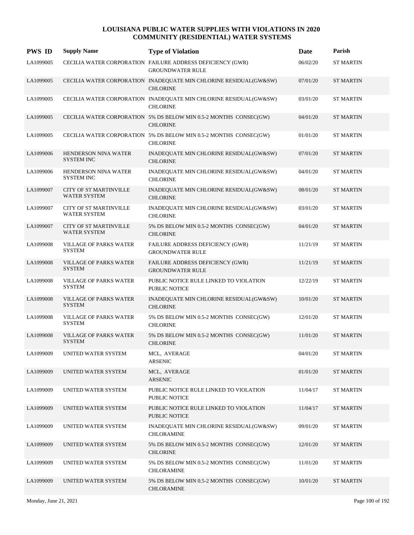| <b>PWS ID</b> | <b>Supply Name</b>                                   | <b>Type of Violation</b>                                                              | Date     | Parish           |
|---------------|------------------------------------------------------|---------------------------------------------------------------------------------------|----------|------------------|
| LA1099005     |                                                      | CECILIA WATER CORPORATION FAILURE ADDRESS DEFICIENCY (GWR)<br><b>GROUNDWATER RULE</b> | 06/02/20 | <b>ST MARTIN</b> |
| LA1099005     |                                                      | CECILIA WATER CORPORATION INADEQUATE MIN CHLORINE RESIDUAL(GW&SW)<br><b>CHLORINE</b>  | 07/01/20 | <b>ST MARTIN</b> |
| LA1099005     |                                                      | CECILIA WATER CORPORATION INADEQUATE MIN CHLORINE RESIDUAL(GW&SW)<br><b>CHLORINE</b>  | 03/01/20 | <b>ST MARTIN</b> |
| LA1099005     |                                                      | CECILIA WATER CORPORATION 5% DS BELOW MIN 0.5-2 MONTHS CONSEC(GW)<br><b>CHLORINE</b>  | 04/01/20 | <b>ST MARTIN</b> |
| LA1099005     |                                                      | CECILIA WATER CORPORATION 5% DS BELOW MIN 0.5-2 MONTHS CONSEC(GW)<br><b>CHLORINE</b>  | 01/01/20 | <b>ST MARTIN</b> |
| LA1099006     | HENDERSON NINA WATER<br><b>SYSTEM INC</b>            | INADEQUATE MIN CHLORINE RESIDUAL(GW&SW)<br><b>CHLORINE</b>                            | 07/01/20 | <b>ST MARTIN</b> |
| LA1099006     | <b>HENDERSON NINA WATER</b><br><b>SYSTEM INC</b>     | INADEQUATE MIN CHLORINE RESIDUAL(GW&SW)<br><b>CHLORINE</b>                            | 04/01/20 | <b>ST MARTIN</b> |
| LA1099007     | <b>CITY OF ST MARTINVILLE</b><br><b>WATER SYSTEM</b> | INADEQUATE MIN CHLORINE RESIDUAL(GW&SW)<br><b>CHLORINE</b>                            | 08/01/20 | <b>ST MARTIN</b> |
| LA1099007     | <b>CITY OF ST MARTINVILLE</b><br><b>WATER SYSTEM</b> | INADEQUATE MIN CHLORINE RESIDUAL(GW&SW)<br><b>CHLORINE</b>                            | 03/01/20 | <b>ST MARTIN</b> |
| LA1099007     | <b>CITY OF ST MARTINVILLE</b><br><b>WATER SYSTEM</b> | 5% DS BELOW MIN 0.5-2 MONTHS CONSEC(GW)<br><b>CHLORINE</b>                            | 04/01/20 | <b>ST MARTIN</b> |
| LA1099008     | <b>VILLAGE OF PARKS WATER</b><br><b>SYSTEM</b>       | FAILURE ADDRESS DEFICIENCY (GWR)<br><b>GROUNDWATER RULE</b>                           | 11/21/19 | <b>ST MARTIN</b> |
| LA1099008     | <b>VILLAGE OF PARKS WATER</b><br><b>SYSTEM</b>       | FAILURE ADDRESS DEFICIENCY (GWR)<br><b>GROUNDWATER RULE</b>                           | 11/21/19 | <b>ST MARTIN</b> |
| LA1099008     | <b>VILLAGE OF PARKS WATER</b><br><b>SYSTEM</b>       | PUBLIC NOTICE RULE LINKED TO VIOLATION<br>PUBLIC NOTICE                               | 12/22/19 | <b>ST MARTIN</b> |
| LA1099008     | VILLAGE OF PARKS WATER<br><b>SYSTEM</b>              | INADEQUATE MIN CHLORINE RESIDUAL(GW&SW)<br><b>CHLORINE</b>                            | 10/01/20 | <b>ST MARTIN</b> |
| LA1099008     | VILLAGE OF PARKS WATER<br><b>SYSTEM</b>              | 5% DS BELOW MIN 0.5-2 MONTHS CONSEC(GW)<br><b>CHLORINE</b>                            | 12/01/20 | <b>ST MARTIN</b> |
| LA1099008     | <b>VILLAGE OF PARKS WATER</b><br><b>SYSTEM</b>       | 5% DS BELOW MIN 0.5-2 MONTHS CONSEC(GW)<br><b>CHLORINE</b>                            | 11/01/20 | <b>ST MARTIN</b> |
| LA1099009     | UNITED WATER SYSTEM                                  | MCL, AVERAGE<br><b>ARSENIC</b>                                                        | 04/01/20 | <b>ST MARTIN</b> |
| LA1099009     | UNITED WATER SYSTEM                                  | MCL, AVERAGE<br><b>ARSENIC</b>                                                        | 01/01/20 | <b>ST MARTIN</b> |
| LA1099009     | UNITED WATER SYSTEM                                  | PUBLIC NOTICE RULE LINKED TO VIOLATION<br>PUBLIC NOTICE                               | 11/04/17 | <b>ST MARTIN</b> |
| LA1099009     | UNITED WATER SYSTEM                                  | PUBLIC NOTICE RULE LINKED TO VIOLATION<br><b>PUBLIC NOTICE</b>                        | 11/04/17 | <b>ST MARTIN</b> |
| LA1099009     | UNITED WATER SYSTEM                                  | INADEQUATE MIN CHLORINE RESIDUAL(GW&SW)<br><b>CHLORAMINE</b>                          | 09/01/20 | <b>ST MARTIN</b> |
| LA1099009     | UNITED WATER SYSTEM                                  | 5% DS BELOW MIN 0.5-2 MONTHS CONSEC(GW)<br><b>CHLORINE</b>                            | 12/01/20 | <b>ST MARTIN</b> |
| LA1099009     | UNITED WATER SYSTEM                                  | 5% DS BELOW MIN 0.5-2 MONTHS CONSEC(GW)<br><b>CHLORAMINE</b>                          | 11/01/20 | <b>ST MARTIN</b> |
| LA1099009     | UNITED WATER SYSTEM                                  | 5% DS BELOW MIN 0.5-2 MONTHS CONSEC(GW)<br><b>CHLORAMINE</b>                          | 10/01/20 | <b>ST MARTIN</b> |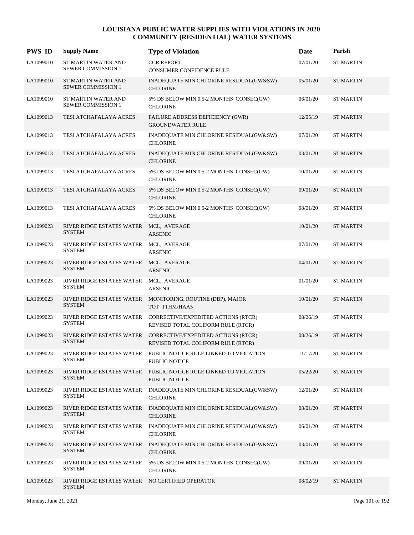| <b>PWS ID</b> | <b>Supply Name</b>                                               | <b>Type of Violation</b>                                                             | Date     | Parish           |
|---------------|------------------------------------------------------------------|--------------------------------------------------------------------------------------|----------|------------------|
| LA1099010     | ST MARTIN WATER AND<br><b>SEWER COMMISSION 1</b>                 | <b>CCR REPORT</b><br>CONSUMER CONFIDENCE RULE                                        | 07/01/20 | <b>ST MARTIN</b> |
| LA1099010     | <b>ST MARTIN WATER AND</b><br><b>SEWER COMMISSION 1</b>          | INADEQUATE MIN CHLORINE RESIDUAL(GW&SW)<br><b>CHLORINE</b>                           | 05/01/20 | <b>ST MARTIN</b> |
| LA1099010     | ST MARTIN WATER AND<br><b>SEWER COMMISSION 1</b>                 | 5% DS BELOW MIN 0.5-2 MONTHS CONSEC(GW)<br><b>CHLORINE</b>                           | 06/01/20 | <b>ST MARTIN</b> |
| LA1099013     | TESI ATCHAFALAYA ACRES                                           | FAILURE ADDRESS DEFICIENCY (GWR)<br><b>GROUNDWATER RULE</b>                          | 12/05/19 | <b>ST MARTIN</b> |
| LA1099013     | TESI ATCHAFALAYA ACRES                                           | INADEQUATE MIN CHLORINE RESIDUAL(GW&SW)<br><b>CHLORINE</b>                           | 07/01/20 | <b>ST MARTIN</b> |
| LA1099013     | TESI ATCHAFALAYA ACRES                                           | INADEQUATE MIN CHLORINE RESIDUAL(GW&SW)<br><b>CHLORINE</b>                           | 03/01/20 | <b>ST MARTIN</b> |
| LA1099013     | TESI ATCHAFALAYA ACRES                                           | 5% DS BELOW MIN 0.5-2 MONTHS CONSEC(GW)<br><b>CHLORINE</b>                           | 10/01/20 | <b>ST MARTIN</b> |
| LA1099013     | TESI ATCHAFALAYA ACRES                                           | 5% DS BELOW MIN 0.5-2 MONTHS CONSEC(GW)<br><b>CHLORINE</b>                           | 09/01/20 | <b>ST MARTIN</b> |
| LA1099013     | TESI ATCHAFALAYA ACRES                                           | 5% DS BELOW MIN 0.5-2 MONTHS CONSEC(GW)<br><b>CHLORINE</b>                           | 08/01/20 | <b>ST MARTIN</b> |
| LA1099023     | RIVER RIDGE ESTATES WATER<br><b>SYSTEM</b>                       | MCL, AVERAGE<br><b>ARSENIC</b>                                                       | 10/01/20 | <b>ST MARTIN</b> |
| LA1099023     | RIVER RIDGE ESTATES WATER<br><b>SYSTEM</b>                       | MCL, AVERAGE<br><b>ARSENIC</b>                                                       | 07/01/20 | <b>ST MARTIN</b> |
| LA1099023     | RIVER RIDGE ESTATES WATER MCL, AVERAGE<br><b>SYSTEM</b>          | <b>ARSENIC</b>                                                                       | 04/01/20 | <b>ST MARTIN</b> |
| LA1099023     | RIVER RIDGE ESTATES WATER<br><b>SYSTEM</b>                       | MCL, AVERAGE<br><b>ARSENIC</b>                                                       | 01/01/20 | <b>ST MARTIN</b> |
| LA1099023     | RIVER RIDGE ESTATES WATER<br><b>SYSTEM</b>                       | MONITORING, ROUTINE (DBP), MAJOR<br>TOT_TTHM/HAA5                                    | 10/01/20 | <b>ST MARTIN</b> |
| LA1099023     | RIVER RIDGE ESTATES WATER<br><b>SYSTEM</b>                       | CORRECTIVE/EXPEDITED ACTIONS (RTCR)<br>REVISED TOTAL COLIFORM RULE (RTCR)            | 08/26/19 | <b>ST MARTIN</b> |
| LA1099023     | RIVER RIDGE ESTATES WATER<br><b>SYSTEM</b>                       | CORRECTIVE/EXPEDITED ACTIONS (RTCR)<br>REVISED TOTAL COLIFORM RULE (RTCR)            | 08/26/19 | <b>ST MARTIN</b> |
| LA1099023     | <b>SYSTEM</b>                                                    | RIVER RIDGE ESTATES WATER PUBLIC NOTICE RULE LINKED TO VIOLATION<br>PUBLIC NOTICE    | 11/17/20 | <b>ST MARTIN</b> |
| LA1099023     | RIVER RIDGE ESTATES WATER<br><b>SYSTEM</b>                       | PUBLIC NOTICE RULE LINKED TO VIOLATION<br>PUBLIC NOTICE                              | 05/22/20 | <b>ST MARTIN</b> |
| LA1099023     | RIVER RIDGE ESTATES WATER<br><b>SYSTEM</b>                       | INADEQUATE MIN CHLORINE RESIDUAL(GW&SW)<br><b>CHLORINE</b>                           | 12/01/20 | <b>ST MARTIN</b> |
| LA1099023     | <b>SYSTEM</b>                                                    | RIVER RIDGE ESTATES WATER INADEQUATE MIN CHLORINE RESIDUAL(GW&SW)<br><b>CHLORINE</b> | 08/01/20 | <b>ST MARTIN</b> |
| LA1099023     | RIVER RIDGE ESTATES WATER<br><b>SYSTEM</b>                       | INADEQUATE MIN CHLORINE RESIDUAL(GW&SW)<br><b>CHLORINE</b>                           | 06/01/20 | <b>ST MARTIN</b> |
| LA1099023     | RIVER RIDGE ESTATES WATER<br><b>SYSTEM</b>                       | INADEQUATE MIN CHLORINE RESIDUAL(GW&SW)<br><b>CHLORINE</b>                           | 03/01/20 | <b>ST MARTIN</b> |
| LA1099023     | RIVER RIDGE ESTATES WATER<br><b>SYSTEM</b>                       | 5% DS BELOW MIN 0.5-2 MONTHS CONSEC(GW)<br><b>CHLORINE</b>                           | 09/01/20 | <b>ST MARTIN</b> |
| LA1099023     | RIVER RIDGE ESTATES WATER NO CERTIFIED OPERATOR<br><b>SYSTEM</b> |                                                                                      | 08/02/19 | <b>ST MARTIN</b> |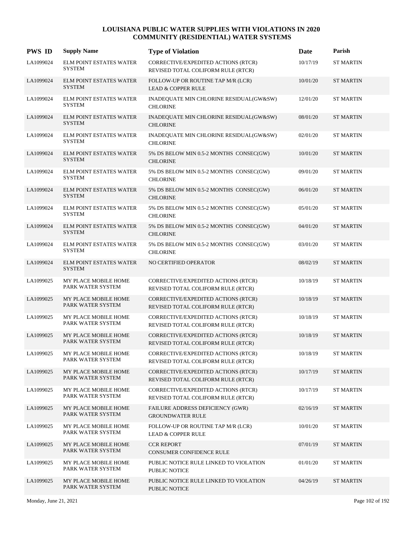| <b>PWS ID</b> | <b>Supply Name</b>                              | <b>Type of Violation</b>                                                  | Date     | Parish           |
|---------------|-------------------------------------------------|---------------------------------------------------------------------------|----------|------------------|
| LA1099024     | <b>ELM POINT ESTATES WATER</b><br><b>SYSTEM</b> | CORRECTIVE/EXPEDITED ACTIONS (RTCR)<br>REVISED TOTAL COLIFORM RULE (RTCR) | 10/17/19 | <b>ST MARTIN</b> |
| LA1099024     | <b>ELM POINT ESTATES WATER</b><br><b>SYSTEM</b> | FOLLOW-UP OR ROUTINE TAP M/R (LCR)<br><b>LEAD &amp; COPPER RULE</b>       | 10/01/20 | <b>ST MARTIN</b> |
| LA1099024     | <b>ELM POINT ESTATES WATER</b><br><b>SYSTEM</b> | INADEQUATE MIN CHLORINE RESIDUAL(GW&SW)<br><b>CHLORINE</b>                | 12/01/20 | <b>ST MARTIN</b> |
| LA1099024     | ELM POINT ESTATES WATER<br><b>SYSTEM</b>        | INADEQUATE MIN CHLORINE RESIDUAL(GW&SW)<br><b>CHLORINE</b>                | 08/01/20 | <b>ST MARTIN</b> |
| LA1099024     | ELM POINT ESTATES WATER<br><b>SYSTEM</b>        | INADEQUATE MIN CHLORINE RESIDUAL(GW&SW)<br><b>CHLORINE</b>                | 02/01/20 | <b>ST MARTIN</b> |
| LA1099024     | <b>ELM POINT ESTATES WATER</b><br><b>SYSTEM</b> | 5% DS BELOW MIN 0.5-2 MONTHS CONSEC(GW)<br><b>CHLORINE</b>                | 10/01/20 | <b>ST MARTIN</b> |
| LA1099024     | ELM POINT ESTATES WATER<br><b>SYSTEM</b>        | 5% DS BELOW MIN 0.5-2 MONTHS CONSEC(GW)<br><b>CHLORINE</b>                | 09/01/20 | <b>ST MARTIN</b> |
| LA1099024     | <b>ELM POINT ESTATES WATER</b><br><b>SYSTEM</b> | 5% DS BELOW MIN 0.5-2 MONTHS CONSEC(GW)<br><b>CHLORINE</b>                | 06/01/20 | <b>ST MARTIN</b> |
| LA1099024     | ELM POINT ESTATES WATER<br><b>SYSTEM</b>        | 5% DS BELOW MIN 0.5-2 MONTHS CONSEC(GW)<br><b>CHLORINE</b>                | 05/01/20 | <b>ST MARTIN</b> |
| LA1099024     | ELM POINT ESTATES WATER<br><b>SYSTEM</b>        | 5% DS BELOW MIN 0.5-2 MONTHS CONSEC(GW)<br><b>CHLORINE</b>                | 04/01/20 | <b>ST MARTIN</b> |
| LA1099024     | ELM POINT ESTATES WATER<br><b>SYSTEM</b>        | 5% DS BELOW MIN 0.5-2 MONTHS CONSEC(GW)<br><b>CHLORINE</b>                | 03/01/20 | <b>ST MARTIN</b> |
| LA1099024     | <b>ELM POINT ESTATES WATER</b><br><b>SYSTEM</b> | NO CERTIFIED OPERATOR                                                     | 08/02/19 | <b>ST MARTIN</b> |
| LA1099025     | MY PLACE MOBILE HOME<br>PARK WATER SYSTEM       | CORRECTIVE/EXPEDITED ACTIONS (RTCR)<br>REVISED TOTAL COLIFORM RULE (RTCR) | 10/18/19 | <b>ST MARTIN</b> |
| LA1099025     | MY PLACE MOBILE HOME<br>PARK WATER SYSTEM       | CORRECTIVE/EXPEDITED ACTIONS (RTCR)<br>REVISED TOTAL COLIFORM RULE (RTCR) | 10/18/19 | <b>ST MARTIN</b> |
| LA1099025     | MY PLACE MOBILE HOME<br>PARK WATER SYSTEM       | CORRECTIVE/EXPEDITED ACTIONS (RTCR)<br>REVISED TOTAL COLIFORM RULE (RTCR) | 10/18/19 | <b>ST MARTIN</b> |
| LA1099025     | MY PLACE MOBILE HOME<br>PARK WATER SYSTEM       | CORRECTIVE/EXPEDITED ACTIONS (RTCR)<br>REVISED TOTAL COLIFORM RULE (RTCR) | 10/18/19 | <b>ST MARTIN</b> |
| LA1099025     | MY PLACE MOBILE HOME<br>PARK WATER SYSTEM       | CORRECTIVE/EXPEDITED ACTIONS (RTCR)<br>REVISED TOTAL COLIFORM RULE (RTCR) | 10/18/19 | <b>ST MARTIN</b> |
| LA1099025     | MY PLACE MOBILE HOME<br>PARK WATER SYSTEM       | CORRECTIVE/EXPEDITED ACTIONS (RTCR)<br>REVISED TOTAL COLIFORM RULE (RTCR) | 10/17/19 | <b>ST MARTIN</b> |
| LA1099025     | MY PLACE MOBILE HOME<br>PARK WATER SYSTEM       | CORRECTIVE/EXPEDITED ACTIONS (RTCR)<br>REVISED TOTAL COLIFORM RULE (RTCR) | 10/17/19 | <b>ST MARTIN</b> |
| LA1099025     | MY PLACE MOBILE HOME<br>PARK WATER SYSTEM       | FAILURE ADDRESS DEFICIENCY (GWR)<br><b>GROUNDWATER RULE</b>               | 02/16/19 | <b>ST MARTIN</b> |
| LA1099025     | MY PLACE MOBILE HOME<br>PARK WATER SYSTEM       | FOLLOW-UP OR ROUTINE TAP M/R (LCR)<br><b>LEAD &amp; COPPER RULE</b>       | 10/01/20 | <b>ST MARTIN</b> |
| LA1099025     | MY PLACE MOBILE HOME<br>PARK WATER SYSTEM       | <b>CCR REPORT</b><br>CONSUMER CONFIDENCE RULE                             | 07/01/19 | <b>ST MARTIN</b> |
| LA1099025     | MY PLACE MOBILE HOME<br>PARK WATER SYSTEM       | PUBLIC NOTICE RULE LINKED TO VIOLATION<br>PUBLIC NOTICE                   | 01/01/20 | <b>ST MARTIN</b> |
| LA1099025     | MY PLACE MOBILE HOME<br>PARK WATER SYSTEM       | PUBLIC NOTICE RULE LINKED TO VIOLATION<br>PUBLIC NOTICE                   | 04/26/19 | <b>ST MARTIN</b> |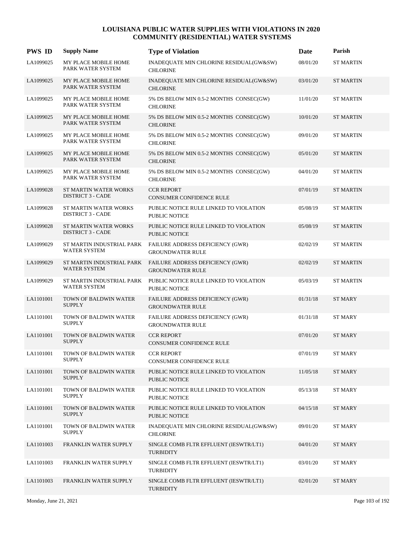| <b>PWS ID</b> | <b>Supply Name</b>                                | <b>Type of Violation</b>                                           | Date     | Parish           |
|---------------|---------------------------------------------------|--------------------------------------------------------------------|----------|------------------|
| LA1099025     | MY PLACE MOBILE HOME<br>PARK WATER SYSTEM         | INADEQUATE MIN CHLORINE RESIDUAL(GW&SW)<br><b>CHLORINE</b>         | 08/01/20 | <b>ST MARTIN</b> |
| LA1099025     | MY PLACE MOBILE HOME<br>PARK WATER SYSTEM         | INADEQUATE MIN CHLORINE RESIDUAL(GW&SW)<br><b>CHLORINE</b>         | 03/01/20 | <b>ST MARTIN</b> |
| LA1099025     | MY PLACE MOBILE HOME<br>PARK WATER SYSTEM         | 5% DS BELOW MIN 0.5-2 MONTHS CONSEC(GW)<br><b>CHLORINE</b>         | 11/01/20 | <b>ST MARTIN</b> |
| LA1099025     | MY PLACE MOBILE HOME<br>PARK WATER SYSTEM         | 5% DS BELOW MIN 0.5-2 MONTHS CONSEC(GW)<br><b>CHLORINE</b>         | 10/01/20 | <b>ST MARTIN</b> |
| LA1099025     | MY PLACE MOBILE HOME<br>PARK WATER SYSTEM         | 5% DS BELOW MIN 0.5-2 MONTHS CONSEC(GW)<br><b>CHLORINE</b>         | 09/01/20 | <b>ST MARTIN</b> |
| LA1099025     | MY PLACE MOBILE HOME<br>PARK WATER SYSTEM         | 5% DS BELOW MIN 0.5-2 MONTHS CONSEC(GW)<br><b>CHLORINE</b>         | 05/01/20 | <b>ST MARTIN</b> |
| LA1099025     | MY PLACE MOBILE HOME<br>PARK WATER SYSTEM         | 5% DS BELOW MIN 0.5-2 MONTHS CONSEC(GW)<br><b>CHLORINE</b>         | 04/01/20 | <b>ST MARTIN</b> |
| LA1099028     | ST MARTIN WATER WORKS<br><b>DISTRICT 3 - CADE</b> | <b>CCR REPORT</b><br><b>CONSUMER CONFIDENCE RULE</b>               | 07/01/19 | <b>ST MARTIN</b> |
| LA1099028     | ST MARTIN WATER WORKS<br><b>DISTRICT 3 - CADE</b> | PUBLIC NOTICE RULE LINKED TO VIOLATION<br><b>PUBLIC NOTICE</b>     | 05/08/19 | <b>ST MARTIN</b> |
| LA1099028     | ST MARTIN WATER WORKS<br><b>DISTRICT 3 - CADE</b> | PUBLIC NOTICE RULE LINKED TO VIOLATION<br><b>PUBLIC NOTICE</b>     | 05/08/19 | <b>ST MARTIN</b> |
| LA1099029     | ST MARTIN INDUSTRIAL PARK<br><b>WATER SYSTEM</b>  | FAILURE ADDRESS DEFICIENCY (GWR)<br><b>GROUNDWATER RULE</b>        | 02/02/19 | <b>ST MARTIN</b> |
| LA1099029     | ST MARTIN INDUSTRIAL PARK<br>WATER SYSTEM         | FAILURE ADDRESS DEFICIENCY (GWR)<br><b>GROUNDWATER RULE</b>        | 02/02/19 | <b>ST MARTIN</b> |
| LA1099029     | ST MARTIN INDUSTRIAL PARK<br><b>WATER SYSTEM</b>  | PUBLIC NOTICE RULE LINKED TO VIOLATION<br>PUBLIC NOTICE            | 05/03/19 | <b>ST MARTIN</b> |
| LA1101001     | TOWN OF BALDWIN WATER<br><b>SUPPLY</b>            | <b>FAILURE ADDRESS DEFICIENCY (GWR)</b><br><b>GROUNDWATER RULE</b> | 01/31/18 | <b>ST MARY</b>   |
| LA1101001     | TOWN OF BALDWIN WATER<br><b>SUPPLY</b>            | FAILURE ADDRESS DEFICIENCY (GWR)<br><b>GROUNDWATER RULE</b>        | 01/31/18 | ST MARY          |
| LA1101001     | TOWN OF BALDWIN WATER<br><b>SUPPLY</b>            | <b>CCR REPORT</b><br>CONSUMER CONFIDENCE RULE                      | 07/01/20 | <b>ST MARY</b>   |
| LA1101001     | TOWN OF BALDWIN WATER<br><b>SUPPLY</b>            | <b>CCR REPORT</b><br>CONSUMER CONFIDENCE RULE                      | 07/01/19 | <b>ST MARY</b>   |
| LA1101001     | TOWN OF BALDWIN WATER<br><b>SUPPLY</b>            | PUBLIC NOTICE RULE LINKED TO VIOLATION<br><b>PUBLIC NOTICE</b>     | 11/05/18 | ST MARY          |
| LA1101001     | TOWN OF BALDWIN WATER<br><b>SUPPLY</b>            | PUBLIC NOTICE RULE LINKED TO VIOLATION<br>PUBLIC NOTICE            | 05/13/18 | ST MARY          |
| LA1101001     | TOWN OF BALDWIN WATER<br><b>SUPPLY</b>            | PUBLIC NOTICE RULE LINKED TO VIOLATION<br>PUBLIC NOTICE            | 04/15/18 | ST MARY          |
| LA1101001     | TOWN OF BALDWIN WATER<br><b>SUPPLY</b>            | INADEQUATE MIN CHLORINE RESIDUAL(GW&SW)<br><b>CHLORINE</b>         | 09/01/20 | ST MARY          |
| LA1101003     | FRANKLIN WATER SUPPLY                             | SINGLE COMB FLTR EFFLUENT (IESWTR/LT1)<br><b>TURBIDITY</b>         | 04/01/20 | ST MARY          |
| LA1101003     | FRANKLIN WATER SUPPLY                             | SINGLE COMB FLTR EFFLUENT (IESWTR/LT1)<br><b>TURBIDITY</b>         | 03/01/20 | ST MARY          |
| LA1101003     | FRANKLIN WATER SUPPLY                             | SINGLE COMB FLTR EFFLUENT (IESWTR/LT1)<br><b>TURBIDITY</b>         | 02/01/20 | ST MARY          |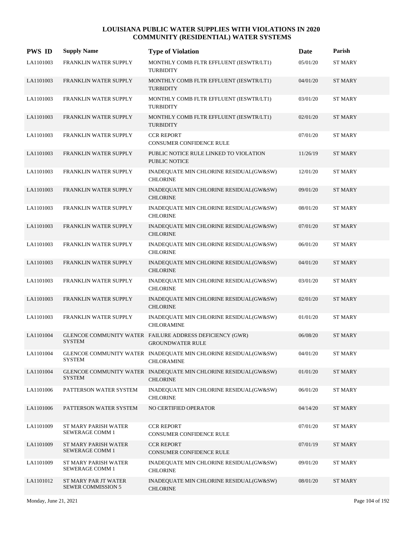| <b>PWS ID</b> | <b>Supply Name</b>                                | <b>Type of Violation</b>                                                             | <b>Date</b> | Parish         |
|---------------|---------------------------------------------------|--------------------------------------------------------------------------------------|-------------|----------------|
| LA1101003     | FRANKLIN WATER SUPPLY                             | MONTHLY COMB FLTR EFFLUENT (IESWTR/LT1)<br><b>TURBIDITY</b>                          | 05/01/20    | <b>ST MARY</b> |
| LA1101003     | FRANKLIN WATER SUPPLY                             | MONTHLY COMB FLTR EFFLUENT (IESWTR/LT1)<br><b>TURBIDITY</b>                          | 04/01/20    | <b>ST MARY</b> |
| LA1101003     | FRANKLIN WATER SUPPLY                             | MONTHLY COMB FLTR EFFLUENT (IESWTR/LT1)<br><b>TURBIDITY</b>                          | 03/01/20    | ST MARY        |
| LA1101003     | FRANKLIN WATER SUPPLY                             | MONTHLY COMB FLTR EFFLUENT (IESWTR/LT1)<br><b>TURBIDITY</b>                          | 02/01/20    | <b>ST MARY</b> |
| LA1101003     | FRANKLIN WATER SUPPLY                             | <b>CCR REPORT</b><br>CONSUMER CONFIDENCE RULE                                        | 07/01/20    | <b>ST MARY</b> |
| LA1101003     | FRANKLIN WATER SUPPLY                             | PUBLIC NOTICE RULE LINKED TO VIOLATION<br><b>PUBLIC NOTICE</b>                       | 11/26/19    | <b>ST MARY</b> |
| LA1101003     | FRANKLIN WATER SUPPLY                             | INADEQUATE MIN CHLORINE RESIDUAL(GW&SW)<br><b>CHLORINE</b>                           | 12/01/20    | <b>ST MARY</b> |
| LA1101003     | FRANKLIN WATER SUPPLY                             | INADEQUATE MIN CHLORINE RESIDUAL(GW&SW)<br><b>CHLORINE</b>                           | 09/01/20    | <b>ST MARY</b> |
| LA1101003     | FRANKLIN WATER SUPPLY                             | INADEQUATE MIN CHLORINE RESIDUAL(GW&SW)<br><b>CHLORINE</b>                           | 08/01/20    | <b>ST MARY</b> |
| LA1101003     | FRANKLIN WATER SUPPLY                             | INADEQUATE MIN CHLORINE RESIDUAL(GW&SW)<br><b>CHLORINE</b>                           | 07/01/20    | <b>ST MARY</b> |
| LA1101003     | FRANKLIN WATER SUPPLY                             | INADEQUATE MIN CHLORINE RESIDUAL(GW&SW)<br><b>CHLORINE</b>                           | 06/01/20    | <b>ST MARY</b> |
| LA1101003     | FRANKLIN WATER SUPPLY                             | INADEQUATE MIN CHLORINE RESIDUAL(GW&SW)<br><b>CHLORINE</b>                           | 04/01/20    | <b>ST MARY</b> |
| LA1101003     | FRANKLIN WATER SUPPLY                             | INADEQUATE MIN CHLORINE RESIDUAL(GW&SW)<br><b>CHLORINE</b>                           | 03/01/20    | <b>ST MARY</b> |
| LA1101003     | FRANKLIN WATER SUPPLY                             | INADEQUATE MIN CHLORINE RESIDUAL(GW&SW)<br><b>CHLORINE</b>                           | 02/01/20    | <b>ST MARY</b> |
| LA1101003     | FRANKLIN WATER SUPPLY                             | INADEQUATE MIN CHLORINE RESIDUAL(GW&SW)<br><b>CHLORAMINE</b>                         | 01/01/20    | <b>ST MARY</b> |
| LA1101004     | <b>SYSTEM</b>                                     | GLENCOE COMMUNITY WATER FAILURE ADDRESS DEFICIENCY (GWR)<br><b>GROUNDWATER RULE</b>  | 06/08/20    | <b>ST MARY</b> |
| LA1101004     | <b>SYSTEM</b>                                     | GLENCOE COMMUNITY WATER INADEQUATE MIN CHLORINE RESIDUAL(GW&SW)<br><b>CHLORAMINE</b> | 04/01/20    | <b>ST MARY</b> |
| LA1101004     | <b>SYSTEM</b>                                     | GLENCOE COMMUNITY WATER INADEQUATE MIN CHLORINE RESIDUAL(GW&SW)<br><b>CHLORINE</b>   | 01/01/20    | <b>ST MARY</b> |
| LA1101006     | PATTERSON WATER SYSTEM                            | INADEQUATE MIN CHLORINE RESIDUAL(GW&SW)<br><b>CHLORINE</b>                           | 06/01/20    | ST MARY        |
| LA1101006     | PATTERSON WATER SYSTEM                            | NO CERTIFIED OPERATOR                                                                | 04/14/20    | ST MARY        |
| LA1101009     | ST MARY PARISH WATER<br>SEWERAGE COMM 1           | <b>CCR REPORT</b><br>CONSUMER CONFIDENCE RULE                                        | 07/01/20    | <b>ST MARY</b> |
| LA1101009     | ST MARY PARISH WATER<br>SEWERAGE COMM 1           | <b>CCR REPORT</b><br>CONSUMER CONFIDENCE RULE                                        | 07/01/19    | <b>ST MARY</b> |
| LA1101009     | ST MARY PARISH WATER<br>SEWERAGE COMM 1           | INADEQUATE MIN CHLORINE RESIDUAL(GW&SW)<br><b>CHLORINE</b>                           | 09/01/20    | <b>ST MARY</b> |
| LA1101012     | ST MARY PAR JT WATER<br><b>SEWER COMMISSION 5</b> | INADEQUATE MIN CHLORINE RESIDUAL(GW&SW)<br><b>CHLORINE</b>                           | 08/01/20    | ST MARY        |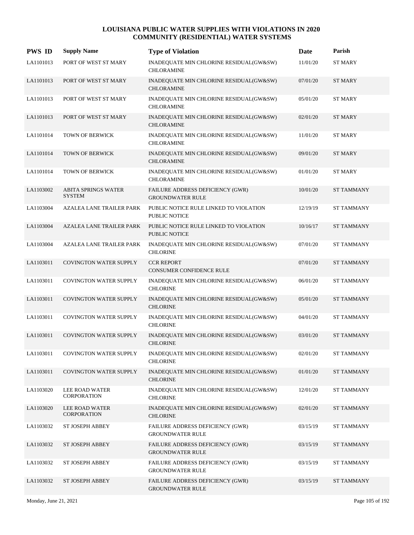| <b>PWS ID</b> | <b>Supply Name</b>                          | <b>Type of Violation</b>                                           | Date     | Parish            |
|---------------|---------------------------------------------|--------------------------------------------------------------------|----------|-------------------|
| LA1101013     | PORT OF WEST ST MARY                        | INADEQUATE MIN CHLORINE RESIDUAL(GW&SW)<br><b>CHLORAMINE</b>       | 11/01/20 | <b>ST MARY</b>    |
| LA1101013     | PORT OF WEST ST MARY                        | INADEQUATE MIN CHLORINE RESIDUAL(GW&SW)<br><b>CHLORAMINE</b>       | 07/01/20 | <b>ST MARY</b>    |
| LA1101013     | PORT OF WEST ST MARY                        | INADEQUATE MIN CHLORINE RESIDUAL(GW&SW)<br><b>CHLORAMINE</b>       | 05/01/20 | <b>ST MARY</b>    |
| LA1101013     | PORT OF WEST ST MARY                        | INADEQUATE MIN CHLORINE RESIDUAL(GW&SW)<br><b>CHLORAMINE</b>       | 02/01/20 | <b>ST MARY</b>    |
| LA1101014     | TOWN OF BERWICK                             | INADEQUATE MIN CHLORINE RESIDUAL(GW&SW)<br><b>CHLORAMINE</b>       | 11/01/20 | <b>ST MARY</b>    |
| LA1101014     | TOWN OF BERWICK                             | INADEQUATE MIN CHLORINE RESIDUAL(GW&SW)<br><b>CHLORAMINE</b>       | 09/01/20 | ST MARY           |
| LA1101014     | TOWN OF BERWICK                             | INADEQUATE MIN CHLORINE RESIDUAL(GW&SW)<br><b>CHLORAMINE</b>       | 01/01/20 | <b>ST MARY</b>    |
| LA1103002     | <b>ABITA SPRINGS WATER</b><br><b>SYSTEM</b> | FAILURE ADDRESS DEFICIENCY (GWR)<br><b>GROUNDWATER RULE</b>        | 10/01/20 | <b>ST TAMMANY</b> |
| LA1103004     | <b>AZALEA LANE TRAILER PARK</b>             | PUBLIC NOTICE RULE LINKED TO VIOLATION<br><b>PUBLIC NOTICE</b>     | 12/19/19 | <b>ST TAMMANY</b> |
| LA1103004     | <b>AZALEA LANE TRAILER PARK</b>             | PUBLIC NOTICE RULE LINKED TO VIOLATION<br><b>PUBLIC NOTICE</b>     | 10/16/17 | <b>ST TAMMANY</b> |
| LA1103004     | AZALEA LANE TRAILER PARK                    | INADEQUATE MIN CHLORINE RESIDUAL(GW&SW)<br><b>CHLORINE</b>         | 07/01/20 | <b>ST TAMMANY</b> |
| LA1103011     | <b>COVINGTON WATER SUPPLY</b>               | <b>CCR REPORT</b><br><b>CONSUMER CONFIDENCE RULE</b>               | 07/01/20 | <b>ST TAMMANY</b> |
| LA1103011     | COVINGTON WATER SUPPLY                      | INADEQUATE MIN CHLORINE RESIDUAL(GW&SW)<br><b>CHLORINE</b>         | 06/01/20 | <b>ST TAMMANY</b> |
| LA1103011     | <b>COVINGTON WATER SUPPLY</b>               | INADEQUATE MIN CHLORINE RESIDUAL(GW&SW)<br><b>CHLORINE</b>         | 05/01/20 | <b>ST TAMMANY</b> |
| LA1103011     | <b>COVINGTON WATER SUPPLY</b>               | INADEQUATE MIN CHLORINE RESIDUAL(GW&SW)<br><b>CHLORINE</b>         | 04/01/20 | <b>ST TAMMANY</b> |
| LA1103011     | <b>COVINGTON WATER SUPPLY</b>               | INADEQUATE MIN CHLORINE RESIDUAL(GW&SW)<br><b>CHLORINE</b>         | 03/01/20 | <b>ST TAMMANY</b> |
| LA1103011     | <b>COVINGTON WATER SUPPLY</b>               | INADEQUATE MIN CHLORINE RESIDUAL(GW&SW)<br><b>CHLORINE</b>         | 02/01/20 | <b>ST TAMMANY</b> |
| LA1103011     | <b>COVINGTON WATER SUPPLY</b>               | INADEQUATE MIN CHLORINE RESIDUAL(GW&SW)<br><b>CHLORINE</b>         | 01/01/20 | <b>ST TAMMANY</b> |
| LA1103020     | LEE ROAD WATER<br>CORPORATION               | INADEQUATE MIN CHLORINE RESIDUAL(GW&SW)<br><b>CHLORINE</b>         | 12/01/20 | <b>ST TAMMANY</b> |
| LA1103020     | LEE ROAD WATER<br>CORPORATION               | INADEQUATE MIN CHLORINE RESIDUAL(GW&SW)<br><b>CHLORINE</b>         | 02/01/20 | <b>ST TAMMANY</b> |
| LA1103032     | ST JOSEPH ABBEY                             | FAILURE ADDRESS DEFICIENCY (GWR)<br><b>GROUNDWATER RULE</b>        | 03/15/19 | <b>ST TAMMANY</b> |
| LA1103032     | <b>ST JOSEPH ABBEY</b>                      | <b>FAILURE ADDRESS DEFICIENCY (GWR)</b><br><b>GROUNDWATER RULE</b> | 03/15/19 | <b>ST TAMMANY</b> |
| LA1103032     | ST JOSEPH ABBEY                             | FAILURE ADDRESS DEFICIENCY (GWR)<br><b>GROUNDWATER RULE</b>        | 03/15/19 | <b>ST TAMMANY</b> |
| LA1103032     | ST JOSEPH ABBEY                             | FAILURE ADDRESS DEFICIENCY (GWR)<br><b>GROUNDWATER RULE</b>        | 03/15/19 | <b>ST TAMMANY</b> |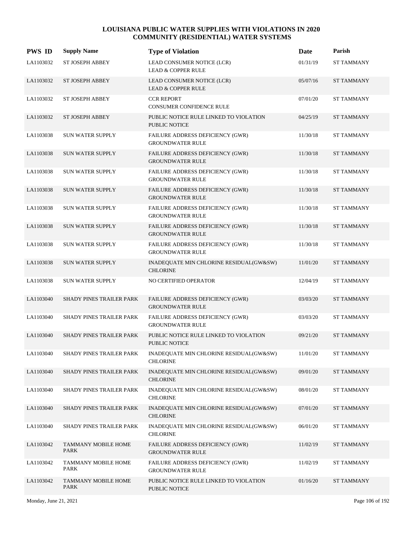| <b>PWS ID</b> | <b>Supply Name</b>                 | <b>Type of Violation</b>                                       | Date     | Parish            |
|---------------|------------------------------------|----------------------------------------------------------------|----------|-------------------|
| LA1103032     | ST JOSEPH ABBEY                    | LEAD CONSUMER NOTICE (LCR)<br><b>LEAD &amp; COPPER RULE</b>    | 01/31/19 | <b>ST TAMMANY</b> |
| LA1103032     | <b>ST JOSEPH ABBEY</b>             | LEAD CONSUMER NOTICE (LCR)<br><b>LEAD &amp; COPPER RULE</b>    | 05/07/16 | <b>ST TAMMANY</b> |
| LA1103032     | ST JOSEPH ABBEY                    | <b>CCR REPORT</b><br><b>CONSUMER CONFIDENCE RULE</b>           | 07/01/20 | <b>ST TAMMANY</b> |
| LA1103032     | ST JOSEPH ABBEY                    | PUBLIC NOTICE RULE LINKED TO VIOLATION<br><b>PUBLIC NOTICE</b> | 04/25/19 | <b>ST TAMMANY</b> |
| LA1103038     | <b>SUN WATER SUPPLY</b>            | FAILURE ADDRESS DEFICIENCY (GWR)<br><b>GROUNDWATER RULE</b>    | 11/30/18 | <b>ST TAMMANY</b> |
| LA1103038     | SUN WATER SUPPLY                   | FAILURE ADDRESS DEFICIENCY (GWR)<br><b>GROUNDWATER RULE</b>    | 11/30/18 | <b>ST TAMMANY</b> |
| LA1103038     | <b>SUN WATER SUPPLY</b>            | FAILURE ADDRESS DEFICIENCY (GWR)<br><b>GROUNDWATER RULE</b>    | 11/30/18 | ST TAMMANY        |
| LA1103038     | <b>SUN WATER SUPPLY</b>            | FAILURE ADDRESS DEFICIENCY (GWR)<br><b>GROUNDWATER RULE</b>    | 11/30/18 | <b>ST TAMMANY</b> |
| LA1103038     | <b>SUN WATER SUPPLY</b>            | FAILURE ADDRESS DEFICIENCY (GWR)<br><b>GROUNDWATER RULE</b>    | 11/30/18 | <b>ST TAMMANY</b> |
| LA1103038     | <b>SUN WATER SUPPLY</b>            | FAILURE ADDRESS DEFICIENCY (GWR)<br><b>GROUNDWATER RULE</b>    | 11/30/18 | <b>ST TAMMANY</b> |
| LA1103038     | <b>SUN WATER SUPPLY</b>            | FAILURE ADDRESS DEFICIENCY (GWR)<br><b>GROUNDWATER RULE</b>    | 11/30/18 | <b>ST TAMMANY</b> |
| LA1103038     | SUN WATER SUPPLY                   | INADEQUATE MIN CHLORINE RESIDUAL(GW&SW)<br><b>CHLORINE</b>     | 11/01/20 | <b>ST TAMMANY</b> |
| LA1103038     | <b>SUN WATER SUPPLY</b>            | NO CERTIFIED OPERATOR                                          | 12/04/19 | <b>ST TAMMANY</b> |
| LA1103040     | SHADY PINES TRAILER PARK           | FAILURE ADDRESS DEFICIENCY (GWR)<br><b>GROUNDWATER RULE</b>    | 03/03/20 | <b>ST TAMMANY</b> |
| LA1103040     | SHADY PINES TRAILER PARK           | FAILURE ADDRESS DEFICIENCY (GWR)<br><b>GROUNDWATER RULE</b>    | 03/03/20 | <b>ST TAMMANY</b> |
| LA1103040     | SHADY PINES TRAILER PARK           | PUBLIC NOTICE RULE LINKED TO VIOLATION<br>PUBLIC NOTICE        | 09/21/20 | <b>ST TAMMANY</b> |
| LA1103040     | SHADY PINES TRAILER PARK           | INADEQUATE MIN CHLORINE RESIDUAL(GW&SW)<br><b>CHLORINE</b>     | 11/01/20 | <b>ST TAMMANY</b> |
| LA1103040     | <b>SHADY PINES TRAILER PARK</b>    | INADEQUATE MIN CHLORINE RESIDUAL(GW&SW)<br><b>CHLORINE</b>     | 09/01/20 | <b>ST TAMMANY</b> |
| LA1103040     | SHADY PINES TRAILER PARK           | INADEQUATE MIN CHLORINE RESIDUAL(GW&SW)<br><b>CHLORINE</b>     | 08/01/20 | ST TAMMANY        |
| LA1103040     | <b>SHADY PINES TRAILER PARK</b>    | INADEQUATE MIN CHLORINE RESIDUAL(GW&SW)<br><b>CHLORINE</b>     | 07/01/20 | <b>ST TAMMANY</b> |
| LA1103040     | SHADY PINES TRAILER PARK           | INADEQUATE MIN CHLORINE RESIDUAL(GW&SW)<br><b>CHLORINE</b>     | 06/01/20 | <b>ST TAMMANY</b> |
| LA1103042     | TAMMANY MOBILE HOME<br><b>PARK</b> | FAILURE ADDRESS DEFICIENCY (GWR)<br><b>GROUNDWATER RULE</b>    | 11/02/19 | <b>ST TAMMANY</b> |
| LA1103042     | TAMMANY MOBILE HOME<br>PARK        | FAILURE ADDRESS DEFICIENCY (GWR)<br><b>GROUNDWATER RULE</b>    | 11/02/19 | <b>ST TAMMANY</b> |
| LA1103042     | TAMMANY MOBILE HOME<br>PARK        | PUBLIC NOTICE RULE LINKED TO VIOLATION<br>PUBLIC NOTICE        | 01/16/20 | <b>ST TAMMANY</b> |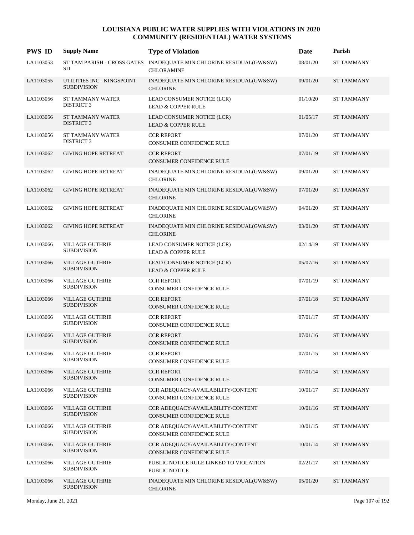| <b>PWS ID</b> | <b>Supply Name</b>                               | <b>Type of Violation</b>                                                                 | Date     | Parish            |
|---------------|--------------------------------------------------|------------------------------------------------------------------------------------------|----------|-------------------|
| LA1103053     | SD                                               | ST TAM PARISH - CROSS GATES INADEQUATE MIN CHLORINE RESIDUAL(GW&SW)<br><b>CHLORAMINE</b> | 08/01/20 | <b>ST TAMMANY</b> |
| LA1103055     | UTILITIES INC - KINGSPOINT<br><b>SUBDIVISION</b> | INADEQUATE MIN CHLORINE RESIDUAL(GW&SW)<br><b>CHLORINE</b>                               | 09/01/20 | <b>ST TAMMANY</b> |
| LA1103056     | ST TAMMANY WATER<br><b>DISTRICT 3</b>            | LEAD CONSUMER NOTICE (LCR)<br><b>LEAD &amp; COPPER RULE</b>                              | 01/10/20 | <b>ST TAMMANY</b> |
| LA1103056     | ST TAMMANY WATER<br><b>DISTRICT 3</b>            | LEAD CONSUMER NOTICE (LCR)<br><b>LEAD &amp; COPPER RULE</b>                              | 01/05/17 | <b>ST TAMMANY</b> |
| LA1103056     | <b>ST TAMMANY WATER</b><br><b>DISTRICT 3</b>     | <b>CCR REPORT</b><br>CONSUMER CONFIDENCE RULE                                            | 07/01/20 | <b>ST TAMMANY</b> |
| LA1103062     | <b>GIVING HOPE RETREAT</b>                       | <b>CCR REPORT</b><br><b>CONSUMER CONFIDENCE RULE</b>                                     | 07/01/19 | <b>ST TAMMANY</b> |
| LA1103062     | <b>GIVING HOPE RETREAT</b>                       | INADEQUATE MIN CHLORINE RESIDUAL(GW&SW)<br><b>CHLORINE</b>                               | 09/01/20 | <b>ST TAMMANY</b> |
| LA1103062     | <b>GIVING HOPE RETREAT</b>                       | INADEQUATE MIN CHLORINE RESIDUAL(GW&SW)<br><b>CHLORINE</b>                               | 07/01/20 | <b>ST TAMMANY</b> |
| LA1103062     | <b>GIVING HOPE RETREAT</b>                       | INADEQUATE MIN CHLORINE RESIDUAL(GW&SW)<br><b>CHLORINE</b>                               | 04/01/20 | <b>ST TAMMANY</b> |
| LA1103062     | <b>GIVING HOPE RETREAT</b>                       | INADEQUATE MIN CHLORINE RESIDUAL(GW&SW)<br><b>CHLORINE</b>                               | 03/01/20 | <b>ST TAMMANY</b> |
| LA1103066     | <b>VILLAGE GUTHRIE</b><br><b>SUBDIVISION</b>     | LEAD CONSUMER NOTICE (LCR)<br><b>LEAD &amp; COPPER RULE</b>                              | 02/14/19 | <b>ST TAMMANY</b> |
| LA1103066     | <b>VILLAGE GUTHRIE</b><br><b>SUBDIVISION</b>     | LEAD CONSUMER NOTICE (LCR)<br><b>LEAD &amp; COPPER RULE</b>                              | 05/07/16 | <b>ST TAMMANY</b> |
| LA1103066     | <b>VILLAGE GUTHRIE</b><br><b>SUBDIVISION</b>     | <b>CCR REPORT</b><br>CONSUMER CONFIDENCE RULE                                            | 07/01/19 | <b>ST TAMMANY</b> |
| LA1103066     | <b>VILLAGE GUTHRIE</b><br><b>SUBDIVISION</b>     | <b>CCR REPORT</b><br>CONSUMER CONFIDENCE RULE                                            | 07/01/18 | <b>ST TAMMANY</b> |
| LA1103066     | <b>VILLAGE GUTHRIE</b><br><b>SUBDIVISION</b>     | <b>CCR REPORT</b><br>CONSUMER CONFIDENCE RULE                                            | 07/01/17 | <b>ST TAMMANY</b> |
| LA1103066     | <b>VILLAGE GUTHRIE</b><br><b>SUBDIVISION</b>     | <b>CCR REPORT</b><br><b>CONSUMER CONFIDENCE RULE</b>                                     | 07/01/16 | <b>ST TAMMANY</b> |
| LA1103066     | <b>VILLAGE GUTHRIE</b><br><b>SUBDIVISION</b>     | <b>CCR REPORT</b><br>CONSUMER CONFIDENCE RULE                                            | 07/01/15 | ST TAMMANY        |
| LA1103066     | <b>VILLAGE GUTHRIE</b><br><b>SUBDIVISION</b>     | <b>CCR REPORT</b><br>CONSUMER CONFIDENCE RULE                                            | 07/01/14 | <b>ST TAMMANY</b> |
| LA1103066     | <b>VILLAGE GUTHRIE</b><br><b>SUBDIVISION</b>     | CCR ADEQUACY/AVAILABILITY/CONTENT<br>CONSUMER CONFIDENCE RULE                            | 10/01/17 | <b>ST TAMMANY</b> |
| LA1103066     | <b>VILLAGE GUTHRIE</b><br><b>SUBDIVISION</b>     | CCR ADEQUACY/AVAILABILITY/CONTENT<br>CONSUMER CONFIDENCE RULE                            | 10/01/16 | <b>ST TAMMANY</b> |
| LA1103066     | <b>VILLAGE GUTHRIE</b><br><b>SUBDIVISION</b>     | CCR ADEQUACY/AVAILABILITY/CONTENT<br>CONSUMER CONFIDENCE RULE                            | 10/01/15 | <b>ST TAMMANY</b> |
| LA1103066     | <b>VILLAGE GUTHRIE</b><br><b>SUBDIVISION</b>     | CCR ADEQUACY/AVAILABILITY/CONTENT<br>CONSUMER CONFIDENCE RULE                            | 10/01/14 | <b>ST TAMMANY</b> |
| LA1103066     | <b>VILLAGE GUTHRIE</b><br><b>SUBDIVISION</b>     | PUBLIC NOTICE RULE LINKED TO VIOLATION<br>PUBLIC NOTICE                                  | 02/21/17 | <b>ST TAMMANY</b> |
| LA1103066     | <b>VILLAGE GUTHRIE</b><br><b>SUBDIVISION</b>     | INADEQUATE MIN CHLORINE RESIDUAL(GW&SW)<br><b>CHLORINE</b>                               | 05/01/20 | <b>ST TAMMANY</b> |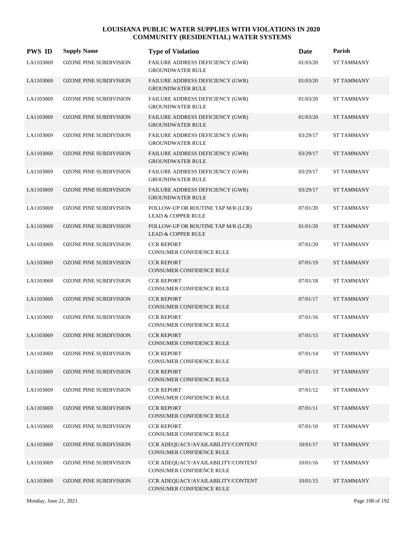| <b>PWS ID</b> | <b>Supply Name</b>            | <b>Type of Violation</b>                                            | Date     | Parish            |
|---------------|-------------------------------|---------------------------------------------------------------------|----------|-------------------|
| LA1103069     | OZONE PINE SUBDIVISION        | FAILURE ADDRESS DEFICIENCY (GWR)<br><b>GROUNDWATER RULE</b>         | 01/03/20 | <b>ST TAMMANY</b> |
| LA1103069     | OZONE PINE SUBDIVISION        | FAILURE ADDRESS DEFICIENCY (GWR)<br><b>GROUNDWATER RULE</b>         | 01/03/20 | <b>ST TAMMANY</b> |
| LA1103069     | OZONE PINE SUBDIVISION        | <b>FAILURE ADDRESS DEFICIENCY (GWR)</b><br><b>GROUNDWATER RULE</b>  | 01/03/20 | <b>ST TAMMANY</b> |
| LA1103069     | <b>OZONE PINE SUBDIVISION</b> | FAILURE ADDRESS DEFICIENCY (GWR)<br><b>GROUNDWATER RULE</b>         | 01/03/20 | <b>ST TAMMANY</b> |
| LA1103069     | OZONE PINE SUBDIVISION        | FAILURE ADDRESS DEFICIENCY (GWR)<br><b>GROUNDWATER RULE</b>         | 03/29/17 | <b>ST TAMMANY</b> |
| LA1103069     | OZONE PINE SUBDIVISION        | FAILURE ADDRESS DEFICIENCY (GWR)<br><b>GROUNDWATER RULE</b>         | 03/29/17 | <b>ST TAMMANY</b> |
| LA1103069     | OZONE PINE SUBDIVISION        | <b>FAILURE ADDRESS DEFICIENCY (GWR)</b><br><b>GROUNDWATER RULE</b>  | 03/29/17 | <b>ST TAMMANY</b> |
| LA1103069     | <b>OZONE PINE SUBDIVISION</b> | FAILURE ADDRESS DEFICIENCY (GWR)<br><b>GROUNDWATER RULE</b>         | 03/29/17 | <b>ST TAMMANY</b> |
| LA1103069     | OZONE PINE SUBDIVISION        | FOLLOW-UP OR ROUTINE TAP M/R (LCR)<br><b>LEAD &amp; COPPER RULE</b> | 07/01/20 | <b>ST TAMMANY</b> |
| LA1103069     | OZONE PINE SUBDIVISION        | FOLLOW-UP OR ROUTINE TAP M/R (LCR)<br><b>LEAD &amp; COPPER RULE</b> | 01/01/20 | <b>ST TAMMANY</b> |
| LA1103069     | OZONE PINE SUBDIVISION        | <b>CCR REPORT</b><br>CONSUMER CONFIDENCE RULE                       | 07/01/20 | <b>ST TAMMANY</b> |
| LA1103069     | <b>OZONE PINE SUBDIVISION</b> | <b>CCR REPORT</b><br><b>CONSUMER CONFIDENCE RULE</b>                | 07/01/19 | <b>ST TAMMANY</b> |
| LA1103069     | OZONE PINE SUBDIVISION        | <b>CCR REPORT</b><br>CONSUMER CONFIDENCE RULE                       | 07/01/18 | <b>ST TAMMANY</b> |
| LA1103069     | <b>OZONE PINE SUBDIVISION</b> | <b>CCR REPORT</b><br>CONSUMER CONFIDENCE RULE                       | 07/01/17 | <b>ST TAMMANY</b> |
| LA1103069     | OZONE PINE SUBDIVISION        | <b>CCR REPORT</b><br>CONSUMER CONFIDENCE RULE                       | 07/01/16 | <b>ST TAMMANY</b> |
| LA1103069     | <b>OZONE PINE SUBDIVISION</b> | <b>CCR REPORT</b><br><b>CONSUMER CONFIDENCE RULE</b>                | 07/01/15 | <b>ST TAMMANY</b> |
| LA1103069     | OZONE PINE SUBDIVISION        | <b>CCR REPORT</b><br>CONSUMER CONFIDENCE RULE                       | 07/01/14 | <b>ST TAMMANY</b> |
| LA1103069     | OZONE PINE SUBDIVISION        | <b>CCR REPORT</b><br>CONSUMER CONFIDENCE RULE                       | 07/01/13 | <b>ST TAMMANY</b> |
| LA1103069     | OZONE PINE SUBDIVISION        | <b>CCR REPORT</b><br>CONSUMER CONFIDENCE RULE                       | 07/01/12 | <b>ST TAMMANY</b> |
| LA1103069     | OZONE PINE SUBDIVISION        | <b>CCR REPORT</b><br>CONSUMER CONFIDENCE RULE                       | 07/01/11 | <b>ST TAMMANY</b> |
| LA1103069     | OZONE PINE SUBDIVISION        | <b>CCR REPORT</b><br>CONSUMER CONFIDENCE RULE                       | 07/01/10 | <b>ST TAMMANY</b> |
| LA1103069     | OZONE PINE SUBDIVISION        | CCR ADEQUACY/AVAILABILITY/CONTENT<br>CONSUMER CONFIDENCE RULE       | 10/01/17 | <b>ST TAMMANY</b> |
| LA1103069     | OZONE PINE SUBDIVISION        | CCR ADEQUACY/AVAILABILITY/CONTENT<br>CONSUMER CONFIDENCE RULE       | 10/01/16 | <b>ST TAMMANY</b> |
| LA1103069     | OZONE PINE SUBDIVISION        | CCR ADEQUACY/AVAILABILITY/CONTENT<br>CONSUMER CONFIDENCE RULE       | 10/01/15 | <b>ST TAMMANY</b> |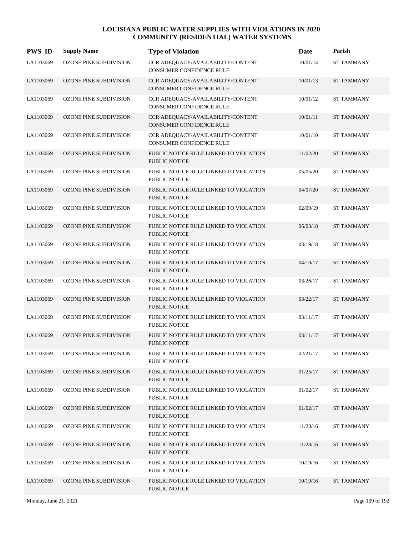| <b>PWS ID</b> | <b>Supply Name</b>            | <b>Type of Violation</b>                                             | Date     | Parish            |
|---------------|-------------------------------|----------------------------------------------------------------------|----------|-------------------|
| LA1103069     | OZONE PINE SUBDIVISION        | CCR ADEQUACY/AVAILABILITY/CONTENT<br>CONSUMER CONFIDENCE RULE        | 10/01/14 | <b>ST TAMMANY</b> |
| LA1103069     | OZONE PINE SUBDIVISION        | CCR ADEQUACY/AVAILABILITY/CONTENT<br><b>CONSUMER CONFIDENCE RULE</b> | 10/01/13 | <b>ST TAMMANY</b> |
| LA1103069     | OZONE PINE SUBDIVISION        | CCR ADEQUACY/AVAILABILITY/CONTENT<br>CONSUMER CONFIDENCE RULE        | 10/01/12 | <b>ST TAMMANY</b> |
| LA1103069     | OZONE PINE SUBDIVISION        | CCR ADEQUACY/AVAILABILITY/CONTENT<br>CONSUMER CONFIDENCE RULE        | 10/01/11 | <b>ST TAMMANY</b> |
| LA1103069     | OZONE PINE SUBDIVISION        | CCR ADEQUACY/AVAILABILITY/CONTENT<br>CONSUMER CONFIDENCE RULE        | 10/01/10 | <b>ST TAMMANY</b> |
| LA1103069     | OZONE PINE SUBDIVISION        | PUBLIC NOTICE RULE LINKED TO VIOLATION<br><b>PUBLIC NOTICE</b>       | 11/02/20 | <b>ST TAMMANY</b> |
| LA1103069     | OZONE PINE SUBDIVISION        | PUBLIC NOTICE RULE LINKED TO VIOLATION<br>PUBLIC NOTICE              | 05/05/20 | <b>ST TAMMANY</b> |
| LA1103069     | OZONE PINE SUBDIVISION        | PUBLIC NOTICE RULE LINKED TO VIOLATION<br>PUBLIC NOTICE              | 04/07/20 | <b>ST TAMMANY</b> |
| LA1103069     | <b>OZONE PINE SUBDIVISION</b> | PUBLIC NOTICE RULE LINKED TO VIOLATION<br>PUBLIC NOTICE              | 02/09/19 | <b>ST TAMMANY</b> |
| LA1103069     | <b>OZONE PINE SUBDIVISION</b> | PUBLIC NOTICE RULE LINKED TO VIOLATION<br><b>PUBLIC NOTICE</b>       | 06/03/18 | <b>ST TAMMANY</b> |
| LA1103069     | OZONE PINE SUBDIVISION        | PUBLIC NOTICE RULE LINKED TO VIOLATION<br>PUBLIC NOTICE              | 03/19/18 | <b>ST TAMMANY</b> |
| LA1103069     | <b>OZONE PINE SUBDIVISION</b> | PUBLIC NOTICE RULE LINKED TO VIOLATION<br>PUBLIC NOTICE              | 04/10/17 | <b>ST TAMMANY</b> |
| LA1103069     | OZONE PINE SUBDIVISION        | PUBLIC NOTICE RULE LINKED TO VIOLATION<br>PUBLIC NOTICE              | 03/26/17 | <b>ST TAMMANY</b> |
| LA1103069     | <b>OZONE PINE SUBDIVISION</b> | PUBLIC NOTICE RULE LINKED TO VIOLATION<br><b>PUBLIC NOTICE</b>       | 03/22/17 | <b>ST TAMMANY</b> |
| LA1103069     | <b>OZONE PINE SUBDIVISION</b> | PUBLIC NOTICE RULE LINKED TO VIOLATION<br><b>PUBLIC NOTICE</b>       | 03/11/17 | <b>ST TAMMANY</b> |
| LA1103069     | <b>OZONE PINE SUBDIVISION</b> | PUBLIC NOTICE RULE LINKED TO VIOLATION<br>PUBLIC NOTICE              | 03/11/17 | <b>ST TAMMANY</b> |
| LA1103069     | OZONE PINE SUBDIVISION        | PUBLIC NOTICE RULE LINKED TO VIOLATION<br>PUBLIC NOTICE              | 02/21/17 | <b>ST TAMMANY</b> |
| LA1103069     | OZONE PINE SUBDIVISION        | PUBLIC NOTICE RULE LINKED TO VIOLATION<br>PUBLIC NOTICE              | 01/25/17 | <b>ST TAMMANY</b> |
| LA1103069     | OZONE PINE SUBDIVISION        | PUBLIC NOTICE RULE LINKED TO VIOLATION<br>PUBLIC NOTICE              | 01/02/17 | <b>ST TAMMANY</b> |
| LA1103069     | <b>OZONE PINE SUBDIVISION</b> | PUBLIC NOTICE RULE LINKED TO VIOLATION<br>PUBLIC NOTICE              | 01/02/17 | <b>ST TAMMANY</b> |
| LA1103069     | OZONE PINE SUBDIVISION        | PUBLIC NOTICE RULE LINKED TO VIOLATION<br>PUBLIC NOTICE              | 11/28/16 | <b>ST TAMMANY</b> |
| LA1103069     | <b>OZONE PINE SUBDIVISION</b> | PUBLIC NOTICE RULE LINKED TO VIOLATION<br>PUBLIC NOTICE              | 11/28/16 | <b>ST TAMMANY</b> |
| LA1103069     | <b>OZONE PINE SUBDIVISION</b> | PUBLIC NOTICE RULE LINKED TO VIOLATION<br>PUBLIC NOTICE              | 10/19/16 | <b>ST TAMMANY</b> |
| LA1103069     | <b>OZONE PINE SUBDIVISION</b> | PUBLIC NOTICE RULE LINKED TO VIOLATION<br>PUBLIC NOTICE              | 10/19/16 | <b>ST TAMMANY</b> |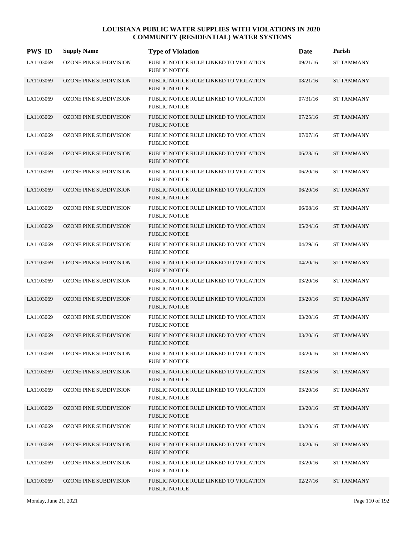| <b>PWS ID</b> | <b>Supply Name</b>            | <b>Type of Violation</b>                                       | Date     | Parish            |
|---------------|-------------------------------|----------------------------------------------------------------|----------|-------------------|
| LA1103069     | OZONE PINE SUBDIVISION        | PUBLIC NOTICE RULE LINKED TO VIOLATION<br><b>PUBLIC NOTICE</b> | 09/21/16 | <b>ST TAMMANY</b> |
| LA1103069     | OZONE PINE SUBDIVISION        | PUBLIC NOTICE RULE LINKED TO VIOLATION<br><b>PUBLIC NOTICE</b> | 08/21/16 | <b>ST TAMMANY</b> |
| LA1103069     | OZONE PINE SUBDIVISION        | PUBLIC NOTICE RULE LINKED TO VIOLATION<br><b>PUBLIC NOTICE</b> | 07/31/16 | <b>ST TAMMANY</b> |
| LA1103069     | OZONE PINE SUBDIVISION        | PUBLIC NOTICE RULE LINKED TO VIOLATION<br><b>PUBLIC NOTICE</b> | 07/25/16 | <b>ST TAMMANY</b> |
| LA1103069     | OZONE PINE SUBDIVISION        | PUBLIC NOTICE RULE LINKED TO VIOLATION<br><b>PUBLIC NOTICE</b> | 07/07/16 | <b>ST TAMMANY</b> |
| LA1103069     | OZONE PINE SUBDIVISION        | PUBLIC NOTICE RULE LINKED TO VIOLATION<br><b>PUBLIC NOTICE</b> | 06/28/16 | <b>ST TAMMANY</b> |
| LA1103069     | OZONE PINE SUBDIVISION        | PUBLIC NOTICE RULE LINKED TO VIOLATION<br><b>PUBLIC NOTICE</b> | 06/20/16 | <b>ST TAMMANY</b> |
| LA1103069     | <b>OZONE PINE SUBDIVISION</b> | PUBLIC NOTICE RULE LINKED TO VIOLATION<br><b>PUBLIC NOTICE</b> | 06/20/16 | <b>ST TAMMANY</b> |
| LA1103069     | <b>OZONE PINE SUBDIVISION</b> | PUBLIC NOTICE RULE LINKED TO VIOLATION<br><b>PUBLIC NOTICE</b> | 06/08/16 | <b>ST TAMMANY</b> |
| LA1103069     | <b>OZONE PINE SUBDIVISION</b> | PUBLIC NOTICE RULE LINKED TO VIOLATION<br><b>PUBLIC NOTICE</b> | 05/24/16 | <b>ST TAMMANY</b> |
| LA1103069     | OZONE PINE SUBDIVISION        | PUBLIC NOTICE RULE LINKED TO VIOLATION<br><b>PUBLIC NOTICE</b> | 04/29/16 | <b>ST TAMMANY</b> |
| LA1103069     | <b>OZONE PINE SUBDIVISION</b> | PUBLIC NOTICE RULE LINKED TO VIOLATION<br><b>PUBLIC NOTICE</b> | 04/20/16 | <b>ST TAMMANY</b> |
| LA1103069     | OZONE PINE SUBDIVISION        | PUBLIC NOTICE RULE LINKED TO VIOLATION<br><b>PUBLIC NOTICE</b> | 03/20/16 | <b>ST TAMMANY</b> |
| LA1103069     | <b>OZONE PINE SUBDIVISION</b> | PUBLIC NOTICE RULE LINKED TO VIOLATION<br><b>PUBLIC NOTICE</b> | 03/20/16 | <b>ST TAMMANY</b> |
| LA1103069     | OZONE PINE SUBDIVISION        | PUBLIC NOTICE RULE LINKED TO VIOLATION<br><b>PUBLIC NOTICE</b> | 03/20/16 | <b>ST TAMMANY</b> |
| LA1103069     | <b>OZONE PINE SUBDIVISION</b> | PUBLIC NOTICE RULE LINKED TO VIOLATION<br><b>PUBLIC NOTICE</b> | 03/20/16 | <b>ST TAMMANY</b> |
| LA1103069     | OZONE PINE SUBDIVISION        | PUBLIC NOTICE RULE LINKED TO VIOLATION<br>PUBLIC NOTICE        | 03/20/16 | <b>ST TAMMANY</b> |
| LA1103069     | <b>OZONE PINE SUBDIVISION</b> | PUBLIC NOTICE RULE LINKED TO VIOLATION<br>PUBLIC NOTICE        | 03/20/16 | <b>ST TAMMANY</b> |
| LA1103069     | <b>OZONE PINE SUBDIVISION</b> | PUBLIC NOTICE RULE LINKED TO VIOLATION<br>PUBLIC NOTICE        | 03/20/16 | <b>ST TAMMANY</b> |
| LA1103069     | OZONE PINE SUBDIVISION        | PUBLIC NOTICE RULE LINKED TO VIOLATION<br>PUBLIC NOTICE        | 03/20/16 | <b>ST TAMMANY</b> |
| LA1103069     | OZONE PINE SUBDIVISION        | PUBLIC NOTICE RULE LINKED TO VIOLATION<br>PUBLIC NOTICE        | 03/20/16 | <b>ST TAMMANY</b> |
| LA1103069     | OZONE PINE SUBDIVISION        | PUBLIC NOTICE RULE LINKED TO VIOLATION<br>PUBLIC NOTICE        | 03/20/16 | <b>ST TAMMANY</b> |
| LA1103069     | OZONE PINE SUBDIVISION        | PUBLIC NOTICE RULE LINKED TO VIOLATION<br>PUBLIC NOTICE        | 03/20/16 | <b>ST TAMMANY</b> |
| LA1103069     | OZONE PINE SUBDIVISION        | PUBLIC NOTICE RULE LINKED TO VIOLATION<br>PUBLIC NOTICE        | 02/27/16 | <b>ST TAMMANY</b> |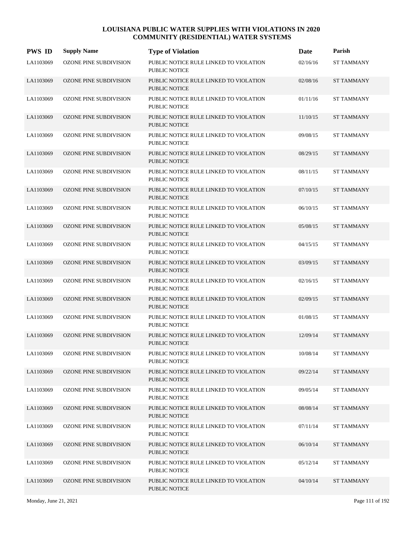| <b>PWS ID</b> | <b>Supply Name</b>            | <b>Type of Violation</b>                                       | Date     | Parish            |
|---------------|-------------------------------|----------------------------------------------------------------|----------|-------------------|
| LA1103069     | OZONE PINE SUBDIVISION        | PUBLIC NOTICE RULE LINKED TO VIOLATION<br><b>PUBLIC NOTICE</b> | 02/16/16 | <b>ST TAMMANY</b> |
| LA1103069     | OZONE PINE SUBDIVISION        | PUBLIC NOTICE RULE LINKED TO VIOLATION<br><b>PUBLIC NOTICE</b> | 02/08/16 | <b>ST TAMMANY</b> |
| LA1103069     | <b>OZONE PINE SUBDIVISION</b> | PUBLIC NOTICE RULE LINKED TO VIOLATION<br><b>PUBLIC NOTICE</b> | 01/11/16 | <b>ST TAMMANY</b> |
| LA1103069     | OZONE PINE SUBDIVISION        | PUBLIC NOTICE RULE LINKED TO VIOLATION<br><b>PUBLIC NOTICE</b> | 11/10/15 | <b>ST TAMMANY</b> |
| LA1103069     | OZONE PINE SUBDIVISION        | PUBLIC NOTICE RULE LINKED TO VIOLATION<br><b>PUBLIC NOTICE</b> | 09/08/15 | <b>ST TAMMANY</b> |
| LA1103069     | OZONE PINE SUBDIVISION        | PUBLIC NOTICE RULE LINKED TO VIOLATION<br><b>PUBLIC NOTICE</b> | 08/29/15 | <b>ST TAMMANY</b> |
| LA1103069     | OZONE PINE SUBDIVISION        | PUBLIC NOTICE RULE LINKED TO VIOLATION<br><b>PUBLIC NOTICE</b> | 08/11/15 | <b>ST TAMMANY</b> |
| LA1103069     | <b>OZONE PINE SUBDIVISION</b> | PUBLIC NOTICE RULE LINKED TO VIOLATION<br>PUBLIC NOTICE        | 07/10/15 | <b>ST TAMMANY</b> |
| LA1103069     | OZONE PINE SUBDIVISION        | PUBLIC NOTICE RULE LINKED TO VIOLATION<br><b>PUBLIC NOTICE</b> | 06/10/15 | <b>ST TAMMANY</b> |
| LA1103069     | OZONE PINE SUBDIVISION        | PUBLIC NOTICE RULE LINKED TO VIOLATION<br><b>PUBLIC NOTICE</b> | 05/08/15 | <b>ST TAMMANY</b> |
| LA1103069     | OZONE PINE SUBDIVISION        | PUBLIC NOTICE RULE LINKED TO VIOLATION<br><b>PUBLIC NOTICE</b> | 04/15/15 | <b>ST TAMMANY</b> |
| LA1103069     | <b>OZONE PINE SUBDIVISION</b> | PUBLIC NOTICE RULE LINKED TO VIOLATION<br><b>PUBLIC NOTICE</b> | 03/09/15 | <b>ST TAMMANY</b> |
| LA1103069     | OZONE PINE SUBDIVISION        | PUBLIC NOTICE RULE LINKED TO VIOLATION<br><b>PUBLIC NOTICE</b> | 02/16/15 | <b>ST TAMMANY</b> |
| LA1103069     | <b>OZONE PINE SUBDIVISION</b> | PUBLIC NOTICE RULE LINKED TO VIOLATION<br><b>PUBLIC NOTICE</b> | 02/09/15 | <b>ST TAMMANY</b> |
| LA1103069     | <b>OZONE PINE SUBDIVISION</b> | PUBLIC NOTICE RULE LINKED TO VIOLATION<br><b>PUBLIC NOTICE</b> | 01/08/15 | <b>ST TAMMANY</b> |
| LA1103069     | <b>OZONE PINE SUBDIVISION</b> | PUBLIC NOTICE RULE LINKED TO VIOLATION<br><b>PUBLIC NOTICE</b> | 12/09/14 | <b>ST TAMMANY</b> |
| LA1103069     | OZONE PINE SUBDIVISION        | PUBLIC NOTICE RULE LINKED TO VIOLATION<br><b>PUBLIC NOTICE</b> | 10/08/14 | <b>ST TAMMANY</b> |
| LA1103069     | <b>OZONE PINE SUBDIVISION</b> | PUBLIC NOTICE RULE LINKED TO VIOLATION<br>PUBLIC NOTICE        | 09/22/14 | <b>ST TAMMANY</b> |
| LA1103069     | <b>OZONE PINE SUBDIVISION</b> | PUBLIC NOTICE RULE LINKED TO VIOLATION<br>PUBLIC NOTICE        | 09/05/14 | <b>ST TAMMANY</b> |
| LA1103069     | OZONE PINE SUBDIVISION        | PUBLIC NOTICE RULE LINKED TO VIOLATION<br>PUBLIC NOTICE        | 08/08/14 | <b>ST TAMMANY</b> |
| LA1103069     | OZONE PINE SUBDIVISION        | PUBLIC NOTICE RULE LINKED TO VIOLATION<br>PUBLIC NOTICE        | 07/11/14 | <b>ST TAMMANY</b> |
| LA1103069     | <b>OZONE PINE SUBDIVISION</b> | PUBLIC NOTICE RULE LINKED TO VIOLATION<br>PUBLIC NOTICE        | 06/10/14 | <b>ST TAMMANY</b> |
| LA1103069     | OZONE PINE SUBDIVISION        | PUBLIC NOTICE RULE LINKED TO VIOLATION<br>PUBLIC NOTICE        | 05/12/14 | <b>ST TAMMANY</b> |
| LA1103069     | OZONE PINE SUBDIVISION        | PUBLIC NOTICE RULE LINKED TO VIOLATION<br>PUBLIC NOTICE        | 04/10/14 | <b>ST TAMMANY</b> |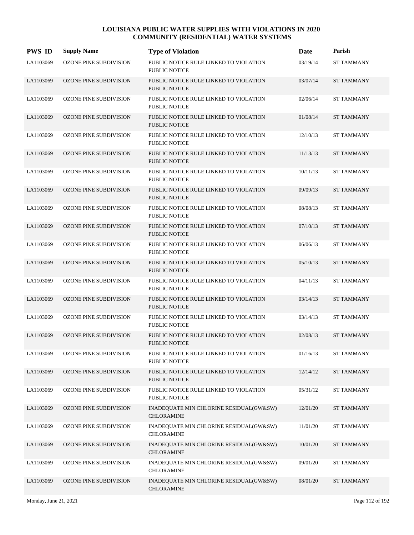| <b>PWS ID</b> | <b>Supply Name</b>            | <b>Type of Violation</b>                                       | Date     | Parish            |
|---------------|-------------------------------|----------------------------------------------------------------|----------|-------------------|
| LA1103069     | OZONE PINE SUBDIVISION        | PUBLIC NOTICE RULE LINKED TO VIOLATION<br><b>PUBLIC NOTICE</b> | 03/19/14 | ST TAMMANY        |
| LA1103069     | OZONE PINE SUBDIVISION        | PUBLIC NOTICE RULE LINKED TO VIOLATION<br><b>PUBLIC NOTICE</b> | 03/07/14 | <b>ST TAMMANY</b> |
| LA1103069     | OZONE PINE SUBDIVISION        | PUBLIC NOTICE RULE LINKED TO VIOLATION<br><b>PUBLIC NOTICE</b> | 02/06/14 | <b>ST TAMMANY</b> |
| LA1103069     | OZONE PINE SUBDIVISION        | PUBLIC NOTICE RULE LINKED TO VIOLATION<br><b>PUBLIC NOTICE</b> | 01/08/14 | <b>ST TAMMANY</b> |
| LA1103069     | OZONE PINE SUBDIVISION        | PUBLIC NOTICE RULE LINKED TO VIOLATION<br><b>PUBLIC NOTICE</b> | 12/10/13 | <b>ST TAMMANY</b> |
| LA1103069     | OZONE PINE SUBDIVISION        | PUBLIC NOTICE RULE LINKED TO VIOLATION<br><b>PUBLIC NOTICE</b> | 11/13/13 | <b>ST TAMMANY</b> |
| LA1103069     | OZONE PINE SUBDIVISION        | PUBLIC NOTICE RULE LINKED TO VIOLATION<br><b>PUBLIC NOTICE</b> | 10/11/13 | <b>ST TAMMANY</b> |
| LA1103069     | <b>OZONE PINE SUBDIVISION</b> | PUBLIC NOTICE RULE LINKED TO VIOLATION<br><b>PUBLIC NOTICE</b> | 09/09/13 | <b>ST TAMMANY</b> |
| LA1103069     | <b>OZONE PINE SUBDIVISION</b> | PUBLIC NOTICE RULE LINKED TO VIOLATION<br><b>PUBLIC NOTICE</b> | 08/08/13 | <b>ST TAMMANY</b> |
| LA1103069     | <b>OZONE PINE SUBDIVISION</b> | PUBLIC NOTICE RULE LINKED TO VIOLATION<br><b>PUBLIC NOTICE</b> | 07/10/13 | <b>ST TAMMANY</b> |
| LA1103069     | OZONE PINE SUBDIVISION        | PUBLIC NOTICE RULE LINKED TO VIOLATION<br><b>PUBLIC NOTICE</b> | 06/06/13 | <b>ST TAMMANY</b> |
| LA1103069     | <b>OZONE PINE SUBDIVISION</b> | PUBLIC NOTICE RULE LINKED TO VIOLATION<br><b>PUBLIC NOTICE</b> | 05/10/13 | <b>ST TAMMANY</b> |
| LA1103069     | OZONE PINE SUBDIVISION        | PUBLIC NOTICE RULE LINKED TO VIOLATION<br><b>PUBLIC NOTICE</b> | 04/11/13 | <b>ST TAMMANY</b> |
| LA1103069     | <b>OZONE PINE SUBDIVISION</b> | PUBLIC NOTICE RULE LINKED TO VIOLATION<br><b>PUBLIC NOTICE</b> | 03/14/13 | <b>ST TAMMANY</b> |
| LA1103069     | <b>OZONE PINE SUBDIVISION</b> | PUBLIC NOTICE RULE LINKED TO VIOLATION<br><b>PUBLIC NOTICE</b> | 03/14/13 | <b>ST TAMMANY</b> |
| LA1103069     | <b>OZONE PINE SUBDIVISION</b> | PUBLIC NOTICE RULE LINKED TO VIOLATION<br><b>PUBLIC NOTICE</b> | 02/08/13 | <b>ST TAMMANY</b> |
| LA1103069     | OZONE PINE SUBDIVISION        | PUBLIC NOTICE RULE LINKED TO VIOLATION<br>PUBLIC NOTICE        | 01/16/13 | <b>ST TAMMANY</b> |
| LA1103069     | OZONE PINE SUBDIVISION        | PUBLIC NOTICE RULE LINKED TO VIOLATION<br>PUBLIC NOTICE        | 12/14/12 | <b>ST TAMMANY</b> |
| LA1103069     | OZONE PINE SUBDIVISION        | PUBLIC NOTICE RULE LINKED TO VIOLATION<br>PUBLIC NOTICE        | 05/31/12 | <b>ST TAMMANY</b> |
| LA1103069     | OZONE PINE SUBDIVISION        | INADEQUATE MIN CHLORINE RESIDUAL(GW&SW)<br><b>CHLORAMINE</b>   | 12/01/20 | <b>ST TAMMANY</b> |
| LA1103069     | <b>OZONE PINE SUBDIVISION</b> | INADEQUATE MIN CHLORINE RESIDUAL(GW&SW)<br><b>CHLORAMINE</b>   | 11/01/20 | <b>ST TAMMANY</b> |
| LA1103069     | OZONE PINE SUBDIVISION        | INADEQUATE MIN CHLORINE RESIDUAL(GW&SW)<br><b>CHLORAMINE</b>   | 10/01/20 | <b>ST TAMMANY</b> |
| LA1103069     | OZONE PINE SUBDIVISION        | INADEQUATE MIN CHLORINE RESIDUAL(GW&SW)<br><b>CHLORAMINE</b>   | 09/01/20 | <b>ST TAMMANY</b> |
| LA1103069     | OZONE PINE SUBDIVISION        | INADEQUATE MIN CHLORINE RESIDUAL(GW&SW)<br><b>CHLORAMINE</b>   | 08/01/20 | <b>ST TAMMANY</b> |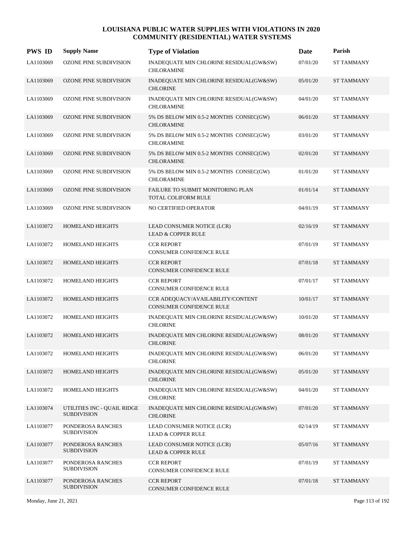| <b>PWS ID</b> | <b>Supply Name</b>                                | <b>Type of Violation</b>                                        | Date     | Parish            |
|---------------|---------------------------------------------------|-----------------------------------------------------------------|----------|-------------------|
| LA1103069     | OZONE PINE SUBDIVISION                            | INADEQUATE MIN CHLORINE RESIDUAL(GW&SW)<br><b>CHLORAMINE</b>    | 07/01/20 | <b>ST TAMMANY</b> |
| LA1103069     | OZONE PINE SUBDIVISION                            | INADEQUATE MIN CHLORINE RESIDUAL(GW&SW)<br><b>CHLORINE</b>      | 05/01/20 | <b>ST TAMMANY</b> |
| LA1103069     | OZONE PINE SUBDIVISION                            | INADEQUATE MIN CHLORINE RESIDUAL(GW&SW)<br><b>CHLORAMINE</b>    | 04/01/20 | <b>ST TAMMANY</b> |
| LA1103069     | OZONE PINE SUBDIVISION                            | 5% DS BELOW MIN 0.5-2 MONTHS CONSEC(GW)<br><b>CHLORAMINE</b>    | 06/01/20 | <b>ST TAMMANY</b> |
| LA1103069     | <b>OZONE PINE SUBDIVISION</b>                     | 5% DS BELOW MIN 0.5-2 MONTHS CONSEC(GW)<br><b>CHLORAMINE</b>    | 03/01/20 | <b>ST TAMMANY</b> |
| LA1103069     | OZONE PINE SUBDIVISION                            | 5% DS BELOW MIN 0.5-2 MONTHS CONSEC(GW)<br><b>CHLORAMINE</b>    | 02/01/20 | <b>ST TAMMANY</b> |
| LA1103069     | OZONE PINE SUBDIVISION                            | 5% DS BELOW MIN 0.5-2 MONTHS CONSEC(GW)<br><b>CHLORAMINE</b>    | 01/01/20 | <b>ST TAMMANY</b> |
| LA1103069     | <b>OZONE PINE SUBDIVISION</b>                     | FAILURE TO SUBMIT MONITORING PLAN<br><b>TOTAL COLIFORM RULE</b> | 01/01/14 | <b>ST TAMMANY</b> |
| LA1103069     | OZONE PINE SUBDIVISION                            | NO CERTIFIED OPERATOR                                           | 04/01/19 | <b>ST TAMMANY</b> |
| LA1103072     | HOMELAND HEIGHTS                                  | LEAD CONSUMER NOTICE (LCR)<br><b>LEAD &amp; COPPER RULE</b>     | 02/16/19 | <b>ST TAMMANY</b> |
| LA1103072     | HOMELAND HEIGHTS                                  | <b>CCR REPORT</b><br>CONSUMER CONFIDENCE RULE                   | 07/01/19 | <b>ST TAMMANY</b> |
| LA1103072     | <b>HOMELAND HEIGHTS</b>                           | <b>CCR REPORT</b><br><b>CONSUMER CONFIDENCE RULE</b>            | 07/01/18 | <b>ST TAMMANY</b> |
| LA1103072     | HOMELAND HEIGHTS                                  | <b>CCR REPORT</b><br>CONSUMER CONFIDENCE RULE                   | 07/01/17 | <b>ST TAMMANY</b> |
| LA1103072     | <b>HOMELAND HEIGHTS</b>                           | CCR ADEQUACY/AVAILABILITY/CONTENT<br>CONSUMER CONFIDENCE RULE   | 10/01/17 | <b>ST TAMMANY</b> |
| LA1103072     | HOMELAND HEIGHTS                                  | INADEQUATE MIN CHLORINE RESIDUAL(GW&SW)<br><b>CHLORINE</b>      | 10/01/20 | <b>ST TAMMANY</b> |
| LA1103072     | <b>HOMELAND HEIGHTS</b>                           | INADEQUATE MIN CHLORINE RESIDUAL(GW&SW)<br><b>CHLORINE</b>      | 08/01/20 | <b>ST TAMMANY</b> |
| LA1103072     | HOMELAND HEIGHTS                                  | INADEQUATE MIN CHLORINE RESIDUAL(GW&SW)<br><b>CHLORINE</b>      | 06/01/20 | <b>ST TAMMANY</b> |
| LA1103072     | <b>HOMELAND HEIGHTS</b>                           | INADEQUATE MIN CHLORINE RESIDUAL(GW&SW)<br><b>CHLORINE</b>      | 05/01/20 | <b>ST TAMMANY</b> |
| LA1103072     | HOMELAND HEIGHTS                                  | INADEQUATE MIN CHLORINE RESIDUAL(GW&SW)<br><b>CHLORINE</b>      | 04/01/20 | <b>ST TAMMANY</b> |
| LA1103074     | UTILITIES INC - QUAIL RIDGE<br><b>SUBDIVISION</b> | INADEQUATE MIN CHLORINE RESIDUAL(GW&SW)<br><b>CHLORINE</b>      | 07/01/20 | <b>ST TAMMANY</b> |
| LA1103077     | PONDEROSA RANCHES<br><b>SUBDIVISION</b>           | LEAD CONSUMER NOTICE (LCR)<br><b>LEAD &amp; COPPER RULE</b>     | 02/14/19 | <b>ST TAMMANY</b> |
| LA1103077     | PONDEROSA RANCHES<br><b>SUBDIVISION</b>           | LEAD CONSUMER NOTICE (LCR)<br><b>LEAD &amp; COPPER RULE</b>     | 05/07/16 | <b>ST TAMMANY</b> |
| LA1103077     | PONDEROSA RANCHES<br><b>SUBDIVISION</b>           | <b>CCR REPORT</b><br>CONSUMER CONFIDENCE RULE                   | 07/01/19 | <b>ST TAMMANY</b> |
| LA1103077     | PONDEROSA RANCHES<br><b>SUBDIVISION</b>           | <b>CCR REPORT</b><br>CONSUMER CONFIDENCE RULE                   | 07/01/18 | <b>ST TAMMANY</b> |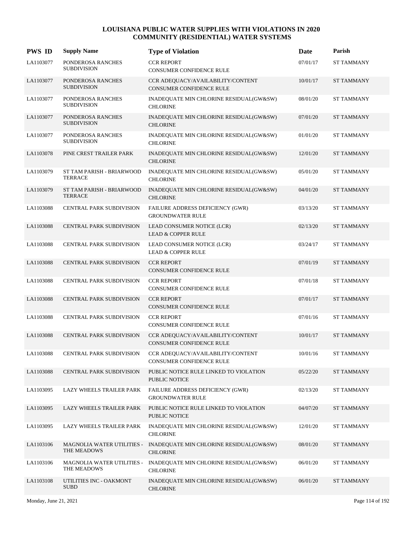| <b>PWS ID</b> | <b>Supply Name</b>                          | <b>Type of Violation</b>                                      | Date     | Parish            |
|---------------|---------------------------------------------|---------------------------------------------------------------|----------|-------------------|
| LA1103077     | PONDEROSA RANCHES<br><b>SUBDIVISION</b>     | <b>CCR REPORT</b><br>CONSUMER CONFIDENCE RULE                 | 07/01/17 | ST TAMMANY        |
| LA1103077     | PONDEROSA RANCHES<br><b>SUBDIVISION</b>     | CCR ADEQUACY/AVAILABILITY/CONTENT<br>CONSUMER CONFIDENCE RULE | 10/01/17 | <b>ST TAMMANY</b> |
| LA1103077     | PONDEROSA RANCHES<br><b>SUBDIVISION</b>     | INADEQUATE MIN CHLORINE RESIDUAL(GW&SW)<br><b>CHLORINE</b>    | 08/01/20 | <b>ST TAMMANY</b> |
| LA1103077     | PONDEROSA RANCHES<br><b>SUBDIVISION</b>     | INADEQUATE MIN CHLORINE RESIDUAL(GW&SW)<br><b>CHLORINE</b>    | 07/01/20 | <b>ST TAMMANY</b> |
| LA1103077     | PONDEROSA RANCHES<br><b>SUBDIVISION</b>     | INADEQUATE MIN CHLORINE RESIDUAL(GW&SW)<br><b>CHLORINE</b>    | 01/01/20 | <b>ST TAMMANY</b> |
| LA1103078     | PINE CREST TRAILER PARK                     | INADEQUATE MIN CHLORINE RESIDUAL(GW&SW)<br><b>CHLORINE</b>    | 12/01/20 | <b>ST TAMMANY</b> |
| LA1103079     | ST TAM PARISH - BRIARWOOD<br><b>TERRACE</b> | INADEQUATE MIN CHLORINE RESIDUAL(GW&SW)<br><b>CHLORINE</b>    | 05/01/20 | <b>ST TAMMANY</b> |
| LA1103079     | ST TAM PARISH - BRIARWOOD<br><b>TERRACE</b> | INADEQUATE MIN CHLORINE RESIDUAL(GW&SW)<br><b>CHLORINE</b>    | 04/01/20 | <b>ST TAMMANY</b> |
| LA1103088     | <b>CENTRAL PARK SUBDIVISION</b>             | FAILURE ADDRESS DEFICIENCY (GWR)<br><b>GROUNDWATER RULE</b>   | 03/13/20 | <b>ST TAMMANY</b> |
| LA1103088     | CENTRAL PARK SUBDIVISION                    | LEAD CONSUMER NOTICE (LCR)<br><b>LEAD &amp; COPPER RULE</b>   | 02/13/20 | <b>ST TAMMANY</b> |
| LA1103088     | CENTRAL PARK SUBDIVISION                    | LEAD CONSUMER NOTICE (LCR)<br><b>LEAD &amp; COPPER RULE</b>   | 03/24/17 | <b>ST TAMMANY</b> |
| LA1103088     | <b>CENTRAL PARK SUBDIVISION</b>             | <b>CCR REPORT</b><br>CONSUMER CONFIDENCE RULE                 | 07/01/19 | <b>ST TAMMANY</b> |
| LA1103088     | CENTRAL PARK SUBDIVISION                    | <b>CCR REPORT</b><br>CONSUMER CONFIDENCE RULE                 | 07/01/18 | <b>ST TAMMANY</b> |
| LA1103088     | CENTRAL PARK SUBDIVISION                    | <b>CCR REPORT</b><br>CONSUMER CONFIDENCE RULE                 | 07/01/17 | <b>ST TAMMANY</b> |
| LA1103088     | CENTRAL PARK SUBDIVISION                    | <b>CCR REPORT</b><br>CONSUMER CONFIDENCE RULE                 | 07/01/16 | <b>ST TAMMANY</b> |
| LA1103088     | <b>CENTRAL PARK SUBDIVISION</b>             | CCR ADEQUACY/AVAILABILITY/CONTENT<br>CONSUMER CONFIDENCE RULE | 10/01/17 | <b>ST TAMMANY</b> |
| LA1103088     | <b>CENTRAL PARK SUBDIVISION</b>             | CCR ADEQUACY/AVAILABILITY/CONTENT<br>CONSUMER CONFIDENCE RULE | 10/01/16 | ST TAMMANY        |
| LA1103088     | <b>CENTRAL PARK SUBDIVISION</b>             | PUBLIC NOTICE RULE LINKED TO VIOLATION<br>PUBLIC NOTICE       | 05/22/20 | <b>ST TAMMANY</b> |
| LA1103095     | LAZY WHEELS TRAILER PARK                    | FAILURE ADDRESS DEFICIENCY (GWR)<br><b>GROUNDWATER RULE</b>   | 02/13/20 | <b>ST TAMMANY</b> |
| LA1103095     | LAZY WHEELS TRAILER PARK                    | PUBLIC NOTICE RULE LINKED TO VIOLATION<br>PUBLIC NOTICE       | 04/07/20 | <b>ST TAMMANY</b> |
| LA1103095     | LAZY WHEELS TRAILER PARK                    | INADEQUATE MIN CHLORINE RESIDUAL(GW&SW)<br><b>CHLORINE</b>    | 12/01/20 | ST TAMMANY        |
| LA1103106     | MAGNOLIA WATER UTILITIES -<br>THE MEADOWS   | INADEQUATE MIN CHLORINE RESIDUAL(GW&SW)<br><b>CHLORINE</b>    | 08/01/20 | <b>ST TAMMANY</b> |
| LA1103106     | MAGNOLIA WATER UTILITIES -<br>THE MEADOWS   | INADEQUATE MIN CHLORINE RESIDUAL(GW&SW)<br><b>CHLORINE</b>    | 06/01/20 | <b>ST TAMMANY</b> |
| LA1103108     | UTILITIES INC - OAKMONT<br><b>SUBD</b>      | INADEQUATE MIN CHLORINE RESIDUAL(GW&SW)<br><b>CHLORINE</b>    | 06/01/20 | <b>ST TAMMANY</b> |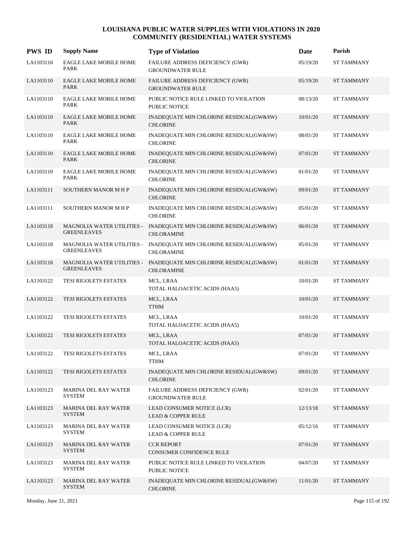| <b>PWS ID</b> | <b>Supply Name</b>                               | <b>Type of Violation</b>                                                                | Date     | Parish            |
|---------------|--------------------------------------------------|-----------------------------------------------------------------------------------------|----------|-------------------|
| LA1103110     | EAGLE LAKE MOBILE HOME<br>PARK                   | FAILURE ADDRESS DEFICIENCY (GWR)<br><b>GROUNDWATER RULE</b>                             | 05/19/20 | ST TAMMANY        |
| LA1103110     | <b>EAGLE LAKE MOBILE HOME</b><br><b>PARK</b>     | FAILURE ADDRESS DEFICIENCY (GWR)<br><b>GROUNDWATER RULE</b>                             | 05/19/20 | <b>ST TAMMANY</b> |
| LA1103110     | EAGLE LAKE MOBILE HOME<br><b>PARK</b>            | PUBLIC NOTICE RULE LINKED TO VIOLATION<br><b>PUBLIC NOTICE</b>                          | 08/13/20 | <b>ST TAMMANY</b> |
| LA1103110     | <b>EAGLE LAKE MOBILE HOME</b><br><b>PARK</b>     | INADEQUATE MIN CHLORINE RESIDUAL(GW&SW)<br><b>CHLORINE</b>                              | 10/01/20 | <b>ST TAMMANY</b> |
| LA1103110     | EAGLE LAKE MOBILE HOME<br><b>PARK</b>            | INADEQUATE MIN CHLORINE RESIDUAL(GW&SW)<br><b>CHLORINE</b>                              | 08/01/20 | <b>ST TAMMANY</b> |
| LA1103110     | <b>EAGLE LAKE MOBILE HOME</b><br><b>PARK</b>     | INADEQUATE MIN CHLORINE RESIDUAL(GW&SW)<br><b>CHLORINE</b>                              | 07/01/20 | <b>ST TAMMANY</b> |
| LA1103110     | <b>EAGLE LAKE MOBILE HOME</b><br><b>PARK</b>     | INADEQUATE MIN CHLORINE RESIDUAL(GW&SW)<br><b>CHLORINE</b>                              | 01/01/20 | <b>ST TAMMANY</b> |
| LA1103111     | <b>SOUTHERN MANOR M H P</b>                      | INADEQUATE MIN CHLORINE RESIDUAL(GW&SW)<br><b>CHLORINE</b>                              | 09/01/20 | <b>ST TAMMANY</b> |
| LA1103111     | SOUTHERN MANOR M H P                             | INADEQUATE MIN CHLORINE RESIDUAL(GW&SW)<br><b>CHLORINE</b>                              | 05/01/20 | <b>ST TAMMANY</b> |
| LA1103118     | <b>GREENLEAVES</b>                               | MAGNOLIA WATER UTILITIES - INADEQUATE MIN CHLORINE RESIDUAL(GW&SW)<br><b>CHLORAMINE</b> | 06/01/20 | <b>ST TAMMANY</b> |
| LA1103118     | MAGNOLIA WATER UTILITIES -<br><b>GREENLEAVES</b> | INADEQUATE MIN CHLORINE RESIDUAL(GW&SW)<br><b>CHLORAMINE</b>                            | 05/01/20 | <b>ST TAMMANY</b> |
| LA1103118     | <b>GREENLEAVES</b>                               | MAGNOLIA WATER UTILITIES - INADEQUATE MIN CHLORINE RESIDUAL(GW&SW)<br><b>CHLORAMINE</b> | 01/01/20 | <b>ST TAMMANY</b> |
| LA1103122     | TESI RIGOLETS ESTATES                            | MCL, LRAA<br>TOTAL HALOACETIC ACIDS (HAA5)                                              | 10/01/20 | <b>ST TAMMANY</b> |
| LA1103122     | TESI RIGOLETS ESTATES                            | MCL, LRAA<br><b>TTHM</b>                                                                | 10/01/20 | <b>ST TAMMANY</b> |
| LA1103122     | TESI RIGOLETS ESTATES                            | MCL, LRAA<br>TOTAL HALOACETIC ACIDS (HAA5)                                              | 10/01/20 | <b>ST TAMMANY</b> |
| LA1103122     | <b>TESI RIGOLETS ESTATES</b>                     | MCL, LRAA<br>TOTAL HALOACETIC ACIDS (HAA5)                                              | 07/01/20 | <b>ST TAMMANY</b> |
| LA1103122     | TESI RIGOLETS ESTATES                            | MCL, LRAA<br><b>TTHM</b>                                                                | 07/01/20 | <b>ST TAMMANY</b> |
| LA1103122     | <b>TESI RIGOLETS ESTATES</b>                     | INADEQUATE MIN CHLORINE RESIDUAL(GW&SW)<br><b>CHLORINE</b>                              | 09/01/20 | <b>ST TAMMANY</b> |
| LA1103123     | <b>MARINA DEL RAY WATER</b><br><b>SYSTEM</b>     | FAILURE ADDRESS DEFICIENCY (GWR)<br><b>GROUNDWATER RULE</b>                             | 02/01/20 | ST TAMMANY        |
| LA1103123     | <b>MARINA DEL RAY WATER</b><br><b>SYSTEM</b>     | LEAD CONSUMER NOTICE (LCR)<br><b>LEAD &amp; COPPER RULE</b>                             | 12/13/18 | <b>ST TAMMANY</b> |
| LA1103123     | <b>MARINA DEL RAY WATER</b><br><b>SYSTEM</b>     | LEAD CONSUMER NOTICE (LCR)<br><b>LEAD &amp; COPPER RULE</b>                             | 05/12/16 | <b>ST TAMMANY</b> |
| LA1103123     | <b>MARINA DEL RAY WATER</b><br><b>SYSTEM</b>     | <b>CCR REPORT</b><br>CONSUMER CONFIDENCE RULE                                           | 07/01/20 | <b>ST TAMMANY</b> |
| LA1103123     | <b>MARINA DEL RAY WATER</b><br>SYSTEM            | PUBLIC NOTICE RULE LINKED TO VIOLATION<br>PUBLIC NOTICE                                 | 04/07/20 | <b>ST TAMMANY</b> |
| LA1103123     | <b>MARINA DEL RAY WATER</b><br><b>SYSTEM</b>     | INADEQUATE MIN CHLORINE RESIDUAL(GW&SW)<br><b>CHLORINE</b>                              | 11/01/20 | ST TAMMANY        |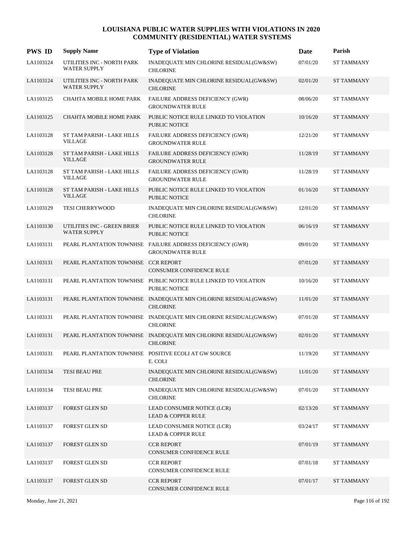| <b>PWS ID</b> | <b>Supply Name</b>                                 | <b>Type of Violation</b>                                                                | Date     | Parish            |
|---------------|----------------------------------------------------|-----------------------------------------------------------------------------------------|----------|-------------------|
| LA1103124     | UTILITIES INC - NORTH PARK<br><b>WATER SUPPLY</b>  | INADEQUATE MIN CHLORINE RESIDUAL(GW&SW)<br><b>CHLORINE</b>                              | 07/01/20 | ST TAMMANY        |
| LA1103124     | UTILITIES INC - NORTH PARK<br><b>WATER SUPPLY</b>  | INADEQUATE MIN CHLORINE RESIDUAL(GW&SW)<br><b>CHLORINE</b>                              | 02/01/20 | <b>ST TAMMANY</b> |
| LA1103125     | CHAHTA MOBILE HOME PARK                            | FAILURE ADDRESS DEFICIENCY (GWR)<br><b>GROUNDWATER RULE</b>                             | 08/06/20 | <b>ST TAMMANY</b> |
| LA1103125     | CHAHTA MOBILE HOME PARK                            | PUBLIC NOTICE RULE LINKED TO VIOLATION<br><b>PUBLIC NOTICE</b>                          | 10/16/20 | <b>ST TAMMANY</b> |
| LA1103128     | ST TAM PARISH - LAKE HILLS<br><b>VILLAGE</b>       | FAILURE ADDRESS DEFICIENCY (GWR)<br><b>GROUNDWATER RULE</b>                             | 12/21/20 | <b>ST TAMMANY</b> |
| LA1103128     | ST TAM PARISH - LAKE HILLS<br><b>VILLAGE</b>       | FAILURE ADDRESS DEFICIENCY (GWR)<br><b>GROUNDWATER RULE</b>                             | 11/28/19 | <b>ST TAMMANY</b> |
| LA1103128     | ST TAM PARISH - LAKE HILLS<br><b>VILLAGE</b>       | <b>FAILURE ADDRESS DEFICIENCY (GWR)</b><br><b>GROUNDWATER RULE</b>                      | 11/28/19 | <b>ST TAMMANY</b> |
| LA1103128     | ST TAM PARISH - LAKE HILLS<br><b>VILLAGE</b>       | PUBLIC NOTICE RULE LINKED TO VIOLATION<br><b>PUBLIC NOTICE</b>                          | 01/16/20 | <b>ST TAMMANY</b> |
| LA1103129     | TESI CHERRYWOOD                                    | INADEQUATE MIN CHLORINE RESIDUAL(GW&SW)<br><b>CHLORINE</b>                              | 12/01/20 | <b>ST TAMMANY</b> |
| LA1103130     | UTILITIES INC - GREEN BRIER<br><b>WATER SUPPLY</b> | PUBLIC NOTICE RULE LINKED TO VIOLATION<br><b>PUBLIC NOTICE</b>                          | 06/16/19 | <b>ST TAMMANY</b> |
| LA1103131     |                                                    | PEARL PLANTATION TOWNHSE FAILURE ADDRESS DEFICIENCY (GWR)<br><b>GROUNDWATER RULE</b>    | 09/01/20 | <b>ST TAMMANY</b> |
| LA1103131     | PEARL PLANTATION TOWNHSE CCR REPORT                | <b>CONSUMER CONFIDENCE RULE</b>                                                         | 07/01/20 | <b>ST TAMMANY</b> |
| LA1103131     |                                                    | PEARL PLANTATION TOWNHSE PUBLIC NOTICE RULE LINKED TO VIOLATION<br><b>PUBLIC NOTICE</b> | 10/16/20 | <b>ST TAMMANY</b> |
| LA1103131     |                                                    | PEARL PLANTATION TOWNHSE INADEQUATE MIN CHLORINE RESIDUAL(GW&SW)<br><b>CHLORINE</b>     | 11/01/20 | <b>ST TAMMANY</b> |
| LA1103131     |                                                    | PEARL PLANTATION TOWNHSE INADEQUATE MIN CHLORINE RESIDUAL(GW&SW)<br><b>CHLORINE</b>     | 07/01/20 | <b>ST TAMMANY</b> |
| LA1103131     |                                                    | PEARL PLANTATION TOWNHSE INADEQUATE MIN CHLORINE RESIDUAL(GW&SW)<br><b>CHLORINE</b>     | 02/01/20 | <b>ST TAMMANY</b> |
| LA1103131     |                                                    | PEARL PLANTATION TOWNHSE POSITIVE ECOLI AT GW SOURCE<br>E. COLI                         | 11/19/20 | <b>ST TAMMANY</b> |
| LA1103134     | TESI BEAU PRE                                      | INADEQUATE MIN CHLORINE RESIDUAL(GW&SW)<br><b>CHLORINE</b>                              | 11/01/20 | <b>ST TAMMANY</b> |
| LA1103134     | TESI BEAU PRE                                      | INADEQUATE MIN CHLORINE RESIDUAL(GW&SW)<br><b>CHLORINE</b>                              | 07/01/20 | <b>ST TAMMANY</b> |
| LA1103137     | FOREST GLEN SD                                     | LEAD CONSUMER NOTICE (LCR)<br><b>LEAD &amp; COPPER RULE</b>                             | 02/13/20 | <b>ST TAMMANY</b> |
| LA1103137     | FOREST GLEN SD                                     | LEAD CONSUMER NOTICE (LCR)<br>LEAD & COPPER RULE                                        | 03/24/17 | <b>ST TAMMANY</b> |
| LA1103137     | FOREST GLEN SD                                     | <b>CCR REPORT</b><br>CONSUMER CONFIDENCE RULE                                           | 07/01/19 | <b>ST TAMMANY</b> |
| LA1103137     | FOREST GLEN SD                                     | <b>CCR REPORT</b><br>CONSUMER CONFIDENCE RULE                                           | 07/01/18 | <b>ST TAMMANY</b> |
| LA1103137     | FOREST GLEN SD                                     | <b>CCR REPORT</b><br>CONSUMER CONFIDENCE RULE                                           | 07/01/17 | <b>ST TAMMANY</b> |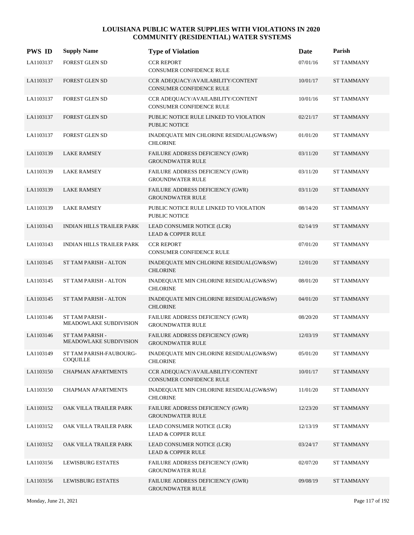| <b>PWS ID</b> | <b>Supply Name</b>                               | <b>Type of Violation</b>                                             | Date     | Parish            |
|---------------|--------------------------------------------------|----------------------------------------------------------------------|----------|-------------------|
| LA1103137     | <b>FOREST GLEN SD</b>                            | <b>CCR REPORT</b><br>CONSUMER CONFIDENCE RULE                        | 07/01/16 | ST TAMMANY        |
| LA1103137     | <b>FOREST GLEN SD</b>                            | CCR ADEQUACY/AVAILABILITY/CONTENT<br>CONSUMER CONFIDENCE RULE        | 10/01/17 | <b>ST TAMMANY</b> |
| LA1103137     | <b>FOREST GLEN SD</b>                            | CCR ADEQUACY/AVAILABILITY/CONTENT<br><b>CONSUMER CONFIDENCE RULE</b> | 10/01/16 | <b>ST TAMMANY</b> |
| LA1103137     | <b>FOREST GLEN SD</b>                            | PUBLIC NOTICE RULE LINKED TO VIOLATION<br>PUBLIC NOTICE              | 02/21/17 | <b>ST TAMMANY</b> |
| LA1103137     | FOREST GLEN SD                                   | INADEQUATE MIN CHLORINE RESIDUAL(GW&SW)<br><b>CHLORINE</b>           | 01/01/20 | <b>ST TAMMANY</b> |
| LA1103139     | <b>LAKE RAMSEY</b>                               | FAILURE ADDRESS DEFICIENCY (GWR)<br><b>GROUNDWATER RULE</b>          | 03/11/20 | <b>ST TAMMANY</b> |
| LA1103139     | <b>LAKE RAMSEY</b>                               | <b>FAILURE ADDRESS DEFICIENCY (GWR)</b><br><b>GROUNDWATER RULE</b>   | 03/11/20 | <b>ST TAMMANY</b> |
| LA1103139     | <b>LAKE RAMSEY</b>                               | FAILURE ADDRESS DEFICIENCY (GWR)<br><b>GROUNDWATER RULE</b>          | 03/11/20 | <b>ST TAMMANY</b> |
| LA1103139     | <b>LAKE RAMSEY</b>                               | PUBLIC NOTICE RULE LINKED TO VIOLATION<br><b>PUBLIC NOTICE</b>       | 08/14/20 | <b>ST TAMMANY</b> |
| LA1103143     | INDIAN HILLS TRAILER PARK                        | LEAD CONSUMER NOTICE (LCR)<br><b>LEAD &amp; COPPER RULE</b>          | 02/14/19 | <b>ST TAMMANY</b> |
| LA1103143     | INDIAN HILLS TRAILER PARK                        | <b>CCR REPORT</b><br>CONSUMER CONFIDENCE RULE                        | 07/01/20 | <b>ST TAMMANY</b> |
| LA1103145     | ST TAM PARISH - ALTON                            | INADEQUATE MIN CHLORINE RESIDUAL(GW&SW)<br><b>CHLORINE</b>           | 12/01/20 | <b>ST TAMMANY</b> |
| LA1103145     | ST TAM PARISH - ALTON                            | INADEQUATE MIN CHLORINE RESIDUAL(GW&SW)<br><b>CHLORINE</b>           | 08/01/20 | <b>ST TAMMANY</b> |
| LA1103145     | ST TAM PARISH - ALTON                            | INADEQUATE MIN CHLORINE RESIDUAL(GW&SW)<br><b>CHLORINE</b>           | 04/01/20 | <b>ST TAMMANY</b> |
| LA1103146     | ST TAM PARISH -<br>MEADOWLAKE SUBDIVISION        | FAILURE ADDRESS DEFICIENCY (GWR)<br><b>GROUNDWATER RULE</b>          | 08/20/20 | <b>ST TAMMANY</b> |
| LA1103146     | <b>ST TAM PARISH -</b><br>MEADOWLAKE SUBDIVISION | FAILURE ADDRESS DEFICIENCY (GWR)<br><b>GROUNDWATER RULE</b>          | 12/03/19 | <b>ST TAMMANY</b> |
| LA1103149     | ST TAM PARISH-FAUBOURG-<br><b>COQUILLE</b>       | INADEQUATE MIN CHLORINE RESIDUAL(GW&SW)<br><b>CHLORINE</b>           | 05/01/20 | <b>ST TAMMANY</b> |
| LA1103150     | <b>CHAPMAN APARTMENTS</b>                        | CCR ADEQUACY/AVAILABILITY/CONTENT<br>CONSUMER CONFIDENCE RULE        | 10/01/17 | ST TAMMANY        |
| LA1103150     | <b>CHAPMAN APARTMENTS</b>                        | INADEQUATE MIN CHLORINE RESIDUAL(GW&SW)<br><b>CHLORINE</b>           | 11/01/20 | <b>ST TAMMANY</b> |
| LA1103152     | OAK VILLA TRAILER PARK                           | FAILURE ADDRESS DEFICIENCY (GWR)<br><b>GROUNDWATER RULE</b>          | 12/23/20 | ST TAMMANY        |
| LA1103152     | OAK VILLA TRAILER PARK                           | LEAD CONSUMER NOTICE (LCR)<br><b>LEAD &amp; COPPER RULE</b>          | 12/13/19 | <b>ST TAMMANY</b> |
| LA1103152     | OAK VILLA TRAILER PARK                           | LEAD CONSUMER NOTICE (LCR)<br><b>LEAD &amp; COPPER RULE</b>          | 03/24/17 | <b>ST TAMMANY</b> |
| LA1103156     | LEWISBURG ESTATES                                | FAILURE ADDRESS DEFICIENCY (GWR)<br><b>GROUNDWATER RULE</b>          | 02/07/20 | <b>ST TAMMANY</b> |
| LA1103156     | <b>LEWISBURG ESTATES</b>                         | FAILURE ADDRESS DEFICIENCY (GWR)<br><b>GROUNDWATER RULE</b>          | 09/08/19 | ST TAMMANY        |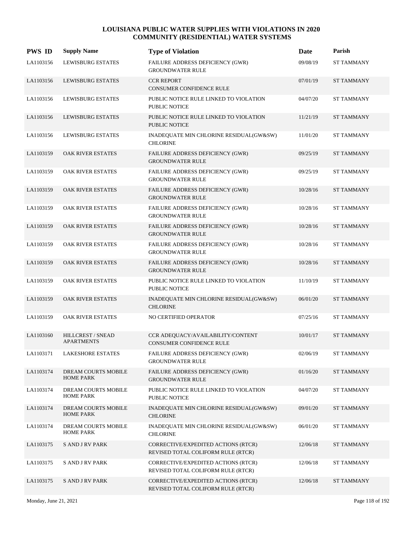| <b>PWS ID</b> | <b>Supply Name</b>                      | <b>Type of Violation</b>                                                  | Date     | Parish            |
|---------------|-----------------------------------------|---------------------------------------------------------------------------|----------|-------------------|
| LA1103156     | <b>LEWISBURG ESTATES</b>                | FAILURE ADDRESS DEFICIENCY (GWR)<br><b>GROUNDWATER RULE</b>               | 09/08/19 | <b>ST TAMMANY</b> |
| LA1103156     | <b>LEWISBURG ESTATES</b>                | <b>CCR REPORT</b><br><b>CONSUMER CONFIDENCE RULE</b>                      | 07/01/19 | <b>ST TAMMANY</b> |
| LA1103156     | <b>LEWISBURG ESTATES</b>                | PUBLIC NOTICE RULE LINKED TO VIOLATION<br><b>PUBLIC NOTICE</b>            | 04/07/20 | <b>ST TAMMANY</b> |
| LA1103156     | <b>LEWISBURG ESTATES</b>                | PUBLIC NOTICE RULE LINKED TO VIOLATION<br><b>PUBLIC NOTICE</b>            | 11/21/19 | <b>ST TAMMANY</b> |
| LA1103156     | LEWISBURG ESTATES                       | INADEQUATE MIN CHLORINE RESIDUAL(GW&SW)<br><b>CHLORINE</b>                | 11/01/20 | <b>ST TAMMANY</b> |
| LA1103159     | OAK RIVER ESTATES                       | FAILURE ADDRESS DEFICIENCY (GWR)<br><b>GROUNDWATER RULE</b>               | 09/25/19 | <b>ST TAMMANY</b> |
| LA1103159     | OAK RIVER ESTATES                       | FAILURE ADDRESS DEFICIENCY (GWR)<br><b>GROUNDWATER RULE</b>               | 09/25/19 | <b>ST TAMMANY</b> |
| LA1103159     | <b>OAK RIVER ESTATES</b>                | FAILURE ADDRESS DEFICIENCY (GWR)<br><b>GROUNDWATER RULE</b>               | 10/28/16 | <b>ST TAMMANY</b> |
| LA1103159     | OAK RIVER ESTATES                       | FAILURE ADDRESS DEFICIENCY (GWR)<br><b>GROUNDWATER RULE</b>               | 10/28/16 | <b>ST TAMMANY</b> |
| LA1103159     | OAK RIVER ESTATES                       | FAILURE ADDRESS DEFICIENCY (GWR)<br><b>GROUNDWATER RULE</b>               | 10/28/16 | <b>ST TAMMANY</b> |
| LA1103159     | OAK RIVER ESTATES                       | FAILURE ADDRESS DEFICIENCY (GWR)<br><b>GROUNDWATER RULE</b>               | 10/28/16 | <b>ST TAMMANY</b> |
| LA1103159     | <b>OAK RIVER ESTATES</b>                | FAILURE ADDRESS DEFICIENCY (GWR)<br><b>GROUNDWATER RULE</b>               | 10/28/16 | <b>ST TAMMANY</b> |
| LA1103159     | OAK RIVER ESTATES                       | PUBLIC NOTICE RULE LINKED TO VIOLATION<br><b>PUBLIC NOTICE</b>            | 11/10/19 | <b>ST TAMMANY</b> |
| LA1103159     | OAK RIVER ESTATES                       | INADEQUATE MIN CHLORINE RESIDUAL(GW&SW)<br><b>CHLORINE</b>                | 06/01/20 | <b>ST TAMMANY</b> |
| LA1103159     | OAK RIVER ESTATES                       | NO CERTIFIED OPERATOR                                                     | 07/25/16 | <b>ST TAMMANY</b> |
| LA1103160     | HILLCREST / SNEAD<br><b>APARTMENTS</b>  | CCR ADEQUACY/AVAILABILITY/CONTENT<br><b>CONSUMER CONFIDENCE RULE</b>      | 10/01/17 | <b>ST TAMMANY</b> |
| LA1103171     | <b>LAKESHORE ESTATES</b>                | FAILURE ADDRESS DEFICIENCY (GWR)<br><b>GROUNDWATER RULE</b>               | 02/06/19 | <b>ST TAMMANY</b> |
| LA1103174     | DREAM COURTS MOBILE<br><b>HOME PARK</b> | FAILURE ADDRESS DEFICIENCY (GWR)<br><b>GROUNDWATER RULE</b>               | 01/16/20 | <b>ST TAMMANY</b> |
| LA1103174     | DREAM COURTS MOBILE<br><b>HOME PARK</b> | PUBLIC NOTICE RULE LINKED TO VIOLATION<br>PUBLIC NOTICE                   | 04/07/20 | <b>ST TAMMANY</b> |
| LA1103174     | DREAM COURTS MOBILE<br><b>HOME PARK</b> | INADEQUATE MIN CHLORINE RESIDUAL(GW&SW)<br><b>CHLORINE</b>                | 09/01/20 | <b>ST TAMMANY</b> |
| LA1103174     | DREAM COURTS MOBILE<br><b>HOME PARK</b> | INADEQUATE MIN CHLORINE RESIDUAL(GW&SW)<br><b>CHLORINE</b>                | 06/01/20 | <b>ST TAMMANY</b> |
| LA1103175     | <b>SAND JRV PARK</b>                    | CORRECTIVE/EXPEDITED ACTIONS (RTCR)<br>REVISED TOTAL COLIFORM RULE (RTCR) | 12/06/18 | <b>ST TAMMANY</b> |
| LA1103175     | <b>SAND JRV PARK</b>                    | CORRECTIVE/EXPEDITED ACTIONS (RTCR)<br>REVISED TOTAL COLIFORM RULE (RTCR) | 12/06/18 | <b>ST TAMMANY</b> |
| LA1103175     | <b>S AND J RV PARK</b>                  | CORRECTIVE/EXPEDITED ACTIONS (RTCR)<br>REVISED TOTAL COLIFORM RULE (RTCR) | 12/06/18 | <b>ST TAMMANY</b> |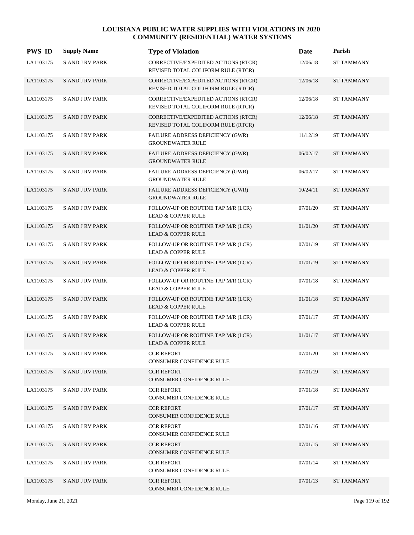| <b>PWS ID</b> | <b>Supply Name</b>     | <b>Type of Violation</b>                                                  | Date     | Parish            |
|---------------|------------------------|---------------------------------------------------------------------------|----------|-------------------|
| LA1103175     | <b>S AND J RV PARK</b> | CORRECTIVE/EXPEDITED ACTIONS (RTCR)<br>REVISED TOTAL COLIFORM RULE (RTCR) | 12/06/18 | <b>ST TAMMANY</b> |
| LA1103175     | <b>SAND J RV PARK</b>  | CORRECTIVE/EXPEDITED ACTIONS (RTCR)<br>REVISED TOTAL COLIFORM RULE (RTCR) | 12/06/18 | <b>ST TAMMANY</b> |
| LA1103175     | <b>SAND JRV PARK</b>   | CORRECTIVE/EXPEDITED ACTIONS (RTCR)<br>REVISED TOTAL COLIFORM RULE (RTCR) | 12/06/18 | <b>ST TAMMANY</b> |
| LA1103175     | <b>SAND JRV PARK</b>   | CORRECTIVE/EXPEDITED ACTIONS (RTCR)<br>REVISED TOTAL COLIFORM RULE (RTCR) | 12/06/18 | <b>ST TAMMANY</b> |
| LA1103175     | <b>SAND JRV PARK</b>   | FAILURE ADDRESS DEFICIENCY (GWR)<br><b>GROUNDWATER RULE</b>               | 11/12/19 | ST TAMMANY        |
| LA1103175     | <b>SAND JRV PARK</b>   | FAILURE ADDRESS DEFICIENCY (GWR)<br><b>GROUNDWATER RULE</b>               | 06/02/17 | <b>ST TAMMANY</b> |
| LA1103175     | <b>SAND JRV PARK</b>   | FAILURE ADDRESS DEFICIENCY (GWR)<br><b>GROUNDWATER RULE</b>               | 06/02/17 | <b>ST TAMMANY</b> |
| LA1103175     | <b>SAND JRV PARK</b>   | FAILURE ADDRESS DEFICIENCY (GWR)<br><b>GROUNDWATER RULE</b>               | 10/24/11 | <b>ST TAMMANY</b> |
| LA1103175     | <b>SAND JRV PARK</b>   | FOLLOW-UP OR ROUTINE TAP M/R (LCR)<br><b>LEAD &amp; COPPER RULE</b>       | 07/01/20 | ST TAMMANY        |
| LA1103175     | <b>SAND JRV PARK</b>   | FOLLOW-UP OR ROUTINE TAP M/R (LCR)<br><b>LEAD &amp; COPPER RULE</b>       | 01/01/20 | <b>ST TAMMANY</b> |
| LA1103175     | <b>SAND JRV PARK</b>   | FOLLOW-UP OR ROUTINE TAP M/R (LCR)<br><b>LEAD &amp; COPPER RULE</b>       | 07/01/19 | ST TAMMANY        |
| LA1103175     | <b>SAND JRV PARK</b>   | FOLLOW-UP OR ROUTINE TAP M/R (LCR)<br><b>LEAD &amp; COPPER RULE</b>       | 01/01/19 | ST TAMMANY        |
| LA1103175     | <b>S AND J RV PARK</b> | FOLLOW-UP OR ROUTINE TAP M/R (LCR)<br><b>LEAD &amp; COPPER RULE</b>       | 07/01/18 | ST TAMMANY        |
| LA1103175     | <b>SAND JRV PARK</b>   | FOLLOW-UP OR ROUTINE TAP M/R (LCR)<br><b>LEAD &amp; COPPER RULE</b>       | 01/01/18 | ST TAMMANY        |
| LA1103175     | <b>S AND J RV PARK</b> | FOLLOW-UP OR ROUTINE TAP M/R (LCR)<br><b>LEAD &amp; COPPER RULE</b>       | 07/01/17 | ST TAMMANY        |
| LA1103175     | <b>SAND JRV PARK</b>   | FOLLOW-UP OR ROUTINE TAP M/R (LCR)<br><b>LEAD &amp; COPPER RULE</b>       | 01/01/17 | <b>ST TAMMANY</b> |
| LA1103175     | <b>SAND JRV PARK</b>   | <b>CCR REPORT</b><br>CONSUMER CONFIDENCE RULE                             | 07/01/20 | <b>ST TAMMANY</b> |
| LA1103175     | <b>SAND JRV PARK</b>   | <b>CCR REPORT</b><br>CONSUMER CONFIDENCE RULE                             | 07/01/19 | <b>ST TAMMANY</b> |
| LA1103175     | <b>SAND JRV PARK</b>   | <b>CCR REPORT</b><br>CONSUMER CONFIDENCE RULE                             | 07/01/18 | ST TAMMANY        |
| LA1103175     | <b>SAND JRV PARK</b>   | <b>CCR REPORT</b><br><b>CONSUMER CONFIDENCE RULE</b>                      | 07/01/17 | ST TAMMANY        |
| LA1103175     | <b>SAND JRV PARK</b>   | <b>CCR REPORT</b><br>CONSUMER CONFIDENCE RULE                             | 07/01/16 | ST TAMMANY        |
| LA1103175     | <b>SAND JRV PARK</b>   | <b>CCR REPORT</b><br>CONSUMER CONFIDENCE RULE                             | 07/01/15 | <b>ST TAMMANY</b> |
| LA1103175     | S AND J RV PARK        | CCR REPORT<br>CONSUMER CONFIDENCE RULE                                    | 07/01/14 | ST TAMMANY        |
| LA1103175     | <b>SAND JRV PARK</b>   | <b>CCR REPORT</b><br>CONSUMER CONFIDENCE RULE                             | 07/01/13 | ST TAMMANY        |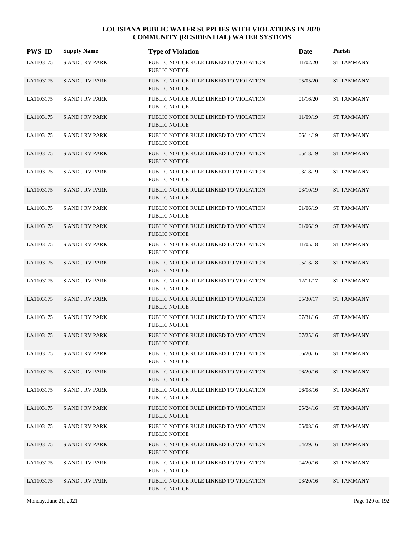| <b>PWS ID</b> | <b>Supply Name</b>     | <b>Type of Violation</b>                                       | Date     | Parish            |
|---------------|------------------------|----------------------------------------------------------------|----------|-------------------|
| LA1103175     | <b>S AND J RV PARK</b> | PUBLIC NOTICE RULE LINKED TO VIOLATION<br><b>PUBLIC NOTICE</b> | 11/02/20 | <b>ST TAMMANY</b> |
| LA1103175     | <b>SAND JRV PARK</b>   | PUBLIC NOTICE RULE LINKED TO VIOLATION<br><b>PUBLIC NOTICE</b> | 05/05/20 | <b>ST TAMMANY</b> |
| LA1103175     | <b>SAND JRV PARK</b>   | PUBLIC NOTICE RULE LINKED TO VIOLATION<br>PUBLIC NOTICE        | 01/16/20 | <b>ST TAMMANY</b> |
| LA1103175     | <b>SAND JRV PARK</b>   | PUBLIC NOTICE RULE LINKED TO VIOLATION<br><b>PUBLIC NOTICE</b> | 11/09/19 | <b>ST TAMMANY</b> |
| LA1103175     | <b>SAND JRV PARK</b>   | PUBLIC NOTICE RULE LINKED TO VIOLATION<br><b>PUBLIC NOTICE</b> | 06/14/19 | <b>ST TAMMANY</b> |
| LA1103175     | <b>SAND JRV PARK</b>   | PUBLIC NOTICE RULE LINKED TO VIOLATION<br><b>PUBLIC NOTICE</b> | 05/18/19 | <b>ST TAMMANY</b> |
| LA1103175     | <b>S AND J RV PARK</b> | PUBLIC NOTICE RULE LINKED TO VIOLATION<br><b>PUBLIC NOTICE</b> | 03/18/19 | <b>ST TAMMANY</b> |
| LA1103175     | <b>SAND JRV PARK</b>   | PUBLIC NOTICE RULE LINKED TO VIOLATION<br><b>PUBLIC NOTICE</b> | 03/10/19 | <b>ST TAMMANY</b> |
| LA1103175     | <b>SAND JRV PARK</b>   | PUBLIC NOTICE RULE LINKED TO VIOLATION<br><b>PUBLIC NOTICE</b> | 01/06/19 | <b>ST TAMMANY</b> |
| LA1103175     | <b>SAND JRV PARK</b>   | PUBLIC NOTICE RULE LINKED TO VIOLATION<br><b>PUBLIC NOTICE</b> | 01/06/19 | <b>ST TAMMANY</b> |
| LA1103175     | <b>SAND JRV PARK</b>   | PUBLIC NOTICE RULE LINKED TO VIOLATION<br><b>PUBLIC NOTICE</b> | 11/05/18 | <b>ST TAMMANY</b> |
| LA1103175     | <b>SAND JRV PARK</b>   | PUBLIC NOTICE RULE LINKED TO VIOLATION<br><b>PUBLIC NOTICE</b> | 05/13/18 | <b>ST TAMMANY</b> |
| LA1103175     | <b>S AND J RV PARK</b> | PUBLIC NOTICE RULE LINKED TO VIOLATION<br><b>PUBLIC NOTICE</b> | 12/11/17 | <b>ST TAMMANY</b> |
| LA1103175     | <b>SAND JRV PARK</b>   | PUBLIC NOTICE RULE LINKED TO VIOLATION<br><b>PUBLIC NOTICE</b> | 05/30/17 | <b>ST TAMMANY</b> |
| LA1103175     | <b>SAND JRV PARK</b>   | PUBLIC NOTICE RULE LINKED TO VIOLATION<br><b>PUBLIC NOTICE</b> | 07/31/16 | <b>ST TAMMANY</b> |
| LA1103175     | <b>SAND JRV PARK</b>   | PUBLIC NOTICE RULE LINKED TO VIOLATION<br><b>PUBLIC NOTICE</b> | 07/25/16 | <b>ST TAMMANY</b> |
| LA1103175     | <b>SAND JRV PARK</b>   | PUBLIC NOTICE RULE LINKED TO VIOLATION<br>PUBLIC NOTICE        | 06/20/16 | <b>ST TAMMANY</b> |
| LA1103175     | <b>SAND JRV PARK</b>   | PUBLIC NOTICE RULE LINKED TO VIOLATION<br>PUBLIC NOTICE        | 06/20/16 | <b>ST TAMMANY</b> |
| LA1103175     | <b>SAND JRV PARK</b>   | PUBLIC NOTICE RULE LINKED TO VIOLATION<br>PUBLIC NOTICE        | 06/08/16 | <b>ST TAMMANY</b> |
| LA1103175     | <b>SAND JRV PARK</b>   | PUBLIC NOTICE RULE LINKED TO VIOLATION<br>PUBLIC NOTICE        | 05/24/16 | <b>ST TAMMANY</b> |
| LA1103175     | <b>SAND JRV PARK</b>   | PUBLIC NOTICE RULE LINKED TO VIOLATION<br>PUBLIC NOTICE        | 05/08/16 | <b>ST TAMMANY</b> |
| LA1103175     | <b>SAND JRV PARK</b>   | PUBLIC NOTICE RULE LINKED TO VIOLATION<br>PUBLIC NOTICE        | 04/29/16 | ST TAMMANY        |
| LA1103175     | <b>SAND JRV PARK</b>   | PUBLIC NOTICE RULE LINKED TO VIOLATION<br>PUBLIC NOTICE        | 04/20/16 | <b>ST TAMMANY</b> |
| LA1103175     | <b>SAND JRV PARK</b>   | PUBLIC NOTICE RULE LINKED TO VIOLATION<br>PUBLIC NOTICE        | 03/20/16 | <b>ST TAMMANY</b> |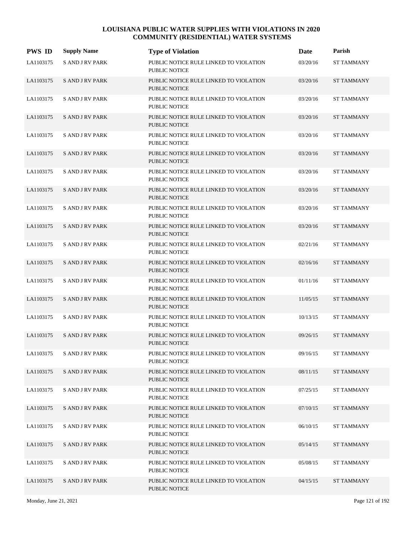| <b>PWS ID</b> | <b>Supply Name</b>     | <b>Type of Violation</b>                                       | Date     | Parish            |
|---------------|------------------------|----------------------------------------------------------------|----------|-------------------|
| LA1103175     | <b>SAND JRV PARK</b>   | PUBLIC NOTICE RULE LINKED TO VIOLATION<br><b>PUBLIC NOTICE</b> | 03/20/16 | <b>ST TAMMANY</b> |
| LA1103175     | <b>SAND J RV PARK</b>  | PUBLIC NOTICE RULE LINKED TO VIOLATION<br><b>PUBLIC NOTICE</b> | 03/20/16 | <b>ST TAMMANY</b> |
| LA1103175     | <b>SAND JRV PARK</b>   | PUBLIC NOTICE RULE LINKED TO VIOLATION<br><b>PUBLIC NOTICE</b> | 03/20/16 | <b>ST TAMMANY</b> |
| LA1103175     | <b>SAND JRV PARK</b>   | PUBLIC NOTICE RULE LINKED TO VIOLATION<br>PUBLIC NOTICE        | 03/20/16 | <b>ST TAMMANY</b> |
| LA1103175     | <b>SAND JRV PARK</b>   | PUBLIC NOTICE RULE LINKED TO VIOLATION<br><b>PUBLIC NOTICE</b> | 03/20/16 | <b>ST TAMMANY</b> |
| LA1103175     | <b>SAND JRV PARK</b>   | PUBLIC NOTICE RULE LINKED TO VIOLATION<br><b>PUBLIC NOTICE</b> | 03/20/16 | <b>ST TAMMANY</b> |
| LA1103175     | <b>SAND JRV PARK</b>   | PUBLIC NOTICE RULE LINKED TO VIOLATION<br>PUBLIC NOTICE        | 03/20/16 | <b>ST TAMMANY</b> |
| LA1103175     | <b>SAND JRV PARK</b>   | PUBLIC NOTICE RULE LINKED TO VIOLATION<br><b>PUBLIC NOTICE</b> | 03/20/16 | <b>ST TAMMANY</b> |
| LA1103175     | <b>SAND JRV PARK</b>   | PUBLIC NOTICE RULE LINKED TO VIOLATION<br><b>PUBLIC NOTICE</b> | 03/20/16 | <b>ST TAMMANY</b> |
| LA1103175     | <b>SAND JRV PARK</b>   | PUBLIC NOTICE RULE LINKED TO VIOLATION<br><b>PUBLIC NOTICE</b> | 03/20/16 | <b>ST TAMMANY</b> |
| LA1103175     | <b>SAND JRV PARK</b>   | PUBLIC NOTICE RULE LINKED TO VIOLATION<br><b>PUBLIC NOTICE</b> | 02/21/16 | <b>ST TAMMANY</b> |
| LA1103175     | <b>SAND JRV PARK</b>   | PUBLIC NOTICE RULE LINKED TO VIOLATION<br><b>PUBLIC NOTICE</b> | 02/16/16 | <b>ST TAMMANY</b> |
| LA1103175     | <b>SAND JRV PARK</b>   | PUBLIC NOTICE RULE LINKED TO VIOLATION<br><b>PUBLIC NOTICE</b> | 01/11/16 | <b>ST TAMMANY</b> |
| LA1103175     | <b>SAND JRV PARK</b>   | PUBLIC NOTICE RULE LINKED TO VIOLATION<br><b>PUBLIC NOTICE</b> | 11/05/15 | <b>ST TAMMANY</b> |
| LA1103175     | <b>SAND JRV PARK</b>   | PUBLIC NOTICE RULE LINKED TO VIOLATION<br><b>PUBLIC NOTICE</b> | 10/13/15 | <b>ST TAMMANY</b> |
| LA1103175     | <b>S AND J RV PARK</b> | PUBLIC NOTICE RULE LINKED TO VIOLATION<br><b>PUBLIC NOTICE</b> | 09/26/15 | <b>ST TAMMANY</b> |
| LA1103175     | <b>SAND JRV PARK</b>   | PUBLIC NOTICE RULE LINKED TO VIOLATION<br><b>PUBLIC NOTICE</b> | 09/16/15 | <b>ST TAMMANY</b> |
| LA1103175     | <b>SAND JRV PARK</b>   | PUBLIC NOTICE RULE LINKED TO VIOLATION<br>PUBLIC NOTICE        | 08/11/15 | <b>ST TAMMANY</b> |
| LA1103175     | <b>SAND JRV PARK</b>   | PUBLIC NOTICE RULE LINKED TO VIOLATION<br>PUBLIC NOTICE        | 07/25/15 | ST TAMMANY        |
| LA1103175     | <b>SAND JRV PARK</b>   | PUBLIC NOTICE RULE LINKED TO VIOLATION<br><b>PUBLIC NOTICE</b> | 07/10/15 | <b>ST TAMMANY</b> |
| LA1103175     | <b>S AND J RV PARK</b> | PUBLIC NOTICE RULE LINKED TO VIOLATION<br><b>PUBLIC NOTICE</b> | 06/10/15 | <b>ST TAMMANY</b> |
| LA1103175     | <b>S AND J RV PARK</b> | PUBLIC NOTICE RULE LINKED TO VIOLATION<br>PUBLIC NOTICE        | 05/14/15 | <b>ST TAMMANY</b> |
| LA1103175     | <b>SAND JRV PARK</b>   | PUBLIC NOTICE RULE LINKED TO VIOLATION<br><b>PUBLIC NOTICE</b> | 05/08/15 | <b>ST TAMMANY</b> |
| LA1103175     | <b>SAND JRV PARK</b>   | PUBLIC NOTICE RULE LINKED TO VIOLATION<br>PUBLIC NOTICE        | 04/15/15 | <b>ST TAMMANY</b> |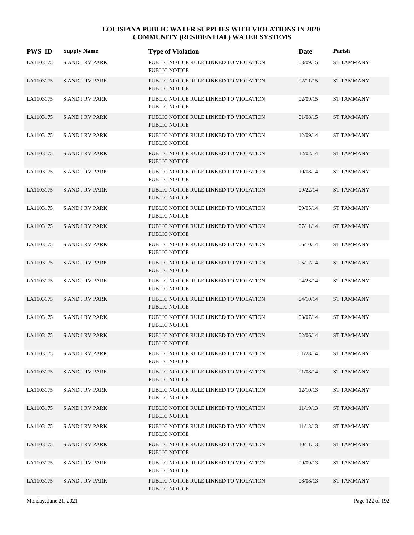| <b>PWS ID</b> | <b>Supply Name</b>     | <b>Type of Violation</b>                                       | Date     | Parish            |
|---------------|------------------------|----------------------------------------------------------------|----------|-------------------|
| LA1103175     | <b>S AND J RV PARK</b> | PUBLIC NOTICE RULE LINKED TO VIOLATION<br><b>PUBLIC NOTICE</b> | 03/09/15 | <b>ST TAMMANY</b> |
| LA1103175     | <b>SAND JRV PARK</b>   | PUBLIC NOTICE RULE LINKED TO VIOLATION<br><b>PUBLIC NOTICE</b> | 02/11/15 | <b>ST TAMMANY</b> |
| LA1103175     | <b>SAND JRV PARK</b>   | PUBLIC NOTICE RULE LINKED TO VIOLATION<br>PUBLIC NOTICE        | 02/09/15 | <b>ST TAMMANY</b> |
| LA1103175     | <b>SAND JRV PARK</b>   | PUBLIC NOTICE RULE LINKED TO VIOLATION<br><b>PUBLIC NOTICE</b> | 01/08/15 | <b>ST TAMMANY</b> |
| LA1103175     | <b>SAND JRV PARK</b>   | PUBLIC NOTICE RULE LINKED TO VIOLATION<br><b>PUBLIC NOTICE</b> | 12/09/14 | <b>ST TAMMANY</b> |
| LA1103175     | <b>SAND JRV PARK</b>   | PUBLIC NOTICE RULE LINKED TO VIOLATION<br><b>PUBLIC NOTICE</b> | 12/02/14 | <b>ST TAMMANY</b> |
| LA1103175     | <b>S AND J RV PARK</b> | PUBLIC NOTICE RULE LINKED TO VIOLATION<br><b>PUBLIC NOTICE</b> | 10/08/14 | <b>ST TAMMANY</b> |
| LA1103175     | <b>SAND JRV PARK</b>   | PUBLIC NOTICE RULE LINKED TO VIOLATION<br><b>PUBLIC NOTICE</b> | 09/22/14 | <b>ST TAMMANY</b> |
| LA1103175     | <b>SAND JRV PARK</b>   | PUBLIC NOTICE RULE LINKED TO VIOLATION<br><b>PUBLIC NOTICE</b> | 09/05/14 | <b>ST TAMMANY</b> |
| LA1103175     | <b>SAND JRV PARK</b>   | PUBLIC NOTICE RULE LINKED TO VIOLATION<br><b>PUBLIC NOTICE</b> | 07/11/14 | <b>ST TAMMANY</b> |
| LA1103175     | <b>SAND JRV PARK</b>   | PUBLIC NOTICE RULE LINKED TO VIOLATION<br><b>PUBLIC NOTICE</b> | 06/10/14 | <b>ST TAMMANY</b> |
| LA1103175     | <b>SAND JRV PARK</b>   | PUBLIC NOTICE RULE LINKED TO VIOLATION<br><b>PUBLIC NOTICE</b> | 05/12/14 | <b>ST TAMMANY</b> |
| LA1103175     | <b>S AND J RV PARK</b> | PUBLIC NOTICE RULE LINKED TO VIOLATION<br><b>PUBLIC NOTICE</b> | 04/23/14 | <b>ST TAMMANY</b> |
| LA1103175     | <b>SAND JRV PARK</b>   | PUBLIC NOTICE RULE LINKED TO VIOLATION<br><b>PUBLIC NOTICE</b> | 04/10/14 | <b>ST TAMMANY</b> |
| LA1103175     | <b>SAND JRV PARK</b>   | PUBLIC NOTICE RULE LINKED TO VIOLATION<br><b>PUBLIC NOTICE</b> | 03/07/14 | <b>ST TAMMANY</b> |
| LA1103175     | <b>SAND JRV PARK</b>   | PUBLIC NOTICE RULE LINKED TO VIOLATION<br><b>PUBLIC NOTICE</b> | 02/06/14 | <b>ST TAMMANY</b> |
| LA1103175     | <b>SAND JRV PARK</b>   | PUBLIC NOTICE RULE LINKED TO VIOLATION<br>PUBLIC NOTICE        | 01/28/14 | <b>ST TAMMANY</b> |
| LA1103175     | <b>SAND JRV PARK</b>   | PUBLIC NOTICE RULE LINKED TO VIOLATION<br>PUBLIC NOTICE        | 01/08/14 | <b>ST TAMMANY</b> |
| LA1103175     | <b>SAND JRV PARK</b>   | PUBLIC NOTICE RULE LINKED TO VIOLATION<br>PUBLIC NOTICE        | 12/10/13 | <b>ST TAMMANY</b> |
| LA1103175     | <b>SAND JRV PARK</b>   | PUBLIC NOTICE RULE LINKED TO VIOLATION<br>PUBLIC NOTICE        | 11/19/13 | <b>ST TAMMANY</b> |
| LA1103175     | <b>SAND JRV PARK</b>   | PUBLIC NOTICE RULE LINKED TO VIOLATION<br>PUBLIC NOTICE        | 11/13/13 | <b>ST TAMMANY</b> |
| LA1103175     | <b>SAND JRV PARK</b>   | PUBLIC NOTICE RULE LINKED TO VIOLATION<br>PUBLIC NOTICE        | 10/11/13 | <b>ST TAMMANY</b> |
| LA1103175     | <b>SAND JRV PARK</b>   | PUBLIC NOTICE RULE LINKED TO VIOLATION<br>PUBLIC NOTICE        | 09/09/13 | ST TAMMANY        |
| LA1103175     | <b>SAND JRV PARK</b>   | PUBLIC NOTICE RULE LINKED TO VIOLATION<br>PUBLIC NOTICE        | 08/08/13 | ST TAMMANY        |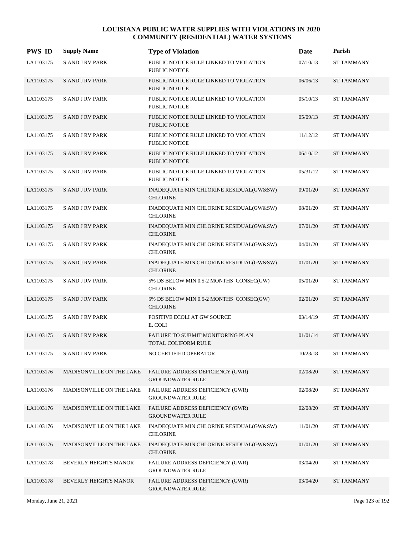| <b>PWS ID</b> | <b>Supply Name</b>       | <b>Type of Violation</b>                                           | Date     | Parish            |
|---------------|--------------------------|--------------------------------------------------------------------|----------|-------------------|
| LA1103175     | <b>S AND J RV PARK</b>   | PUBLIC NOTICE RULE LINKED TO VIOLATION<br>PUBLIC NOTICE            | 07/10/13 | <b>ST TAMMANY</b> |
| LA1103175     | <b>SAND JRV PARK</b>     | PUBLIC NOTICE RULE LINKED TO VIOLATION<br><b>PUBLIC NOTICE</b>     | 06/06/13 | <b>ST TAMMANY</b> |
| LA1103175     | <b>SAND JRV PARK</b>     | PUBLIC NOTICE RULE LINKED TO VIOLATION<br><b>PUBLIC NOTICE</b>     | 05/10/13 | <b>ST TAMMANY</b> |
| LA1103175     | <b>SAND JRV PARK</b>     | PUBLIC NOTICE RULE LINKED TO VIOLATION<br><b>PUBLIC NOTICE</b>     | 05/09/13 | <b>ST TAMMANY</b> |
| LA1103175     | <b>SAND JRV PARK</b>     | PUBLIC NOTICE RULE LINKED TO VIOLATION<br><b>PUBLIC NOTICE</b>     | 11/12/12 | <b>ST TAMMANY</b> |
| LA1103175     | <b>SAND JRV PARK</b>     | PUBLIC NOTICE RULE LINKED TO VIOLATION<br><b>PUBLIC NOTICE</b>     | 06/10/12 | <b>ST TAMMANY</b> |
| LA1103175     | <b>S AND J RV PARK</b>   | PUBLIC NOTICE RULE LINKED TO VIOLATION<br><b>PUBLIC NOTICE</b>     | 05/31/12 | <b>ST TAMMANY</b> |
| LA1103175     | <b>SAND JRV PARK</b>     | INADEQUATE MIN CHLORINE RESIDUAL(GW&SW)<br><b>CHLORINE</b>         | 09/01/20 | <b>ST TAMMANY</b> |
| LA1103175     | <b>SAND JRV PARK</b>     | INADEQUATE MIN CHLORINE RESIDUAL(GW&SW)<br><b>CHLORINE</b>         | 08/01/20 | <b>ST TAMMANY</b> |
| LA1103175     | <b>SAND JRV PARK</b>     | INADEQUATE MIN CHLORINE RESIDUAL(GW&SW)<br><b>CHLORINE</b>         | 07/01/20 | <b>ST TAMMANY</b> |
| LA1103175     | <b>SAND JRV PARK</b>     | INADEQUATE MIN CHLORINE RESIDUAL(GW&SW)<br><b>CHLORINE</b>         | 04/01/20 | <b>ST TAMMANY</b> |
| LA1103175     | <b>SAND JRV PARK</b>     | INADEQUATE MIN CHLORINE RESIDUAL(GW&SW)<br><b>CHLORINE</b>         | 01/01/20 | <b>ST TAMMANY</b> |
| LA1103175     | <b>S AND J RV PARK</b>   | 5% DS BELOW MIN 0.5-2 MONTHS CONSEC(GW)<br><b>CHLORINE</b>         | 05/01/20 | <b>ST TAMMANY</b> |
| LA1103175     | <b>SAND JRV PARK</b>     | 5% DS BELOW MIN 0.5-2 MONTHS CONSEC(GW)<br><b>CHLORINE</b>         | 02/01/20 | <b>ST TAMMANY</b> |
| LA1103175     | <b>SAND JRV PARK</b>     | POSITIVE ECOLI AT GW SOURCE<br>E. COLI                             | 03/14/19 | <b>ST TAMMANY</b> |
| LA1103175     | <b>SAND JRV PARK</b>     | FAILURE TO SUBMIT MONITORING PLAN<br><b>TOTAL COLIFORM RULE</b>    | 01/01/14 | <b>ST TAMMANY</b> |
| LA1103175     | <b>S AND J RV PARK</b>   | NO CERTIFIED OPERATOR                                              | 10/23/18 | <b>ST TAMMANY</b> |
| LA1103176     | MADISONVILLE ON THE LAKE | FAILURE ADDRESS DEFICIENCY (GWR)<br><b>GROUNDWATER RULE</b>        | 02/08/20 | <b>ST TAMMANY</b> |
| LA1103176     | MADISONVILLE ON THE LAKE | <b>FAILURE ADDRESS DEFICIENCY (GWR)</b><br><b>GROUNDWATER RULE</b> | 02/08/20 | <b>ST TAMMANY</b> |
| LA1103176     | MADISONVILLE ON THE LAKE | FAILURE ADDRESS DEFICIENCY (GWR)<br><b>GROUNDWATER RULE</b>        | 02/08/20 | <b>ST TAMMANY</b> |
| LA1103176     | MADISONVILLE ON THE LAKE | INADEQUATE MIN CHLORINE RESIDUAL(GW&SW)<br><b>CHLORINE</b>         | 11/01/20 | <b>ST TAMMANY</b> |
| LA1103176     | MADISONVILLE ON THE LAKE | INADEQUATE MIN CHLORINE RESIDUAL(GW&SW)<br><b>CHLORINE</b>         | 01/01/20 | <b>ST TAMMANY</b> |
| LA1103178     | BEVERLY HEIGHTS MANOR    | FAILURE ADDRESS DEFICIENCY (GWR)<br><b>GROUNDWATER RULE</b>        | 03/04/20 | <b>ST TAMMANY</b> |
| LA1103178     | BEVERLY HEIGHTS MANOR    | FAILURE ADDRESS DEFICIENCY (GWR)<br><b>GROUNDWATER RULE</b>        | 03/04/20 | <b>ST TAMMANY</b> |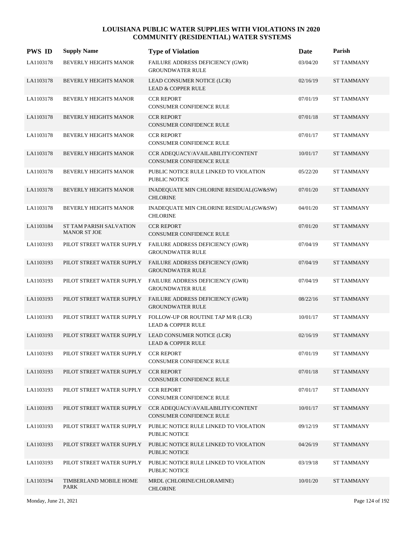| <b>PWS ID</b> | <b>Supply Name</b>                             | <b>Type of Violation</b>                                             | Date     | Parish            |
|---------------|------------------------------------------------|----------------------------------------------------------------------|----------|-------------------|
| LA1103178     | BEVERLY HEIGHTS MANOR                          | FAILURE ADDRESS DEFICIENCY (GWR)<br><b>GROUNDWATER RULE</b>          | 03/04/20 | <b>ST TAMMANY</b> |
| LA1103178     | BEVERLY HEIGHTS MANOR                          | LEAD CONSUMER NOTICE (LCR)<br><b>LEAD &amp; COPPER RULE</b>          | 02/16/19 | <b>ST TAMMANY</b> |
| LA1103178     | BEVERLY HEIGHTS MANOR                          | <b>CCR REPORT</b><br>CONSUMER CONFIDENCE RULE                        | 07/01/19 | <b>ST TAMMANY</b> |
| LA1103178     | <b>BEVERLY HEIGHTS MANOR</b>                   | <b>CCR REPORT</b><br><b>CONSUMER CONFIDENCE RULE</b>                 | 07/01/18 | <b>ST TAMMANY</b> |
| LA1103178     | BEVERLY HEIGHTS MANOR                          | <b>CCR REPORT</b><br><b>CONSUMER CONFIDENCE RULE</b>                 | 07/01/17 | <b>ST TAMMANY</b> |
| LA1103178     | <b>BEVERLY HEIGHTS MANOR</b>                   | CCR ADEQUACY/AVAILABILITY/CONTENT<br><b>CONSUMER CONFIDENCE RULE</b> | 10/01/17 | <b>ST TAMMANY</b> |
| LA1103178     | BEVERLY HEIGHTS MANOR                          | PUBLIC NOTICE RULE LINKED TO VIOLATION<br><b>PUBLIC NOTICE</b>       | 05/22/20 | <b>ST TAMMANY</b> |
| LA1103178     | <b>BEVERLY HEIGHTS MANOR</b>                   | INADEQUATE MIN CHLORINE RESIDUAL(GW&SW)<br><b>CHLORINE</b>           | 07/01/20 | <b>ST TAMMANY</b> |
| LA1103178     | BEVERLY HEIGHTS MANOR                          | INADEQUATE MIN CHLORINE RESIDUAL(GW&SW)<br><b>CHLORINE</b>           | 04/01/20 | <b>ST TAMMANY</b> |
| LA1103184     | ST TAM PARISH SALVATION<br><b>MANOR ST JOE</b> | <b>CCR REPORT</b><br><b>CONSUMER CONFIDENCE RULE</b>                 | 07/01/20 | <b>ST TAMMANY</b> |
| LA1103193     | PILOT STREET WATER SUPPLY                      | FAILURE ADDRESS DEFICIENCY (GWR)<br><b>GROUNDWATER RULE</b>          | 07/04/19 | <b>ST TAMMANY</b> |
| LA1103193     | PILOT STREET WATER SUPPLY                      | FAILURE ADDRESS DEFICIENCY (GWR)<br><b>GROUNDWATER RULE</b>          | 07/04/19 | <b>ST TAMMANY</b> |
| LA1103193     | PILOT STREET WATER SUPPLY                      | FAILURE ADDRESS DEFICIENCY (GWR)<br><b>GROUNDWATER RULE</b>          | 07/04/19 | <b>ST TAMMANY</b> |
| LA1103193     | PILOT STREET WATER SUPPLY                      | FAILURE ADDRESS DEFICIENCY (GWR)<br><b>GROUNDWATER RULE</b>          | 08/22/16 | <b>ST TAMMANY</b> |
| LA1103193     | PILOT STREET WATER SUPPLY                      | FOLLOW-UP OR ROUTINE TAP M/R (LCR)<br><b>LEAD &amp; COPPER RULE</b>  | 10/01/17 | <b>ST TAMMANY</b> |
| LA1103193     | PILOT STREET WATER SUPPLY                      | LEAD CONSUMER NOTICE (LCR)<br><b>LEAD &amp; COPPER RULE</b>          | 02/16/19 | <b>ST TAMMANY</b> |
| LA1103193     | PILOT STREET WATER SUPPLY                      | <b>CCR REPORT</b><br>CONSUMER CONFIDENCE RULE                        | 07/01/19 | <b>ST TAMMANY</b> |
| LA1103193     | PILOT STREET WATER SUPPLY                      | <b>CCR REPORT</b><br>CONSUMER CONFIDENCE RULE                        | 07/01/18 | <b>ST TAMMANY</b> |
| LA1103193     | PILOT STREET WATER SUPPLY                      | <b>CCR REPORT</b><br>CONSUMER CONFIDENCE RULE                        | 07/01/17 | <b>ST TAMMANY</b> |
| LA1103193     | PILOT STREET WATER SUPPLY                      | CCR ADEQUACY/AVAILABILITY/CONTENT<br>CONSUMER CONFIDENCE RULE        | 10/01/17 | <b>ST TAMMANY</b> |
| LA1103193     | PILOT STREET WATER SUPPLY                      | PUBLIC NOTICE RULE LINKED TO VIOLATION<br>PUBLIC NOTICE              | 09/12/19 | <b>ST TAMMANY</b> |
| LA1103193     | PILOT STREET WATER SUPPLY                      | PUBLIC NOTICE RULE LINKED TO VIOLATION<br>PUBLIC NOTICE              | 04/26/19 | <b>ST TAMMANY</b> |
| LA1103193     | PILOT STREET WATER SUPPLY                      | PUBLIC NOTICE RULE LINKED TO VIOLATION<br>PUBLIC NOTICE              | 03/19/18 | <b>ST TAMMANY</b> |
| LA1103194     | TIMBERLAND MOBILE HOME<br>PARK                 | MRDL (CHLORINE/CHLORAMINE)<br><b>CHLORINE</b>                        | 10/01/20 | <b>ST TAMMANY</b> |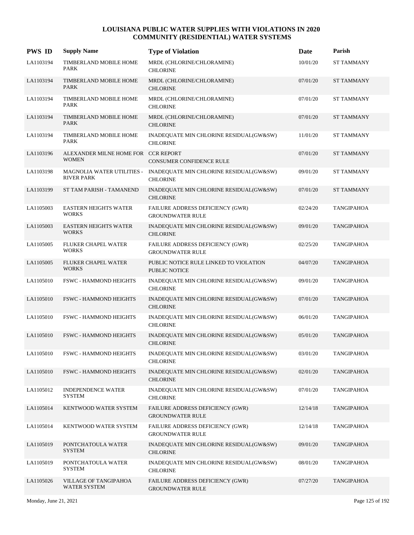| <b>PWS ID</b> | <b>Supply Name</b>                                  | <b>Type of Violation</b>                                       | Date     | Parish            |
|---------------|-----------------------------------------------------|----------------------------------------------------------------|----------|-------------------|
| LA1103194     | TIMBERLAND MOBILE HOME<br>PARK                      | MRDL (CHLORINE/CHLORAMINE)<br><b>CHLORINE</b>                  | 10/01/20 | <b>ST TAMMANY</b> |
| LA1103194     | TIMBERLAND MOBILE HOME<br><b>PARK</b>               | MRDL (CHLORINE/CHLORAMINE)<br><b>CHLORINE</b>                  | 07/01/20 | <b>ST TAMMANY</b> |
| LA1103194     | TIMBERLAND MOBILE HOME<br><b>PARK</b>               | MRDL (CHLORINE/CHLORAMINE)<br><b>CHLORINE</b>                  | 07/01/20 | <b>ST TAMMANY</b> |
| LA1103194     | TIMBERLAND MOBILE HOME<br><b>PARK</b>               | MRDL (CHLORINE/CHLORAMINE)<br><b>CHLORINE</b>                  | 07/01/20 | <b>ST TAMMANY</b> |
| LA1103194     | TIMBERLAND MOBILE HOME<br>PARK                      | INADEQUATE MIN CHLORINE RESIDUAL(GW&SW)<br><b>CHLORINE</b>     | 11/01/20 | <b>ST TAMMANY</b> |
| LA1103196     | ALEXANDER MILNE HOME FOR CCR REPORT<br><b>WOMEN</b> | CONSUMER CONFIDENCE RULE                                       | 07/01/20 | <b>ST TAMMANY</b> |
| LA1103198     | MAGNOLIA WATER UTILITIES -<br><b>RIVER PARK</b>     | INADEQUATE MIN CHLORINE RESIDUAL(GW&SW)<br><b>CHLORINE</b>     | 09/01/20 | <b>ST TAMMANY</b> |
| LA1103199     | ST TAM PARISH - TAMANEND                            | INADEQUATE MIN CHLORINE RESIDUAL(GW&SW)<br><b>CHLORINE</b>     | 07/01/20 | <b>ST TAMMANY</b> |
| LA1105003     | <b>EASTERN HEIGHTS WATER</b><br><b>WORKS</b>        | FAILURE ADDRESS DEFICIENCY (GWR)<br><b>GROUNDWATER RULE</b>    | 02/24/20 | <b>TANGIPAHOA</b> |
| LA1105003     | <b>EASTERN HEIGHTS WATER</b><br><b>WORKS</b>        | INADEQUATE MIN CHLORINE RESIDUAL(GW&SW)<br><b>CHLORINE</b>     | 09/01/20 | <b>TANGIPAHOA</b> |
| LA1105005     | FLUKER CHAPEL WATER<br><b>WORKS</b>                 | FAILURE ADDRESS DEFICIENCY (GWR)<br><b>GROUNDWATER RULE</b>    | 02/25/20 | <b>TANGIPAHOA</b> |
| LA1105005     | <b>FLUKER CHAPEL WATER</b><br><b>WORKS</b>          | PUBLIC NOTICE RULE LINKED TO VIOLATION<br><b>PUBLIC NOTICE</b> | 04/07/20 | <b>TANGIPAHOA</b> |
| LA1105010     | <b>FSWC - HAMMOND HEIGHTS</b>                       | INADEQUATE MIN CHLORINE RESIDUAL(GW&SW)<br><b>CHLORINE</b>     | 09/01/20 | <b>TANGIPAHOA</b> |
| LA1105010     | <b>FSWC - HAMMOND HEIGHTS</b>                       | INADEQUATE MIN CHLORINE RESIDUAL(GW&SW)<br><b>CHLORINE</b>     | 07/01/20 | <b>TANGIPAHOA</b> |
| LA1105010     | <b>FSWC - HAMMOND HEIGHTS</b>                       | INADEQUATE MIN CHLORINE RESIDUAL(GW&SW)<br><b>CHLORINE</b>     | 06/01/20 | <b>TANGIPAHOA</b> |
| LA1105010     | <b>FSWC - HAMMOND HEIGHTS</b>                       | INADEQUATE MIN CHLORINE RESIDUAL(GW&SW)<br><b>CHLORINE</b>     | 05/01/20 | <b>TANGIPAHOA</b> |
| LA1105010     | <b>FSWC - HAMMOND HEIGHTS</b>                       | INADEQUATE MIN CHLORINE RESIDUAL(GW&SW)<br><b>CHLORINE</b>     | 03/01/20 | <b>TANGIPAHOA</b> |
| LA1105010     | <b>FSWC - HAMMOND HEIGHTS</b>                       | INADEQUATE MIN CHLORINE RESIDUAL(GW&SW)<br><b>CHLORINE</b>     | 02/01/20 | <b>TANGIPAHOA</b> |
| LA1105012     | <b>INDEPENDENCE WATER</b><br>SYSTEM                 | INADEQUATE MIN CHLORINE RESIDUAL(GW&SW)<br><b>CHLORINE</b>     | 07/01/20 | <b>TANGIPAHOA</b> |
| LA1105014     | KENTWOOD WATER SYSTEM                               | FAILURE ADDRESS DEFICIENCY (GWR)<br><b>GROUNDWATER RULE</b>    | 12/14/18 | <b>TANGIPAHOA</b> |
| LA1105014     | KENTWOOD WATER SYSTEM                               | FAILURE ADDRESS DEFICIENCY (GWR)<br><b>GROUNDWATER RULE</b>    | 12/14/18 | <b>TANGIPAHOA</b> |
| LA1105019     | PONTCHATOULA WATER<br><b>SYSTEM</b>                 | INADEQUATE MIN CHLORINE RESIDUAL(GW&SW)<br><b>CHLORINE</b>     | 09/01/20 | <b>TANGIPAHOA</b> |
| LA1105019     | PONTCHATOULA WATER<br><b>SYSTEM</b>                 | INADEQUATE MIN CHLORINE RESIDUAL(GW&SW)<br><b>CHLORINE</b>     | 08/01/20 | <b>TANGIPAHOA</b> |
| LA1105026     | VILLAGE OF TANGIPAHOA<br><b>WATER SYSTEM</b>        | FAILURE ADDRESS DEFICIENCY (GWR)<br><b>GROUNDWATER RULE</b>    | 07/27/20 | <b>TANGIPAHOA</b> |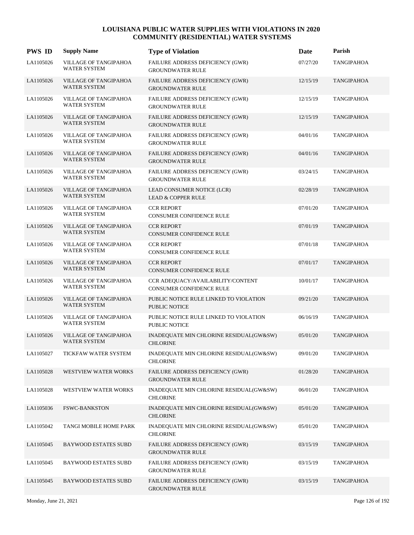| <b>PWS ID</b> | <b>Supply Name</b>                           | <b>Type of Violation</b>                                           | Date     | Parish            |
|---------------|----------------------------------------------|--------------------------------------------------------------------|----------|-------------------|
| LA1105026     | VILLAGE OF TANGIPAHOA<br><b>WATER SYSTEM</b> | FAILURE ADDRESS DEFICIENCY (GWR)<br><b>GROUNDWATER RULE</b>        | 07/27/20 | <b>TANGIPAHOA</b> |
| LA1105026     | <b>VILLAGE OF TANGIPAHOA</b><br>WATER SYSTEM | FAILURE ADDRESS DEFICIENCY (GWR)<br><b>GROUNDWATER RULE</b>        | 12/15/19 | <b>TANGIPAHOA</b> |
| LA1105026     | VILLAGE OF TANGIPAHOA<br><b>WATER SYSTEM</b> | FAILURE ADDRESS DEFICIENCY (GWR)<br><b>GROUNDWATER RULE</b>        | 12/15/19 | TANGIPAHOA        |
| LA1105026     | VILLAGE OF TANGIPAHOA<br>WATER SYSTEM        | FAILURE ADDRESS DEFICIENCY (GWR)<br><b>GROUNDWATER RULE</b>        | 12/15/19 | <b>TANGIPAHOA</b> |
| LA1105026     | VILLAGE OF TANGIPAHOA<br>WATER SYSTEM        | FAILURE ADDRESS DEFICIENCY (GWR)<br><b>GROUNDWATER RULE</b>        | 04/01/16 | TANGIPAHOA        |
| LA1105026     | VILLAGE OF TANGIPAHOA<br><b>WATER SYSTEM</b> | FAILURE ADDRESS DEFICIENCY (GWR)<br><b>GROUNDWATER RULE</b>        | 04/01/16 | <b>TANGIPAHOA</b> |
| LA1105026     | VILLAGE OF TANGIPAHOA<br><b>WATER SYSTEM</b> | <b>FAILURE ADDRESS DEFICIENCY (GWR)</b><br><b>GROUNDWATER RULE</b> | 03/24/15 | TANGIPAHOA        |
| LA1105026     | VILLAGE OF TANGIPAHOA<br><b>WATER SYSTEM</b> | LEAD CONSUMER NOTICE (LCR)<br><b>LEAD &amp; COPPER RULE</b>        | 02/28/19 | <b>TANGIPAHOA</b> |
| LA1105026     | VILLAGE OF TANGIPAHOA<br><b>WATER SYSTEM</b> | <b>CCR REPORT</b><br>CONSUMER CONFIDENCE RULE                      | 07/01/20 | TANGIPAHOA        |
| LA1105026     | VILLAGE OF TANGIPAHOA<br><b>WATER SYSTEM</b> | <b>CCR REPORT</b><br>CONSUMER CONFIDENCE RULE                      | 07/01/19 | <b>TANGIPAHOA</b> |
| LA1105026     | VILLAGE OF TANGIPAHOA<br><b>WATER SYSTEM</b> | <b>CCR REPORT</b><br>CONSUMER CONFIDENCE RULE                      | 07/01/18 | TANGIPAHOA        |
| LA1105026     | VILLAGE OF TANGIPAHOA<br><b>WATER SYSTEM</b> | <b>CCR REPORT</b><br>CONSUMER CONFIDENCE RULE                      | 07/01/17 | <b>TANGIPAHOA</b> |
| LA1105026     | VILLAGE OF TANGIPAHOA<br><b>WATER SYSTEM</b> | CCR ADEQUACY/AVAILABILITY/CONTENT<br>CONSUMER CONFIDENCE RULE      | 10/01/17 | TANGIPAHOA        |
| LA1105026     | VILLAGE OF TANGIPAHOA<br>WATER SYSTEM        | PUBLIC NOTICE RULE LINKED TO VIOLATION<br><b>PUBLIC NOTICE</b>     | 09/21/20 | <b>TANGIPAHOA</b> |
| LA1105026     | VILLAGE OF TANGIPAHOA<br><b>WATER SYSTEM</b> | PUBLIC NOTICE RULE LINKED TO VIOLATION<br>PUBLIC NOTICE            | 06/16/19 | TANGIPAHOA        |
| LA1105026     | VILLAGE OF TANGIPAHOA<br><b>WATER SYSTEM</b> | INADEQUATE MIN CHLORINE RESIDUAL(GW&SW)<br><b>CHLORINE</b>         | 05/01/20 | <b>TANGIPAHOA</b> |
| LA1105027     | TICKFAW WATER SYSTEM                         | INADEQUATE MIN CHLORINE RESIDUAL(GW&SW)<br><b>CHLORINE</b>         | 09/01/20 | <b>TANGIPAHOA</b> |
| LA1105028     | <b>WESTVIEW WATER WORKS</b>                  | FAILURE ADDRESS DEFICIENCY (GWR)<br><b>GROUNDWATER RULE</b>        | 01/28/20 | <b>TANGIPAHOA</b> |
| LA1105028     | WESTVIEW WATER WORKS                         | INADEQUATE MIN CHLORINE RESIDUAL(GW&SW)<br><b>CHLORINE</b>         | 06/01/20 | <b>TANGIPAHOA</b> |
| LA1105036     | <b>FSWC-BANKSTON</b>                         | INADEQUATE MIN CHLORINE RESIDUAL(GW&SW)<br><b>CHLORINE</b>         | 05/01/20 | <b>TANGIPAHOA</b> |
| LA1105042     | TANGI MOBILE HOME PARK                       | INADEQUATE MIN CHLORINE RESIDUAL(GW&SW)<br><b>CHLORINE</b>         | 05/01/20 | TANGIPAHOA        |
| LA1105045     | <b>BAYWOOD ESTATES SUBD</b>                  | FAILURE ADDRESS DEFICIENCY (GWR)<br><b>GROUNDWATER RULE</b>        | 03/15/19 | <b>TANGIPAHOA</b> |
| LA1105045     | <b>BAYWOOD ESTATES SUBD</b>                  | <b>FAILURE ADDRESS DEFICIENCY (GWR)</b><br><b>GROUNDWATER RULE</b> | 03/15/19 | TANGIPAHOA        |
| LA1105045     | <b>BAYWOOD ESTATES SUBD</b>                  | FAILURE ADDRESS DEFICIENCY (GWR)<br><b>GROUNDWATER RULE</b>        | 03/15/19 | TANGIPAHOA        |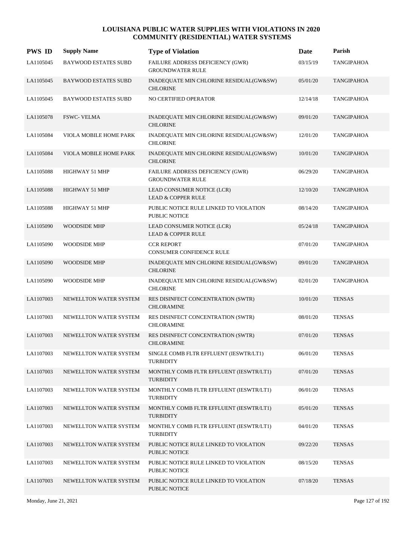| <b>PWS ID</b> | <b>Supply Name</b>          | <b>Type of Violation</b>                                       | Date     | Parish            |
|---------------|-----------------------------|----------------------------------------------------------------|----------|-------------------|
| LA1105045     | <b>BAYWOOD ESTATES SUBD</b> | FAILURE ADDRESS DEFICIENCY (GWR)<br><b>GROUNDWATER RULE</b>    | 03/15/19 | <b>TANGIPAHOA</b> |
| LA1105045     | <b>BAYWOOD ESTATES SUBD</b> | INADEQUATE MIN CHLORINE RESIDUAL(GW&SW)<br><b>CHLORINE</b>     | 05/01/20 | <b>TANGIPAHOA</b> |
| LA1105045     | <b>BAYWOOD ESTATES SUBD</b> | NO CERTIFIED OPERATOR                                          | 12/14/18 | <b>TANGIPAHOA</b> |
| LA1105078     | <b>FSWC- VELMA</b>          | INADEQUATE MIN CHLORINE RESIDUAL(GW&SW)<br><b>CHLORINE</b>     | 09/01/20 | <b>TANGIPAHOA</b> |
| LA1105084     | VIOLA MOBILE HOME PARK      | INADEQUATE MIN CHLORINE RESIDUAL(GW&SW)<br><b>CHLORINE</b>     | 12/01/20 | <b>TANGIPAHOA</b> |
| LA1105084     | VIOLA MOBILE HOME PARK      | INADEQUATE MIN CHLORINE RESIDUAL(GW&SW)<br><b>CHLORINE</b>     | 10/01/20 | <b>TANGIPAHOA</b> |
| LA1105088     | HIGHWAY 51 MHP              | FAILURE ADDRESS DEFICIENCY (GWR)<br><b>GROUNDWATER RULE</b>    | 06/29/20 | <b>TANGIPAHOA</b> |
| LA1105088     | HIGHWAY 51 MHP              | LEAD CONSUMER NOTICE (LCR)<br><b>LEAD &amp; COPPER RULE</b>    | 12/10/20 | <b>TANGIPAHOA</b> |
| LA1105088     | HIGHWAY 51 MHP              | PUBLIC NOTICE RULE LINKED TO VIOLATION<br><b>PUBLIC NOTICE</b> | 08/14/20 | <b>TANGIPAHOA</b> |
| LA1105090     | WOODSIDE MHP                | LEAD CONSUMER NOTICE (LCR)<br><b>LEAD &amp; COPPER RULE</b>    | 05/24/18 | <b>TANGIPAHOA</b> |
| LA1105090     | WOODSIDE MHP                | <b>CCR REPORT</b><br>CONSUMER CONFIDENCE RULE                  | 07/01/20 | <b>TANGIPAHOA</b> |
| LA1105090     | <b>WOODSIDE MHP</b>         | INADEQUATE MIN CHLORINE RESIDUAL(GW&SW)<br><b>CHLORINE</b>     | 09/01/20 | <b>TANGIPAHOA</b> |
| LA1105090     | WOODSIDE MHP                | INADEQUATE MIN CHLORINE RESIDUAL(GW&SW)<br><b>CHLORINE</b>     | 02/01/20 | <b>TANGIPAHOA</b> |
| LA1107003     | NEWELLTON WATER SYSTEM      | RES DISINFECT CONCENTRATION (SWTR)<br><b>CHLORAMINE</b>        | 10/01/20 | <b>TENSAS</b>     |
| LA1107003     | NEWELLTON WATER SYSTEM      | RES DISINFECT CONCENTRATION (SWTR)<br><b>CHLORAMINE</b>        | 08/01/20 | <b>TENSAS</b>     |
| LA1107003     | NEWELLTON WATER SYSTEM      | RES DISINFECT CONCENTRATION (SWTR)<br><b>CHLORAMINE</b>        | 07/01/20 | <b>TENSAS</b>     |
| LA1107003     | NEWELLTON WATER SYSTEM      | SINGLE COMB FLTR EFFLUENT (IESWTR/LT1)<br>TURBIDITY            | 06/01/20 | <b>TENSAS</b>     |
| LA1107003     | NEWELLTON WATER SYSTEM      | MONTHLY COMB FLTR EFFLUENT (IESWTR/LT1)<br><b>TURBIDITY</b>    | 07/01/20 | <b>TENSAS</b>     |
| LA1107003     | NEWELLTON WATER SYSTEM      | MONTHLY COMB FLTR EFFLUENT (IESWTR/LT1)<br><b>TURBIDITY</b>    | 06/01/20 | <b>TENSAS</b>     |
| LA1107003     | NEWELLTON WATER SYSTEM      | MONTHLY COMB FLTR EFFLUENT (IESWTR/LT1)<br><b>TURBIDITY</b>    | 05/01/20 | <b>TENSAS</b>     |
| LA1107003     | NEWELLTON WATER SYSTEM      | MONTHLY COMB FLTR EFFLUENT (IESWTR/LT1)<br><b>TURBIDITY</b>    | 04/01/20 | <b>TENSAS</b>     |
| LA1107003     | NEWELLTON WATER SYSTEM      | PUBLIC NOTICE RULE LINKED TO VIOLATION<br>PUBLIC NOTICE        | 09/22/20 | <b>TENSAS</b>     |
| LA1107003     | NEWELLTON WATER SYSTEM      | PUBLIC NOTICE RULE LINKED TO VIOLATION<br>PUBLIC NOTICE        | 08/15/20 | <b>TENSAS</b>     |
| LA1107003     | NEWELLTON WATER SYSTEM      | PUBLIC NOTICE RULE LINKED TO VIOLATION<br>PUBLIC NOTICE        | 07/18/20 | <b>TENSAS</b>     |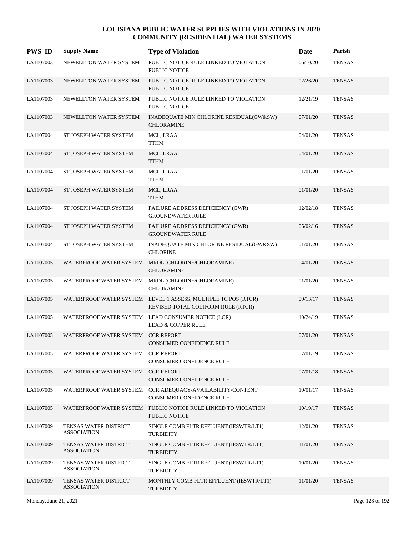| <b>PWS ID</b> | <b>Supply Name</b>                          | <b>Type of Violation</b>                                                                             | <b>Date</b> | Parish        |
|---------------|---------------------------------------------|------------------------------------------------------------------------------------------------------|-------------|---------------|
| LA1107003     | NEWELLTON WATER SYSTEM                      | PUBLIC NOTICE RULE LINKED TO VIOLATION<br>PUBLIC NOTICE                                              | 06/10/20    | <b>TENSAS</b> |
| LA1107003     | NEWELLTON WATER SYSTEM                      | PUBLIC NOTICE RULE LINKED TO VIOLATION<br><b>PUBLIC NOTICE</b>                                       | 02/26/20    | <b>TENSAS</b> |
| LA1107003     | NEWELLTON WATER SYSTEM                      | PUBLIC NOTICE RULE LINKED TO VIOLATION<br><b>PUBLIC NOTICE</b>                                       | 12/21/19    | <b>TENSAS</b> |
| LA1107003     | NEWELLTON WATER SYSTEM                      | INADEQUATE MIN CHLORINE RESIDUAL(GW&SW)<br><b>CHLORAMINE</b>                                         | 07/01/20    | <b>TENSAS</b> |
| LA1107004     | ST JOSEPH WATER SYSTEM                      | MCL, LRAA<br><b>TTHM</b>                                                                             | 04/01/20    | <b>TENSAS</b> |
| LA1107004     | ST JOSEPH WATER SYSTEM                      | MCL, LRAA<br><b>TTHM</b>                                                                             | 04/01/20    | <b>TENSAS</b> |
| LA1107004     | ST JOSEPH WATER SYSTEM                      | MCL, LRAA<br><b>TTHM</b>                                                                             | 01/01/20    | <b>TENSAS</b> |
| LA1107004     | ST JOSEPH WATER SYSTEM                      | MCL, LRAA<br><b>TTHM</b>                                                                             | 01/01/20    | <b>TENSAS</b> |
| LA1107004     | ST JOSEPH WATER SYSTEM                      | FAILURE ADDRESS DEFICIENCY (GWR)<br><b>GROUNDWATER RULE</b>                                          | 12/02/18    | <b>TENSAS</b> |
| LA1107004     | ST JOSEPH WATER SYSTEM                      | FAILURE ADDRESS DEFICIENCY (GWR)<br><b>GROUNDWATER RULE</b>                                          | 05/02/16    | <b>TENSAS</b> |
| LA1107004     | ST JOSEPH WATER SYSTEM                      | INADEQUATE MIN CHLORINE RESIDUAL(GW&SW)<br><b>CHLORINE</b>                                           | 01/01/20    | <b>TENSAS</b> |
| LA1107005     |                                             | WATERPROOF WATER SYSTEM MRDL (CHLORINE/CHLORAMINE)<br><b>CHLORAMINE</b>                              | 04/01/20    | <b>TENSAS</b> |
| LA1107005     |                                             | WATERPROOF WATER SYSTEM MRDL (CHLORINE/CHLORAMINE)<br><b>CHLORAMINE</b>                              | 01/01/20    | <b>TENSAS</b> |
| LA1107005     |                                             | WATERPROOF WATER SYSTEM LEVEL 1 ASSESS, MULTIPLE TC POS (RTCR)<br>REVISED TOTAL COLIFORM RULE (RTCR) | 09/13/17    | <b>TENSAS</b> |
| LA1107005     |                                             | WATERPROOF WATER SYSTEM LEAD CONSUMER NOTICE (LCR)<br><b>LEAD &amp; COPPER RULE</b>                  | 10/24/19    | <b>TENSAS</b> |
| LA1107005     | WATERPROOF WATER SYSTEM CCR REPORT          | <b>CONSUMER CONFIDENCE RULE</b>                                                                      | 07/01/20    | <b>TENSAS</b> |
| LA1107005     | WATERPROOF WATER SYSTEM CCR REPORT          | CONSUMER CONFIDENCE RULE                                                                             | 07/01/19    | <b>TENSAS</b> |
| LA1107005     | WATERPROOF WATER SYSTEM CCR REPORT          | CONSUMER CONFIDENCE RULE                                                                             | 07/01/18    | <b>TENSAS</b> |
| LA1107005     |                                             | WATERPROOF WATER SYSTEM CCR ADEQUACY/AVAILABILITY/CONTENT<br><b>CONSUMER CONFIDENCE RULE</b>         | 10/01/17    | <b>TENSAS</b> |
| LA1107005     |                                             | WATERPROOF WATER SYSTEM PUBLIC NOTICE RULE LINKED TO VIOLATION<br>PUBLIC NOTICE                      | 10/19/17    | <b>TENSAS</b> |
| LA1107009     | TENSAS WATER DISTRICT<br><b>ASSOCIATION</b> | SINGLE COMB FLTR EFFLUENT (IESWTR/LT1)<br><b>TURBIDITY</b>                                           | 12/01/20    | <b>TENSAS</b> |
| LA1107009     | TENSAS WATER DISTRICT<br><b>ASSOCIATION</b> | SINGLE COMB FLTR EFFLUENT (IESWTR/LT1)<br><b>TURBIDITY</b>                                           | 11/01/20    | <b>TENSAS</b> |
| LA1107009     | TENSAS WATER DISTRICT<br><b>ASSOCIATION</b> | SINGLE COMB FLTR EFFLUENT (IESWTR/LT1)<br><b>TURBIDITY</b>                                           | 10/01/20    | <b>TENSAS</b> |
| LA1107009     | TENSAS WATER DISTRICT<br><b>ASSOCIATION</b> | MONTHLY COMB FLTR EFFLUENT (IESWTR/LT1)<br><b>TURBIDITY</b>                                          | 11/01/20    | <b>TENSAS</b> |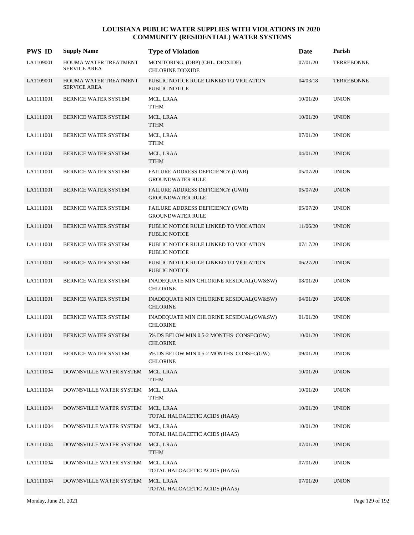| <b>PWS ID</b> | <b>Supply Name</b>                           | <b>Type of Violation</b>                                       | Date     | Parish            |
|---------------|----------------------------------------------|----------------------------------------------------------------|----------|-------------------|
| LA1109001     | HOUMA WATER TREATMENT<br><b>SERVICE AREA</b> | MONITORING, (DBP) (CHL. DIOXIDE)<br><b>CHLORINE DIOXIDE</b>    | 07/01/20 | <b>TERREBONNE</b> |
| LA1109001     | HOUMA WATER TREATMENT<br><b>SERVICE AREA</b> | PUBLIC NOTICE RULE LINKED TO VIOLATION<br><b>PUBLIC NOTICE</b> | 04/03/18 | <b>TERREBONNE</b> |
| LA1111001     | BERNICE WATER SYSTEM                         | MCL, LRAA<br><b>TTHM</b>                                       | 10/01/20 | <b>UNION</b>      |
| LA1111001     | <b>BERNICE WATER SYSTEM</b>                  | MCL, LRAA<br>TTHM                                              | 10/01/20 | <b>UNION</b>      |
| LA1111001     | BERNICE WATER SYSTEM                         | MCL, LRAA<br>TTHM                                              | 07/01/20 | <b>UNION</b>      |
| LA1111001     | BERNICE WATER SYSTEM                         | MCL, LRAA<br><b>TTHM</b>                                       | 04/01/20 | <b>UNION</b>      |
| LA1111001     | BERNICE WATER SYSTEM                         | FAILURE ADDRESS DEFICIENCY (GWR)<br><b>GROUNDWATER RULE</b>    | 05/07/20 | <b>UNION</b>      |
| LA1111001     | <b>BERNICE WATER SYSTEM</b>                  | FAILURE ADDRESS DEFICIENCY (GWR)<br><b>GROUNDWATER RULE</b>    | 05/07/20 | <b>UNION</b>      |
| LA1111001     | BERNICE WATER SYSTEM                         | FAILURE ADDRESS DEFICIENCY (GWR)<br><b>GROUNDWATER RULE</b>    | 05/07/20 | <b>UNION</b>      |
| LA1111001     | BERNICE WATER SYSTEM                         | PUBLIC NOTICE RULE LINKED TO VIOLATION<br><b>PUBLIC NOTICE</b> | 11/06/20 | <b>UNION</b>      |
| LA1111001     | BERNICE WATER SYSTEM                         | PUBLIC NOTICE RULE LINKED TO VIOLATION<br>PUBLIC NOTICE        | 07/17/20 | <b>UNION</b>      |
| LA1111001     | <b>BERNICE WATER SYSTEM</b>                  | PUBLIC NOTICE RULE LINKED TO VIOLATION<br>PUBLIC NOTICE        | 06/27/20 | <b>UNION</b>      |
| LA1111001     | BERNICE WATER SYSTEM                         | INADEQUATE MIN CHLORINE RESIDUAL(GW&SW)<br><b>CHLORINE</b>     | 08/01/20 | <b>UNION</b>      |
| LA1111001     | BERNICE WATER SYSTEM                         | INADEQUATE MIN CHLORINE RESIDUAL(GW&SW)<br><b>CHLORINE</b>     | 04/01/20 | <b>UNION</b>      |
| LA1111001     | BERNICE WATER SYSTEM                         | INADEQUATE MIN CHLORINE RESIDUAL(GW&SW)<br><b>CHLORINE</b>     | 01/01/20 | <b>UNION</b>      |
| LA1111001     | <b>BERNICE WATER SYSTEM</b>                  | 5% DS BELOW MIN 0.5-2 MONTHS CONSEC(GW)<br><b>CHLORINE</b>     | 10/01/20 | <b>UNION</b>      |
| LA1111001     | BERNICE WATER SYSTEM                         | 5% DS BELOW MIN 0.5-2 MONTHS CONSEC(GW)<br><b>CHLORINE</b>     | 09/01/20 | <b>UNION</b>      |
| LA1111004     | DOWNSVILLE WATER SYSTEM                      | MCL, LRAA<br><b>TTHM</b>                                       | 10/01/20 | <b>UNION</b>      |
| LA1111004     | DOWNSVILLE WATER SYSTEM                      | MCL, LRAA<br><b>TTHM</b>                                       | 10/01/20 | <b>UNION</b>      |
| LA1111004     | DOWNSVILLE WATER SYSTEM                      | MCL, LRAA<br>TOTAL HALOACETIC ACIDS (HAA5)                     | 10/01/20 | <b>UNION</b>      |
| LA1111004     | DOWNSVILLE WATER SYSTEM                      | MCL, LRAA<br>TOTAL HALOACETIC ACIDS (HAA5)                     | 10/01/20 | <b>UNION</b>      |
| LA1111004     | DOWNSVILLE WATER SYSTEM                      | MCL, LRAA<br><b>TTHM</b>                                       | 07/01/20 | <b>UNION</b>      |
| LA1111004     | DOWNSVILLE WATER SYSTEM                      | MCL, LRAA<br>TOTAL HALOACETIC ACIDS (HAA5)                     | 07/01/20 | <b>UNION</b>      |
| LA1111004     | DOWNSVILLE WATER SYSTEM                      | MCL, LRAA<br>TOTAL HALOACETIC ACIDS (HAA5)                     | 07/01/20 | <b>UNION</b>      |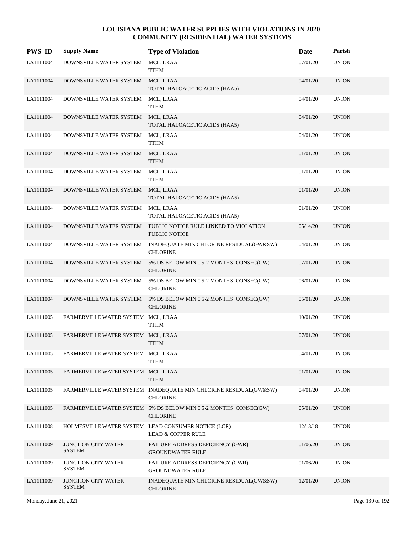| <b>PWS ID</b> | <b>Supply Name</b>                          | <b>Type of Violation</b>                                                             | Date     | Parish       |
|---------------|---------------------------------------------|--------------------------------------------------------------------------------------|----------|--------------|
| LA1111004     | DOWNSVILLE WATER SYSTEM                     | MCL, LRAA<br><b>TTHM</b>                                                             | 07/01/20 | <b>UNION</b> |
| LA1111004     | DOWNSVILLE WATER SYSTEM                     | MCL, LRAA<br>TOTAL HALOACETIC ACIDS (HAA5)                                           | 04/01/20 | <b>UNION</b> |
| LA1111004     | DOWNSVILLE WATER SYSTEM                     | MCL, LRAA<br><b>TTHM</b>                                                             | 04/01/20 | <b>UNION</b> |
| LA1111004     | DOWNSVILLE WATER SYSTEM                     | MCL, LRAA<br>TOTAL HALOACETIC ACIDS (HAA5)                                           | 04/01/20 | <b>UNION</b> |
| LA1111004     | DOWNSVILLE WATER SYSTEM                     | MCL, LRAA<br><b>TTHM</b>                                                             | 04/01/20 | <b>UNION</b> |
| LA1111004     | DOWNSVILLE WATER SYSTEM                     | MCL, LRAA<br><b>TTHM</b>                                                             | 01/01/20 | <b>UNION</b> |
| LA1111004     | DOWNSVILLE WATER SYSTEM                     | MCL, LRAA<br><b>TTHM</b>                                                             | 01/01/20 | <b>UNION</b> |
| LA1111004     | DOWNSVILLE WATER SYSTEM                     | MCL, LRAA<br>TOTAL HALOACETIC ACIDS (HAA5)                                           | 01/01/20 | <b>UNION</b> |
| LA1111004     | DOWNSVILLE WATER SYSTEM                     | MCL, LRAA<br>TOTAL HALOACETIC ACIDS (HAA5)                                           | 01/01/20 | <b>UNION</b> |
| LA1111004     | DOWNSVILLE WATER SYSTEM                     | PUBLIC NOTICE RULE LINKED TO VIOLATION<br>PUBLIC NOTICE                              | 05/14/20 | <b>UNION</b> |
| LA1111004     | DOWNSVILLE WATER SYSTEM                     | INADEQUATE MIN CHLORINE RESIDUAL(GW&SW)<br><b>CHLORINE</b>                           | 04/01/20 | <b>UNION</b> |
| LA1111004     | DOWNSVILLE WATER SYSTEM                     | 5% DS BELOW MIN 0.5-2 MONTHS CONSEC(GW)<br><b>CHLORINE</b>                           | 07/01/20 | <b>UNION</b> |
| LA1111004     | DOWNSVILLE WATER SYSTEM                     | 5% DS BELOW MIN 0.5-2 MONTHS CONSEC(GW)<br><b>CHLORINE</b>                           | 06/01/20 | <b>UNION</b> |
| LA1111004     | DOWNSVILLE WATER SYSTEM                     | 5% DS BELOW MIN 0.5-2 MONTHS CONSEC(GW)<br><b>CHLORINE</b>                           | 05/01/20 | <b>UNION</b> |
| LA1111005     | FARMERVILLE WATER SYSTEM MCL, LRAA          | <b>TTHM</b>                                                                          | 10/01/20 | <b>UNION</b> |
| LA1111005     | FARMERVILLE WATER SYSTEM MCL, LRAA          | <b>TTHM</b>                                                                          | 07/01/20 | <b>UNION</b> |
| LA1111005     | FARMERVILLE WATER SYSTEM MCL, LRAA          | <b>TTHM</b>                                                                          | 04/01/20 | <b>UNION</b> |
| LA1111005     | FARMERVILLE WATER SYSTEM MCL, LRAA          | <b>TTHM</b>                                                                          | 01/01/20 | <b>UNION</b> |
| LA1111005     |                                             | FARMERVILLE WATER SYSTEM INADEQUATE MIN CHLORINE RESIDUAL(GW&SW)<br><b>CHLORINE</b>  | 04/01/20 | <b>UNION</b> |
| LA1111005     |                                             | FARMERVILLE WATER SYSTEM 5% DS BELOW MIN 0.5-2 MONTHS CONSEC(GW)<br><b>CHLORINE</b>  | 05/01/20 | <b>UNION</b> |
| LA1111008     |                                             | HOLMESVILLE WATER SYSTEM LEAD CONSUMER NOTICE (LCR)<br><b>LEAD &amp; COPPER RULE</b> | 12/13/18 | <b>UNION</b> |
| LA1111009     | <b>JUNCTION CITY WATER</b><br><b>SYSTEM</b> | FAILURE ADDRESS DEFICIENCY (GWR)<br><b>GROUNDWATER RULE</b>                          | 01/06/20 | <b>UNION</b> |
| LA1111009     | JUNCTION CITY WATER<br><b>SYSTEM</b>        | FAILURE ADDRESS DEFICIENCY (GWR)<br><b>GROUNDWATER RULE</b>                          | 01/06/20 | <b>UNION</b> |
| LA1111009     | <b>JUNCTION CITY WATER</b><br><b>SYSTEM</b> | INADEQUATE MIN CHLORINE RESIDUAL(GW&SW)<br><b>CHLORINE</b>                           | 12/01/20 | <b>UNION</b> |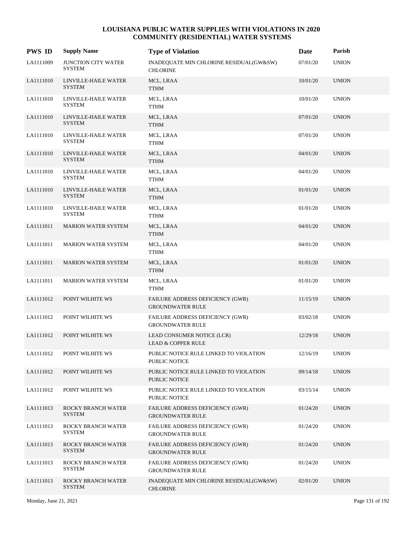| <b>PWS ID</b> | <b>Supply Name</b>                          | <b>Type of Violation</b>                                           | Date     | Parish       |
|---------------|---------------------------------------------|--------------------------------------------------------------------|----------|--------------|
| LA1111009     | <b>JUNCTION CITY WATER</b><br><b>SYSTEM</b> | INADEQUATE MIN CHLORINE RESIDUAL(GW&SW)<br><b>CHLORINE</b>         | 07/01/20 | <b>UNION</b> |
| LA1111010     | LINVILLE-HAILE WATER<br><b>SYSTEM</b>       | MCL, LRAA<br><b>TTHM</b>                                           | 10/01/20 | <b>UNION</b> |
| LA1111010     | LINVILLE-HAILE WATER<br><b>SYSTEM</b>       | MCL, LRAA<br><b>TTHM</b>                                           | 10/01/20 | <b>UNION</b> |
| LA1111010     | LINVILLE-HAILE WATER<br><b>SYSTEM</b>       | MCL, LRAA<br><b>TTHM</b>                                           | 07/01/20 | <b>UNION</b> |
| LA1111010     | LINVILLE-HAILE WATER<br>SYSTEM              | MCL, LRAA<br><b>TTHM</b>                                           | 07/01/20 | <b>UNION</b> |
| LA1111010     | LINVILLE-HAILE WATER<br><b>SYSTEM</b>       | MCL, LRAA<br><b>TTHM</b>                                           | 04/01/20 | <b>UNION</b> |
| LA1111010     | LINVILLE-HAILE WATER<br><b>SYSTEM</b>       | MCL, LRAA<br><b>TTHM</b>                                           | 04/01/20 | <b>UNION</b> |
| LA1111010     | LINVILLE-HAILE WATER<br><b>SYSTEM</b>       | MCL, LRAA<br><b>TTHM</b>                                           | 01/01/20 | <b>UNION</b> |
| LA1111010     | LINVILLE-HAILE WATER<br><b>SYSTEM</b>       | MCL, LRAA<br><b>TTHM</b>                                           | 01/01/20 | <b>UNION</b> |
| LA1111011     | <b>MARION WATER SYSTEM</b>                  | MCL, LRAA<br><b>TTHM</b>                                           | 04/01/20 | <b>UNION</b> |
| LA1111011     | <b>MARION WATER SYSTEM</b>                  | MCL, LRAA<br><b>TTHM</b>                                           | 04/01/20 | <b>UNION</b> |
| LA1111011     | <b>MARION WATER SYSTEM</b>                  | MCL, LRAA<br><b>TTHM</b>                                           | 01/01/20 | <b>UNION</b> |
| LA1111011     | <b>MARION WATER SYSTEM</b>                  | MCL, LRAA<br><b>TTHM</b>                                           | 01/01/20 | <b>UNION</b> |
| LA1111012     | POINT WILHITE WS                            | FAILURE ADDRESS DEFICIENCY (GWR)<br><b>GROUNDWATER RULE</b>        | 11/15/19 | <b>UNION</b> |
| LA1111012     | POINT WILHITE WS                            | FAILURE ADDRESS DEFICIENCY (GWR)<br><b>GROUNDWATER RULE</b>        | 03/02/18 | <b>UNION</b> |
| LA1111012     | POINT WILHITE WS                            | LEAD CONSUMER NOTICE (LCR)<br><b>LEAD &amp; COPPER RULE</b>        | 12/29/18 | <b>UNION</b> |
| LA1111012     | POINT WILHITE WS                            | PUBLIC NOTICE RULE LINKED TO VIOLATION<br>PUBLIC NOTICE            | 12/16/19 | <b>UNION</b> |
| LA1111012     | POINT WILHITE WS                            | PUBLIC NOTICE RULE LINKED TO VIOLATION<br>PUBLIC NOTICE            | 09/14/18 | <b>UNION</b> |
| LA1111012     | POINT WILHITE WS                            | PUBLIC NOTICE RULE LINKED TO VIOLATION<br>PUBLIC NOTICE            | 03/15/14 | <b>UNION</b> |
| LA1111013     | ROCKY BRANCH WATER<br><b>SYSTEM</b>         | FAILURE ADDRESS DEFICIENCY (GWR)<br><b>GROUNDWATER RULE</b>        | 01/24/20 | <b>UNION</b> |
| LA1111013     | ROCKY BRANCH WATER<br><b>SYSTEM</b>         | <b>FAILURE ADDRESS DEFICIENCY (GWR)</b><br><b>GROUNDWATER RULE</b> | 01/24/20 | <b>UNION</b> |
| LA1111013     | ROCKY BRANCH WATER<br><b>SYSTEM</b>         | <b>FAILURE ADDRESS DEFICIENCY (GWR)</b><br><b>GROUNDWATER RULE</b> | 01/24/20 | <b>UNION</b> |
| LA1111013     | ROCKY BRANCH WATER<br><b>SYSTEM</b>         | FAILURE ADDRESS DEFICIENCY (GWR)<br><b>GROUNDWATER RULE</b>        | 01/24/20 | <b>UNION</b> |
| LA1111013     | ROCKY BRANCH WATER<br><b>SYSTEM</b>         | INADEQUATE MIN CHLORINE RESIDUAL(GW&SW)<br><b>CHLORINE</b>         | 02/01/20 | <b>UNION</b> |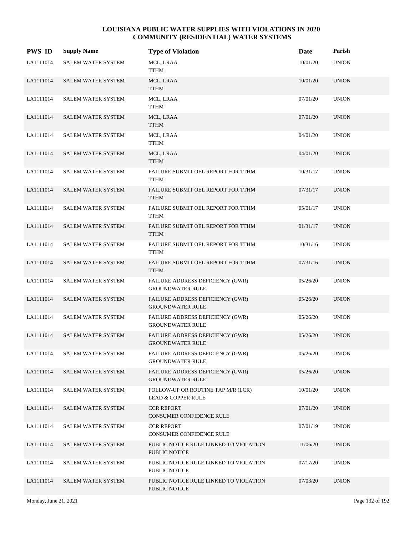| <b>PWS ID</b> | <b>Supply Name</b>        | <b>Type of Violation</b>                                            | Date     | Parish       |
|---------------|---------------------------|---------------------------------------------------------------------|----------|--------------|
| LA1111014     | <b>SALEM WATER SYSTEM</b> | MCL, LRAA<br>TTHM                                                   | 10/01/20 | <b>UNION</b> |
| LA1111014     | SALEM WATER SYSTEM        | MCL, LRAA<br><b>TTHM</b>                                            | 10/01/20 | <b>UNION</b> |
| LA1111014     | <b>SALEM WATER SYSTEM</b> | MCL, LRAA<br>TTHM                                                   | 07/01/20 | <b>UNION</b> |
| LA1111014     | <b>SALEM WATER SYSTEM</b> | MCL, LRAA<br>TTHM                                                   | 07/01/20 | <b>UNION</b> |
| LA1111014     | <b>SALEM WATER SYSTEM</b> | MCL, LRAA<br>TTHM                                                   | 04/01/20 | <b>UNION</b> |
| LA1111014     | <b>SALEM WATER SYSTEM</b> | MCL, LRAA<br><b>TTHM</b>                                            | 04/01/20 | <b>UNION</b> |
| LA1111014     | <b>SALEM WATER SYSTEM</b> | FAILURE SUBMIT OEL REPORT FOR TTHM<br>TTHM                          | 10/31/17 | <b>UNION</b> |
| LA1111014     | <b>SALEM WATER SYSTEM</b> | FAILURE SUBMIT OEL REPORT FOR TTHM<br><b>TTHM</b>                   | 07/31/17 | <b>UNION</b> |
| LA1111014     | <b>SALEM WATER SYSTEM</b> | FAILURE SUBMIT OEL REPORT FOR TTHM<br>TTHM                          | 05/01/17 | <b>UNION</b> |
| LA1111014     | SALEM WATER SYSTEM        | FAILURE SUBMIT OEL REPORT FOR TTHM<br><b>TTHM</b>                   | 01/31/17 | <b>UNION</b> |
| LA1111014     | <b>SALEM WATER SYSTEM</b> | FAILURE SUBMIT OEL REPORT FOR TTHM<br><b>TTHM</b>                   | 10/31/16 | <b>UNION</b> |
| LA1111014     | <b>SALEM WATER SYSTEM</b> | FAILURE SUBMIT OEL REPORT FOR TTHM<br><b>TTHM</b>                   | 07/31/16 | <b>UNION</b> |
| LA1111014     | <b>SALEM WATER SYSTEM</b> | FAILURE ADDRESS DEFICIENCY (GWR)<br><b>GROUNDWATER RULE</b>         | 05/26/20 | <b>UNION</b> |
| LA1111014     | SALEM WATER SYSTEM        | FAILURE ADDRESS DEFICIENCY (GWR)<br><b>GROUNDWATER RULE</b>         | 05/26/20 | <b>UNION</b> |
| LA1111014     | SALEM WATER SYSTEM        | FAILURE ADDRESS DEFICIENCY (GWR)<br><b>GROUNDWATER RULE</b>         | 05/26/20 | <b>UNION</b> |
| LA1111014     | <b>SALEM WATER SYSTEM</b> | FAILURE ADDRESS DEFICIENCY (GWR)<br><b>GROUNDWATER RULE</b>         | 05/26/20 | <b>UNION</b> |
| LA1111014     | <b>SALEM WATER SYSTEM</b> | FAILURE ADDRESS DEFICIENCY (GWR)<br><b>GROUNDWATER RULE</b>         | 05/26/20 | <b>UNION</b> |
| LA1111014     | <b>SALEM WATER SYSTEM</b> | FAILURE ADDRESS DEFICIENCY (GWR)<br><b>GROUNDWATER RULE</b>         | 05/26/20 | <b>UNION</b> |
| LA1111014     | <b>SALEM WATER SYSTEM</b> | FOLLOW-UP OR ROUTINE TAP M/R (LCR)<br><b>LEAD &amp; COPPER RULE</b> | 10/01/20 | <b>UNION</b> |
| LA1111014     | <b>SALEM WATER SYSTEM</b> | <b>CCR REPORT</b><br>CONSUMER CONFIDENCE RULE                       | 07/01/20 | <b>UNION</b> |
| LA1111014     | <b>SALEM WATER SYSTEM</b> | <b>CCR REPORT</b><br>CONSUMER CONFIDENCE RULE                       | 07/01/19 | <b>UNION</b> |
| LA1111014     | <b>SALEM WATER SYSTEM</b> | PUBLIC NOTICE RULE LINKED TO VIOLATION<br>PUBLIC NOTICE             | 11/06/20 | <b>UNION</b> |
| LA1111014     | <b>SALEM WATER SYSTEM</b> | PUBLIC NOTICE RULE LINKED TO VIOLATION<br>PUBLIC NOTICE             | 07/17/20 | <b>UNION</b> |
| LA1111014     | <b>SALEM WATER SYSTEM</b> | PUBLIC NOTICE RULE LINKED TO VIOLATION<br>PUBLIC NOTICE             | 07/03/20 | <b>UNION</b> |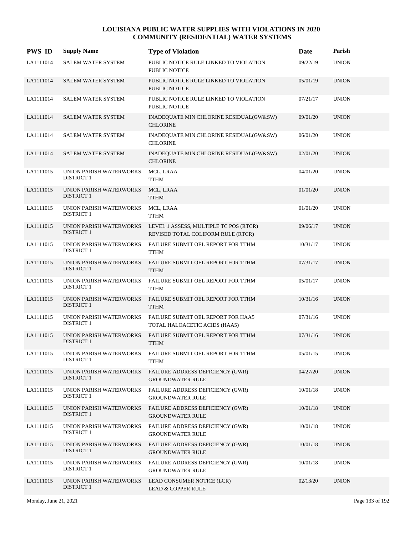| <b>PWS ID</b> | <b>Supply Name</b>                                  | <b>Type of Violation</b>                                                     | Date     | Parish       |
|---------------|-----------------------------------------------------|------------------------------------------------------------------------------|----------|--------------|
| LA1111014     | SALEM WATER SYSTEM                                  | PUBLIC NOTICE RULE LINKED TO VIOLATION<br>PUBLIC NOTICE                      | 09/22/19 | <b>UNION</b> |
| LA1111014     | <b>SALEM WATER SYSTEM</b>                           | PUBLIC NOTICE RULE LINKED TO VIOLATION<br><b>PUBLIC NOTICE</b>               | 05/01/19 | <b>UNION</b> |
| LA1111014     | <b>SALEM WATER SYSTEM</b>                           | PUBLIC NOTICE RULE LINKED TO VIOLATION<br><b>PUBLIC NOTICE</b>               | 07/21/17 | <b>UNION</b> |
| LA1111014     | <b>SALEM WATER SYSTEM</b>                           | INADEQUATE MIN CHLORINE RESIDUAL(GW&SW)<br><b>CHLORINE</b>                   | 09/01/20 | <b>UNION</b> |
| LA1111014     | SALEM WATER SYSTEM                                  | INADEQUATE MIN CHLORINE RESIDUAL(GW&SW)<br><b>CHLORINE</b>                   | 06/01/20 | <b>UNION</b> |
| LA1111014     | SALEM WATER SYSTEM                                  | INADEQUATE MIN CHLORINE RESIDUAL(GW&SW)<br><b>CHLORINE</b>                   | 02/01/20 | <b>UNION</b> |
| LA1111015     | UNION PARISH WATERWORKS<br><b>DISTRICT 1</b>        | MCL, LRAA<br><b>TTHM</b>                                                     | 04/01/20 | <b>UNION</b> |
| LA1111015     | UNION PARISH WATERWORKS<br><b>DISTRICT 1</b>        | MCL, LRAA<br><b>TTHM</b>                                                     | 01/01/20 | <b>UNION</b> |
| LA1111015     | UNION PARISH WATERWORKS<br><b>DISTRICT 1</b>        | MCL, LRAA<br><b>TTHM</b>                                                     | 01/01/20 | <b>UNION</b> |
| LA1111015     | UNION PARISH WATERWORKS<br><b>DISTRICT 1</b>        | LEVEL 1 ASSESS, MULTIPLE TC POS (RTCR)<br>REVISED TOTAL COLIFORM RULE (RTCR) | 09/06/17 | <b>UNION</b> |
| LA1111015     | <b>UNION PARISH WATERWORKS</b><br><b>DISTRICT 1</b> | FAILURE SUBMIT OEL REPORT FOR TTHM<br><b>TTHM</b>                            | 10/31/17 | <b>UNION</b> |
| LA1111015     | UNION PARISH WATERWORKS<br><b>DISTRICT 1</b>        | FAILURE SUBMIT OEL REPORT FOR TTHM<br><b>TTHM</b>                            | 07/31/17 | <b>UNION</b> |
| LA1111015     | UNION PARISH WATERWORKS<br><b>DISTRICT 1</b>        | FAILURE SUBMIT OEL REPORT FOR TTHM<br><b>TTHM</b>                            | 05/01/17 | <b>UNION</b> |
| LA1111015     | UNION PARISH WATERWORKS<br><b>DISTRICT 1</b>        | FAILURE SUBMIT OEL REPORT FOR TTHM<br><b>TTHM</b>                            | 10/31/16 | <b>UNION</b> |
| LA1111015     | UNION PARISH WATERWORKS<br><b>DISTRICT 1</b>        | FAILURE SUBMIT OEL REPORT FOR HAA5<br>TOTAL HALOACETIC ACIDS (HAA5)          | 07/31/16 | <b>UNION</b> |
| LA1111015     | UNION PARISH WATERWORKS<br><b>DISTRICT 1</b>        | FAILURE SUBMIT OEL REPORT FOR TTHM<br><b>TTHM</b>                            | 07/31/16 | <b>UNION</b> |
| LA1111015     | UNION PARISH WATERWORKS<br><b>DISTRICT 1</b>        | FAILURE SUBMIT OEL REPORT FOR TTHM<br><b>TTHM</b>                            | 05/01/15 | <b>UNION</b> |
| LA1111015     | UNION PARISH WATERWORKS<br><b>DISTRICT 1</b>        | FAILURE ADDRESS DEFICIENCY (GWR)<br><b>GROUNDWATER RULE</b>                  | 04/27/20 | <b>UNION</b> |
| LA1111015     | UNION PARISH WATERWORKS<br><b>DISTRICT 1</b>        | FAILURE ADDRESS DEFICIENCY (GWR)<br>GROUNDWATER RULE                         | 10/01/18 | <b>UNION</b> |
| LA1111015     | UNION PARISH WATERWORKS<br><b>DISTRICT 1</b>        | FAILURE ADDRESS DEFICIENCY (GWR)<br><b>GROUNDWATER RULE</b>                  | 10/01/18 | <b>UNION</b> |
| LA1111015     | <b>UNION PARISH WATERWORKS</b><br><b>DISTRICT 1</b> | FAILURE ADDRESS DEFICIENCY (GWR)<br><b>GROUNDWATER RULE</b>                  | 10/01/18 | <b>UNION</b> |
| LA1111015     | UNION PARISH WATERWORKS<br><b>DISTRICT 1</b>        | FAILURE ADDRESS DEFICIENCY (GWR)<br><b>GROUNDWATER RULE</b>                  | 10/01/18 | <b>UNION</b> |
| LA1111015     | UNION PARISH WATERWORKS<br><b>DISTRICT 1</b>        | FAILURE ADDRESS DEFICIENCY (GWR)<br><b>GROUNDWATER RULE</b>                  | 10/01/18 | <b>UNION</b> |
| LA1111015     | UNION PARISH WATERWORKS<br><b>DISTRICT 1</b>        | LEAD CONSUMER NOTICE (LCR)<br><b>LEAD &amp; COPPER RULE</b>                  | 02/13/20 | <b>UNION</b> |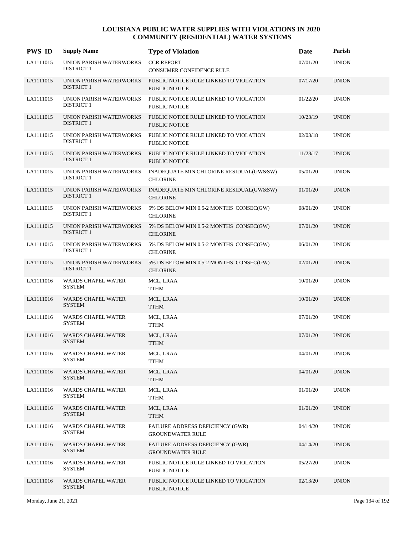| <b>PWS ID</b> | <b>Supply Name</b>                           | <b>Type of Violation</b>                                           | <b>Date</b> | Parish       |
|---------------|----------------------------------------------|--------------------------------------------------------------------|-------------|--------------|
| LA1111015     | UNION PARISH WATERWORKS<br><b>DISTRICT 1</b> | <b>CCR REPORT</b><br>CONSUMER CONFIDENCE RULE                      | 07/01/20    | <b>UNION</b> |
| LA1111015     | UNION PARISH WATERWORKS<br><b>DISTRICT 1</b> | PUBLIC NOTICE RULE LINKED TO VIOLATION<br><b>PUBLIC NOTICE</b>     | 07/17/20    | <b>UNION</b> |
| LA1111015     | UNION PARISH WATERWORKS<br><b>DISTRICT 1</b> | PUBLIC NOTICE RULE LINKED TO VIOLATION<br>PUBLIC NOTICE            | 01/22/20    | <b>UNION</b> |
| LA1111015     | UNION PARISH WATERWORKS<br><b>DISTRICT 1</b> | PUBLIC NOTICE RULE LINKED TO VIOLATION<br>PUBLIC NOTICE            | 10/23/19    | <b>UNION</b> |
| LA1111015     | UNION PARISH WATERWORKS<br><b>DISTRICT 1</b> | PUBLIC NOTICE RULE LINKED TO VIOLATION<br>PUBLIC NOTICE            | 02/03/18    | <b>UNION</b> |
| LA1111015     | UNION PARISH WATERWORKS<br><b>DISTRICT 1</b> | PUBLIC NOTICE RULE LINKED TO VIOLATION<br>PUBLIC NOTICE            | 11/28/17    | <b>UNION</b> |
| LA1111015     | UNION PARISH WATERWORKS<br><b>DISTRICT 1</b> | INADEQUATE MIN CHLORINE RESIDUAL(GW&SW)<br><b>CHLORINE</b>         | 05/01/20    | <b>UNION</b> |
| LA1111015     | UNION PARISH WATERWORKS<br><b>DISTRICT 1</b> | INADEQUATE MIN CHLORINE RESIDUAL(GW&SW)<br><b>CHLORINE</b>         | 01/01/20    | <b>UNION</b> |
| LA1111015     | UNION PARISH WATERWORKS<br><b>DISTRICT 1</b> | 5% DS BELOW MIN 0.5-2 MONTHS CONSEC(GW)<br><b>CHLORINE</b>         | 08/01/20    | <b>UNION</b> |
| LA1111015     | UNION PARISH WATERWORKS<br><b>DISTRICT 1</b> | 5% DS BELOW MIN 0.5-2 MONTHS CONSEC(GW)<br><b>CHLORINE</b>         | 07/01/20    | <b>UNION</b> |
| LA1111015     | UNION PARISH WATERWORKS<br><b>DISTRICT 1</b> | 5% DS BELOW MIN 0.5-2 MONTHS CONSEC(GW)<br><b>CHLORINE</b>         | 06/01/20    | <b>UNION</b> |
| LA1111015     | UNION PARISH WATERWORKS<br><b>DISTRICT 1</b> | 5% DS BELOW MIN 0.5-2 MONTHS CONSEC(GW)<br><b>CHLORINE</b>         | 02/01/20    | <b>UNION</b> |
| LA1111016     | WARDS CHAPEL WATER<br><b>SYSTEM</b>          | MCL, LRAA<br><b>TTHM</b>                                           | 10/01/20    | <b>UNION</b> |
| LA1111016     | <b>WARDS CHAPEL WATER</b><br><b>SYSTEM</b>   | MCL, LRAA<br><b>TTHM</b>                                           | 10/01/20    | <b>UNION</b> |
| LA1111016     | WARDS CHAPEL WATER<br><b>SYSTEM</b>          | MCL, LRAA<br><b>TTHM</b>                                           | 07/01/20    | <b>UNION</b> |
| LA1111016     | <b>WARDS CHAPEL WATER</b><br><b>SYSTEM</b>   | MCL, LRAA<br><b>TTHM</b>                                           | 07/01/20    | <b>UNION</b> |
| LA1111016     | <b>WARDS CHAPEL WATER</b><br><b>SYSTEM</b>   | MCL, LRAA<br><b>TTHM</b>                                           | 04/01/20    | <b>UNION</b> |
| LA1111016     | <b>WARDS CHAPEL WATER</b><br><b>SYSTEM</b>   | MCL, LRAA<br><b>TTHM</b>                                           | 04/01/20    | <b>UNION</b> |
| LA1111016     | WARDS CHAPEL WATER<br><b>SYSTEM</b>          | MCL, LRAA<br><b>TTHM</b>                                           | 01/01/20    | <b>UNION</b> |
| LA1111016     | WARDS CHAPEL WATER<br><b>SYSTEM</b>          | MCL, LRAA<br><b>TTHM</b>                                           | 01/01/20    | <b>UNION</b> |
| LA1111016     | <b>WARDS CHAPEL WATER</b><br><b>SYSTEM</b>   | FAILURE ADDRESS DEFICIENCY (GWR)<br><b>GROUNDWATER RULE</b>        | 04/14/20    | <b>UNION</b> |
| LA1111016     | <b>WARDS CHAPEL WATER</b><br><b>SYSTEM</b>   | <b>FAILURE ADDRESS DEFICIENCY (GWR)</b><br><b>GROUNDWATER RULE</b> | 04/14/20    | <b>UNION</b> |
| LA1111016     | WARDS CHAPEL WATER<br><b>SYSTEM</b>          | PUBLIC NOTICE RULE LINKED TO VIOLATION<br>PUBLIC NOTICE            | 05/27/20    | <b>UNION</b> |
| LA1111016     | WARDS CHAPEL WATER<br><b>SYSTEM</b>          | PUBLIC NOTICE RULE LINKED TO VIOLATION<br>PUBLIC NOTICE            | 02/13/20    | <b>UNION</b> |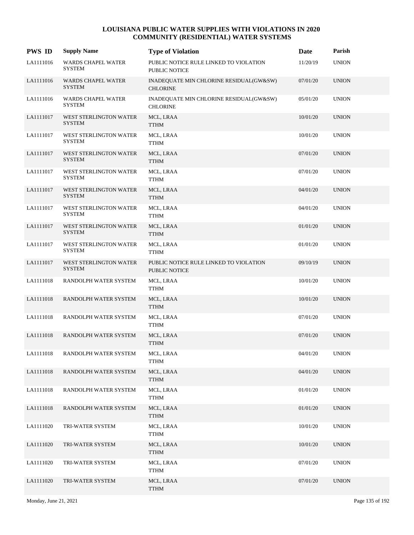| <b>PWS ID</b> | <b>Supply Name</b>                         | <b>Type of Violation</b>                                   | Date     | Parish       |
|---------------|--------------------------------------------|------------------------------------------------------------|----------|--------------|
| LA1111016     | <b>WARDS CHAPEL WATER</b><br><b>SYSTEM</b> | PUBLIC NOTICE RULE LINKED TO VIOLATION<br>PUBLIC NOTICE    | 11/20/19 | <b>UNION</b> |
| LA1111016     | <b>WARDS CHAPEL WATER</b><br><b>SYSTEM</b> | INADEQUATE MIN CHLORINE RESIDUAL(GW&SW)<br><b>CHLORINE</b> | 07/01/20 | <b>UNION</b> |
| LA1111016     | WARDS CHAPEL WATER<br><b>SYSTEM</b>        | INADEQUATE MIN CHLORINE RESIDUAL(GW&SW)<br><b>CHLORINE</b> | 05/01/20 | <b>UNION</b> |
| LA1111017     | WEST STERLINGTON WATER<br><b>SYSTEM</b>    | MCL, LRAA<br><b>TTHM</b>                                   | 10/01/20 | <b>UNION</b> |
| LA1111017     | WEST STERLINGTON WATER<br><b>SYSTEM</b>    | MCL, LRAA<br><b>TTHM</b>                                   | 10/01/20 | <b>UNION</b> |
| LA1111017     | WEST STERLINGTON WATER<br><b>SYSTEM</b>    | MCL, LRAA<br><b>TTHM</b>                                   | 07/01/20 | <b>UNION</b> |
| LA1111017     | WEST STERLINGTON WATER<br><b>SYSTEM</b>    | MCL, LRAA<br><b>TTHM</b>                                   | 07/01/20 | <b>UNION</b> |
| LA1111017     | WEST STERLINGTON WATER<br><b>SYSTEM</b>    | MCL, LRAA<br><b>TTHM</b>                                   | 04/01/20 | <b>UNION</b> |
| LA1111017     | WEST STERLINGTON WATER<br><b>SYSTEM</b>    | MCL, LRAA<br><b>TTHM</b>                                   | 04/01/20 | <b>UNION</b> |
| LA1111017     | WEST STERLINGTON WATER<br><b>SYSTEM</b>    | MCL, LRAA<br><b>TTHM</b>                                   | 01/01/20 | <b>UNION</b> |
| LA1111017     | WEST STERLINGTON WATER<br><b>SYSTEM</b>    | MCL, LRAA<br><b>TTHM</b>                                   | 01/01/20 | <b>UNION</b> |
| LA1111017     | WEST STERLINGTON WATER<br><b>SYSTEM</b>    | PUBLIC NOTICE RULE LINKED TO VIOLATION<br>PUBLIC NOTICE    | 09/10/19 | <b>UNION</b> |
| LA1111018     | RANDOLPH WATER SYSTEM                      | MCL, LRAA<br><b>TTHM</b>                                   | 10/01/20 | <b>UNION</b> |
| LA1111018     | RANDOLPH WATER SYSTEM                      | MCL, LRAA<br><b>TTHM</b>                                   | 10/01/20 | <b>UNION</b> |
| LA1111018     | RANDOLPH WATER SYSTEM                      | MCL, LRAA<br><b>TTHM</b>                                   | 07/01/20 | <b>UNION</b> |
| LA1111018     | RANDOLPH WATER SYSTEM                      | MCL, LRAA<br><b>TTHM</b>                                   | 07/01/20 | <b>UNION</b> |
| LA1111018     | RANDOLPH WATER SYSTEM                      | MCL, LRAA<br><b>TTHM</b>                                   | 04/01/20 | <b>UNION</b> |
| LA1111018     | RANDOLPH WATER SYSTEM                      | MCL, LRAA<br><b>TTHM</b>                                   | 04/01/20 | <b>UNION</b> |
| LA1111018     | RANDOLPH WATER SYSTEM                      | MCL, LRAA<br>${\sf TTHM}$                                  | 01/01/20 | <b>UNION</b> |
| LA1111018     | RANDOLPH WATER SYSTEM                      | MCL, LRAA<br><b>TTHM</b>                                   | 01/01/20 | <b>UNION</b> |
| LA1111020     | TRI-WATER SYSTEM                           | MCL, LRAA<br><b>TTHM</b>                                   | 10/01/20 | <b>UNION</b> |
| LA1111020     | TRI-WATER SYSTEM                           | MCL, LRAA<br><b>TTHM</b>                                   | 10/01/20 | <b>UNION</b> |
| LA1111020     | TRI-WATER SYSTEM                           | MCL, LRAA<br><b>TTHM</b>                                   | 07/01/20 | <b>UNION</b> |
| LA1111020     | TRI-WATER SYSTEM                           | MCL, LRAA<br><b>TTHM</b>                                   | 07/01/20 | <b>UNION</b> |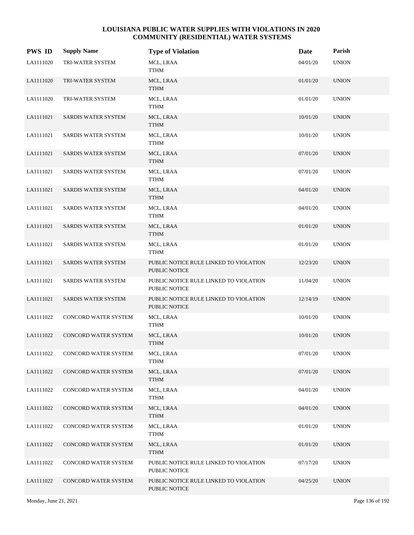| <b>PWS ID</b> | <b>Supply Name</b>          | <b>Type of Violation</b>                                       | Date     | Parish       |
|---------------|-----------------------------|----------------------------------------------------------------|----------|--------------|
| LA1111020     | TRI-WATER SYSTEM            | MCL, LRAA<br>TTHM                                              | 04/01/20 | <b>UNION</b> |
| LA1111020     | TRI-WATER SYSTEM            | MCL, LRAA<br><b>TTHM</b>                                       | 01/01/20 | <b>UNION</b> |
| LA1111020     | TRI-WATER SYSTEM            | MCL, LRAA<br>TTHM                                              | 01/01/20 | <b>UNION</b> |
| LA1111021     | SARDIS WATER SYSTEM         | MCL, LRAA<br><b>TTHM</b>                                       | 10/01/20 | <b>UNION</b> |
| LA1111021     | SARDIS WATER SYSTEM         | MCL, LRAA<br>TTHM                                              | 10/01/20 | <b>UNION</b> |
| LA1111021     | SARDIS WATER SYSTEM         | MCL, LRAA<br><b>TTHM</b>                                       | 07/01/20 | <b>UNION</b> |
| LA1111021     | SARDIS WATER SYSTEM         | MCL, LRAA<br><b>TTHM</b>                                       | 07/01/20 | <b>UNION</b> |
| LA1111021     | SARDIS WATER SYSTEM         | MCL, LRAA<br><b>TTHM</b>                                       | 04/01/20 | <b>UNION</b> |
| LA1111021     | SARDIS WATER SYSTEM         | MCL, LRAA<br><b>TTHM</b>                                       | 04/01/20 | <b>UNION</b> |
| LA1111021     | SARDIS WATER SYSTEM         | MCL, LRAA<br><b>TTHM</b>                                       | 01/01/20 | <b>UNION</b> |
| LA1111021     | SARDIS WATER SYSTEM         | MCL, LRAA<br><b>TTHM</b>                                       | 01/01/20 | <b>UNION</b> |
| LA1111021     | SARDIS WATER SYSTEM         | PUBLIC NOTICE RULE LINKED TO VIOLATION<br>PUBLIC NOTICE        | 12/23/20 | <b>UNION</b> |
| LA1111021     | SARDIS WATER SYSTEM         | PUBLIC NOTICE RULE LINKED TO VIOLATION<br><b>PUBLIC NOTICE</b> | 11/04/20 | <b>UNION</b> |
| LA1111021     | SARDIS WATER SYSTEM         | PUBLIC NOTICE RULE LINKED TO VIOLATION<br><b>PUBLIC NOTICE</b> | 12/14/19 | <b>UNION</b> |
| LA1111022     | CONCORD WATER SYSTEM        | MCL, LRAA<br><b>TTHM</b>                                       | 10/01/20 | <b>UNION</b> |
| LA1111022     | <b>CONCORD WATER SYSTEM</b> | MCL, LRAA<br><b>TTHM</b>                                       | 10/01/20 | <b>UNION</b> |
| LA1111022     | CONCORD WATER SYSTEM        | MCL, LRAA<br><b>TTHM</b>                                       | 07/01/20 | <b>UNION</b> |
| LA1111022     | CONCORD WATER SYSTEM        | MCL, LRAA<br><b>TTHM</b>                                       | 07/01/20 | <b>UNION</b> |
| LA1111022     | CONCORD WATER SYSTEM        | MCL, LRAA<br><b>TTHM</b>                                       | 04/01/20 | <b>UNION</b> |
| LA1111022     | CONCORD WATER SYSTEM        | MCL, LRAA<br><b>TTHM</b>                                       | 04/01/20 | <b>UNION</b> |
| LA1111022     | CONCORD WATER SYSTEM        | MCL, LRAA<br><b>TTHM</b>                                       | 01/01/20 | <b>UNION</b> |
| LA1111022     | CONCORD WATER SYSTEM        | MCL, LRAA<br><b>TTHM</b>                                       | 01/01/20 | <b>UNION</b> |
| LA1111022     | CONCORD WATER SYSTEM        | PUBLIC NOTICE RULE LINKED TO VIOLATION<br>PUBLIC NOTICE        | 07/17/20 | <b>UNION</b> |
| LA1111022     | CONCORD WATER SYSTEM        | PUBLIC NOTICE RULE LINKED TO VIOLATION<br>PUBLIC NOTICE        | 04/25/20 | <b>UNION</b> |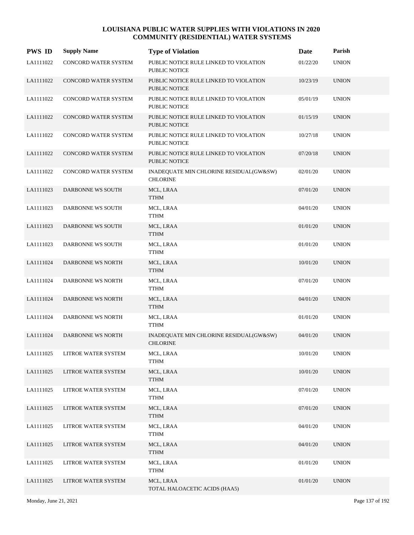| <b>PWS ID</b> | <b>Supply Name</b>          | <b>Type of Violation</b>                                       | Date     | Parish       |
|---------------|-----------------------------|----------------------------------------------------------------|----------|--------------|
| LA1111022     | CONCORD WATER SYSTEM        | PUBLIC NOTICE RULE LINKED TO VIOLATION<br>PUBLIC NOTICE        | 01/22/20 | <b>UNION</b> |
| LA1111022     | CONCORD WATER SYSTEM        | PUBLIC NOTICE RULE LINKED TO VIOLATION<br>PUBLIC NOTICE        | 10/23/19 | <b>UNION</b> |
| LA1111022     | CONCORD WATER SYSTEM        | PUBLIC NOTICE RULE LINKED TO VIOLATION<br>PUBLIC NOTICE        | 05/01/19 | <b>UNION</b> |
| LA1111022     | <b>CONCORD WATER SYSTEM</b> | PUBLIC NOTICE RULE LINKED TO VIOLATION<br>PUBLIC NOTICE        | 01/15/19 | <b>UNION</b> |
| LA1111022     | CONCORD WATER SYSTEM        | PUBLIC NOTICE RULE LINKED TO VIOLATION<br>PUBLIC NOTICE        | 10/27/18 | <b>UNION</b> |
| LA1111022     | CONCORD WATER SYSTEM        | PUBLIC NOTICE RULE LINKED TO VIOLATION<br><b>PUBLIC NOTICE</b> | 07/20/18 | <b>UNION</b> |
| LA1111022     | CONCORD WATER SYSTEM        | INADEQUATE MIN CHLORINE RESIDUAL(GW&SW)<br><b>CHLORINE</b>     | 02/01/20 | <b>UNION</b> |
| LA1111023     | DARBONNE WS SOUTH           | MCL, LRAA<br><b>TTHM</b>                                       | 07/01/20 | <b>UNION</b> |
| LA1111023     | DARBONNE WS SOUTH           | MCL, LRAA<br>TTHM                                              | 04/01/20 | <b>UNION</b> |
| LA1111023     | DARBONNE WS SOUTH           | MCL, LRAA<br><b>TTHM</b>                                       | 01/01/20 | <b>UNION</b> |
| LA1111023     | DARBONNE WS SOUTH           | MCL, LRAA<br><b>TTHM</b>                                       | 01/01/20 | <b>UNION</b> |
| LA1111024     | DARBONNE WS NORTH           | MCL, LRAA<br><b>TTHM</b>                                       | 10/01/20 | <b>UNION</b> |
| LA1111024     | DARBONNE WS NORTH           | MCL, LRAA<br>TTHM                                              | 07/01/20 | <b>UNION</b> |
| LA1111024     | DARBONNE WS NORTH           | MCL, LRAA<br><b>TTHM</b>                                       | 04/01/20 | <b>UNION</b> |
| LA1111024     | DARBONNE WS NORTH           | MCL, LRAA<br>TTHM                                              | 01/01/20 | <b>UNION</b> |
| LA1111024     | DARBONNE WS NORTH           | INADEQUATE MIN CHLORINE RESIDUAL(GW&SW)<br><b>CHLORINE</b>     | 04/01/20 | <b>UNION</b> |
| LA1111025     | LITROE WATER SYSTEM         | MCL, LRAA<br><b>TTHM</b>                                       | 10/01/20 | <b>UNION</b> |
| LA1111025     | LITROE WATER SYSTEM         | MCL, LRAA<br><b>TTHM</b>                                       | 10/01/20 | <b>UNION</b> |
| LA1111025     | LITROE WATER SYSTEM         | MCL, LRAA<br><b>TTHM</b>                                       | 07/01/20 | <b>UNION</b> |
| LA1111025     | LITROE WATER SYSTEM         | MCL, LRAA<br><b>TTHM</b>                                       | 07/01/20 | <b>UNION</b> |
| LA1111025     | LITROE WATER SYSTEM         | MCL, LRAA<br><b>TTHM</b>                                       | 04/01/20 | <b>UNION</b> |
| LA1111025     | LITROE WATER SYSTEM         | MCL, LRAA<br><b>TTHM</b>                                       | 04/01/20 | <b>UNION</b> |
| LA1111025     | LITROE WATER SYSTEM         | MCL, LRAA<br><b>TTHM</b>                                       | 01/01/20 | <b>UNION</b> |
| LA1111025     | LITROE WATER SYSTEM         | MCL, LRAA<br>TOTAL HALOACETIC ACIDS (HAA5)                     | 01/01/20 | <b>UNION</b> |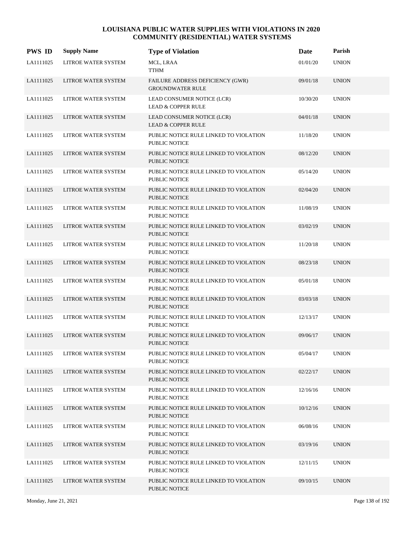| <b>PWS ID</b> | <b>Supply Name</b>         | <b>Type of Violation</b>                                       | Date     | Parish       |
|---------------|----------------------------|----------------------------------------------------------------|----------|--------------|
| LA1111025     | LITROE WATER SYSTEM        | MCL, LRAA<br><b>TTHM</b>                                       | 01/01/20 | <b>UNION</b> |
| LA1111025     | LITROE WATER SYSTEM        | FAILURE ADDRESS DEFICIENCY (GWR)<br><b>GROUNDWATER RULE</b>    | 09/01/18 | <b>UNION</b> |
| LA1111025     | LITROE WATER SYSTEM        | LEAD CONSUMER NOTICE (LCR)<br><b>LEAD &amp; COPPER RULE</b>    | 10/30/20 | <b>UNION</b> |
| LA1111025     | <b>LITROE WATER SYSTEM</b> | LEAD CONSUMER NOTICE (LCR)<br><b>LEAD &amp; COPPER RULE</b>    | 04/01/18 | <b>UNION</b> |
| LA1111025     | LITROE WATER SYSTEM        | PUBLIC NOTICE RULE LINKED TO VIOLATION<br><b>PUBLIC NOTICE</b> | 11/18/20 | <b>UNION</b> |
| LA1111025     | LITROE WATER SYSTEM        | PUBLIC NOTICE RULE LINKED TO VIOLATION<br><b>PUBLIC NOTICE</b> | 08/12/20 | <b>UNION</b> |
| LA1111025     | LITROE WATER SYSTEM        | PUBLIC NOTICE RULE LINKED TO VIOLATION<br><b>PUBLIC NOTICE</b> | 05/14/20 | <b>UNION</b> |
| LA1111025     | LITROE WATER SYSTEM        | PUBLIC NOTICE RULE LINKED TO VIOLATION<br><b>PUBLIC NOTICE</b> | 02/04/20 | <b>UNION</b> |
| LA1111025     | LITROE WATER SYSTEM        | PUBLIC NOTICE RULE LINKED TO VIOLATION<br><b>PUBLIC NOTICE</b> | 11/08/19 | <b>UNION</b> |
| LA1111025     | LITROE WATER SYSTEM        | PUBLIC NOTICE RULE LINKED TO VIOLATION<br>PUBLIC NOTICE        | 03/02/19 | <b>UNION</b> |
| LA1111025     | LITROE WATER SYSTEM        | PUBLIC NOTICE RULE LINKED TO VIOLATION<br>PUBLIC NOTICE        | 11/20/18 | <b>UNION</b> |
| LA1111025     | LITROE WATER SYSTEM        | PUBLIC NOTICE RULE LINKED TO VIOLATION<br>PUBLIC NOTICE        | 08/23/18 | <b>UNION</b> |
| LA1111025     | LITROE WATER SYSTEM        | PUBLIC NOTICE RULE LINKED TO VIOLATION<br><b>PUBLIC NOTICE</b> | 05/01/18 | <b>UNION</b> |
| LA1111025     | LITROE WATER SYSTEM        | PUBLIC NOTICE RULE LINKED TO VIOLATION<br><b>PUBLIC NOTICE</b> | 03/03/18 | <b>UNION</b> |
| LA1111025     | LITROE WATER SYSTEM        | PUBLIC NOTICE RULE LINKED TO VIOLATION<br><b>PUBLIC NOTICE</b> | 12/13/17 | <b>UNION</b> |
| LA1111025     | LITROE WATER SYSTEM        | PUBLIC NOTICE RULE LINKED TO VIOLATION<br>PUBLIC NOTICE        | 09/06/17 | <b>UNION</b> |
| LA1111025     | LITROE WATER SYSTEM        | PUBLIC NOTICE RULE LINKED TO VIOLATION<br>PUBLIC NOTICE        | 05/04/17 | <b>UNION</b> |
| LA1111025     | LITROE WATER SYSTEM        | PUBLIC NOTICE RULE LINKED TO VIOLATION<br>PUBLIC NOTICE        | 02/22/17 | <b>UNION</b> |
| LA1111025     | LITROE WATER SYSTEM        | PUBLIC NOTICE RULE LINKED TO VIOLATION<br>PUBLIC NOTICE        | 12/16/16 | <b>UNION</b> |
| LA1111025     | LITROE WATER SYSTEM        | PUBLIC NOTICE RULE LINKED TO VIOLATION<br><b>PUBLIC NOTICE</b> | 10/12/16 | <b>UNION</b> |
| LA1111025     | LITROE WATER SYSTEM        | PUBLIC NOTICE RULE LINKED TO VIOLATION<br>PUBLIC NOTICE        | 06/08/16 | <b>UNION</b> |
| LA1111025     | LITROE WATER SYSTEM        | PUBLIC NOTICE RULE LINKED TO VIOLATION<br>PUBLIC NOTICE        | 03/19/16 | <b>UNION</b> |
| LA1111025     | LITROE WATER SYSTEM        | PUBLIC NOTICE RULE LINKED TO VIOLATION<br>PUBLIC NOTICE        | 12/11/15 | <b>UNION</b> |
| LA1111025     | LITROE WATER SYSTEM        | PUBLIC NOTICE RULE LINKED TO VIOLATION<br>PUBLIC NOTICE        | 09/10/15 | <b>UNION</b> |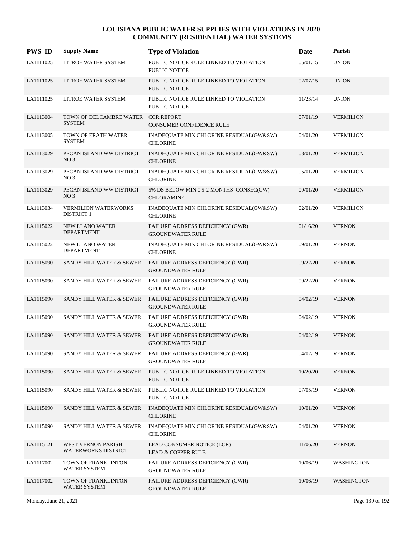| <b>PWS ID</b> | <b>Supply Name</b>                                  | <b>Type of Violation</b>                                           | Date     | Parish            |
|---------------|-----------------------------------------------------|--------------------------------------------------------------------|----------|-------------------|
| LA1111025     | LITROE WATER SYSTEM                                 | PUBLIC NOTICE RULE LINKED TO VIOLATION<br>PUBLIC NOTICE            | 05/01/15 | <b>UNION</b>      |
| LA1111025     | LITROE WATER SYSTEM                                 | PUBLIC NOTICE RULE LINKED TO VIOLATION<br><b>PUBLIC NOTICE</b>     | 02/07/15 | <b>UNION</b>      |
| LA1111025     | LITROE WATER SYSTEM                                 | PUBLIC NOTICE RULE LINKED TO VIOLATION<br><b>PUBLIC NOTICE</b>     | 11/23/14 | <b>UNION</b>      |
| LA1113004     | TOWN OF DELCAMBRE WATER CCR REPORT<br><b>SYSTEM</b> | <b>CONSUMER CONFIDENCE RULE</b>                                    | 07/01/19 | <b>VERMILION</b>  |
| LA1113005     | TOWN OF ERATH WATER<br><b>SYSTEM</b>                | INADEQUATE MIN CHLORINE RESIDUAL(GW&SW)<br><b>CHLORINE</b>         | 04/01/20 | <b>VERMILION</b>  |
| LA1113029     | PECAN ISLAND WW DISTRICT<br>NO <sub>3</sub>         | INADEQUATE MIN CHLORINE RESIDUAL(GW&SW)<br><b>CHLORINE</b>         | 08/01/20 | <b>VERMILION</b>  |
| LA1113029     | PECAN ISLAND WW DISTRICT<br>NO <sub>3</sub>         | INADEQUATE MIN CHLORINE RESIDUAL(GW&SW)<br><b>CHLORINE</b>         | 05/01/20 | <b>VERMILION</b>  |
| LA1113029     | PECAN ISLAND WW DISTRICT<br>NO <sub>3</sub>         | 5% DS BELOW MIN 0.5-2 MONTHS CONSEC(GW)<br><b>CHLORAMINE</b>       | 09/01/20 | <b>VERMILION</b>  |
| LA1113034     | VERMILION WATERWORKS<br><b>DISTRICT 1</b>           | INADEQUATE MIN CHLORINE RESIDUAL(GW&SW)<br><b>CHLORINE</b>         | 02/01/20 | <b>VERMILION</b>  |
| LA1115022     | <b>NEW LLANO WATER</b><br><b>DEPARTMENT</b>         | FAILURE ADDRESS DEFICIENCY (GWR)<br><b>GROUNDWATER RULE</b>        | 01/16/20 | <b>VERNON</b>     |
| LA1115022     | <b>NEW LLANO WATER</b><br><b>DEPARTMENT</b>         | INADEQUATE MIN CHLORINE RESIDUAL(GW&SW)<br><b>CHLORINE</b>         | 09/01/20 | <b>VERNON</b>     |
| LA1115090     | SANDY HILL WATER & SEWER                            | FAILURE ADDRESS DEFICIENCY (GWR)<br><b>GROUNDWATER RULE</b>        | 09/22/20 | <b>VERNON</b>     |
| LA1115090     | SANDY HILL WATER & SEWER                            | FAILURE ADDRESS DEFICIENCY (GWR)<br><b>GROUNDWATER RULE</b>        | 09/22/20 | <b>VERNON</b>     |
| LA1115090     | SANDY HILL WATER & SEWER                            | FAILURE ADDRESS DEFICIENCY (GWR)<br><b>GROUNDWATER RULE</b>        | 04/02/19 | <b>VERNON</b>     |
| LA1115090     | SANDY HILL WATER & SEWER                            | FAILURE ADDRESS DEFICIENCY (GWR)<br><b>GROUNDWATER RULE</b>        | 04/02/19 | <b>VERNON</b>     |
| LA1115090     | <b>SANDY HILL WATER &amp; SEWER</b>                 | FAILURE ADDRESS DEFICIENCY (GWR)<br><b>GROUNDWATER RULE</b>        | 04/02/19 | <b>VERNON</b>     |
| LA1115090     | SANDY HILL WATER & SEWER                            | FAILURE ADDRESS DEFICIENCY (GWR)<br><b>GROUNDWATER RULE</b>        | 04/02/19 | <b>VERNON</b>     |
| LA1115090     | <b>SANDY HILL WATER &amp; SEWER</b>                 | PUBLIC NOTICE RULE LINKED TO VIOLATION<br>PUBLIC NOTICE            | 10/20/20 | <b>VERNON</b>     |
| LA1115090     | SANDY HILL WATER & SEWER                            | PUBLIC NOTICE RULE LINKED TO VIOLATION<br>PUBLIC NOTICE            | 07/05/19 | <b>VERNON</b>     |
| LA1115090     | SANDY HILL WATER & SEWER                            | INADEQUATE MIN CHLORINE RESIDUAL(GW&SW)<br><b>CHLORINE</b>         | 10/01/20 | <b>VERNON</b>     |
| LA1115090     | SANDY HILL WATER & SEWER                            | INADEQUATE MIN CHLORINE RESIDUAL(GW&SW)<br><b>CHLORINE</b>         | 04/01/20 | <b>VERNON</b>     |
| LA1115121     | WEST VERNON PARISH<br><b>WATERWORKS DISTRICT</b>    | LEAD CONSUMER NOTICE (LCR)<br><b>LEAD &amp; COPPER RULE</b>        | 11/06/20 | <b>VERNON</b>     |
| LA1117002     | TOWN OF FRANKLINTON<br>WATER SYSTEM                 | <b>FAILURE ADDRESS DEFICIENCY (GWR)</b><br><b>GROUNDWATER RULE</b> | 10/06/19 | WASHINGTON        |
| LA1117002     | TOWN OF FRANKLINTON<br>WATER SYSTEM                 | FAILURE ADDRESS DEFICIENCY (GWR)<br><b>GROUNDWATER RULE</b>        | 10/06/19 | <b>WASHINGTON</b> |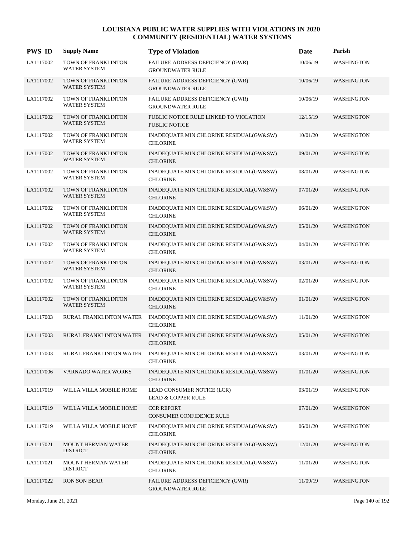| <b>PWS ID</b> | <b>Supply Name</b>                                | <b>Type of Violation</b>                                       | Date     | Parish            |
|---------------|---------------------------------------------------|----------------------------------------------------------------|----------|-------------------|
| LA1117002     | TOWN OF FRANKLINTON<br>WATER SYSTEM               | FAILURE ADDRESS DEFICIENCY (GWR)<br><b>GROUNDWATER RULE</b>    | 10/06/19 | WASHINGTON        |
| LA1117002     | TOWN OF FRANKLINTON<br>WATER SYSTEM               | FAILURE ADDRESS DEFICIENCY (GWR)<br><b>GROUNDWATER RULE</b>    | 10/06/19 | WASHINGTON        |
| LA1117002     | TOWN OF FRANKLINTON<br>WATER SYSTEM               | FAILURE ADDRESS DEFICIENCY (GWR)<br><b>GROUNDWATER RULE</b>    | 10/06/19 | WASHINGTON        |
| LA1117002     | TOWN OF FRANKLINTON<br>WATER SYSTEM               | PUBLIC NOTICE RULE LINKED TO VIOLATION<br><b>PUBLIC NOTICE</b> | 12/15/19 | <b>WASHINGTON</b> |
| LA1117002     | TOWN OF FRANKLINTON<br><b>WATER SYSTEM</b>        | INADEQUATE MIN CHLORINE RESIDUAL(GW&SW)<br><b>CHLORINE</b>     | 10/01/20 | WASHINGTON        |
| LA1117002     | TOWN OF FRANKLINTON<br><b>WATER SYSTEM</b>        | INADEQUATE MIN CHLORINE RESIDUAL(GW&SW)<br><b>CHLORINE</b>     | 09/01/20 | <b>WASHINGTON</b> |
| LA1117002     | TOWN OF FRANKLINTON<br><b>WATER SYSTEM</b>        | INADEQUATE MIN CHLORINE RESIDUAL(GW&SW)<br><b>CHLORINE</b>     | 08/01/20 | <b>WASHINGTON</b> |
| LA1117002     | TOWN OF FRANKLINTON<br>WATER SYSTEM               | INADEQUATE MIN CHLORINE RESIDUAL(GW&SW)<br><b>CHLORINE</b>     | 07/01/20 | <b>WASHINGTON</b> |
| LA1117002     | TOWN OF FRANKLINTON<br>WATER SYSTEM               | INADEQUATE MIN CHLORINE RESIDUAL(GW&SW)<br><b>CHLORINE</b>     | 06/01/20 | <b>WASHINGTON</b> |
| LA1117002     | TOWN OF FRANKLINTON<br><b>WATER SYSTEM</b>        | INADEQUATE MIN CHLORINE RESIDUAL(GW&SW)<br><b>CHLORINE</b>     | 05/01/20 | <b>WASHINGTON</b> |
| LA1117002     | TOWN OF FRANKLINTON<br><b>WATER SYSTEM</b>        | INADEQUATE MIN CHLORINE RESIDUAL(GW&SW)<br><b>CHLORINE</b>     | 04/01/20 | WASHINGTON        |
| LA1117002     | TOWN OF FRANKLINTON<br>WATER SYSTEM               | INADEQUATE MIN CHLORINE RESIDUAL(GW&SW)<br><b>CHLORINE</b>     | 03/01/20 | WASHINGTON        |
| LA1117002     | TOWN OF FRANKLINTON<br>WATER SYSTEM               | INADEQUATE MIN CHLORINE RESIDUAL(GW&SW)<br><b>CHLORINE</b>     | 02/01/20 | WASHINGTON        |
| LA1117002     | <b>TOWN OF FRANKLINTON</b><br><b>WATER SYSTEM</b> | INADEQUATE MIN CHLORINE RESIDUAL(GW&SW)<br><b>CHLORINE</b>     | 01/01/20 | <b>WASHINGTON</b> |
| LA1117003     | RURAL FRANKLINTON WATER                           | INADEQUATE MIN CHLORINE RESIDUAL(GW&SW)<br><b>CHLORINE</b>     | 11/01/20 | WASHINGTON        |
| LA1117003     | <b>RURAL FRANKLINTON WATER</b>                    | INADEQUATE MIN CHLORINE RESIDUAL(GW&SW)<br><b>CHLORINE</b>     | 05/01/20 | <b>WASHINGTON</b> |
| LA1117003     | RURAL FRANKLINTON WATER                           | INADEQUATE MIN CHLORINE RESIDUAL(GW&SW)<br><b>CHLORINE</b>     | 03/01/20 | WASHINGTON        |
| LA1117006     | VARNADO WATER WORKS                               | INADEQUATE MIN CHLORINE RESIDUAL(GW&SW)<br><b>CHLORINE</b>     | 01/01/20 | WASHINGTON        |
| LA1117019     | WILLA VILLA MOBILE HOME                           | LEAD CONSUMER NOTICE (LCR)<br>LEAD & COPPER RULE               | 03/01/19 | WASHINGTON        |
| LA1117019     | WILLA VILLA MOBILE HOME                           | <b>CCR REPORT</b><br>CONSUMER CONFIDENCE RULE                  | 07/01/20 | WASHINGTON        |
| LA1117019     | WILLA VILLA MOBILE HOME                           | INADEQUATE MIN CHLORINE RESIDUAL(GW&SW)<br><b>CHLORINE</b>     | 06/01/20 | WASHINGTON        |
| LA1117021     | MOUNT HERMAN WATER<br><b>DISTRICT</b>             | INADEQUATE MIN CHLORINE RESIDUAL(GW&SW)<br><b>CHLORINE</b>     | 12/01/20 | WASHINGTON        |
| LA1117021     | MOUNT HERMAN WATER<br><b>DISTRICT</b>             | INADEQUATE MIN CHLORINE RESIDUAL(GW&SW)<br><b>CHLORINE</b>     | 11/01/20 | WASHINGTON        |
| LA1117022     | <b>RON SON BEAR</b>                               | FAILURE ADDRESS DEFICIENCY (GWR)<br><b>GROUNDWATER RULE</b>    | 11/09/19 | WASHINGTON        |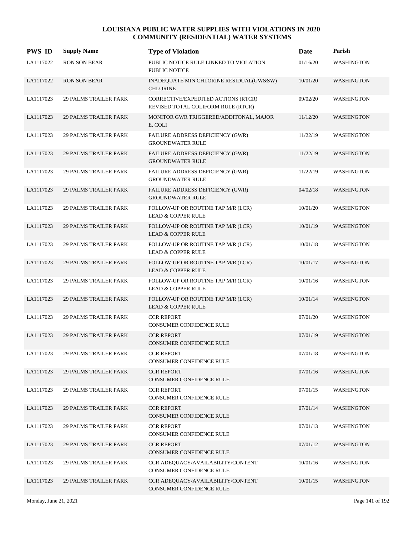| <b>PWS ID</b> | <b>Supply Name</b>           | <b>Type of Violation</b>                                                  | Date     | Parish            |
|---------------|------------------------------|---------------------------------------------------------------------------|----------|-------------------|
| LA1117022     | <b>RON SON BEAR</b>          | PUBLIC NOTICE RULE LINKED TO VIOLATION<br><b>PUBLIC NOTICE</b>            | 01/16/20 | WASHINGTON        |
| LA1117022     | <b>RON SON BEAR</b>          | INADEQUATE MIN CHLORINE RESIDUAL(GW&SW)<br><b>CHLORINE</b>                | 10/01/20 | <b>WASHINGTON</b> |
| LA1117023     | <b>29 PALMS TRAILER PARK</b> | CORRECTIVE/EXPEDITED ACTIONS (RTCR)<br>REVISED TOTAL COLIFORM RULE (RTCR) | 09/02/20 | <b>WASHINGTON</b> |
| LA1117023     | <b>29 PALMS TRAILER PARK</b> | MONITOR GWR TRIGGERED/ADDITONAL, MAJOR<br>E. COLI                         | 11/12/20 | WASHINGTON        |
| LA1117023     | <b>29 PALMS TRAILER PARK</b> | FAILURE ADDRESS DEFICIENCY (GWR)<br><b>GROUNDWATER RULE</b>               | 11/22/19 | WASHINGTON        |
| LA1117023     | <b>29 PALMS TRAILER PARK</b> | FAILURE ADDRESS DEFICIENCY (GWR)<br><b>GROUNDWATER RULE</b>               | 11/22/19 | <b>WASHINGTON</b> |
| LA1117023     | <b>29 PALMS TRAILER PARK</b> | <b>FAILURE ADDRESS DEFICIENCY (GWR)</b><br><b>GROUNDWATER RULE</b>        | 11/22/19 | WASHINGTON        |
| LA1117023     | <b>29 PALMS TRAILER PARK</b> | FAILURE ADDRESS DEFICIENCY (GWR)<br><b>GROUNDWATER RULE</b>               | 04/02/18 | <b>WASHINGTON</b> |
| LA1117023     | <b>29 PALMS TRAILER PARK</b> | FOLLOW-UP OR ROUTINE TAP M/R (LCR)<br><b>LEAD &amp; COPPER RULE</b>       | 10/01/20 | WASHINGTON        |
| LA1117023     | <b>29 PALMS TRAILER PARK</b> | FOLLOW-UP OR ROUTINE TAP M/R (LCR)<br><b>LEAD &amp; COPPER RULE</b>       | 10/01/19 | WASHINGTON        |
| LA1117023     | <b>29 PALMS TRAILER PARK</b> | FOLLOW-UP OR ROUTINE TAP M/R (LCR)<br><b>LEAD &amp; COPPER RULE</b>       | 10/01/18 | WASHINGTON        |
| LA1117023     | <b>29 PALMS TRAILER PARK</b> | FOLLOW-UP OR ROUTINE TAP M/R (LCR)<br><b>LEAD &amp; COPPER RULE</b>       | 10/01/17 | WASHINGTON        |
| LA1117023     | <b>29 PALMS TRAILER PARK</b> | FOLLOW-UP OR ROUTINE TAP M/R (LCR)<br><b>LEAD &amp; COPPER RULE</b>       | 10/01/16 | WASHINGTON        |
| LA1117023     | <b>29 PALMS TRAILER PARK</b> | FOLLOW-UP OR ROUTINE TAP M/R (LCR)<br><b>LEAD &amp; COPPER RULE</b>       | 10/01/14 | <b>WASHINGTON</b> |
| LA1117023     | <b>29 PALMS TRAILER PARK</b> | <b>CCR REPORT</b><br>CONSUMER CONFIDENCE RULE                             | 07/01/20 | WASHINGTON        |
| LA1117023     | <b>29 PALMS TRAILER PARK</b> | <b>CCR REPORT</b><br><b>CONSUMER CONFIDENCE RULE</b>                      | 07/01/19 | WASHINGTON        |
| LA1117023     | <b>29 PALMS TRAILER PARK</b> | <b>CCR REPORT</b><br>CONSUMER CONFIDENCE RULE                             | 07/01/18 | WASHINGTON        |
| LA1117023     | <b>29 PALMS TRAILER PARK</b> | <b>CCR REPORT</b><br>CONSUMER CONFIDENCE RULE                             | 07/01/16 | <b>WASHINGTON</b> |
| LA1117023     | <b>29 PALMS TRAILER PARK</b> | <b>CCR REPORT</b><br>CONSUMER CONFIDENCE RULE                             | 07/01/15 | WASHINGTON        |
| LA1117023     | <b>29 PALMS TRAILER PARK</b> | <b>CCR REPORT</b><br>CONSUMER CONFIDENCE RULE                             | 07/01/14 | <b>WASHINGTON</b> |
| LA1117023     | 29 PALMS TRAILER PARK        | <b>CCR REPORT</b><br>CONSUMER CONFIDENCE RULE                             | 07/01/13 | WASHINGTON        |
| LA1117023     | <b>29 PALMS TRAILER PARK</b> | <b>CCR REPORT</b><br>CONSUMER CONFIDENCE RULE                             | 07/01/12 | <b>WASHINGTON</b> |
| LA1117023     | <b>29 PALMS TRAILER PARK</b> | CCR ADEQUACY/AVAILABILITY/CONTENT<br>CONSUMER CONFIDENCE RULE             | 10/01/16 | WASHINGTON        |
| LA1117023     | <b>29 PALMS TRAILER PARK</b> | CCR ADEQUACY/AVAILABILITY/CONTENT<br>CONSUMER CONFIDENCE RULE             | 10/01/15 | <b>WASHINGTON</b> |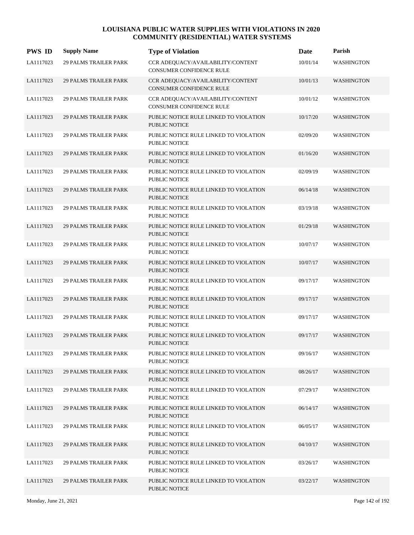| <b>PWS ID</b> | <b>Supply Name</b>           | <b>Type of Violation</b>                                             | Date     | Parish            |
|---------------|------------------------------|----------------------------------------------------------------------|----------|-------------------|
| LA1117023     | <b>29 PALMS TRAILER PARK</b> | CCR ADEQUACY/AVAILABILITY/CONTENT<br><b>CONSUMER CONFIDENCE RULE</b> | 10/01/14 | <b>WASHINGTON</b> |
| LA1117023     | <b>29 PALMS TRAILER PARK</b> | CCR ADEQUACY/AVAILABILITY/CONTENT<br><b>CONSUMER CONFIDENCE RULE</b> | 10/01/13 | <b>WASHINGTON</b> |
| LA1117023     | <b>29 PALMS TRAILER PARK</b> | CCR ADEQUACY/AVAILABILITY/CONTENT<br><b>CONSUMER CONFIDENCE RULE</b> | 10/01/12 | <b>WASHINGTON</b> |
| LA1117023     | <b>29 PALMS TRAILER PARK</b> | PUBLIC NOTICE RULE LINKED TO VIOLATION<br>PUBLIC NOTICE              | 10/17/20 | WASHINGTON        |
| LA1117023     | <b>29 PALMS TRAILER PARK</b> | PUBLIC NOTICE RULE LINKED TO VIOLATION<br>PUBLIC NOTICE              | 02/09/20 | WASHINGTON        |
| LA1117023     | <b>29 PALMS TRAILER PARK</b> | PUBLIC NOTICE RULE LINKED TO VIOLATION<br><b>PUBLIC NOTICE</b>       | 01/16/20 | <b>WASHINGTON</b> |
| LA1117023     | <b>29 PALMS TRAILER PARK</b> | PUBLIC NOTICE RULE LINKED TO VIOLATION<br>PUBLIC NOTICE              | 02/09/19 | WASHINGTON        |
| LA1117023     | <b>29 PALMS TRAILER PARK</b> | PUBLIC NOTICE RULE LINKED TO VIOLATION<br>PUBLIC NOTICE              | 06/14/18 | <b>WASHINGTON</b> |
| LA1117023     | <b>29 PALMS TRAILER PARK</b> | PUBLIC NOTICE RULE LINKED TO VIOLATION<br><b>PUBLIC NOTICE</b>       | 03/19/18 | WASHINGTON        |
| LA1117023     | <b>29 PALMS TRAILER PARK</b> | PUBLIC NOTICE RULE LINKED TO VIOLATION<br><b>PUBLIC NOTICE</b>       | 01/29/18 | <b>WASHINGTON</b> |
| LA1117023     | <b>29 PALMS TRAILER PARK</b> | PUBLIC NOTICE RULE LINKED TO VIOLATION<br>PUBLIC NOTICE              | 10/07/17 | <b>WASHINGTON</b> |
| LA1117023     | <b>29 PALMS TRAILER PARK</b> | PUBLIC NOTICE RULE LINKED TO VIOLATION<br>PUBLIC NOTICE              | 10/07/17 | <b>WASHINGTON</b> |
| LA1117023     | <b>29 PALMS TRAILER PARK</b> | PUBLIC NOTICE RULE LINKED TO VIOLATION<br>PUBLIC NOTICE              | 09/17/17 | WASHINGTON        |
| LA1117023     | <b>29 PALMS TRAILER PARK</b> | PUBLIC NOTICE RULE LINKED TO VIOLATION<br><b>PUBLIC NOTICE</b>       | 09/17/17 | <b>WASHINGTON</b> |
| LA1117023     | <b>29 PALMS TRAILER PARK</b> | PUBLIC NOTICE RULE LINKED TO VIOLATION<br><b>PUBLIC NOTICE</b>       | 09/17/17 | <b>WASHINGTON</b> |
| LA1117023     | <b>29 PALMS TRAILER PARK</b> | PUBLIC NOTICE RULE LINKED TO VIOLATION<br>PUBLIC NOTICE              | 09/17/17 | <b>WASHINGTON</b> |
| LA1117023     | <b>29 PALMS TRAILER PARK</b> | PUBLIC NOTICE RULE LINKED TO VIOLATION<br>PUBLIC NOTICE              | 09/16/17 | WASHINGTON        |
| LA1117023     | <b>29 PALMS TRAILER PARK</b> | PUBLIC NOTICE RULE LINKED TO VIOLATION<br>PUBLIC NOTICE              | 08/26/17 | <b>WASHINGTON</b> |
| LA1117023     | <b>29 PALMS TRAILER PARK</b> | PUBLIC NOTICE RULE LINKED TO VIOLATION<br>PUBLIC NOTICE              | 07/29/17 | <b>WASHINGTON</b> |
| LA1117023     | <b>29 PALMS TRAILER PARK</b> | PUBLIC NOTICE RULE LINKED TO VIOLATION<br>PUBLIC NOTICE              | 06/14/17 | <b>WASHINGTON</b> |
| LA1117023     | <b>29 PALMS TRAILER PARK</b> | PUBLIC NOTICE RULE LINKED TO VIOLATION<br>PUBLIC NOTICE              | 06/05/17 | WASHINGTON        |
| LA1117023     | <b>29 PALMS TRAILER PARK</b> | PUBLIC NOTICE RULE LINKED TO VIOLATION<br>PUBLIC NOTICE              | 04/10/17 | <b>WASHINGTON</b> |
| LA1117023     | <b>29 PALMS TRAILER PARK</b> | PUBLIC NOTICE RULE LINKED TO VIOLATION<br>PUBLIC NOTICE              | 03/26/17 | WASHINGTON        |
| LA1117023     | <b>29 PALMS TRAILER PARK</b> | PUBLIC NOTICE RULE LINKED TO VIOLATION<br>PUBLIC NOTICE              | 03/22/17 | <b>WASHINGTON</b> |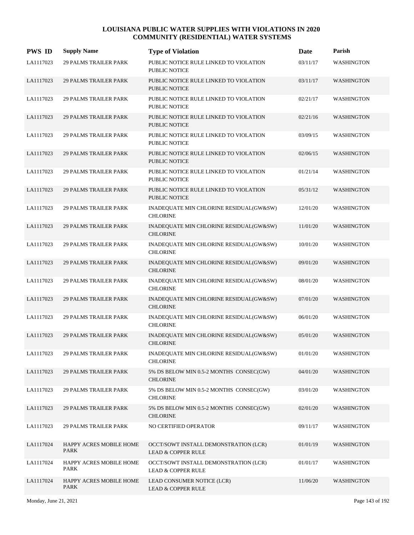| <b>PWS ID</b> | <b>Supply Name</b>              | <b>Type of Violation</b>                                               | Date     | Parish            |
|---------------|---------------------------------|------------------------------------------------------------------------|----------|-------------------|
| LA1117023     | <b>29 PALMS TRAILER PARK</b>    | PUBLIC NOTICE RULE LINKED TO VIOLATION<br>PUBLIC NOTICE                | 03/11/17 | WASHINGTON        |
| LA1117023     | <b>29 PALMS TRAILER PARK</b>    | PUBLIC NOTICE RULE LINKED TO VIOLATION<br><b>PUBLIC NOTICE</b>         | 03/11/17 | <b>WASHINGTON</b> |
| LA1117023     | <b>29 PALMS TRAILER PARK</b>    | PUBLIC NOTICE RULE LINKED TO VIOLATION<br>PUBLIC NOTICE                | 02/21/17 | <b>WASHINGTON</b> |
| LA1117023     | <b>29 PALMS TRAILER PARK</b>    | PUBLIC NOTICE RULE LINKED TO VIOLATION<br>PUBLIC NOTICE                | 02/21/16 | <b>WASHINGTON</b> |
| LA1117023     | <b>29 PALMS TRAILER PARK</b>    | PUBLIC NOTICE RULE LINKED TO VIOLATION<br>PUBLIC NOTICE                | 03/09/15 | <b>WASHINGTON</b> |
| LA1117023     | <b>29 PALMS TRAILER PARK</b>    | PUBLIC NOTICE RULE LINKED TO VIOLATION<br>PUBLIC NOTICE                | 02/06/15 | <b>WASHINGTON</b> |
| LA1117023     | <b>29 PALMS TRAILER PARK</b>    | PUBLIC NOTICE RULE LINKED TO VIOLATION<br>PUBLIC NOTICE                | 01/21/14 | <b>WASHINGTON</b> |
| LA1117023     | <b>29 PALMS TRAILER PARK</b>    | PUBLIC NOTICE RULE LINKED TO VIOLATION<br>PUBLIC NOTICE                | 05/31/12 | <b>WASHINGTON</b> |
| LA1117023     | <b>29 PALMS TRAILER PARK</b>    | INADEQUATE MIN CHLORINE RESIDUAL(GW&SW)<br><b>CHLORINE</b>             | 12/01/20 | <b>WASHINGTON</b> |
| LA1117023     | <b>29 PALMS TRAILER PARK</b>    | INADEQUATE MIN CHLORINE RESIDUAL(GW&SW)<br><b>CHLORINE</b>             | 11/01/20 | <b>WASHINGTON</b> |
| LA1117023     | <b>29 PALMS TRAILER PARK</b>    | INADEQUATE MIN CHLORINE RESIDUAL(GW&SW)<br><b>CHLORINE</b>             | 10/01/20 | WASHINGTON        |
| LA1117023     | <b>29 PALMS TRAILER PARK</b>    | INADEQUATE MIN CHLORINE RESIDUAL(GW&SW)<br><b>CHLORINE</b>             | 09/01/20 | <b>WASHINGTON</b> |
| LA1117023     | <b>29 PALMS TRAILER PARK</b>    | INADEQUATE MIN CHLORINE RESIDUAL(GW&SW)<br><b>CHLORINE</b>             | 08/01/20 | <b>WASHINGTON</b> |
| LA1117023     | <b>29 PALMS TRAILER PARK</b>    | INADEQUATE MIN CHLORINE RESIDUAL(GW&SW)<br><b>CHLORINE</b>             | 07/01/20 | <b>WASHINGTON</b> |
| LA1117023     | <b>29 PALMS TRAILER PARK</b>    | INADEQUATE MIN CHLORINE RESIDUAL(GW&SW)<br><b>CHLORINE</b>             | 06/01/20 | WASHINGTON        |
| LA1117023     | <b>29 PALMS TRAILER PARK</b>    | INADEQUATE MIN CHLORINE RESIDUAL(GW&SW)<br><b>CHLORINE</b>             | 05/01/20 | WASHINGTON        |
| LA1117023     | <b>29 PALMS TRAILER PARK</b>    | INADEQUATE MIN CHLORINE RESIDUAL(GW&SW)<br><b>CHLORINE</b>             | 01/01/20 | WASHINGTON        |
| LA1117023     | <b>29 PALMS TRAILER PARK</b>    | 5% DS BELOW MIN 0.5-2 MONTHS CONSEC(GW)<br><b>CHLORINE</b>             | 04/01/20 | WASHINGTON        |
| LA1117023     | <b>29 PALMS TRAILER PARK</b>    | 5% DS BELOW MIN 0.5-2 MONTHS CONSEC(GW)<br><b>CHLORINE</b>             | 03/01/20 | WASHINGTON        |
| LA1117023     | <b>29 PALMS TRAILER PARK</b>    | 5% DS BELOW MIN 0.5-2 MONTHS CONSEC(GW)<br><b>CHLORINE</b>             | 02/01/20 | <b>WASHINGTON</b> |
| LA1117023     | 29 PALMS TRAILER PARK           | NO CERTIFIED OPERATOR                                                  | 09/11/17 | WASHINGTON        |
| LA1117024     | HAPPY ACRES MOBILE HOME<br>PARK | OCCT/SOWT INSTALL DEMONSTRATION (LCR)<br><b>LEAD &amp; COPPER RULE</b> | 01/01/19 | WASHINGTON        |
| LA1117024     | HAPPY ACRES MOBILE HOME<br>PARK | OCCT/SOWT INSTALL DEMONSTRATION (LCR)<br><b>LEAD &amp; COPPER RULE</b> | 01/01/17 | WASHINGTON        |
| LA1117024     | HAPPY ACRES MOBILE HOME<br>PARK | LEAD CONSUMER NOTICE (LCR)<br><b>LEAD &amp; COPPER RULE</b>            | 11/06/20 | <b>WASHINGTON</b> |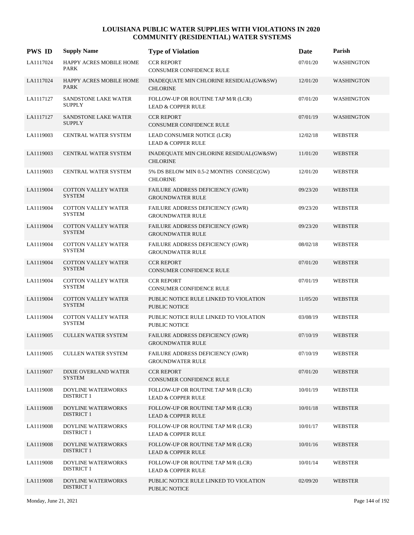| <b>PWS ID</b> | <b>Supply Name</b>                             | <b>Type of Violation</b>                                            | Date     | Parish            |
|---------------|------------------------------------------------|---------------------------------------------------------------------|----------|-------------------|
| LA1117024     | HAPPY ACRES MOBILE HOME<br>PARK                | <b>CCR REPORT</b><br>CONSUMER CONFIDENCE RULE                       | 07/01/20 | <b>WASHINGTON</b> |
| LA1117024     | HAPPY ACRES MOBILE HOME<br>PARK                | INADEQUATE MIN CHLORINE RESIDUAL(GW&SW)<br><b>CHLORINE</b>          | 12/01/20 | <b>WASHINGTON</b> |
| LA1117127     | SANDSTONE LAKE WATER<br><b>SUPPLY</b>          | FOLLOW-UP OR ROUTINE TAP M/R (LCR)<br><b>LEAD &amp; COPPER RULE</b> | 07/01/20 | WASHINGTON        |
| LA1117127     | <b>SANDSTONE LAKE WATER</b><br><b>SUPPLY</b>   | <b>CCR REPORT</b><br><b>CONSUMER CONFIDENCE RULE</b>                | 07/01/19 | <b>WASHINGTON</b> |
| LA1119003     | <b>CENTRAL WATER SYSTEM</b>                    | LEAD CONSUMER NOTICE (LCR)<br><b>LEAD &amp; COPPER RULE</b>         | 12/02/18 | <b>WEBSTER</b>    |
| LA1119003     | <b>CENTRAL WATER SYSTEM</b>                    | INADEQUATE MIN CHLORINE RESIDUAL(GW&SW)<br><b>CHLORINE</b>          | 11/01/20 | <b>WEBSTER</b>    |
| LA1119003     | CENTRAL WATER SYSTEM                           | 5% DS BELOW MIN 0.5-2 MONTHS CONSEC(GW)<br><b>CHLORINE</b>          | 12/01/20 | <b>WEBSTER</b>    |
| LA1119004     | <b>COTTON VALLEY WATER</b><br><b>SYSTEM</b>    | FAILURE ADDRESS DEFICIENCY (GWR)<br><b>GROUNDWATER RULE</b>         | 09/23/20 | <b>WEBSTER</b>    |
| LA1119004     | <b>COTTON VALLEY WATER</b><br><b>SYSTEM</b>    | FAILURE ADDRESS DEFICIENCY (GWR)<br><b>GROUNDWATER RULE</b>         | 09/23/20 | <b>WEBSTER</b>    |
| LA1119004     | <b>COTTON VALLEY WATER</b><br><b>SYSTEM</b>    | FAILURE ADDRESS DEFICIENCY (GWR)<br><b>GROUNDWATER RULE</b>         | 09/23/20 | <b>WEBSTER</b>    |
| LA1119004     | <b>COTTON VALLEY WATER</b><br><b>SYSTEM</b>    | FAILURE ADDRESS DEFICIENCY (GWR)<br><b>GROUNDWATER RULE</b>         | 08/02/18 | WEBSTER           |
| LA1119004     | COTTON VALLEY WATER<br><b>SYSTEM</b>           | <b>CCR REPORT</b><br>CONSUMER CONFIDENCE RULE                       | 07/01/20 | <b>WEBSTER</b>    |
| LA1119004     | <b>COTTON VALLEY WATER</b><br><b>SYSTEM</b>    | <b>CCR REPORT</b><br>CONSUMER CONFIDENCE RULE                       | 07/01/19 | <b>WEBSTER</b>    |
| LA1119004     | <b>COTTON VALLEY WATER</b><br><b>SYSTEM</b>    | PUBLIC NOTICE RULE LINKED TO VIOLATION<br><b>PUBLIC NOTICE</b>      | 11/05/20 | <b>WEBSTER</b>    |
| LA1119004     | <b>COTTON VALLEY WATER</b><br><b>SYSTEM</b>    | PUBLIC NOTICE RULE LINKED TO VIOLATION<br>PUBLIC NOTICE             | 03/08/19 | WEBSTER           |
| LA1119005     | <b>CULLEN WATER SYSTEM</b>                     | FAILURE ADDRESS DEFICIENCY (GWR)<br><b>GROUNDWATER RULE</b>         | 07/10/19 | <b>WEBSTER</b>    |
| LA1119005     | <b>CULLEN WATER SYSTEM</b>                     | FAILURE ADDRESS DEFICIENCY (GWR)<br><b>GROUNDWATER RULE</b>         | 07/10/19 | <b>WEBSTER</b>    |
| LA1119007     | <b>DIXIE OVERLAND WATER</b><br><b>SYSTEM</b>   | <b>CCR REPORT</b><br>CONSUMER CONFIDENCE RULE                       | 07/01/20 | <b>WEBSTER</b>    |
| LA1119008     | DOYLINE WATERWORKS<br><b>DISTRICT 1</b>        | FOLLOW-UP OR ROUTINE TAP M/R (LCR)<br><b>LEAD &amp; COPPER RULE</b> | 10/01/19 | <b>WEBSTER</b>    |
| LA1119008     | DOYLINE WATERWORKS<br><b>DISTRICT 1</b>        | FOLLOW-UP OR ROUTINE TAP M/R (LCR)<br><b>LEAD &amp; COPPER RULE</b> | 10/01/18 | <b>WEBSTER</b>    |
| LA1119008     | DOYLINE WATERWORKS<br><b>DISTRICT 1</b>        | FOLLOW-UP OR ROUTINE TAP M/R (LCR)<br><b>LEAD &amp; COPPER RULE</b> | 10/01/17 | <b>WEBSTER</b>    |
| LA1119008     | DOYLINE WATERWORKS<br><b>DISTRICT 1</b>        | FOLLOW-UP OR ROUTINE TAP M/R (LCR)<br><b>LEAD &amp; COPPER RULE</b> | 10/01/16 | <b>WEBSTER</b>    |
| LA1119008     | DOYLINE WATERWORKS<br><b>DISTRICT 1</b>        | FOLLOW-UP OR ROUTINE TAP M/R (LCR)<br><b>LEAD &amp; COPPER RULE</b> | 10/01/14 | WEBSTER           |
| LA1119008     | <b>DOYLINE WATERWORKS</b><br><b>DISTRICT 1</b> | PUBLIC NOTICE RULE LINKED TO VIOLATION<br>PUBLIC NOTICE             | 02/09/20 | <b>WEBSTER</b>    |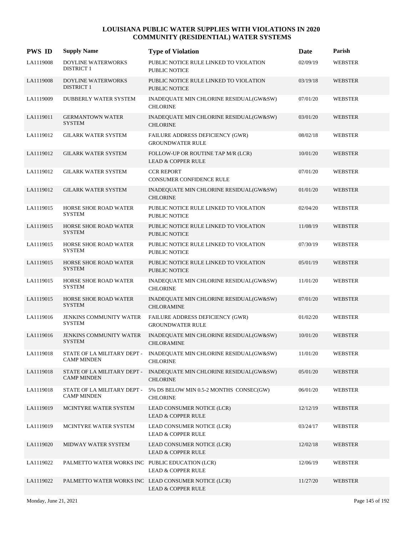| <b>PWS ID</b> | <b>Supply Name</b>                                | <b>Type of Violation</b>                                                               | Date     | Parish         |
|---------------|---------------------------------------------------|----------------------------------------------------------------------------------------|----------|----------------|
| LA1119008     | DOYLINE WATERWORKS<br><b>DISTRICT 1</b>           | PUBLIC NOTICE RULE LINKED TO VIOLATION<br><b>PUBLIC NOTICE</b>                         | 02/09/19 | <b>WEBSTER</b> |
| LA1119008     | <b>DOYLINE WATERWORKS</b><br><b>DISTRICT 1</b>    | PUBLIC NOTICE RULE LINKED TO VIOLATION<br><b>PUBLIC NOTICE</b>                         | 03/19/18 | <b>WEBSTER</b> |
| LA1119009     | DUBBERLY WATER SYSTEM                             | INADEQUATE MIN CHLORINE RESIDUAL(GW&SW)<br><b>CHLORINE</b>                             | 07/01/20 | <b>WEBSTER</b> |
| LA1119011     | <b>GERMANTOWN WATER</b><br><b>SYSTEM</b>          | INADEQUATE MIN CHLORINE RESIDUAL(GW&SW)<br><b>CHLORINE</b>                             | 03/01/20 | WEBSTER        |
| LA1119012     | <b>GILARK WATER SYSTEM</b>                        | FAILURE ADDRESS DEFICIENCY (GWR)<br><b>GROUNDWATER RULE</b>                            | 08/02/18 | <b>WEBSTER</b> |
| LA1119012     | <b>GILARK WATER SYSTEM</b>                        | FOLLOW-UP OR ROUTINE TAP M/R (LCR)<br><b>LEAD &amp; COPPER RULE</b>                    | 10/01/20 | WEBSTER        |
| LA1119012     | <b>GILARK WATER SYSTEM</b>                        | <b>CCR REPORT</b><br>CONSUMER CONFIDENCE RULE                                          | 07/01/20 | <b>WEBSTER</b> |
| LA1119012     | <b>GILARK WATER SYSTEM</b>                        | INADEQUATE MIN CHLORINE RESIDUAL(GW&SW)<br><b>CHLORINE</b>                             | 01/01/20 | <b>WEBSTER</b> |
| LA1119015     | HORSE SHOE ROAD WATER<br><b>SYSTEM</b>            | PUBLIC NOTICE RULE LINKED TO VIOLATION<br><b>PUBLIC NOTICE</b>                         | 02/04/20 | <b>WEBSTER</b> |
| LA1119015     | HORSE SHOE ROAD WATER<br><b>SYSTEM</b>            | PUBLIC NOTICE RULE LINKED TO VIOLATION<br><b>PUBLIC NOTICE</b>                         | 11/08/19 | <b>WEBSTER</b> |
| LA1119015     | HORSE SHOE ROAD WATER<br><b>SYSTEM</b>            | PUBLIC NOTICE RULE LINKED TO VIOLATION<br><b>PUBLIC NOTICE</b>                         | 07/30/19 | <b>WEBSTER</b> |
| LA1119015     | HORSE SHOE ROAD WATER<br><b>SYSTEM</b>            | PUBLIC NOTICE RULE LINKED TO VIOLATION<br><b>PUBLIC NOTICE</b>                         | 05/01/19 | <b>WEBSTER</b> |
| LA1119015     | HORSE SHOE ROAD WATER<br><b>SYSTEM</b>            | INADEQUATE MIN CHLORINE RESIDUAL(GW&SW)<br><b>CHLORINE</b>                             | 11/01/20 | <b>WEBSTER</b> |
| LA1119015     | HORSE SHOE ROAD WATER<br><b>SYSTEM</b>            | INADEQUATE MIN CHLORINE RESIDUAL(GW&SW)<br><b>CHLORAMINE</b>                           | 07/01/20 | <b>WEBSTER</b> |
| LA1119016     | <b>JENKINS COMMUNITY WATER</b><br><b>SYSTEM</b>   | FAILURE ADDRESS DEFICIENCY (GWR)<br><b>GROUNDWATER RULE</b>                            | 01/02/20 | <b>WEBSTER</b> |
| LA1119016     | <b>JENKINS COMMUNITY WATER</b><br><b>SYSTEM</b>   | INADEQUATE MIN CHLORINE RESIDUAL(GW&SW)<br><b>CHLORAMINE</b>                           | 10/01/20 | <b>WEBSTER</b> |
| LA1119018     | <b>CAMP MINDEN</b>                                | STATE OF LA MILITARY DEPT - INADEQUATE MIN CHLORINE RESIDUAL(GW&SW)<br><b>CHLORINE</b> | 11/01/20 | <b>WEBSTER</b> |
| LA1119018     | STATE OF LA MILITARY DEPT -<br><b>CAMP MINDEN</b> | INADEQUATE MIN CHLORINE RESIDUAL(GW&SW)<br><b>CHLORINE</b>                             | 05/01/20 | <b>WEBSTER</b> |
| LA1119018     | STATE OF LA MILITARY DEPT -<br><b>CAMP MINDEN</b> | 5% DS BELOW MIN 0.5-2 MONTHS CONSEC(GW)<br><b>CHLORINE</b>                             | 06/01/20 | <b>WEBSTER</b> |
| LA1119019     | MCINTYRE WATER SYSTEM                             | LEAD CONSUMER NOTICE (LCR)<br><b>LEAD &amp; COPPER RULE</b>                            | 12/12/19 | WEBSTER        |
| LA1119019     | MCINTYRE WATER SYSTEM                             | LEAD CONSUMER NOTICE (LCR)<br><b>LEAD &amp; COPPER RULE</b>                            | 03/24/17 | WEBSTER        |
| LA1119020     | MIDWAY WATER SYSTEM                               | LEAD CONSUMER NOTICE (LCR)<br><b>LEAD &amp; COPPER RULE</b>                            | 12/02/18 | <b>WEBSTER</b> |
| LA1119022     | PALMETTO WATER WORKS INC PUBLIC EDUCATION (LCR)   | <b>LEAD &amp; COPPER RULE</b>                                                          | 12/06/19 | WEBSTER        |
| LA1119022     |                                                   | PALMETTO WATER WORKS INC LEAD CONSUMER NOTICE (LCR)<br><b>LEAD &amp; COPPER RULE</b>   | 11/27/20 | <b>WEBSTER</b> |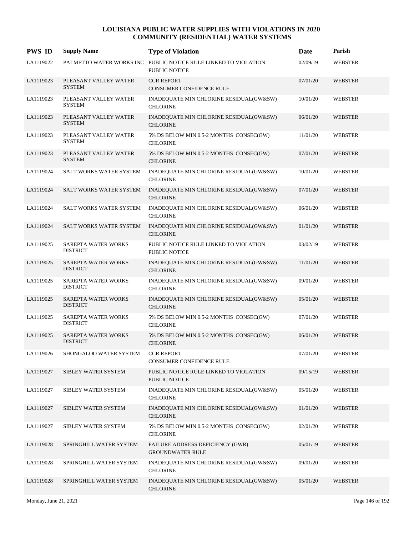| <b>PWS ID</b> | <b>Supply Name</b>                     | <b>Type of Violation</b>                                                                | <b>Date</b> | Parish         |
|---------------|----------------------------------------|-----------------------------------------------------------------------------------------|-------------|----------------|
| LA1119022     |                                        | PALMETTO WATER WORKS INC PUBLIC NOTICE RULE LINKED TO VIOLATION<br><b>PUBLIC NOTICE</b> | 02/09/19    | <b>WEBSTER</b> |
| LA1119023     | PLEASANT VALLEY WATER<br><b>SYSTEM</b> | <b>CCR REPORT</b><br><b>CONSUMER CONFIDENCE RULE</b>                                    | 07/01/20    | <b>WEBSTER</b> |
| LA1119023     | PLEASANT VALLEY WATER<br><b>SYSTEM</b> | INADEQUATE MIN CHLORINE RESIDUAL(GW&SW)<br><b>CHLORINE</b>                              | 10/01/20    | <b>WEBSTER</b> |
| LA1119023     | PLEASANT VALLEY WATER<br><b>SYSTEM</b> | INADEQUATE MIN CHLORINE RESIDUAL(GW&SW)<br><b>CHLORINE</b>                              | 06/01/20    | <b>WEBSTER</b> |
| LA1119023     | PLEASANT VALLEY WATER<br><b>SYSTEM</b> | 5% DS BELOW MIN 0.5-2 MONTHS CONSEC(GW)<br><b>CHLORINE</b>                              | 11/01/20    | <b>WEBSTER</b> |
| LA1119023     | PLEASANT VALLEY WATER<br><b>SYSTEM</b> | 5% DS BELOW MIN 0.5-2 MONTHS CONSEC(GW)<br><b>CHLORINE</b>                              | 07/01/20    | <b>WEBSTER</b> |
| LA1119024     | SALT WORKS WATER SYSTEM                | INADEQUATE MIN CHLORINE RESIDUAL(GW&SW)<br><b>CHLORINE</b>                              | 10/01/20    | <b>WEBSTER</b> |
| LA1119024     | SALT WORKS WATER SYSTEM                | INADEQUATE MIN CHLORINE RESIDUAL(GW&SW)<br><b>CHLORINE</b>                              | 07/01/20    | <b>WEBSTER</b> |
| LA1119024     | SALT WORKS WATER SYSTEM                | INADEQUATE MIN CHLORINE RESIDUAL(GW&SW)<br><b>CHLORINE</b>                              | 06/01/20    | <b>WEBSTER</b> |
| LA1119024     | SALT WORKS WATER SYSTEM                | INADEQUATE MIN CHLORINE RESIDUAL(GW&SW)<br><b>CHLORINE</b>                              | 01/01/20    | <b>WEBSTER</b> |
| LA1119025     | SAREPTA WATER WORKS<br><b>DISTRICT</b> | PUBLIC NOTICE RULE LINKED TO VIOLATION<br>PUBLIC NOTICE                                 | 03/02/19    | <b>WEBSTER</b> |
| LA1119025     | SAREPTA WATER WORKS<br><b>DISTRICT</b> | INADEQUATE MIN CHLORINE RESIDUAL(GW&SW)<br><b>CHLORINE</b>                              | 11/01/20    | <b>WEBSTER</b> |
| LA1119025     | SAREPTA WATER WORKS<br><b>DISTRICT</b> | INADEQUATE MIN CHLORINE RESIDUAL(GW&SW)<br><b>CHLORINE</b>                              | 09/01/20    | <b>WEBSTER</b> |
| LA1119025     | SAREPTA WATER WORKS<br><b>DISTRICT</b> | INADEQUATE MIN CHLORINE RESIDUAL(GW&SW)<br><b>CHLORINE</b>                              | 05/01/20    | <b>WEBSTER</b> |
| LA1119025     | SAREPTA WATER WORKS<br><b>DISTRICT</b> | 5% DS BELOW MIN 0.5-2 MONTHS CONSEC(GW)<br><b>CHLORINE</b>                              | 07/01/20    | <b>WEBSTER</b> |
| LA1119025     | SAREPTA WATER WORKS<br><b>DISTRICT</b> | 5% DS BELOW MIN 0.5-2 MONTHS CONSEC(GW)<br><b>CHLORINE</b>                              | 06/01/20    | <b>WEBSTER</b> |
| LA1119026     | SHONGALOO WATER SYSTEM                 | <b>CCR REPORT</b><br>CONSUMER CONFIDENCE RULE                                           | 07/01/20    | <b>WEBSTER</b> |
| LA1119027     | SIBLEY WATER SYSTEM                    | PUBLIC NOTICE RULE LINKED TO VIOLATION<br><b>PUBLIC NOTICE</b>                          | 09/15/19    | <b>WEBSTER</b> |
| LA1119027     | SIBLEY WATER SYSTEM                    | INADEQUATE MIN CHLORINE RESIDUAL(GW&SW)<br><b>CHLORINE</b>                              | 05/01/20    | <b>WEBSTER</b> |
| LA1119027     | SIBLEY WATER SYSTEM                    | INADEQUATE MIN CHLORINE RESIDUAL(GW&SW)<br><b>CHLORINE</b>                              | 01/01/20    | <b>WEBSTER</b> |
| LA1119027     | SIBLEY WATER SYSTEM                    | 5% DS BELOW MIN 0.5-2 MONTHS CONSEC(GW)<br><b>CHLORINE</b>                              | 02/01/20    | <b>WEBSTER</b> |
| LA1119028     | SPRINGHILL WATER SYSTEM                | FAILURE ADDRESS DEFICIENCY (GWR)<br><b>GROUNDWATER RULE</b>                             | 05/01/19    | <b>WEBSTER</b> |
| LA1119028     | SPRINGHILL WATER SYSTEM                | INADEQUATE MIN CHLORINE RESIDUAL(GW&SW)<br><b>CHLORINE</b>                              | 09/01/20    | WEBSTER        |
| LA1119028     | SPRINGHILL WATER SYSTEM                | INADEQUATE MIN CHLORINE RESIDUAL(GW&SW)<br><b>CHLORINE</b>                              | 05/01/20    | <b>WEBSTER</b> |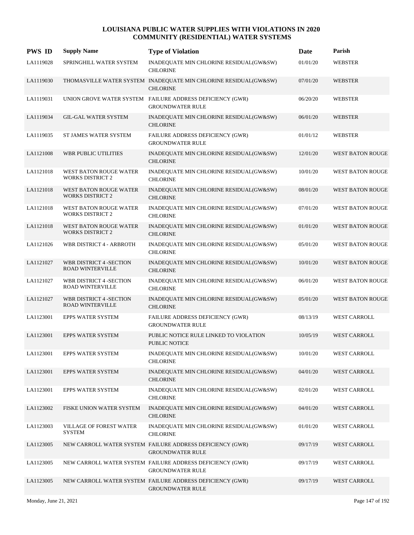| <b>PWS ID</b> | <b>Supply Name</b>                                        | <b>Type of Violation</b>                                                             | Date     | Parish                  |
|---------------|-----------------------------------------------------------|--------------------------------------------------------------------------------------|----------|-------------------------|
| LA1119028     | SPRINGHILL WATER SYSTEM                                   | INADEQUATE MIN CHLORINE RESIDUAL(GW&SW)<br><b>CHLORINE</b>                           | 01/01/20 | <b>WEBSTER</b>          |
| LA1119030     |                                                           | THOMASVILLE WATER SYSTEM INADEQUATE MIN CHLORINE RESIDUAL(GW&SW)<br><b>CHLORINE</b>  | 07/01/20 | <b>WEBSTER</b>          |
| LA1119031     |                                                           | UNION GROVE WATER SYSTEM FAILURE ADDRESS DEFICIENCY (GWR)<br><b>GROUNDWATER RULE</b> | 06/20/20 | <b>WEBSTER</b>          |
| LA1119034     | <b>GIL-GAL WATER SYSTEM</b>                               | INADEQUATE MIN CHLORINE RESIDUAL(GW&SW)<br><b>CHLORINE</b>                           | 06/01/20 | <b>WEBSTER</b>          |
| LA1119035     | ST JAMES WATER SYSTEM                                     | FAILURE ADDRESS DEFICIENCY (GWR)<br><b>GROUNDWATER RULE</b>                          | 01/01/12 | <b>WEBSTER</b>          |
| LA1121008     | WBR PUBLIC UTILITIES                                      | INADEQUATE MIN CHLORINE RESIDUAL(GW&SW)<br><b>CHLORINE</b>                           | 12/01/20 | WEST BATON ROUGE        |
| LA1121018     | WEST BATON ROUGE WATER<br><b>WORKS DISTRICT 2</b>         | INADEQUATE MIN CHLORINE RESIDUAL(GW&SW)<br><b>CHLORINE</b>                           | 10/01/20 | WEST BATON ROUGE        |
| LA1121018     | WEST BATON ROUGE WATER<br><b>WORKS DISTRICT 2</b>         | INADEQUATE MIN CHLORINE RESIDUAL(GW&SW)<br><b>CHLORINE</b>                           | 08/01/20 | <b>WEST BATON ROUGE</b> |
| LA1121018     | WEST BATON ROUGE WATER<br><b>WORKS DISTRICT 2</b>         | INADEQUATE MIN CHLORINE RESIDUAL(GW&SW)<br><b>CHLORINE</b>                           | 07/01/20 | WEST BATON ROUGE        |
| LA1121018     | WEST BATON ROUGE WATER<br><b>WORKS DISTRICT 2</b>         | INADEQUATE MIN CHLORINE RESIDUAL(GW&SW)<br><b>CHLORINE</b>                           | 01/01/20 | <b>WEST BATON ROUGE</b> |
| LA1121026     | WBR DISTRICT 4 - ARBROTH                                  | INADEQUATE MIN CHLORINE RESIDUAL(GW&SW)<br><b>CHLORINE</b>                           | 05/01/20 | WEST BATON ROUGE        |
| LA1121027     | <b>WBR DISTRICT 4 -SECTION</b><br>ROAD WINTERVILLE        | INADEQUATE MIN CHLORINE RESIDUAL(GW&SW)<br><b>CHLORINE</b>                           | 10/01/20 | <b>WEST BATON ROUGE</b> |
| LA1121027     | WBR DISTRICT 4 -SECTION<br>ROAD WINTERVILLE               | INADEQUATE MIN CHLORINE RESIDUAL(GW&SW)<br><b>CHLORINE</b>                           | 06/01/20 | WEST BATON ROUGE        |
| LA1121027     | <b>WBR DISTRICT 4 -SECTION</b><br><b>ROAD WINTERVILLE</b> | INADEQUATE MIN CHLORINE RESIDUAL(GW&SW)<br><b>CHLORINE</b>                           | 05/01/20 | <b>WEST BATON ROUGE</b> |
| LA1123001     | EPPS WATER SYSTEM                                         | FAILURE ADDRESS DEFICIENCY (GWR)<br><b>GROUNDWATER RULE</b>                          | 08/13/19 | WEST CARROLL            |
| LA1123001     | <b>EPPS WATER SYSTEM</b>                                  | PUBLIC NOTICE RULE LINKED TO VIOLATION<br>PUBLIC NOTICE                              | 10/05/19 | <b>WEST CARROLL</b>     |
| LA1123001     | EPPS WATER SYSTEM                                         | INADEQUATE MIN CHLORINE RESIDUAL(GW&SW)<br><b>CHLORINE</b>                           | 10/01/20 | WEST CARROLL            |
| LA1123001     | <b>EPPS WATER SYSTEM</b>                                  | INADEQUATE MIN CHLORINE RESIDUAL(GW&SW)<br><b>CHLORINE</b>                           | 04/01/20 | <b>WEST CARROLL</b>     |
| LA1123001     | EPPS WATER SYSTEM                                         | INADEQUATE MIN CHLORINE RESIDUAL(GW&SW)<br><b>CHLORINE</b>                           | 02/01/20 | <b>WEST CARROLL</b>     |
| LA1123002     | FISKE UNION WATER SYSTEM                                  | INADEQUATE MIN CHLORINE RESIDUAL(GW&SW)<br><b>CHLORINE</b>                           | 04/01/20 | <b>WEST CARROLL</b>     |
| LA1123003     | <b>VILLAGE OF FOREST WATER</b><br>SYSTEM                  | INADEQUATE MIN CHLORINE RESIDUAL(GW&SW)<br><b>CHLORINE</b>                           | 01/01/20 | WEST CARROLL            |
| LA1123005     |                                                           | NEW CARROLL WATER SYSTEM FAILURE ADDRESS DEFICIENCY (GWR)<br><b>GROUNDWATER RULE</b> | 09/17/19 | <b>WEST CARROLL</b>     |
| LA1123005     |                                                           | NEW CARROLL WATER SYSTEM FAILURE ADDRESS DEFICIENCY (GWR)<br><b>GROUNDWATER RULE</b> | 09/17/19 | <b>WEST CARROLL</b>     |
| LA1123005     |                                                           | NEW CARROLL WATER SYSTEM FAILURE ADDRESS DEFICIENCY (GWR)<br><b>GROUNDWATER RULE</b> | 09/17/19 | <b>WEST CARROLL</b>     |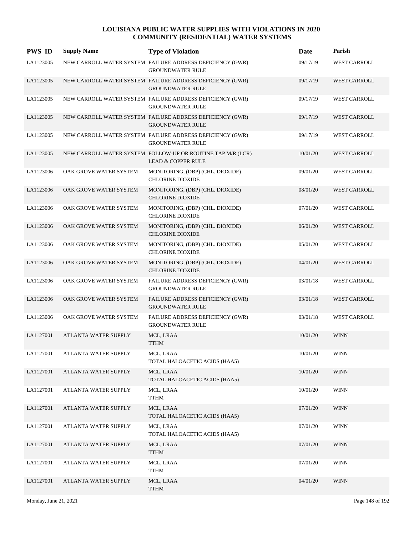| <b>PWS ID</b> | <b>Supply Name</b>     | <b>Type of Violation</b>                                                                     | Date     | Parish              |
|---------------|------------------------|----------------------------------------------------------------------------------------------|----------|---------------------|
| LA1123005     |                        | NEW CARROLL WATER SYSTEM FAILURE ADDRESS DEFICIENCY (GWR)<br><b>GROUNDWATER RULE</b>         | 09/17/19 | <b>WEST CARROLL</b> |
| LA1123005     |                        | NEW CARROLL WATER SYSTEM FAILURE ADDRESS DEFICIENCY (GWR)<br><b>GROUNDWATER RULE</b>         | 09/17/19 | <b>WEST CARROLL</b> |
| LA1123005     |                        | NEW CARROLL WATER SYSTEM FAILURE ADDRESS DEFICIENCY (GWR)<br><b>GROUNDWATER RULE</b>         | 09/17/19 | <b>WEST CARROLL</b> |
| LA1123005     |                        | NEW CARROLL WATER SYSTEM FAILURE ADDRESS DEFICIENCY (GWR)<br><b>GROUNDWATER RULE</b>         | 09/17/19 | <b>WEST CARROLL</b> |
| LA1123005     |                        | NEW CARROLL WATER SYSTEM FAILURE ADDRESS DEFICIENCY (GWR)<br><b>GROUNDWATER RULE</b>         | 09/17/19 | <b>WEST CARROLL</b> |
| LA1123005     |                        | NEW CARROLL WATER SYSTEM FOLLOW-UP OR ROUTINE TAP M/R (LCR)<br><b>LEAD &amp; COPPER RULE</b> | 10/01/20 | WEST CARROLL        |
| LA1123006     | OAK GROVE WATER SYSTEM | MONITORING, (DBP) (CHL. DIOXIDE)<br><b>CHLORINE DIOXIDE</b>                                  | 09/01/20 | <b>WEST CARROLL</b> |
| LA1123006     | OAK GROVE WATER SYSTEM | MONITORING, (DBP) (CHL. DIOXIDE)<br><b>CHLORINE DIOXIDE</b>                                  | 08/01/20 | <b>WEST CARROLL</b> |
| LA1123006     | OAK GROVE WATER SYSTEM | MONITORING, (DBP) (CHL. DIOXIDE)<br><b>CHLORINE DIOXIDE</b>                                  | 07/01/20 | <b>WEST CARROLL</b> |
| LA1123006     | OAK GROVE WATER SYSTEM | MONITORING, (DBP) (CHL. DIOXIDE)<br><b>CHLORINE DIOXIDE</b>                                  | 06/01/20 | <b>WEST CARROLL</b> |
| LA1123006     | OAK GROVE WATER SYSTEM | MONITORING, (DBP) (CHL. DIOXIDE)<br><b>CHLORINE DIOXIDE</b>                                  | 05/01/20 | <b>WEST CARROLL</b> |
| LA1123006     | OAK GROVE WATER SYSTEM | MONITORING, (DBP) (CHL. DIOXIDE)<br><b>CHLORINE DIOXIDE</b>                                  | 04/01/20 | <b>WEST CARROLL</b> |
| LA1123006     | OAK GROVE WATER SYSTEM | FAILURE ADDRESS DEFICIENCY (GWR)<br><b>GROUNDWATER RULE</b>                                  | 03/01/18 | <b>WEST CARROLL</b> |
| LA1123006     | OAK GROVE WATER SYSTEM | FAILURE ADDRESS DEFICIENCY (GWR)<br><b>GROUNDWATER RULE</b>                                  | 03/01/18 | <b>WEST CARROLL</b> |
| LA1123006     | OAK GROVE WATER SYSTEM | FAILURE ADDRESS DEFICIENCY (GWR)<br><b>GROUNDWATER RULE</b>                                  | 03/01/18 | <b>WEST CARROLL</b> |
| LA1127001     | ATLANTA WATER SUPPLY   | MCL, LRAA<br><b>TTHM</b>                                                                     | 10/01/20 | <b>WINN</b>         |
| LA1127001     | ATLANTA WATER SUPPLY   | MCL, LRAA<br>TOTAL HALOACETIC ACIDS (HAA5)                                                   | 10/01/20 | <b>WINN</b>         |
| LA1127001     | ATLANTA WATER SUPPLY   | MCL, LRAA<br>TOTAL HALOACETIC ACIDS (HAA5)                                                   | 10/01/20 | <b>WINN</b>         |
| LA1127001     | ATLANTA WATER SUPPLY   | MCL, LRAA<br><b>TTHM</b>                                                                     | 10/01/20 | <b>WINN</b>         |
| LA1127001     | ATLANTA WATER SUPPLY   | MCL, LRAA<br>TOTAL HALOACETIC ACIDS (HAA5)                                                   | 07/01/20 | <b>WINN</b>         |
| LA1127001     | ATLANTA WATER SUPPLY   | MCL, LRAA<br>TOTAL HALOACETIC ACIDS (HAA5)                                                   | 07/01/20 | <b>WINN</b>         |
| LA1127001     | ATLANTA WATER SUPPLY   | MCL, LRAA<br><b>TTHM</b>                                                                     | 07/01/20 | <b>WINN</b>         |
| LA1127001     | ATLANTA WATER SUPPLY   | MCL, LRAA<br><b>TTHM</b>                                                                     | 07/01/20 | <b>WINN</b>         |
| LA1127001     | ATLANTA WATER SUPPLY   | MCL, LRAA<br>TTHM                                                                            | 04/01/20 | <b>WINN</b>         |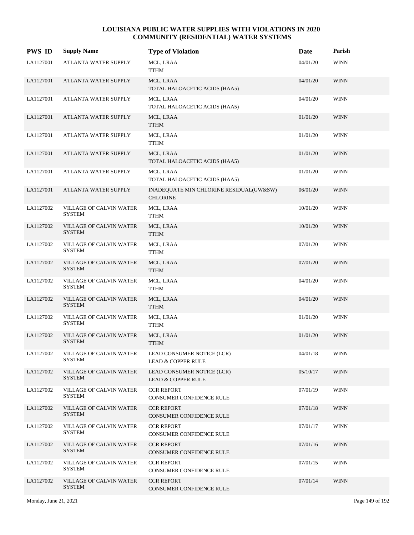| <b>PWS ID</b> | <b>Supply Name</b>                              | <b>Type of Violation</b>                                    | Date     | Parish      |
|---------------|-------------------------------------------------|-------------------------------------------------------------|----------|-------------|
| LA1127001     | ATLANTA WATER SUPPLY                            | MCL, LRAA<br><b>TTHM</b>                                    | 04/01/20 | <b>WINN</b> |
| LA1127001     | <b>ATLANTA WATER SUPPLY</b>                     | MCL, LRAA<br>TOTAL HALOACETIC ACIDS (HAA5)                  | 04/01/20 | <b>WINN</b> |
| LA1127001     | ATLANTA WATER SUPPLY                            | MCL, LRAA<br>TOTAL HALOACETIC ACIDS (HAA5)                  | 04/01/20 | <b>WINN</b> |
| LA1127001     | ATLANTA WATER SUPPLY                            | MCL, LRAA<br><b>TTHM</b>                                    | 01/01/20 | <b>WINN</b> |
| LA1127001     | ATLANTA WATER SUPPLY                            | MCL, LRAA<br>TTHM                                           | 01/01/20 | <b>WINN</b> |
| LA1127001     | ATLANTA WATER SUPPLY                            | MCL, LRAA<br>TOTAL HALOACETIC ACIDS (HAA5)                  | 01/01/20 | <b>WINN</b> |
| LA1127001     | ATLANTA WATER SUPPLY                            | MCL, LRAA<br>TOTAL HALOACETIC ACIDS (HAA5)                  | 01/01/20 | <b>WINN</b> |
| LA1127001     | ATLANTA WATER SUPPLY                            | INADEQUATE MIN CHLORINE RESIDUAL(GW&SW)<br><b>CHLORINE</b>  | 06/01/20 | <b>WINN</b> |
| LA1127002     | <b>VILLAGE OF CALVIN WATER</b><br><b>SYSTEM</b> | MCL, LRAA<br><b>TTHM</b>                                    | 10/01/20 | <b>WINN</b> |
| LA1127002     | VILLAGE OF CALVIN WATER<br><b>SYSTEM</b>        | MCL, LRAA<br><b>TTHM</b>                                    | 10/01/20 | <b>WINN</b> |
| LA1127002     | VILLAGE OF CALVIN WATER<br><b>SYSTEM</b>        | MCL, LRAA<br><b>TTHM</b>                                    | 07/01/20 | <b>WINN</b> |
| LA1127002     | VILLAGE OF CALVIN WATER<br><b>SYSTEM</b>        | MCL, LRAA<br><b>TTHM</b>                                    | 07/01/20 | <b>WINN</b> |
| LA1127002     | VILLAGE OF CALVIN WATER<br>SYSTEM               | MCL, LRAA<br><b>TTHM</b>                                    | 04/01/20 | WINN        |
| LA1127002     | VILLAGE OF CALVIN WATER<br><b>SYSTEM</b>        | MCL, LRAA<br><b>TTHM</b>                                    | 04/01/20 | <b>WINN</b> |
| LA1127002     | VILLAGE OF CALVIN WATER<br><b>SYSTEM</b>        | MCL, LRAA<br><b>TTHM</b>                                    | 01/01/20 | <b>WINN</b> |
| LA1127002     | VILLAGE OF CALVIN WATER<br><b>SYSTEM</b>        | MCL, LRAA<br><b>TTHM</b>                                    | 01/01/20 | <b>WINN</b> |
| LA1127002     | VILLAGE OF CALVIN WATER<br><b>SYSTEM</b>        | LEAD CONSUMER NOTICE (LCR)<br><b>LEAD &amp; COPPER RULE</b> | 04/01/18 | <b>WINN</b> |
| LA1127002     | VILLAGE OF CALVIN WATER<br><b>SYSTEM</b>        | LEAD CONSUMER NOTICE (LCR)<br><b>LEAD &amp; COPPER RULE</b> | 05/10/17 | <b>WINN</b> |
| LA1127002     | VILLAGE OF CALVIN WATER<br>SYSTEM               | <b>CCR REPORT</b><br>CONSUMER CONFIDENCE RULE               | 07/01/19 | <b>WINN</b> |
| LA1127002     | <b>VILLAGE OF CALVIN WATER</b><br><b>SYSTEM</b> | <b>CCR REPORT</b><br>CONSUMER CONFIDENCE RULE               | 07/01/18 | <b>WINN</b> |
| LA1127002     | VILLAGE OF CALVIN WATER<br><b>SYSTEM</b>        | <b>CCR REPORT</b><br>CONSUMER CONFIDENCE RULE               | 07/01/17 | <b>WINN</b> |
| LA1127002     | VILLAGE OF CALVIN WATER<br><b>SYSTEM</b>        | <b>CCR REPORT</b><br>CONSUMER CONFIDENCE RULE               | 07/01/16 | <b>WINN</b> |
| LA1127002     | <b>VILLAGE OF CALVIN WATER</b><br><b>SYSTEM</b> | <b>CCR REPORT</b><br>CONSUMER CONFIDENCE RULE               | 07/01/15 | <b>WINN</b> |
| LA1127002     | <b>VILLAGE OF CALVIN WATER</b><br><b>SYSTEM</b> | <b>CCR REPORT</b><br>CONSUMER CONFIDENCE RULE               | 07/01/14 | <b>WINN</b> |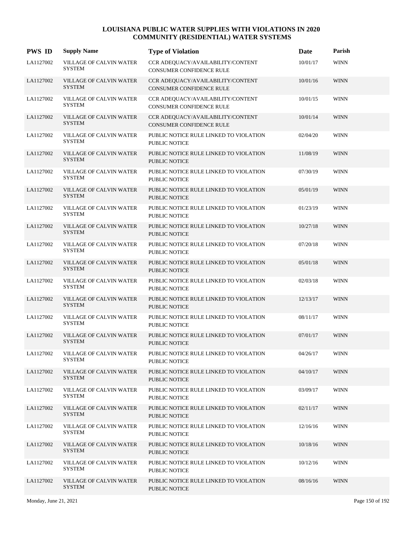| <b>PWS ID</b> | <b>Supply Name</b>                       | <b>Type of Violation</b>                                             | Date     | Parish      |
|---------------|------------------------------------------|----------------------------------------------------------------------|----------|-------------|
| LA1127002     | VILLAGE OF CALVIN WATER<br><b>SYSTEM</b> | CCR ADEQUACY/AVAILABILITY/CONTENT<br>CONSUMER CONFIDENCE RULE        | 10/01/17 | <b>WINN</b> |
| LA1127002     | VILLAGE OF CALVIN WATER<br><b>SYSTEM</b> | CCR ADEQUACY/AVAILABILITY/CONTENT<br>CONSUMER CONFIDENCE RULE        | 10/01/16 | <b>WINN</b> |
| LA1127002     | VILLAGE OF CALVIN WATER<br><b>SYSTEM</b> | CCR ADEQUACY/AVAILABILITY/CONTENT<br><b>CONSUMER CONFIDENCE RULE</b> | 10/01/15 | <b>WINN</b> |
| LA1127002     | VILLAGE OF CALVIN WATER<br><b>SYSTEM</b> | CCR ADEQUACY/AVAILABILITY/CONTENT<br><b>CONSUMER CONFIDENCE RULE</b> | 10/01/14 | <b>WINN</b> |
| LA1127002     | VILLAGE OF CALVIN WATER<br><b>SYSTEM</b> | PUBLIC NOTICE RULE LINKED TO VIOLATION<br><b>PUBLIC NOTICE</b>       | 02/04/20 | <b>WINN</b> |
| LA1127002     | VILLAGE OF CALVIN WATER<br><b>SYSTEM</b> | PUBLIC NOTICE RULE LINKED TO VIOLATION<br><b>PUBLIC NOTICE</b>       | 11/08/19 | <b>WINN</b> |
| LA1127002     | VILLAGE OF CALVIN WATER<br><b>SYSTEM</b> | PUBLIC NOTICE RULE LINKED TO VIOLATION<br><b>PUBLIC NOTICE</b>       | 07/30/19 | <b>WINN</b> |
| LA1127002     | VILLAGE OF CALVIN WATER<br><b>SYSTEM</b> | PUBLIC NOTICE RULE LINKED TO VIOLATION<br><b>PUBLIC NOTICE</b>       | 05/01/19 | <b>WINN</b> |
| LA1127002     | VILLAGE OF CALVIN WATER<br><b>SYSTEM</b> | PUBLIC NOTICE RULE LINKED TO VIOLATION<br>PUBLIC NOTICE              | 01/23/19 | <b>WINN</b> |
| LA1127002     | VILLAGE OF CALVIN WATER<br><b>SYSTEM</b> | PUBLIC NOTICE RULE LINKED TO VIOLATION<br>PUBLIC NOTICE              | 10/27/18 | <b>WINN</b> |
| LA1127002     | VILLAGE OF CALVIN WATER<br><b>SYSTEM</b> | PUBLIC NOTICE RULE LINKED TO VIOLATION<br><b>PUBLIC NOTICE</b>       | 07/20/18 | <b>WINN</b> |
| LA1127002     | VILLAGE OF CALVIN WATER<br><b>SYSTEM</b> | PUBLIC NOTICE RULE LINKED TO VIOLATION<br><b>PUBLIC NOTICE</b>       | 05/01/18 | <b>WINN</b> |
| LA1127002     | VILLAGE OF CALVIN WATER<br><b>SYSTEM</b> | PUBLIC NOTICE RULE LINKED TO VIOLATION<br><b>PUBLIC NOTICE</b>       | 02/03/18 | <b>WINN</b> |
| LA1127002     | VILLAGE OF CALVIN WATER<br><b>SYSTEM</b> | PUBLIC NOTICE RULE LINKED TO VIOLATION<br><b>PUBLIC NOTICE</b>       | 12/13/17 | <b>WINN</b> |
| LA1127002     | VILLAGE OF CALVIN WATER<br><b>SYSTEM</b> | PUBLIC NOTICE RULE LINKED TO VIOLATION<br>PUBLIC NOTICE              | 08/11/17 | <b>WINN</b> |
| LA1127002     | VILLAGE OF CALVIN WATER<br><b>SYSTEM</b> | PUBLIC NOTICE RULE LINKED TO VIOLATION<br>PUBLIC NOTICE              | 07/01/17 | <b>WINN</b> |
| LA1127002     | VILLAGE OF CALVIN WATER<br><b>SYSTEM</b> | PUBLIC NOTICE RULE LINKED TO VIOLATION<br>PUBLIC NOTICE              | 04/26/17 | <b>WINN</b> |
| LA1127002     | VILLAGE OF CALVIN WATER<br><b>SYSTEM</b> | PUBLIC NOTICE RULE LINKED TO VIOLATION<br>PUBLIC NOTICE              | 04/10/17 | <b>WINN</b> |
| LA1127002     | VILLAGE OF CALVIN WATER<br>SYSTEM        | PUBLIC NOTICE RULE LINKED TO VIOLATION<br>PUBLIC NOTICE              | 03/09/17 | <b>WINN</b> |
| LA1127002     | VILLAGE OF CALVIN WATER<br><b>SYSTEM</b> | PUBLIC NOTICE RULE LINKED TO VIOLATION<br>PUBLIC NOTICE              | 02/11/17 | <b>WINN</b> |
| LA1127002     | VILLAGE OF CALVIN WATER<br><b>SYSTEM</b> | PUBLIC NOTICE RULE LINKED TO VIOLATION<br>PUBLIC NOTICE              | 12/16/16 | <b>WINN</b> |
| LA1127002     | VILLAGE OF CALVIN WATER<br><b>SYSTEM</b> | PUBLIC NOTICE RULE LINKED TO VIOLATION<br><b>PUBLIC NOTICE</b>       | 10/18/16 | <b>WINN</b> |
| LA1127002     | VILLAGE OF CALVIN WATER<br><b>SYSTEM</b> | PUBLIC NOTICE RULE LINKED TO VIOLATION<br>PUBLIC NOTICE              | 10/12/16 | <b>WINN</b> |
| LA1127002     | VILLAGE OF CALVIN WATER<br><b>SYSTEM</b> | PUBLIC NOTICE RULE LINKED TO VIOLATION<br>PUBLIC NOTICE              | 08/16/16 | <b>WINN</b> |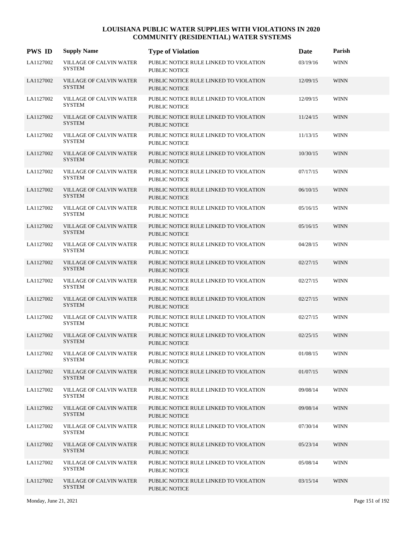| <b>PWS ID</b> | <b>Supply Name</b>                              | <b>Type of Violation</b>                                       | Date     | Parish      |
|---------------|-------------------------------------------------|----------------------------------------------------------------|----------|-------------|
| LA1127002     | <b>VILLAGE OF CALVIN WATER</b><br><b>SYSTEM</b> | PUBLIC NOTICE RULE LINKED TO VIOLATION<br><b>PUBLIC NOTICE</b> | 03/19/16 | <b>WINN</b> |
| LA1127002     | <b>VILLAGE OF CALVIN WATER</b><br><b>SYSTEM</b> | PUBLIC NOTICE RULE LINKED TO VIOLATION<br><b>PUBLIC NOTICE</b> | 12/09/15 | <b>WINN</b> |
| LA1127002     | VILLAGE OF CALVIN WATER<br><b>SYSTEM</b>        | PUBLIC NOTICE RULE LINKED TO VIOLATION<br>PUBLIC NOTICE        | 12/09/15 | <b>WINN</b> |
| LA1127002     | VILLAGE OF CALVIN WATER<br><b>SYSTEM</b>        | PUBLIC NOTICE RULE LINKED TO VIOLATION<br>PUBLIC NOTICE        | 11/24/15 | <b>WINN</b> |
| LA1127002     | VILLAGE OF CALVIN WATER<br><b>SYSTEM</b>        | PUBLIC NOTICE RULE LINKED TO VIOLATION<br>PUBLIC NOTICE        | 11/13/15 | <b>WINN</b> |
| LA1127002     | VILLAGE OF CALVIN WATER<br><b>SYSTEM</b>        | PUBLIC NOTICE RULE LINKED TO VIOLATION<br>PUBLIC NOTICE        | 10/30/15 | <b>WINN</b> |
| LA1127002     | VILLAGE OF CALVIN WATER<br><b>SYSTEM</b>        | PUBLIC NOTICE RULE LINKED TO VIOLATION<br><b>PUBLIC NOTICE</b> | 07/17/15 | <b>WINN</b> |
| LA1127002     | <b>VILLAGE OF CALVIN WATER</b><br><b>SYSTEM</b> | PUBLIC NOTICE RULE LINKED TO VIOLATION<br><b>PUBLIC NOTICE</b> | 06/10/15 | <b>WINN</b> |
| LA1127002     | VILLAGE OF CALVIN WATER<br><b>SYSTEM</b>        | PUBLIC NOTICE RULE LINKED TO VIOLATION<br><b>PUBLIC NOTICE</b> | 05/16/15 | <b>WINN</b> |
| LA1127002     | VILLAGE OF CALVIN WATER<br><b>SYSTEM</b>        | PUBLIC NOTICE RULE LINKED TO VIOLATION<br>PUBLIC NOTICE        | 05/16/15 | <b>WINN</b> |
| LA1127002     | VILLAGE OF CALVIN WATER<br><b>SYSTEM</b>        | PUBLIC NOTICE RULE LINKED TO VIOLATION<br>PUBLIC NOTICE        | 04/28/15 | <b>WINN</b> |
| LA1127002     | <b>VILLAGE OF CALVIN WATER</b><br><b>SYSTEM</b> | PUBLIC NOTICE RULE LINKED TO VIOLATION<br><b>PUBLIC NOTICE</b> | 02/27/15 | <b>WINN</b> |
| LA1127002     | VILLAGE OF CALVIN WATER<br><b>SYSTEM</b>        | PUBLIC NOTICE RULE LINKED TO VIOLATION<br><b>PUBLIC NOTICE</b> | 02/27/15 | <b>WINN</b> |
| LA1127002     | VILLAGE OF CALVIN WATER<br><b>SYSTEM</b>        | PUBLIC NOTICE RULE LINKED TO VIOLATION<br>PUBLIC NOTICE        | 02/27/15 | <b>WINN</b> |
| LA1127002     | VILLAGE OF CALVIN WATER<br><b>SYSTEM</b>        | PUBLIC NOTICE RULE LINKED TO VIOLATION<br><b>PUBLIC NOTICE</b> | 02/27/15 | <b>WINN</b> |
| LA1127002     | <b>VILLAGE OF CALVIN WATER</b><br><b>SYSTEM</b> | PUBLIC NOTICE RULE LINKED TO VIOLATION<br><b>PUBLIC NOTICE</b> | 02/25/15 | <b>WINN</b> |
| LA1127002     | VILLAGE OF CALVIN WATER<br><b>SYSTEM</b>        | PUBLIC NOTICE RULE LINKED TO VIOLATION<br><b>PUBLIC NOTICE</b> | 01/08/15 | <b>WINN</b> |
| LA1127002     | VILLAGE OF CALVIN WATER<br><b>SYSTEM</b>        | PUBLIC NOTICE RULE LINKED TO VIOLATION<br><b>PUBLIC NOTICE</b> | 01/07/15 | <b>WINN</b> |
| LA1127002     | VILLAGE OF CALVIN WATER<br><b>SYSTEM</b>        | PUBLIC NOTICE RULE LINKED TO VIOLATION<br><b>PUBLIC NOTICE</b> | 09/08/14 | <b>WINN</b> |
| LA1127002     | VILLAGE OF CALVIN WATER<br><b>SYSTEM</b>        | PUBLIC NOTICE RULE LINKED TO VIOLATION<br><b>PUBLIC NOTICE</b> | 09/08/14 | <b>WINN</b> |
| LA1127002     | VILLAGE OF CALVIN WATER<br><b>SYSTEM</b>        | PUBLIC NOTICE RULE LINKED TO VIOLATION<br>PUBLIC NOTICE        | 07/30/14 | <b>WINN</b> |
| LA1127002     | VILLAGE OF CALVIN WATER<br><b>SYSTEM</b>        | PUBLIC NOTICE RULE LINKED TO VIOLATION<br><b>PUBLIC NOTICE</b> | 05/23/14 | <b>WINN</b> |
| LA1127002     | VILLAGE OF CALVIN WATER<br><b>SYSTEM</b>        | PUBLIC NOTICE RULE LINKED TO VIOLATION<br><b>PUBLIC NOTICE</b> | 05/08/14 | <b>WINN</b> |
| LA1127002     | VILLAGE OF CALVIN WATER<br><b>SYSTEM</b>        | PUBLIC NOTICE RULE LINKED TO VIOLATION<br>PUBLIC NOTICE        | 03/15/14 | <b>WINN</b> |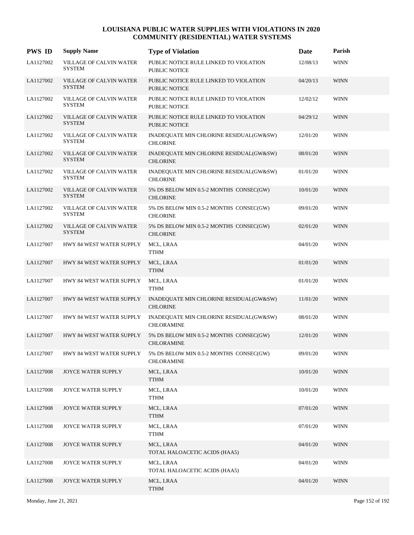| <b>PWS ID</b> | <b>Supply Name</b>                              | <b>Type of Violation</b>                                       | Date     | Parish      |
|---------------|-------------------------------------------------|----------------------------------------------------------------|----------|-------------|
| LA1127002     | <b>VILLAGE OF CALVIN WATER</b><br><b>SYSTEM</b> | PUBLIC NOTICE RULE LINKED TO VIOLATION<br><b>PUBLIC NOTICE</b> | 12/08/13 | <b>WINN</b> |
| LA1127002     | <b>VILLAGE OF CALVIN WATER</b><br><b>SYSTEM</b> | PUBLIC NOTICE RULE LINKED TO VIOLATION<br><b>PUBLIC NOTICE</b> | 04/20/13 | <b>WINN</b> |
| LA1127002     | VILLAGE OF CALVIN WATER<br><b>SYSTEM</b>        | PUBLIC NOTICE RULE LINKED TO VIOLATION<br><b>PUBLIC NOTICE</b> | 12/02/12 | <b>WINN</b> |
| LA1127002     | VILLAGE OF CALVIN WATER<br><b>SYSTEM</b>        | PUBLIC NOTICE RULE LINKED TO VIOLATION<br><b>PUBLIC NOTICE</b> | 04/29/12 | <b>WINN</b> |
| LA1127002     | VILLAGE OF CALVIN WATER<br><b>SYSTEM</b>        | INADEQUATE MIN CHLORINE RESIDUAL(GW&SW)<br><b>CHLORINE</b>     | 12/01/20 | <b>WINN</b> |
| LA1127002     | VILLAGE OF CALVIN WATER<br><b>SYSTEM</b>        | INADEQUATE MIN CHLORINE RESIDUAL(GW&SW)<br><b>CHLORINE</b>     | 08/01/20 | <b>WINN</b> |
| LA1127002     | VILLAGE OF CALVIN WATER<br><b>SYSTEM</b>        | INADEQUATE MIN CHLORINE RESIDUAL(GW&SW)<br><b>CHLORINE</b>     | 01/01/20 | <b>WINN</b> |
| LA1127002     | VILLAGE OF CALVIN WATER<br><b>SYSTEM</b>        | 5% DS BELOW MIN 0.5-2 MONTHS CONSEC(GW)<br><b>CHLORINE</b>     | 10/01/20 | <b>WINN</b> |
| LA1127002     | VILLAGE OF CALVIN WATER<br><b>SYSTEM</b>        | 5% DS BELOW MIN 0.5-2 MONTHS CONSEC(GW)<br><b>CHLORINE</b>     | 09/01/20 | <b>WINN</b> |
| LA1127002     | VILLAGE OF CALVIN WATER<br><b>SYSTEM</b>        | 5% DS BELOW MIN 0.5-2 MONTHS CONSEC(GW)<br><b>CHLORINE</b>     | 02/01/20 | <b>WINN</b> |
| LA1127007     | HWY 84 WEST WATER SUPPLY                        | MCL, LRAA<br><b>TTHM</b>                                       | 04/01/20 | <b>WINN</b> |
| LA1127007     | HWY 84 WEST WATER SUPPLY                        | MCL, LRAA<br><b>TTHM</b>                                       | 01/01/20 | <b>WINN</b> |
| LA1127007     | HWY 84 WEST WATER SUPPLY                        | MCL, LRAA<br><b>TTHM</b>                                       | 01/01/20 | <b>WINN</b> |
| LA1127007     | HWY 84 WEST WATER SUPPLY                        | INADEQUATE MIN CHLORINE RESIDUAL(GW&SW)<br><b>CHLORINE</b>     | 11/01/20 | <b>WINN</b> |
| LA1127007     | HWY 84 WEST WATER SUPPLY                        | INADEQUATE MIN CHLORINE RESIDUAL(GW&SW)<br><b>CHLORAMINE</b>   | 08/01/20 | <b>WINN</b> |
| LA1127007     | HWY 84 WEST WATER SUPPLY                        | 5% DS BELOW MIN 0.5-2 MONTHS CONSEC(GW)<br><b>CHLORAMINE</b>   | 12/01/20 | <b>WINN</b> |
| LA1127007     | HWY 84 WEST WATER SUPPLY                        | 5% DS BELOW MIN 0.5-2 MONTHS CONSEC(GW)<br><b>CHLORAMINE</b>   | 09/01/20 | <b>WINN</b> |
| LA1127008     | JOYCE WATER SUPPLY                              | MCL, LRAA<br><b>TTHM</b>                                       | 10/01/20 | <b>WINN</b> |
| LA1127008     | JOYCE WATER SUPPLY                              | MCL, LRAA<br><b>TTHM</b>                                       | 10/01/20 | <b>WINN</b> |
| LA1127008     | JOYCE WATER SUPPLY                              | MCL, LRAA<br><b>TTHM</b>                                       | 07/01/20 | <b>WINN</b> |
| LA1127008     | JOYCE WATER SUPPLY                              | MCL, LRAA<br><b>TTHM</b>                                       | 07/01/20 | <b>WINN</b> |
| LA1127008     | JOYCE WATER SUPPLY                              | MCL, LRAA<br>TOTAL HALOACETIC ACIDS (HAA5)                     | 04/01/20 | <b>WINN</b> |
| LA1127008     | JOYCE WATER SUPPLY                              | MCL, LRAA<br>TOTAL HALOACETIC ACIDS (HAA5)                     | 04/01/20 | <b>WINN</b> |
| LA1127008     | JOYCE WATER SUPPLY                              | MCL, LRAA<br><b>TTHM</b>                                       | 04/01/20 | <b>WINN</b> |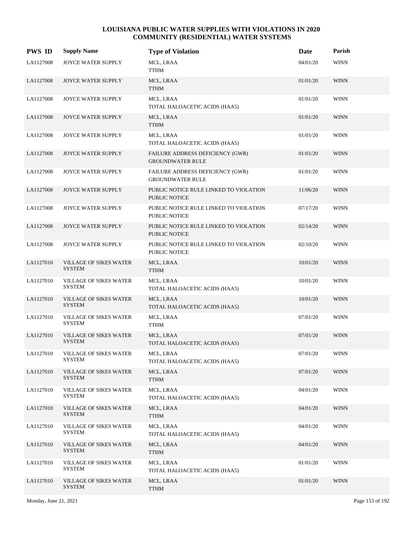| <b>PWS ID</b> | <b>Supply Name</b>                             | <b>Type of Violation</b>                                           | Date     | Parish      |
|---------------|------------------------------------------------|--------------------------------------------------------------------|----------|-------------|
| LA1127008     | JOYCE WATER SUPPLY                             | MCL, LRAA<br><b>TTHM</b>                                           | 04/01/20 | <b>WINN</b> |
| LA1127008     | JOYCE WATER SUPPLY                             | MCL, LRAA<br><b>TTHM</b>                                           | 01/01/20 | <b>WINN</b> |
| LA1127008     | JOYCE WATER SUPPLY                             | MCL, LRAA<br>TOTAL HALOACETIC ACIDS (HAA5)                         | 01/01/20 | <b>WINN</b> |
| LA1127008     | <b>JOYCE WATER SUPPLY</b>                      | MCL, LRAA<br><b>TTHM</b>                                           | 01/01/20 | <b>WINN</b> |
| LA1127008     | JOYCE WATER SUPPLY                             | MCL, LRAA<br>TOTAL HALOACETIC ACIDS (HAA5)                         | 01/01/20 | <b>WINN</b> |
| LA1127008     | JOYCE WATER SUPPLY                             | <b>FAILURE ADDRESS DEFICIENCY (GWR)</b><br><b>GROUNDWATER RULE</b> | 01/01/20 | <b>WINN</b> |
| LA1127008     | JOYCE WATER SUPPLY                             | FAILURE ADDRESS DEFICIENCY (GWR)<br><b>GROUNDWATER RULE</b>        | 01/01/20 | <b>WINN</b> |
| LA1127008     | <b>JOYCE WATER SUPPLY</b>                      | PUBLIC NOTICE RULE LINKED TO VIOLATION<br><b>PUBLIC NOTICE</b>     | 11/06/20 | <b>WINN</b> |
| LA1127008     | JOYCE WATER SUPPLY                             | PUBLIC NOTICE RULE LINKED TO VIOLATION<br>PUBLIC NOTICE            | 07/17/20 | <b>WINN</b> |
| LA1127008     | JOYCE WATER SUPPLY                             | PUBLIC NOTICE RULE LINKED TO VIOLATION<br><b>PUBLIC NOTICE</b>     | 02/14/20 | <b>WINN</b> |
| LA1127008     | JOYCE WATER SUPPLY                             | PUBLIC NOTICE RULE LINKED TO VIOLATION<br><b>PUBLIC NOTICE</b>     | 02/10/20 | <b>WINN</b> |
| LA1127010     | <b>VILLAGE OF SIKES WATER</b><br><b>SYSTEM</b> | MCL, LRAA<br><b>TTHM</b>                                           | 10/01/20 | <b>WINN</b> |
| LA1127010     | <b>VILLAGE OF SIKES WATER</b><br><b>SYSTEM</b> | MCL, LRAA<br>TOTAL HALOACETIC ACIDS (HAA5)                         | 10/01/20 | <b>WINN</b> |
| LA1127010     | VILLAGE OF SIKES WATER<br><b>SYSTEM</b>        | MCL, LRAA<br>TOTAL HALOACETIC ACIDS (HAA5)                         | 10/01/20 | <b>WINN</b> |
| LA1127010     | <b>VILLAGE OF SIKES WATER</b><br><b>SYSTEM</b> | MCL, LRAA<br><b>TTHM</b>                                           | 07/01/20 | <b>WINN</b> |
| LA1127010     | <b>VILLAGE OF SIKES WATER</b><br><b>SYSTEM</b> | MCL, LRAA<br>TOTAL HALOACETIC ACIDS (HAA5)                         | 07/01/20 | <b>WINN</b> |
| LA1127010     | <b>VILLAGE OF SIKES WATER</b><br>SYSTEM        | MCL, LRAA<br>TOTAL HALOACETIC ACIDS (HAA5)                         | 07/01/20 | <b>WINN</b> |
| LA1127010     | <b>VILLAGE OF SIKES WATER</b><br><b>SYSTEM</b> | MCL, LRAA<br><b>TTHM</b>                                           | 07/01/20 | <b>WINN</b> |
| LA1127010     | <b>VILLAGE OF SIKES WATER</b><br>SYSTEM        | MCL, LRAA<br>TOTAL HALOACETIC ACIDS (HAA5)                         | 04/01/20 | WINN        |
| LA1127010     | <b>VILLAGE OF SIKES WATER</b><br><b>SYSTEM</b> | MCL, LRAA<br><b>TTHM</b>                                           | 04/01/20 | <b>WINN</b> |
| LA1127010     | VILLAGE OF SIKES WATER<br><b>SYSTEM</b>        | MCL, LRAA<br>TOTAL HALOACETIC ACIDS (HAA5)                         | 04/01/20 | <b>WINN</b> |
| LA1127010     | <b>VILLAGE OF SIKES WATER</b><br><b>SYSTEM</b> | MCL, LRAA<br><b>TTHM</b>                                           | 04/01/20 | <b>WINN</b> |
| LA1127010     | <b>VILLAGE OF SIKES WATER</b><br><b>SYSTEM</b> | MCL, LRAA<br>TOTAL HALOACETIC ACIDS (HAA5)                         | 01/01/20 | WINN        |
| LA1127010     | <b>VILLAGE OF SIKES WATER</b><br><b>SYSTEM</b> | MCL, LRAA<br><b>TTHM</b>                                           | 01/01/20 | <b>WINN</b> |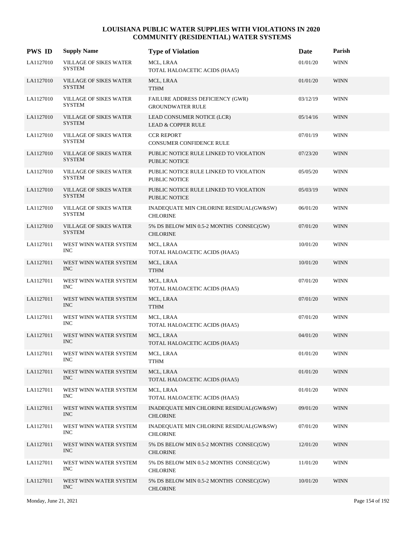| <b>PWS ID</b> | <b>Supply Name</b>                             | <b>Type of Violation</b>                                       | Date     | Parish      |
|---------------|------------------------------------------------|----------------------------------------------------------------|----------|-------------|
| LA1127010     | <b>VILLAGE OF SIKES WATER</b><br><b>SYSTEM</b> | MCL, LRAA<br>TOTAL HALOACETIC ACIDS (HAA5)                     | 01/01/20 | <b>WINN</b> |
| LA1127010     | <b>VILLAGE OF SIKES WATER</b><br><b>SYSTEM</b> | MCL, LRAA<br><b>TTHM</b>                                       | 01/01/20 | <b>WINN</b> |
| LA1127010     | VILLAGE OF SIKES WATER<br><b>SYSTEM</b>        | FAILURE ADDRESS DEFICIENCY (GWR)<br><b>GROUNDWATER RULE</b>    | 03/12/19 | <b>WINN</b> |
| LA1127010     | <b>VILLAGE OF SIKES WATER</b><br><b>SYSTEM</b> | LEAD CONSUMER NOTICE (LCR)<br><b>LEAD &amp; COPPER RULE</b>    | 05/14/16 | <b>WINN</b> |
| LA1127010     | <b>VILLAGE OF SIKES WATER</b><br><b>SYSTEM</b> | <b>CCR REPORT</b><br><b>CONSUMER CONFIDENCE RULE</b>           | 07/01/19 | <b>WINN</b> |
| LA1127010     | <b>VILLAGE OF SIKES WATER</b><br><b>SYSTEM</b> | PUBLIC NOTICE RULE LINKED TO VIOLATION<br><b>PUBLIC NOTICE</b> | 07/23/20 | <b>WINN</b> |
| LA1127010     | <b>VILLAGE OF SIKES WATER</b><br><b>SYSTEM</b> | PUBLIC NOTICE RULE LINKED TO VIOLATION<br><b>PUBLIC NOTICE</b> | 05/05/20 | <b>WINN</b> |
| LA1127010     | <b>VILLAGE OF SIKES WATER</b><br><b>SYSTEM</b> | PUBLIC NOTICE RULE LINKED TO VIOLATION<br><b>PUBLIC NOTICE</b> | 05/03/19 | <b>WINN</b> |
| LA1127010     | VILLAGE OF SIKES WATER<br><b>SYSTEM</b>        | INADEQUATE MIN CHLORINE RESIDUAL(GW&SW)<br><b>CHLORINE</b>     | 06/01/20 | <b>WINN</b> |
| LA1127010     | VILLAGE OF SIKES WATER<br><b>SYSTEM</b>        | 5% DS BELOW MIN 0.5-2 MONTHS CONSEC(GW)<br><b>CHLORINE</b>     | 07/01/20 | <b>WINN</b> |
| LA1127011     | WEST WINN WATER SYSTEM<br><b>INC</b>           | MCL, LRAA<br>TOTAL HALOACETIC ACIDS (HAA5)                     | 10/01/20 | <b>WINN</b> |
| LA1127011     | WEST WINN WATER SYSTEM<br><b>INC</b>           | MCL, LRAA<br><b>TTHM</b>                                       | 10/01/20 | <b>WINN</b> |
| LA1127011     | WEST WINN WATER SYSTEM<br><b>INC</b>           | MCL, LRAA<br>TOTAL HALOACETIC ACIDS (HAA5)                     | 07/01/20 | <b>WINN</b> |
| LA1127011     | WEST WINN WATER SYSTEM<br><b>INC</b>           | MCL, LRAA<br><b>TTHM</b>                                       | 07/01/20 | <b>WINN</b> |
| LA1127011     | WEST WINN WATER SYSTEM<br><b>INC</b>           | MCL, LRAA<br>TOTAL HALOACETIC ACIDS (HAA5)                     | 07/01/20 | <b>WINN</b> |
| LA1127011     | WEST WINN WATER SYSTEM<br><b>INC</b>           | MCL, LRAA<br>TOTAL HALOACETIC ACIDS (HAA5)                     | 04/01/20 | <b>WINN</b> |
| LA1127011     | WEST WINN WATER SYSTEM<br><b>INC</b>           | MCL, LRAA<br><b>TTHM</b>                                       | 01/01/20 | <b>WINN</b> |
| LA1127011     | WEST WINN WATER SYSTEM<br><b>INC</b>           | MCL, LRAA<br>TOTAL HALOACETIC ACIDS (HAA5)                     | 01/01/20 | <b>WINN</b> |
| LA1127011     | WEST WINN WATER SYSTEM<br>INC                  | MCL, LRAA<br>TOTAL HALOACETIC ACIDS (HAA5)                     | 01/01/20 | <b>WINN</b> |
| LA1127011     | WEST WINN WATER SYSTEM<br><b>INC</b>           | INADEQUATE MIN CHLORINE RESIDUAL(GW&SW)<br><b>CHLORINE</b>     | 09/01/20 | <b>WINN</b> |
| LA1127011     | WEST WINN WATER SYSTEM<br><b>INC</b>           | INADEQUATE MIN CHLORINE RESIDUAL(GW&SW)<br><b>CHLORINE</b>     | 07/01/20 | <b>WINN</b> |
| LA1127011     | WEST WINN WATER SYSTEM<br><b>INC</b>           | 5% DS BELOW MIN 0.5-2 MONTHS CONSEC(GW)<br><b>CHLORINE</b>     | 12/01/20 | <b>WINN</b> |
| LA1127011     | WEST WINN WATER SYSTEM<br><b>INC</b>           | 5% DS BELOW MIN 0.5-2 MONTHS CONSEC(GW)<br><b>CHLORINE</b>     | 11/01/20 | WINN        |
| LA1127011     | WEST WINN WATER SYSTEM<br><b>INC</b>           | 5% DS BELOW MIN 0.5-2 MONTHS CONSEC(GW)<br><b>CHLORINE</b>     | 10/01/20 | <b>WINN</b> |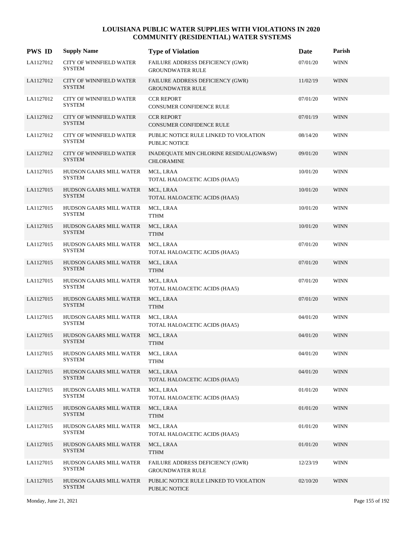| <b>PWS ID</b> | <b>Supply Name</b>                              | <b>Type of Violation</b>                                       | Date     | Parish      |
|---------------|-------------------------------------------------|----------------------------------------------------------------|----------|-------------|
| LA1127012     | CITY OF WINNFIELD WATER<br><b>SYSTEM</b>        | FAILURE ADDRESS DEFICIENCY (GWR)<br><b>GROUNDWATER RULE</b>    | 07/01/20 | <b>WINN</b> |
| LA1127012     | <b>CITY OF WINNFIELD WATER</b><br><b>SYSTEM</b> | FAILURE ADDRESS DEFICIENCY (GWR)<br><b>GROUNDWATER RULE</b>    | 11/02/19 | <b>WINN</b> |
| LA1127012     | CITY OF WINNFIELD WATER<br><b>SYSTEM</b>        | <b>CCR REPORT</b><br>CONSUMER CONFIDENCE RULE                  | 07/01/20 | <b>WINN</b> |
| LA1127012     | CITY OF WINNFIELD WATER<br><b>SYSTEM</b>        | <b>CCR REPORT</b><br>CONSUMER CONFIDENCE RULE                  | 07/01/19 | <b>WINN</b> |
| LA1127012     | CITY OF WINNFIELD WATER<br><b>SYSTEM</b>        | PUBLIC NOTICE RULE LINKED TO VIOLATION<br><b>PUBLIC NOTICE</b> | 08/14/20 | <b>WINN</b> |
| LA1127012     | CITY OF WINNFIELD WATER<br><b>SYSTEM</b>        | INADEQUATE MIN CHLORINE RESIDUAL(GW&SW)<br><b>CHLORAMINE</b>   | 09/01/20 | <b>WINN</b> |
| LA1127015     | HUDSON GAARS MILL WATER<br><b>SYSTEM</b>        | MCL, LRAA<br>TOTAL HALOACETIC ACIDS (HAA5)                     | 10/01/20 | <b>WINN</b> |
| LA1127015     | HUDSON GAARS MILL WATER<br><b>SYSTEM</b>        | MCL, LRAA<br>TOTAL HALOACETIC ACIDS (HAA5)                     | 10/01/20 | <b>WINN</b> |
| LA1127015     | HUDSON GAARS MILL WATER<br><b>SYSTEM</b>        | MCL, LRAA<br><b>TTHM</b>                                       | 10/01/20 | <b>WINN</b> |
| LA1127015     | HUDSON GAARS MILL WATER<br><b>SYSTEM</b>        | MCL, LRAA<br><b>TTHM</b>                                       | 10/01/20 | <b>WINN</b> |
| LA1127015     | HUDSON GAARS MILL WATER<br><b>SYSTEM</b>        | MCL, LRAA<br>TOTAL HALOACETIC ACIDS (HAA5)                     | 07/01/20 | <b>WINN</b> |
| LA1127015     | HUDSON GAARS MILL WATER<br><b>SYSTEM</b>        | MCL, LRAA<br><b>TTHM</b>                                       | 07/01/20 | <b>WINN</b> |
| LA1127015     | HUDSON GAARS MILL WATER<br><b>SYSTEM</b>        | MCL, LRAA<br>TOTAL HALOACETIC ACIDS (HAA5)                     | 07/01/20 | <b>WINN</b> |
| LA1127015     | HUDSON GAARS MILL WATER<br><b>SYSTEM</b>        | MCL, LRAA<br><b>TTHM</b>                                       | 07/01/20 | <b>WINN</b> |
| LA1127015     | HUDSON GAARS MILL WATER<br><b>SYSTEM</b>        | MCL, LRAA<br>TOTAL HALOACETIC ACIDS (HAA5)                     | 04/01/20 | <b>WINN</b> |
| LA1127015     | <b>HUDSON GAARS MILL WATER</b><br><b>SYSTEM</b> | MCL, LRAA<br><b>TTHM</b>                                       | 04/01/20 | <b>WINN</b> |
| LA1127015     | HUDSON GAARS MILL WATER<br><b>SYSTEM</b>        | MCL, LRAA<br><b>TTHM</b>                                       | 04/01/20 | <b>WINN</b> |
| LA1127015     | <b>HUDSON GAARS MILL WATER</b><br><b>SYSTEM</b> | MCL, LRAA<br>TOTAL HALOACETIC ACIDS (HAA5)                     | 04/01/20 | <b>WINN</b> |
| LA1127015     | HUDSON GAARS MILL WATER<br><b>SYSTEM</b>        | MCL, LRAA<br>TOTAL HALOACETIC ACIDS (HAA5)                     | 01/01/20 | <b>WINN</b> |
| LA1127015     | HUDSON GAARS MILL WATER<br><b>SYSTEM</b>        | MCL, LRAA<br><b>TTHM</b>                                       | 01/01/20 | <b>WINN</b> |
| LA1127015     | HUDSON GAARS MILL WATER<br><b>SYSTEM</b>        | MCL, LRAA<br>TOTAL HALOACETIC ACIDS (HAA5)                     | 01/01/20 | <b>WINN</b> |
| LA1127015     | HUDSON GAARS MILL WATER<br><b>SYSTEM</b>        | MCL, LRAA<br><b>TTHM</b>                                       | 01/01/20 | <b>WINN</b> |
| LA1127015     | HUDSON GAARS MILL WATER<br><b>SYSTEM</b>        | FAILURE ADDRESS DEFICIENCY (GWR)<br><b>GROUNDWATER RULE</b>    | 12/23/19 | <b>WINN</b> |
| LA1127015     | HUDSON GAARS MILL WATER<br><b>SYSTEM</b>        | PUBLIC NOTICE RULE LINKED TO VIOLATION<br>PUBLIC NOTICE        | 02/10/20 | <b>WINN</b> |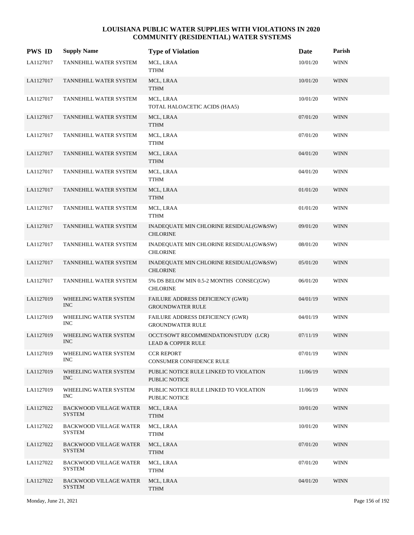| <b>PWS ID</b> | <b>Supply Name</b>                             | <b>Type of Violation</b>                                              | Date     | Parish      |
|---------------|------------------------------------------------|-----------------------------------------------------------------------|----------|-------------|
| LA1127017     | TANNEHILL WATER SYSTEM                         | MCL, LRAA<br><b>TTHM</b>                                              | 10/01/20 | <b>WINN</b> |
| LA1127017     | TANNEHILL WATER SYSTEM                         | MCL, LRAA<br><b>TTHM</b>                                              | 10/01/20 | <b>WINN</b> |
| LA1127017     | TANNEHILL WATER SYSTEM                         | MCL, LRAA<br>TOTAL HALOACETIC ACIDS (HAA5)                            | 10/01/20 | <b>WINN</b> |
| LA1127017     | TANNEHILL WATER SYSTEM                         | MCL, LRAA<br><b>TTHM</b>                                              | 07/01/20 | <b>WINN</b> |
| LA1127017     | TANNEHILL WATER SYSTEM                         | MCL, LRAA<br><b>TTHM</b>                                              | 07/01/20 | <b>WINN</b> |
| LA1127017     | TANNEHILL WATER SYSTEM                         | MCL, LRAA<br><b>TTHM</b>                                              | 04/01/20 | <b>WINN</b> |
| LA1127017     | TANNEHILL WATER SYSTEM                         | MCL, LRAA<br><b>TTHM</b>                                              | 04/01/20 | <b>WINN</b> |
| LA1127017     | TANNEHILL WATER SYSTEM                         | MCL, LRAA<br><b>TTHM</b>                                              | 01/01/20 | <b>WINN</b> |
| LA1127017     | TANNEHILL WATER SYSTEM                         | MCL, LRAA<br><b>TTHM</b>                                              | 01/01/20 | <b>WINN</b> |
| LA1127017     | TANNEHILL WATER SYSTEM                         | INADEQUATE MIN CHLORINE RESIDUAL(GW&SW)<br><b>CHLORINE</b>            | 09/01/20 | <b>WINN</b> |
| LA1127017     | TANNEHILL WATER SYSTEM                         | INADEQUATE MIN CHLORINE RESIDUAL(GW&SW)<br><b>CHLORINE</b>            | 08/01/20 | <b>WINN</b> |
| LA1127017     | TANNEHILL WATER SYSTEM                         | INADEQUATE MIN CHLORINE RESIDUAL(GW&SW)<br><b>CHLORINE</b>            | 05/01/20 | <b>WINN</b> |
| LA1127017     | TANNEHILL WATER SYSTEM                         | 5% DS BELOW MIN 0.5-2 MONTHS CONSEC(GW)<br><b>CHLORINE</b>            | 06/01/20 | <b>WINN</b> |
| LA1127019     | WHEELING WATER SYSTEM<br><b>INC</b>            | FAILURE ADDRESS DEFICIENCY (GWR)<br><b>GROUNDWATER RULE</b>           | 04/01/19 | <b>WINN</b> |
| LA1127019     | WHEELING WATER SYSTEM<br><b>INC</b>            | FAILURE ADDRESS DEFICIENCY (GWR)<br><b>GROUNDWATER RULE</b>           | 04/01/19 | <b>WINN</b> |
| LA1127019     | WHEELING WATER SYSTEM<br><b>INC</b>            | OCCT/SOWT RECOMMENDATION/STUDY (LCR)<br><b>LEAD &amp; COPPER RULE</b> | 07/11/19 | <b>WINN</b> |
| LA1127019     | WHEELING WATER SYSTEM<br>INC.                  | <b>CCR REPORT</b><br>CONSUMER CONFIDENCE RULE                         | 07/01/19 | <b>WINN</b> |
| LA1127019     | WHEELING WATER SYSTEM<br>INC                   | PUBLIC NOTICE RULE LINKED TO VIOLATION<br>PUBLIC NOTICE               | 11/06/19 | <b>WINN</b> |
| LA1127019     | WHEELING WATER SYSTEM<br>INC                   | PUBLIC NOTICE RULE LINKED TO VIOLATION<br>PUBLIC NOTICE               | 11/06/19 | <b>WINN</b> |
| LA1127022     | <b>BACKWOOD VILLAGE WATER</b><br><b>SYSTEM</b> | MCL, LRAA<br><b>TTHM</b>                                              | 10/01/20 | <b>WINN</b> |
| LA1127022     | <b>BACKWOOD VILLAGE WATER</b><br><b>SYSTEM</b> | MCL, LRAA<br><b>TTHM</b>                                              | 10/01/20 | <b>WINN</b> |
| LA1127022     | <b>BACKWOOD VILLAGE WATER</b><br><b>SYSTEM</b> | MCL, LRAA<br><b>TTHM</b>                                              | 07/01/20 | <b>WINN</b> |
| LA1127022     | <b>BACKWOOD VILLAGE WATER</b><br><b>SYSTEM</b> | MCL, LRAA<br><b>TTHM</b>                                              | 07/01/20 | <b>WINN</b> |
| LA1127022     | <b>BACKWOOD VILLAGE WATER</b><br><b>SYSTEM</b> | MCL, LRAA<br><b>TTHM</b>                                              | 04/01/20 | <b>WINN</b> |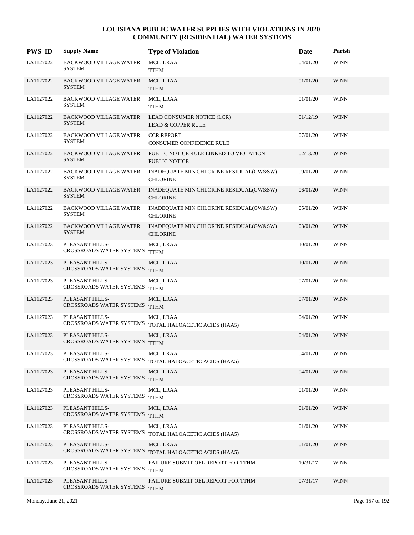| <b>PWS ID</b> | <b>Supply Name</b>                               | <b>Type of Violation</b>                                            | Date     | Parish      |
|---------------|--------------------------------------------------|---------------------------------------------------------------------|----------|-------------|
| LA1127022     | <b>BACKWOOD VILLAGE WATER</b><br>SYSTEM          | MCL, LRAA<br><b>TTHM</b>                                            | 04/01/20 | <b>WINN</b> |
| LA1127022     | <b>BACKWOOD VILLAGE WATER</b><br><b>SYSTEM</b>   | MCL, LRAA<br><b>TTHM</b>                                            | 01/01/20 | <b>WINN</b> |
| LA1127022     | <b>BACKWOOD VILLAGE WATER</b><br><b>SYSTEM</b>   | MCL, LRAA<br><b>TTHM</b>                                            | 01/01/20 | WINN        |
| LA1127022     | <b>BACKWOOD VILLAGE WATER</b><br><b>SYSTEM</b>   | LEAD CONSUMER NOTICE (LCR)<br><b>LEAD &amp; COPPER RULE</b>         | 01/12/19 | <b>WINN</b> |
| LA1127022     | <b>BACKWOOD VILLAGE WATER</b><br>SYSTEM          | <b>CCR REPORT</b><br>CONSUMER CONFIDENCE RULE                       | 07/01/20 | WINN        |
| LA1127022     | <b>BACKWOOD VILLAGE WATER</b><br><b>SYSTEM</b>   | PUBLIC NOTICE RULE LINKED TO VIOLATION<br>PUBLIC NOTICE             | 02/13/20 | <b>WINN</b> |
| LA1127022     | <b>BACKWOOD VILLAGE WATER</b><br><b>SYSTEM</b>   | INADEQUATE MIN CHLORINE RESIDUAL(GW&SW)<br><b>CHLORINE</b>          | 09/01/20 | <b>WINN</b> |
| LA1127022     | <b>BACKWOOD VILLAGE WATER</b><br><b>SYSTEM</b>   | INADEQUATE MIN CHLORINE RESIDUAL(GW&SW)<br><b>CHLORINE</b>          | 06/01/20 | <b>WINN</b> |
| LA1127022     | <b>BACKWOOD VILLAGE WATER</b><br><b>SYSTEM</b>   | INADEQUATE MIN CHLORINE RESIDUAL(GW&SW)<br><b>CHLORINE</b>          | 05/01/20 | WINN        |
| LA1127022     | <b>BACKWOOD VILLAGE WATER</b><br><b>SYSTEM</b>   | INADEQUATE MIN CHLORINE RESIDUAL(GW&SW)<br><b>CHLORINE</b>          | 03/01/20 | <b>WINN</b> |
| LA1127023     | PLEASANT HILLS-<br>CROSSROADS WATER SYSTEMS TTHM | MCL, LRAA                                                           | 10/01/20 | <b>WINN</b> |
| LA1127023     | PLEASANT HILLS-<br>CROSSROADS WATER SYSTEMS TTHM | MCL, LRAA                                                           | 10/01/20 | <b>WINN</b> |
| LA1127023     | PLEASANT HILLS-<br>CROSSROADS WATER SYSTEMS TTHM | MCL, LRAA                                                           | 07/01/20 | WINN        |
| LA1127023     | PLEASANT HILLS-<br>CROSSROADS WATER SYSTEMS TTHM | MCL, LRAA                                                           | 07/01/20 | <b>WINN</b> |
| LA1127023     | PLEASANT HILLS-                                  | MCL, LRAA<br>CROSSROADS WATER SYSTEMS TOTAL HALOACETIC ACIDS (HAA5) | 04/01/20 | <b>WINN</b> |
| LA1127023     | PLEASANT HILLS-<br>CROSSROADS WATER SYSTEMS      | MCL, LRAA<br><b>TTHM</b>                                            | 04/01/20 | <b>WINN</b> |
| LA1127023     | PLEASANT HILLS-                                  | MCL, LRAA<br>CROSSROADS WATER SYSTEMS TOTAL HALOACETIC ACIDS (HAA5) | 04/01/20 | <b>WINN</b> |
| LA1127023     | PLEASANT HILLS-<br>CROSSROADS WATER SYSTEMS TTHM | MCL, LRAA                                                           | 04/01/20 | <b>WINN</b> |
| LA1127023     | PLEASANT HILLS-<br>CROSSROADS WATER SYSTEMS TTHM | MCL, LRAA                                                           | 01/01/20 | WINN        |
| LA1127023     | PLEASANT HILLS-<br>CROSSROADS WATER SYSTEMS      | MCL, LRAA<br><b>TTHM</b>                                            | 01/01/20 | <b>WINN</b> |
| LA1127023     | PLEASANT HILLS-<br>CROSSROADS WATER SYSTEMS      | MCL, LRAA<br>TOTAL HALOACETIC ACIDS (HAA5)                          | 01/01/20 | WINN        |
| LA1127023     | PLEASANT HILLS-                                  | MCL, LRAA<br>CROSSROADS WATER SYSTEMS TOTAL HALOACETIC ACIDS (HAA5) | 01/01/20 | <b>WINN</b> |
| LA1127023     | PLEASANT HILLS-<br>CROSSROADS WATER SYSTEMS      | FAILURE SUBMIT OEL REPORT FOR TTHM<br><b>TTHM</b>                   | 10/31/17 | WINN        |
| LA1127023     | PLEASANT HILLS-<br>CROSSROADS WATER SYSTEMS      | FAILURE SUBMIT OEL REPORT FOR TTHM<br><b>TTHM</b>                   | 07/31/17 | <b>WINN</b> |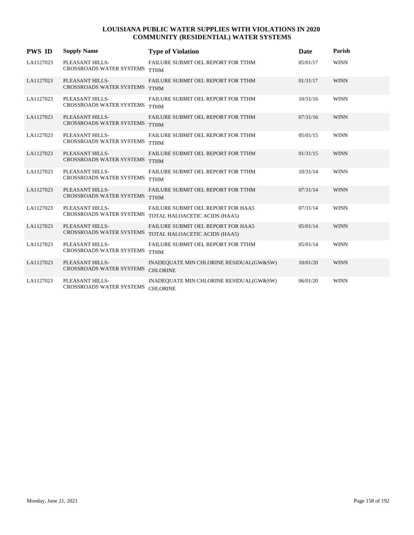| <b>PWS ID</b> | <b>Supply Name</b>                                 | <b>Type of Violation</b>                                                   | Date     | Parish      |
|---------------|----------------------------------------------------|----------------------------------------------------------------------------|----------|-------------|
| LA1127023     | PLEASANT HILLS-<br><b>CROSSROADS WATER SYSTEMS</b> | FAILURE SUBMIT OEL REPORT FOR TTHM<br><b>TTHM</b>                          | 05/01/17 | <b>WINN</b> |
| LA1127023     | PLEASANT HILLS-<br><b>CROSSROADS WATER SYSTEMS</b> | FAILURE SUBMIT OEL REPORT FOR TTHM<br><b>TTHM</b>                          | 01/31/17 | <b>WINN</b> |
| LA1127023     | PLEASANT HILLS-<br><b>CROSSROADS WATER SYSTEMS</b> | FAILURE SUBMIT OEL REPORT FOR TTHM<br><b>TTHM</b>                          | 10/31/16 | <b>WINN</b> |
| LA1127023     | PLEASANT HILLS-<br><b>CROSSROADS WATER SYSTEMS</b> | FAILURE SUBMIT OEL REPORT FOR TTHM<br><b>TTHM</b>                          | 07/31/16 | <b>WINN</b> |
| LA1127023     | PLEASANT HILLS-<br><b>CROSSROADS WATER SYSTEMS</b> | FAILURE SUBMIT OEL REPORT FOR TTHM<br><b>TTHM</b>                          | 05/01/15 | <b>WINN</b> |
| LA1127023     | PLEASANT HILLS-<br>CROSSROADS WATER SYSTEMS        | FAILURE SUBMIT OEL REPORT FOR TTHM<br><b>TTHM</b>                          | 01/31/15 | <b>WINN</b> |
| LA1127023     | PLEASANT HILLS-<br><b>CROSSROADS WATER SYSTEMS</b> | FAILURE SUBMIT OEL REPORT FOR TTHM<br><b>TTHM</b>                          | 10/31/14 | <b>WINN</b> |
| LA1127023     | PLEASANT HILLS-<br><b>CROSSROADS WATER SYSTEMS</b> | FAILURE SUBMIT OEL REPORT FOR TTHM<br><b>TTHM</b>                          | 07/31/14 | <b>WINN</b> |
| LA1127023     | PLEASANT HILLS-<br><b>CROSSROADS WATER SYSTEMS</b> | FAILURE SUBMIT OEL REPORT FOR HAA5<br>TOTAL HALOACETIC ACIDS (HAA5)        | 07/31/14 | <b>WINN</b> |
| LA1127023     | PLEASANT HILLS-<br>CROSSROADS WATER SYSTEMS        | <b>FAILURE SUBMIT OEL REPORT FOR HAA5</b><br>TOTAL HALOACETIC ACIDS (HAA5) | 05/01/14 | <b>WINN</b> |
| LA1127023     | PLEASANT HILLS-<br><b>CROSSROADS WATER SYSTEMS</b> | FAILURE SUBMIT OEL REPORT FOR TTHM<br><b>TTHM</b>                          | 05/01/14 | <b>WINN</b> |
| LA1127023     | PLEASANT HILLS-<br><b>CROSSROADS WATER SYSTEMS</b> | INADEQUATE MIN CHLORINE RESIDUAL(GW&SW)<br><b>CHLORINE</b>                 | 10/01/20 | <b>WINN</b> |
| LA1127023     | PLEASANT HILLS-<br><b>CROSSROADS WATER SYSTEMS</b> | INADEQUATE MIN CHLORINE RESIDUAL(GW&SW)<br><b>CHLORINE</b>                 | 06/01/20 | <b>WINN</b> |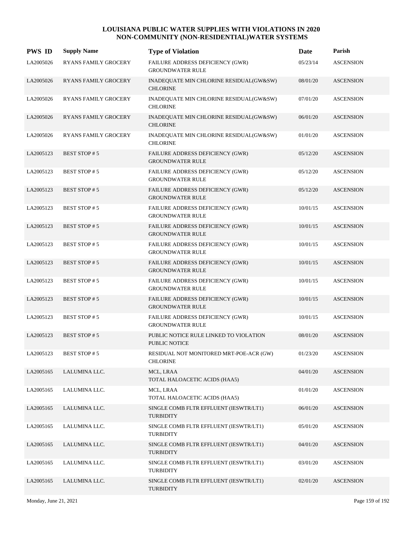| <b>PWS ID</b> | <b>Supply Name</b>          | <b>Type of Violation</b>                                       | <b>Date</b> | Parish           |
|---------------|-----------------------------|----------------------------------------------------------------|-------------|------------------|
| LA2005026     | <b>RYANS FAMILY GROCERY</b> | FAILURE ADDRESS DEFICIENCY (GWR)<br><b>GROUNDWATER RULE</b>    | 05/23/14    | <b>ASCENSION</b> |
| LA2005026     | <b>RYANS FAMILY GROCERY</b> | INADEQUATE MIN CHLORINE RESIDUAL(GW&SW)<br><b>CHLORINE</b>     | 08/01/20    | <b>ASCENSION</b> |
| LA2005026     | <b>RYANS FAMILY GROCERY</b> | INADEQUATE MIN CHLORINE RESIDUAL(GW&SW)<br><b>CHLORINE</b>     | 07/01/20    | <b>ASCENSION</b> |
| LA2005026     | <b>RYANS FAMILY GROCERY</b> | INADEQUATE MIN CHLORINE RESIDUAL(GW&SW)<br><b>CHLORINE</b>     | 06/01/20    | <b>ASCENSION</b> |
| LA2005026     | <b>RYANS FAMILY GROCERY</b> | INADEQUATE MIN CHLORINE RESIDUAL(GW&SW)<br><b>CHLORINE</b>     | 01/01/20    | <b>ASCENSION</b> |
| LA2005123     | <b>BEST STOP#5</b>          | FAILURE ADDRESS DEFICIENCY (GWR)<br><b>GROUNDWATER RULE</b>    | 05/12/20    | <b>ASCENSION</b> |
| LA2005123     | <b>BEST STOP#5</b>          | FAILURE ADDRESS DEFICIENCY (GWR)<br><b>GROUNDWATER RULE</b>    | 05/12/20    | <b>ASCENSION</b> |
| LA2005123     | <b>BEST STOP#5</b>          | FAILURE ADDRESS DEFICIENCY (GWR)<br><b>GROUNDWATER RULE</b>    | 05/12/20    | <b>ASCENSION</b> |
| LA2005123     | <b>BEST STOP#5</b>          | FAILURE ADDRESS DEFICIENCY (GWR)<br><b>GROUNDWATER RULE</b>    | 10/01/15    | <b>ASCENSION</b> |
| LA2005123     | <b>BEST STOP#5</b>          | FAILURE ADDRESS DEFICIENCY (GWR)<br><b>GROUNDWATER RULE</b>    | 10/01/15    | <b>ASCENSION</b> |
| LA2005123     | <b>BEST STOP#5</b>          | FAILURE ADDRESS DEFICIENCY (GWR)<br><b>GROUNDWATER RULE</b>    | 10/01/15    | <b>ASCENSION</b> |
| LA2005123     | <b>BEST STOP#5</b>          | FAILURE ADDRESS DEFICIENCY (GWR)<br><b>GROUNDWATER RULE</b>    | 10/01/15    | <b>ASCENSION</b> |
| LA2005123     | <b>BEST STOP#5</b>          | FAILURE ADDRESS DEFICIENCY (GWR)<br><b>GROUNDWATER RULE</b>    | 10/01/15    | <b>ASCENSION</b> |
| LA2005123     | <b>BEST STOP#5</b>          | FAILURE ADDRESS DEFICIENCY (GWR)<br><b>GROUNDWATER RULE</b>    | 10/01/15    | <b>ASCENSION</b> |
| LA2005123     | <b>BEST STOP#5</b>          | FAILURE ADDRESS DEFICIENCY (GWR)<br><b>GROUNDWATER RULE</b>    | 10/01/15    | <b>ASCENSION</b> |
| LA2005123     | <b>BEST STOP#5</b>          | PUBLIC NOTICE RULE LINKED TO VIOLATION<br><b>PUBLIC NOTICE</b> | 08/01/20    | <b>ASCENSION</b> |
| LA2005123     | <b>BEST STOP#5</b>          | RESIDUAL NOT MONITORED MRT-POE-ACR (GW)<br><b>CHLORINE</b>     | 01/23/20    | <b>ASCENSION</b> |
| LA2005165     | LALUMINA LLC.               | MCL, LRAA<br>TOTAL HALOACETIC ACIDS (HAA5)                     | 04/01/20    | <b>ASCENSION</b> |
| LA2005165     | LALUMINA LLC.               | MCL, LRAA<br>TOTAL HALOACETIC ACIDS (HAA5)                     | 01/01/20    | <b>ASCENSION</b> |
| LA2005165     | LALUMINA LLC.               | SINGLE COMB FLTR EFFLUENT (IESWTR/LT1)<br><b>TURBIDITY</b>     | 06/01/20    | <b>ASCENSION</b> |
| LA2005165     | LALUMINA LLC.               | SINGLE COMB FLTR EFFLUENT (IESWTR/LT1)<br><b>TURBIDITY</b>     | 05/01/20    | <b>ASCENSION</b> |
| LA2005165     | LALUMINA LLC.               | SINGLE COMB FLTR EFFLUENT (IESWTR/LT1)<br><b>TURBIDITY</b>     | 04/01/20    | <b>ASCENSION</b> |
| LA2005165     | LALUMINA LLC.               | SINGLE COMB FLTR EFFLUENT (IESWTR/LT1)<br><b>TURBIDITY</b>     | 03/01/20    | <b>ASCENSION</b> |
| LA2005165     | LALUMINA LLC.               | SINGLE COMB FLTR EFFLUENT (IESWTR/LT1)<br><b>TURBIDITY</b>     | 02/01/20    | <b>ASCENSION</b> |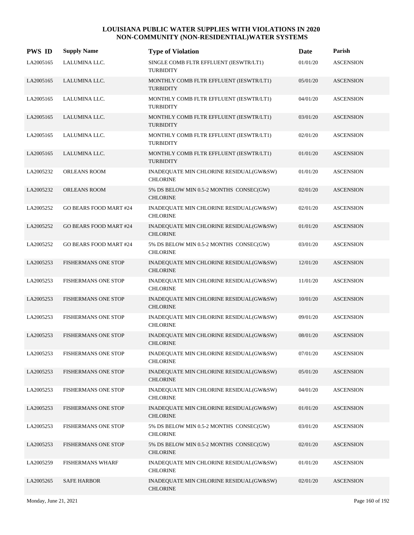| <b>PWS ID</b> | <b>Supply Name</b>            | <b>Type of Violation</b>                                    | Date     | Parish           |
|---------------|-------------------------------|-------------------------------------------------------------|----------|------------------|
| LA2005165     | LALUMINA LLC.                 | SINGLE COMB FLTR EFFLUENT (IESWTR/LT1)<br><b>TURBIDITY</b>  | 01/01/20 | <b>ASCENSION</b> |
| LA2005165     | LALUMINA LLC.                 | MONTHLY COMB FLTR EFFLUENT (IESWTR/LT1)<br><b>TURBIDITY</b> | 05/01/20 | <b>ASCENSION</b> |
| LA2005165     | LALUMINA LLC.                 | MONTHLY COMB FLTR EFFLUENT (IESWTR/LT1)<br><b>TURBIDITY</b> | 04/01/20 | <b>ASCENSION</b> |
| LA2005165     | LALUMINA LLC.                 | MONTHLY COMB FLTR EFFLUENT (IESWTR/LT1)<br><b>TURBIDITY</b> | 03/01/20 | <b>ASCENSION</b> |
| LA2005165     | LALUMINA LLC.                 | MONTHLY COMB FLTR EFFLUENT (IESWTR/LT1)<br><b>TURBIDITY</b> | 02/01/20 | <b>ASCENSION</b> |
| LA2005165     | LALUMINA LLC.                 | MONTHLY COMB FLTR EFFLUENT (IESWTR/LT1)<br><b>TURBIDITY</b> | 01/01/20 | <b>ASCENSION</b> |
| LA2005232     | ORLEANS ROOM                  | INADEQUATE MIN CHLORINE RESIDUAL(GW&SW)<br><b>CHLORINE</b>  | 01/01/20 | <b>ASCENSION</b> |
| LA2005232     | ORLEANS ROOM                  | 5% DS BELOW MIN 0.5-2 MONTHS CONSEC(GW)<br><b>CHLORINE</b>  | 02/01/20 | <b>ASCENSION</b> |
| LA2005252     | <b>GO BEARS FOOD MART #24</b> | INADEQUATE MIN CHLORINE RESIDUAL(GW&SW)<br><b>CHLORINE</b>  | 02/01/20 | <b>ASCENSION</b> |
| LA2005252     | <b>GO BEARS FOOD MART #24</b> | INADEQUATE MIN CHLORINE RESIDUAL(GW&SW)<br><b>CHLORINE</b>  | 01/01/20 | <b>ASCENSION</b> |
| LA2005252     | <b>GO BEARS FOOD MART #24</b> | 5% DS BELOW MIN 0.5-2 MONTHS CONSEC(GW)<br><b>CHLORINE</b>  | 03/01/20 | <b>ASCENSION</b> |
| LA2005253     | <b>FISHERMANS ONE STOP</b>    | INADEQUATE MIN CHLORINE RESIDUAL(GW&SW)<br><b>CHLORINE</b>  | 12/01/20 | <b>ASCENSION</b> |
| LA2005253     | <b>FISHERMANS ONE STOP</b>    | INADEQUATE MIN CHLORINE RESIDUAL(GW&SW)<br><b>CHLORINE</b>  | 11/01/20 | <b>ASCENSION</b> |
| LA2005253     | <b>FISHERMANS ONE STOP</b>    | INADEQUATE MIN CHLORINE RESIDUAL(GW&SW)<br><b>CHLORINE</b>  | 10/01/20 | <b>ASCENSION</b> |
| LA2005253     | <b>FISHERMANS ONE STOP</b>    | INADEQUATE MIN CHLORINE RESIDUAL(GW&SW)<br><b>CHLORINE</b>  | 09/01/20 | <b>ASCENSION</b> |
| LA2005253     | <b>FISHERMANS ONE STOP</b>    | INADEQUATE MIN CHLORINE RESIDUAL(GW&SW)<br><b>CHLORINE</b>  | 08/01/20 | <b>ASCENSION</b> |
| LA2005253     | <b>FISHERMANS ONE STOP</b>    | INADEQUATE MIN CHLORINE RESIDUAL(GW&SW)<br><b>CHLORINE</b>  | 07/01/20 | <b>ASCENSION</b> |
| LA2005253     | <b>FISHERMANS ONE STOP</b>    | INADEQUATE MIN CHLORINE RESIDUAL(GW&SW)<br><b>CHLORINE</b>  | 05/01/20 | <b>ASCENSION</b> |
| LA2005253     | FISHERMANS ONE STOP           | INADEQUATE MIN CHLORINE RESIDUAL(GW&SW)<br><b>CHLORINE</b>  | 04/01/20 | <b>ASCENSION</b> |
| LA2005253     | FISHERMANS ONE STOP           | INADEQUATE MIN CHLORINE RESIDUAL(GW&SW)<br><b>CHLORINE</b>  | 01/01/20 | <b>ASCENSION</b> |
| LA2005253     | FISHERMANS ONE STOP           | 5% DS BELOW MIN 0.5-2 MONTHS CONSEC(GW)<br><b>CHLORINE</b>  | 03/01/20 | <b>ASCENSION</b> |
| LA2005253     | <b>FISHERMANS ONE STOP</b>    | 5% DS BELOW MIN 0.5-2 MONTHS CONSEC(GW)<br><b>CHLORINE</b>  | 02/01/20 | <b>ASCENSION</b> |
| LA2005259     | <b>FISHERMANS WHARF</b>       | INADEQUATE MIN CHLORINE RESIDUAL(GW&SW)<br><b>CHLORINE</b>  | 01/01/20 | <b>ASCENSION</b> |
| LA2005265     | <b>SAFE HARBOR</b>            | INADEQUATE MIN CHLORINE RESIDUAL(GW&SW)<br><b>CHLORINE</b>  | 02/01/20 | <b>ASCENSION</b> |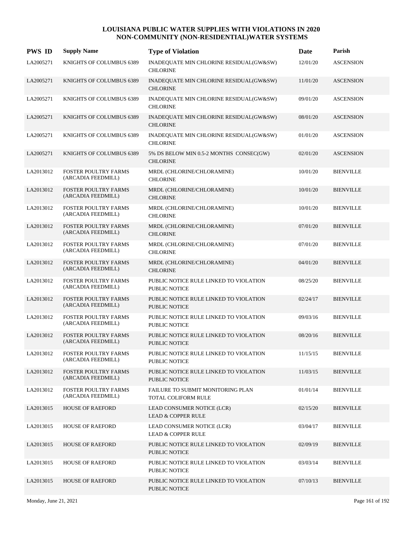| <b>PWS ID</b> | <b>Supply Name</b>                                | <b>Type of Violation</b>                                       | Date     | Parish           |
|---------------|---------------------------------------------------|----------------------------------------------------------------|----------|------------------|
| LA2005271     | KNIGHTS OF COLUMBUS 6389                          | INADEQUATE MIN CHLORINE RESIDUAL(GW&SW)<br><b>CHLORINE</b>     | 12/01/20 | <b>ASCENSION</b> |
| LA2005271     | KNIGHTS OF COLUMBUS 6389                          | INADEQUATE MIN CHLORINE RESIDUAL(GW&SW)<br><b>CHLORINE</b>     | 11/01/20 | <b>ASCENSION</b> |
| LA2005271     | KNIGHTS OF COLUMBUS 6389                          | INADEQUATE MIN CHLORINE RESIDUAL(GW&SW)<br><b>CHLORINE</b>     | 09/01/20 | <b>ASCENSION</b> |
| LA2005271     | KNIGHTS OF COLUMBUS 6389                          | INADEQUATE MIN CHLORINE RESIDUAL(GW&SW)<br><b>CHLORINE</b>     | 08/01/20 | <b>ASCENSION</b> |
| LA2005271     | KNIGHTS OF COLUMBUS 6389                          | INADEQUATE MIN CHLORINE RESIDUAL(GW&SW)<br><b>CHLORINE</b>     | 01/01/20 | <b>ASCENSION</b> |
| LA2005271     | KNIGHTS OF COLUMBUS 6389                          | 5% DS BELOW MIN 0.5-2 MONTHS CONSEC(GW)<br><b>CHLORINE</b>     | 02/01/20 | <b>ASCENSION</b> |
| LA2013012     | FOSTER POULTRY FARMS<br>(ARCADIA FEEDMILL)        | MRDL (CHLORINE/CHLORAMINE)<br><b>CHLORINE</b>                  | 10/01/20 | <b>BIENVILLE</b> |
| LA2013012     | <b>FOSTER POULTRY FARMS</b><br>(ARCADIA FEEDMILL) | MRDL (CHLORINE/CHLORAMINE)<br><b>CHLORINE</b>                  | 10/01/20 | <b>BIENVILLE</b> |
| LA2013012     | <b>FOSTER POULTRY FARMS</b><br>(ARCADIA FEEDMILL) | MRDL (CHLORINE/CHLORAMINE)<br><b>CHLORINE</b>                  | 10/01/20 | <b>BIENVILLE</b> |
| LA2013012     | FOSTER POULTRY FARMS<br>(ARCADIA FEEDMILL)        | MRDL (CHLORINE/CHLORAMINE)<br><b>CHLORINE</b>                  | 07/01/20 | <b>BIENVILLE</b> |
| LA2013012     | FOSTER POULTRY FARMS<br>(ARCADIA FEEDMILL)        | MRDL (CHLORINE/CHLORAMINE)<br><b>CHLORINE</b>                  | 07/01/20 | <b>BIENVILLE</b> |
| LA2013012     | <b>FOSTER POULTRY FARMS</b><br>(ARCADIA FEEDMILL) | MRDL (CHLORINE/CHLORAMINE)<br><b>CHLORINE</b>                  | 04/01/20 | <b>BIENVILLE</b> |
| LA2013012     | FOSTER POULTRY FARMS<br>(ARCADIA FEEDMILL)        | PUBLIC NOTICE RULE LINKED TO VIOLATION<br><b>PUBLIC NOTICE</b> | 08/25/20 | <b>BIENVILLE</b> |
| LA2013012     | <b>FOSTER POULTRY FARMS</b><br>(ARCADIA FEEDMILL) | PUBLIC NOTICE RULE LINKED TO VIOLATION<br><b>PUBLIC NOTICE</b> | 02/24/17 | <b>BIENVILLE</b> |
| LA2013012     | <b>FOSTER POULTRY FARMS</b><br>(ARCADIA FEEDMILL) | PUBLIC NOTICE RULE LINKED TO VIOLATION<br><b>PUBLIC NOTICE</b> | 09/03/16 | <b>BIENVILLE</b> |
| LA2013012     | <b>FOSTER POULTRY FARMS</b><br>(ARCADIA FEEDMILL) | PUBLIC NOTICE RULE LINKED TO VIOLATION<br><b>PUBLIC NOTICE</b> | 08/20/16 | <b>BIENVILLE</b> |
| LA2013012     | FOSTER POULTRY FARMS<br>(ARCADIA FEEDMILL)        | PUBLIC NOTICE RULE LINKED TO VIOLATION<br>PUBLIC NOTICE        | 11/15/15 | <b>BIENVILLE</b> |
| LA2013012     | FOSTER POULTRY FARMS<br>(ARCADIA FEEDMILL)        | PUBLIC NOTICE RULE LINKED TO VIOLATION<br>PUBLIC NOTICE        | 11/03/15 | <b>BIENVILLE</b> |
| LA2013012     | <b>FOSTER POULTRY FARMS</b><br>(ARCADIA FEEDMILL) | FAILURE TO SUBMIT MONITORING PLAN<br>TOTAL COLIFORM RULE       | 01/01/14 | <b>BIENVILLE</b> |
| LA2013015     | <b>HOUSE OF RAEFORD</b>                           | LEAD CONSUMER NOTICE (LCR)<br><b>LEAD &amp; COPPER RULE</b>    | 02/15/20 | <b>BIENVILLE</b> |
| LA2013015     | <b>HOUSE OF RAEFORD</b>                           | LEAD CONSUMER NOTICE (LCR)<br><b>LEAD &amp; COPPER RULE</b>    | 03/04/17 | <b>BIENVILLE</b> |
| LA2013015     | <b>HOUSE OF RAEFORD</b>                           | PUBLIC NOTICE RULE LINKED TO VIOLATION<br>PUBLIC NOTICE        | 02/09/19 | <b>BIENVILLE</b> |
| LA2013015     | <b>HOUSE OF RAEFORD</b>                           | PUBLIC NOTICE RULE LINKED TO VIOLATION<br><b>PUBLIC NOTICE</b> | 03/03/14 | <b>BIENVILLE</b> |
| LA2013015     | <b>HOUSE OF RAEFORD</b>                           | PUBLIC NOTICE RULE LINKED TO VIOLATION<br>PUBLIC NOTICE        | 07/10/13 | <b>BIENVILLE</b> |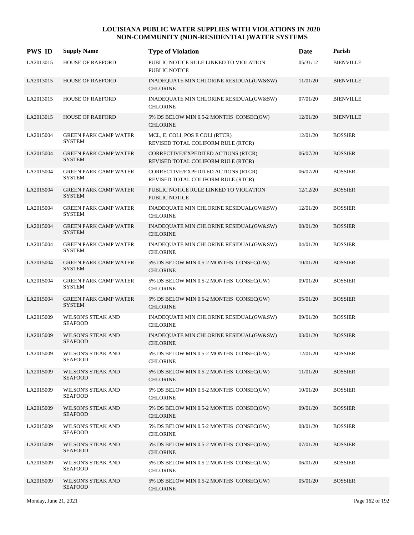| <b>PWS ID</b> | <b>Supply Name</b>                            | <b>Type of Violation</b>                                                  | <b>Date</b> | Parish           |
|---------------|-----------------------------------------------|---------------------------------------------------------------------------|-------------|------------------|
| LA2013015     | <b>HOUSE OF RAEFORD</b>                       | PUBLIC NOTICE RULE LINKED TO VIOLATION<br><b>PUBLIC NOTICE</b>            | 05/31/12    | <b>BIENVILLE</b> |
| LA2013015     | <b>HOUSE OF RAEFORD</b>                       | INADEQUATE MIN CHLORINE RESIDUAL(GW&SW)<br><b>CHLORINE</b>                | 11/01/20    | <b>BIENVILLE</b> |
| LA2013015     | <b>HOUSE OF RAEFORD</b>                       | INADEQUATE MIN CHLORINE RESIDUAL(GW&SW)<br><b>CHLORINE</b>                | 07/01/20    | <b>BIENVILLE</b> |
| LA2013015     | <b>HOUSE OF RAEFORD</b>                       | 5% DS BELOW MIN 0.5-2 MONTHS CONSEC(GW)<br><b>CHLORINE</b>                | 12/01/20    | <b>BIENVILLE</b> |
| LA2015004     | <b>GREEN PARK CAMP WATER</b><br><b>SYSTEM</b> | MCL, E. COLI, POS E COLI (RTCR)<br>REVISED TOTAL COLIFORM RULE (RTCR)     | 12/01/20    | <b>BOSSIER</b>   |
| LA2015004     | <b>GREEN PARK CAMP WATER</b><br><b>SYSTEM</b> | CORRECTIVE/EXPEDITED ACTIONS (RTCR)<br>REVISED TOTAL COLIFORM RULE (RTCR) | 06/07/20    | <b>BOSSIER</b>   |
| LA2015004     | <b>GREEN PARK CAMP WATER</b><br><b>SYSTEM</b> | CORRECTIVE/EXPEDITED ACTIONS (RTCR)<br>REVISED TOTAL COLIFORM RULE (RTCR) | 06/07/20    | <b>BOSSIER</b>   |
| LA2015004     | <b>GREEN PARK CAMP WATER</b><br><b>SYSTEM</b> | PUBLIC NOTICE RULE LINKED TO VIOLATION<br><b>PUBLIC NOTICE</b>            | 12/12/20    | <b>BOSSIER</b>   |
| LA2015004     | <b>GREEN PARK CAMP WATER</b><br><b>SYSTEM</b> | INADEQUATE MIN CHLORINE RESIDUAL(GW&SW)<br><b>CHLORINE</b>                | 12/01/20    | <b>BOSSIER</b>   |
| LA2015004     | <b>GREEN PARK CAMP WATER</b><br><b>SYSTEM</b> | INADEQUATE MIN CHLORINE RESIDUAL(GW&SW)<br><b>CHLORINE</b>                | 08/01/20    | <b>BOSSIER</b>   |
| LA2015004     | <b>GREEN PARK CAMP WATER</b><br><b>SYSTEM</b> | INADEQUATE MIN CHLORINE RESIDUAL(GW&SW)<br><b>CHLORINE</b>                | 04/01/20    | <b>BOSSIER</b>   |
| LA2015004     | <b>GREEN PARK CAMP WATER</b><br><b>SYSTEM</b> | 5% DS BELOW MIN 0.5-2 MONTHS CONSEC(GW)<br><b>CHLORINE</b>                | 10/01/20    | <b>BOSSIER</b>   |
| LA2015004     | <b>GREEN PARK CAMP WATER</b><br>SYSTEM        | 5% DS BELOW MIN 0.5-2 MONTHS CONSEC(GW)<br><b>CHLORINE</b>                | 09/01/20    | <b>BOSSIER</b>   |
| LA2015004     | <b>GREEN PARK CAMP WATER</b><br><b>SYSTEM</b> | 5% DS BELOW MIN 0.5-2 MONTHS CONSEC(GW)<br><b>CHLORINE</b>                | 05/01/20    | <b>BOSSIER</b>   |
| LA2015009     | <b>WILSON'S STEAK AND</b><br><b>SEAFOOD</b>   | INADEQUATE MIN CHLORINE RESIDUAL(GW&SW)<br><b>CHLORINE</b>                | 09/01/20    | <b>BOSSIER</b>   |
| LA2015009     | WILSON'S STEAK AND<br><b>SEAFOOD</b>          | INADEQUATE MIN CHLORINE RESIDUAL(GW&SW)<br><b>CHLORINE</b>                | 03/01/20    | <b>BOSSIER</b>   |
| LA2015009     | WILSON'S STEAK AND<br><b>SEAFOOD</b>          | 5% DS BELOW MIN 0.5-2 MONTHS CONSEC(GW)<br><b>CHLORINE</b>                | 12/01/20    | <b>BOSSIER</b>   |
| LA2015009     | <b>WILSON'S STEAK AND</b><br><b>SEAFOOD</b>   | 5% DS BELOW MIN 0.5-2 MONTHS CONSEC(GW)<br><b>CHLORINE</b>                | 11/01/20    | <b>BOSSIER</b>   |
| LA2015009     | <b>WILSON'S STEAK AND</b><br><b>SEAFOOD</b>   | 5% DS BELOW MIN 0.5-2 MONTHS CONSEC(GW)<br><b>CHLORINE</b>                | 10/01/20    | <b>BOSSIER</b>   |
| LA2015009     | WILSON'S STEAK AND<br><b>SEAFOOD</b>          | 5% DS BELOW MIN 0.5-2 MONTHS CONSEC(GW)<br><b>CHLORINE</b>                | 09/01/20    | <b>BOSSIER</b>   |
| LA2015009     | WILSON'S STEAK AND<br><b>SEAFOOD</b>          | 5% DS BELOW MIN 0.5-2 MONTHS CONSEC(GW)<br><b>CHLORINE</b>                | 08/01/20    | <b>BOSSIER</b>   |
| LA2015009     | WILSON'S STEAK AND<br><b>SEAFOOD</b>          | 5% DS BELOW MIN 0.5-2 MONTHS CONSEC(GW)<br><b>CHLORINE</b>                | 07/01/20    | <b>BOSSIER</b>   |
| LA2015009     | WILSON'S STEAK AND<br><b>SEAFOOD</b>          | 5% DS BELOW MIN 0.5-2 MONTHS CONSEC(GW)<br><b>CHLORINE</b>                | 06/01/20    | <b>BOSSIER</b>   |
| LA2015009     | WILSON'S STEAK AND<br><b>SEAFOOD</b>          | 5% DS BELOW MIN 0.5-2 MONTHS CONSEC(GW)<br><b>CHLORINE</b>                | 05/01/20    | <b>BOSSIER</b>   |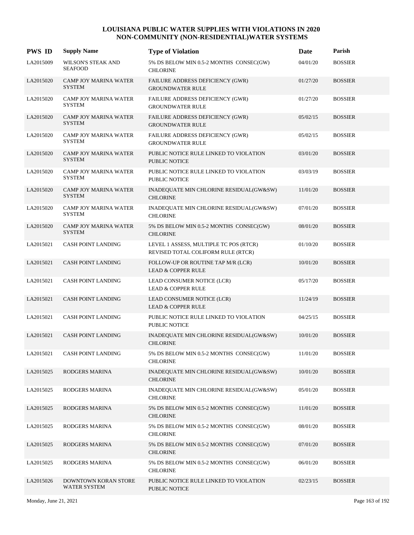| <b>PWS ID</b> | <b>Supply Name</b>                            | <b>Type of Violation</b>                                                     | Date     | Parish         |
|---------------|-----------------------------------------------|------------------------------------------------------------------------------|----------|----------------|
| LA2015009     | <b>WILSON'S STEAK AND</b><br><b>SEAFOOD</b>   | 5% DS BELOW MIN 0.5-2 MONTHS CONSEC(GW)<br><b>CHLORINE</b>                   | 04/01/20 | <b>BOSSIER</b> |
| LA2015020     | <b>CAMP JOY MARINA WATER</b><br><b>SYSTEM</b> | FAILURE ADDRESS DEFICIENCY (GWR)<br><b>GROUNDWATER RULE</b>                  | 01/27/20 | <b>BOSSIER</b> |
| LA2015020     | CAMP JOY MARINA WATER<br><b>SYSTEM</b>        | FAILURE ADDRESS DEFICIENCY (GWR)<br><b>GROUNDWATER RULE</b>                  | 01/27/20 | <b>BOSSIER</b> |
| LA2015020     | <b>CAMP JOY MARINA WATER</b><br><b>SYSTEM</b> | FAILURE ADDRESS DEFICIENCY (GWR)<br><b>GROUNDWATER RULE</b>                  | 05/02/15 | <b>BOSSIER</b> |
| LA2015020     | <b>CAMP JOY MARINA WATER</b><br><b>SYSTEM</b> | FAILURE ADDRESS DEFICIENCY (GWR)<br><b>GROUNDWATER RULE</b>                  | 05/02/15 | <b>BOSSIER</b> |
| LA2015020     | <b>CAMP JOY MARINA WATER</b><br><b>SYSTEM</b> | PUBLIC NOTICE RULE LINKED TO VIOLATION<br><b>PUBLIC NOTICE</b>               | 03/01/20 | <b>BOSSIER</b> |
| LA2015020     | <b>CAMP JOY MARINA WATER</b><br><b>SYSTEM</b> | PUBLIC NOTICE RULE LINKED TO VIOLATION<br><b>PUBLIC NOTICE</b>               | 03/03/19 | <b>BOSSIER</b> |
| LA2015020     | <b>CAMP JOY MARINA WATER</b><br><b>SYSTEM</b> | INADEQUATE MIN CHLORINE RESIDUAL(GW&SW)<br><b>CHLORINE</b>                   | 11/01/20 | <b>BOSSIER</b> |
| LA2015020     | <b>CAMP JOY MARINA WATER</b><br><b>SYSTEM</b> | INADEQUATE MIN CHLORINE RESIDUAL(GW&SW)<br><b>CHLORINE</b>                   | 07/01/20 | <b>BOSSIER</b> |
| LA2015020     | <b>CAMP JOY MARINA WATER</b><br><b>SYSTEM</b> | 5% DS BELOW MIN 0.5-2 MONTHS CONSEC(GW)<br><b>CHLORINE</b>                   | 08/01/20 | <b>BOSSIER</b> |
| LA2015021     | CASH POINT LANDING                            | LEVEL 1 ASSESS, MULTIPLE TC POS (RTCR)<br>REVISED TOTAL COLIFORM RULE (RTCR) | 01/10/20 | <b>BOSSIER</b> |
| LA2015021     | <b>CASH POINT LANDING</b>                     | FOLLOW-UP OR ROUTINE TAP M/R (LCR)<br><b>LEAD &amp; COPPER RULE</b>          | 10/01/20 | <b>BOSSIER</b> |
| LA2015021     | <b>CASH POINT LANDING</b>                     | LEAD CONSUMER NOTICE (LCR)<br><b>LEAD &amp; COPPER RULE</b>                  | 05/17/20 | <b>BOSSIER</b> |
| LA2015021     | <b>CASH POINT LANDING</b>                     | LEAD CONSUMER NOTICE (LCR)<br><b>LEAD &amp; COPPER RULE</b>                  | 11/24/19 | <b>BOSSIER</b> |
| LA2015021     | CASH POINT LANDING                            | PUBLIC NOTICE RULE LINKED TO VIOLATION<br><b>PUBLIC NOTICE</b>               | 04/25/15 | <b>BOSSIER</b> |
| LA2015021     | CASH POINT LANDING                            | INADEQUATE MIN CHLORINE RESIDUAL(GW&SW)<br><b>CHLORINE</b>                   | 10/01/20 | <b>BOSSIER</b> |
| LA2015021     | <b>CASH POINT LANDING</b>                     | 5% DS BELOW MIN 0.5-2 MONTHS CONSEC(GW)<br><b>CHLORINE</b>                   | 11/01/20 | <b>BOSSIER</b> |
| LA2015025     | RODGERS MARINA                                | INADEQUATE MIN CHLORINE RESIDUAL(GW&SW)<br><b>CHLORINE</b>                   | 10/01/20 | <b>BOSSIER</b> |
| LA2015025     | RODGERS MARINA                                | INADEQUATE MIN CHLORINE RESIDUAL(GW&SW)<br><b>CHLORINE</b>                   | 05/01/20 | <b>BOSSIER</b> |
| LA2015025     | RODGERS MARINA                                | 5% DS BELOW MIN 0.5-2 MONTHS CONSEC(GW)<br><b>CHLORINE</b>                   | 11/01/20 | <b>BOSSIER</b> |
| LA2015025     | RODGERS MARINA                                | 5% DS BELOW MIN 0.5-2 MONTHS CONSEC(GW)<br><b>CHLORINE</b>                   | 08/01/20 | <b>BOSSIER</b> |
| LA2015025     | RODGERS MARINA                                | 5% DS BELOW MIN 0.5-2 MONTHS CONSEC(GW)<br><b>CHLORINE</b>                   | 07/01/20 | <b>BOSSIER</b> |
| LA2015025     | RODGERS MARINA                                | 5% DS BELOW MIN 0.5-2 MONTHS CONSEC(GW)<br><b>CHLORINE</b>                   | 06/01/20 | <b>BOSSIER</b> |
| LA2015026     | DOWNTOWN KORAN STORE<br>WATER SYSTEM          | PUBLIC NOTICE RULE LINKED TO VIOLATION<br>PUBLIC NOTICE                      | 02/23/15 | <b>BOSSIER</b> |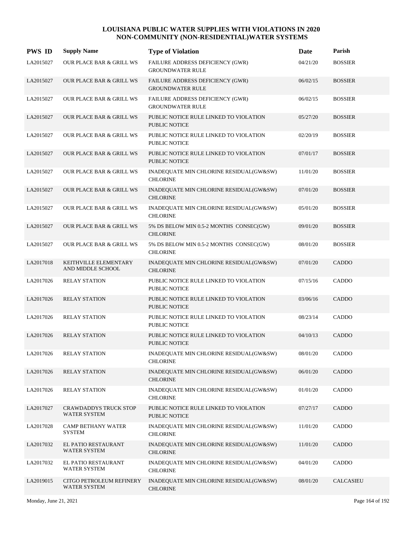| <b>PWS ID</b> | <b>Supply Name</b>                                  | <b>Type of Violation</b>                                       | Date     | Parish         |
|---------------|-----------------------------------------------------|----------------------------------------------------------------|----------|----------------|
| LA2015027     | <b>OUR PLACE BAR &amp; GRILL WS</b>                 | FAILURE ADDRESS DEFICIENCY (GWR)<br><b>GROUNDWATER RULE</b>    | 04/21/20 | <b>BOSSIER</b> |
| LA2015027     | <b>OUR PLACE BAR &amp; GRILL WS</b>                 | FAILURE ADDRESS DEFICIENCY (GWR)<br><b>GROUNDWATER RULE</b>    | 06/02/15 | <b>BOSSIER</b> |
| LA2015027     | <b>OUR PLACE BAR &amp; GRILL WS</b>                 | FAILURE ADDRESS DEFICIENCY (GWR)<br><b>GROUNDWATER RULE</b>    | 06/02/15 | <b>BOSSIER</b> |
| LA2015027     | <b>OUR PLACE BAR &amp; GRILL WS</b>                 | PUBLIC NOTICE RULE LINKED TO VIOLATION<br><b>PUBLIC NOTICE</b> | 05/27/20 | <b>BOSSIER</b> |
| LA2015027     | <b>OUR PLACE BAR &amp; GRILL WS</b>                 | PUBLIC NOTICE RULE LINKED TO VIOLATION<br>PUBLIC NOTICE        | 02/20/19 | <b>BOSSIER</b> |
| LA2015027     | <b>OUR PLACE BAR &amp; GRILL WS</b>                 | PUBLIC NOTICE RULE LINKED TO VIOLATION<br>PUBLIC NOTICE        | 07/01/17 | <b>BOSSIER</b> |
| LA2015027     | OUR PLACE BAR & GRILL WS                            | INADEQUATE MIN CHLORINE RESIDUAL(GW&SW)<br><b>CHLORINE</b>     | 11/01/20 | <b>BOSSIER</b> |
| LA2015027     | <b>OUR PLACE BAR &amp; GRILL WS</b>                 | INADEQUATE MIN CHLORINE RESIDUAL(GW&SW)<br><b>CHLORINE</b>     | 07/01/20 | <b>BOSSIER</b> |
| LA2015027     | OUR PLACE BAR & GRILL WS                            | INADEQUATE MIN CHLORINE RESIDUAL(GW&SW)<br><b>CHLORINE</b>     | 05/01/20 | <b>BOSSIER</b> |
| LA2015027     | OUR PLACE BAR & GRILL WS                            | 5% DS BELOW MIN 0.5-2 MONTHS CONSEC(GW)<br><b>CHLORINE</b>     | 09/01/20 | <b>BOSSIER</b> |
| LA2015027     | OUR PLACE BAR & GRILL WS                            | 5% DS BELOW MIN 0.5-2 MONTHS CONSEC(GW)<br><b>CHLORINE</b>     | 08/01/20 | <b>BOSSIER</b> |
| LA2017018     | KEITHVILLE ELEMENTARY<br>AND MIDDLE SCHOOL          | INADEQUATE MIN CHLORINE RESIDUAL(GW&SW)<br><b>CHLORINE</b>     | 07/01/20 | CADDO          |
| LA2017026     | <b>RELAY STATION</b>                                | PUBLIC NOTICE RULE LINKED TO VIOLATION<br><b>PUBLIC NOTICE</b> | 07/15/16 | CADDO          |
| LA2017026     | <b>RELAY STATION</b>                                | PUBLIC NOTICE RULE LINKED TO VIOLATION<br><b>PUBLIC NOTICE</b> | 03/06/16 | CADDO          |
| LA2017026     | <b>RELAY STATION</b>                                | PUBLIC NOTICE RULE LINKED TO VIOLATION<br><b>PUBLIC NOTICE</b> | 08/23/14 | CADDO          |
| LA2017026     | <b>RELAY STATION</b>                                | PUBLIC NOTICE RULE LINKED TO VIOLATION<br><b>PUBLIC NOTICE</b> | 04/10/13 | CADDO          |
| LA2017026     | <b>RELAY STATION</b>                                | INADEQUATE MIN CHLORINE RESIDUAL(GW&SW)<br><b>CHLORINE</b>     | 08/01/20 | CADDO          |
| LA2017026     | <b>RELAY STATION</b>                                | INADEQUATE MIN CHLORINE RESIDUAL(GW&SW)<br><b>CHLORINE</b>     | 06/01/20 | CADDO          |
| LA2017026     | <b>RELAY STATION</b>                                | INADEQUATE MIN CHLORINE RESIDUAL(GW&SW)<br><b>CHLORINE</b>     | 01/01/20 | CADDO          |
| LA2017027     | <b>CRAWDADDYS TRUCK STOP</b><br><b>WATER SYSTEM</b> | PUBLIC NOTICE RULE LINKED TO VIOLATION<br>PUBLIC NOTICE        | 07/27/17 | CADDO          |
| LA2017028     | <b>CAMP BETHANY WATER</b><br><b>SYSTEM</b>          | INADEQUATE MIN CHLORINE RESIDUAL(GW&SW)<br><b>CHLORINE</b>     | 11/01/20 | CADDO          |
| LA2017032     | EL PATIO RESTAURANT<br>WATER SYSTEM                 | INADEQUATE MIN CHLORINE RESIDUAL(GW&SW)<br><b>CHLORINE</b>     | 11/01/20 | CADDO          |
| LA2017032     | EL PATIO RESTAURANT<br>WATER SYSTEM                 | INADEQUATE MIN CHLORINE RESIDUAL(GW&SW)<br><b>CHLORINE</b>     | 04/01/20 | CADDO          |
| LA2019015     | CITGO PETROLEUM REFINERY<br><b>WATER SYSTEM</b>     | INADEQUATE MIN CHLORINE RESIDUAL(GW&SW)<br><b>CHLORINE</b>     | 08/01/20 | CALCASIEU      |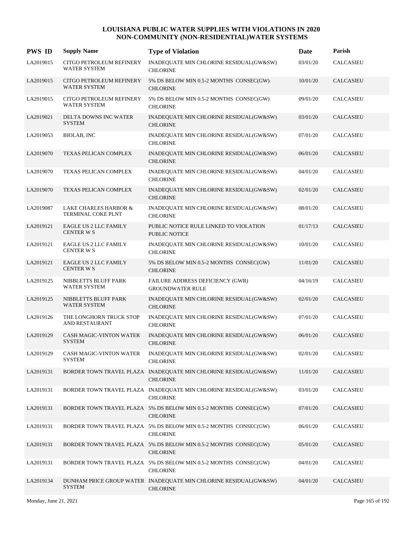| <b>PWS ID</b> | <b>Supply Name</b>                                     | <b>Type of Violation</b>                                                            | Date     | Parish           |
|---------------|--------------------------------------------------------|-------------------------------------------------------------------------------------|----------|------------------|
| LA2019015     | CITGO PETROLEUM REFINERY<br><b>WATER SYSTEM</b>        | INADEQUATE MIN CHLORINE RESIDUAL(GW&SW)<br><b>CHLORINE</b>                          | 03/01/20 | CALCASIEU        |
| LA2019015     | <b>CITGO PETROLEUM REFINERY</b><br><b>WATER SYSTEM</b> | 5% DS BELOW MIN 0.5-2 MONTHS CONSEC(GW)<br><b>CHLORINE</b>                          | 10/01/20 | <b>CALCASIEU</b> |
| LA2019015     | CITGO PETROLEUM REFINERY<br><b>WATER SYSTEM</b>        | 5% DS BELOW MIN 0.5-2 MONTHS CONSEC(GW)<br><b>CHLORINE</b>                          | 09/01/20 | <b>CALCASIEU</b> |
| LA2019021     | DELTA DOWNS INC WATER<br><b>SYSTEM</b>                 | INADEQUATE MIN CHLORINE RESIDUAL(GW&SW)<br><b>CHLORINE</b>                          | 03/01/20 | <b>CALCASIEU</b> |
| LA2019053     | <b>BIOLAB, INC</b>                                     | INADEQUATE MIN CHLORINE RESIDUAL(GW&SW)<br><b>CHLORINE</b>                          | 07/01/20 | <b>CALCASIEU</b> |
| LA2019070     | TEXAS PELICAN COMPLEX                                  | INADEQUATE MIN CHLORINE RESIDUAL(GW&SW)<br><b>CHLORINE</b>                          | 06/01/20 | <b>CALCASIEU</b> |
| LA2019070     | TEXAS PELICAN COMPLEX                                  | INADEQUATE MIN CHLORINE RESIDUAL(GW&SW)<br><b>CHLORINE</b>                          | 04/01/20 | CALCASIEU        |
| LA2019070     | <b>TEXAS PELICAN COMPLEX</b>                           | INADEQUATE MIN CHLORINE RESIDUAL(GW&SW)<br><b>CHLORINE</b>                          | 02/01/20 | <b>CALCASIEU</b> |
| LA2019087     | LAKE CHARLES HARBOR &<br><b>TERMINAL COKE PLNT</b>     | INADEQUATE MIN CHLORINE RESIDUAL(GW&SW)<br><b>CHLORINE</b>                          | 08/01/20 | <b>CALCASIEU</b> |
| LA2019121     | <b>EAGLE US 2 LLC FAMILY</b><br><b>CENTER W S</b>      | PUBLIC NOTICE RULE LINKED TO VIOLATION<br><b>PUBLIC NOTICE</b>                      | 01/17/13 | <b>CALCASIEU</b> |
| LA2019121     | <b>EAGLE US 2 LLC FAMILY</b><br>CENTER W S             | INADEQUATE MIN CHLORINE RESIDUAL(GW&SW)<br><b>CHLORINE</b>                          | 10/01/20 | <b>CALCASIEU</b> |
| LA2019121     | <b>EAGLE US 2 LLC FAMILY</b><br>CENTER W S             | 5% DS BELOW MIN 0.5-2 MONTHS CONSEC(GW)<br><b>CHLORINE</b>                          | 11/01/20 | <b>CALCASIEU</b> |
| LA2019125     | NIBBLETTS BLUFF PARK<br><b>WATER SYSTEM</b>            | FAILURE ADDRESS DEFICIENCY (GWR)<br><b>GROUNDWATER RULE</b>                         | 04/16/19 | <b>CALCASIEU</b> |
| LA2019125     | NIBBLETTS BLUFF PARK<br><b>WATER SYSTEM</b>            | INADEQUATE MIN CHLORINE RESIDUAL(GW&SW)<br><b>CHLORINE</b>                          | 02/01/20 | <b>CALCASIEU</b> |
| LA2019126     | THE LONGHORN TRUCK STOP<br>AND RESTAURANT              | INADEQUATE MIN CHLORINE RESIDUAL(GW&SW)<br><b>CHLORINE</b>                          | 07/01/20 | <b>CALCASIEU</b> |
| LA2019129     | <b>CASH MAGIC-VINTON WATER</b><br><b>SYSTEM</b>        | INADEQUATE MIN CHLORINE RESIDUAL(GW&SW)<br><b>CHLORINE</b>                          | 06/01/20 | <b>CALCASIEU</b> |
| LA2019129     | CASH MAGIC-VINTON WATER<br><b>SYSTEM</b>               | INADEQUATE MIN CHLORINE RESIDUAL(GW&SW)<br><b>CHLORINE</b>                          | 02/01/20 | CALCASIEU        |
| LA2019131     |                                                        | BORDER TOWN TRAVEL PLAZA INADEQUATE MIN CHLORINE RESIDUAL(GW&SW)<br><b>CHLORINE</b> | 11/01/20 | <b>CALCASIEU</b> |
| LA2019131     |                                                        | BORDER TOWN TRAVEL PLAZA INADEQUATE MIN CHLORINE RESIDUAL(GW&SW)<br><b>CHLORINE</b> | 03/01/20 | <b>CALCASIEU</b> |
| LA2019131     |                                                        | BORDER TOWN TRAVEL PLAZA 5% DS BELOW MIN 0.5-2 MONTHS CONSEC(GW)<br><b>CHLORINE</b> | 07/01/20 | <b>CALCASIEU</b> |
| LA2019131     |                                                        | BORDER TOWN TRAVEL PLAZA 5% DS BELOW MIN 0.5-2 MONTHS CONSEC(GW)<br><b>CHLORINE</b> | 06/01/20 | CALCASIEU        |
| LA2019131     |                                                        | BORDER TOWN TRAVEL PLAZA 5% DS BELOW MIN 0.5-2 MONTHS CONSEC(GW)<br><b>CHLORINE</b> | 05/01/20 | <b>CALCASIEU</b> |
| LA2019131     |                                                        | BORDER TOWN TRAVEL PLAZA 5% DS BELOW MIN 0.5-2 MONTHS CONSEC(GW)<br><b>CHLORINE</b> | 04/01/20 | CALCASIEU        |
| LA2019134     | <b>SYSTEM</b>                                          | DUNHAM PRICE GROUP WATER INADEQUATE MIN CHLORINE RESIDUAL(GW&SW)<br><b>CHLORINE</b> | 04/01/20 | <b>CALCASIEU</b> |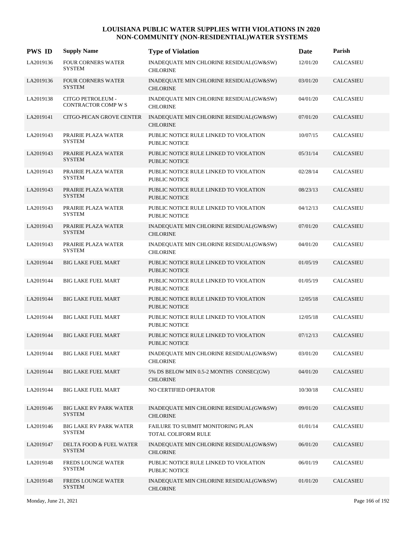| <b>PWS ID</b> | <b>Supply Name</b>                             | <b>Type of Violation</b>                                       | Date     | Parish           |
|---------------|------------------------------------------------|----------------------------------------------------------------|----------|------------------|
| LA2019136     | FOUR CORNERS WATER<br><b>SYSTEM</b>            | INADEQUATE MIN CHLORINE RESIDUAL(GW&SW)<br><b>CHLORINE</b>     | 12/01/20 | CALCASIEU        |
| LA2019136     | <b>FOUR CORNERS WATER</b><br><b>SYSTEM</b>     | INADEQUATE MIN CHLORINE RESIDUAL(GW&SW)<br><b>CHLORINE</b>     | 03/01/20 | <b>CALCASIEU</b> |
| LA2019138     | CITGO PETROLEUM -<br>CONTRACTOR COMP W S       | INADEQUATE MIN CHLORINE RESIDUAL(GW&SW)<br><b>CHLORINE</b>     | 04/01/20 | CALCASIEU        |
| LA2019141     | CITGO-PECAN GROVE CENTER                       | INADEQUATE MIN CHLORINE RESIDUAL(GW&SW)<br><b>CHLORINE</b>     | 07/01/20 | <b>CALCASIEU</b> |
| LA2019143     | PRAIRIE PLAZA WATER<br><b>SYSTEM</b>           | PUBLIC NOTICE RULE LINKED TO VIOLATION<br><b>PUBLIC NOTICE</b> | 10/07/15 | <b>CALCASIEU</b> |
| LA2019143     | PRAIRIE PLAZA WATER<br><b>SYSTEM</b>           | PUBLIC NOTICE RULE LINKED TO VIOLATION<br><b>PUBLIC NOTICE</b> | 05/31/14 | <b>CALCASIEU</b> |
| LA2019143     | PRAIRIE PLAZA WATER<br><b>SYSTEM</b>           | PUBLIC NOTICE RULE LINKED TO VIOLATION<br><b>PUBLIC NOTICE</b> | 02/28/14 | <b>CALCASIEU</b> |
| LA2019143     | PRAIRIE PLAZA WATER<br><b>SYSTEM</b>           | PUBLIC NOTICE RULE LINKED TO VIOLATION<br><b>PUBLIC NOTICE</b> | 08/23/13 | <b>CALCASIEU</b> |
| LA2019143     | PRAIRIE PLAZA WATER<br><b>SYSTEM</b>           | PUBLIC NOTICE RULE LINKED TO VIOLATION<br><b>PUBLIC NOTICE</b> | 04/12/13 | <b>CALCASIEU</b> |
| LA2019143     | PRAIRIE PLAZA WATER<br><b>SYSTEM</b>           | INADEQUATE MIN CHLORINE RESIDUAL(GW&SW)<br><b>CHLORINE</b>     | 07/01/20 | <b>CALCASIEU</b> |
| LA2019143     | PRAIRIE PLAZA WATER<br><b>SYSTEM</b>           | INADEQUATE MIN CHLORINE RESIDUAL(GW&SW)<br><b>CHLORINE</b>     | 04/01/20 | <b>CALCASIEU</b> |
| LA2019144     | <b>BIG LAKE FUEL MART</b>                      | PUBLIC NOTICE RULE LINKED TO VIOLATION<br><b>PUBLIC NOTICE</b> | 01/05/19 | <b>CALCASIEU</b> |
| LA2019144     | <b>BIG LAKE FUEL MART</b>                      | PUBLIC NOTICE RULE LINKED TO VIOLATION<br><b>PUBLIC NOTICE</b> | 01/05/19 | <b>CALCASIEU</b> |
| LA2019144     | <b>BIG LAKE FUEL MART</b>                      | PUBLIC NOTICE RULE LINKED TO VIOLATION<br><b>PUBLIC NOTICE</b> | 12/05/18 | <b>CALCASIEU</b> |
| LA2019144     | <b>BIG LAKE FUEL MART</b>                      | PUBLIC NOTICE RULE LINKED TO VIOLATION<br><b>PUBLIC NOTICE</b> | 12/05/18 | CALCASIEU        |
| LA2019144     | <b>BIG LAKE FUEL MART</b>                      | PUBLIC NOTICE RULE LINKED TO VIOLATION<br>PUBLIC NOTICE        | 07/12/13 | CALCASIEU        |
| LA2019144     | <b>BIG LAKE FUEL MART</b>                      | INADEQUATE MIN CHLORINE RESIDUAL(GW&SW)<br><b>CHLORINE</b>     | 03/01/20 | CALCASIEU        |
| LA2019144     | <b>BIG LAKE FUEL MART</b>                      | 5% DS BELOW MIN 0.5-2 MONTHS CONSEC(GW)<br><b>CHLORINE</b>     | 04/01/20 | <b>CALCASIEU</b> |
| LA2019144     | <b>BIG LAKE FUEL MART</b>                      | NO CERTIFIED OPERATOR                                          | 10/30/18 | CALCASIEU        |
| LA2019146     | <b>BIG LAKE RV PARK WATER</b><br><b>SYSTEM</b> | INADEQUATE MIN CHLORINE RESIDUAL(GW&SW)<br><b>CHLORINE</b>     | 09/01/20 | <b>CALCASIEU</b> |
| LA2019146     | BIG LAKE RV PARK WATER<br><b>SYSTEM</b>        | FAILURE TO SUBMIT MONITORING PLAN<br>TOTAL COLIFORM RULE       | 01/01/14 | CALCASIEU        |
| LA2019147     | DELTA FOOD & FUEL WATER<br><b>SYSTEM</b>       | INADEQUATE MIN CHLORINE RESIDUAL(GW&SW)<br><b>CHLORINE</b>     | 06/01/20 | CALCASIEU        |
| LA2019148     | FREDS LOUNGE WATER<br><b>SYSTEM</b>            | PUBLIC NOTICE RULE LINKED TO VIOLATION<br>PUBLIC NOTICE        | 06/01/19 | CALCASIEU        |
| LA2019148     | FREDS LOUNGE WATER<br><b>SYSTEM</b>            | INADEQUATE MIN CHLORINE RESIDUAL(GW&SW)<br><b>CHLORINE</b>     | 01/01/20 | <b>CALCASIEU</b> |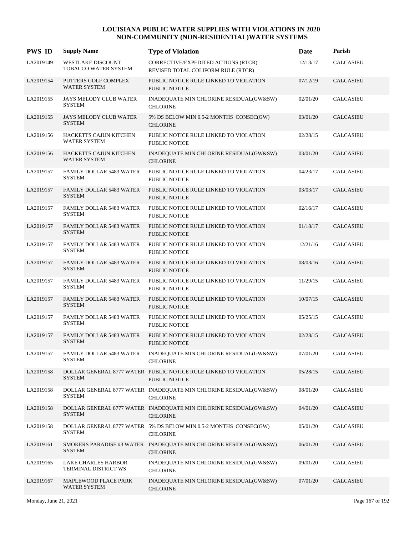| <b>PWS ID</b> | <b>Supply Name</b>                               | <b>Type of Violation</b>                                                             | Date     | Parish           |
|---------------|--------------------------------------------------|--------------------------------------------------------------------------------------|----------|------------------|
| LA2019149     | <b>WESTLAKE DISCOUNT</b><br>TOBACCO WATER SYSTEM | CORRECTIVE/EXPEDITED ACTIONS (RTCR)<br>REVISED TOTAL COLIFORM RULE (RTCR)            | 12/13/17 | <b>CALCASIEU</b> |
| LA2019154     | PUTTERS GOLF COMPLEX<br><b>WATER SYSTEM</b>      | PUBLIC NOTICE RULE LINKED TO VIOLATION<br><b>PUBLIC NOTICE</b>                       | 07/12/19 | CALCASIEU        |
| LA2019155     | JAYS MELODY CLUB WATER<br><b>SYSTEM</b>          | INADEQUATE MIN CHLORINE RESIDUAL(GW&SW)<br><b>CHLORINE</b>                           | 02/01/20 | <b>CALCASIEU</b> |
| LA2019155     | JAYS MELODY CLUB WATER<br><b>SYSTEM</b>          | 5% DS BELOW MIN 0.5-2 MONTHS CONSEC(GW)<br><b>CHLORINE</b>                           | 03/01/20 | <b>CALCASIEU</b> |
| LA2019156     | HACKETTS CAJUN KITCHEN<br>WATER SYSTEM           | PUBLIC NOTICE RULE LINKED TO VIOLATION<br>PUBLIC NOTICE                              | 02/28/15 | <b>CALCASIEU</b> |
| LA2019156     | HACKETTS CAJUN KITCHEN<br><b>WATER SYSTEM</b>    | INADEQUATE MIN CHLORINE RESIDUAL(GW&SW)<br><b>CHLORINE</b>                           | 03/01/20 | <b>CALCASIEU</b> |
| LA2019157     | <b>FAMILY DOLLAR 5483 WATER</b><br><b>SYSTEM</b> | PUBLIC NOTICE RULE LINKED TO VIOLATION<br><b>PUBLIC NOTICE</b>                       | 04/23/17 | <b>CALCASIEU</b> |
| LA2019157     | <b>FAMILY DOLLAR 5483 WATER</b><br><b>SYSTEM</b> | PUBLIC NOTICE RULE LINKED TO VIOLATION<br><b>PUBLIC NOTICE</b>                       | 03/03/17 | <b>CALCASIEU</b> |
| LA2019157     | <b>FAMILY DOLLAR 5483 WATER</b><br><b>SYSTEM</b> | PUBLIC NOTICE RULE LINKED TO VIOLATION<br><b>PUBLIC NOTICE</b>                       | 02/16/17 | <b>CALCASIEU</b> |
| LA2019157     | <b>FAMILY DOLLAR 5483 WATER</b><br><b>SYSTEM</b> | PUBLIC NOTICE RULE LINKED TO VIOLATION<br><b>PUBLIC NOTICE</b>                       | 01/18/17 | <b>CALCASIEU</b> |
| LA2019157     | <b>FAMILY DOLLAR 5483 WATER</b><br><b>SYSTEM</b> | PUBLIC NOTICE RULE LINKED TO VIOLATION<br><b>PUBLIC NOTICE</b>                       | 12/21/16 | <b>CALCASIEU</b> |
| LA2019157     | <b>FAMILY DOLLAR 5483 WATER</b><br><b>SYSTEM</b> | PUBLIC NOTICE RULE LINKED TO VIOLATION<br><b>PUBLIC NOTICE</b>                       | 08/03/16 | <b>CALCASIEU</b> |
| LA2019157     | <b>FAMILY DOLLAR 5483 WATER</b><br><b>SYSTEM</b> | PUBLIC NOTICE RULE LINKED TO VIOLATION<br><b>PUBLIC NOTICE</b>                       | 11/29/15 | <b>CALCASIEU</b> |
| LA2019157     | <b>FAMILY DOLLAR 5483 WATER</b><br><b>SYSTEM</b> | PUBLIC NOTICE RULE LINKED TO VIOLATION<br>PUBLIC NOTICE                              | 10/07/15 | <b>CALCASIEU</b> |
| LA2019157     | <b>FAMILY DOLLAR 5483 WATER</b><br><b>SYSTEM</b> | PUBLIC NOTICE RULE LINKED TO VIOLATION<br><b>PUBLIC NOTICE</b>                       | 05/25/15 | <b>CALCASIEU</b> |
| LA2019157     | <b>FAMILY DOLLAR 5483 WATER</b><br><b>SYSTEM</b> | PUBLIC NOTICE RULE LINKED TO VIOLATION<br><b>PUBLIC NOTICE</b>                       | 02/28/15 | <b>CALCASIEU</b> |
| LA2019157     | <b>FAMILY DOLLAR 5483 WATER</b><br><b>SYSTEM</b> | INADEQUATE MIN CHLORINE RESIDUAL(GW&SW)<br><b>CHLORINE</b>                           | 07/01/20 | <b>CALCASIEU</b> |
| LA2019158     | <b>SYSTEM</b>                                    | DOLLAR GENERAL 8777 WATER PUBLIC NOTICE RULE LINKED TO VIOLATION<br>PUBLIC NOTICE    | 05/28/15 | CALCASIEU        |
| LA2019158     | <b>SYSTEM</b>                                    | DOLLAR GENERAL 8777 WATER INADEQUATE MIN CHLORINE RESIDUAL(GW&SW)<br><b>CHLORINE</b> | 08/01/20 | <b>CALCASIEU</b> |
| LA2019158     | <b>SYSTEM</b>                                    | DOLLAR GENERAL 8777 WATER INADEQUATE MIN CHLORINE RESIDUAL(GW&SW)<br><b>CHLORINE</b> | 04/01/20 | CALCASIEU        |
| LA2019158     | <b>SYSTEM</b>                                    | DOLLAR GENERAL 8777 WATER 5% DS BELOW MIN 0.5-2 MONTHS CONSEC(GW)<br><b>CHLORINE</b> | 05/01/20 | <b>CALCASIEU</b> |
| LA2019161     | <b>SYSTEM</b>                                    | SMOKERS PARADISE #3 WATER INADEQUATE MIN CHLORINE RESIDUAL(GW&SW)<br><b>CHLORINE</b> | 06/01/20 | CALCASIEU        |
| LA2019165     | LAKE CHARLES HARBOR<br>TERMINAL DISTRICT WS      | INADEQUATE MIN CHLORINE RESIDUAL(GW&SW)<br><b>CHLORINE</b>                           | 09/01/20 | CALCASIEU        |
| LA2019167     | MAPLEWOOD PLACE PARK<br>WATER SYSTEM             | INADEQUATE MIN CHLORINE RESIDUAL(GW&SW)<br><b>CHLORINE</b>                           | 07/01/20 | CALCASIEU        |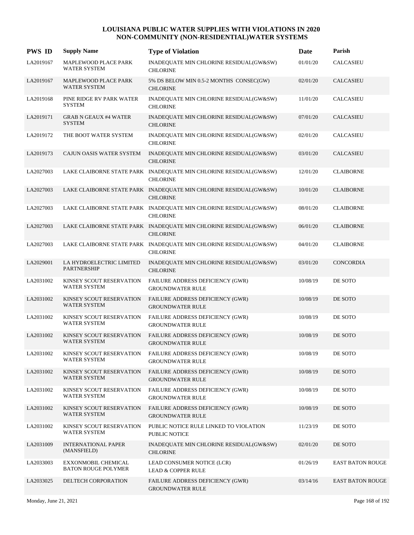| <b>PWS ID</b> | <b>Supply Name</b>                                | <b>Type of Violation</b>                                                             | Date     | Parish                  |
|---------------|---------------------------------------------------|--------------------------------------------------------------------------------------|----------|-------------------------|
| LA2019167     | MAPLEWOOD PLACE PARK<br><b>WATER SYSTEM</b>       | INADEQUATE MIN CHLORINE RESIDUAL(GW&SW)<br><b>CHLORINE</b>                           | 01/01/20 | CALCASIEU               |
| LA2019167     | MAPLEWOOD PLACE PARK<br><b>WATER SYSTEM</b>       | 5% DS BELOW MIN 0.5-2 MONTHS CONSEC(GW)<br><b>CHLORINE</b>                           | 02/01/20 | <b>CALCASIEU</b>        |
| LA2019168     | PINE RIDGE RV PARK WATER<br><b>SYSTEM</b>         | INADEQUATE MIN CHLORINE RESIDUAL(GW&SW)<br><b>CHLORINE</b>                           | 11/01/20 | <b>CALCASIEU</b>        |
| LA2019171     | <b>GRAB N GEAUX #4 WATER</b><br><b>SYSTEM</b>     | INADEQUATE MIN CHLORINE RESIDUAL(GW&SW)<br><b>CHLORINE</b>                           | 07/01/20 | <b>CALCASIEU</b>        |
| LA2019172     | THE BOOT WATER SYSTEM                             | INADEQUATE MIN CHLORINE RESIDUAL(GW&SW)<br><b>CHLORINE</b>                           | 02/01/20 | <b>CALCASIEU</b>        |
| LA2019173     | CAJUN OASIS WATER SYSTEM                          | INADEQUATE MIN CHLORINE RESIDUAL(GW&SW)<br><b>CHLORINE</b>                           | 03/01/20 | <b>CALCASIEU</b>        |
| LA2027003     |                                                   | LAKE CLAIBORNE STATE PARK INADEQUATE MIN CHLORINE RESIDUAL(GW&SW)<br><b>CHLORINE</b> | 12/01/20 | <b>CLAIBORNE</b>        |
| LA2027003     |                                                   | LAKE CLAIBORNE STATE PARK INADEQUATE MIN CHLORINE RESIDUAL(GW&SW)<br><b>CHLORINE</b> | 10/01/20 | <b>CLAIBORNE</b>        |
| LA2027003     |                                                   | LAKE CLAIBORNE STATE PARK INADEQUATE MIN CHLORINE RESIDUAL(GW&SW)<br><b>CHLORINE</b> | 08/01/20 | <b>CLAIBORNE</b>        |
| LA2027003     |                                                   | LAKE CLAIBORNE STATE PARK INADEQUATE MIN CHLORINE RESIDUAL(GW&SW)<br><b>CHLORINE</b> | 06/01/20 | <b>CLAIBORNE</b>        |
| LA2027003     |                                                   | LAKE CLAIBORNE STATE PARK INADEQUATE MIN CHLORINE RESIDUAL(GW&SW)<br><b>CHLORINE</b> | 04/01/20 | <b>CLAIBORNE</b>        |
| LA2029001     | LA HYDROELECTRIC LIMITED<br><b>PARTNERSHIP</b>    | INADEQUATE MIN CHLORINE RESIDUAL(GW&SW)<br><b>CHLORINE</b>                           | 03/01/20 | <b>CONCORDIA</b>        |
| LA2031002     | KINSEY SCOUT RESERVATION<br><b>WATER SYSTEM</b>   | FAILURE ADDRESS DEFICIENCY (GWR)<br><b>GROUNDWATER RULE</b>                          | 10/08/19 | DE SOTO                 |
| LA2031002     | KINSEY SCOUT RESERVATION<br>WATER SYSTEM          | FAILURE ADDRESS DEFICIENCY (GWR)<br><b>GROUNDWATER RULE</b>                          | 10/08/19 | DE SOTO                 |
| LA2031002     | KINSEY SCOUT RESERVATION<br><b>WATER SYSTEM</b>   | FAILURE ADDRESS DEFICIENCY (GWR)<br><b>GROUNDWATER RULE</b>                          | 10/08/19 | DE SOTO                 |
| LA2031002     | KINSEY SCOUT RESERVATION<br><b>WATER SYSTEM</b>   | FAILURE ADDRESS DEFICIENCY (GWR)<br><b>GROUNDWATER RULE</b>                          | 10/08/19 | DE SOTO                 |
| LA2031002     | KINSEY SCOUT RESERVATION<br><b>WATER SYSTEM</b>   | FAILURE ADDRESS DEFICIENCY (GWR)<br><b>GROUNDWATER RULE</b>                          | 10/08/19 | DE SOTO                 |
| LA2031002     | KINSEY SCOUT RESERVATION<br><b>WATER SYSTEM</b>   | FAILURE ADDRESS DEFICIENCY (GWR)<br><b>GROUNDWATER RULE</b>                          | 10/08/19 | DE SOTO                 |
| LA2031002     | KINSEY SCOUT RESERVATION<br>WATER SYSTEM          | FAILURE ADDRESS DEFICIENCY (GWR)<br><b>GROUNDWATER RULE</b>                          | 10/08/19 | DE SOTO                 |
| LA2031002     | KINSEY SCOUT RESERVATION<br>WATER SYSTEM          | FAILURE ADDRESS DEFICIENCY (GWR)<br><b>GROUNDWATER RULE</b>                          | 10/08/19 | DE SOTO                 |
| LA2031002     | KINSEY SCOUT RESERVATION<br>WATER SYSTEM          | PUBLIC NOTICE RULE LINKED TO VIOLATION<br>PUBLIC NOTICE                              | 11/23/19 | DE SOTO                 |
| LA2031009     | <b>INTERNATIONAL PAPER</b><br>(MANSFIELD)         | INADEQUATE MIN CHLORINE RESIDUAL(GW&SW)<br><b>CHLORINE</b>                           | 02/01/20 | DE SOTO                 |
| LA2033003     | EXXONMOBIL CHEMICAL<br><b>BATON ROUGE POLYMER</b> | LEAD CONSUMER NOTICE (LCR)<br><b>LEAD &amp; COPPER RULE</b>                          | 01/26/19 | <b>EAST BATON ROUGE</b> |
| LA2033025     | DELTECH CORPORATION                               | FAILURE ADDRESS DEFICIENCY (GWR)<br><b>GROUNDWATER RULE</b>                          | 03/14/16 | <b>EAST BATON ROUGE</b> |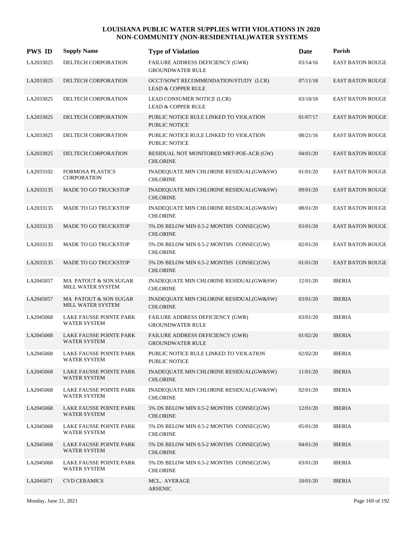| <b>PWS ID</b> | <b>Supply Name</b>                                    | <b>Type of Violation</b>                                              | Date     | Parish                  |
|---------------|-------------------------------------------------------|-----------------------------------------------------------------------|----------|-------------------------|
| LA2033025     | DELTECH CORPORATION                                   | FAILURE ADDRESS DEFICIENCY (GWR)<br><b>GROUNDWATER RULE</b>           | 03/14/16 | EAST BATON ROUGE        |
| LA2033025     | DELTECH CORPORATION                                   | OCCT/SOWT RECOMMENDATION/STUDY (LCR)<br><b>LEAD &amp; COPPER RULE</b> | 07/11/18 | <b>EAST BATON ROUGE</b> |
| LA2033025     | DELTECH CORPORATION                                   | LEAD CONSUMER NOTICE (LCR)<br><b>LEAD &amp; COPPER RULE</b>           | 03/18/18 | <b>EAST BATON ROUGE</b> |
| LA2033025     | DELTECH CORPORATION                                   | PUBLIC NOTICE RULE LINKED TO VIOLATION<br><b>PUBLIC NOTICE</b>        | 01/07/17 | <b>EAST BATON ROUGE</b> |
| LA2033025     | DELTECH CORPORATION                                   | PUBLIC NOTICE RULE LINKED TO VIOLATION<br><b>PUBLIC NOTICE</b>        | 08/21/16 | <b>EAST BATON ROUGE</b> |
| LA2033025     | DELTECH CORPORATION                                   | RESIDUAL NOT MONITORED MRT-POE-ACR (GW)<br><b>CHLORINE</b>            | 04/01/20 | <b>EAST BATON ROUGE</b> |
| LA2033102     | <b>FORMOSA PLASTICS</b><br><b>CORPORATION</b>         | INADEQUATE MIN CHLORINE RESIDUAL(GW&SW)<br><b>CHLORINE</b>            | 01/01/20 | <b>EAST BATON ROUGE</b> |
| LA2033135     | <b>MADE TO GO TRUCKSTOP</b>                           | INADEQUATE MIN CHLORINE RESIDUAL(GW&SW)<br><b>CHLORINE</b>            | 09/01/20 | <b>EAST BATON ROUGE</b> |
| LA2033135     | MADE TO GO TRUCKSTOP                                  | INADEQUATE MIN CHLORINE RESIDUAL(GW&SW)<br><b>CHLORINE</b>            | 08/01/20 | <b>EAST BATON ROUGE</b> |
| LA2033135     | MADE TO GO TRUCKSTOP                                  | 5% DS BELOW MIN 0.5-2 MONTHS CONSEC(GW)<br><b>CHLORINE</b>            | 03/01/20 | <b>EAST BATON ROUGE</b> |
| LA2033135     | MADE TO GO TRUCKSTOP                                  | 5% DS BELOW MIN 0.5-2 MONTHS CONSEC(GW)<br><b>CHLORINE</b>            | 02/01/20 | <b>EAST BATON ROUGE</b> |
| LA2033135     | <b>MADE TO GO TRUCKSTOP</b>                           | 5% DS BELOW MIN 0.5-2 MONTHS CONSEC(GW)<br><b>CHLORINE</b>            | 01/01/20 | <b>EAST BATON ROUGE</b> |
| LA2045057     | MA PATOUT & SON SUGAR<br>MILL WATER SYSTEM            | INADEQUATE MIN CHLORINE RESIDUAL(GW&SW)<br><b>CHLORINE</b>            | 12/01/20 | <b>IBERIA</b>           |
| LA2045057     | MA PATOUT & SON SUGAR<br>MILL WATER SYSTEM            | INADEQUATE MIN CHLORINE RESIDUAL(GW&SW)<br><b>CHLORINE</b>            | 03/01/20 | <b>IBERIA</b>           |
| LA2045068     | LAKE FAUSSE POINTE PARK<br><b>WATER SYSTEM</b>        | FAILURE ADDRESS DEFICIENCY (GWR)<br><b>GROUNDWATER RULE</b>           | 03/01/20 | <b>IBERIA</b>           |
| LA2045068     | <b>LAKE FAUSSE POINTE PARK</b><br><b>WATER SYSTEM</b> | FAILURE ADDRESS DEFICIENCY (GWR)<br><b>GROUNDWATER RULE</b>           | 01/02/20 | <b>IBERIA</b>           |
| LA2045068     | LAKE FAUSSE POINTE PARK<br>WATER SYSTEM               | PUBLIC NOTICE RULE LINKED TO VIOLATION<br>PUBLIC NOTICE               | 02/02/20 | <b>IBERIA</b>           |
| LA2045068     | LAKE FAUSSE POINTE PARK<br>WATER SYSTEM               | INADEQUATE MIN CHLORINE RESIDUAL(GW&SW)<br><b>CHLORINE</b>            | 11/01/20 | <b>IBERIA</b>           |
| LA2045068     | LAKE FAUSSE POINTE PARK<br>WATER SYSTEM               | INADEQUATE MIN CHLORINE RESIDUAL(GW&SW)<br><b>CHLORINE</b>            | 02/01/20 | <b>IBERIA</b>           |
| LA2045068     | LAKE FAUSSE POINTE PARK<br><b>WATER SYSTEM</b>        | 5% DS BELOW MIN 0.5-2 MONTHS CONSEC(GW)<br><b>CHLORINE</b>            | 12/01/20 | <b>IBERIA</b>           |
| LA2045068     | LAKE FAUSSE POINTE PARK<br>WATER SYSTEM               | 5% DS BELOW MIN 0.5-2 MONTHS CONSEC(GW)<br><b>CHLORINE</b>            | 05/01/20 | <b>IBERIA</b>           |
| LA2045068     | LAKE FAUSSE POINTE PARK<br>WATER SYSTEM               | 5% DS BELOW MIN 0.5-2 MONTHS CONSEC(GW)<br><b>CHLORINE</b>            | 04/01/20 | <b>IBERIA</b>           |
| LA2045068     | LAKE FAUSSE POINTE PARK<br>WATER SYSTEM               | 5% DS BELOW MIN 0.5-2 MONTHS CONSEC(GW)<br><b>CHLORINE</b>            | 03/01/20 | <b>IBERIA</b>           |
| LA2045071     | <b>CVD CERAMICS</b>                                   | MCL, AVERAGE<br><b>ARSENIC</b>                                        | 10/01/20 | <b>IBERIA</b>           |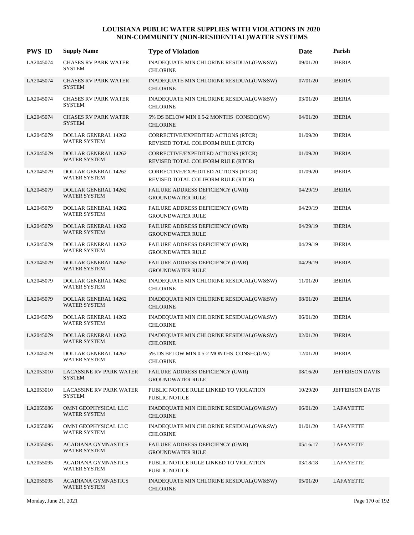| <b>PWS ID</b> | <b>Supply Name</b>                                 | <b>Type of Violation</b>                                                  | Date     | Parish                 |
|---------------|----------------------------------------------------|---------------------------------------------------------------------------|----------|------------------------|
| LA2045074     | <b>CHASES RV PARK WATER</b><br><b>SYSTEM</b>       | INADEQUATE MIN CHLORINE RESIDUAL(GW&SW)<br><b>CHLORINE</b>                | 09/01/20 | <b>IBERIA</b>          |
| LA2045074     | <b>CHASES RV PARK WATER</b><br><b>SYSTEM</b>       | INADEQUATE MIN CHLORINE RESIDUAL(GW&SW)<br><b>CHLORINE</b>                | 07/01/20 | <b>IBERIA</b>          |
| LA2045074     | <b>CHASES RV PARK WATER</b><br><b>SYSTEM</b>       | INADEQUATE MIN CHLORINE RESIDUAL(GW&SW)<br><b>CHLORINE</b>                | 03/01/20 | <b>IBERIA</b>          |
| LA2045074     | <b>CHASES RV PARK WATER</b><br><b>SYSTEM</b>       | 5% DS BELOW MIN 0.5-2 MONTHS CONSEC(GW)<br><b>CHLORINE</b>                | 04/01/20 | <b>IBERIA</b>          |
| LA2045079     | <b>DOLLAR GENERAL 14262</b><br><b>WATER SYSTEM</b> | CORRECTIVE/EXPEDITED ACTIONS (RTCR)<br>REVISED TOTAL COLIFORM RULE (RTCR) | 01/09/20 | <b>IBERIA</b>          |
| LA2045079     | <b>DOLLAR GENERAL 14262</b><br><b>WATER SYSTEM</b> | CORRECTIVE/EXPEDITED ACTIONS (RTCR)<br>REVISED TOTAL COLIFORM RULE (RTCR) | 01/09/20 | <b>IBERIA</b>          |
| LA2045079     | DOLLAR GENERAL 14262<br><b>WATER SYSTEM</b>        | CORRECTIVE/EXPEDITED ACTIONS (RTCR)<br>REVISED TOTAL COLIFORM RULE (RTCR) | 01/09/20 | <b>IBERIA</b>          |
| LA2045079     | <b>DOLLAR GENERAL 14262</b><br><b>WATER SYSTEM</b> | FAILURE ADDRESS DEFICIENCY (GWR)<br><b>GROUNDWATER RULE</b>               | 04/29/19 | <b>IBERIA</b>          |
| LA2045079     | DOLLAR GENERAL 14262<br>WATER SYSTEM               | FAILURE ADDRESS DEFICIENCY (GWR)<br><b>GROUNDWATER RULE</b>               | 04/29/19 | <b>IBERIA</b>          |
| LA2045079     | DOLLAR GENERAL 14262<br><b>WATER SYSTEM</b>        | FAILURE ADDRESS DEFICIENCY (GWR)<br><b>GROUNDWATER RULE</b>               | 04/29/19 | <b>IBERIA</b>          |
| LA2045079     | DOLLAR GENERAL 14262<br><b>WATER SYSTEM</b>        | FAILURE ADDRESS DEFICIENCY (GWR)<br><b>GROUNDWATER RULE</b>               | 04/29/19 | <b>IBERIA</b>          |
| LA2045079     | DOLLAR GENERAL 14262<br>WATER SYSTEM               | FAILURE ADDRESS DEFICIENCY (GWR)<br><b>GROUNDWATER RULE</b>               | 04/29/19 | <b>IBERIA</b>          |
| LA2045079     | DOLLAR GENERAL 14262<br>WATER SYSTEM               | INADEQUATE MIN CHLORINE RESIDUAL(GW&SW)<br><b>CHLORINE</b>                | 11/01/20 | <b>IBERIA</b>          |
| LA2045079     | <b>DOLLAR GENERAL 14262</b><br>WATER SYSTEM        | INADEQUATE MIN CHLORINE RESIDUAL(GW&SW)<br><b>CHLORINE</b>                | 08/01/20 | <b>IBERIA</b>          |
| LA2045079     | DOLLAR GENERAL 14262<br><b>WATER SYSTEM</b>        | INADEQUATE MIN CHLORINE RESIDUAL(GW&SW)<br><b>CHLORINE</b>                | 06/01/20 | <b>IBERIA</b>          |
| LA2045079     | <b>DOLLAR GENERAL 14262</b><br>WATER SYSTEM        | INADEQUATE MIN CHLORINE RESIDUAL(GW&SW)<br><b>CHLORINE</b>                | 02/01/20 | <b>IBERIA</b>          |
| LA2045079     | DOLLAR GENERAL 14262<br>WATER SYSTEM               | 5% DS BELOW MIN 0.5-2 MONTHS CONSEC(GW)<br><b>CHLORINE</b>                | 12/01/20 | <b>IBERIA</b>          |
| LA2053010     | <b>LACASSINE RV PARK WATER</b><br><b>SYSTEM</b>    | FAILURE ADDRESS DEFICIENCY (GWR)<br><b>GROUNDWATER RULE</b>               | 08/16/20 | <b>JEFFERSON DAVIS</b> |
| LA2053010     | <b>LACASSINE RV PARK WATER</b><br><b>SYSTEM</b>    | PUBLIC NOTICE RULE LINKED TO VIOLATION<br>PUBLIC NOTICE                   | 10/29/20 | JEFFERSON DAVIS        |
| LA2055086     | OMNI GEOPHYSICAL LLC<br>WATER SYSTEM               | INADEQUATE MIN CHLORINE RESIDUAL(GW&SW)<br><b>CHLORINE</b>                | 06/01/20 | <b>LAFAYETTE</b>       |
| LA2055086     | OMNI GEOPHYSICAL LLC<br><b>WATER SYSTEM</b>        | INADEQUATE MIN CHLORINE RESIDUAL(GW&SW)<br><b>CHLORINE</b>                | 01/01/20 | <b>LAFAYETTE</b>       |
| LA2055095     | <b>ACADIANA GYMNASTICS</b><br>WATER SYSTEM         | FAILURE ADDRESS DEFICIENCY (GWR)<br><b>GROUNDWATER RULE</b>               | 05/16/17 | LAFAYETTE              |
| LA2055095     | ACADIANA GYMNASTICS<br>WATER SYSTEM                | PUBLIC NOTICE RULE LINKED TO VIOLATION<br>PUBLIC NOTICE                   | 03/18/18 | LAFAYETTE              |
| LA2055095     | <b>ACADIANA GYMNASTICS</b><br>WATER SYSTEM         | INADEQUATE MIN CHLORINE RESIDUAL(GW&SW)<br><b>CHLORINE</b>                | 05/01/20 | LAFAYETTE              |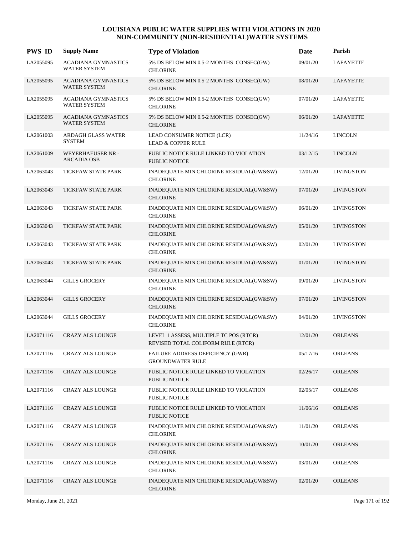| <b>PWS ID</b> | <b>Supply Name</b>                                | <b>Type of Violation</b>                                                     | Date     | Parish            |
|---------------|---------------------------------------------------|------------------------------------------------------------------------------|----------|-------------------|
| LA2055095     | ACADIANA GYMNASTICS<br><b>WATER SYSTEM</b>        | 5% DS BELOW MIN 0.5-2 MONTHS CONSEC(GW)<br><b>CHLORINE</b>                   | 09/01/20 | <b>LAFAYETTE</b>  |
| LA2055095     | <b>ACADIANA GYMNASTICS</b><br><b>WATER SYSTEM</b> | 5% DS BELOW MIN 0.5-2 MONTHS CONSEC(GW)<br><b>CHLORINE</b>                   | 08/01/20 | LAFAYETTE         |
| LA2055095     | <b>ACADIANA GYMNASTICS</b><br><b>WATER SYSTEM</b> | 5% DS BELOW MIN 0.5-2 MONTHS CONSEC(GW)<br><b>CHLORINE</b>                   | 07/01/20 | <b>LAFAYETTE</b>  |
| LA2055095     | <b>ACADIANA GYMNASTICS</b><br><b>WATER SYSTEM</b> | 5% DS BELOW MIN 0.5-2 MONTHS CONSEC(GW)<br><b>CHLORINE</b>                   | 06/01/20 | <b>LAFAYETTE</b>  |
| LA2061003     | <b>ARDAGH GLASS WATER</b><br><b>SYSTEM</b>        | LEAD CONSUMER NOTICE (LCR)<br><b>LEAD &amp; COPPER RULE</b>                  | 11/24/16 | <b>LINCOLN</b>    |
| LA2061009     | WEYERHAEUSER NR -<br><b>ARCADIA OSB</b>           | PUBLIC NOTICE RULE LINKED TO VIOLATION<br><b>PUBLIC NOTICE</b>               | 03/12/15 | <b>LINCOLN</b>    |
| LA2063043     | TICKFAW STATE PARK                                | INADEQUATE MIN CHLORINE RESIDUAL(GW&SW)<br><b>CHLORINE</b>                   | 12/01/20 | <b>LIVINGSTON</b> |
| LA2063043     | TICKFAW STATE PARK                                | INADEQUATE MIN CHLORINE RESIDUAL(GW&SW)<br><b>CHLORINE</b>                   | 07/01/20 | <b>LIVINGSTON</b> |
| LA2063043     | TICKFAW STATE PARK                                | INADEQUATE MIN CHLORINE RESIDUAL(GW&SW)<br><b>CHLORINE</b>                   | 06/01/20 | <b>LIVINGSTON</b> |
| LA2063043     | TICKFAW STATE PARK                                | INADEQUATE MIN CHLORINE RESIDUAL(GW&SW)<br><b>CHLORINE</b>                   | 05/01/20 | <b>LIVINGSTON</b> |
| LA2063043     | TICKFAW STATE PARK                                | INADEQUATE MIN CHLORINE RESIDUAL(GW&SW)<br><b>CHLORINE</b>                   | 02/01/20 | <b>LIVINGSTON</b> |
| LA2063043     | TICKFAW STATE PARK                                | INADEQUATE MIN CHLORINE RESIDUAL(GW&SW)<br><b>CHLORINE</b>                   | 01/01/20 | <b>LIVINGSTON</b> |
| LA2063044     | <b>GILLS GROCERY</b>                              | INADEQUATE MIN CHLORINE RESIDUAL(GW&SW)<br><b>CHLORINE</b>                   | 09/01/20 | <b>LIVINGSTON</b> |
| LA2063044     | <b>GILLS GROCERY</b>                              | INADEQUATE MIN CHLORINE RESIDUAL(GW&SW)<br><b>CHLORINE</b>                   | 07/01/20 | <b>LIVINGSTON</b> |
| LA2063044     | <b>GILLS GROCERY</b>                              | INADEQUATE MIN CHLORINE RESIDUAL(GW&SW)<br><b>CHLORINE</b>                   | 04/01/20 | <b>LIVINGSTON</b> |
| LA2071116     | <b>CRAZY ALS LOUNGE</b>                           | LEVEL 1 ASSESS, MULTIPLE TC POS (RTCR)<br>REVISED TOTAL COLIFORM RULE (RTCR) | 12/01/20 | <b>ORLEANS</b>    |
| LA2071116     | <b>CRAZY ALS LOUNGE</b>                           | FAILURE ADDRESS DEFICIENCY (GWR)<br><b>GROUNDWATER RULE</b>                  | 05/17/16 | <b>ORLEANS</b>    |
| LA2071116     | <b>CRAZY ALS LOUNGE</b>                           | PUBLIC NOTICE RULE LINKED TO VIOLATION<br><b>PUBLIC NOTICE</b>               | 02/26/17 | <b>ORLEANS</b>    |
| LA2071116     | <b>CRAZY ALS LOUNGE</b>                           | PUBLIC NOTICE RULE LINKED TO VIOLATION<br>PUBLIC NOTICE                      | 02/05/17 | <b>ORLEANS</b>    |
| LA2071116     | <b>CRAZY ALS LOUNGE</b>                           | PUBLIC NOTICE RULE LINKED TO VIOLATION<br><b>PUBLIC NOTICE</b>               | 11/06/16 | <b>ORLEANS</b>    |
| LA2071116     | <b>CRAZY ALS LOUNGE</b>                           | INADEQUATE MIN CHLORINE RESIDUAL(GW&SW)<br><b>CHLORINE</b>                   | 11/01/20 | <b>ORLEANS</b>    |
| LA2071116     | <b>CRAZY ALS LOUNGE</b>                           | INADEQUATE MIN CHLORINE RESIDUAL(GW&SW)<br><b>CHLORINE</b>                   | 10/01/20 | <b>ORLEANS</b>    |
| LA2071116     | <b>CRAZY ALS LOUNGE</b>                           | INADEQUATE MIN CHLORINE RESIDUAL(GW&SW)<br><b>CHLORINE</b>                   | 03/01/20 | <b>ORLEANS</b>    |
| LA2071116     | <b>CRAZY ALS LOUNGE</b>                           | INADEQUATE MIN CHLORINE RESIDUAL(GW&SW)<br><b>CHLORINE</b>                   | 02/01/20 | <b>ORLEANS</b>    |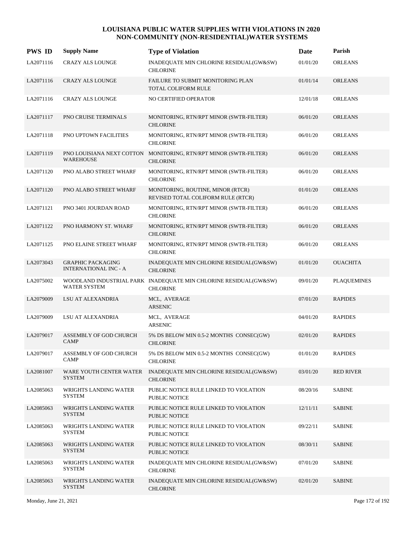| <b>PWS ID</b> | <b>Supply Name</b>                                       | <b>Type of Violation</b>                                                             | <b>Date</b> | Parish             |
|---------------|----------------------------------------------------------|--------------------------------------------------------------------------------------|-------------|--------------------|
| LA2071116     | <b>CRAZY ALS LOUNGE</b>                                  | INADEQUATE MIN CHLORINE RESIDUAL(GW&SW)<br><b>CHLORINE</b>                           | 01/01/20    | <b>ORLEANS</b>     |
| LA2071116     | <b>CRAZY ALS LOUNGE</b>                                  | FAILURE TO SUBMIT MONITORING PLAN<br>TOTAL COLIFORM RULE                             | 01/01/14    | <b>ORLEANS</b>     |
| LA2071116     | <b>CRAZY ALS LOUNGE</b>                                  | NO CERTIFIED OPERATOR                                                                | 12/01/18    | <b>ORLEANS</b>     |
| LA2071117     | PNO CRUISE TERMINALS                                     | MONITORING, RTN/RPT MINOR (SWTR-FILTER)<br><b>CHLORINE</b>                           | 06/01/20    | <b>ORLEANS</b>     |
| LA2071118     | PNO UPTOWN FACILITIES                                    | MONITORING, RTN/RPT MINOR (SWTR-FILTER)<br><b>CHLORINE</b>                           | 06/01/20    | <b>ORLEANS</b>     |
| LA2071119     | WAREHOUSE                                                | PNO LOUISIANA NEXT COTTON MONITORING, RTN/RPT MINOR (SWTR-FILTER)<br><b>CHLORINE</b> | 06/01/20    | <b>ORLEANS</b>     |
| LA2071120     | PNO ALABO STREET WHARF                                   | MONITORING, RTN/RPT MINOR (SWTR-FILTER)<br><b>CHLORINE</b>                           | 06/01/20    | <b>ORLEANS</b>     |
| LA2071120     | PNO ALABO STREET WHARF                                   | MONITORING, ROUTINE, MINOR (RTCR)<br>REVISED TOTAL COLIFORM RULE (RTCR)              | 01/01/20    | <b>ORLEANS</b>     |
| LA2071121     | PNO 3401 JOURDAN ROAD                                    | MONITORING, RTN/RPT MINOR (SWTR-FILTER)<br><b>CHLORINE</b>                           | 06/01/20    | <b>ORLEANS</b>     |
| LA2071122     | PNO HARMONY ST. WHARF                                    | MONITORING, RTN/RPT MINOR (SWTR-FILTER)<br><b>CHLORINE</b>                           | 06/01/20    | <b>ORLEANS</b>     |
| LA2071125     | PNO ELAINE STREET WHARF                                  | MONITORING, RTN/RPT MINOR (SWTR-FILTER)<br><b>CHLORINE</b>                           | 06/01/20    | <b>ORLEANS</b>     |
| LA2073043     | <b>GRAPHIC PACKAGING</b><br><b>INTERNATIONAL INC - A</b> | INADEQUATE MIN CHLORINE RESIDUAL(GW&SW)<br><b>CHLORINE</b>                           | 01/01/20    | <b>OUACHITA</b>    |
| LA2075002     | <b>WATER SYSTEM</b>                                      | WOODLAND INDUSTRIAL PARK INADEQUATE MIN CHLORINE RESIDUAL(GW&SW)<br><b>CHLORINE</b>  | 09/01/20    | <b>PLAQUEMINES</b> |
| LA2079009     | LSU AT ALEXANDRIA                                        | MCL, AVERAGE<br><b>ARSENIC</b>                                                       | 07/01/20    | <b>RAPIDES</b>     |
| LA2079009     | LSU AT ALEXANDRIA                                        | MCL, AVERAGE<br><b>ARSENIC</b>                                                       | 04/01/20    | <b>RAPIDES</b>     |
| LA2079017     | ASSEMBLY OF GOD CHURCH<br><b>CAMP</b>                    | 5% DS BELOW MIN 0.5-2 MONTHS CONSEC(GW)<br><b>CHLORINE</b>                           | 02/01/20    | <b>RAPIDES</b>     |
| LA2079017     | ASSEMBLY OF GOD CHURCH<br><b>CAMP</b>                    | 5% DS BELOW MIN 0.5-2 MONTHS CONSEC(GW)<br><b>CHLORINE</b>                           | 01/01/20    | <b>RAPIDES</b>     |
| LA2081007     | WARE YOUTH CENTER WATER<br><b>SYSTEM</b>                 | INADEQUATE MIN CHLORINE RESIDUAL(GW&SW)<br><b>CHLORINE</b>                           | 03/01/20    | <b>RED RIVER</b>   |
| LA2085063     | WRIGHTS LANDING WATER<br><b>SYSTEM</b>                   | PUBLIC NOTICE RULE LINKED TO VIOLATION<br><b>PUBLIC NOTICE</b>                       | 08/20/16    | <b>SABINE</b>      |
| LA2085063     | <b>WRIGHTS LANDING WATER</b><br><b>SYSTEM</b>            | PUBLIC NOTICE RULE LINKED TO VIOLATION<br>PUBLIC NOTICE                              | 12/11/11    | <b>SABINE</b>      |
| LA2085063     | WRIGHTS LANDING WATER<br><b>SYSTEM</b>                   | PUBLIC NOTICE RULE LINKED TO VIOLATION<br>PUBLIC NOTICE                              | 09/22/11    | <b>SABINE</b>      |
| LA2085063     | WRIGHTS LANDING WATER<br><b>SYSTEM</b>                   | PUBLIC NOTICE RULE LINKED TO VIOLATION<br><b>PUBLIC NOTICE</b>                       | 08/30/11    | <b>SABINE</b>      |
| LA2085063     | WRIGHTS LANDING WATER<br><b>SYSTEM</b>                   | INADEQUATE MIN CHLORINE RESIDUAL(GW&SW)<br><b>CHLORINE</b>                           | 07/01/20    | <b>SABINE</b>      |
| LA2085063     | WRIGHTS LANDING WATER<br><b>SYSTEM</b>                   | INADEQUATE MIN CHLORINE RESIDUAL(GW&SW)<br><b>CHLORINE</b>                           | 02/01/20    | <b>SABINE</b>      |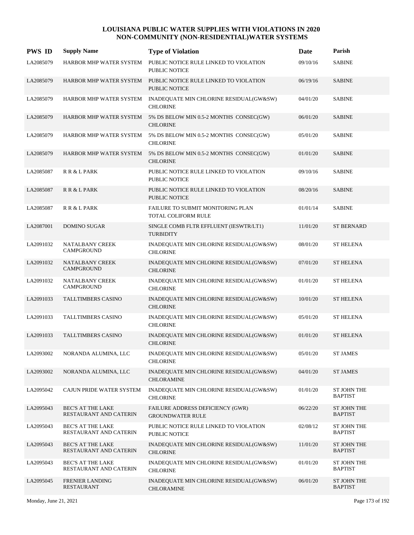| <b>PWS ID</b> | <b>Supply Name</b>                                 | <b>Type of Violation</b>                                                               | <b>Date</b> | Parish                               |
|---------------|----------------------------------------------------|----------------------------------------------------------------------------------------|-------------|--------------------------------------|
| LA2085079     | HARBOR MHP WATER SYSTEM                            | PUBLIC NOTICE RULE LINKED TO VIOLATION<br>PUBLIC NOTICE                                | 09/10/16    | <b>SABINE</b>                        |
| LA2085079     |                                                    | HARBOR MHP WATER SYSTEM PUBLIC NOTICE RULE LINKED TO VIOLATION<br><b>PUBLIC NOTICE</b> | 06/19/16    | <b>SABINE</b>                        |
| LA2085079     | HARBOR MHP WATER SYSTEM                            | INADEQUATE MIN CHLORINE RESIDUAL(GW&SW)<br><b>CHLORINE</b>                             | 04/01/20    | <b>SABINE</b>                        |
| LA2085079     | HARBOR MHP WATER SYSTEM                            | 5% DS BELOW MIN 0.5-2 MONTHS CONSEC(GW)<br><b>CHLORINE</b>                             | 06/01/20    | <b>SABINE</b>                        |
| LA2085079     | HARBOR MHP WATER SYSTEM                            | 5% DS BELOW MIN 0.5-2 MONTHS CONSEC(GW)<br><b>CHLORINE</b>                             | 05/01/20    | <b>SABINE</b>                        |
| LA2085079     | HARBOR MHP WATER SYSTEM                            | 5% DS BELOW MIN 0.5-2 MONTHS CONSEC(GW)<br><b>CHLORINE</b>                             | 01/01/20    | <b>SABINE</b>                        |
| LA2085087     | R R & L PARK                                       | PUBLIC NOTICE RULE LINKED TO VIOLATION<br><b>PUBLIC NOTICE</b>                         | 09/10/16    | <b>SABINE</b>                        |
| LA2085087     | R R & L PARK                                       | PUBLIC NOTICE RULE LINKED TO VIOLATION<br>PUBLIC NOTICE                                | 08/20/16    | <b>SABINE</b>                        |
| LA2085087     | R R & L PARK                                       | FAILURE TO SUBMIT MONITORING PLAN<br>TOTAL COLIFORM RULE                               | 01/01/14    | <b>SABINE</b>                        |
| LA2087001     | <b>DOMINO SUGAR</b>                                | SINGLE COMB FLTR EFFLUENT (IESWTR/LT1)<br><b>TURBIDITY</b>                             | 11/01/20    | <b>ST BERNARD</b>                    |
| LA2091032     | NATALBANY CREEK<br><b>CAMPGROUND</b>               | INADEQUATE MIN CHLORINE RESIDUAL(GW&SW)<br><b>CHLORINE</b>                             | 08/01/20    | <b>ST HELENA</b>                     |
| LA2091032     | <b>NATALBANY CREEK</b><br>CAMPGROUND               | INADEQUATE MIN CHLORINE RESIDUAL(GW&SW)<br><b>CHLORINE</b>                             | 07/01/20    | <b>ST HELENA</b>                     |
| LA2091032     | NATALBANY CREEK<br>CAMPGROUND                      | INADEQUATE MIN CHLORINE RESIDUAL(GW&SW)<br><b>CHLORINE</b>                             | 01/01/20    | <b>ST HELENA</b>                     |
| LA2091033     | <b>TALLTIMBERS CASINO</b>                          | INADEQUATE MIN CHLORINE RESIDUAL(GW&SW)<br><b>CHLORINE</b>                             | 10/01/20    | <b>ST HELENA</b>                     |
| LA2091033     | <b>TALLTIMBERS CASINO</b>                          | INADEQUATE MIN CHLORINE RESIDUAL(GW&SW)<br><b>CHLORINE</b>                             | 05/01/20    | <b>ST HELENA</b>                     |
| LA2091033     | <b>TALLTIMBERS CASINO</b>                          | INADEQUATE MIN CHLORINE RESIDUAL(GW&SW)<br><b>CHLORINE</b>                             | 01/01/20    | <b>ST HELENA</b>                     |
| LA2093002     | NORANDA ALUMINA, LLC                               | INADEQUATE MIN CHLORINE RESIDUAL(GW&SW)<br><b>CHLORINE</b>                             | 05/01/20    | <b>ST JAMES</b>                      |
| LA2093002     | NORANDA ALUMINA, LLC                               | INADEQUATE MIN CHLORINE RESIDUAL(GW&SW)<br><b>CHLORAMINE</b>                           | 04/01/20    | <b>ST JAMES</b>                      |
| LA2095042     | CAJUN PRIDE WATER SYSTEM                           | INADEQUATE MIN CHLORINE RESIDUAL(GW&SW)<br><b>CHLORINE</b>                             | 01/01/20    | ST JOHN THE<br><b>BAPTIST</b>        |
| LA2095043     | <b>BEC'S AT THE LAKE</b><br>RESTAURANT AND CATERIN | <b>FAILURE ADDRESS DEFICIENCY (GWR)</b><br><b>GROUNDWATER RULE</b>                     | 06/22/20    | ST JOHN THE<br><b>BAPTIST</b>        |
| LA2095043     | <b>BEC'S AT THE LAKE</b><br>RESTAURANT AND CATERIN | PUBLIC NOTICE RULE LINKED TO VIOLATION<br>PUBLIC NOTICE                                | 02/08/12    | <b>ST JOHN THE</b><br><b>BAPTIST</b> |
| LA2095043     | <b>BEC'S AT THE LAKE</b><br>RESTAURANT AND CATERIN | INADEQUATE MIN CHLORINE RESIDUAL(GW&SW)<br><b>CHLORINE</b>                             | 11/01/20    | <b>ST JOHN THE</b><br><b>BAPTIST</b> |
| LA2095043     | <b>BEC'S AT THE LAKE</b><br>RESTAURANT AND CATERIN | INADEQUATE MIN CHLORINE RESIDUAL(GW&SW)<br><b>CHLORINE</b>                             | 01/01/20    | <b>ST JOHN THE</b><br><b>BAPTIST</b> |
| LA2095045     | <b>FRENIER LANDING</b><br><b>RESTAURANT</b>        | INADEQUATE MIN CHLORINE RESIDUAL(GW&SW)<br><b>CHLORAMINE</b>                           | 06/01/20    | <b>ST JOHN THE</b><br><b>BAPTIST</b> |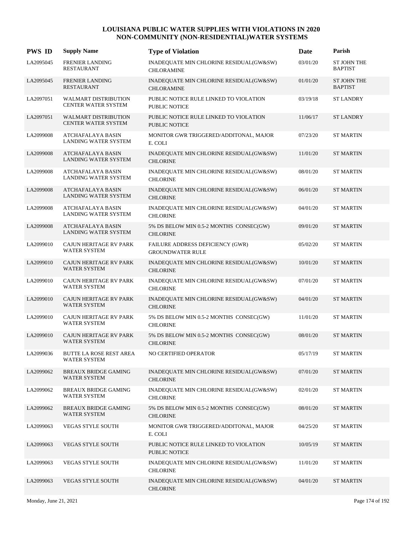| <b>PWS ID</b> | <b>Supply Name</b>                                      | <b>Type of Violation</b>                                       | Date     | Parish                               |
|---------------|---------------------------------------------------------|----------------------------------------------------------------|----------|--------------------------------------|
| LA2095045     | <b>FRENIER LANDING</b><br><b>RESTAURANT</b>             | INADEQUATE MIN CHLORINE RESIDUAL(GW&SW)<br><b>CHLORAMINE</b>   | 03/01/20 | <b>ST JOHN THE</b><br><b>BAPTIST</b> |
| LA2095045     | <b>FRENIER LANDING</b><br><b>RESTAURANT</b>             | INADEQUATE MIN CHLORINE RESIDUAL(GW&SW)<br><b>CHLORAMINE</b>   | 01/01/20 | <b>ST JOHN THE</b><br><b>BAPTIST</b> |
| LA2097051     | <b>WALMART DISTRIBUTION</b><br>CENTER WATER SYSTEM      | PUBLIC NOTICE RULE LINKED TO VIOLATION<br><b>PUBLIC NOTICE</b> | 03/19/18 | <b>ST LANDRY</b>                     |
| LA2097051     | <b>WALMART DISTRIBUTION</b><br>CENTER WATER SYSTEM      | PUBLIC NOTICE RULE LINKED TO VIOLATION<br><b>PUBLIC NOTICE</b> | 11/06/17 | <b>ST LANDRY</b>                     |
| LA2099008     | <b>ATCHAFALAYA BASIN</b><br><b>LANDING WATER SYSTEM</b> | MONITOR GWR TRIGGERED/ADDITONAL, MAJOR<br>E. COLI              | 07/23/20 | <b>ST MARTIN</b>                     |
| LA2099008     | ATCHAFALAYA BASIN<br><b>LANDING WATER SYSTEM</b>        | INADEQUATE MIN CHLORINE RESIDUAL(GW&SW)<br><b>CHLORINE</b>     | 11/01/20 | <b>ST MARTIN</b>                     |
| LA2099008     | ATCHAFALAYA BASIN<br><b>LANDING WATER SYSTEM</b>        | INADEQUATE MIN CHLORINE RESIDUAL(GW&SW)<br><b>CHLORINE</b>     | 08/01/20 | <b>ST MARTIN</b>                     |
| LA2099008     | ATCHAFALAYA BASIN<br>LANDING WATER SYSTEM               | INADEQUATE MIN CHLORINE RESIDUAL(GW&SW)<br><b>CHLORINE</b>     | 06/01/20 | <b>ST MARTIN</b>                     |
| LA2099008     | ATCHAFALAYA BASIN<br>LANDING WATER SYSTEM               | INADEQUATE MIN CHLORINE RESIDUAL(GW&SW)<br><b>CHLORINE</b>     | 04/01/20 | <b>ST MARTIN</b>                     |
| LA2099008     | ATCHAFALAYA BASIN<br><b>LANDING WATER SYSTEM</b>        | 5% DS BELOW MIN 0.5-2 MONTHS CONSEC(GW)<br><b>CHLORINE</b>     | 09/01/20 | <b>ST MARTIN</b>                     |
| LA2099010     | CAJUN HERITAGE RV PARK<br><b>WATER SYSTEM</b>           | FAILURE ADDRESS DEFICIENCY (GWR)<br><b>GROUNDWATER RULE</b>    | 05/02/20 | <b>ST MARTIN</b>                     |
| LA2099010     | CAJUN HERITAGE RV PARK<br>WATER SYSTEM                  | INADEQUATE MIN CHLORINE RESIDUAL(GW&SW)<br><b>CHLORINE</b>     | 10/01/20 | <b>ST MARTIN</b>                     |
| LA2099010     | CAJUN HERITAGE RV PARK<br>WATER SYSTEM                  | INADEQUATE MIN CHLORINE RESIDUAL(GW&SW)<br><b>CHLORINE</b>     | 07/01/20 | <b>ST MARTIN</b>                     |
| LA2099010     | CAJUN HERITAGE RV PARK<br><b>WATER SYSTEM</b>           | INADEQUATE MIN CHLORINE RESIDUAL(GW&SW)<br><b>CHLORINE</b>     | 04/01/20 | <b>ST MARTIN</b>                     |
| LA2099010     | CAJUN HERITAGE RV PARK<br><b>WATER SYSTEM</b>           | 5% DS BELOW MIN 0.5-2 MONTHS CONSEC(GW)<br><b>CHLORINE</b>     | 11/01/20 | <b>ST MARTIN</b>                     |
| LA2099010     | CAJUN HERITAGE RV PARK<br>WATER SYSTEM                  | 5% DS BELOW MIN 0.5-2 MONTHS CONSEC(GW)<br><b>CHLORINE</b>     | 08/01/20 | <b>ST MARTIN</b>                     |
| LA2099036     | <b>BUTTE LA ROSE REST AREA</b><br>WATER SYSTEM          | NO CERTIFIED OPERATOR                                          | 05/17/19 | <b>ST MARTIN</b>                     |
| LA2099062     | <b>BREAUX BRIDGE GAMING</b><br>WATER SYSTEM             | INADEQUATE MIN CHLORINE RESIDUAL(GW&SW)<br><b>CHLORINE</b>     | 07/01/20 | <b>ST MARTIN</b>                     |
| LA2099062     | <b>BREAUX BRIDGE GAMING</b><br>WATER SYSTEM             | INADEQUATE MIN CHLORINE RESIDUAL(GW&SW)<br><b>CHLORINE</b>     | 02/01/20 | <b>ST MARTIN</b>                     |
| LA2099062     | <b>BREAUX BRIDGE GAMING</b><br><b>WATER SYSTEM</b>      | 5% DS BELOW MIN 0.5-2 MONTHS CONSEC(GW)<br><b>CHLORINE</b>     | 08/01/20 | <b>ST MARTIN</b>                     |
| LA2099063     | VEGAS STYLE SOUTH                                       | MONITOR GWR TRIGGERED/ADDITONAL, MAJOR<br>E. COLI              | 04/25/20 | <b>ST MARTIN</b>                     |
| LA2099063     | <b>VEGAS STYLE SOUTH</b>                                | PUBLIC NOTICE RULE LINKED TO VIOLATION<br><b>PUBLIC NOTICE</b> | 10/05/19 | <b>ST MARTIN</b>                     |
| LA2099063     | <b>VEGAS STYLE SOUTH</b>                                | INADEQUATE MIN CHLORINE RESIDUAL(GW&SW)<br><b>CHLORINE</b>     | 11/01/20 | <b>ST MARTIN</b>                     |
| LA2099063     | VEGAS STYLE SOUTH                                       | INADEQUATE MIN CHLORINE RESIDUAL(GW&SW)<br><b>CHLORINE</b>     | 04/01/20 | <b>ST MARTIN</b>                     |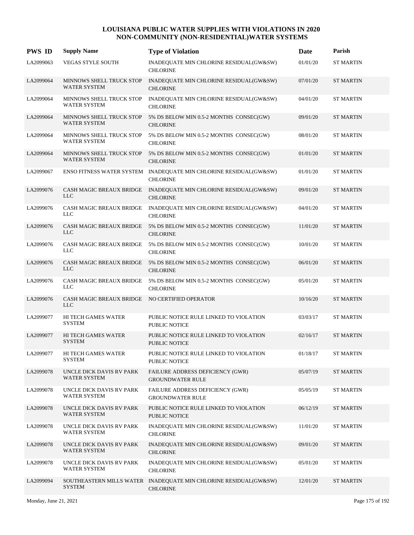| <b>PWS ID</b> | <b>Supply Name</b>                                           | <b>Type of Violation</b>                                                             | Date     | Parish           |
|---------------|--------------------------------------------------------------|--------------------------------------------------------------------------------------|----------|------------------|
| LA2099063     | <b>VEGAS STYLE SOUTH</b>                                     | INADEQUATE MIN CHLORINE RESIDUAL(GW&SW)<br><b>CHLORINE</b>                           | 01/01/20 | <b>ST MARTIN</b> |
| LA2099064     | MINNOWS SHELL TRUCK STOP<br><b>WATER SYSTEM</b>              | INADEQUATE MIN CHLORINE RESIDUAL(GW&SW)<br><b>CHLORINE</b>                           | 07/01/20 | <b>ST MARTIN</b> |
| LA2099064     | MINNOWS SHELL TRUCK STOP<br><b>WATER SYSTEM</b>              | INADEQUATE MIN CHLORINE RESIDUAL(GW&SW)<br><b>CHLORINE</b>                           | 04/01/20 | <b>ST MARTIN</b> |
| LA2099064     | MINNOWS SHELL TRUCK STOP<br>WATER SYSTEM                     | 5% DS BELOW MIN 0.5-2 MONTHS CONSEC(GW)<br><b>CHLORINE</b>                           | 09/01/20 | <b>ST MARTIN</b> |
| LA2099064     | MINNOWS SHELL TRUCK STOP<br>WATER SYSTEM                     | 5% DS BELOW MIN 0.5-2 MONTHS CONSEC(GW)<br><b>CHLORINE</b>                           | 08/01/20 | <b>ST MARTIN</b> |
| LA2099064     | MINNOWS SHELL TRUCK STOP<br><b>WATER SYSTEM</b>              | 5% DS BELOW MIN 0.5-2 MONTHS CONSEC(GW)<br><b>CHLORINE</b>                           | 01/01/20 | <b>ST MARTIN</b> |
| LA2099067     |                                                              | ENSO FITNESS WATER SYSTEM INADEQUATE MIN CHLORINE RESIDUAL(GW&SW)<br><b>CHLORINE</b> | 01/01/20 | <b>ST MARTIN</b> |
| LA2099076     | CASH MAGIC BREAUX BRIDGE<br><b>LLC</b>                       | INADEQUATE MIN CHLORINE RESIDUAL(GW&SW)<br><b>CHLORINE</b>                           | 09/01/20 | <b>ST MARTIN</b> |
| LA2099076     | CASH MAGIC BREAUX BRIDGE<br><b>LLC</b>                       | INADEQUATE MIN CHLORINE RESIDUAL(GW&SW)<br><b>CHLORINE</b>                           | 04/01/20 | <b>ST MARTIN</b> |
| LA2099076     | <b>LLC</b>                                                   | CASH MAGIC BREAUX BRIDGE 5% DS BELOW MIN 0.5-2 MONTHS CONSEC(GW)<br><b>CHLORINE</b>  | 11/01/20 | <b>ST MARTIN</b> |
| LA2099076     | CASH MAGIC BREAUX BRIDGE<br><b>LLC</b>                       | 5% DS BELOW MIN 0.5-2 MONTHS CONSEC(GW)<br><b>CHLORINE</b>                           | 10/01/20 | <b>ST MARTIN</b> |
| LA2099076     | CASH MAGIC BREAUX BRIDGE<br><b>LLC</b>                       | 5% DS BELOW MIN 0.5-2 MONTHS CONSEC(GW)<br><b>CHLORINE</b>                           | 06/01/20 | <b>ST MARTIN</b> |
| LA2099076     | CASH MAGIC BREAUX BRIDGE<br><b>LLC</b>                       | 5% DS BELOW MIN 0.5-2 MONTHS CONSEC(GW)<br><b>CHLORINE</b>                           | 05/01/20 | <b>ST MARTIN</b> |
| LA2099076     | CASH MAGIC BREAUX BRIDGE NO CERTIFIED OPERATOR<br><b>LLC</b> |                                                                                      | 10/16/20 | <b>ST MARTIN</b> |
| LA2099077     | HI TECH GAMES WATER<br><b>SYSTEM</b>                         | PUBLIC NOTICE RULE LINKED TO VIOLATION<br><b>PUBLIC NOTICE</b>                       | 03/03/17 | <b>ST MARTIN</b> |
| LA2099077     | HI TECH GAMES WATER<br><b>SYSTEM</b>                         | PUBLIC NOTICE RULE LINKED TO VIOLATION<br><b>PUBLIC NOTICE</b>                       | 02/16/17 | <b>ST MARTIN</b> |
| LA2099077     | HI TECH GAMES WATER<br><b>SYSTEM</b>                         | PUBLIC NOTICE RULE LINKED TO VIOLATION<br>PUBLIC NOTICE                              | 01/18/17 | <b>ST MARTIN</b> |
| LA2099078     | UNCLE DICK DAVIS RV PARK<br>WATER SYSTEM                     | FAILURE ADDRESS DEFICIENCY (GWR)<br><b>GROUNDWATER RULE</b>                          | 05/07/19 | <b>ST MARTIN</b> |
| LA2099078     | UNCLE DICK DAVIS RV PARK<br>WATER SYSTEM                     | FAILURE ADDRESS DEFICIENCY (GWR)<br><b>GROUNDWATER RULE</b>                          | 05/05/19 | <b>ST MARTIN</b> |
| LA2099078     | UNCLE DICK DAVIS RV PARK<br>WATER SYSTEM                     | PUBLIC NOTICE RULE LINKED TO VIOLATION<br>PUBLIC NOTICE                              | 06/12/19 | <b>ST MARTIN</b> |
| LA2099078     | UNCLE DICK DAVIS RV PARK<br><b>WATER SYSTEM</b>              | INADEQUATE MIN CHLORINE RESIDUAL(GW&SW)<br><b>CHLORINE</b>                           | 11/01/20 | <b>ST MARTIN</b> |
| LA2099078     | UNCLE DICK DAVIS RV PARK<br>WATER SYSTEM                     | INADEQUATE MIN CHLORINE RESIDUAL(GW&SW)<br><b>CHLORINE</b>                           | 09/01/20 | <b>ST MARTIN</b> |
| LA2099078     | UNCLE DICK DAVIS RV PARK<br>WATER SYSTEM                     | INADEQUATE MIN CHLORINE RESIDUAL(GW&SW)<br><b>CHLORINE</b>                           | 05/01/20 | <b>ST MARTIN</b> |
| LA2099094     | <b>SYSTEM</b>                                                | SOUTHEASTERN MILLS WATER INADEQUATE MIN CHLORINE RESIDUAL(GW&SW)<br><b>CHLORINE</b>  | 12/01/20 | <b>ST MARTIN</b> |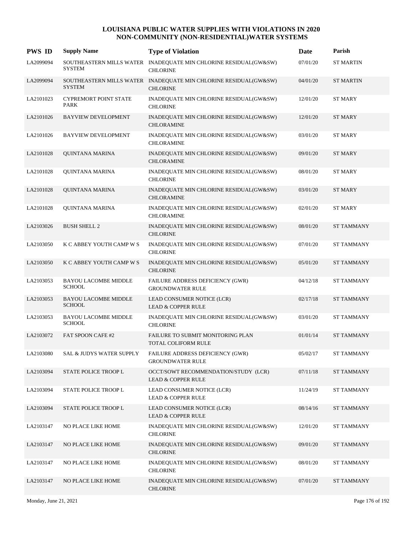| <b>PWS ID</b> | <b>Supply Name</b>                           | <b>Type of Violation</b>                                                            | Date     | Parish            |
|---------------|----------------------------------------------|-------------------------------------------------------------------------------------|----------|-------------------|
| LA2099094     | <b>SYSTEM</b>                                | SOUTHEASTERN MILLS WATER INADEQUATE MIN CHLORINE RESIDUAL(GW&SW)<br><b>CHLORINE</b> | 07/01/20 | <b>ST MARTIN</b>  |
| LA2099094     | <b>SYSTEM</b>                                | SOUTHEASTERN MILLS WATER INADEQUATE MIN CHLORINE RESIDUAL(GW&SW)<br><b>CHLORINE</b> | 04/01/20 | <b>ST MARTIN</b>  |
| LA2101023     | <b>CYPREMORT POINT STATE</b><br><b>PARK</b>  | INADEQUATE MIN CHLORINE RESIDUAL(GW&SW)<br><b>CHLORINE</b>                          | 12/01/20 | ST MARY           |
| LA2101026     | <b>BAYVIEW DEVELOPMENT</b>                   | INADEQUATE MIN CHLORINE RESIDUAL(GW&SW)<br><b>CHLORAMINE</b>                        | 12/01/20 | <b>ST MARY</b>    |
| LA2101026     | <b>BAYVIEW DEVELOPMENT</b>                   | INADEQUATE MIN CHLORINE RESIDUAL(GW&SW)<br><b>CHLORAMINE</b>                        | 03/01/20 | ST MARY           |
| LA2101028     | QUINTANA MARINA                              | INADEQUATE MIN CHLORINE RESIDUAL(GW&SW)<br><b>CHLORAMINE</b>                        | 09/01/20 | <b>ST MARY</b>    |
| LA2101028     | QUINTANA MARINA                              | INADEQUATE MIN CHLORINE RESIDUAL(GW&SW)<br><b>CHLORINE</b>                          | 08/01/20 | ST MARY           |
| LA2101028     | QUINTANA MARINA                              | INADEQUATE MIN CHLORINE RESIDUAL(GW&SW)<br><b>CHLORAMINE</b>                        | 03/01/20 | <b>ST MARY</b>    |
| LA2101028     | QUINTANA MARINA                              | INADEQUATE MIN CHLORINE RESIDUAL(GW&SW)<br><b>CHLORAMINE</b>                        | 02/01/20 | <b>ST MARY</b>    |
| LA2103026     | <b>BUSH SHELL 2</b>                          | INADEQUATE MIN CHLORINE RESIDUAL(GW&SW)<br><b>CHLORINE</b>                          | 08/01/20 | <b>ST TAMMANY</b> |
| LA2103050     | K C ABBEY YOUTH CAMP W S                     | INADEQUATE MIN CHLORINE RESIDUAL(GW&SW)<br><b>CHLORINE</b>                          | 07/01/20 | <b>ST TAMMANY</b> |
| LA2103050     | K C ABBEY YOUTH CAMP W S                     | INADEQUATE MIN CHLORINE RESIDUAL(GW&SW)<br><b>CHLORINE</b>                          | 05/01/20 | <b>ST TAMMANY</b> |
| LA2103053     | <b>BAYOU LACOMBE MIDDLE</b><br><b>SCHOOL</b> | FAILURE ADDRESS DEFICIENCY (GWR)<br><b>GROUNDWATER RULE</b>                         | 04/12/18 | <b>ST TAMMANY</b> |
| LA2103053     | <b>BAYOU LACOMBE MIDDLE</b><br><b>SCHOOL</b> | LEAD CONSUMER NOTICE (LCR)<br><b>LEAD &amp; COPPER RULE</b>                         | 02/17/18 | <b>ST TAMMANY</b> |
| LA2103053     | <b>BAYOU LACOMBE MIDDLE</b><br><b>SCHOOL</b> | INADEQUATE MIN CHLORINE RESIDUAL(GW&SW)<br><b>CHLORINE</b>                          | 03/01/20 | <b>ST TAMMANY</b> |
| LA2103072     | FAT SPOON CAFE #2                            | <b>FAILURE TO SUBMIT MONITORING PLAN</b><br>TOTAL COLIFORM RULE                     | 01/01/14 | <b>ST TAMMANY</b> |
| LA2103080     | SAL & JUDYS WATER SUPPLY                     | FAILURE ADDRESS DEFICIENCY (GWR)<br><b>GROUNDWATER RULE</b>                         | 05/02/17 | ST TAMMANY        |
| LA2103094     | STATE POLICE TROOP L                         | OCCT/SOWT RECOMMENDATION/STUDY (LCR)<br><b>LEAD &amp; COPPER RULE</b>               | 07/11/18 | <b>ST TAMMANY</b> |
| LA2103094     | STATE POLICE TROOP L                         | LEAD CONSUMER NOTICE (LCR)<br><b>LEAD &amp; COPPER RULE</b>                         | 11/24/19 | <b>ST TAMMANY</b> |
| LA2103094     | STATE POLICE TROOP L                         | LEAD CONSUMER NOTICE (LCR)<br><b>LEAD &amp; COPPER RULE</b>                         | 08/14/16 | <b>ST TAMMANY</b> |
| LA2103147     | NO PLACE LIKE HOME                           | INADEQUATE MIN CHLORINE RESIDUAL(GW&SW)<br><b>CHLORINE</b>                          | 12/01/20 | <b>ST TAMMANY</b> |
| LA2103147     | NO PLACE LIKE HOME                           | INADEQUATE MIN CHLORINE RESIDUAL(GW&SW)<br><b>CHLORINE</b>                          | 09/01/20 | <b>ST TAMMANY</b> |
| LA2103147     | NO PLACE LIKE HOME                           | INADEQUATE MIN CHLORINE RESIDUAL(GW&SW)<br><b>CHLORINE</b>                          | 08/01/20 | <b>ST TAMMANY</b> |
| LA2103147     | NO PLACE LIKE HOME                           | INADEQUATE MIN CHLORINE RESIDUAL(GW&SW)<br><b>CHLORINE</b>                          | 07/01/20 | <b>ST TAMMANY</b> |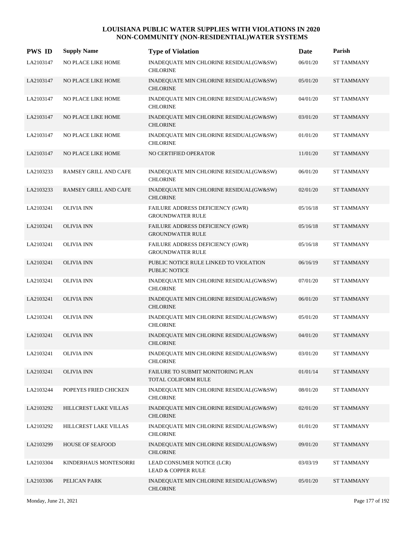| <b>PWS ID</b> | <b>Supply Name</b>      | <b>Type of Violation</b>                                       | Date     | Parish            |
|---------------|-------------------------|----------------------------------------------------------------|----------|-------------------|
| LA2103147     | NO PLACE LIKE HOME      | INADEQUATE MIN CHLORINE RESIDUAL(GW&SW)<br><b>CHLORINE</b>     | 06/01/20 | ST TAMMANY        |
| LA2103147     | NO PLACE LIKE HOME      | INADEQUATE MIN CHLORINE RESIDUAL(GW&SW)<br><b>CHLORINE</b>     | 05/01/20 | <b>ST TAMMANY</b> |
| LA2103147     | NO PLACE LIKE HOME      | INADEQUATE MIN CHLORINE RESIDUAL(GW&SW)<br><b>CHLORINE</b>     | 04/01/20 | <b>ST TAMMANY</b> |
| LA2103147     | NO PLACE LIKE HOME      | INADEQUATE MIN CHLORINE RESIDUAL(GW&SW)<br><b>CHLORINE</b>     | 03/01/20 | <b>ST TAMMANY</b> |
| LA2103147     | NO PLACE LIKE HOME      | INADEQUATE MIN CHLORINE RESIDUAL(GW&SW)<br><b>CHLORINE</b>     | 01/01/20 | <b>ST TAMMANY</b> |
| LA2103147     | NO PLACE LIKE HOME      | NO CERTIFIED OPERATOR                                          | 11/01/20 | <b>ST TAMMANY</b> |
| LA2103233     | RAMSEY GRILL AND CAFE   | INADEQUATE MIN CHLORINE RESIDUAL(GW&SW)<br><b>CHLORINE</b>     | 06/01/20 | <b>ST TAMMANY</b> |
| LA2103233     | RAMSEY GRILL AND CAFE   | INADEQUATE MIN CHLORINE RESIDUAL(GW&SW)<br><b>CHLORINE</b>     | 02/01/20 | <b>ST TAMMANY</b> |
| LA2103241     | <b>OLIVIA INN</b>       | FAILURE ADDRESS DEFICIENCY (GWR)<br><b>GROUNDWATER RULE</b>    | 05/16/18 | <b>ST TAMMANY</b> |
| LA2103241     | <b>OLIVIA INN</b>       | FAILURE ADDRESS DEFICIENCY (GWR)<br><b>GROUNDWATER RULE</b>    | 05/16/18 | <b>ST TAMMANY</b> |
| LA2103241     | <b>OLIVIA INN</b>       | FAILURE ADDRESS DEFICIENCY (GWR)<br><b>GROUNDWATER RULE</b>    | 05/16/18 | <b>ST TAMMANY</b> |
| LA2103241     | <b>OLIVIA INN</b>       | PUBLIC NOTICE RULE LINKED TO VIOLATION<br><b>PUBLIC NOTICE</b> | 06/16/19 | <b>ST TAMMANY</b> |
| LA2103241     | <b>OLIVIA INN</b>       | INADEQUATE MIN CHLORINE RESIDUAL(GW&SW)<br><b>CHLORINE</b>     | 07/01/20 | <b>ST TAMMANY</b> |
| LA2103241     | <b>OLIVIA INN</b>       | INADEQUATE MIN CHLORINE RESIDUAL(GW&SW)<br><b>CHLORINE</b>     | 06/01/20 | <b>ST TAMMANY</b> |
| LA2103241     | <b>OLIVIA INN</b>       | INADEQUATE MIN CHLORINE RESIDUAL(GW&SW)<br><b>CHLORINE</b>     | 05/01/20 | <b>ST TAMMANY</b> |
| LA2103241     | <b>OLIVIA INN</b>       | INADEQUATE MIN CHLORINE RESIDUAL(GW&SW)<br><b>CHLORINE</b>     | 04/01/20 | <b>ST TAMMANY</b> |
| LA2103241     | <b>OLIVIA INN</b>       | INADEQUATE MIN CHLORINE RESIDUAL(GW&SW)<br><b>CHLORINE</b>     | 03/01/20 | <b>ST TAMMANY</b> |
| LA2103241     | <b>OLIVIA INN</b>       | FAILURE TO SUBMIT MONITORING PLAN<br>TOTAL COLIFORM RULE       | 01/01/14 | <b>ST TAMMANY</b> |
| LA2103244     | POPEYES FRIED CHICKEN   | INADEQUATE MIN CHLORINE RESIDUAL(GW&SW)<br><b>CHLORINE</b>     | 08/01/20 | ST TAMMANY        |
| LA2103292     | HILLCREST LAKE VILLAS   | INADEQUATE MIN CHLORINE RESIDUAL(GW&SW)<br><b>CHLORINE</b>     | 02/01/20 | <b>ST TAMMANY</b> |
| LA2103292     | HILLCREST LAKE VILLAS   | INADEQUATE MIN CHLORINE RESIDUAL(GW&SW)<br><b>CHLORINE</b>     | 01/01/20 | <b>ST TAMMANY</b> |
| LA2103299     | <b>HOUSE OF SEAFOOD</b> | INADEQUATE MIN CHLORINE RESIDUAL(GW&SW)<br><b>CHLORINE</b>     | 09/01/20 | <b>ST TAMMANY</b> |
| LA2103304     | KINDERHAUS MONTESORRI   | LEAD CONSUMER NOTICE (LCR)<br>LEAD & COPPER RULE               | 03/03/19 | <b>ST TAMMANY</b> |
| LA2103306     | PELICAN PARK            | INADEQUATE MIN CHLORINE RESIDUAL(GW&SW)<br><b>CHLORINE</b>     | 05/01/20 | <b>ST TAMMANY</b> |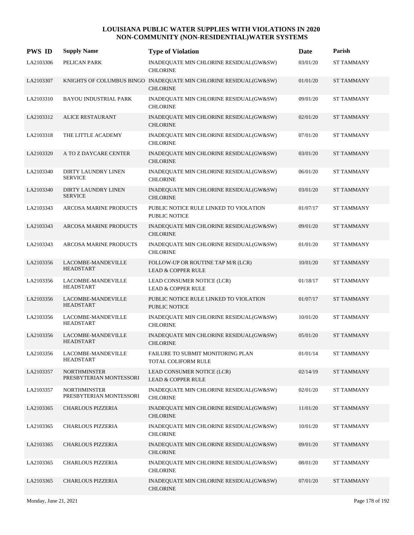| <b>PWS ID</b> | <b>Supply Name</b>                             | <b>Type of Violation</b>                                                             | Date     | Parish            |
|---------------|------------------------------------------------|--------------------------------------------------------------------------------------|----------|-------------------|
| LA2103306     | PELICAN PARK                                   | INADEQUATE MIN CHLORINE RESIDUAL(GW&SW)<br><b>CHLORINE</b>                           | 03/01/20 | <b>ST TAMMANY</b> |
| LA2103307     |                                                | KNIGHTS OF COLUMBUS BINGO INADEQUATE MIN CHLORINE RESIDUAL(GW&SW)<br><b>CHLORINE</b> | 01/01/20 | <b>ST TAMMANY</b> |
| LA2103310     | <b>BAYOU INDUSTRIAL PARK</b>                   | INADEQUATE MIN CHLORINE RESIDUAL(GW&SW)<br><b>CHLORINE</b>                           | 09/01/20 | <b>ST TAMMANY</b> |
| LA2103312     | <b>ALICE RESTAURANT</b>                        | INADEQUATE MIN CHLORINE RESIDUAL(GW&SW)<br><b>CHLORINE</b>                           | 02/01/20 | <b>ST TAMMANY</b> |
| LA2103318     | THE LITTLE ACADEMY                             | INADEQUATE MIN CHLORINE RESIDUAL(GW&SW)<br><b>CHLORINE</b>                           | 07/01/20 | <b>ST TAMMANY</b> |
| LA2103320     | A TO Z DAYCARE CENTER                          | INADEQUATE MIN CHLORINE RESIDUAL(GW&SW)<br><b>CHLORINE</b>                           | 03/01/20 | <b>ST TAMMANY</b> |
| LA2103340     | DIRTY LAUNDRY LINEN<br><b>SERVICE</b>          | INADEQUATE MIN CHLORINE RESIDUAL(GW&SW)<br><b>CHLORINE</b>                           | 06/01/20 | <b>ST TAMMANY</b> |
| LA2103340     | DIRTY LAUNDRY LINEN<br><b>SERVICE</b>          | INADEQUATE MIN CHLORINE RESIDUAL(GW&SW)<br><b>CHLORINE</b>                           | 03/01/20 | <b>ST TAMMANY</b> |
| LA2103343     | <b>ARCOSA MARINE PRODUCTS</b>                  | PUBLIC NOTICE RULE LINKED TO VIOLATION<br><b>PUBLIC NOTICE</b>                       | 01/07/17 | <b>ST TAMMANY</b> |
| LA2103343     | <b>ARCOSA MARINE PRODUCTS</b>                  | INADEQUATE MIN CHLORINE RESIDUAL(GW&SW)<br><b>CHLORINE</b>                           | 09/01/20 | <b>ST TAMMANY</b> |
| LA2103343     | <b>ARCOSA MARINE PRODUCTS</b>                  | INADEQUATE MIN CHLORINE RESIDUAL(GW&SW)<br><b>CHLORINE</b>                           | 01/01/20 | <b>ST TAMMANY</b> |
| LA2103356     | LACOMBE-MANDEVILLE<br>HEADSTART                | FOLLOW-UP OR ROUTINE TAP M/R (LCR)<br><b>LEAD &amp; COPPER RULE</b>                  | 10/01/20 | <b>ST TAMMANY</b> |
| LA2103356     | LACOMBE-MANDEVILLE<br><b>HEADSTART</b>         | LEAD CONSUMER NOTICE (LCR)<br><b>LEAD &amp; COPPER RULE</b>                          | 01/18/17 | <b>ST TAMMANY</b> |
| LA2103356     | LACOMBE-MANDEVILLE<br><b>HEADSTART</b>         | PUBLIC NOTICE RULE LINKED TO VIOLATION<br><b>PUBLIC NOTICE</b>                       | 01/07/17 | <b>ST TAMMANY</b> |
| LA2103356     | LACOMBE-MANDEVILLE<br>HEADSTART                | INADEQUATE MIN CHLORINE RESIDUAL(GW&SW)<br><b>CHLORINE</b>                           | 10/01/20 | <b>ST TAMMANY</b> |
| LA2103356     | LACOMBE-MANDEVILLE<br>HEADSTART                | INADEQUATE MIN CHLORINE RESIDUAL(GW&SW)<br><b>CHLORINE</b>                           | 05/01/20 | <b>ST TAMMANY</b> |
| LA2103356     | LACOMBE-MANDEVILLE<br><b>HEADSTART</b>         | FAILURE TO SUBMIT MONITORING PLAN<br>TOTAL COLIFORM RULE                             | 01/01/14 | <b>ST TAMMANY</b> |
| LA2103357     | <b>NORTHMINSTER</b><br>PRESBYTERIAN MONTESSORI | LEAD CONSUMER NOTICE (LCR)<br><b>LEAD &amp; COPPER RULE</b>                          | 02/14/19 | <b>ST TAMMANY</b> |
| LA2103357     | <b>NORTHMINSTER</b><br>PRESBYTERIAN MONTESSORI | INADEQUATE MIN CHLORINE RESIDUAL(GW&SW)<br><b>CHLORINE</b>                           | 02/01/20 | <b>ST TAMMANY</b> |
| LA2103365     | CHARLOUS PIZZERIA                              | INADEQUATE MIN CHLORINE RESIDUAL(GW&SW)<br><b>CHLORINE</b>                           | 11/01/20 | <b>ST TAMMANY</b> |
| LA2103365     | <b>CHARLOUS PIZZERIA</b>                       | INADEQUATE MIN CHLORINE RESIDUAL(GW&SW)<br><b>CHLORINE</b>                           | 10/01/20 | <b>ST TAMMANY</b> |
| LA2103365     | <b>CHARLOUS PIZZERIA</b>                       | INADEQUATE MIN CHLORINE RESIDUAL(GW&SW)<br><b>CHLORINE</b>                           | 09/01/20 | <b>ST TAMMANY</b> |
| LA2103365     | CHARLOUS PIZZERIA                              | INADEQUATE MIN CHLORINE RESIDUAL(GW&SW)<br><b>CHLORINE</b>                           | 08/01/20 | <b>ST TAMMANY</b> |
| LA2103365     | CHARLOUS PIZZERIA                              | INADEQUATE MIN CHLORINE RESIDUAL(GW&SW)<br><b>CHLORINE</b>                           | 07/01/20 | <b>ST TAMMANY</b> |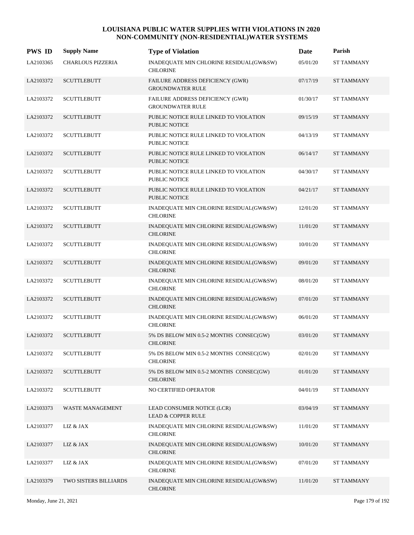| <b>PWS ID</b> | <b>Supply Name</b>       | <b>Type of Violation</b>                                       | Date     | Parish            |
|---------------|--------------------------|----------------------------------------------------------------|----------|-------------------|
| LA2103365     | <b>CHARLOUS PIZZERIA</b> | INADEQUATE MIN CHLORINE RESIDUAL(GW&SW)<br><b>CHLORINE</b>     | 05/01/20 | ST TAMMANY        |
| LA2103372     | <b>SCUTTLEBUTT</b>       | FAILURE ADDRESS DEFICIENCY (GWR)<br><b>GROUNDWATER RULE</b>    | 07/17/19 | <b>ST TAMMANY</b> |
| LA2103372     | <b>SCUTTLEBUTT</b>       | FAILURE ADDRESS DEFICIENCY (GWR)<br><b>GROUNDWATER RULE</b>    | 01/30/17 | <b>ST TAMMANY</b> |
| LA2103372     | <b>SCUTTLEBUTT</b>       | PUBLIC NOTICE RULE LINKED TO VIOLATION<br><b>PUBLIC NOTICE</b> | 09/15/19 | <b>ST TAMMANY</b> |
| LA2103372     | <b>SCUTTLEBUTT</b>       | PUBLIC NOTICE RULE LINKED TO VIOLATION<br><b>PUBLIC NOTICE</b> | 04/13/19 | <b>ST TAMMANY</b> |
| LA2103372     | <b>SCUTTLEBUTT</b>       | PUBLIC NOTICE RULE LINKED TO VIOLATION<br><b>PUBLIC NOTICE</b> | 06/14/17 | <b>ST TAMMANY</b> |
| LA2103372     | <b>SCUTTLEBUTT</b>       | PUBLIC NOTICE RULE LINKED TO VIOLATION<br><b>PUBLIC NOTICE</b> | 04/30/17 | <b>ST TAMMANY</b> |
| LA2103372     | <b>SCUTTLEBUTT</b>       | PUBLIC NOTICE RULE LINKED TO VIOLATION<br><b>PUBLIC NOTICE</b> | 04/21/17 | <b>ST TAMMANY</b> |
| LA2103372     | <b>SCUTTLEBUTT</b>       | INADEQUATE MIN CHLORINE RESIDUAL(GW&SW)<br><b>CHLORINE</b>     | 12/01/20 | <b>ST TAMMANY</b> |
| LA2103372     | <b>SCUTTLEBUTT</b>       | INADEQUATE MIN CHLORINE RESIDUAL(GW&SW)<br><b>CHLORINE</b>     | 11/01/20 | <b>ST TAMMANY</b> |
| LA2103372     | <b>SCUTTLEBUTT</b>       | INADEQUATE MIN CHLORINE RESIDUAL(GW&SW)<br><b>CHLORINE</b>     | 10/01/20 | <b>ST TAMMANY</b> |
| LA2103372     | <b>SCUTTLEBUTT</b>       | INADEQUATE MIN CHLORINE RESIDUAL(GW&SW)<br><b>CHLORINE</b>     | 09/01/20 | <b>ST TAMMANY</b> |
| LA2103372     | <b>SCUTTLEBUTT</b>       | INADEQUATE MIN CHLORINE RESIDUAL(GW&SW)<br><b>CHLORINE</b>     | 08/01/20 | <b>ST TAMMANY</b> |
| LA2103372     | <b>SCUTTLEBUTT</b>       | INADEQUATE MIN CHLORINE RESIDUAL(GW&SW)<br><b>CHLORINE</b>     | 07/01/20 | <b>ST TAMMANY</b> |
| LA2103372     | <b>SCUTTLEBUTT</b>       | INADEQUATE MIN CHLORINE RESIDUAL(GW&SW)<br><b>CHLORINE</b>     | 06/01/20 | <b>ST TAMMANY</b> |
| LA2103372     | <b>SCUTTLEBUTT</b>       | 5% DS BELOW MIN 0.5-2 MONTHS CONSEC(GW)<br><b>CHLORINE</b>     | 03/01/20 | <b>ST TAMMANY</b> |
| LA2103372     | <b>SCUTTLEBUTT</b>       | 5% DS BELOW MIN 0.5-2 MONTHS CONSEC(GW)<br><b>CHLORINE</b>     | 02/01/20 | <b>ST TAMMANY</b> |
| LA2103372     | <b>SCUTTLEBUTT</b>       | 5% DS BELOW MIN 0.5-2 MONTHS CONSEC(GW)<br><b>CHLORINE</b>     | 01/01/20 | <b>ST TAMMANY</b> |
| LA2103372     | <b>SCUTTLEBUTT</b>       | NO CERTIFIED OPERATOR                                          | 04/01/19 | ST TAMMANY        |
| LA2103373     | WASTE MANAGEMENT         | LEAD CONSUMER NOTICE (LCR)<br><b>LEAD &amp; COPPER RULE</b>    | 03/04/19 | <b>ST TAMMANY</b> |
| LA2103377     | $LIZ\ \&\ JAX$           | INADEQUATE MIN CHLORINE RESIDUAL(GW&SW)<br><b>CHLORINE</b>     | 11/01/20 | <b>ST TAMMANY</b> |
| LA2103377     | LIZ & JAX                | INADEQUATE MIN CHLORINE RESIDUAL(GW&SW)<br><b>CHLORINE</b>     | 10/01/20 | <b>ST TAMMANY</b> |
| LA2103377     | LIZ & JAX                | INADEQUATE MIN CHLORINE RESIDUAL(GW&SW)<br><b>CHLORINE</b>     | 07/01/20 | <b>ST TAMMANY</b> |
| LA2103379     | TWO SISTERS BILLIARDS    | INADEQUATE MIN CHLORINE RESIDUAL(GW&SW)<br><b>CHLORINE</b>     | 11/01/20 | ST TAMMANY        |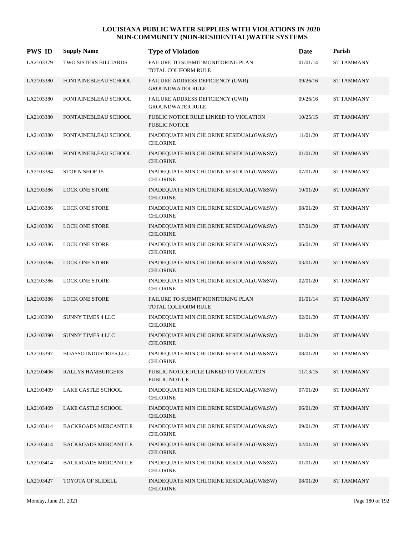| <b>PWS ID</b> | <b>Supply Name</b>           | <b>Type of Violation</b>                                           | Date     | Parish            |
|---------------|------------------------------|--------------------------------------------------------------------|----------|-------------------|
| LA2103379     | TWO SISTERS BILLIARDS        | FAILURE TO SUBMIT MONITORING PLAN<br>TOTAL COLIFORM RULE           | 01/01/14 | <b>ST TAMMANY</b> |
| LA2103380     | FONTAINEBLEAU SCHOOL         | FAILURE ADDRESS DEFICIENCY (GWR)<br><b>GROUNDWATER RULE</b>        | 09/26/16 | <b>ST TAMMANY</b> |
| LA2103380     | FONTAINEBLEAU SCHOOL         | <b>FAILURE ADDRESS DEFICIENCY (GWR)</b><br><b>GROUNDWATER RULE</b> | 09/26/16 | <b>ST TAMMANY</b> |
| LA2103380     | FONTAINEBLEAU SCHOOL         | PUBLIC NOTICE RULE LINKED TO VIOLATION<br><b>PUBLIC NOTICE</b>     | 10/25/15 | <b>ST TAMMANY</b> |
| LA2103380     | FONTAINEBLEAU SCHOOL         | INADEQUATE MIN CHLORINE RESIDUAL(GW&SW)<br><b>CHLORINE</b>         | 11/01/20 | <b>ST TAMMANY</b> |
| LA2103380     | FONTAINEBLEAU SCHOOL         | INADEQUATE MIN CHLORINE RESIDUAL(GW&SW)<br><b>CHLORINE</b>         | 01/01/20 | <b>ST TAMMANY</b> |
| LA2103384     | STOP N SHOP 15               | INADEQUATE MIN CHLORINE RESIDUAL(GW&SW)<br><b>CHLORINE</b>         | 07/01/20 | <b>ST TAMMANY</b> |
| LA2103386     | <b>LOCK ONE STORE</b>        | INADEQUATE MIN CHLORINE RESIDUAL(GW&SW)<br><b>CHLORINE</b>         | 10/01/20 | <b>ST TAMMANY</b> |
| LA2103386     | <b>LOCK ONE STORE</b>        | INADEQUATE MIN CHLORINE RESIDUAL(GW&SW)<br><b>CHLORINE</b>         | 08/01/20 | <b>ST TAMMANY</b> |
| LA2103386     | <b>LOCK ONE STORE</b>        | INADEQUATE MIN CHLORINE RESIDUAL(GW&SW)<br><b>CHLORINE</b>         | 07/01/20 | <b>ST TAMMANY</b> |
| LA2103386     | <b>LOCK ONE STORE</b>        | INADEQUATE MIN CHLORINE RESIDUAL(GW&SW)<br><b>CHLORINE</b>         | 06/01/20 | <b>ST TAMMANY</b> |
| LA2103386     | <b>LOCK ONE STORE</b>        | INADEQUATE MIN CHLORINE RESIDUAL(GW&SW)<br><b>CHLORINE</b>         | 03/01/20 | <b>ST TAMMANY</b> |
| LA2103386     | <b>LOCK ONE STORE</b>        | INADEQUATE MIN CHLORINE RESIDUAL(GW&SW)<br><b>CHLORINE</b>         | 02/01/20 | <b>ST TAMMANY</b> |
| LA2103386     | <b>LOCK ONE STORE</b>        | FAILURE TO SUBMIT MONITORING PLAN<br><b>TOTAL COLIFORM RULE</b>    | 01/01/14 | <b>ST TAMMANY</b> |
| LA2103390     | <b>SUNNY TIMES 4 LLC</b>     | INADEQUATE MIN CHLORINE RESIDUAL(GW&SW)<br><b>CHLORINE</b>         | 02/01/20 | <b>ST TAMMANY</b> |
| LA2103390     | <b>SUNNY TIMES 4 LLC</b>     | INADEQUATE MIN CHLORINE RESIDUAL(GW&SW)<br><b>CHLORINE</b>         | 01/01/20 | <b>ST TAMMANY</b> |
| LA2103397     | <b>BOASSO INDUSTRIES,LLC</b> | INADEQUATE MIN CHLORINE RESIDUAL(GW&SW)<br><b>CHLORINE</b>         | 08/01/20 | <b>ST TAMMANY</b> |
| LA2103406     | RALLYS HAMBURGERS            | PUBLIC NOTICE RULE LINKED TO VIOLATION<br>PUBLIC NOTICE            | 11/13/15 | <b>ST TAMMANY</b> |
| LA2103409     | LAKE CASTLE SCHOOL           | INADEQUATE MIN CHLORINE RESIDUAL(GW&SW)<br><b>CHLORINE</b>         | 07/01/20 | ST TAMMANY        |
| LA2103409     | LAKE CASTLE SCHOOL           | INADEQUATE MIN CHLORINE RESIDUAL(GW&SW)<br><b>CHLORINE</b>         | 06/01/20 | <b>ST TAMMANY</b> |
| LA2103414     | BACKROADS MERCANTILE         | INADEQUATE MIN CHLORINE RESIDUAL(GW&SW)<br><b>CHLORINE</b>         | 09/01/20 | <b>ST TAMMANY</b> |
| LA2103414     | <b>BACKROADS MERCANTILE</b>  | INADEQUATE MIN CHLORINE RESIDUAL(GW&SW)<br><b>CHLORINE</b>         | 02/01/20 | <b>ST TAMMANY</b> |
| LA2103414     | BACKROADS MERCANTILE         | INADEQUATE MIN CHLORINE RESIDUAL(GW&SW)<br><b>CHLORINE</b>         | 01/01/20 | <b>ST TAMMANY</b> |
| LA2103427     | TOYOTA OF SLIDELL            | INADEQUATE MIN CHLORINE RESIDUAL(GW&SW)<br><b>CHLORINE</b>         | 08/01/20 | <b>ST TAMMANY</b> |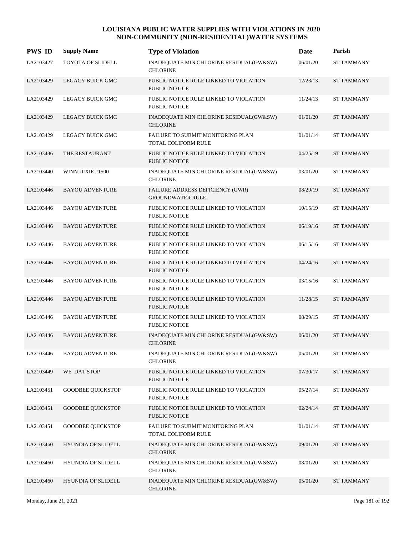| <b>PWS ID</b> | <b>Supply Name</b>        | <b>Type of Violation</b>                                       | Date     | Parish            |
|---------------|---------------------------|----------------------------------------------------------------|----------|-------------------|
| LA2103427     | <b>TOYOTA OF SLIDELL</b>  | INADEQUATE MIN CHLORINE RESIDUAL(GW&SW)<br><b>CHLORINE</b>     | 06/01/20 | <b>ST TAMMANY</b> |
| LA2103429     | LEGACY BUICK GMC          | PUBLIC NOTICE RULE LINKED TO VIOLATION<br><b>PUBLIC NOTICE</b> | 12/23/13 | <b>ST TAMMANY</b> |
| LA2103429     | LEGACY BUICK GMC          | PUBLIC NOTICE RULE LINKED TO VIOLATION<br>PUBLIC NOTICE        | 11/24/13 | <b>ST TAMMANY</b> |
| LA2103429     | <b>LEGACY BUICK GMC</b>   | INADEQUATE MIN CHLORINE RESIDUAL(GW&SW)<br><b>CHLORINE</b>     | 01/01/20 | <b>ST TAMMANY</b> |
| LA2103429     | LEGACY BUICK GMC          | FAILURE TO SUBMIT MONITORING PLAN<br>TOTAL COLIFORM RULE       | 01/01/14 | <b>ST TAMMANY</b> |
| LA2103436     | THE RESTAURANT            | PUBLIC NOTICE RULE LINKED TO VIOLATION<br><b>PUBLIC NOTICE</b> | 04/25/19 | <b>ST TAMMANY</b> |
| LA2103440     | WINN DIXIE #1500          | INADEQUATE MIN CHLORINE RESIDUAL(GW&SW)<br><b>CHLORINE</b>     | 03/01/20 | <b>ST TAMMANY</b> |
| LA2103446     | <b>BAYOU ADVENTURE</b>    | FAILURE ADDRESS DEFICIENCY (GWR)<br><b>GROUNDWATER RULE</b>    | 08/29/19 | <b>ST TAMMANY</b> |
| LA2103446     | <b>BAYOU ADVENTURE</b>    | PUBLIC NOTICE RULE LINKED TO VIOLATION<br><b>PUBLIC NOTICE</b> | 10/15/19 | <b>ST TAMMANY</b> |
| LA2103446     | <b>BAYOU ADVENTURE</b>    | PUBLIC NOTICE RULE LINKED TO VIOLATION<br><b>PUBLIC NOTICE</b> | 06/19/16 | <b>ST TAMMANY</b> |
| LA2103446     | <b>BAYOU ADVENTURE</b>    | PUBLIC NOTICE RULE LINKED TO VIOLATION<br><b>PUBLIC NOTICE</b> | 06/15/16 | <b>ST TAMMANY</b> |
| LA2103446     | <b>BAYOU ADVENTURE</b>    | PUBLIC NOTICE RULE LINKED TO VIOLATION<br><b>PUBLIC NOTICE</b> | 04/24/16 | <b>ST TAMMANY</b> |
| LA2103446     | <b>BAYOU ADVENTURE</b>    | PUBLIC NOTICE RULE LINKED TO VIOLATION<br><b>PUBLIC NOTICE</b> | 03/15/16 | <b>ST TAMMANY</b> |
| LA2103446     | <b>BAYOU ADVENTURE</b>    | PUBLIC NOTICE RULE LINKED TO VIOLATION<br><b>PUBLIC NOTICE</b> | 11/28/15 | <b>ST TAMMANY</b> |
| LA2103446     | <b>BAYOU ADVENTURE</b>    | PUBLIC NOTICE RULE LINKED TO VIOLATION<br><b>PUBLIC NOTICE</b> | 08/29/15 | <b>ST TAMMANY</b> |
| LA2103446     | <b>BAYOU ADVENTURE</b>    | INADEQUATE MIN CHLORINE RESIDUAL(GW&SW)<br><b>CHLORINE</b>     | 06/01/20 | <b>ST TAMMANY</b> |
| LA2103446     | <b>BAYOU ADVENTURE</b>    | INADEQUATE MIN CHLORINE RESIDUAL(GW&SW)<br><b>CHLORINE</b>     | 05/01/20 | <b>ST TAMMANY</b> |
| LA2103449     | WE DAT STOP               | PUBLIC NOTICE RULE LINKED TO VIOLATION<br>PUBLIC NOTICE        | 07/30/17 | <b>ST TAMMANY</b> |
| LA2103451     | <b>GOODBEE QUICKSTOP</b>  | PUBLIC NOTICE RULE LINKED TO VIOLATION<br>PUBLIC NOTICE        | 05/27/14 | <b>ST TAMMANY</b> |
| LA2103451     | <b>GOODBEE OUICKSTOP</b>  | PUBLIC NOTICE RULE LINKED TO VIOLATION<br><b>PUBLIC NOTICE</b> | 02/24/14 | <b>ST TAMMANY</b> |
| LA2103451     | <b>GOODBEE QUICKSTOP</b>  | FAILURE TO SUBMIT MONITORING PLAN<br>TOTAL COLIFORM RULE       | 01/01/14 | <b>ST TAMMANY</b> |
| LA2103460     | <b>HYUNDIA OF SLIDELL</b> | INADEQUATE MIN CHLORINE RESIDUAL(GW&SW)<br><b>CHLORINE</b>     | 09/01/20 | <b>ST TAMMANY</b> |
| LA2103460     | HYUNDIA OF SLIDELL        | INADEQUATE MIN CHLORINE RESIDUAL(GW&SW)<br><b>CHLORINE</b>     | 08/01/20 | <b>ST TAMMANY</b> |
| LA2103460     | HYUNDIA OF SLIDELL        | INADEQUATE MIN CHLORINE RESIDUAL(GW&SW)<br><b>CHLORINE</b>     | 05/01/20 | <b>ST TAMMANY</b> |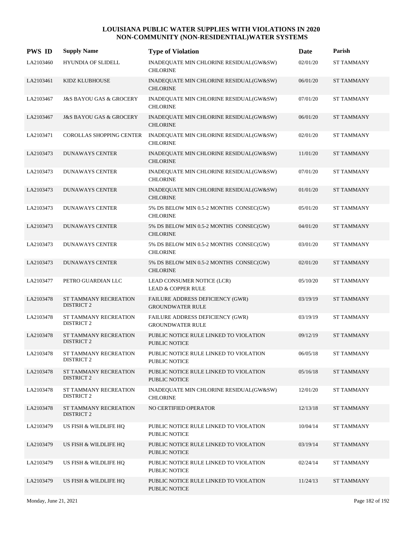| <b>PWS ID</b> | <b>Supply Name</b>                                | <b>Type of Violation</b>                                       | Date     | Parish            |
|---------------|---------------------------------------------------|----------------------------------------------------------------|----------|-------------------|
| LA2103460     | <b>HYUNDIA OF SLIDELL</b>                         | INADEQUATE MIN CHLORINE RESIDUAL(GW&SW)<br><b>CHLORINE</b>     | 02/01/20 | <b>ST TAMMANY</b> |
| LA2103461     | KIDZ KLUBHOUSE                                    | INADEQUATE MIN CHLORINE RESIDUAL(GW&SW)<br><b>CHLORINE</b>     | 06/01/20 | <b>ST TAMMANY</b> |
| LA2103467     | <b>J&amp;S BAYOU GAS &amp; GROCERY</b>            | INADEQUATE MIN CHLORINE RESIDUAL(GW&SW)<br><b>CHLORINE</b>     | 07/01/20 | <b>ST TAMMANY</b> |
| LA2103467     | <b>J&amp;S BAYOU GAS &amp; GROCERY</b>            | INADEQUATE MIN CHLORINE RESIDUAL(GW&SW)<br><b>CHLORINE</b>     | 06/01/20 | <b>ST TAMMANY</b> |
| LA2103471     | <b>COROLLAS SHOPPING CENTER</b>                   | INADEQUATE MIN CHLORINE RESIDUAL(GW&SW)<br><b>CHLORINE</b>     | 02/01/20 | <b>ST TAMMANY</b> |
| LA2103473     | <b>DUNAWAYS CENTER</b>                            | INADEQUATE MIN CHLORINE RESIDUAL(GW&SW)<br><b>CHLORINE</b>     | 11/01/20 | <b>ST TAMMANY</b> |
| LA2103473     | <b>DUNAWAYS CENTER</b>                            | INADEQUATE MIN CHLORINE RESIDUAL(GW&SW)<br><b>CHLORINE</b>     | 07/01/20 | <b>ST TAMMANY</b> |
| LA2103473     | <b>DUNAWAYS CENTER</b>                            | INADEQUATE MIN CHLORINE RESIDUAL(GW&SW)<br><b>CHLORINE</b>     | 01/01/20 | <b>ST TAMMANY</b> |
| LA2103473     | <b>DUNAWAYS CENTER</b>                            | 5% DS BELOW MIN 0.5-2 MONTHS CONSEC(GW)<br><b>CHLORINE</b>     | 05/01/20 | <b>ST TAMMANY</b> |
| LA2103473     | <b>DUNAWAYS CENTER</b>                            | 5% DS BELOW MIN 0.5-2 MONTHS CONSEC(GW)<br><b>CHLORINE</b>     | 04/01/20 | <b>ST TAMMANY</b> |
| LA2103473     | <b>DUNAWAYS CENTER</b>                            | 5% DS BELOW MIN 0.5-2 MONTHS CONSEC(GW)<br><b>CHLORINE</b>     | 03/01/20 | <b>ST TAMMANY</b> |
| LA2103473     | <b>DUNAWAYS CENTER</b>                            | 5% DS BELOW MIN 0.5-2 MONTHS CONSEC(GW)<br><b>CHLORINE</b>     | 02/01/20 | <b>ST TAMMANY</b> |
| LA2103477     | PETRO GUARDIAN LLC                                | LEAD CONSUMER NOTICE (LCR)<br><b>LEAD &amp; COPPER RULE</b>    | 05/10/20 | <b>ST TAMMANY</b> |
| LA2103478     | ST TAMMANY RECREATION<br><b>DISTRICT 2</b>        | FAILURE ADDRESS DEFICIENCY (GWR)<br><b>GROUNDWATER RULE</b>    | 03/19/19 | <b>ST TAMMANY</b> |
| LA2103478     | ST TAMMANY RECREATION<br><b>DISTRICT 2</b>        | FAILURE ADDRESS DEFICIENCY (GWR)<br><b>GROUNDWATER RULE</b>    | 03/19/19 | <b>ST TAMMANY</b> |
| LA2103478     | <b>ST TAMMANY RECREATION</b><br><b>DISTRICT 2</b> | PUBLIC NOTICE RULE LINKED TO VIOLATION<br><b>PUBLIC NOTICE</b> | 09/12/19 | <b>ST TAMMANY</b> |
| LA2103478     | ST TAMMANY RECREATION<br><b>DISTRICT 2</b>        | PUBLIC NOTICE RULE LINKED TO VIOLATION<br><b>PUBLIC NOTICE</b> | 06/05/18 | <b>ST TAMMANY</b> |
| LA2103478     | ST TAMMANY RECREATION<br><b>DISTRICT 2</b>        | PUBLIC NOTICE RULE LINKED TO VIOLATION<br>PUBLIC NOTICE        | 05/16/18 | <b>ST TAMMANY</b> |
| LA2103478     | ST TAMMANY RECREATION<br><b>DISTRICT 2</b>        | INADEQUATE MIN CHLORINE RESIDUAL(GW&SW)<br><b>CHLORINE</b>     | 12/01/20 | <b>ST TAMMANY</b> |
| LA2103478     | ST TAMMANY RECREATION<br><b>DISTRICT 2</b>        | NO CERTIFIED OPERATOR                                          | 12/13/18 | <b>ST TAMMANY</b> |
| LA2103479     | US FISH & WILDLIFE HQ                             | PUBLIC NOTICE RULE LINKED TO VIOLATION<br><b>PUBLIC NOTICE</b> | 10/04/14 | <b>ST TAMMANY</b> |
| LA2103479     | US FISH & WILDLIFE HQ                             | PUBLIC NOTICE RULE LINKED TO VIOLATION<br>PUBLIC NOTICE        | 03/19/14 | <b>ST TAMMANY</b> |
| LA2103479     | US FISH & WILDLIFE HQ                             | PUBLIC NOTICE RULE LINKED TO VIOLATION<br><b>PUBLIC NOTICE</b> | 02/24/14 | <b>ST TAMMANY</b> |
| LA2103479     | US FISH & WILDLIFE HQ                             | PUBLIC NOTICE RULE LINKED TO VIOLATION<br>PUBLIC NOTICE        | 11/24/13 | <b>ST TAMMANY</b> |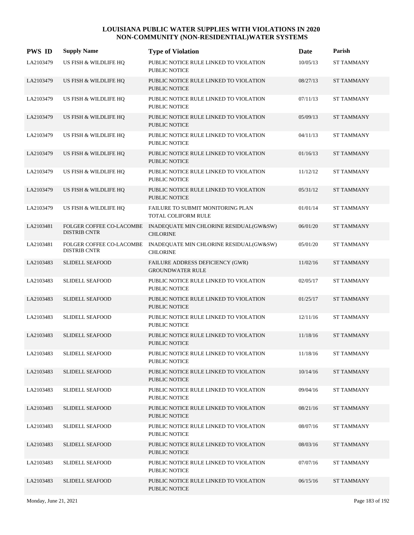| <b>PWS ID</b> | <b>Supply Name</b>                              | <b>Type of Violation</b>                                        | Date     | Parish            |
|---------------|-------------------------------------------------|-----------------------------------------------------------------|----------|-------------------|
| LA2103479     | US FISH & WILDLIFE HQ                           | PUBLIC NOTICE RULE LINKED TO VIOLATION<br><b>PUBLIC NOTICE</b>  | 10/05/13 | <b>ST TAMMANY</b> |
| LA2103479     | US FISH & WILDLIFE HQ                           | PUBLIC NOTICE RULE LINKED TO VIOLATION<br>PUBLIC NOTICE         | 08/27/13 | <b>ST TAMMANY</b> |
| LA2103479     | US FISH & WILDLIFE HQ                           | PUBLIC NOTICE RULE LINKED TO VIOLATION<br><b>PUBLIC NOTICE</b>  | 07/11/13 | <b>ST TAMMANY</b> |
| LA2103479     | US FISH & WILDLIFE HQ                           | PUBLIC NOTICE RULE LINKED TO VIOLATION<br><b>PUBLIC NOTICE</b>  | 05/09/13 | <b>ST TAMMANY</b> |
| LA2103479     | US FISH & WILDLIFE HQ                           | PUBLIC NOTICE RULE LINKED TO VIOLATION<br><b>PUBLIC NOTICE</b>  | 04/11/13 | <b>ST TAMMANY</b> |
| LA2103479     | US FISH & WILDLIFE HQ                           | PUBLIC NOTICE RULE LINKED TO VIOLATION<br><b>PUBLIC NOTICE</b>  | 01/16/13 | <b>ST TAMMANY</b> |
| LA2103479     | US FISH & WILDLIFE HQ                           | PUBLIC NOTICE RULE LINKED TO VIOLATION<br><b>PUBLIC NOTICE</b>  | 11/12/12 | <b>ST TAMMANY</b> |
| LA2103479     | US FISH & WILDLIFE HQ                           | PUBLIC NOTICE RULE LINKED TO VIOLATION<br><b>PUBLIC NOTICE</b>  | 05/31/12 | <b>ST TAMMANY</b> |
| LA2103479     | US FISH & WILDLIFE HQ                           | FAILURE TO SUBMIT MONITORING PLAN<br><b>TOTAL COLIFORM RULE</b> | 01/01/14 | <b>ST TAMMANY</b> |
| LA2103481     | FOLGER COFFEE CO-LACOMBE<br><b>DISTRIB CNTR</b> | INADEQUATE MIN CHLORINE RESIDUAL(GW&SW)<br><b>CHLORINE</b>      | 06/01/20 | <b>ST TAMMANY</b> |
| LA2103481     | FOLGER COFFEE CO-LACOMBE<br><b>DISTRIB CNTR</b> | INADEQUATE MIN CHLORINE RESIDUAL(GW&SW)<br><b>CHLORINE</b>      | 05/01/20 | <b>ST TAMMANY</b> |
| LA2103483     | <b>SLIDELL SEAFOOD</b>                          | FAILURE ADDRESS DEFICIENCY (GWR)<br><b>GROUNDWATER RULE</b>     | 11/02/16 | <b>ST TAMMANY</b> |
| LA2103483     | SLIDELL SEAFOOD                                 | PUBLIC NOTICE RULE LINKED TO VIOLATION<br><b>PUBLIC NOTICE</b>  | 02/05/17 | <b>ST TAMMANY</b> |
| LA2103483     | <b>SLIDELL SEAFOOD</b>                          | PUBLIC NOTICE RULE LINKED TO VIOLATION<br><b>PUBLIC NOTICE</b>  | 01/25/17 | <b>ST TAMMANY</b> |
| LA2103483     | <b>SLIDELL SEAFOOD</b>                          | PUBLIC NOTICE RULE LINKED TO VIOLATION<br><b>PUBLIC NOTICE</b>  | 12/11/16 | <b>ST TAMMANY</b> |
| LA2103483     | <b>SLIDELL SEAFOOD</b>                          | PUBLIC NOTICE RULE LINKED TO VIOLATION<br><b>PUBLIC NOTICE</b>  | 11/18/16 | <b>ST TAMMANY</b> |
| LA2103483     | <b>SLIDELL SEAFOOD</b>                          | PUBLIC NOTICE RULE LINKED TO VIOLATION<br>PUBLIC NOTICE         | 11/18/16 | <b>ST TAMMANY</b> |
| LA2103483     | <b>SLIDELL SEAFOOD</b>                          | PUBLIC NOTICE RULE LINKED TO VIOLATION<br><b>PUBLIC NOTICE</b>  | 10/14/16 | <b>ST TAMMANY</b> |
| LA2103483     | <b>SLIDELL SEAFOOD</b>                          | PUBLIC NOTICE RULE LINKED TO VIOLATION<br>PUBLIC NOTICE         | 09/04/16 | <b>ST TAMMANY</b> |
| LA2103483     | <b>SLIDELL SEAFOOD</b>                          | PUBLIC NOTICE RULE LINKED TO VIOLATION<br><b>PUBLIC NOTICE</b>  | 08/21/16 | <b>ST TAMMANY</b> |
| LA2103483     | <b>SLIDELL SEAFOOD</b>                          | PUBLIC NOTICE RULE LINKED TO VIOLATION<br>PUBLIC NOTICE         | 08/07/16 | <b>ST TAMMANY</b> |
| LA2103483     | <b>SLIDELL SEAFOOD</b>                          | PUBLIC NOTICE RULE LINKED TO VIOLATION<br>PUBLIC NOTICE         | 08/03/16 | <b>ST TAMMANY</b> |
| LA2103483     | <b>SLIDELL SEAFOOD</b>                          | PUBLIC NOTICE RULE LINKED TO VIOLATION<br>PUBLIC NOTICE         | 07/07/16 | <b>ST TAMMANY</b> |
| LA2103483     | <b>SLIDELL SEAFOOD</b>                          | PUBLIC NOTICE RULE LINKED TO VIOLATION<br>PUBLIC NOTICE         | 06/15/16 | <b>ST TAMMANY</b> |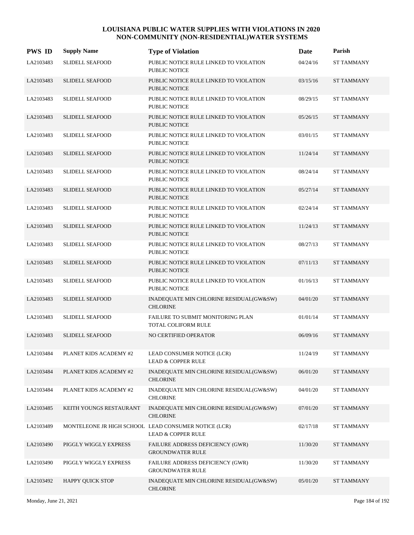| <b>PWS ID</b> | <b>Supply Name</b>      | <b>Type of Violation</b>                                                   | Date     | Parish            |
|---------------|-------------------------|----------------------------------------------------------------------------|----------|-------------------|
| LA2103483     | <b>SLIDELL SEAFOOD</b>  | PUBLIC NOTICE RULE LINKED TO VIOLATION<br><b>PUBLIC NOTICE</b>             | 04/24/16 | <b>ST TAMMANY</b> |
| LA2103483     | <b>SLIDELL SEAFOOD</b>  | PUBLIC NOTICE RULE LINKED TO VIOLATION<br><b>PUBLIC NOTICE</b>             | 03/15/16 | <b>ST TAMMANY</b> |
| LA2103483     | <b>SLIDELL SEAFOOD</b>  | PUBLIC NOTICE RULE LINKED TO VIOLATION<br><b>PUBLIC NOTICE</b>             | 08/29/15 | <b>ST TAMMANY</b> |
| LA2103483     | <b>SLIDELL SEAFOOD</b>  | PUBLIC NOTICE RULE LINKED TO VIOLATION<br><b>PUBLIC NOTICE</b>             | 05/26/15 | <b>ST TAMMANY</b> |
| LA2103483     | <b>SLIDELL SEAFOOD</b>  | PUBLIC NOTICE RULE LINKED TO VIOLATION<br><b>PUBLIC NOTICE</b>             | 03/01/15 | <b>ST TAMMANY</b> |
| LA2103483     | <b>SLIDELL SEAFOOD</b>  | PUBLIC NOTICE RULE LINKED TO VIOLATION<br><b>PUBLIC NOTICE</b>             | 11/24/14 | <b>ST TAMMANY</b> |
| LA2103483     | SLIDELL SEAFOOD         | PUBLIC NOTICE RULE LINKED TO VIOLATION<br><b>PUBLIC NOTICE</b>             | 08/24/14 | <b>ST TAMMANY</b> |
| LA2103483     | <b>SLIDELL SEAFOOD</b>  | PUBLIC NOTICE RULE LINKED TO VIOLATION<br><b>PUBLIC NOTICE</b>             | 05/27/14 | <b>ST TAMMANY</b> |
| LA2103483     | <b>SLIDELL SEAFOOD</b>  | PUBLIC NOTICE RULE LINKED TO VIOLATION<br><b>PUBLIC NOTICE</b>             | 02/24/14 | <b>ST TAMMANY</b> |
| LA2103483     | <b>SLIDELL SEAFOOD</b>  | PUBLIC NOTICE RULE LINKED TO VIOLATION<br><b>PUBLIC NOTICE</b>             | 11/24/13 | <b>ST TAMMANY</b> |
| LA2103483     | <b>SLIDELL SEAFOOD</b>  | PUBLIC NOTICE RULE LINKED TO VIOLATION<br><b>PUBLIC NOTICE</b>             | 08/27/13 | <b>ST TAMMANY</b> |
| LA2103483     | <b>SLIDELL SEAFOOD</b>  | PUBLIC NOTICE RULE LINKED TO VIOLATION<br><b>PUBLIC NOTICE</b>             | 07/11/13 | <b>ST TAMMANY</b> |
| LA2103483     | SLIDELL SEAFOOD         | PUBLIC NOTICE RULE LINKED TO VIOLATION<br><b>PUBLIC NOTICE</b>             | 01/16/13 | <b>ST TAMMANY</b> |
| LA2103483     | <b>SLIDELL SEAFOOD</b>  | INADEQUATE MIN CHLORINE RESIDUAL(GW&SW)<br><b>CHLORINE</b>                 | 04/01/20 | <b>ST TAMMANY</b> |
| LA2103483     | <b>SLIDELL SEAFOOD</b>  | FAILURE TO SUBMIT MONITORING PLAN<br>TOTAL COLIFORM RULE                   | 01/01/14 | <b>ST TAMMANY</b> |
| LA2103483     | <b>SLIDELL SEAFOOD</b>  | NO CERTIFIED OPERATOR                                                      | 06/09/16 | <b>ST TAMMANY</b> |
| LA2103484     | PLANET KIDS ACADEMY #2  | LEAD CONSUMER NOTICE (LCR)<br><b>LEAD &amp; COPPER RULE</b>                | 11/24/19 | <b>ST TAMMANY</b> |
| LA2103484     | PLANET KIDS ACADEMY #2  | INADEQUATE MIN CHLORINE RESIDUAL(GW&SW)<br><b>CHLORINE</b>                 | 06/01/20 | <b>ST TAMMANY</b> |
| LA2103484     | PLANET KIDS ACADEMY #2  | INADEQUATE MIN CHLORINE RESIDUAL(GW&SW)<br><b>CHLORINE</b>                 | 04/01/20 | <b>ST TAMMANY</b> |
| LA2103485     | KEITH YOUNGS RESTAURANT | INADEQUATE MIN CHLORINE RESIDUAL(GW&SW)<br><b>CHLORINE</b>                 | 07/01/20 | <b>ST TAMMANY</b> |
| LA2103489     |                         | MONTELEONE JR HIGH SCHOOL LEAD CONSUMER NOTICE (LCR)<br>LEAD & COPPER RULE | 02/17/18 | <b>ST TAMMANY</b> |
| LA2103490     | PIGGLY WIGGLY EXPRESS   | FAILURE ADDRESS DEFICIENCY (GWR)<br><b>GROUNDWATER RULE</b>                | 11/30/20 | <b>ST TAMMANY</b> |
| LA2103490     | PIGGLY WIGGLY EXPRESS   | FAILURE ADDRESS DEFICIENCY (GWR)<br><b>GROUNDWATER RULE</b>                | 11/30/20 | <b>ST TAMMANY</b> |
| LA2103492     | <b>HAPPY QUICK STOP</b> | INADEQUATE MIN CHLORINE RESIDUAL(GW&SW)<br><b>CHLORINE</b>                 | 05/01/20 | ST TAMMANY        |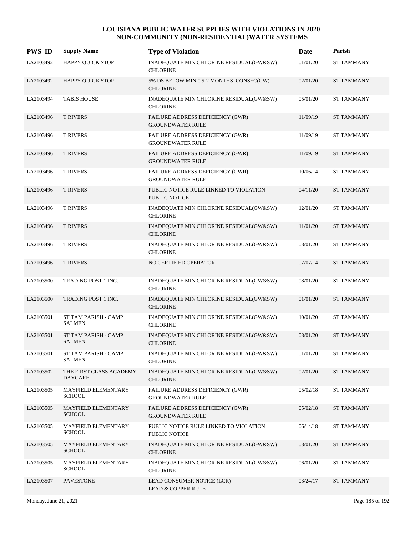| <b>PWS ID</b> | <b>Supply Name</b>                        | <b>Type of Violation</b>                                       | Date     | Parish            |
|---------------|-------------------------------------------|----------------------------------------------------------------|----------|-------------------|
| LA2103492     | <b>HAPPY QUICK STOP</b>                   | INADEQUATE MIN CHLORINE RESIDUAL(GW&SW)<br><b>CHLORINE</b>     | 01/01/20 | <b>ST TAMMANY</b> |
| LA2103492     | <b>HAPPY QUICK STOP</b>                   | 5% DS BELOW MIN 0.5-2 MONTHS CONSEC(GW)<br><b>CHLORINE</b>     | 02/01/20 | <b>ST TAMMANY</b> |
| LA2103494     | <b>TABIS HOUSE</b>                        | INADEQUATE MIN CHLORINE RESIDUAL(GW&SW)<br><b>CHLORINE</b>     | 05/01/20 | <b>ST TAMMANY</b> |
| LA2103496     | <b>T RIVERS</b>                           | FAILURE ADDRESS DEFICIENCY (GWR)<br><b>GROUNDWATER RULE</b>    | 11/09/19 | <b>ST TAMMANY</b> |
| LA2103496     | <b>T RIVERS</b>                           | FAILURE ADDRESS DEFICIENCY (GWR)<br><b>GROUNDWATER RULE</b>    | 11/09/19 | <b>ST TAMMANY</b> |
| LA2103496     | <b>T RIVERS</b>                           | FAILURE ADDRESS DEFICIENCY (GWR)<br><b>GROUNDWATER RULE</b>    | 11/09/19 | <b>ST TAMMANY</b> |
| LA2103496     | <b>T RIVERS</b>                           | FAILURE ADDRESS DEFICIENCY (GWR)<br><b>GROUNDWATER RULE</b>    | 10/06/14 | <b>ST TAMMANY</b> |
| LA2103496     | <b>T RIVERS</b>                           | PUBLIC NOTICE RULE LINKED TO VIOLATION<br><b>PUBLIC NOTICE</b> | 04/11/20 | <b>ST TAMMANY</b> |
| LA2103496     | <b>T RIVERS</b>                           | INADEQUATE MIN CHLORINE RESIDUAL(GW&SW)<br><b>CHLORINE</b>     | 12/01/20 | <b>ST TAMMANY</b> |
| LA2103496     | <b>T RIVERS</b>                           | INADEQUATE MIN CHLORINE RESIDUAL(GW&SW)<br><b>CHLORINE</b>     | 11/01/20 | <b>ST TAMMANY</b> |
| LA2103496     | <b>T RIVERS</b>                           | INADEQUATE MIN CHLORINE RESIDUAL(GW&SW)<br><b>CHLORINE</b>     | 08/01/20 | <b>ST TAMMANY</b> |
| LA2103496     | <b>T RIVERS</b>                           | NO CERTIFIED OPERATOR                                          | 07/07/14 | <b>ST TAMMANY</b> |
| LA2103500     | TRADING POST 1 INC.                       | INADEQUATE MIN CHLORINE RESIDUAL(GW&SW)<br><b>CHLORINE</b>     | 08/01/20 | <b>ST TAMMANY</b> |
| LA2103500     | TRADING POST 1 INC.                       | INADEQUATE MIN CHLORINE RESIDUAL(GW&SW)<br><b>CHLORINE</b>     | 01/01/20 | <b>ST TAMMANY</b> |
| LA2103501     | ST TAM PARISH - CAMP<br><b>SALMEN</b>     | INADEQUATE MIN CHLORINE RESIDUAL(GW&SW)<br><b>CHLORINE</b>     | 10/01/20 | <b>ST TAMMANY</b> |
| LA2103501     | ST TAM PARISH - CAMP<br><b>SALMEN</b>     | INADEQUATE MIN CHLORINE RESIDUAL(GW&SW)<br><b>CHLORINE</b>     | 08/01/20 | <b>ST TAMMANY</b> |
| LA2103501     | ST TAM PARISH - CAMP<br>SALMEN            | INADEQUATE MIN CHLORINE RESIDUAL(GW&SW)<br><b>CHLORINE</b>     | 01/01/20 | <b>ST TAMMANY</b> |
| LA2103502     | THE FIRST CLASS ACADEMY<br><b>DAYCARE</b> | INADEQUATE MIN CHLORINE RESIDUAL(GW&SW)<br><b>CHLORINE</b>     | 02/01/20 | <b>ST TAMMANY</b> |
| LA2103505     | MAYFIELD ELEMENTARY<br><b>SCHOOL</b>      | FAILURE ADDRESS DEFICIENCY (GWR)<br><b>GROUNDWATER RULE</b>    | 05/02/18 | ST TAMMANY        |
| LA2103505     | MAYFIELD ELEMENTARY<br><b>SCHOOL</b>      | FAILURE ADDRESS DEFICIENCY (GWR)<br><b>GROUNDWATER RULE</b>    | 05/02/18 | <b>ST TAMMANY</b> |
| LA2103505     | MAYFIELD ELEMENTARY<br><b>SCHOOL</b>      | PUBLIC NOTICE RULE LINKED TO VIOLATION<br>PUBLIC NOTICE        | 06/14/18 | <b>ST TAMMANY</b> |
| LA2103505     | MAYFIELD ELEMENTARY<br><b>SCHOOL</b>      | INADEQUATE MIN CHLORINE RESIDUAL(GW&SW)<br><b>CHLORINE</b>     | 08/01/20 | <b>ST TAMMANY</b> |
| LA2103505     | MAYFIELD ELEMENTARY<br><b>SCHOOL</b>      | INADEQUATE MIN CHLORINE RESIDUAL(GW&SW)<br><b>CHLORINE</b>     | 06/01/20 | <b>ST TAMMANY</b> |
| LA2103507     | <b>PAVESTONE</b>                          | LEAD CONSUMER NOTICE (LCR)<br><b>LEAD &amp; COPPER RULE</b>    | 03/24/17 | <b>ST TAMMANY</b> |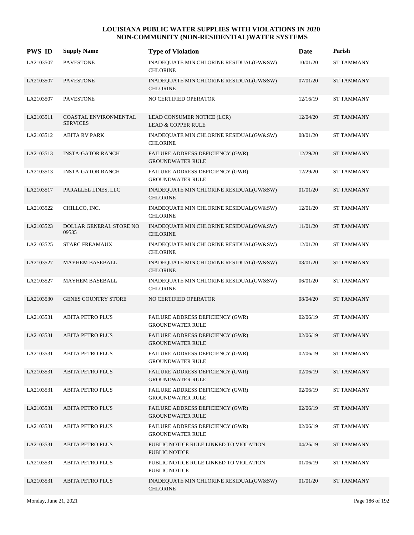| <b>PWS ID</b> | <b>Supply Name</b>                       | <b>Type of Violation</b>                                           | Date     | Parish            |
|---------------|------------------------------------------|--------------------------------------------------------------------|----------|-------------------|
| LA2103507     | <b>PAVESTONE</b>                         | INADEQUATE MIN CHLORINE RESIDUAL(GW&SW)<br><b>CHLORINE</b>         | 10/01/20 | <b>ST TAMMANY</b> |
| LA2103507     | <b>PAVESTONE</b>                         | INADEQUATE MIN CHLORINE RESIDUAL(GW&SW)<br><b>CHLORINE</b>         | 07/01/20 | <b>ST TAMMANY</b> |
| LA2103507     | <b>PAVESTONE</b>                         | NO CERTIFIED OPERATOR                                              | 12/16/19 | <b>ST TAMMANY</b> |
| LA2103511     | COASTAL ENVIRONMENTAL<br><b>SERVICES</b> | LEAD CONSUMER NOTICE (LCR)<br><b>LEAD &amp; COPPER RULE</b>        | 12/04/20 | <b>ST TAMMANY</b> |
| LA2103512     | <b>ABITA RV PARK</b>                     | INADEQUATE MIN CHLORINE RESIDUAL(GW&SW)<br><b>CHLORINE</b>         | 08/01/20 | <b>ST TAMMANY</b> |
| LA2103513     | <b>INSTA-GATOR RANCH</b>                 | FAILURE ADDRESS DEFICIENCY (GWR)<br><b>GROUNDWATER RULE</b>        | 12/29/20 | <b>ST TAMMANY</b> |
| LA2103513     | <b>INSTA-GATOR RANCH</b>                 | FAILURE ADDRESS DEFICIENCY (GWR)<br><b>GROUNDWATER RULE</b>        | 12/29/20 | <b>ST TAMMANY</b> |
| LA2103517     | PARALLEL LINES, LLC                      | INADEQUATE MIN CHLORINE RESIDUAL(GW&SW)<br><b>CHLORINE</b>         | 01/01/20 | <b>ST TAMMANY</b> |
| LA2103522     | CHILLCO, INC.                            | INADEQUATE MIN CHLORINE RESIDUAL(GW&SW)<br><b>CHLORINE</b>         | 12/01/20 | <b>ST TAMMANY</b> |
| LA2103523     | DOLLAR GENERAL STORE NO<br>09535         | INADEQUATE MIN CHLORINE RESIDUAL(GW&SW)<br><b>CHLORINE</b>         | 11/01/20 | <b>ST TAMMANY</b> |
| LA2103525     | <b>STARC FREAMAUX</b>                    | INADEQUATE MIN CHLORINE RESIDUAL(GW&SW)<br><b>CHLORINE</b>         | 12/01/20 | <b>ST TAMMANY</b> |
| LA2103527     | <b>MAYHEM BASEBALL</b>                   | INADEQUATE MIN CHLORINE RESIDUAL(GW&SW)<br><b>CHLORINE</b>         | 08/01/20 | <b>ST TAMMANY</b> |
| LA2103527     | <b>MAYHEM BASEBALL</b>                   | INADEQUATE MIN CHLORINE RESIDUAL(GW&SW)<br><b>CHLORINE</b>         | 06/01/20 | <b>ST TAMMANY</b> |
| LA2103530     | <b>GENES COUNTRY STORE</b>               | NO CERTIFIED OPERATOR                                              | 08/04/20 | <b>ST TAMMANY</b> |
| LA2103531     | <b>ABITA PETRO PLUS</b>                  | FAILURE ADDRESS DEFICIENCY (GWR)<br><b>GROUNDWATER RULE</b>        | 02/06/19 | <b>ST TAMMANY</b> |
| LA2103531     | <b>ABITA PETRO PLUS</b>                  | FAILURE ADDRESS DEFICIENCY (GWR)<br><b>GROUNDWATER RULE</b>        | 02/06/19 | <b>ST TAMMANY</b> |
| LA2103531     | <b>ABITA PETRO PLUS</b>                  | FAILURE ADDRESS DEFICIENCY (GWR)<br><b>GROUNDWATER RULE</b>        | 02/06/19 | <b>ST TAMMANY</b> |
| LA2103531     | <b>ABITA PETRO PLUS</b>                  | FAILURE ADDRESS DEFICIENCY (GWR)<br><b>GROUNDWATER RULE</b>        | 02/06/19 | <b>ST TAMMANY</b> |
| LA2103531     | <b>ABITA PETRO PLUS</b>                  | FAILURE ADDRESS DEFICIENCY (GWR)<br><b>GROUNDWATER RULE</b>        | 02/06/19 | <b>ST TAMMANY</b> |
| LA2103531     | <b>ABITA PETRO PLUS</b>                  | FAILURE ADDRESS DEFICIENCY (GWR)<br><b>GROUNDWATER RULE</b>        | 02/06/19 | <b>ST TAMMANY</b> |
| LA2103531     | <b>ABITA PETRO PLUS</b>                  | <b>FAILURE ADDRESS DEFICIENCY (GWR)</b><br><b>GROUNDWATER RULE</b> | 02/06/19 | <b>ST TAMMANY</b> |
| LA2103531     | <b>ABITA PETRO PLUS</b>                  | PUBLIC NOTICE RULE LINKED TO VIOLATION<br>PUBLIC NOTICE            | 04/26/19 | <b>ST TAMMANY</b> |
| LA2103531     | <b>ABITA PETRO PLUS</b>                  | PUBLIC NOTICE RULE LINKED TO VIOLATION<br>PUBLIC NOTICE            | 01/06/19 | <b>ST TAMMANY</b> |
| LA2103531     | <b>ABITA PETRO PLUS</b>                  | INADEQUATE MIN CHLORINE RESIDUAL(GW&SW)<br><b>CHLORINE</b>         | 01/01/20 | <b>ST TAMMANY</b> |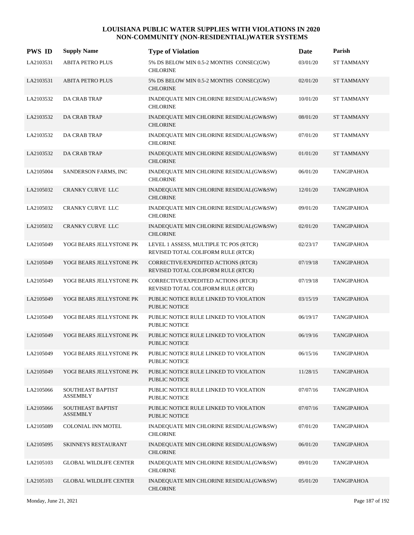| <b>PWS ID</b> | <b>Supply Name</b>                   | <b>Type of Violation</b>                                                     | Date     | Parish            |
|---------------|--------------------------------------|------------------------------------------------------------------------------|----------|-------------------|
| LA2103531     | <b>ABITA PETRO PLUS</b>              | 5% DS BELOW MIN 0.5-2 MONTHS CONSEC(GW)<br><b>CHLORINE</b>                   | 03/01/20 | <b>ST TAMMANY</b> |
| LA2103531     | <b>ABITA PETRO PLUS</b>              | 5% DS BELOW MIN 0.5-2 MONTHS CONSEC(GW)<br><b>CHLORINE</b>                   | 02/01/20 | <b>ST TAMMANY</b> |
| LA2103532     | DA CRAB TRAP                         | INADEQUATE MIN CHLORINE RESIDUAL(GW&SW)<br><b>CHLORINE</b>                   | 10/01/20 | <b>ST TAMMANY</b> |
| LA2103532     | <b>DA CRAB TRAP</b>                  | INADEQUATE MIN CHLORINE RESIDUAL(GW&SW)<br><b>CHLORINE</b>                   | 08/01/20 | <b>ST TAMMANY</b> |
| LA2103532     | DA CRAB TRAP                         | INADEQUATE MIN CHLORINE RESIDUAL(GW&SW)<br><b>CHLORINE</b>                   | 07/01/20 | <b>ST TAMMANY</b> |
| LA2103532     | <b>DA CRAB TRAP</b>                  | INADEQUATE MIN CHLORINE RESIDUAL(GW&SW)<br><b>CHLORINE</b>                   | 01/01/20 | <b>ST TAMMANY</b> |
| LA2105004     | SANDERSON FARMS, INC                 | INADEQUATE MIN CHLORINE RESIDUAL(GW&SW)<br><b>CHLORINE</b>                   | 06/01/20 | <b>TANGIPAHOA</b> |
| LA2105032     | <b>CRANKY CURVE LLC</b>              | INADEQUATE MIN CHLORINE RESIDUAL(GW&SW)<br><b>CHLORINE</b>                   | 12/01/20 | <b>TANGIPAHOA</b> |
| LA2105032     | <b>CRANKY CURVE LLC</b>              | INADEQUATE MIN CHLORINE RESIDUAL(GW&SW)<br><b>CHLORINE</b>                   | 09/01/20 | <b>TANGIPAHOA</b> |
| LA2105032     | <b>CRANKY CURVE LLC</b>              | INADEQUATE MIN CHLORINE RESIDUAL(GW&SW)<br><b>CHLORINE</b>                   | 02/01/20 | <b>TANGIPAHOA</b> |
| LA2105049     | YOGI BEARS JELLYSTONE PK             | LEVEL 1 ASSESS, MULTIPLE TC POS (RTCR)<br>REVISED TOTAL COLIFORM RULE (RTCR) | 02/23/17 | <b>TANGIPAHOA</b> |
| LA2105049     | YOGI BEARS JELLYSTONE PK             | CORRECTIVE/EXPEDITED ACTIONS (RTCR)<br>REVISED TOTAL COLIFORM RULE (RTCR)    | 07/19/18 | <b>TANGIPAHOA</b> |
| LA2105049     | YOGI BEARS JELLYSTONE PK             | CORRECTIVE/EXPEDITED ACTIONS (RTCR)<br>REVISED TOTAL COLIFORM RULE (RTCR)    | 07/19/18 | <b>TANGIPAHOA</b> |
| LA2105049     | YOGI BEARS JELLYSTONE PK             | PUBLIC NOTICE RULE LINKED TO VIOLATION<br>PUBLIC NOTICE                      | 03/15/19 | <b>TANGIPAHOA</b> |
| LA2105049     | YOGI BEARS JELLYSTONE PK             | PUBLIC NOTICE RULE LINKED TO VIOLATION<br><b>PUBLIC NOTICE</b>               | 06/19/17 | TANGIPAHOA        |
| LA2105049     | YOGI BEARS JELLYSTONE PK             | PUBLIC NOTICE RULE LINKED TO VIOLATION<br><b>PUBLIC NOTICE</b>               | 06/19/16 | <b>TANGIPAHOA</b> |
| LA2105049     | YOGI BEARS JELLYSTONE PK             | PUBLIC NOTICE RULE LINKED TO VIOLATION<br><b>PUBLIC NOTICE</b>               | 06/15/16 | <b>TANGIPAHOA</b> |
| LA2105049     | YOGI BEARS JELLYSTONE PK             | PUBLIC NOTICE RULE LINKED TO VIOLATION<br>PUBLIC NOTICE                      | 11/28/15 | <b>TANGIPAHOA</b> |
| LA2105066     | SOUTHEAST BAPTIST<br><b>ASSEMBLY</b> | PUBLIC NOTICE RULE LINKED TO VIOLATION<br><b>PUBLIC NOTICE</b>               | 07/07/16 | <b>TANGIPAHOA</b> |
| LA2105066     | SOUTHEAST BAPTIST<br><b>ASSEMBLY</b> | PUBLIC NOTICE RULE LINKED TO VIOLATION<br><b>PUBLIC NOTICE</b>               | 07/07/16 | <b>TANGIPAHOA</b> |
| LA2105089     | <b>COLONIAL INN MOTEL</b>            | INADEQUATE MIN CHLORINE RESIDUAL(GW&SW)<br><b>CHLORINE</b>                   | 07/01/20 | TANGIPAHOA        |
| LA2105095     | SKINNEYS RESTAURANT                  | INADEQUATE MIN CHLORINE RESIDUAL(GW&SW)<br><b>CHLORINE</b>                   | 06/01/20 | <b>TANGIPAHOA</b> |
| LA2105103     | <b>GLOBAL WILDLIFE CENTER</b>        | INADEQUATE MIN CHLORINE RESIDUAL(GW&SW)<br><b>CHLORINE</b>                   | 09/01/20 | TANGIPAHOA        |
| LA2105103     | <b>GLOBAL WILDLIFE CENTER</b>        | INADEQUATE MIN CHLORINE RESIDUAL(GW&SW)<br><b>CHLORINE</b>                   | 05/01/20 | <b>TANGIPAHOA</b> |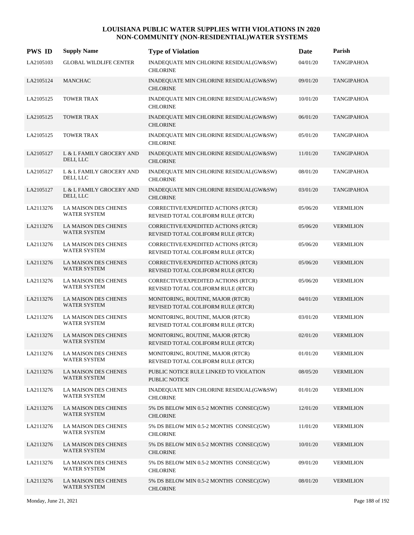| <b>PWS ID</b> | <b>Supply Name</b>                          | <b>Type of Violation</b>                                                  | Date     | Parish            |
|---------------|---------------------------------------------|---------------------------------------------------------------------------|----------|-------------------|
| LA2105103     | <b>GLOBAL WILDLIFE CENTER</b>               | INADEQUATE MIN CHLORINE RESIDUAL(GW&SW)<br><b>CHLORINE</b>                | 04/01/20 | <b>TANGIPAHOA</b> |
| LA2105124     | <b>MANCHAC</b>                              | INADEQUATE MIN CHLORINE RESIDUAL(GW&SW)<br><b>CHLORINE</b>                | 09/01/20 | TANGIPAHOA        |
| LA2105125     | <b>TOWER TRAX</b>                           | INADEQUATE MIN CHLORINE RESIDUAL(GW&SW)<br><b>CHLORINE</b>                | 10/01/20 | TANGIPAHOA        |
| LA2105125     | <b>TOWER TRAX</b>                           | INADEQUATE MIN CHLORINE RESIDUAL(GW&SW)<br><b>CHLORINE</b>                | 06/01/20 | TANGIPAHOA        |
| LA2105125     | TOWER TRAX                                  | INADEQUATE MIN CHLORINE RESIDUAL(GW&SW)<br><b>CHLORINE</b>                | 05/01/20 | TANGIPAHOA        |
| LA2105127     | L & L FAMILY GROCERY AND<br>DELI, LLC       | INADEQUATE MIN CHLORINE RESIDUAL(GW&SW)<br><b>CHLORINE</b>                | 11/01/20 | TANGIPAHOA        |
| LA2105127     | L & L FAMILY GROCERY AND<br>DELI, LLC       | INADEQUATE MIN CHLORINE RESIDUAL(GW&SW)<br><b>CHLORINE</b>                | 08/01/20 | TANGIPAHOA        |
| LA2105127     | L & L FAMILY GROCERY AND<br>DELI, LLC       | INADEQUATE MIN CHLORINE RESIDUAL(GW&SW)<br><b>CHLORINE</b>                | 03/01/20 | TANGIPAHOA        |
| LA2113276     | LA MAISON DES CHENES<br><b>WATER SYSTEM</b> | CORRECTIVE/EXPEDITED ACTIONS (RTCR)<br>REVISED TOTAL COLIFORM RULE (RTCR) | 05/06/20 | <b>VERMILION</b>  |
| LA2113276     | LA MAISON DES CHENES<br><b>WATER SYSTEM</b> | CORRECTIVE/EXPEDITED ACTIONS (RTCR)<br>REVISED TOTAL COLIFORM RULE (RTCR) | 05/06/20 | <b>VERMILION</b>  |
| LA2113276     | LA MAISON DES CHENES<br><b>WATER SYSTEM</b> | CORRECTIVE/EXPEDITED ACTIONS (RTCR)<br>REVISED TOTAL COLIFORM RULE (RTCR) | 05/06/20 | <b>VERMILION</b>  |
| LA2113276     | LA MAISON DES CHENES<br>WATER SYSTEM        | CORRECTIVE/EXPEDITED ACTIONS (RTCR)<br>REVISED TOTAL COLIFORM RULE (RTCR) | 05/06/20 | <b>VERMILION</b>  |
| LA2113276     | LA MAISON DES CHENES<br>WATER SYSTEM        | CORRECTIVE/EXPEDITED ACTIONS (RTCR)<br>REVISED TOTAL COLIFORM RULE (RTCR) | 05/06/20 | <b>VERMILION</b>  |
| LA2113276     | LA MAISON DES CHENES<br><b>WATER SYSTEM</b> | MONITORING, ROUTINE, MAJOR (RTCR)<br>REVISED TOTAL COLIFORM RULE (RTCR)   | 04/01/20 | <b>VERMILION</b>  |
| LA2113276     | LA MAISON DES CHENES<br><b>WATER SYSTEM</b> | MONITORING, ROUTINE, MAJOR (RTCR)<br>REVISED TOTAL COLIFORM RULE (RTCR)   | 03/01/20 | <b>VERMILION</b>  |
| LA2113276     | LA MAISON DES CHENES<br><b>WATER SYSTEM</b> | MONITORING, ROUTINE, MAJOR (RTCR)<br>REVISED TOTAL COLIFORM RULE (RTCR)   | 02/01/20 | <b>VERMILION</b>  |
| LA2113276     | LA MAISON DES CHENES<br><b>WATER SYSTEM</b> | MONITORING, ROUTINE, MAJOR (RTCR)<br>REVISED TOTAL COLIFORM RULE (RTCR)   | 01/01/20 | <b>VERMILION</b>  |
| LA2113276     | LA MAISON DES CHENES<br><b>WATER SYSTEM</b> | PUBLIC NOTICE RULE LINKED TO VIOLATION<br>PUBLIC NOTICE                   | 08/05/20 | <b>VERMILION</b>  |
| LA2113276     | LA MAISON DES CHENES<br>WATER SYSTEM        | INADEQUATE MIN CHLORINE RESIDUAL(GW&SW)<br><b>CHLORINE</b>                | 01/01/20 | <b>VERMILION</b>  |
| LA2113276     | LA MAISON DES CHENES<br><b>WATER SYSTEM</b> | 5% DS BELOW MIN 0.5-2 MONTHS CONSEC(GW)<br><b>CHLORINE</b>                | 12/01/20 | <b>VERMILION</b>  |
| LA2113276     | LA MAISON DES CHENES<br><b>WATER SYSTEM</b> | 5% DS BELOW MIN 0.5-2 MONTHS CONSEC(GW)<br><b>CHLORINE</b>                | 11/01/20 | <b>VERMILION</b>  |
| LA2113276     | LA MAISON DES CHENES<br><b>WATER SYSTEM</b> | 5% DS BELOW MIN 0.5-2 MONTHS CONSEC(GW)<br><b>CHLORINE</b>                | 10/01/20 | <b>VERMILION</b>  |
| LA2113276     | LA MAISON DES CHENES<br>WATER SYSTEM        | 5% DS BELOW MIN 0.5-2 MONTHS CONSEC(GW)<br><b>CHLORINE</b>                | 09/01/20 | <b>VERMILION</b>  |
| LA2113276     | LA MAISON DES CHENES<br><b>WATER SYSTEM</b> | 5% DS BELOW MIN 0.5-2 MONTHS CONSEC(GW)<br><b>CHLORINE</b>                | 08/01/20 | <b>VERMILION</b>  |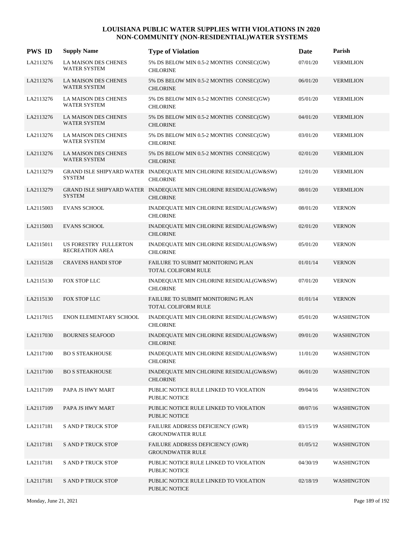| <b>PWS ID</b> | <b>Supply Name</b>                                 | <b>Type of Violation</b>                                                             | Date     | Parish            |
|---------------|----------------------------------------------------|--------------------------------------------------------------------------------------|----------|-------------------|
| LA2113276     | LA MAISON DES CHENES<br><b>WATER SYSTEM</b>        | 5% DS BELOW MIN 0.5-2 MONTHS CONSEC(GW)<br><b>CHLORINE</b>                           | 07/01/20 | <b>VERMILION</b>  |
| LA2113276     | <b>LA MAISON DES CHENES</b><br>WATER SYSTEM        | 5% DS BELOW MIN 0.5-2 MONTHS CONSEC(GW)<br><b>CHLORINE</b>                           | 06/01/20 | <b>VERMILION</b>  |
| LA2113276     | LA MAISON DES CHENES<br><b>WATER SYSTEM</b>        | 5% DS BELOW MIN 0.5-2 MONTHS CONSEC(GW)<br><b>CHLORINE</b>                           | 05/01/20 | <b>VERMILION</b>  |
| LA2113276     | <b>LA MAISON DES CHENES</b><br><b>WATER SYSTEM</b> | 5% DS BELOW MIN 0.5-2 MONTHS CONSEC(GW)<br><b>CHLORINE</b>                           | 04/01/20 | <b>VERMILION</b>  |
| LA2113276     | LA MAISON DES CHENES<br><b>WATER SYSTEM</b>        | 5% DS BELOW MIN 0.5-2 MONTHS CONSEC(GW)<br><b>CHLORINE</b>                           | 03/01/20 | <b>VERMILION</b>  |
| LA2113276     | LA MAISON DES CHENES<br><b>WATER SYSTEM</b>        | 5% DS BELOW MIN 0.5-2 MONTHS CONSEC(GW)<br><b>CHLORINE</b>                           | 02/01/20 | <b>VERMILION</b>  |
| LA2113279     | <b>SYSTEM</b>                                      | GRAND ISLE SHIPYARD WATER INADEQUATE MIN CHLORINE RESIDUAL(GW&SW)<br><b>CHLORINE</b> | 12/01/20 | <b>VERMILION</b>  |
| LA2113279     | <b>SYSTEM</b>                                      | GRAND ISLE SHIPYARD WATER INADEQUATE MIN CHLORINE RESIDUAL(GW&SW)<br><b>CHLORINE</b> | 08/01/20 | <b>VERMILION</b>  |
| LA2115003     | <b>EVANS SCHOOL</b>                                | INADEQUATE MIN CHLORINE RESIDUAL(GW&SW)<br><b>CHLORINE</b>                           | 08/01/20 | <b>VERNON</b>     |
| LA2115003     | <b>EVANS SCHOOL</b>                                | INADEQUATE MIN CHLORINE RESIDUAL(GW&SW)<br><b>CHLORINE</b>                           | 02/01/20 | <b>VERNON</b>     |
| LA2115011     | US FORESTRY FULLERTON<br><b>RECREATION AREA</b>    | INADEQUATE MIN CHLORINE RESIDUAL(GW&SW)<br><b>CHLORINE</b>                           | 05/01/20 | <b>VERNON</b>     |
| LA2115128     | <b>CRAVENS HANDI STOP</b>                          | FAILURE TO SUBMIT MONITORING PLAN<br>TOTAL COLIFORM RULE                             | 01/01/14 | <b>VERNON</b>     |
| LA2115130     | FOX STOP LLC                                       | INADEQUATE MIN CHLORINE RESIDUAL(GW&SW)<br><b>CHLORINE</b>                           | 07/01/20 | <b>VERNON</b>     |
| LA2115130     | FOX STOP LLC                                       | FAILURE TO SUBMIT MONITORING PLAN<br><b>TOTAL COLIFORM RULE</b>                      | 01/01/14 | <b>VERNON</b>     |
| LA2117015     | ENON ELEMENTARY SCHOOL                             | INADEQUATE MIN CHLORINE RESIDUAL(GW&SW)<br><b>CHLORINE</b>                           | 05/01/20 | WASHINGTON        |
| LA2117030     | <b>BOURNES SEAFOOD</b>                             | INADEQUATE MIN CHLORINE RESIDUAL(GW&SW)<br><b>CHLORINE</b>                           | 09/01/20 | WASHINGTON        |
| LA2117100     | <b>BO S STEAKHOUSE</b>                             | INADEQUATE MIN CHLORINE RESIDUAL(GW&SW)<br><b>CHLORINE</b>                           | 11/01/20 | WASHINGTON        |
| LA2117100     | <b>BO S STEAKHOUSE</b>                             | INADEQUATE MIN CHLORINE RESIDUAL(GW&SW)<br><b>CHLORINE</b>                           | 06/01/20 | WASHINGTON        |
| LA2117109     | PAPA JS HWY MART                                   | PUBLIC NOTICE RULE LINKED TO VIOLATION<br>PUBLIC NOTICE                              | 09/04/16 | WASHINGTON        |
| LA2117109     | PAPA JS HWY MART                                   | PUBLIC NOTICE RULE LINKED TO VIOLATION<br>PUBLIC NOTICE                              | 08/07/16 | WASHINGTON        |
| LA2117181     | <b>S AND P TRUCK STOP</b>                          | FAILURE ADDRESS DEFICIENCY (GWR)<br><b>GROUNDWATER RULE</b>                          | 03/15/19 | WASHINGTON        |
| LA2117181     | <b>S AND P TRUCK STOP</b>                          | FAILURE ADDRESS DEFICIENCY (GWR)<br><b>GROUNDWATER RULE</b>                          | 01/05/12 | WASHINGTON        |
| LA2117181     | <b>S AND P TRUCK STOP</b>                          | PUBLIC NOTICE RULE LINKED TO VIOLATION<br>PUBLIC NOTICE                              | 04/30/19 | WASHINGTON        |
| LA2117181     | <b>S AND P TRUCK STOP</b>                          | PUBLIC NOTICE RULE LINKED TO VIOLATION<br>PUBLIC NOTICE                              | 02/18/19 | <b>WASHINGTON</b> |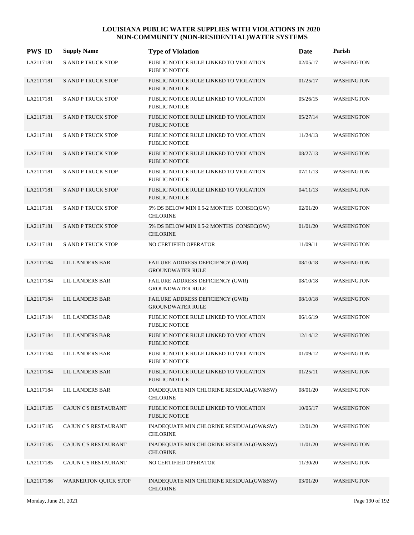| <b>PWS ID</b> | <b>Supply Name</b>        | <b>Type of Violation</b>                                       | <b>Date</b> | Parish            |
|---------------|---------------------------|----------------------------------------------------------------|-------------|-------------------|
| LA2117181     | <b>S AND P TRUCK STOP</b> | PUBLIC NOTICE RULE LINKED TO VIOLATION<br>PUBLIC NOTICE        | 02/05/17    | WASHINGTON        |
| LA2117181     | <b>S AND P TRUCK STOP</b> | PUBLIC NOTICE RULE LINKED TO VIOLATION<br><b>PUBLIC NOTICE</b> | 01/25/17    | WASHINGTON        |
| LA2117181     | <b>S AND P TRUCK STOP</b> | PUBLIC NOTICE RULE LINKED TO VIOLATION<br><b>PUBLIC NOTICE</b> | 05/26/15    | WASHINGTON        |
| LA2117181     | <b>S AND P TRUCK STOP</b> | PUBLIC NOTICE RULE LINKED TO VIOLATION<br><b>PUBLIC NOTICE</b> | 05/27/14    | <b>WASHINGTON</b> |
| LA2117181     | <b>S AND P TRUCK STOP</b> | PUBLIC NOTICE RULE LINKED TO VIOLATION<br><b>PUBLIC NOTICE</b> | 11/24/13    | WASHINGTON        |
| LA2117181     | <b>S AND P TRUCK STOP</b> | PUBLIC NOTICE RULE LINKED TO VIOLATION<br><b>PUBLIC NOTICE</b> | 08/27/13    | WASHINGTON        |
| LA2117181     | <b>S AND P TRUCK STOP</b> | PUBLIC NOTICE RULE LINKED TO VIOLATION<br><b>PUBLIC NOTICE</b> | 07/11/13    | WASHINGTON        |
| LA2117181     | <b>S AND P TRUCK STOP</b> | PUBLIC NOTICE RULE LINKED TO VIOLATION<br><b>PUBLIC NOTICE</b> | 04/11/13    | <b>WASHINGTON</b> |
| LA2117181     | <b>S AND P TRUCK STOP</b> | 5% DS BELOW MIN 0.5-2 MONTHS CONSEC(GW)<br><b>CHLORINE</b>     | 02/01/20    | WASHINGTON        |
| LA2117181     | <b>S AND P TRUCK STOP</b> | 5% DS BELOW MIN 0.5-2 MONTHS CONSEC(GW)<br><b>CHLORINE</b>     | 01/01/20    | <b>WASHINGTON</b> |
| LA2117181     | <b>S AND P TRUCK STOP</b> | NO CERTIFIED OPERATOR                                          | 11/09/11    | WASHINGTON        |
| LA2117184     | LIL LANDERS BAR           | FAILURE ADDRESS DEFICIENCY (GWR)<br><b>GROUNDWATER RULE</b>    | 08/10/18    | <b>WASHINGTON</b> |
| LA2117184     | LIL LANDERS BAR           | FAILURE ADDRESS DEFICIENCY (GWR)<br><b>GROUNDWATER RULE</b>    | 08/10/18    | <b>WASHINGTON</b> |
| LA2117184     | LIL LANDERS BAR           | FAILURE ADDRESS DEFICIENCY (GWR)<br><b>GROUNDWATER RULE</b>    | 08/10/18    | WASHINGTON        |
| LA2117184     | LIL LANDERS BAR           | PUBLIC NOTICE RULE LINKED TO VIOLATION<br><b>PUBLIC NOTICE</b> | 06/16/19    | WASHINGTON        |
| LA2117184     | <b>LIL LANDERS BAR</b>    | PUBLIC NOTICE RULE LINKED TO VIOLATION<br><b>PUBLIC NOTICE</b> | 12/14/12    | <b>WASHINGTON</b> |
| LA2117184     | LIL LANDERS BAR           | PUBLIC NOTICE RULE LINKED TO VIOLATION<br><b>PUBLIC NOTICE</b> | 01/09/12    | WASHINGTON        |
| LA2117184     | <b>LIL LANDERS BAR</b>    | PUBLIC NOTICE RULE LINKED TO VIOLATION<br>PUBLIC NOTICE        | 01/25/11    | <b>WASHINGTON</b> |
| LA2117184     | LIL LANDERS BAR           | INADEQUATE MIN CHLORINE RESIDUAL(GW&SW)<br><b>CHLORINE</b>     | 08/01/20    | WASHINGTON        |
| LA2117185     | CAJUN C'S RESTAURANT      | PUBLIC NOTICE RULE LINKED TO VIOLATION<br>PUBLIC NOTICE        | 10/05/17    | <b>WASHINGTON</b> |
| LA2117185     | CAJUN C'S RESTAURANT      | INADEQUATE MIN CHLORINE RESIDUAL(GW&SW)<br><b>CHLORINE</b>     | 12/01/20    | WASHINGTON        |
| LA2117185     | CAJUN C'S RESTAURANT      | INADEQUATE MIN CHLORINE RESIDUAL(GW&SW)<br><b>CHLORINE</b>     | 11/01/20    | WASHINGTON        |
| LA2117185     | CAJUN C'S RESTAURANT      | NO CERTIFIED OPERATOR                                          | 11/30/20    | WASHINGTON        |
| LA2117186     | WARNERTON QUICK STOP      | INADEQUATE MIN CHLORINE RESIDUAL(GW&SW)<br><b>CHLORINE</b>     | 03/01/20    | WASHINGTON        |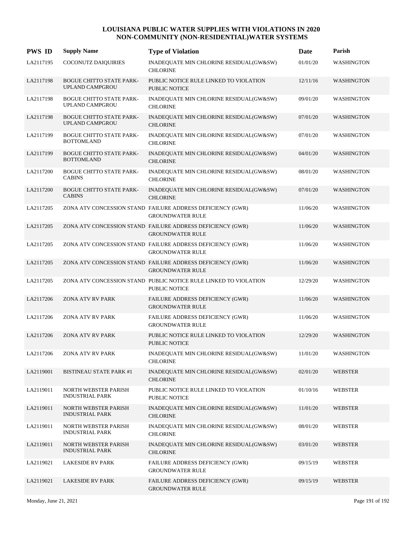| <b>PWS ID</b> | <b>Supply Name</b>                                        | <b>Type of Violation</b>                                                                 | Date     | Parish            |
|---------------|-----------------------------------------------------------|------------------------------------------------------------------------------------------|----------|-------------------|
| LA2117195     | COCONUTZ DAIQUIRIES                                       | INADEQUATE MIN CHLORINE RESIDUAL(GW&SW)<br><b>CHLORINE</b>                               | 01/01/20 | WASHINGTON        |
| LA2117198     | <b>BOGUE CHITTO STATE PARK-</b><br><b>UPLAND CAMPGROU</b> | PUBLIC NOTICE RULE LINKED TO VIOLATION<br><b>PUBLIC NOTICE</b>                           | 12/11/16 | WASHINGTON        |
| LA2117198     | <b>BOGUE CHITTO STATE PARK-</b><br>UPLAND CAMPGROU        | INADEQUATE MIN CHLORINE RESIDUAL(GW&SW)<br><b>CHLORINE</b>                               | 09/01/20 | WASHINGTON        |
| LA2117198     | <b>BOGUE CHITTO STATE PARK-</b><br>UPLAND CAMPGROU        | INADEQUATE MIN CHLORINE RESIDUAL(GW&SW)<br><b>CHLORINE</b>                               | 07/01/20 | <b>WASHINGTON</b> |
| LA2117199     | <b>BOGUE CHITTO STATE PARK-</b><br><b>BOTTOMLAND</b>      | INADEQUATE MIN CHLORINE RESIDUAL(GW&SW)<br><b>CHLORINE</b>                               | 07/01/20 | <b>WASHINGTON</b> |
| LA2117199     | <b>BOGUE CHITTO STATE PARK-</b><br><b>BOTTOMLAND</b>      | INADEQUATE MIN CHLORINE RESIDUAL(GW&SW)<br><b>CHLORINE</b>                               | 04/01/20 | <b>WASHINGTON</b> |
| LA2117200     | <b>BOGUE CHITTO STATE PARK-</b><br><b>CABINS</b>          | INADEQUATE MIN CHLORINE RESIDUAL(GW&SW)<br><b>CHLORINE</b>                               | 08/01/20 | <b>WASHINGTON</b> |
| LA2117200     | <b>BOGUE CHITTO STATE PARK-</b><br><b>CABINS</b>          | INADEQUATE MIN CHLORINE RESIDUAL(GW&SW)<br><b>CHLORINE</b>                               | 07/01/20 | <b>WASHINGTON</b> |
| LA2117205     |                                                           | ZONA ATV CONCESSION STAND FAILURE ADDRESS DEFICIENCY (GWR)<br><b>GROUNDWATER RULE</b>    | 11/06/20 | <b>WASHINGTON</b> |
| LA2117205     |                                                           | ZONA ATV CONCESSION STAND FAILURE ADDRESS DEFICIENCY (GWR)<br><b>GROUNDWATER RULE</b>    | 11/06/20 | <b>WASHINGTON</b> |
| LA2117205     |                                                           | ZONA ATV CONCESSION STAND FAILURE ADDRESS DEFICIENCY (GWR)<br><b>GROUNDWATER RULE</b>    | 11/06/20 | <b>WASHINGTON</b> |
| LA2117205     |                                                           | ZONA ATV CONCESSION STAND FAILURE ADDRESS DEFICIENCY (GWR)<br><b>GROUNDWATER RULE</b>    | 11/06/20 | <b>WASHINGTON</b> |
| LA2117205     |                                                           | ZONA ATV CONCESSION STAND PUBLIC NOTICE RULE LINKED TO VIOLATION<br><b>PUBLIC NOTICE</b> | 12/29/20 | <b>WASHINGTON</b> |
| LA2117206     | ZONA ATV RV PARK                                          | FAILURE ADDRESS DEFICIENCY (GWR)<br><b>GROUNDWATER RULE</b>                              | 11/06/20 | <b>WASHINGTON</b> |
| LA2117206     | ZONA ATV RV PARK                                          | FAILURE ADDRESS DEFICIENCY (GWR)<br><b>GROUNDWATER RULE</b>                              | 11/06/20 | <b>WASHINGTON</b> |
| LA2117206     | ZONA ATV RV PARK                                          | PUBLIC NOTICE RULE LINKED TO VIOLATION<br><b>PUBLIC NOTICE</b>                           | 12/29/20 | <b>WASHINGTON</b> |
| LA2117206     | ZONA ATV RV PARK                                          | INADEQUATE MIN CHLORINE RESIDUAL(GW&SW)<br><b>CHLORINE</b>                               | 11/01/20 | WASHINGTON        |
| LA2119001     | <b>BISTINEAU STATE PARK #1</b>                            | INADEQUATE MIN CHLORINE RESIDUAL(GW&SW)<br><b>CHLORINE</b>                               | 02/01/20 | <b>WEBSTER</b>    |
| LA2119011     | NORTH WEBSTER PARISH<br><b>INDUSTRIAL PARK</b>            | PUBLIC NOTICE RULE LINKED TO VIOLATION<br>PUBLIC NOTICE                                  | 01/10/16 | <b>WEBSTER</b>    |
| LA2119011     | NORTH WEBSTER PARISH<br><b>INDUSTRIAL PARK</b>            | INADEQUATE MIN CHLORINE RESIDUAL(GW&SW)<br><b>CHLORINE</b>                               | 11/01/20 | <b>WEBSTER</b>    |
| LA2119011     | NORTH WEBSTER PARISH<br><b>INDUSTRIAL PARK</b>            | INADEQUATE MIN CHLORINE RESIDUAL(GW&SW)<br><b>CHLORINE</b>                               | 08/01/20 | <b>WEBSTER</b>    |
| LA2119011     | NORTH WEBSTER PARISH<br><b>INDUSTRIAL PARK</b>            | INADEQUATE MIN CHLORINE RESIDUAL(GW&SW)<br><b>CHLORINE</b>                               | 03/01/20 | <b>WEBSTER</b>    |
| LA2119021     | <b>LAKESIDE RV PARK</b>                                   | FAILURE ADDRESS DEFICIENCY (GWR)<br><b>GROUNDWATER RULE</b>                              | 09/15/19 | WEBSTER           |
| LA2119021     | <b>LAKESIDE RV PARK</b>                                   | FAILURE ADDRESS DEFICIENCY (GWR)<br><b>GROUNDWATER RULE</b>                              | 09/15/19 | <b>WEBSTER</b>    |